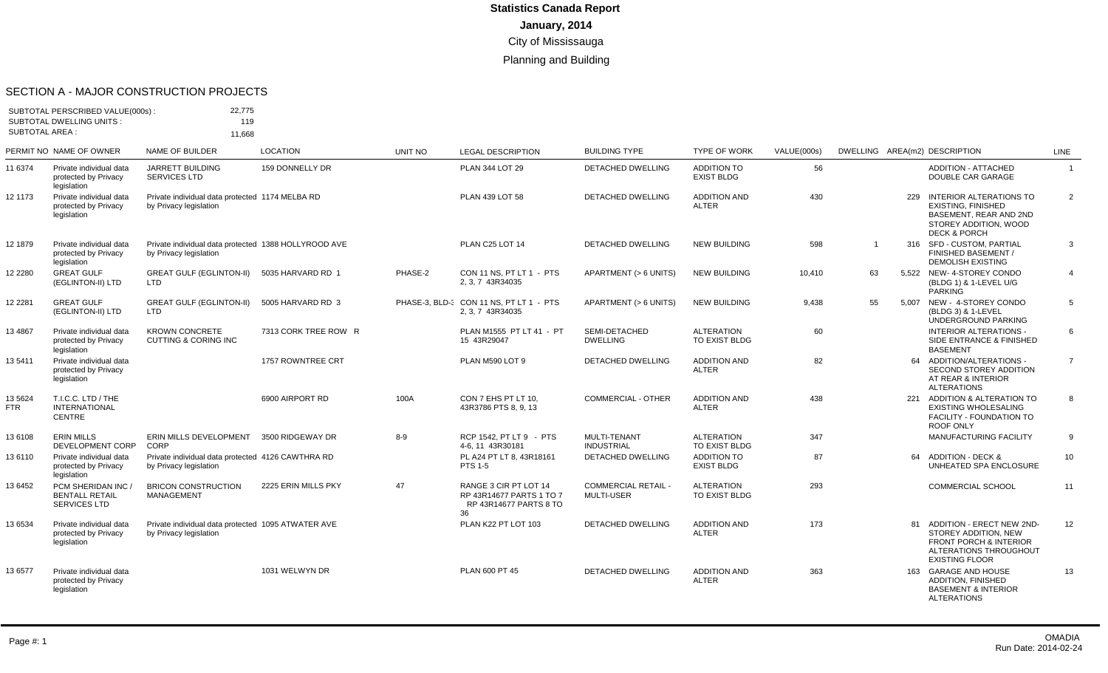#### SECTION A - MAJOR CONSTRUCTION PROJECTS

| SUBTOTAL PERSCRIBED VALUE(000s):<br><b>SUBTOTAL DWELLING UNITS:</b><br><b>SUBTOTAL AREA:</b> |                                                                | 22,775<br>119                                                                  |                      |                |                                                                                   |                                                 |                                         |             |                |     |                                                                                                                                                  |                |
|----------------------------------------------------------------------------------------------|----------------------------------------------------------------|--------------------------------------------------------------------------------|----------------------|----------------|-----------------------------------------------------------------------------------|-------------------------------------------------|-----------------------------------------|-------------|----------------|-----|--------------------------------------------------------------------------------------------------------------------------------------------------|----------------|
|                                                                                              | PERMIT NO NAME OF OWNER                                        | 11.668<br><b>NAME OF BUILDER</b>                                               | <b>LOCATION</b>      | <b>UNIT NO</b> | <b>LEGAL DESCRIPTION</b>                                                          | <b>BUILDING TYPE</b>                            | <b>TYPE OF WORK</b>                     | VALUE(000s) |                |     | DWELLING AREA(m2) DESCRIPTION                                                                                                                    | <b>LINE</b>    |
| 11 6374                                                                                      | Private individual data<br>protected by Privacy<br>legislation | <b>JARRETT BUILDING</b><br><b>SERVICES LTD</b>                                 | 159 DONNELLY DR      |                | PLAN 344 LOT 29                                                                   | <b>DETACHED DWELLING</b>                        | <b>ADDITION TO</b><br><b>EXIST BLDG</b> | 56          |                |     | <b>ADDITION - ATTACHED</b><br>DOUBLE CAR GARAGE                                                                                                  | $\mathbf{1}$   |
| 12 1173                                                                                      | Private individual data<br>protected by Privacy<br>legislation | Private individual data protected 1174 MELBA RD<br>by Privacy legislation      |                      |                | PLAN 439 LOT 58                                                                   | <b>DETACHED DWELLING</b>                        | <b>ADDITION AND</b><br><b>ALTER</b>     | 430         |                | 229 | INTERIOR ALTERATIONS TO<br><b>EXISTING, FINISHED</b><br><b>BASEMENT, REAR AND 2ND</b><br>STOREY ADDITION, WOOD<br><b>DECK &amp; PORCH</b>        | 2              |
| 12 1879                                                                                      | Private individual data<br>protected by Privacy<br>legislation | Private individual data protected 1388 HOLLYROOD AVE<br>by Privacy legislation |                      |                | PLAN C25 LOT 14                                                                   | <b>DETACHED DWELLING</b>                        | <b>NEW BUILDING</b>                     | 598         | $\overline{1}$ |     | 316 SFD - CUSTOM, PARTIAL<br>FINISHED BASEMENT /<br><b>DEMOLISH EXISTING</b>                                                                     | 3              |
| 12 2280                                                                                      | <b>GREAT GULF</b><br>(EGLINTON-II) LTD                         | <b>GREAT GULF (EGLINTON-II)</b><br><b>LTD</b>                                  | 5035 HARVARD RD 1    | PHASE-2        | CON 11 NS, PT LT 1 - PTS<br>2.3.7 43R34035                                        | APARTMENT (> 6 UNITS)                           | <b>NEW BUILDING</b>                     | 10,410      | 63             |     | 5.522 NEW-4-STOREY CONDO<br>(BLDG 1) & 1-LEVEL U/G<br><b>PARKING</b>                                                                             | $\overline{4}$ |
| 12 2281                                                                                      | <b>GREAT GULF</b><br>(EGLINTON-II) LTD                         | <b>GREAT GULF (EGLINTON-II)</b><br><b>LTD</b>                                  | 5005 HARVARD RD 3    |                | PHASE-3, BLD-( CON 11 NS, PT LT 1 - PTS<br>2.3.7 43R34035                         | APARTMENT (> 6 UNITS)                           | <b>NEW BUILDING</b>                     | 9,438       | 55             |     | 5,007 NEW - 4-STOREY CONDO<br>(BLDG 3) & 1-LEVEL<br>UNDERGROUND PARKING                                                                          | 5              |
| 13 4867                                                                                      | Private individual data<br>protected by Privacy<br>legislation | <b>KROWN CONCRETE</b><br><b>CUTTING &amp; CORING INC</b>                       | 7313 CORK TREE ROW R |                | PLAN M1555 PT LT 41 - PT<br>15 43R29047                                           | SEMI-DETACHED<br><b>DWELLING</b>                | <b>ALTERATION</b><br>TO EXIST BLDG      | 60          |                |     | INTERIOR ALTERATIONS -<br>SIDE ENTRANCE & FINISHED<br><b>BASEMENT</b>                                                                            | 6              |
| 13 5411                                                                                      | Private individual data<br>protected by Privacy<br>legislation |                                                                                | 1757 ROWNTREE CRT    |                | PLAN M590 LOT 9                                                                   | <b>DETACHED DWELLING</b>                        | <b>ADDITION AND</b><br><b>ALTER</b>     | 82          |                |     | 64 ADDITION/ALTERATIONS -<br>SECOND STOREY ADDITION<br>AT REAR & INTERIOR<br><b>ALTERATIONS</b>                                                  | $\overline{7}$ |
| 13 5624<br><b>FTR</b>                                                                        | T.I.C.C. LTD / THE<br><b>INTERNATIONAL</b><br><b>CENTRE</b>    |                                                                                | 6900 AIRPORT RD      | 100A           | CON 7 EHS PT LT 10.<br>43R3786 PTS 8, 9, 13                                       | <b>COMMERCIAL - OTHER</b>                       | <b>ADDITION AND</b><br><b>ALTER</b>     | 438         |                | 221 | ADDITION & ALTERATION TO<br><b>EXISTING WHOLESALING</b><br>FACILITY - FOUNDATION TO<br>ROOF ONLY                                                 | 8              |
| 13 6108                                                                                      | <b>ERIN MILLS</b><br><b>DEVELOPMENT CORP</b>                   | ERIN MILLS DEVELOPMENT 3500 RIDGEWAY DR<br>CORP                                |                      | $8-9$          | RCP 1542. PT LT 9 - PTS<br>4-6.11 43R30181                                        | <b>MULTI-TENANT</b><br><b>INDUSTRIAL</b>        | <b>ALTERATION</b><br>TO EXIST BLDG      | 347         |                |     | <b>MANUFACTURING FACILITY</b>                                                                                                                    | 9              |
| 13 6110                                                                                      | Private individual data<br>protected by Privacy<br>legislation | Private individual data protected 4126 CAWTHRA RD<br>by Privacy legislation    |                      |                | PL A24 PT LT 8, 43R18161<br>PTS 1-5                                               | DETACHED DWELLING                               | <b>ADDITION TO</b><br><b>EXIST BLDG</b> | 87          |                | 64  | <b>ADDITION - DECK &amp;</b><br>UNHEATED SPA ENCLOSURE                                                                                           | 10             |
| 13 6452                                                                                      | PCM SHERIDAN INC /<br><b>BENTALL RETAIL</b><br>SERVICES LTD    | <b>BRICON CONSTRUCTION</b><br><b>MANAGEMENT</b>                                | 2225 ERIN MILLS PKY  | 47             | RANGE 3 CIR PT LOT 14<br>RP 43R14677 PARTS 1 TO 7<br>RP 43R14677 PARTS 8 TO<br>36 | <b>COMMERCIAL RETAIL -</b><br><b>MULTI-USER</b> | <b>ALTERATION</b><br>TO EXIST BLDG      | 293         |                |     | <b>COMMERCIAL SCHOOL</b>                                                                                                                         | 11             |
| 13 6534                                                                                      | Private individual data<br>protected by Privacy<br>legislation | Private individual data protected 1095 ATWATER AVE<br>by Privacy legislation   |                      |                | PLAN K22 PT LOT 103                                                               | <b>DETACHED DWELLING</b>                        | <b>ADDITION AND</b><br><b>ALTER</b>     | 173         |                | 81  | <b>ADDITION - ERECT NEW 2ND-</b><br>STOREY ADDITION, NEW<br><b>FRONT PORCH &amp; INTERIOR</b><br>ALTERATIONS THROUGHOUT<br><b>EXISTING FLOOR</b> | 12             |
| 13 6577                                                                                      | Private individual data<br>protected by Privacy<br>legislation |                                                                                | 1031 WELWYN DR       |                | PLAN 600 PT 45                                                                    | <b>DETACHED DWELLING</b>                        | <b>ADDITION AND</b><br><b>ALTER</b>     | 363         |                |     | 163 GARAGE AND HOUSE<br>ADDITION, FINISHED<br><b>BASEMENT &amp; INTERIOR</b><br><b>ALTERATIONS</b>                                               | 13             |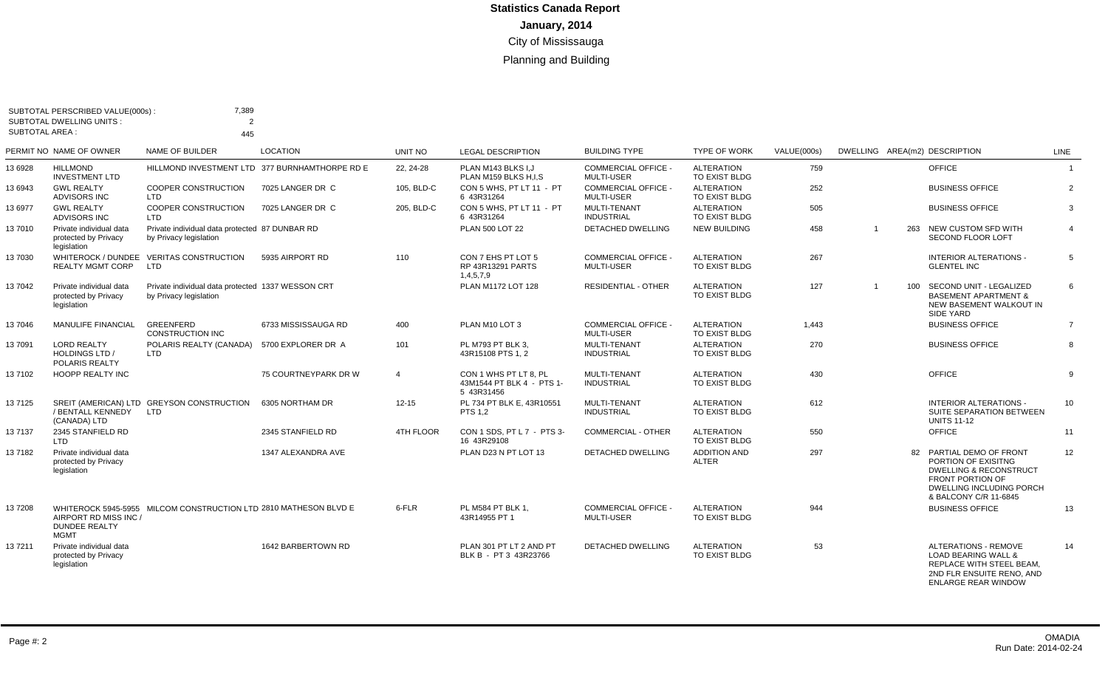|                       | SUBTOTAL PERSCRIBED VALUE(000s):<br><b>SUBTOTAL DWELLING UNITS:</b> | 7,389<br>$\mathcal{P}$                                                      |                                                |                  |                                                                  |                                                 |                                     |             |                |                                                                                                                                                                      |                |
|-----------------------|---------------------------------------------------------------------|-----------------------------------------------------------------------------|------------------------------------------------|------------------|------------------------------------------------------------------|-------------------------------------------------|-------------------------------------|-------------|----------------|----------------------------------------------------------------------------------------------------------------------------------------------------------------------|----------------|
| <b>SUBTOTAL AREA:</b> |                                                                     | 445                                                                         |                                                |                  |                                                                  |                                                 |                                     |             |                |                                                                                                                                                                      |                |
|                       | PERMIT NO NAME OF OWNER                                             | NAME OF BUILDER                                                             | <b>LOCATION</b>                                | UNIT NO          | <b>LEGAL DESCRIPTION</b>                                         | <b>BUILDING TYPE</b>                            | <b>TYPE OF WORK</b>                 | VALUE(000s) |                | DWELLING AREA(m2) DESCRIPTION                                                                                                                                        | LINE           |
| 13 6928               | <b>HILLMOND</b><br><b>INVESTMENT LTD</b>                            |                                                                             | HILLMOND INVESTMENT LTD 377 BURNHAMTHORPE RD E | 22, 24-28        | PLAN M143 BLKS I.J<br>PLAN M159 BLKS H.I.S                       | <b>COMMERCIAL OFFICE -</b><br><b>MULTI-USER</b> | <b>ALTERATION</b><br>TO EXIST BLDG  | 759         |                | <b>OFFICE</b>                                                                                                                                                        | $\overline{1}$ |
| 13 6943               | <b>GWL REALTY</b><br>ADVISORS INC                                   | COOPER CONSTRUCTION<br><b>LTD</b>                                           | 7025 LANGER DR C                               | 105, BLD-C       | CON 5 WHS, PT LT 11 - PT<br>6 43R31264                           | <b>COMMERCIAL OFFICE -</b><br><b>MULTI-USER</b> | <b>ALTERATION</b><br>TO EXIST BLDG  | 252         |                | <b>BUSINESS OFFICE</b>                                                                                                                                               | $\overline{2}$ |
| 13 6977               | <b>GWL REALTY</b><br><b>ADVISORS INC</b>                            | COOPER CONSTRUCTION<br><b>LTD</b>                                           | 7025 LANGER DR C                               | 205, BLD-C       | CON 5 WHS, PT LT 11 - PT<br>6 43R31264                           | MULTI-TENANT<br><b>INDUSTRIAL</b>               | <b>ALTERATION</b><br>TO EXIST BLDG  | 505         |                | <b>BUSINESS OFFICE</b>                                                                                                                                               | 3              |
| 13 7010               | Private individual data<br>protected by Privacy<br>legislation      | Private individual data protected 87 DUNBAR RD<br>by Privacy legislation    |                                                |                  | PLAN 500 LOT 22                                                  | DETACHED DWELLING                               | <b>NEW BUILDING</b>                 | 458         | $\overline{1}$ | 263 NEW CUSTOM SFD WITH<br><b>SECOND FLOOR LOFT</b>                                                                                                                  | $\overline{4}$ |
| 13 7030               | <b>REALTY MGMT CORP</b>                                             | WHITEROCK / DUNDEE VERITAS CONSTRUCTION<br><b>LTD</b>                       | 5935 AIRPORT RD                                | 110              | CON 7 EHS PT LOT 5<br>RP 43R13291 PARTS<br>1,4,5,7,9             | <b>COMMERCIAL OFFICE -</b><br><b>MULTI-USER</b> | <b>ALTERATION</b><br>TO EXIST BLDG  | 267         |                | <b>INTERIOR ALTERATIONS -</b><br><b>GLENTEL INC</b>                                                                                                                  | 5              |
| 13 7042               | Private individual data<br>protected by Privacy<br>legislation      | Private individual data protected 1337 WESSON CRT<br>by Privacy legislation |                                                |                  | PLAN M1172 LOT 128                                               | <b>RESIDENTIAL - OTHER</b>                      | <b>ALTERATION</b><br>TO EXIST BLDG  | 127         | $\overline{1}$ | 100 SECOND UNIT - LEGALIZED<br><b>BASEMENT APARTMENT &amp;</b><br>NEW BASEMENT WALKOUT IN<br><b>SIDE YARD</b>                                                        | 6              |
| 137046                | <b>MANULIFE FINANCIAL</b>                                           | <b>GREENFERD</b><br><b>CONSTRUCTION INC</b>                                 | 6733 MISSISSAUGA RD                            | 400              | PLAN M10 LOT 3                                                   | COMMERCIAL OFFICE -<br><b>MULTI-USER</b>        | <b>ALTERATION</b><br>TO EXIST BLDG  | 1.443       |                | <b>BUSINESS OFFICE</b>                                                                                                                                               | $\overline{7}$ |
| 13 7091               | <b>LORD REALTY</b><br><b>HOLDINGS LTD /</b><br>POLARIS REALTY       | POLARIS REALTY (CANADA)<br><b>LTD</b>                                       | 5700 EXPLORER DR A                             | 101              | PL M793 PT BLK 3,<br>43R15108 PTS 1.2                            | MULTI-TENANT<br><b>INDUSTRIAL</b>               | <b>ALTERATION</b><br>TO EXIST BLDG  | 270         |                | <b>BUSINESS OFFICE</b>                                                                                                                                               | 8              |
| 137102                | <b>HOOPP REALTY INC</b>                                             |                                                                             | 75 COURTNEYPARK DR W                           | $\overline{4}$   | CON 1 WHS PT LT 8. PL<br>43M1544 PT BLK 4 - PTS 1-<br>5 43R31456 | MULTI-TENANT<br><b>INDUSTRIAL</b>               | <b>ALTERATION</b><br>TO EXIST BLDG  | 430         |                | OFFICE                                                                                                                                                               | 9              |
| 137125                | / BENTALL KENNEDY<br>(CANADA) LTD                                   | SREIT (AMERICAN) LTD GREYSON CONSTRUCTION<br><b>LTD</b>                     | 6305 NORTHAM DR                                | $12 - 15$        | PL 734 PT BLK E. 43R10551<br><b>PTS 1.2</b>                      | <b>MULTI-TENANT</b><br><b>INDUSTRIAL</b>        | <b>ALTERATION</b><br>TO EXIST BLDG  | 612         |                | <b>INTERIOR ALTERATIONS -</b><br>SUITE SEPARATION BETWEEN<br><b>UNITS 11-12</b>                                                                                      | 10             |
| 137137                | 2345 STANFIELD RD<br>LTD                                            |                                                                             | 2345 STANFIELD RD                              | <b>4TH FLOOR</b> | CON 1 SDS. PT L 7 - PTS 3-<br>16 43R29108                        | <b>COMMERCIAL - OTHER</b>                       | <b>ALTERATION</b><br>TO EXIST BLDG  | 550         |                | OFFICE                                                                                                                                                               | 11             |
| 137182                | Private individual data<br>protected by Privacy<br>legislation      |                                                                             | 1347 ALEXANDRA AVE                             |                  | PLAN D23 N PT LOT 13                                             | DETACHED DWELLING                               | <b>ADDITION AND</b><br><b>ALTER</b> | 297         |                | 82 PARTIAL DEMO OF FRONT<br>PORTION OF EXISITNG<br><b>DWELLING &amp; RECONSTRUCT</b><br><b>FRONT PORTION OF</b><br>DWELLING INCLUDING PORCH<br>& BALCONY C/R 11-6845 | 12             |
| 137208                | AIRPORT RD MISS INC /<br><b>DUNDEE REALTY</b><br><b>MGMT</b>        | WHITEROCK 5945-5955 MILCOM CONSTRUCTION LTD 2810 MATHESON BLVD E            |                                                | 6-FLR            | PL M584 PT BLK 1.<br>43R14955 PT 1                               | <b>COMMERCIAL OFFICE -</b><br><b>MULTI-USER</b> | <b>ALTERATION</b><br>TO EXIST BLDG  | 944         |                | <b>BUSINESS OFFICE</b>                                                                                                                                               | 13             |
| 137211                | Private individual data<br>protected by Privacy<br>legislation      |                                                                             | 1642 BARBERTOWN RD                             |                  | PLAN 301 PT LT 2 AND PT<br>BLK B - PT 3 43R23766                 | <b>DETACHED DWELLING</b>                        | <b>ALTERATION</b><br>TO EXIST BLDG  | 53          |                | <b>ALTERATIONS - REMOVE</b><br><b>LOAD BEARING WALL &amp;</b><br>REPLACE WITH STEEL BEAM,<br>2ND FLR ENSUITE RENO. AND<br><b>ENLARGE REAR WINDOW</b>                 | 14             |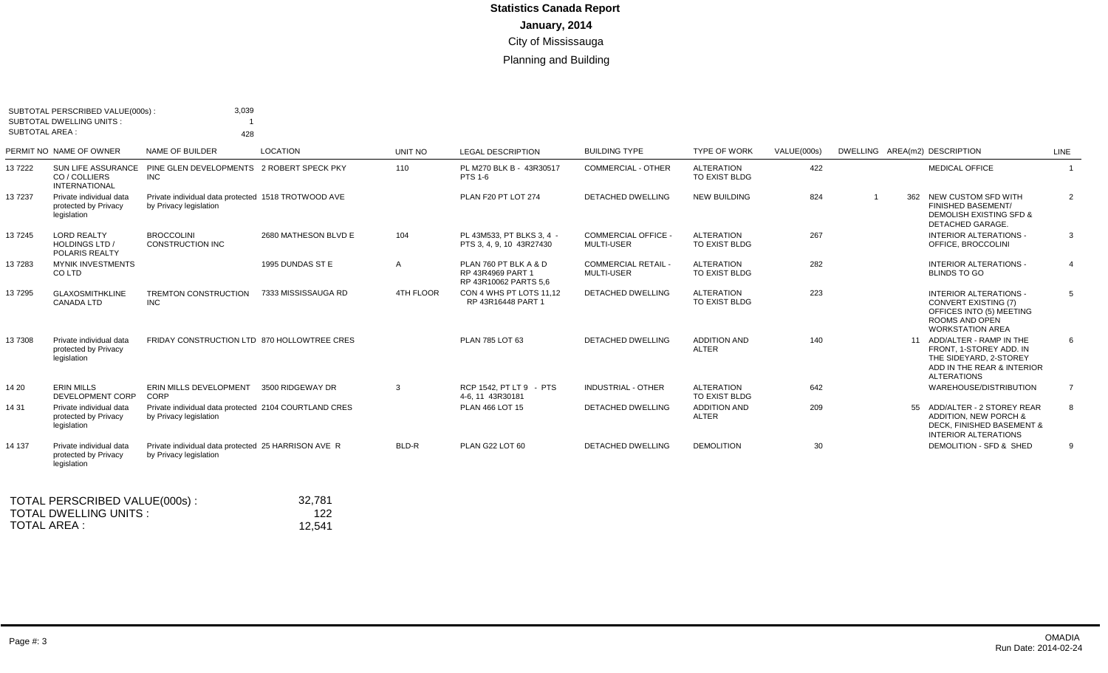| <b>SUBTOTAL AREA:</b> | SUBTOTAL PERSCRIBED VALUE(000s):<br><b>SUBTOTAL DWELLING UNITS:</b> | 3,039<br>428                                                                    |                      |                  |                                                                     |                                          |                                    |             |                                                                                                                                         |                |
|-----------------------|---------------------------------------------------------------------|---------------------------------------------------------------------------------|----------------------|------------------|---------------------------------------------------------------------|------------------------------------------|------------------------------------|-------------|-----------------------------------------------------------------------------------------------------------------------------------------|----------------|
|                       | PERMIT NO NAME OF OWNER                                             | NAME OF BUILDER                                                                 | <b>LOCATION</b>      | UNIT NO          | <b>LEGAL DESCRIPTION</b>                                            | <b>BUILDING TYPE</b>                     | <b>TYPE OF WORK</b>                | VALUE(000s) | DWELLING AREA(m2) DESCRIPTION                                                                                                           | LINE           |
| 137222                | <b>SUN LIFE ASSURANCE</b><br>CO / COLLIERS<br><b>INTERNATIONAL</b>  | PINE GLEN DEVELOPMENTS 2 ROBERT SPECK PKY<br><b>INC</b>                         |                      | 110              | PL M270 BLK B - 43R30517<br>PTS 1-6                                 | <b>COMMERCIAL - OTHER</b>                | <b>ALTERATION</b><br>TO EXIST BLDG | 422         | <b>MEDICAL OFFICE</b>                                                                                                                   | $\overline{1}$ |
| 137237                | Private individual data<br>protected by Privacy<br>legislation      | Private individual data protected 1518 TROTWOOD AVE<br>by Privacy legislation   |                      |                  | PLAN F20 PT LOT 274                                                 | DETACHED DWELLING                        | <b>NEW BUILDING</b>                | 824         | 362 NEW CUSTOM SFD WITH<br>FINISHED BASEMENT/<br>DEMOLISH EXISTING SFD &<br>DETACHED GARAGE.                                            | $\overline{2}$ |
| 137245                | <b>LORD REALTY</b><br><b>HOLDINGS LTD /</b><br>POLARIS REALTY       | <b>BROCCOLINI</b><br><b>CONSTRUCTION INC</b>                                    | 2680 MATHESON BLVD E | 104              | PL 43M533, PT BLKS 3, 4 -<br>PTS 3, 4, 9, 10 43R27430               | COMMERCIAL OFFICE -<br><b>MULTI-USER</b> | <b>ALTERATION</b><br>TO EXIST BLDG | 267         | <b>INTERIOR ALTERATIONS -</b><br>OFFICE. BROCCOLINI                                                                                     | 3              |
| 137283                | <b>MYNIK INVESTMENTS</b><br>CO LTD                                  |                                                                                 | 1995 DUNDAS ST E     | A                | PLAN 760 PT BLK A & D<br>RP 43R4969 PART 1<br>RP 43R10062 PARTS 5,6 | <b>COMMERCIAL RETAIL -</b><br>MULTI-USER | <b>ALTERATION</b><br>TO EXIST BLDG | 282         | <b>INTERIOR ALTERATIONS -</b><br><b>BLINDS TO GO</b>                                                                                    | $\overline{4}$ |
| 137295                | <b>GLAXOSMITHKLINE</b><br><b>CANADA LTD</b>                         | <b>TREMTON CONSTRUCTION</b><br><b>INC</b>                                       | 7333 MISSISSAUGA RD  | <b>4TH FLOOR</b> | CON 4 WHS PT LOTS 11.12<br>RP 43R16448 PART 1                       | <b>DETACHED DWELLING</b>                 | <b>ALTERATION</b><br>TO EXIST BLDG | 223         | <b>INTERIOR ALTERATIONS -</b><br><b>CONVERT EXISTING (7)</b><br>OFFICES INTO (5) MEETING<br>ROOMS AND OPEN<br><b>WORKSTATION AREA</b>   | 5              |
| 137308                | Private individual data<br>protected by Privacy<br>legislation      | FRIDAY CONSTRUCTION LTD 870 HOLLOWTREE CRES                                     |                      |                  | PLAN 785 LOT 63                                                     | DETACHED DWELLING                        | <b>ADDITION AND</b><br>ALTER       | 140         | 11 ADD/ALTER - RAMP IN THE<br>FRONT. 1-STOREY ADD. IN<br>THE SIDEYARD, 2-STOREY<br>ADD IN THE REAR & INTERIOR<br><b>ALTERATIONS</b>     | 6              |
| 14 20                 | <b>ERIN MILLS</b><br>DEVELOPMENT CORP                               | ERIN MILLS DEVELOPMENT<br>CORP                                                  | 3500 RIDGEWAY DR     | $\mathcal{R}$    | RCP 1542. PT LT 9 - PTS<br>4-6, 11 43R30181                         | <b>INDUSTRIAL - OTHER</b>                | <b>ALTERATION</b><br>TO EXIST BLDG | 642         | WAREHOUSE/DISTRIBUTION                                                                                                                  | $\overline{7}$ |
| 14 31                 | Private individual data<br>protected by Privacy<br>legislation      | Private individual data protected 2104 COURTLAND CRES<br>by Privacy legislation |                      |                  | PLAN 466 LOT 15                                                     | <b>DETACHED DWELLING</b>                 | <b>ADDITION AND</b><br>ALTER       | 209         | 55 ADD/ALTER - 2 STOREY REAR<br><b>ADDITION. NEW PORCH &amp;</b><br><b>DECK. FINISHED BASEMENT &amp;</b><br><b>INTERIOR ALTERATIONS</b> | 8              |
| 14 137                | Private individual data<br>protected by Privacy<br>legislation      | Private individual data protected 25 HARRISON AVE R<br>by Privacy legislation   |                      | BLD-R            | PLAN G22 LOT 60                                                     | <b>DETACHED DWELLING</b>                 | <b>DEMOLITION</b>                  | 30          | DEMOLITION - SFD & SHED                                                                                                                 | 9              |
|                       |                                                                     |                                                                                 |                      |                  |                                                                     |                                          |                                    |             |                                                                                                                                         |                |

| TOTAL PERSCRIBED VALUE(000s): | 32.781 |
|-------------------------------|--------|
| TOTAL DWELLING UNITS :        | 122    |
| TOTAL AREA :                  | 12.541 |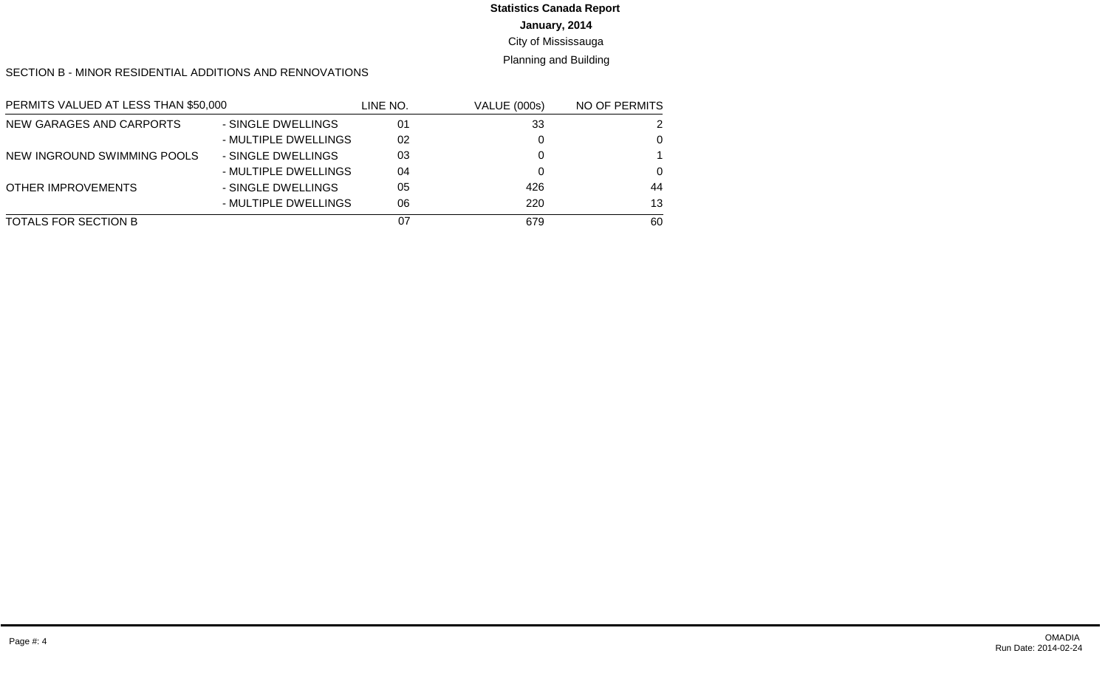# **Statistics Canada Report**

**January, 2014**

City of Mississauga

Planning and Building

SECTION B - MINOR RESIDENTIAL ADDITIONS AND RENNOVATIONS

| PERMITS VALUED AT LESS THAN \$50,000 |                      | LINE NO. | <b>VALUE (000s)</b> | NO OF PERMITS |
|--------------------------------------|----------------------|----------|---------------------|---------------|
| NEW GARAGES AND CARPORTS             | - SINGLE DWELLINGS   | 01       | 33                  | 2             |
|                                      | - MULTIPLE DWELLINGS | 02       |                     | 0             |
| NEW INGROUND SWIMMING POOLS          | - SINGLE DWELLINGS   | 03       |                     |               |
|                                      | - MULTIPLE DWELLINGS | 04       |                     | $\Omega$      |
| <b>OTHER IMPROVEMENTS</b>            | - SINGLE DWELLINGS   | 05       | 426                 | 44            |
|                                      | - MULTIPLE DWELLINGS | 06       | 220                 | 13            |
| TOTALS FOR SECTION B                 |                      | 07       | 679                 | 60            |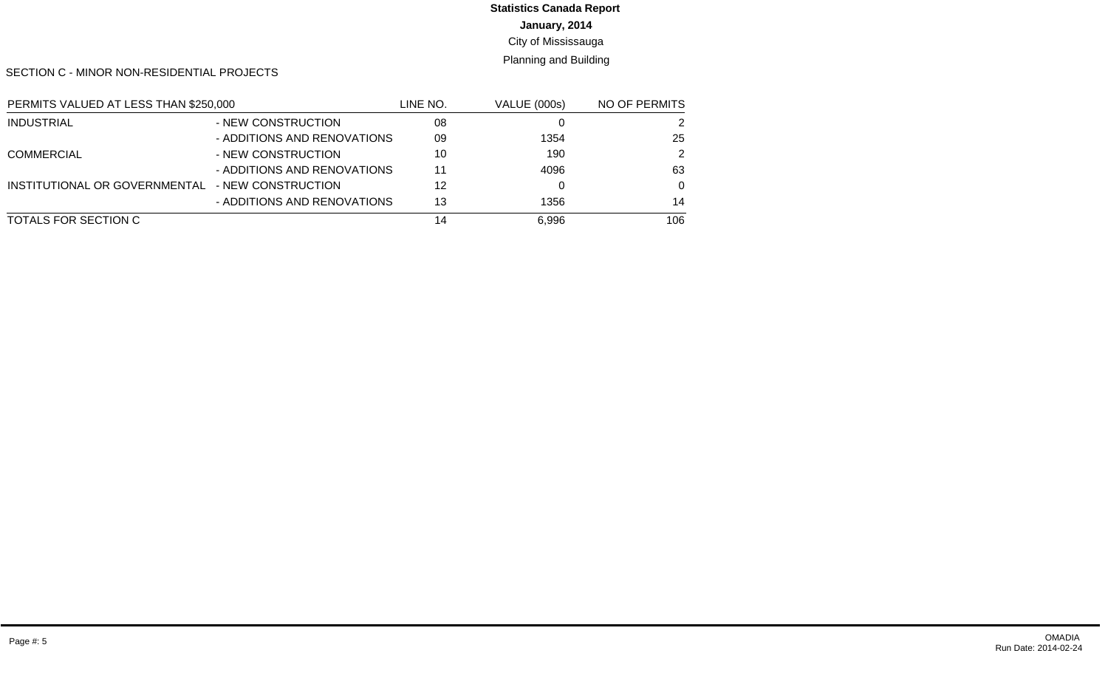# **Statistics Canada Report**

**January, 2014**

City of Mississauga

Planning and Building

SECTION C - MINOR NON-RESIDENTIAL PROJECTS

| PERMITS VALUED AT LESS THAN \$250,000 |                             | LINE NO. | <b>VALUE (000s)</b> | NO OF PERMITS |
|---------------------------------------|-----------------------------|----------|---------------------|---------------|
| <b>INDUSTRIAL</b>                     | - NEW CONSTRUCTION          | 08       |                     | 2             |
|                                       | - ADDITIONS AND RENOVATIONS | 09       | 1354                | 25            |
| <b>COMMERCIAL</b>                     | - NEW CONSTRUCTION          | 10       | 190                 | 2             |
|                                       | - ADDITIONS AND RENOVATIONS | 11       | 4096                | 63            |
| INSTITUTIONAL OR GOVERNMENTAL         | - NEW CONSTRUCTION          | 12       |                     | $\Omega$      |
|                                       | - ADDITIONS AND RENOVATIONS | 13       | 1356                | 14            |
| TOTALS FOR SECTION C                  |                             | 14       | 6,996               | 106           |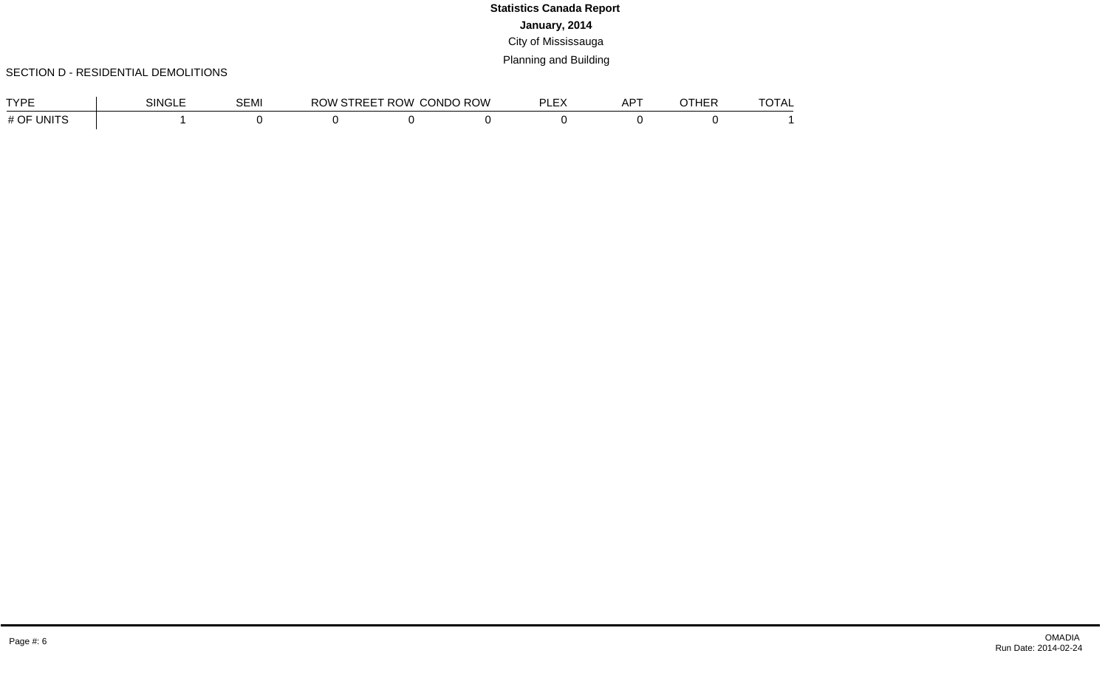#### SECTION D - RESIDENTIAL DEMOLITIONS

| TVDE          | SINGLE | SEMI | ROW | <b>STREET ROW CONDO ROW</b> | DI EV<br>ᄂᄂ | AP <sup>-</sup> | OTHER | $T$ $\cap$ $T \wedge I$<br>TUTAL. |
|---------------|--------|------|-----|-----------------------------|-------------|-----------------|-------|-----------------------------------|
| UNITS<br># OF |        |      |     |                             |             |                 |       |                                   |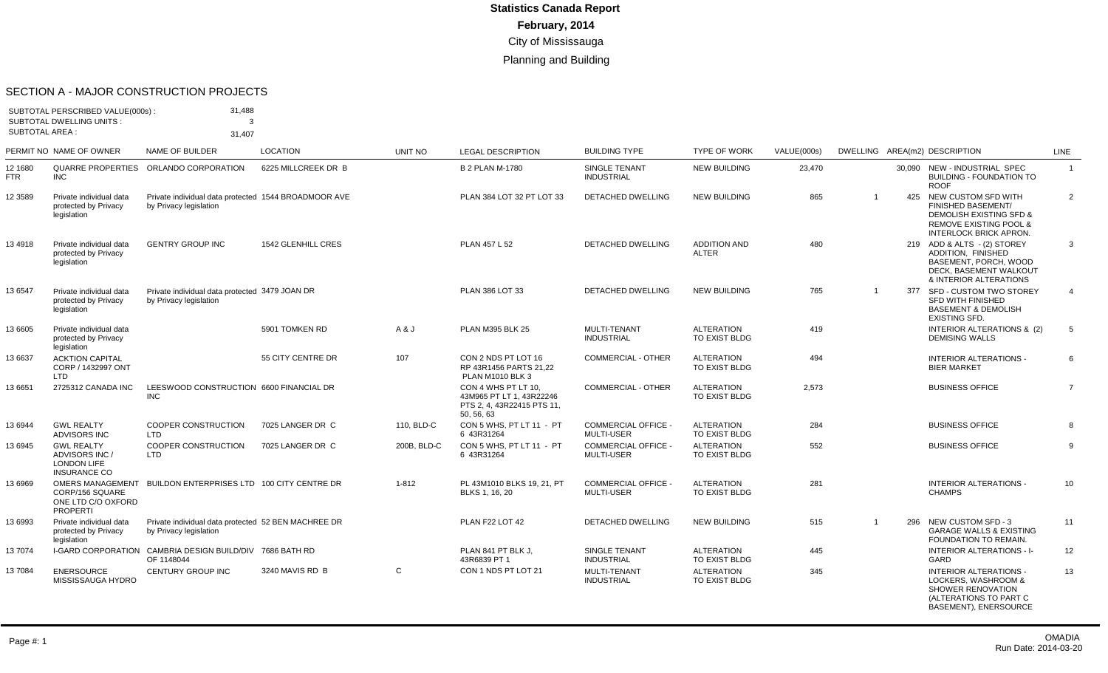#### SECTION A - MAJOR CONSTRUCTION PROJECTS

| SUBTOTAL AREA : | SUBTOTAL PERSCRIBED VALUE(000s):<br><b>SUBTOTAL DWELLING UNITS:</b>              | 31,488<br>3<br>31,407                                                          |                     |             |                                                                                           |                                                 |                                     |             |                |                                                                                                                                                                  |                |
|-----------------|----------------------------------------------------------------------------------|--------------------------------------------------------------------------------|---------------------|-------------|-------------------------------------------------------------------------------------------|-------------------------------------------------|-------------------------------------|-------------|----------------|------------------------------------------------------------------------------------------------------------------------------------------------------------------|----------------|
|                 | PERMIT NO NAME OF OWNER                                                          | NAME OF BUILDER                                                                | <b>LOCATION</b>     | UNIT NO     | <b>LEGAL DESCRIPTION</b>                                                                  | <b>BUILDING TYPE</b>                            | <b>TYPE OF WORK</b>                 | VALUE(000s) |                | DWELLING AREA(m2) DESCRIPTION                                                                                                                                    | LINE           |
| 12 1680<br>FTR  | QUARRE PROPERTIES<br><b>INC</b>                                                  | ORLANDO CORPORATION                                                            | 6225 MILLCREEK DR B |             | <b>B 2 PLAN M-1780</b>                                                                    | SINGLE TENANT<br><b>INDUSTRIAL</b>              | <b>NEW BUILDING</b>                 | 23,470      |                | 30.090 NEW - INDUSTRIAL SPEC<br><b>BUILDING - FOUNDATION TO</b><br><b>ROOF</b>                                                                                   | $\mathbf{1}$   |
| 12 3589         | Private individual data<br>protected by Privacy<br>legislation                   | Private individual data protected 1544 BROADMOOR AVE<br>by Privacy legislation |                     |             | PLAN 384 LOT 32 PT LOT 33                                                                 | DETACHED DWELLING                               | <b>NEW BUILDING</b>                 | 865         | -1             | 425 NEW CUSTOM SFD WITH<br><b>FINISHED BASEMENT/</b><br><b>DEMOLISH EXISTING SFD &amp;</b><br><b>REMOVE EXISTING POOL &amp;</b><br><b>INTERLOCK BRICK APRON.</b> | 2              |
| 134918          | Private individual data<br>protected by Privacy<br>legislation                   | <b>GENTRY GROUP INC</b>                                                        | 1542 GLENHILL CRES  |             | PLAN 457 L 52                                                                             | <b>DETACHED DWELLING</b>                        | <b>ADDITION AND</b><br><b>ALTER</b> | 480         |                | 219 ADD & ALTS - (2) STOREY<br>ADDITION. FINISHED<br>BASEMENT, PORCH, WOOD<br>DECK. BASEMENT WALKOUT<br>& INTERIOR ALTERATIONS                                   | 3              |
| 13 6547         | Private individual data<br>protected by Privacy<br>legislation                   | Private individual data protected 3479 JOAN DR<br>by Privacy legislation       |                     |             | PLAN 386 LOT 33                                                                           | <b>DETACHED DWELLING</b>                        | <b>NEW BUILDING</b>                 | 765         | $\overline{1}$ | 377 SFD - CUSTOM TWO STOREY<br>SFD WITH FINISHED<br><b>BASEMENT &amp; DEMOLISH</b><br><b>EXISTING SFD.</b>                                                       | $\overline{4}$ |
| 13 6605         | Private individual data<br>protected by Privacy<br>legislation                   |                                                                                | 5901 TOMKEN RD      | A & J       | <b>PLAN M395 BLK 25</b>                                                                   | MULTI-TENANT<br><b>INDUSTRIAL</b>               | <b>ALTERATION</b><br>TO EXIST BLDG  | 419         |                | INTERIOR ALTERATIONS & (2)<br><b>DEMISING WALLS</b>                                                                                                              | 5              |
| 13 6637         | <b>ACKTION CAPITAL</b><br>CORP / 1432997 ONT<br>LTD.                             |                                                                                | 55 CITY CENTRE DR   | 107         | CON 2 NDS PT LOT 16<br>RP 43R1456 PARTS 21.22<br><b>PLAN M1010 BLK 3</b>                  | <b>COMMERCIAL - OTHER</b>                       | <b>ALTERATION</b><br>TO EXIST BLDG  | 494         |                | <b>INTERIOR ALTERATIONS -</b><br><b>BIER MARKET</b>                                                                                                              | 6              |
| 13 6651         | 2725312 CANADA INC                                                               | LEESWOOD CONSTRUCTION 6600 FINANCIAL DR<br><b>INC</b>                          |                     |             | CON 4 WHS PT LT 10.<br>43M965 PT LT 1, 43R22246<br>PTS 2.4.43R22415 PTS 11.<br>50, 56, 63 | <b>COMMERCIAL - OTHER</b>                       | <b>ALTERATION</b><br>TO EXIST BLDG  | 2,573       |                | <b>BUSINESS OFFICE</b>                                                                                                                                           | $\overline{7}$ |
| 13 6944         | <b>GWL REALTY</b><br><b>ADVISORS INC</b>                                         | <b>COOPER CONSTRUCTION</b><br>LTD.                                             | 7025 LANGER DR C    | 110, BLD-C  | CON 5 WHS. PT LT 11 - PT<br>6 43R31264                                                    | <b>COMMERCIAL OFFICE -</b><br><b>MULTI-USER</b> | <b>ALTERATION</b><br>TO EXIST BLDG  | 284         |                | <b>BUSINESS OFFICE</b>                                                                                                                                           | 8              |
| 13 6945         | <b>GWL REALTY</b><br>ADVISORS INC /<br><b>LONDON LIFE</b><br><b>INSURANCE CO</b> | <b>COOPER CONSTRUCTION</b><br>LTD                                              | 7025 LANGER DR C    | 200B. BLD-C | CON 5 WHS. PT LT 11 - PT<br>6 43R31264                                                    | <b>COMMERCIAL OFFICE -</b><br><b>MULTI-USER</b> | <b>ALTERATION</b><br>TO EXIST BLDG  | 552         |                | <b>BUSINESS OFFICE</b>                                                                                                                                           | 9              |
| 13 6969         | OMERS MANAGEMENT<br>CORP/156 SQUARE<br>ONE LTD C/O OXFORD<br><b>PROPERTI</b>     | BUILDON ENTERPRISES LTD 100 CITY CENTRE DR                                     |                     | $1 - 812$   | PL 43M1010 BLKS 19, 21, PT<br>BLKS 1, 16, 20                                              | <b>COMMERCIAL OFFICE -</b><br><b>MULTI-USER</b> | <b>ALTERATION</b><br>TO EXIST BLDG  | 281         |                | INTERIOR ALTERATIONS -<br><b>CHAMPS</b>                                                                                                                          | 10             |
| 13 6993         | Private individual data<br>protected by Privacy<br>legislation                   | Private individual data protected 52 BEN MACHREE DR<br>by Privacy legislation  |                     |             | PLAN F22 LOT 42                                                                           | <b>DETACHED DWELLING</b>                        | <b>NEW BUILDING</b>                 | 515         | -1             | 296 NEW CUSTOM SFD - 3<br><b>GARAGE WALLS &amp; EXISTING</b><br>FOUNDATION TO REMAIN.                                                                            | 11             |
| 137074          | <b>I-GARD CORPORATION</b>                                                        | CAMBRIA DESIGN BUILD/DIV 7686 BATH RD<br>OF 1148044                            |                     |             | PLAN 841 PT BLK J.<br>43R6839 PT 1                                                        | <b>SINGLE TENANT</b><br><b>INDUSTRIAL</b>       | <b>ALTERATION</b><br>TO EXIST BLDG  | 445         |                | <b>INTERIOR ALTERATIONS - I-</b><br>GARD                                                                                                                         | 12             |
| 137084          | <b>ENERSOURCE</b><br>MISSISSAUGA HYDRO                                           | <b>CENTURY GROUP INC</b>                                                       | 3240 MAVIS RD B     | C           | CON 1 NDS PT LOT 21                                                                       | MULTI-TENANT<br><b>INDUSTRIAL</b>               | <b>ALTERATION</b><br>TO EXIST BLDG  | 345         |                | <b>INTERIOR ALTERATIONS -</b><br>LOCKERS, WASHROOM &<br>SHOWER RENOVATION<br>(ALTERATIONS TO PART C<br><b>BASEMENT). ENERSOURCE</b>                              | 13             |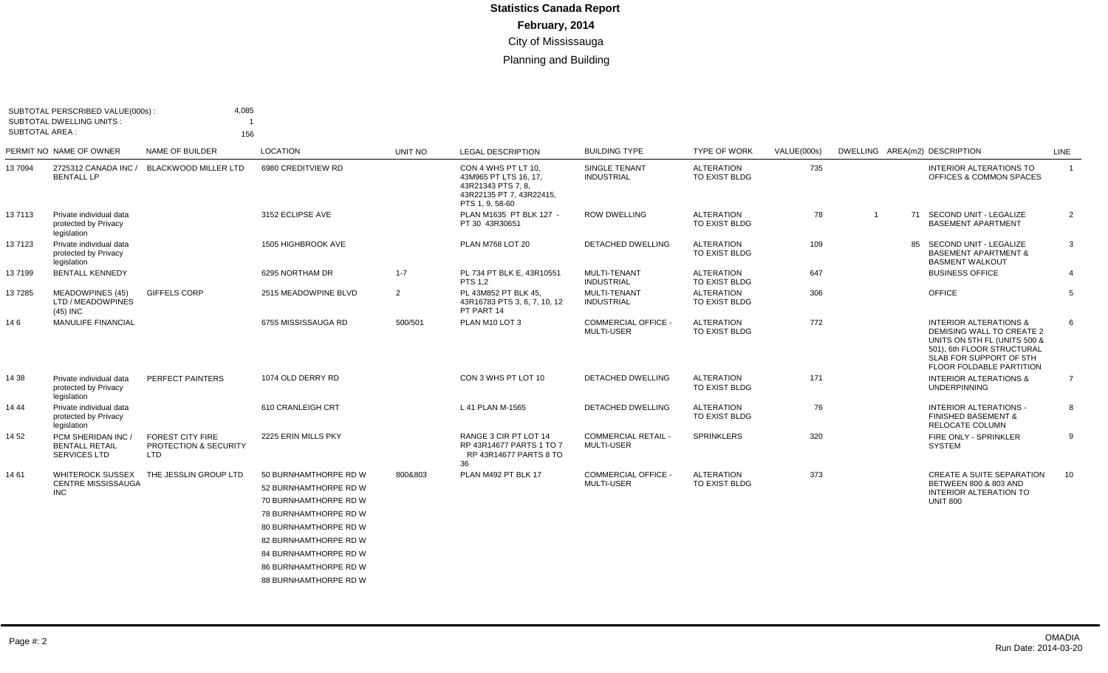| <b>SUBTOTAL AREA:</b> | SUBTOTAL PERSCRIBED VALUE(000s):<br>SUBTOTAL DWELLING UNITS:     | 4,085<br>156                                                   |                              |         |                                                                                                                  |                                                 |                                    |             |                |    |                                                                                                                                                                                     |                |
|-----------------------|------------------------------------------------------------------|----------------------------------------------------------------|------------------------------|---------|------------------------------------------------------------------------------------------------------------------|-------------------------------------------------|------------------------------------|-------------|----------------|----|-------------------------------------------------------------------------------------------------------------------------------------------------------------------------------------|----------------|
|                       | PERMIT NO NAME OF OWNER                                          | NAME OF BUILDER                                                | LOCATION                     | UNIT NO | <b>LEGAL DESCRIPTION</b>                                                                                         | <b>BUILDING TYPE</b>                            | <b>TYPE OF WORK</b>                | VALUE(000s) |                |    | DWELLING AREA(m2) DESCRIPTION                                                                                                                                                       | LINE           |
| 13 7094               | 2725312 CANADA INC /<br><b>BENTALL LP</b>                        | <b>BLACKWOOD MILLER LTD</b>                                    | 6980 CREDITVIEW RD           |         | CON 4 WHS PT LT 10.<br>43M965 PT LTS 16, 17,<br>43R21343 PTS 7.8.<br>43R22135 PT 7, 43R22415,<br>PTS 1, 9, 58-60 | SINGLE TENANT<br><b>INDUSTRIAL</b>              | <b>ALTERATION</b><br>TO EXIST BLDG | 735         |                |    | <b>INTERIOR ALTERATIONS TO</b><br>OFFICES & COMMON SPACES                                                                                                                           | $\overline{1}$ |
| 137113                | Private individual data<br>protected by Privacy<br>legislation   |                                                                | 3152 ECLIPSE AVE             |         | PLAN M1635 PT BLK 127 -<br>PT 30 43R30651                                                                        | <b>ROW DWELLING</b>                             | <b>ALTERATION</b><br>TO EXIST BLDG | 78          | $\overline{1}$ |    | 71 SECOND UNIT - LEGALIZE<br><b>BASEMENT APARTMENT</b>                                                                                                                              | $\overline{2}$ |
| 13 7123               | Private individual data<br>protected by Privacy<br>legislation   |                                                                | 1505 HIGHBROOK AVE           |         | <b>PLAN M768 LOT 20</b>                                                                                          | <b>DETACHED DWELLING</b>                        | <b>ALTERATION</b><br>TO EXIST BLDG | 109         |                | 85 | SECOND UNIT - LEGALIZE<br><b>BASEMENT APARTMENT &amp;</b><br><b>BASMENT WALKOUT</b>                                                                                                 | 3              |
| 137199                | <b>BENTALL KENNEDY</b>                                           |                                                                | 6295 NORTHAM DR              | $1 - 7$ | PL 734 PT BLK E, 43R10551<br>PTS 1.2                                                                             | MULTI-TENANT<br><b>INDUSTRIAL</b>               | <b>ALTERATION</b><br>TO EXIST BLDG | 647         |                |    | <b>BUSINESS OFFICE</b>                                                                                                                                                              | $\overline{4}$ |
| 137285                | MEADOWPINES (45)<br>LTD / MEADOWPINES<br>(45) INC                | GIFFELS CORP                                                   | 2515 MEADOWPINE BLVD         | 2       | PL 43M852 PT BLK 45,<br>43R16783 PTS 3, 6, 7, 10, 12<br>PT PART 14                                               | MULTI-TENANT<br><b>INDUSTRIAL</b>               | <b>ALTERATION</b><br>TO EXIST BLDG | 306         |                |    | <b>OFFICE</b>                                                                                                                                                                       | 5              |
| 146                   | <b>MANULIFE FINANCIAL</b>                                        |                                                                | 6755 MISSISSAUGA RD          | 500/501 | PLAN M10 LOT 3                                                                                                   | <b>COMMERCIAL OFFICE -</b><br><b>MULTI-USER</b> | <b>ALTERATION</b><br>TO EXIST BLDG | 772         |                |    | <b>INTERIOR ALTERATIONS &amp;</b><br>DEMISING WALL TO CREATE 2<br>UNITS ON 5TH FL (UNITS 500 &<br>501), 6th FLOOR STRUCTURAL<br>SLAB FOR SUPPORT OF 5TH<br>FLOOR FOLDABLE PARTITION | 6              |
| 14 38                 | Private individual data<br>protected by Privacy<br>legislation   | PERFECT PAINTERS                                               | 1074 OLD DERRY RD            |         | CON 3 WHS PT LOT 10                                                                                              | <b>DETACHED DWELLING</b>                        | <b>ALTERATION</b><br>TO EXIST BLDG | 171         |                |    | <b>INTERIOR ALTERATIONS &amp;</b><br><b>UNDERPINNING</b>                                                                                                                            | $\overline{7}$ |
| 14 44                 | Private individual data<br>protected by Privacy<br>legislation   |                                                                | 610 CRANLEIGH CRT            |         | L 41 PLAN M-1565                                                                                                 | DETACHED DWELLING                               | <b>ALTERATION</b><br>TO EXIST BLDG | 76          |                |    | <b>INTERIOR ALTERATIONS -</b><br><b>FINISHED BASEMENT &amp;</b><br>RELOCATE COLUMN                                                                                                  | 8              |
| 14 52                 | PCM SHERIDAN INC<br><b>BENTALL RETAIL</b><br><b>SERVICES LTD</b> | <b>FOREST CITY FIRE</b><br>PROTECTION & SECURITY<br><b>LTD</b> | 2225 ERIN MILLS PKY          |         | RANGE 3 CIR PT LOT 14<br>RP 43R14677 PARTS 1 TO 7<br>RP 43R14677 PARTS 8 TO<br>36                                | <b>COMMERCIAL RETAIL -</b><br><b>MULTI-USER</b> | <b>SPRINKLERS</b>                  | 320         |                |    | FIRE ONLY - SPRINKLER<br><b>SYSTEM</b>                                                                                                                                              | 9              |
| 14 61                 | WHITEROCK SUSSEX                                                 | THE JESSLIN GROUP LTD                                          | 50 BURNHAMTHORPE RD W        | 800&803 | PLAN M492 PT BLK 17                                                                                              | <b>COMMERCIAL OFFICE -</b>                      | <b>ALTERATION</b>                  | 373         |                |    | <b>CREATE A SUITE SEPARATION</b>                                                                                                                                                    | - 10           |
|                       | <b>CENTRE MISSISSAUGA</b><br><b>INC</b>                          |                                                                | 52 BURNHAMTHORPE RD W        |         |                                                                                                                  | <b>MULTI-USER</b>                               | TO EXIST BLDG                      |             |                |    | BETWEEN 800 & 803 AND<br><b>INTERIOR ALTERATION TO</b>                                                                                                                              |                |
|                       |                                                                  |                                                                | 70 BURNHAMTHORPE RD W        |         |                                                                                                                  |                                                 |                                    |             |                |    | <b>UNIT 800</b>                                                                                                                                                                     |                |
|                       |                                                                  |                                                                | 78 BURNHAMTHORPE RD W        |         |                                                                                                                  |                                                 |                                    |             |                |    |                                                                                                                                                                                     |                |
|                       |                                                                  |                                                                | <b>80 BURNHAMTHORPE RD W</b> |         |                                                                                                                  |                                                 |                                    |             |                |    |                                                                                                                                                                                     |                |
|                       |                                                                  |                                                                | 82 BURNHAMTHORPE RD W        |         |                                                                                                                  |                                                 |                                    |             |                |    |                                                                                                                                                                                     |                |
|                       |                                                                  |                                                                | <b>84 BURNHAMTHORPE RD W</b> |         |                                                                                                                  |                                                 |                                    |             |                |    |                                                                                                                                                                                     |                |
|                       |                                                                  |                                                                | <b>86 BURNHAMTHORPE RD W</b> |         |                                                                                                                  |                                                 |                                    |             |                |    |                                                                                                                                                                                     |                |
|                       |                                                                  |                                                                | 88 BURNHAMTHORPE RD W        |         |                                                                                                                  |                                                 |                                    |             |                |    |                                                                                                                                                                                     |                |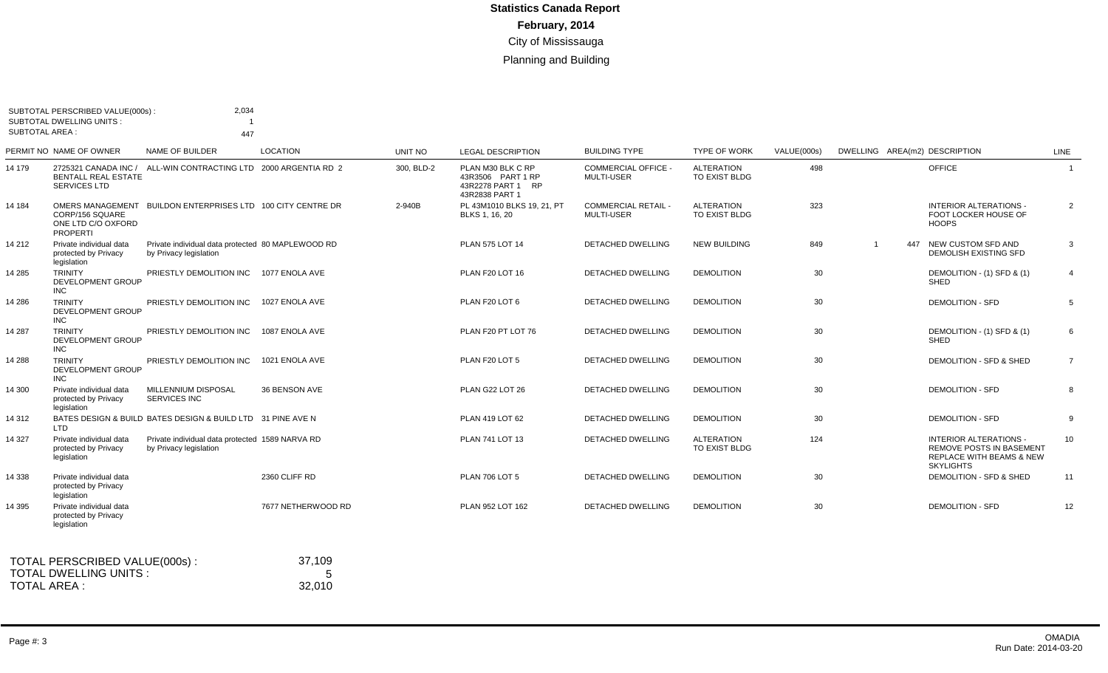| <b>SUBTOTAL AREA:</b> | SUBTOTAL PERSCRIBED VALUE(000s)<br><b>SUBTOTAL DWELLING UNITS:</b> | 2,034                                                                       |                    |                |                                                                               |                                                 |                                    |             |     |                                                                                                                             |                |
|-----------------------|--------------------------------------------------------------------|-----------------------------------------------------------------------------|--------------------|----------------|-------------------------------------------------------------------------------|-------------------------------------------------|------------------------------------|-------------|-----|-----------------------------------------------------------------------------------------------------------------------------|----------------|
|                       | PERMIT NO NAME OF OWNER                                            | 447<br>NAME OF BUILDER                                                      | <b>LOCATION</b>    | <b>UNIT NO</b> | <b>LEGAL DESCRIPTION</b>                                                      | <b>BUILDING TYPE</b>                            | <b>TYPE OF WORK</b>                | VALUE(000s) |     | DWELLING AREA(m2) DESCRIPTION                                                                                               | LINE           |
| 14 179                | <b>BENTALL REAL ESTATE</b><br>SERVICES LTD                         | 2725321 CANADA INC / ALL-WIN CONTRACTING LTD 2000 ARGENTIA RD 2             |                    | 300, BLD-2     | PLAN M30 BLK C RP<br>43R3506 PART 1 RP<br>43R2278 PART 1 RP<br>43R2838 PART 1 | <b>COMMERCIAL OFFICE -</b><br><b>MULTI-USER</b> | ALTERATION<br>TO EXIST BLDG        | 498         |     | <b>OFFICE</b>                                                                                                               | $\overline{1}$ |
| 14 184                | CORP/156 SQUARE<br>ONE LTD C/O OXFORD<br><b>PROPERTI</b>           | OMERS MANAGEMENT BUILDON ENTERPRISES LTD 100 CITY CENTRE DR                 |                    | 2-940B         | PL 43M1010 BLKS 19, 21, PT<br>BLKS 1, 16, 20                                  | <b>COMMERCIAL RETAIL -</b><br><b>MULTI-USER</b> | <b>ALTERATION</b><br>TO EXIST BLDG | 323         |     | INTERIOR ALTERATIONS -<br>FOOT LOCKER HOUSE OF<br><b>HOOPS</b>                                                              | $\overline{2}$ |
| 14 212                | Private individual data<br>protected by Privacy<br>legislation     | Private individual data protected 80 MAPLEWOOD RD<br>by Privacy legislation |                    |                | PLAN 575 LOT 14                                                               | <b>DETACHED DWELLING</b>                        | <b>NEW BUILDING</b>                | 849         | 447 | NEW CUSTOM SFD AND<br><b>DEMOLISH EXISTING SFD</b>                                                                          | 3              |
| 14 285                | <b>TRINITY</b><br>DEVELOPMENT GROUP<br><b>INC</b>                  | PRIESTLY DEMOLITION INC                                                     | 1077 ENOLA AVE     |                | PLAN F20 LOT 16                                                               | <b>DETACHED DWELLING</b>                        | <b>DEMOLITION</b>                  | 30          |     | DEMOLITION - (1) SFD & (1)<br>SHED                                                                                          | $\overline{4}$ |
| 14 28 6               | <b>TRINITY</b><br><b>DEVELOPMENT GROUP</b><br><b>INC</b>           | PRIESTLY DEMOLITION INC                                                     | 1027 ENOLA AVE     |                | PLAN F20 LOT 6                                                                | DETACHED DWELLING                               | <b>DEMOLITION</b>                  | 30          |     | <b>DEMOLITION - SFD</b>                                                                                                     | 5              |
| 14 287                | <b>TRINITY</b><br>DEVELOPMENT GROUP<br><b>INC</b>                  | PRIESTLY DEMOLITION INC                                                     | 1087 ENOLA AVE     |                | PLAN F20 PT LOT 76                                                            | DETACHED DWELLING                               | <b>DEMOLITION</b>                  | 30          |     | DEMOLITION - (1) SFD & (1)<br><b>SHED</b>                                                                                   | 6              |
| 14 288                | <b>TRINITY</b><br>DEVELOPMENT GROUP<br><b>INC</b>                  | PRIESTLY DEMOLITION INC                                                     | 1021 ENOLA AVE     |                | PLAN F20 LOT 5                                                                | <b>DETACHED DWELLING</b>                        | <b>DEMOLITION</b>                  | 30          |     | DEMOLITION - SFD & SHED                                                                                                     | $\overline{7}$ |
| 14 300                | Private individual data<br>protected by Privacy<br>legislation     | MILLENNIUM DISPOSAL<br><b>SERVICES INC</b>                                  | 36 BENSON AVE      |                | PLAN G22 LOT 26                                                               | <b>DETACHED DWELLING</b>                        | <b>DEMOLITION</b>                  | 30          |     | <b>DEMOLITION - SFD</b>                                                                                                     | 8              |
| 14 312                | LTD.                                                               | BATES DESIGN & BUILD BATES DESIGN & BUILD LTD 31 PINE AVE N                 |                    |                | PLAN 419 LOT 62                                                               | <b>DETACHED DWELLING</b>                        | <b>DEMOLITION</b>                  | 30          |     | <b>DEMOLITION - SFD</b>                                                                                                     | 9              |
| 14 3 27               | Private individual data<br>protected by Privacy<br>legislation     | Private individual data protected 1589 NARVA RD<br>by Privacy legislation   |                    |                | <b>PLAN 741 LOT 13</b>                                                        | <b>DETACHED DWELLING</b>                        | <b>ALTERATION</b><br>TO EXIST BLDG | 124         |     | <b>INTERIOR ALTERATIONS -</b><br><b>REMOVE POSTS IN BASEMENT</b><br><b>REPLACE WITH BEAMS &amp; NEW</b><br><b>SKYLIGHTS</b> | 10             |
| 14 3 38               | Private individual data<br>protected by Privacy<br>legislation     |                                                                             | 2360 CLIFF RD      |                | <b>PLAN 706 LOT 5</b>                                                         | <b>DETACHED DWELLING</b>                        | <b>DEMOLITION</b>                  | 30          |     | DEMOLITION - SFD & SHED                                                                                                     | 11             |
| 14 3 95               | Private individual data<br>protected by Privacy<br>legislation     |                                                                             | 7677 NETHERWOOD RD |                | PLAN 952 LOT 162                                                              | DETACHED DWELLING                               | <b>DEMOLITION</b>                  | 30          |     | <b>DEMOLITION - SFD</b>                                                                                                     | 12             |
|                       | TOTAL PERSCRIBED VALUE(000s):                                      |                                                                             | 37,109             |                |                                                                               |                                                 |                                    |             |     |                                                                                                                             |                |

5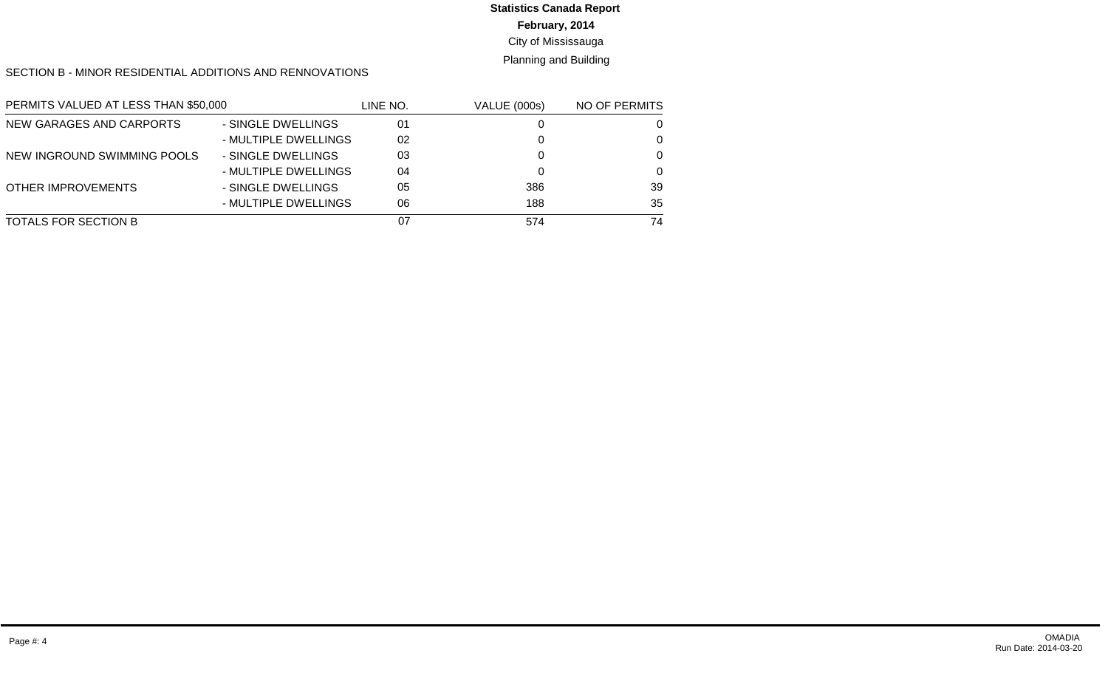# **Statistics Canada Report**

**February, 2014**

City of Mississauga

Planning and Building

SECTION B - MINOR RESIDENTIAL ADDITIONS AND RENNOVATIONS

| PERMITS VALUED AT LESS THAN \$50,000 |                      | LINE NO. | <b>VALUE (000s)</b> | NO OF PERMITS |
|--------------------------------------|----------------------|----------|---------------------|---------------|
| NEW GARAGES AND CARPORTS             | - SINGLE DWELLINGS   | 01       |                     |               |
|                                      | - MULTIPLE DWELLINGS | 02       |                     | 0             |
| NEW INGROUND SWIMMING POOLS          | - SINGLE DWELLINGS   | 03       |                     | $\Omega$      |
|                                      | - MULTIPLE DWELLINGS | 04       |                     | $\Omega$      |
| <b>OTHER IMPROVEMENTS</b>            | - SINGLE DWELLINGS   | 05       | 386                 | 39            |
|                                      | - MULTIPLE DWELLINGS | 06       | 188                 | 35            |
| TOTALS FOR SECTION B                 |                      | 07       | 574                 | 74            |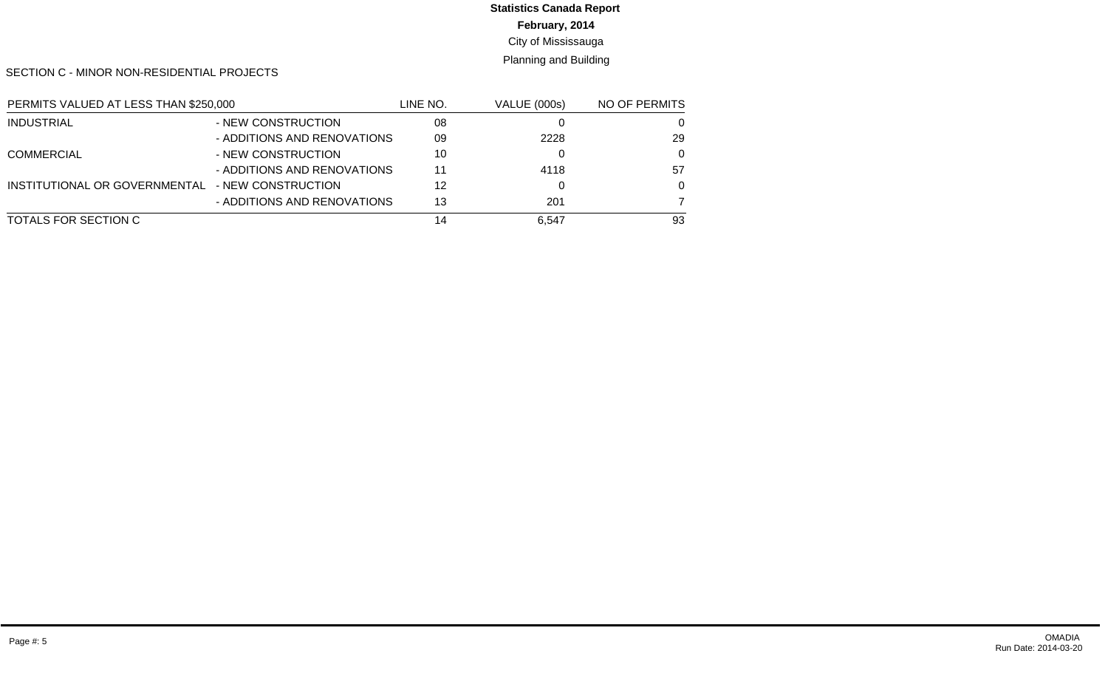## **Statistics Canada Report**

**February, 2014**

City of Mississauga

Planning and Building

SECTION C - MINOR NON-RESIDENTIAL PROJECTS

| PERMITS VALUED AT LESS THAN \$250,000 |                             | LINE NO. | <b>VALUE (000s)</b> | NO OF PERMITS |
|---------------------------------------|-----------------------------|----------|---------------------|---------------|
| <b>INDUSTRIAL</b>                     | - NEW CONSTRUCTION          | 08       |                     | O             |
|                                       | - ADDITIONS AND RENOVATIONS | 09       | 2228                | 29            |
| <b>COMMERCIAL</b>                     | - NEW CONSTRUCTION          | 10       |                     | $\Omega$      |
|                                       | - ADDITIONS AND RENOVATIONS | 11       | 4118                | 57            |
| INSTITUTIONAL OR GOVERNMENTAL         | - NEW CONSTRUCTION          | 12       |                     | $\Omega$      |
|                                       | - ADDITIONS AND RENOVATIONS | 13       | 201                 |               |
| TOTALS FOR SECTION C                  |                             | 14       | 6.547               | 93            |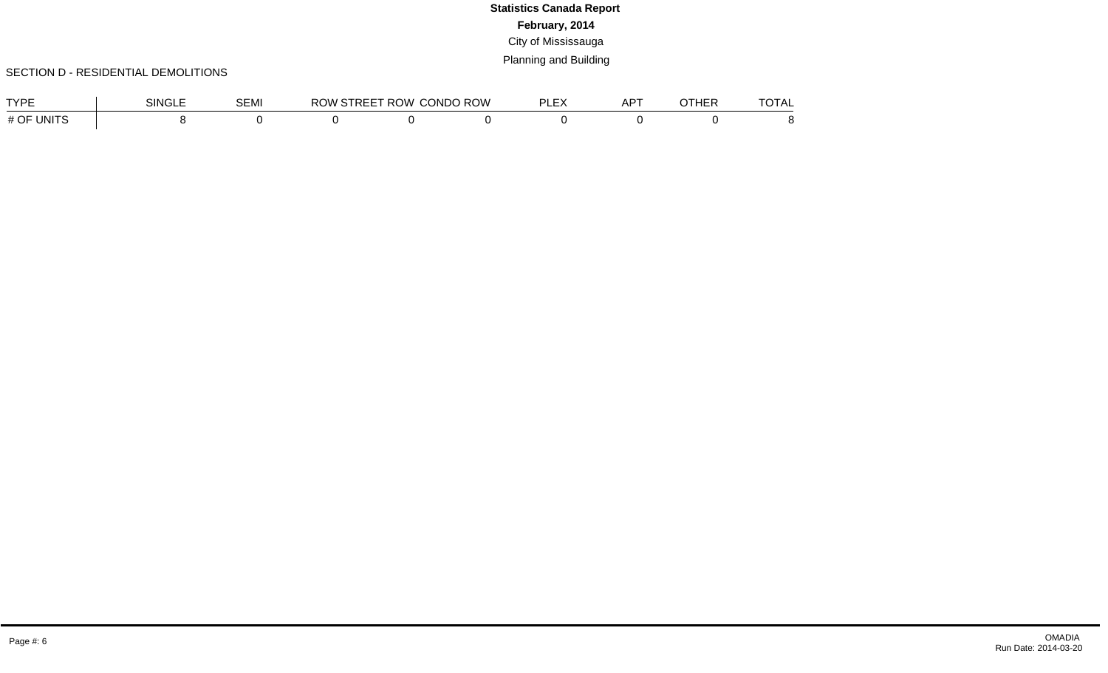#### SECTION D - RESIDENTIAL DEMOLITIONS

| <b>TVDE</b>   | SINGI | SEMI | RC<br>$\mathbf{u}$ | ROW (<br>IRFF | CONDO ROW | DI EV<br>، سا سا | $AP^{\tau}$ | ----<br>1 A L |
|---------------|-------|------|--------------------|---------------|-----------|------------------|-------------|---------------|
| # OF<br>UNITS |       |      |                    |               |           |                  |             |               |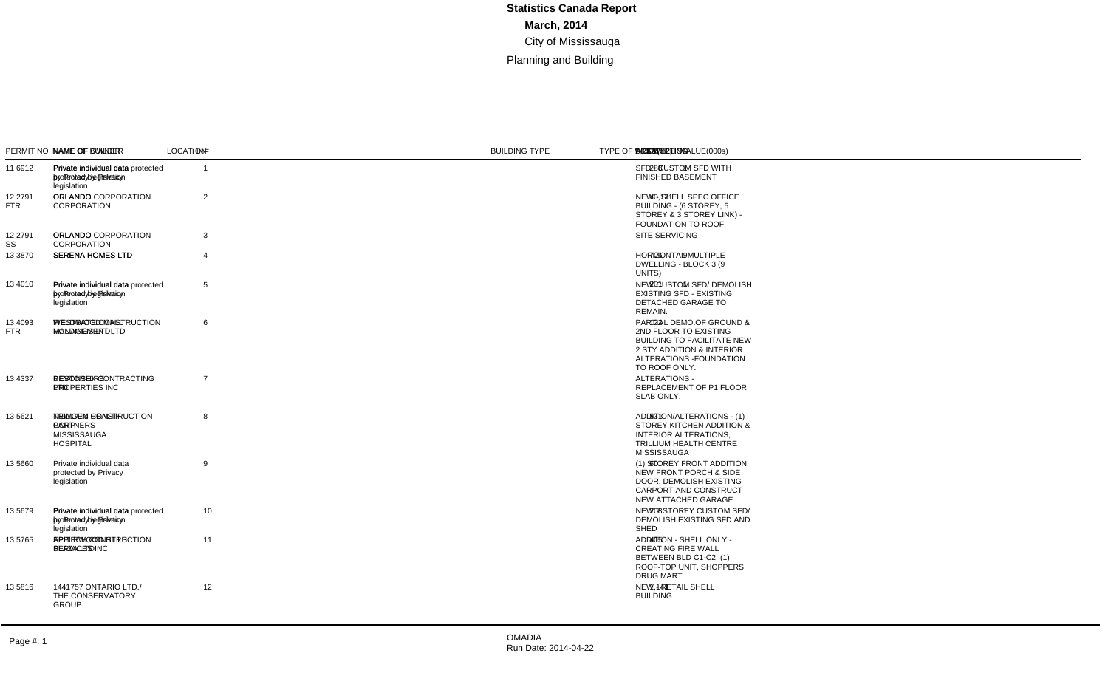#### SECTION A - MAJOR CONSTRUCTION PROJECTS

| <b>SUBTOTAL AREA:</b>  | SUBTOTAL PERSCRIBED VALUE(000s)<br><b>SUBTOTAL DWELLING UNITS:</b>                 | 76,111<br>12<br>43.833                                                       |                    |               |                                                                                                      |                                                 |                                         |             |                |     |                                                                                                                                                                      |                |
|------------------------|------------------------------------------------------------------------------------|------------------------------------------------------------------------------|--------------------|---------------|------------------------------------------------------------------------------------------------------|-------------------------------------------------|-----------------------------------------|-------------|----------------|-----|----------------------------------------------------------------------------------------------------------------------------------------------------------------------|----------------|
|                        | PERMIT NO NAME OF OWNER                                                            | NAME OF BUILDER                                                              | <b>LOCATION</b>    | UNIT NO       | <b>LEGAL DESCRIPTION</b>                                                                             | <b>BUILDING TYPE</b>                            | <b>TYPE OF WORK</b>                     | VALUE(000s) |                |     | DWELLING AREA(m2) DESCRIPTION                                                                                                                                        | LINE           |
| 11 6912                | Private individual data<br>protected by Privacy<br>legislation                     | Private individual data protected 214 ANGELENE ST<br>by Privacy legislation  |                    |               | PLAN C20 LOT 67                                                                                      | <b>DETACHED DWELLING</b>                        | <b>NEW BUILDING</b>                     | 464         | $\overline{1}$ |     | 288 SFD - CUSTOM SFD WITH<br><b>FINISHED BASEMENT</b>                                                                                                                | $\overline{1}$ |
| 12 27 91<br><b>FTR</b> | <b>ORLANDO</b><br><b>CORPORATION</b>                                               | ORLANDO CORPORATION                                                          | 60 STANDISH CRT    |               | <b>PLAN M1023 BLK 1</b>                                                                              | <b>COMMERCIAL OFFICE -</b><br><b>MULTI-USER</b> | <b>NEW BUILDING</b>                     | 55,000      |                |     | 40,171 NEW - SHELL SPEC OFFICE<br>BUILDING - (6 STOREY, 5<br>STOREY & 3 STOREY LINK) -<br>FOUNDATION TO ROOF                                                         | $\overline{2}$ |
| 12 2791<br>SS          | <b>ORLANDO</b><br>CORPORATION                                                      | ORLANDO CORPORATION                                                          | 60 STANDISH CRT    |               | <b>PLAN M1023 BLK 1</b>                                                                              | <b>COMMERCIAL OFFICE -</b><br><b>MULTI-USER</b> | <b>OTHER</b>                            | 500         |                |     | SITE SERVICING                                                                                                                                                       | 3              |
| 13 3870                | <b>SERENA HOMES LTD</b>                                                            | <b>SERENA HOMES LTD</b>                                                      | 3083 CAWTHRA RD 3  | 19-27         | CON 1 NDS PT LOT 10 -<br>43R33532 PT 1                                                               | <b>CONDOMINIUM ROW</b><br><b>DWELLING</b>       | <b>NEW BUILDING</b>                     | 1.516       | 9              | 706 | <b>HORIZONTAL MULTIPLE</b><br>DWELLING - BLOCK 3 (9)<br>UNITS)                                                                                                       | $\overline{4}$ |
| 13 4010                | Private individual data<br>protected by Privacy<br>legislation                     | Private individual data protected 36 OAKWOOD AVE N<br>by Privacy legislation |                    |               | PLAN F12 PT LOTS 134,135                                                                             | <b>DETACHED DWELLING</b>                        | <b>NEW BUILDING</b>                     | 378         |                | 201 | NEW CUSTOM SFD/ DEMOLISH<br><b>EXISTING SFD - EXISTING</b><br>DETACHED GARAGE TO<br>REMAIN.                                                                          | 5              |
| 13 4093<br><b>FTR</b>  | WESTWOOD MALL<br><b>HOLDINGS LTD</b>                                               | FIELDGATE CONSTRUCTION 7205 GOREWAY DR<br><b>MANAGEMENT LTD</b>              |                    |               | PLAN 710 BLK A,<br>PT LT<br>12 CON 8 EHS                                                             | <b>COMMERCIAL RETAIL -</b><br><b>MULTI-USER</b> | <b>ADDITION AND</b><br><b>ALTER</b>     | 12,337      |                |     | 122 PARTIAL DEMO.OF GROUND &<br>2ND FLOOR TO EXISTING<br><b>BUILDING TO FACILITATE NEW</b><br>2 STY ADDITION & INTERIOR<br>ALTERATIONS - FOUNDATION<br>TO ROOF ONLY. | 6              |
| 13 4337                | <b>DEVONSHIRE</b><br>PROPERTIES INC                                                | <b>RESTOREX CONTRACTING</b><br><b>LTD</b>                                    | 1201 WALDEN CIR    | $P-1$         | CON 2 SDS PT LOT 30<br>RP 43R6545 PART 104 TO<br>PART 111 PART 131 TO<br><b>PART 133</b>             | APARTMENT (> 6 UNITS)                           | <b>ALTERATION</b><br>TO EXIST BLDG      | 689         |                |     | ALTERATIONS -<br>REPLACEMENT OF P1 FLOOR<br>SLAB ONLY.                                                                                                               | $\overline{7}$ |
| 13 5621                | <b>TRILLIUM HEALTH</b><br><b>PARTNERS</b><br><b>MISSISSAUGA</b><br><b>HOSPITAL</b> | NEWGEN CONSTRUCTION<br>CORP                                                  | 100 QUEENSWAY W    |               | CON 1 SDS PT LT 16,<br>RANGE 3 CIR PT LT 1. PL<br>E20 PT LTS 6, 7, PL 571 PT<br>BLK A, 43R28265 PT 1 | PUBLIC/INSTIT (EXCEPT<br>SCHOOLS)               | <b>ADDITION AND</b><br><b>ALTER</b>     | 2,518       |                |     | 531 ADDITION/ALTERATIONS - (1)<br>STOREY KITCHEN ADDITION &<br><b>INTERIOR ALTERATIONS.</b><br>TRILLIUM HEALTH CENTRE<br><b>MISSISSAUGA</b>                          | 8              |
| 13 5 660               | Private individual data<br>protected by Privacy<br>legislation                     |                                                                              | 32 FLORADALE DR    |               | PLAN 500 LOT 46                                                                                      | DETACHED DWELLING                               | <b>ADDITION TO</b><br><b>EXIST BLDG</b> | 136         |                |     | 60 (1) STOREY FRONT ADDITION.<br>NEW FRONT PORCH & SIDE<br>DOOR. DEMOLISH EXISTING<br>CARPORT AND CONSTRUCT<br>NEW ATTACHED GARAGE                                   | 9              |
| 13 5 679               | Private individual data<br>protected by Privacy<br>legislation                     | Private individual data protected 51 ELMWOOD AVE N<br>by Privacy legislation |                    |               | PLAN F12 PT LOTS 63.64                                                                               | <b>DETACHED DWELLING</b>                        | <b>NEW BUILDING</b>                     | 406         |                | 208 | NEW 2 STOREY CUSTOM SFD/<br>DEMOLISH EXISTING SFD AND<br>SHED                                                                                                        | 10             |
| 13 5765                | APPLEWOOD HILLS<br>PLAZA LTD                                                       | EPITECH CONSTRUCTION<br><b>SERVICES INC</b>                                  | 1125 BLOOR ST      | $2 - 4$       | PLAN 753 BLK B                                                                                       | <b>COMMERCIAL RETAIL -</b><br><b>MULTI-USER</b> | <b>ADDITION AND</b><br><b>ALTER</b>     | 610         |                |     | 405 ADDITION - SHELL ONLY -<br><b>CREATING FIRE WALL</b><br>BETWEEN BLD C1-C2, (1)<br>ROOF-TOP UNIT. SHOPPERS<br><b>DRUG MART</b>                                    | 11             |
| 135816                 | 1441757 ONTARIO LTD./<br>THE CONSERVATORY<br><b>GROUP</b>                          |                                                                              | 480 EGLINTON AVE W | <b>BLDG A</b> | CON 2 NDS, PT LT 19 - PTS<br>1.4 43R31113 LESS<br>43R32495 PT 1                                      | <b>COMMERCIAL RETAIL -</b><br><b>MULTI-USER</b> | <b>NEW BUILDING</b>                     | 1,557       |                |     | 1.141 NEW - RETAIL SHELL<br><b>BUILDING</b>                                                                                                                          | 12             |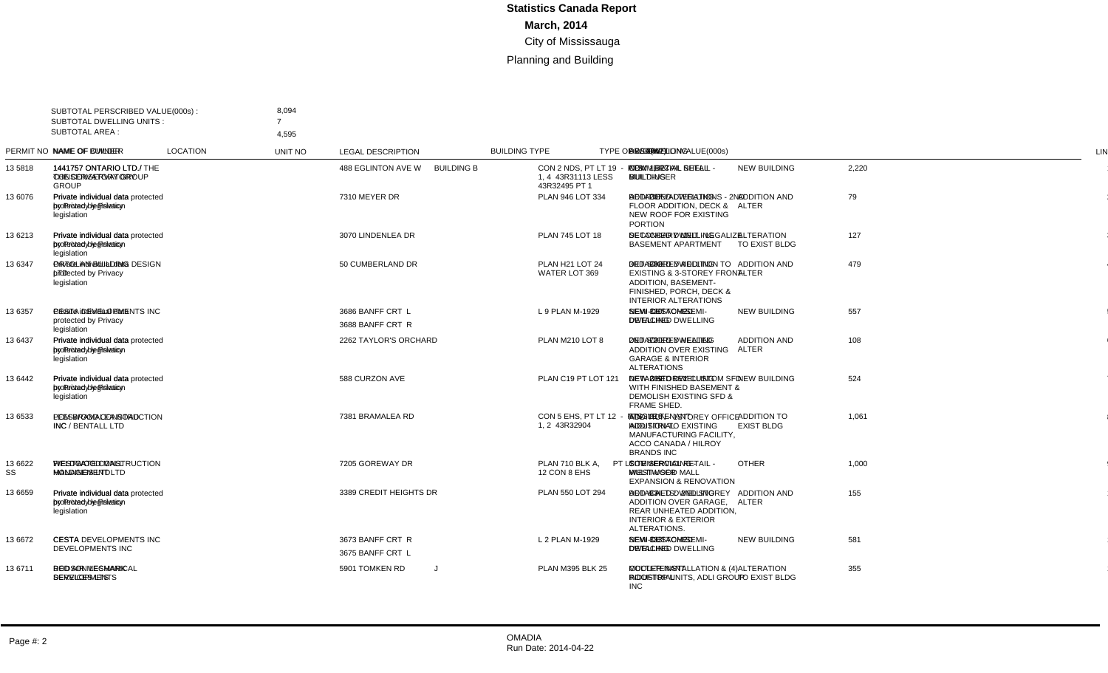| <b>SUBTOTAL AREA:</b> | SUBTOTAL PERSCRIBED VALUE(000s):<br><b>SUBTOTAL DWELLING UNITS:</b> | 8,094<br>$\overline{7}$<br>4.595                                                                |                  |                   |                                                                 |                                                 |                                     |             |                |     |                                                                                                                                                  |                |
|-----------------------|---------------------------------------------------------------------|-------------------------------------------------------------------------------------------------|------------------|-------------------|-----------------------------------------------------------------|-------------------------------------------------|-------------------------------------|-------------|----------------|-----|--------------------------------------------------------------------------------------------------------------------------------------------------|----------------|
|                       | PERMIT NO NAME OF OWNER                                             | NAME OF BUILDER                                                                                 | <b>LOCATION</b>  | <b>UNIT NO</b>    | <b>LEGAL DESCRIPTION</b>                                        | <b>BUILDING TYPE</b>                            | <b>TYPE OF WORK</b>                 | VALUE(000s) |                |     | DWELLING AREA(m2) DESCRIPTION                                                                                                                    | <b>LINE</b>    |
| 135818                | THE CONSERVATORY<br><b>GROUP</b>                                    | 1441757 ONTARIO LTD./ 1441757 ONTARIO LTD./ THE 488 EGLINTON AVE W<br><b>CONSERVATORY GROUP</b> |                  | <b>BUILDING B</b> | CON 2 NDS. PT LT 19 - PTS<br>1.4 43R31113 LESS<br>43R32495 PT 1 | <b>COMMERCIAL RETAIL -</b><br><b>MULTI-USER</b> | <b>NEW BUILDING</b>                 | 2,220       |                |     | 1.627 NEW - RETAIL SHELL<br><b>BUILDING</b>                                                                                                      | $\overline{1}$ |
| 13 6076               | Private individual data<br>protected by Privacy<br>legislation      | Private individual data protected 7310 MEYER DR<br>by Privacy legislation                       |                  |                   | PLAN 946 LOT 334                                                | <b>DETACHED DWELLING</b>                        | <b>ADDITION AND</b><br><b>ALTER</b> | 79          |                | 207 | ADDITION/ALTERATIONS - 2ND<br>FLOOR ADDITION, DECK &<br>NEW ROOF FOR EXISTING<br><b>PORTION</b>                                                  | $\overline{2}$ |
| 13 6213               | Private individual data<br>protected by Privacv<br>legislation      | Private individual data protected 3070 LINDENLEA DR<br>by Privacy legislation                   |                  |                   | PLAN 745 LOT 18                                                 | DETACHED DWELLING                               | <b>ALTERATION</b><br>TO EXIST BLDG  | 127         | $\overline{1}$ |     | SECONDARY UNIT - LEGALIZE<br><b>BASEMENT APARTMENT</b>                                                                                           | 3              |
| 13 6347               | Private individual data<br>protected by Privacy<br>legislation      | ORTOLAN BUILDING DESIGN 50 CUMBERLAND DR<br><b>LTD</b>                                          |                  |                   | PLAN H <sub>21</sub> LOT 24<br>WATER LOT 369                    | <b>DETACHED DWELLING</b>                        | <b>ADDITION AND</b><br><b>ALTER</b> | 479         |                | 382 | 3RD-STOREY ADDITION TO<br><b>EXISTING &amp; 3-STOREY FRONT-</b><br>ADDITION, BASEMENT-<br>FINISHED, PORCH, DECK &<br><b>INTERIOR ALTERATIONS</b> | $\overline{4}$ |
| 13 6357               | Private individual data<br>protected by Privacy<br>legislation      | CESTA DEVELOPMENTS INC 3686 BANFF CRT L                                                         | 3688 BANFF CRT R |                   | L 9 PLAN M-1929                                                 | SEMI-DETACHED<br><b>DWELLING</b>                | <b>NEW BUILDING</b>                 | 557         | 2              |     | 320 NEW CUSTOM SEMI-<br>DETACHED DWELLING                                                                                                        | 5              |
| 13 6437               | Private individual data<br>protected by Privacy<br>legislation      | Private individual data protected 2262 TAYLOR'S ORCHARD<br>by Privacy legislation               |                  |                   | PLAN M210 LOT 8                                                 | <b>DETACHED DWELLING</b>                        | <b>ADDITION AND</b><br><b>ALTER</b> | 108         |                |     | 72 2ND STOREY HEATED<br><b>ADDITION OVER EXISTING</b><br><b>GARAGE &amp; INTERIOR</b><br><b>ALTERATIONS</b>                                      | 6              |
| 13 6442               | Private individual data<br>protected by Privacv<br>legislation      | Private individual data protected 588 CURZON AVE<br>by Privacy legislation                      |                  |                   | PLAN C19 PT LOT 121                                             | <b>DETACHED DWELLING</b>                        | <b>NEW BUILDING</b>                 | 524         | $\overline{1}$ |     | 269 NEW 3 STOREY CUSTOM SFD<br>WITH FINISHED BASEMENT &<br><b>DEMOLISH EXISTING SFD &amp;</b><br>FRAME SHED.                                     | $\overline{7}$ |
| 13 6533               | PCM BRAMALEA ROAD<br>INC / BENTALL LTD                              | LEESWOOD CONSTRUCTION 7381 BRAMALEA RD<br><b>INC</b>                                            |                  |                   | CON 5 EHS. PT LT 12 - PTS<br>1.2 43R32904                       | SINGLE TENANT<br><b>INDUSTRIAL</b>              | ADDITION TO<br><b>EXIST BLDG</b>    | 1,061       |                |     | 816 ADDITION - 1STOREY OFFICE<br><b>ADDITION TO EXISTING</b><br>MANUFACTURING FACILITY,<br>ACCO CANADA / HILROY<br><b>BRANDS INC</b>             | 8              |
| 13 6622<br>SS         | <b>WESTWOOD MALL</b><br><b>HOLDINGS LTD</b>                         | FIELDGATE CONSTRUCTION 7205 GOREWAY DR<br><b>MANAGEMENT LTD</b>                                 |                  |                   | PLAN 710 BLK A.<br>PT LT<br>12 CON 8 EHS                        | <b>COMMERCIAL RETAIL -</b><br><b>MULTI-USER</b> | <b>OTHER</b>                        | 1,000       |                |     | SITE SERVICING -<br><b>WESTWOOD MALL</b><br><b>EXPANSION &amp; RENOVATION</b>                                                                    | 9              |
| 13 6659               | Private individual data<br>protected by Privacy<br>legislation      | Private individual data protected 3389 CREDIT HEIGHTS DR<br>by Privacy legislation              |                  |                   | PLAN 550 LOT 294                                                | <b>DETACHED DWELLING</b>                        | <b>ADDITION AND</b><br><b>ALTER</b> | 155         |                |     | 83 ADD & ALTS: 2ND STOREY<br>ADDITION OVER GARAGE.<br>REAR UNHEATED ADDITION.<br><b>INTERIOR &amp; EXTERIOR</b><br>ALTERATIONS.                  | 10             |
| 13 6672               | <b>CESTA</b><br><b>DEVELOPMENTS INC</b>                             | CESTA DEVELOPMENTS INC 3673 BANFF CRT R                                                         | 3675 BANFF CRT L |                   | L 2 PLAN M-1929                                                 | SEMI-DETACHED<br><b>DWELLING</b>                | <b>NEW BUILDING</b>                 | 581         | $\overline{2}$ | 333 | <b>NEW CUSTOM SEMI-</b><br>DETACHED DWELLING                                                                                                     | 11             |
| 13 6711               | <b>DODSON LESMARK</b><br><b>DEVELOPMENTS</b>                        | <b>RED AIR MECHANICAL</b><br><b>SERVICES LTS</b>                                                | 5901 TOMKEN RD   | J                 | <b>PLAN M395 BLK 25</b>                                         | <b>MULTI-TENANT</b><br><b>INDUSTRIAL</b>        | <b>ALTERATION</b><br>TO EXIST BLDG  | 355         |                |     | <b>COOLER INSTALLATION &amp; (4)</b><br>ROOFTOP UNITS, ADLI GROUP<br><b>INC</b>                                                                  | 12             |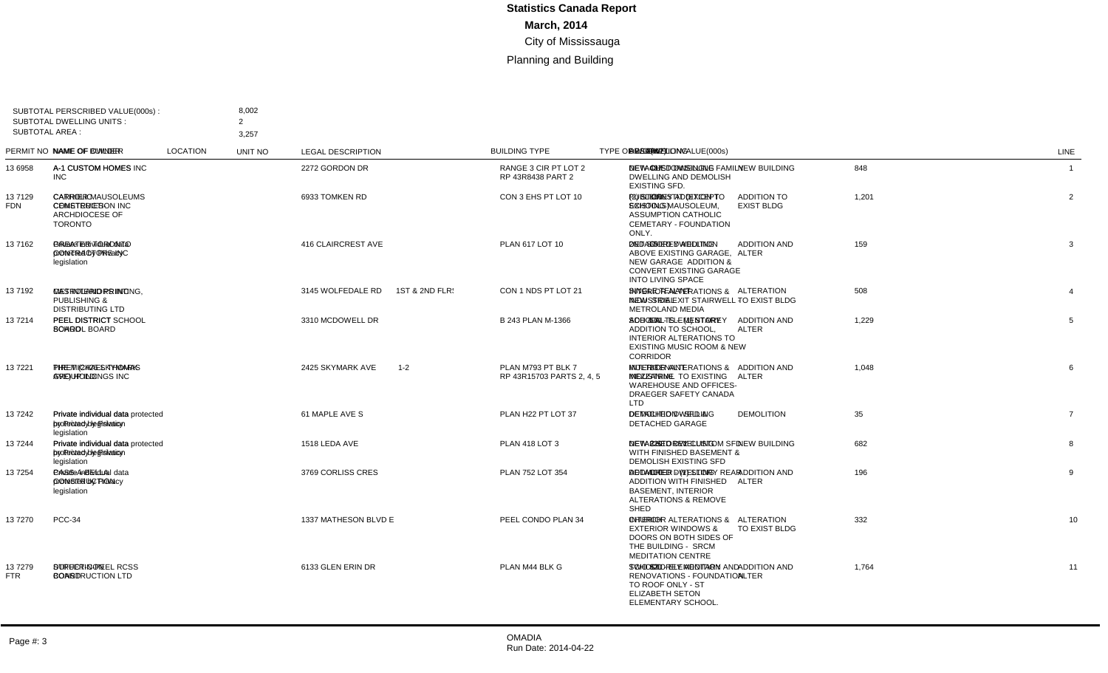| <b>SUBTOTAL AREA:</b> | SUBTOTAL PERSCRIBED VALUE(000s):<br><b>SUBTOTAL DWELLING UNITS:</b>              | 8,002<br>$\overline{2}$<br>3,257                                           |                      |         |                                                 |                                          |                                         |             |                |     |                                                                                                                                                 |                |
|-----------------------|----------------------------------------------------------------------------------|----------------------------------------------------------------------------|----------------------|---------|-------------------------------------------------|------------------------------------------|-----------------------------------------|-------------|----------------|-----|-------------------------------------------------------------------------------------------------------------------------------------------------|----------------|
|                       | PERMIT NO NAME OF OWNER                                                          | NAME OF BUILDER                                                            | <b>LOCATION</b>      | UNIT NO | <b>LEGAL DESCRIPTION</b>                        | <b>BUILDING TYPE</b>                     | <b>TYPE OF WORK</b>                     | VALUE(000s) |                |     | DWELLING AREA(m2) DESCRIPTION                                                                                                                   | LINE           |
| 13 6958               | A-1 CUSTOM HOMES<br><b>INC</b>                                                   | A-1 CUSTOM HOMES INC                                                       | 2272 GORDON DR       |         | RANGE 3 CIR PT LOT 2<br>RP 43R8438 PART 2       | DETACHED DWELLING                        | <b>NEW BUILDING</b>                     | 848         | $\overline{1}$ |     | 487 NEW CUSTOM SINGLE FAMILY<br>DWELLING AND DEMOLISH<br><b>EXISTING SFD.</b>                                                                   | $\mathbf{1}$   |
| 137129<br><b>FDN</b>  | <b>CATHOLIC</b><br>CEMETERIES-<br><b>ARCHDIOCESE OF</b><br><b>TORONTO</b>        | <b>CARRIER MAUSOLEUMS</b><br><b>CONSTRUCTION INC</b>                       | 6933 TOMKEN RD       |         | CON 3 EHS PT LOT 10                             | PUBLIC/INSTIT (EXCEPT<br>SCHOOLS)        | <b>ADDITION TO</b><br><b>EXIST BLDG</b> | 1,201       |                |     | 880 (2) STOREY ADDITION TO<br><b>EXISTING MAUSOLEUM.</b><br>ASSUMPTION CATHOLIC<br>CEMETARY - FOUNDATION<br>ONLY.                               | $\overline{2}$ |
| 137162                | Private individual data<br>protected by Privacy<br>legislation                   | <b>GREATER TORONTO</b><br>CONTRACTORS INC                                  | 416 CLAIRCREST AVE   |         | PLAN 617 LOT 10                                 | <b>DETACHED DWELLING</b>                 | <b>ADDITION AND</b><br><b>ALTER</b>     | 159         |                |     | 65 2ND STOREY ADDITION<br>ABOVE EXISTING GARAGE,<br>NEW GARAGE ADDITION &<br>CONVERT EXISTING GARAGE<br><b>INTO LIVING SPACE</b>                | 3              |
| 13 7192               | METROLAND PRINTING, CAS INTERIORS INC<br>PUBLISHING &<br><b>DISTRIBUTING LTD</b> |                                                                            | 3145 WOLFEDALE RD    |         | 1ST & 2ND FLR: CON 1 NDS PT LOT 21              | SINGLE TENANT<br><b>INDUSTRIAL</b>       | <b>ALTERATION</b><br>TO EXIST BLDG      | 508         |                |     | <b>INTERIOR ALTERATIONS &amp;</b><br>NEW SIDE EXIT STAIRWELL -<br><b>METROLAND MEDIA</b>                                                        | $\overline{4}$ |
| 13 7214               | <b>PEEL DISTRICT</b><br><b>SCHOOL BOARD</b>                                      | PEEL DISTRICT SCHOOL<br><b>BOARD</b>                                       | 3310 MCDOWELL DR     |         | B 243 PLAN M-1366                               | <b>SCHOOL - ELEMENTARY</b>               | <b>ADDITION AND</b><br><b>ALTER</b>     | 1,229       |                |     | 561 ADD & ALTS - (1) STOREY<br>ADDITION TO SCHOOL<br><b>INTERIOR ALTERATIONS TO</b><br><b>EXISTING MUSIC ROOM &amp; NEW</b><br><b>CORRIDOR</b>  | 5              |
| 13 7221               | PIRET (2425 SKYMARK<br>AVE) HOLDINGS INC                                         | THE MICHAEL THOMAS<br><b>GROUP INC</b>                                     | 2425 SKYMARK AVE     | $1 - 2$ | PLAN M793 PT BLK 7<br>RP 43R15703 PARTS 2, 4, 5 | <b>MULTI-TENANT</b><br><b>INDUSTRIAL</b> | <b>ADDITION AND</b><br><b>ALTER</b>     | 1.048       |                |     | 23 INTERIOR ALTERATIONS &<br>MEZZANINE TO EXISTING<br><b>WAREHOUSE AND OFFICES-</b><br>DRAEGER SAFETY CANADA<br>LTD                             | 6              |
| 137242                | Private individual data<br>protected by Privacy<br>legislation                   | Private individual data protected 61 MAPLE AVE S<br>by Privacy legislation |                      |         | PLAN H22 PT LOT 37                              | <b>DETACHED DWELLING</b>                 | <b>DEMOLITION</b>                       | 35          |                |     | <b>DEMOLITION - SFD &amp;</b><br>DETACHED GARAGE                                                                                                | $\overline{7}$ |
| 137244                | Private individual data<br>protected by Privacy<br>legislation                   | Private individual data protected 1518 LEDA AVE<br>by Privacy legislation  |                      |         | <b>PLAN 418 LOT 3</b>                           | <b>DETACHED DWELLING</b>                 | <b>NEW BUILDING</b>                     | 682         | $\mathbf 1$    | 320 | NEW 2 STOREY CUSTOM SFD<br>WITH FINISHED BASEMENT &<br>DEMOLISH EXISTING SFD                                                                    | 8              |
| 137254                | Private individual data<br>protected by Privacy<br>legislation                   | CASS-A-BELLA<br><b>CONSTRUCTION</b>                                        | 3769 CORLISS CRES    |         | PLAN 752 LOT 354                                | <b>DETACHED DWELLING</b>                 | <b>ADDITION AND</b><br><b>ALTER</b>     | 196         |                |     | 100 ADD/ALTER - (1) STORY REAR<br><b>ADDITION WITH FINISHED</b><br><b>BASEMENT, INTERIOR</b><br><b>ALTERATIONS &amp; REMOVE</b><br><b>SHED</b>  | 9              |
| 137270                | <b>PCC-34</b>                                                                    |                                                                            | 1337 MATHESON BLVD E |         | PEEL CONDO PLAN 34                              | <b>CHURCH</b>                            | <b>ALTERATION</b><br>TO EXIST BLDG      | 332         |                |     | <b>INTERIOR ALTERATIONS &amp;</b><br><b>EXTERIOR WINDOWS &amp;</b><br>DOORS ON BOTH SIDES OF<br>THE BUILDING - SRCM<br><b>MEDITATION CENTRE</b> | 10             |
| 137279<br><b>FTR</b>  | DUFFERIN-PEEL RCSS<br><b>BOARD</b>                                               | STRUCT-CON<br>CONSTRUCTION LTD                                             | 6133 GLEN ERIN DR    |         | PLAN M44 BLK G                                  | SCHOOL - ELEMENTARY                      | <b>ADDITION AND</b><br><b>ALTER</b>     | 1,764       |                | 820 | TWO STOREY ADDITION AND<br><b>RENOVATIONS - FOUNDATION</b><br>TO ROOF ONLY - ST<br><b>ELIZABETH SETON</b><br>ELEMENTARY SCHOOL.                 | 11             |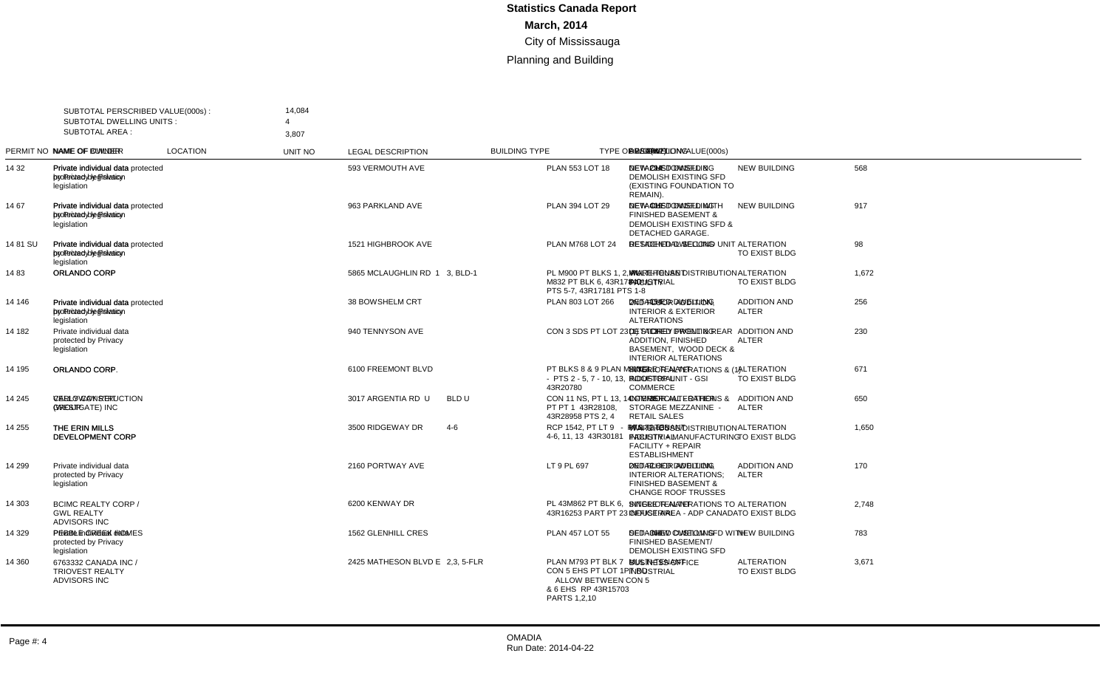| <b>SUBTOTAL AREA:</b> | SUBTOTAL PERSCRIBED VALUE(000s):<br><b>SUBTOTAL DWELLING UNITS:</b>    | 14,084<br>$\overline{4}$<br>3,807                                              |                           |                |                                                                                                             |                                           |                                     |             |                |                |                                                                                                                     |                |
|-----------------------|------------------------------------------------------------------------|--------------------------------------------------------------------------------|---------------------------|----------------|-------------------------------------------------------------------------------------------------------------|-------------------------------------------|-------------------------------------|-------------|----------------|----------------|---------------------------------------------------------------------------------------------------------------------|----------------|
|                       | PERMIT NO NAME OF OWNER                                                | <b>NAME OF BUILDER</b>                                                         | <b>LOCATION</b>           | <b>UNIT NO</b> | <b>LEGAL DESCRIPTION</b>                                                                                    | <b>BUILDING TYPE</b>                      | <b>TYPE OF WORK</b>                 | VALUE(000s) |                |                | DWELLING AREA(m2) DESCRIPTION                                                                                       | LINE           |
| 14 32                 | Private individual data<br>protected by Privacy<br>legislation         | Private individual data protected 593 VERMOUTH AVE<br>by Privacy legislation   |                           |                | PLAN 553 LOT 18                                                                                             | DETACHED DWELLING                         | <b>NEW BUILDING</b>                 | 568         | $\overline{1}$ |                | 294 NEW CUSTOM SFD &<br><b>DEMOLISH EXISTING SFD</b><br>(EXISTING FOUNDATION TO<br>REMAIN).                         | $\overline{1}$ |
| 14 67                 | Private individual data<br>protected by Privacy<br>legislation         | Private individual data protected 963 PARKLAND AVE<br>by Privacy legislation   |                           |                | PLAN 394 LOT 29                                                                                             | <b>DETACHED DWELLING</b>                  | <b>NEW BUILDING</b>                 | 917         | $\overline{1}$ |                | 409 NEW CUSTOM SFD WITH<br><b>FINISHED BASEMENT &amp;</b><br><b>DEMOLISH EXISTING SFD &amp;</b><br>DETACHED GARAGE. | $\overline{2}$ |
| 1481 SU               | Private individual data<br>protected by Privacy<br>legislation         | Private individual data protected 1521 HIGHBROOK AVE<br>by Privacy legislation |                           |                | <b>PLAN M768 LOT 24</b>                                                                                     | <b>DETACHED DWELLING</b>                  | <b>ALTERATION</b><br>TO EXIST BLDG  | 98          | $\mathbf{1}$   |                | <b>RESIDENTIAL SECOND UNIT</b>                                                                                      | 3              |
| 1483                  | ORLANDO CORP                                                           | ORLANDO CORP                                                                   | 5865 MCLAUGHLIN RD 1      | 3, BLD-1       | PL M900 PT BLKS 1, 2, PL<br>M832 PT BLK 6, 43R17840<br>PTS 5-7, 43R17181 PTS 1-8                            | MULTI-TENANT<br><b>INDUSTRIAL</b>         | <b>ALTERATION</b><br>TO EXIST BLDG  | 1,672       |                |                | <b>WAREHOUSE DISTRIBUTION</b><br><b>FACILITY</b>                                                                    | $\overline{4}$ |
| 14 146                | Private individual data<br>protected by Privacv<br>legislation         | Private individual data protected 38 BOWSHELM CRT<br>by Privacy legislation    |                           |                | PLAN 803 LOT 266                                                                                            | DETACHED DWELLING                         | <b>ADDITION AND</b><br><b>ALTER</b> | 256         |                | 154            | 2ND FLOOR ADDITION.<br><b>INTERIOR &amp; EXTERIOR</b><br><b>ALTERATIONS</b>                                         | 5              |
| 14 182                | Private individual data<br>protected by Privacy<br>legislation         |                                                                                | 940 TENNYSON AVE          |                | CON 3 SDS PT LOT 23                                                                                         | <b>DETACHED DWELLING</b>                  | <b>ADDITION AND</b><br><b>ALTER</b> | 230         |                |                | 13 (1) STOREY FRONT & REAR<br><b>ADDITION, FINISHED</b><br>BASEMENT, WOOD DECK &<br><b>INTERIOR ALTERATIONS</b>     | 6              |
| 14 195                | ORLANDO CORP                                                           | ORLANDO CORP.                                                                  | 6100 FREEMONT BLVD        |                | PT BLKS 8 & 9 PLAN M-1023<br>$-$ PTS 2 - 5, 7 - 10, 13,<br>43R20780                                         | SINGLE TENANT<br><b>INDUSTRIAL</b>        | <b>ALTERATION</b><br>TO EXIST BLDG  | 671         |                |                | <b>INTERIOR ALTERATIONS &amp; (1)</b><br><b>ROOFTOP UNIT - GSI</b><br><b>COMMERCE</b>                               | $\overline{7}$ |
| 14 245                | <b>CALLOWAY REIT</b><br>(WESTGATE) INC                                 | <b>VERLY CONSTRUCTION</b><br><b>GROUP</b>                                      | 3017 ARGENTIA RD U        | BLD U          | CON 11 NS, PT L 13, 14 -<br>PT PT 1 43R28108.<br>43R28958 PTS 2, 4                                          | <b>COMMERCIAL - OTHER</b>                 | <b>ADDITION AND</b><br><b>ALTER</b> | 650         |                | 35             | <b>INTERIOR ALTERATIONS &amp;</b><br>STORAGE MEZZANINE -<br><b>RETAIL SALES</b>                                     | 8              |
| 14 255                | THE ERIN MILLS<br>DEVELOPMENT CORP                                     | THE ERIN MILLS<br>DEVELOPMENT CORP                                             | 3500 RIDGEWAY DR          | $4 - 6$        | RCP 1542. PT LT 9 - PTS<br>4-6, 11, 13 43R30181                                                             | MULTI-TENANT<br><b>INDUSTRIAL</b>         | <b>ALTERATION</b><br>TO EXIST BLDG  | 1.650       |                | 2.538          | WAREHOUSE/DISTRIBUTION<br>FACILITY + MANUFACTURING<br><b>FACILITY + REPAIR</b><br><b>ESTABLISHMENT</b>              | 9              |
| 14 299                | Private individual data<br>protected by Privacy<br>legislation         |                                                                                | 2160 PORTWAY AVE          |                | LT 9 PL 697                                                                                                 | <b>DETACHED DWELLING</b>                  | <b>ADDITION AND</b><br><b>ALTER</b> | 170         |                | $\overline{2}$ | 2ND FLOOR ADDITION.<br><b>INTERIOR ALTERATIONS:</b><br><b>FINISHED BASEMENT &amp;</b><br><b>CHANGE ROOF TRUSSES</b> | 10             |
| 14 303                | <b>BCIMC REALTY CORP /</b><br><b>GWL REALTY</b><br><b>ADVISORS INC</b> |                                                                                | 6200 KENWAY DR            |                | PL 43M862 PT BLK 6.<br>43R16253 PART PT 23                                                                  | <b>SINGLE TENANT</b><br><b>INDUSTRIAL</b> | <b>ALTERATION</b><br>TO EXIST BLDG  | 2,748       |                |                | <b>INTERIOR ALTERATIONS TO</b><br>OFFICE AREA - ADP CANADA                                                          | 11             |
| 14 329                | Private individual data<br>protected by Privacy<br>legislation         | PEBBLE CREEK HOMES                                                             | <b>1562 GLENHILL CRES</b> |                | <b>PLAN 457 LOT 55</b>                                                                                      | <b>DETACHED DWELLING</b>                  | <b>NEW BUILDING</b>                 | 783         | $\overline{1}$ | 364            | SFD - NEW CUSTOM SFD WITH<br>FINISHED BASEMENT/<br>DEMOLISH EXISTING SFD                                            | 12             |
| 14 360                | 6763332 CANADA INC /<br><b>TRIOVEST REALTY</b><br><b>ADVISORS INC</b>  |                                                                                | 2425 MATHESON BLVD E      | 2,3, 5-FLR     | PLAN M793 PT BLK 7<br>CON 5 EHS PT LOT 1PT RD<br>ALLOW BETWEEN CON 5<br>& 6 EHS RP 43R15703<br>PARTS 1,2,10 | MULTI-TENANT<br>INDUSTRIAL                | <b>ALTERATION</b><br>TO EXIST BLDG  | 3,671       |                |                | <b>BUSINESS OFFICE</b>                                                                                              | 13             |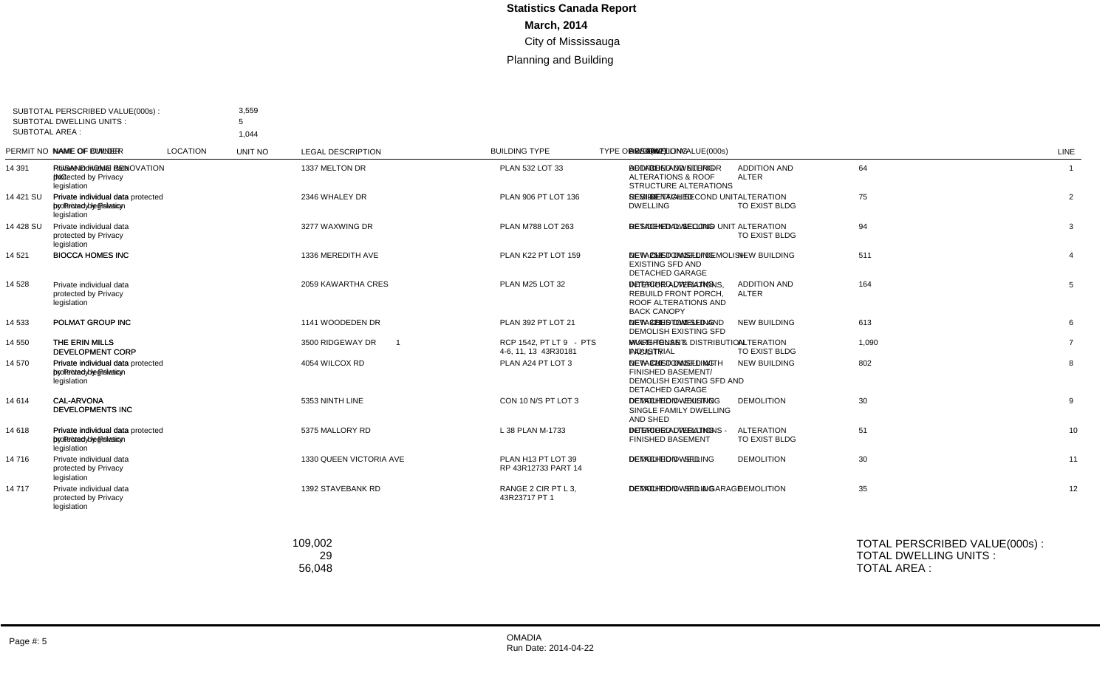|                                                                | 3,559                                                                                                       |                                                                                                        |                                                                                                                                                                                                          |                                                 |                                          |                                     |             |                |     |                                                                                                           |                                                                                                                                                                            |
|----------------------------------------------------------------|-------------------------------------------------------------------------------------------------------------|--------------------------------------------------------------------------------------------------------|----------------------------------------------------------------------------------------------------------------------------------------------------------------------------------------------------------|-------------------------------------------------|------------------------------------------|-------------------------------------|-------------|----------------|-----|-----------------------------------------------------------------------------------------------------------|----------------------------------------------------------------------------------------------------------------------------------------------------------------------------|
|                                                                | 1.044                                                                                                       |                                                                                                        |                                                                                                                                                                                                          |                                                 |                                          |                                     |             |                |     |                                                                                                           |                                                                                                                                                                            |
|                                                                | <b>NAME OF BUILDER</b>                                                                                      | <b>LOCATION</b>                                                                                        | UNIT NO                                                                                                                                                                                                  | <b>LEGAL DESCRIPTION</b>                        | <b>BUILDING TYPE</b>                     | <b>TYPE OF WORK</b>                 | VALUE(000s) |                |     |                                                                                                           | LINE                                                                                                                                                                       |
| Private individual data<br>protected by Privacy<br>legislation | INC.                                                                                                        |                                                                                                        |                                                                                                                                                                                                          | PLAN 532 LOT 33                                 | <b>DETACHED DWELLING</b>                 | <b>ADDITION AND</b><br><b>ALTER</b> | 64          |                |     | ALTERATIONS & ROOF<br>STRUCTURE ALTERATIONS                                                               | $\overline{1}$                                                                                                                                                             |
| Private individual data<br>protected by Privacy<br>legislation | by Privacy legislation                                                                                      |                                                                                                        |                                                                                                                                                                                                          | PLAN 906 PT LOT 136                             | SEMI-DETACHED<br><b>DWELLING</b>         | <b>ALTERATION</b><br>TO EXIST BLDG  | 75          | $\mathbf{1}$   |     |                                                                                                           | $\overline{2}$                                                                                                                                                             |
| Private individual data<br>protected by Privacy<br>legislation |                                                                                                             | 3277 WAXWING DR                                                                                        |                                                                                                                                                                                                          | PLAN M788 LOT 263                               | <b>DETACHED DWELLING</b>                 | <b>ALTERATION</b><br>TO EXIST BLDG  | 94          | $\overline{1}$ |     | <b>RESIDENTIAL SECOND UNIT</b>                                                                            | 3                                                                                                                                                                          |
| <b>BIOCCA HOMES INC</b>                                        | <b>BIOCCA HOMES INC</b>                                                                                     | 1336 MEREDITH AVE                                                                                      |                                                                                                                                                                                                          | PLAN K22 PT LOT 159                             | <b>DETACHED DWELLING</b>                 | <b>NEW BUILDING</b>                 | 511         | $\overline{1}$ | 253 | <b>EXISTING SFD AND</b><br><b>DETACHED GARAGE</b>                                                         | $\overline{4}$                                                                                                                                                             |
| Private individual data<br>protected by Privacy<br>legislation |                                                                                                             | 2059 KAWARTHA CRES                                                                                     |                                                                                                                                                                                                          | PLAN M25 LOT 32                                 | <b>DETACHED DWELLING</b>                 | <b>ADDITION AND</b><br><b>ALTER</b> | 164         |                |     | <b>INTERIOR ALTERATIONS.</b><br><b>REBUILD FRONT PORCH,</b><br>ROOF ALTERATIONS AND<br><b>BACK CANOPY</b> | 5                                                                                                                                                                          |
| POLMAT GROUP INC                                               | POLMAT GROUP INC                                                                                            | 1141 WOODEDEN DR                                                                                       |                                                                                                                                                                                                          | PLAN 392 PT LOT 21                              | <b>DETACHED DWELLING</b>                 | NEW BUILDING                        | 613         | $\mathbf{1}$   |     | <b>DEMOLISH EXISTING SFD</b>                                                                              | 6                                                                                                                                                                          |
| THE ERIN MILLS<br>DEVELOPMENT CORP                             | THE ERIN MILLS<br>DEVELOPMENT CORP                                                                          | 3500 RIDGEWAY DR                                                                                       | $\overline{1}$                                                                                                                                                                                           | RCP 1542. PT LT 9 - PTS<br>4-6, 11, 13 43R30181 | <b>MULTI-TENANT</b><br><b>INDUSTRIAL</b> | <b>ALTERATION</b><br>TO EXIST BLDG  | 1,090       |                |     | <b>WAREHOUSE &amp; DISTRIBUTION</b><br><b>FACILITY</b>                                                    | $\overline{7}$                                                                                                                                                             |
| Private individual data<br>protected by Privacy<br>legislation | by Privacy legislation                                                                                      |                                                                                                        |                                                                                                                                                                                                          | PLAN A24 PT LOT 3                               | <b>DETACHED DWELLING</b>                 | <b>NEW BUILDING</b>                 | 802         | $\mathbf{1}$   |     | FINISHED BASEMENT/<br>DEMOLISH EXISTING SFD AND<br><b>DETACHED GARAGE</b>                                 | 8                                                                                                                                                                          |
| CAL-ARVONA<br><b>DEVELOPMENTS INC</b>                          | CAL-ARVONA<br>DEVELOPMENTS INC                                                                              | 5353 NINTH LINE                                                                                        |                                                                                                                                                                                                          | CON 10 N/S PT LOT 3                             | <b>DETACHED DWELLING</b>                 | <b>DEMOLITION</b>                   | 30          |                |     | <b>DEMOLITION - EXISTING</b><br>SINGLE FAMILY DWELLING<br>AND SHED                                        | 9                                                                                                                                                                          |
| Private individual data<br>protected by Privacy                | by Privacy legislation                                                                                      |                                                                                                        |                                                                                                                                                                                                          | L 38 PLAN M-1733                                | DETACHED DWELLING                        | <b>ALTERATION</b><br>TO EXIST BLDG  | 51          |                |     | <b>INTERIOR ALTERATIONS -</b><br><b>FINISHED BASEMENT</b>                                                 | 10                                                                                                                                                                         |
| Private individual data<br>protected by Privacy                |                                                                                                             | 1330 QUEEN VICTORIA AVE                                                                                |                                                                                                                                                                                                          | PLAN H13 PT LOT 39<br>RP 43R12733 PART 14       | <b>DETACHED DWELLING</b>                 | <b>DEMOLITION</b>                   | 30          |                |     | <b>DEMOLITION - SFD</b>                                                                                   | 11                                                                                                                                                                         |
| Private individual data<br>protected by Privacy<br>legislation |                                                                                                             | 1392 STAVEBANK RD                                                                                      |                                                                                                                                                                                                          | RANGE 2 CIR PT L 3.<br>43R23717 PT 1            | <b>DETACHED DWELLING</b>                 | <b>DEMOLITION</b>                   | 35          |                |     | <b>DEMOLITION - SFD &amp; GARAGE</b>                                                                      | 12                                                                                                                                                                         |
|                                                                |                                                                                                             | 109,002                                                                                                |                                                                                                                                                                                                          |                                                 |                                          |                                     |             |                |     |                                                                                                           |                                                                                                                                                                            |
|                                                                | <b>SUBTOTAL DWELLING UNITS:</b><br>SUBTOTAL AREA :<br>PERMIT NO NAME OF OWNER<br>legislation<br>legislation | SUBTOTAL PERSCRIBED VALUE(000s):<br>5<br>TOTAL PERSCRIBED VALUE(000s):<br><b>TOTAL DWELLING UNITS:</b> | RUSAND HOME RENOVATION 1337 MELTON DR<br>Private individual data protected 2346 WHALEY DR<br>Private individual data protected 4054 WILCOX RD<br>Private individual data protected 5375 MALLORY RD<br>29 |                                                 |                                          |                                     |             |                |     |                                                                                                           | DWELLING AREA(m2) DESCRIPTION<br>31 ADDITION AND NTERIOR<br>69 RESIDIENTIAL SECOND UNIT<br>NEW CUSTOM SFD/ DEMOLISH<br>321 NEW - CUSTOM SFD AND<br>370 NEW CUSTOM SFD WITH |

OMADIA

TOTAL AREA :

56,048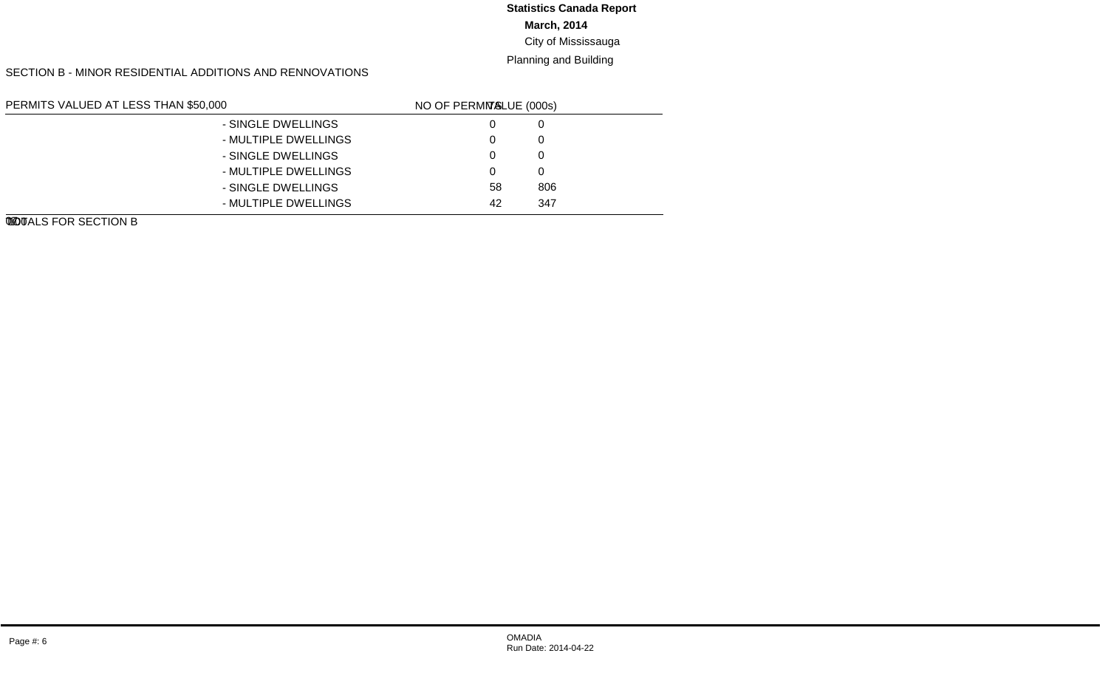#### **March, 2014** City of Mississauga **Statistics Canada Report**

Planning and Building

#### SECTION B - MINOR RESIDENTIAL ADDITIONS AND RENNOVATIONS

| PERMITS VALUED AT LESS THAN \$50,000 |                      | line no. | <b>VALUE (000s)</b> | NO OF PERMITS |
|--------------------------------------|----------------------|----------|---------------------|---------------|
| NEW GARAGES AND CARPORTS             | - SINGLE DWELLINGS   | 01       |                     | 0             |
|                                      | - MULTIPLE DWELLINGS | 02       |                     | $\Omega$      |
| NEW INGROUND SWIMMING POOLS          | - SINGLE DWELLINGS   | 03       |                     | $\Omega$      |
|                                      | - MULTIPLE DWELLINGS | 04       |                     | $\Omega$      |
| OTHER IMPROVEMENTS                   | - SINGLE DWELLINGS   | 05       | 806                 | 58            |
|                                      | - MULTIPLE DWELLINGS | 06       | 347                 | 42            |
| TOTALS FOR SECTION B                 |                      | 07       | l.153               | 100           |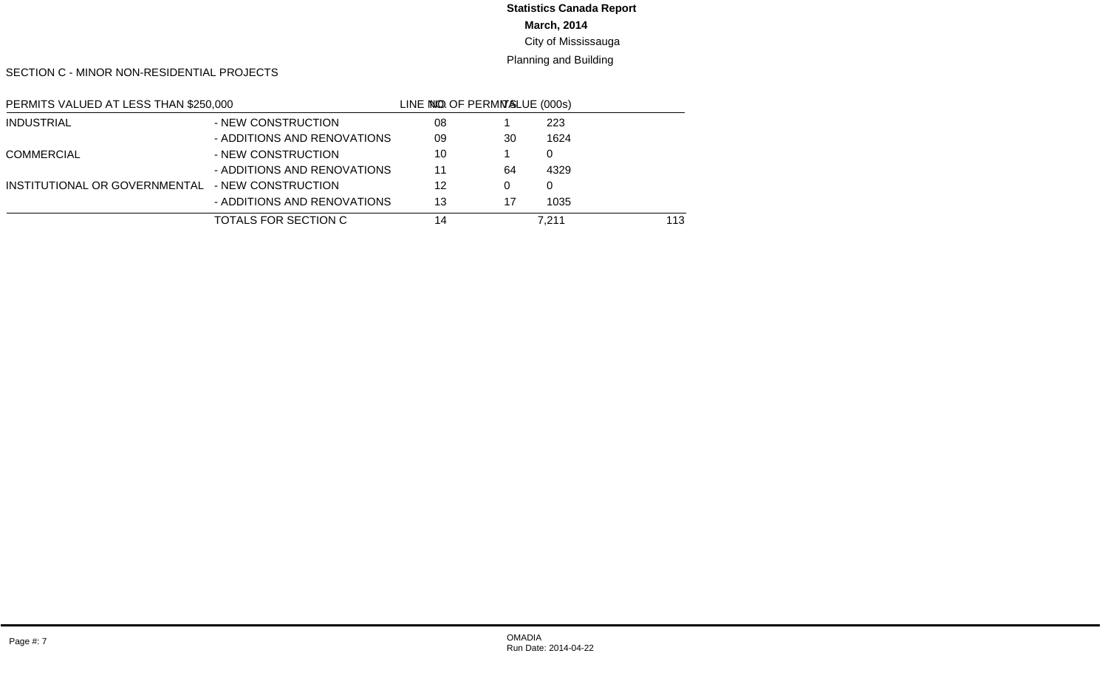# **March, 2014 Statistics Canada Report**

# City of Mississauga

#### Planning and Building

SECTION C - MINOR NON-RESIDENTIAL PROJECTS

| PERMITS VALUED AT LESS THAN \$250,000 |                             | LINE NO. | <b>VALUE (000s)</b> | NO OF PERMITS |
|---------------------------------------|-----------------------------|----------|---------------------|---------------|
| <b>INDUSTRIAL</b>                     | - NEW CONSTRUCTION          | 08       | 223                 |               |
|                                       | - ADDITIONS AND RENOVATIONS | 09       | 1624                | 30            |
| <b>COMMERCIAL</b>                     | - NEW CONSTRUCTION          | 10       |                     |               |
|                                       | - ADDITIONS AND RENOVATIONS | 11       | 4329                | 64            |
| INSTITUTIONAL OR GOVERNMENTAL         | - NEW CONSTRUCTION          | 12       |                     | $\Omega$      |
|                                       | - ADDITIONS AND RENOVATIONS | 13       | 1035                | 17            |
| TOTALS FOR SECTION C                  |                             | 14       | 7.211               | 113           |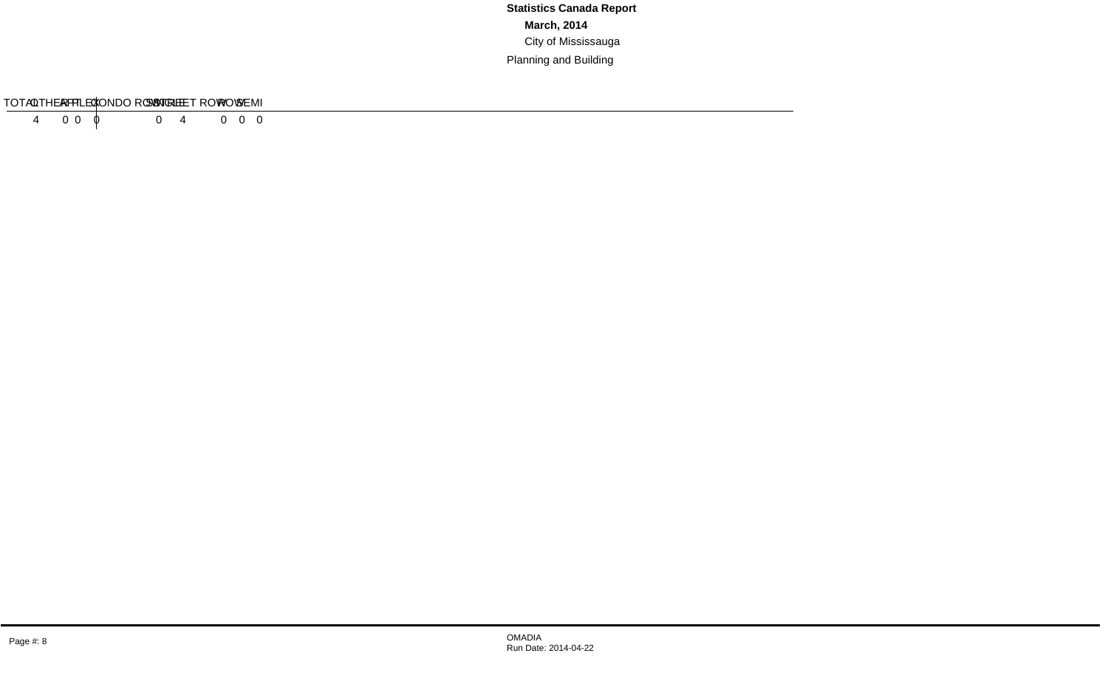#### SECTION D - RESIDENTIAL DEMOLITIONS

| TVDE                 | SINGLE | SEMI | <b>ROW</b> | <b>STREET ROW CONDO ROW</b> | DI EV<br>ᄂᄂ | AP <sup>-</sup> | OTHER | $T$ $\cap$ $T \wedge I$<br>TUTAL. |
|----------------------|--------|------|------------|-----------------------------|-------------|-----------------|-------|-----------------------------------|
| # OF<br><b>UNITS</b> |        |      |            |                             |             |                 |       |                                   |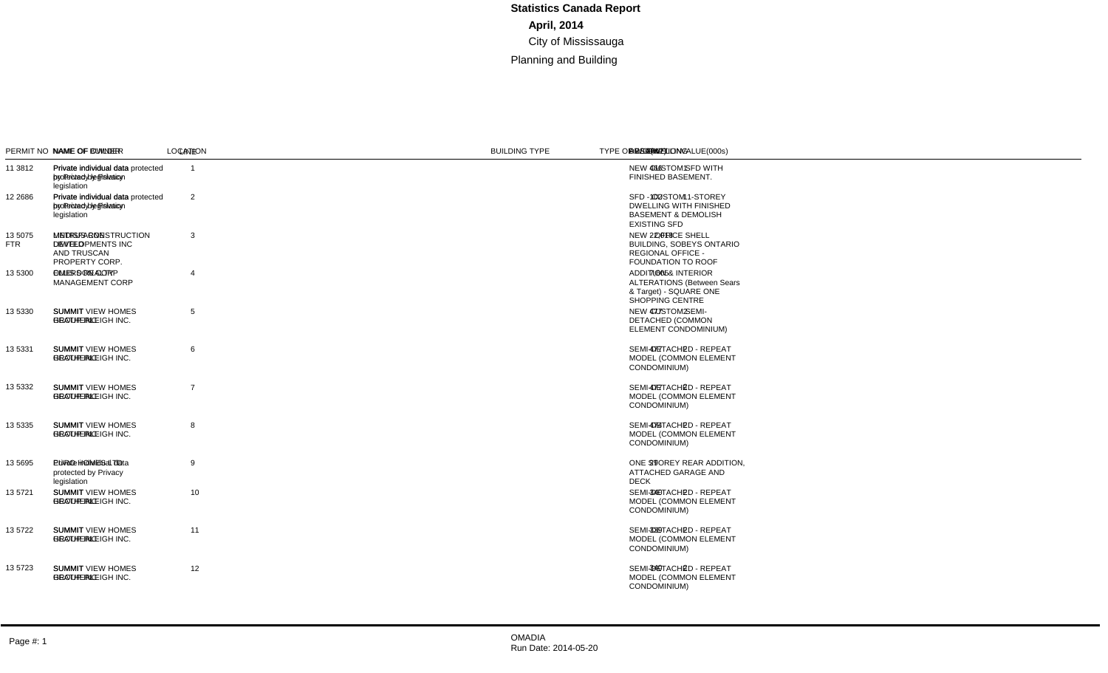#### SECTION A - MAJOR CONSTRUCTION PROJECTS

| <b>SUBTOTAL AREA:</b> | SUBTOTAL PERSCRIBED VALUE(000s):<br><b>SUBTOTAL DWELLING UNITS:</b>                   | 54,201<br>16<br>33.147                                                        |                                            |         |                                                                                  |                                                 |                              |             |     |     |                                                                                                                       |                |
|-----------------------|---------------------------------------------------------------------------------------|-------------------------------------------------------------------------------|--------------------------------------------|---------|----------------------------------------------------------------------------------|-------------------------------------------------|------------------------------|-------------|-----|-----|-----------------------------------------------------------------------------------------------------------------------|----------------|
|                       | PERMIT NO NAME OF OWNER                                                               | <b>NAME OF BUILDER</b>                                                        | <b>LOCATION</b>                            | UNIT NO | <b>LEGAL DESCRIPTION</b>                                                         | <b>BUILDING TYPE</b>                            | <b>TYPE OF WORK</b>          | VALUE(000s) |     |     | DWELLING AREA(m2) DESCRIPTION                                                                                         | <b>LINE</b>    |
| 11 3812               | Private individual data<br>protected by Privacy<br>legislation                        | Private individual data protected 1448 STAVEBANK RD<br>by Privacy legislation |                                            |         | RANGE 2 CIR PT LOT 4                                                             | <b>DETACHED DWELLING</b>                        | <b>NEW BUILDING</b>          | 917         | - 1 |     | 466 NEW CUSTOM SFD WITH<br>FINISHED BASEMENT.                                                                         | $\overline{1}$ |
| 12 2686               | Private individual data<br>protected by Privacy<br>legislation                        | Private individual data protected 1050 CAVEN ST<br>by Privacy legislation     |                                            |         | PLAN B19 LOT 99                                                                  | <b>DETACHED DWELLING</b>                        | <b>NEW BUILDING</b>          | 241         |     |     | 102 SFD - CUSTOM 1-STOREY<br><b>DWELLING WITH FINISHED</b><br><b>BASEMENT &amp; DEMOLISH</b><br><b>EXISTING SFD</b>   | 2              |
| 13 5075<br>FTR.       | <b>LINDISFARNE</b><br><b>DEVELOPMENTS INC</b><br><b>AND TRUSCAN</b><br>PROPERTY CORP. | <b>METRUS CONSTRUCTION</b><br>LIMITED                                         | 4980 TAHOE BLVD                            |         | PL 43M1503, PT B 3 - PTS<br>1, 5, 6 43R27777                                     | <b>COMMERCIAL - OTHER</b>                       | <b>NEW BUILDING</b>          | 32,202      |     |     | 22,018 NEW - OFFICE SHELL<br><b>BUILDING, SOBEYS ONTARIO</b><br><b>REGIONAL OFFICE -</b><br><b>FOUNDATION TO ROOF</b> | 3              |
| 13 5300               | <b>OMERS REALTY</b><br><b>MANAGEMENT CORP</b>                                         | ELLIS DON CORP                                                                | 100 CITY CENTRE DR                         |         | PL 43M1010 BLK 21 PT<br>BLKS 1, 16, 19, 20, 43R35320<br>PTS 9, 10, 16            | <b>COMMERCIAL RETAIL -</b><br><b>MULTI-USER</b> | <b>ADDITION AND</b><br>ALTER | 15.562      |     |     | 7.605 ADDITION & INTERIOR<br><b>ALTERATIONS (Between Sears)</b><br>& Target) - SQUARE ONE<br><b>SHOPPING CENTRE</b>   | $\overline{4}$ |
| 13 5330               | <b>SUMMIT</b><br><b>HEATHERLEIGH INC.</b>                                             | <b>SUMMIT VIEW HOMES</b><br><b>GROUP INC</b>                                  | 910 FRANCINE CRES R<br>908 FRANCINE CRES L |         | 43M1502, PT BLK 82 - PT<br>33 43R35258<br>43M1502, PT BLK 82 - PT<br>34 43R35258 | <b>SEMI-DETACHED</b><br><b>DWELLING</b>         | <b>NEW BUILDING</b>          | 832         | 2   |     | 477 NEW CUSTOM SEMI-<br><b>DETACHED (COMMON</b><br>ELEMENT CONDOMINIUM)                                               | 5              |
| 13 5331               | <b>SUMMIT</b><br><b>HEATHERLEIGH INC.</b>                                             | <b>SUMMIT VIEW HOMES</b><br><b>GROUP INC</b>                                  | 892 FRANCINE CRES R<br>890 FRANCINE CRES L |         | 43M1502, PT BLK 82 - PT<br>39 43R35258<br>43M1502, PT BLK 82 - PT<br>40 43R35258 | SEMI-DETACHED<br><b>DWELLING</b>                | <b>NEW BUILDING</b>          | 832         | 2   | 477 | SEMI-DETACHED - REPEAT<br>MODEL (COMMON ELEMENT<br>CONDOMINIUM)                                                       | 6              |
| 13 5332               | <b>SUMMIT</b><br><b>HEATHERLEIGH INC.</b>                                             | <b>SUMMIT VIEW HOMES</b><br><b>GROUP INC</b>                                  | 874 FRANCINE CRES R<br>872 FRANCINE CRES L |         | 43M1502, PT BLK 82 - PT<br>45 43R35258<br>43M1502, PT BLK 82 - PT<br>46 43R35258 | SEMI-DETACHED<br><b>DWELLING</b>                | <b>NEW BUILDING</b>          | 832         | 2   | 477 | SEMI-DETACHED - REPEAT<br>MODEL (COMMON ELEMENT<br>CONDOMINIUM)                                                       | $\overline{7}$ |
| 13 5335               | <b>SUMMIT</b><br><b>HEATHERLEIGH INC.</b>                                             | <b>SUMMIT VIEW HOMES</b><br><b>GROUP INC</b>                                  | 886 FRANCINE CRES R<br>884 FRANCINE CRES L |         | 43M1502, PT BLK 82 - PT<br>41 43R35258<br>43M1502. PT BLK 82 - PT<br>42 43R35258 | SEMI-DETACHED<br><b>DWELLING</b>                | <b>NEW BUILDING</b>          | 826         | 2   | 474 | SEMI-DETACHED - REPEAT<br><b>MODEL (COMMON ELEMENT</b><br>CONDOMINIUM)                                                | 8              |
| 13 5695               | Private individual data<br>protected by Privacy<br>legislation                        | <b>EURO HOMES LTD</b>                                                         | 30 WENONAH DR                              |         | PLAN H21 LOT 202                                                                 | <b>DETACHED DWELLING</b>                        | <b>ADDITION AND</b><br>ALTER | 181         |     | 29  | ONE STOREY REAR ADDITION.<br>ATTACHED GARAGE AND<br><b>DECK</b>                                                       | $\mathbf{q}$   |
| 13 5721               | <b>SUMMIT</b><br><b>HEATHERLEIGH INC.</b>                                             | <b>SUMMIT VIEW HOMES</b><br><b>GROUP INC</b>                                  | 904 FRANCINE CRES R<br>902 FRANCINE CRES L |         | 43M1502, PT BLK 82 - PT<br>35 43R35258<br>43M1502, PT BLK 82 - PT<br>36 43R35258 | SEMI-DETACHED<br><b>DWELLING</b>                | <b>NEW BUILDING</b>          | 593         | 2   |     | 340 SEMI-DETACHED - REPEAT<br>MODEL (COMMON ELEMENT<br>CONDOMINIUM)                                                   | 10             |
| 13 5722               | <b>SUMMIT</b><br><b>HEATHERLEIGH INC.</b>                                             | <b>SUMMIT VIEW HOMES</b><br><b>GROUP INC</b>                                  | 898 FRANCINE CRES R<br>896 FRANCINE CRES L |         | 43M1502, PT BLK 82 - PT<br>37 43R35258<br>43M1502. PT BLK 82 - PT<br>38 43R35258 | SEMI-DETACHED<br><b>DWELLING</b>                | <b>NEW BUILDING</b>          | 590         | 2   | 339 | SEMI-DETACHED - REPEAT<br>MODEL (COMMON ELEMENT<br>CONDOMINIUM)                                                       | 11             |
| 13 5723               | <b>SUMMIT</b><br>HEATHERLEIGH INC.                                                    | <b>SUMMIT VIEW HOMES</b><br><b>GROUP INC</b>                                  | 880 FRANCINE CRES R<br>878 FRANCINE CRES L |         | 43M1502, PT BLK 82 - PT<br>43 43R35258<br>43M1502, PT BLK 82 - PT<br>44 43R35258 | SEMI-DETACHED<br><b>DWELLING</b>                | <b>NEW BUILDING</b>          | 593         | 2   | 340 | SEMI-DETACHED - REPEAT<br>MODEL (COMMON ELEMENT<br>CONDOMINIUM)                                                       | 12             |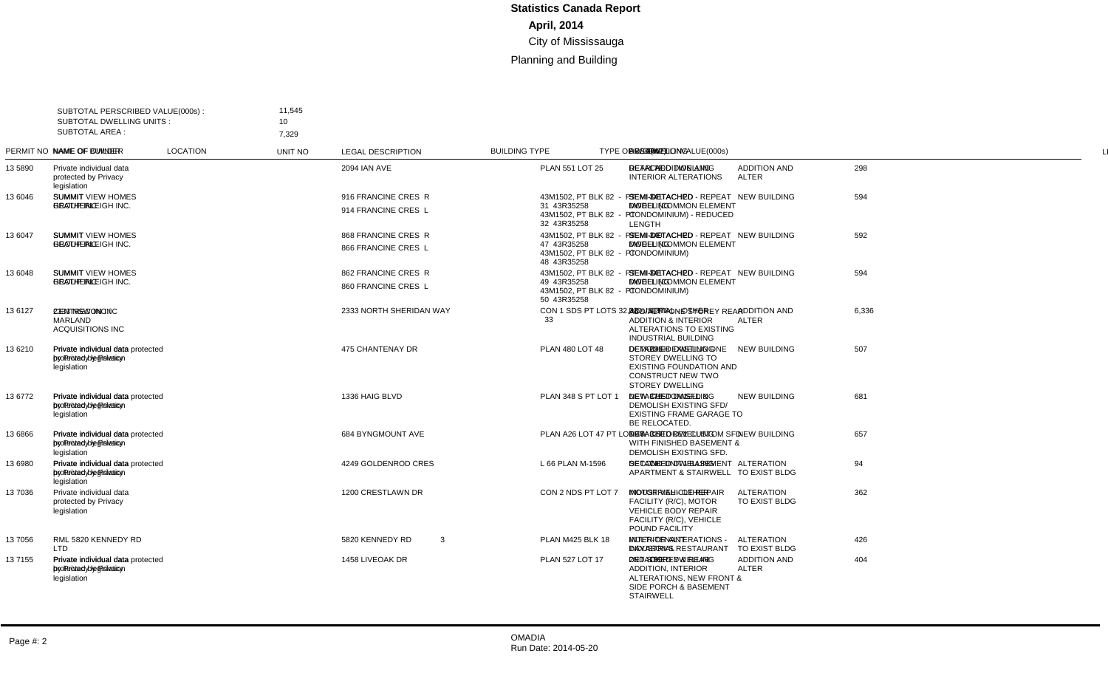| SUBTOTAL AREA : | SUBTOTAL PERSCRIBED VALUE(000s):<br><b>SUBTOTAL DWELLING UNITS:</b> | 11,545<br>10<br>7,329                                                           |                                            |              |                                                                                  |                                          |                                           |             |                               |       |                                                                                                                                         |                 |
|-----------------|---------------------------------------------------------------------|---------------------------------------------------------------------------------|--------------------------------------------|--------------|----------------------------------------------------------------------------------|------------------------------------------|-------------------------------------------|-------------|-------------------------------|-------|-----------------------------------------------------------------------------------------------------------------------------------------|-----------------|
|                 | PERMIT NO NAME OF OWNER                                             | <b>NAME OF BUILDER</b>                                                          | <b>LOCATION</b>                            | UNIT NO      | <b>LEGAL DESCRIPTION</b>                                                         | <b>BUILDING TYPE</b>                     | <b>TYPE OF WORK</b>                       | VALUE(000s) | DWELLING AREA(m2) DESCRIPTION |       |                                                                                                                                         | <b>LINE</b>     |
| 13 5890         | Private individual data<br>protected by Privacy<br>legislation      |                                                                                 | <b>2094 IAN AVE</b>                        |              | <b>PLAN 551 LOT 25</b>                                                           | DETACHED DWELLING                        | <b>ADDITION AND</b><br><b>ALTER</b>       | 298         |                               |       | 172 REAR ADDITION AND<br><b>INTERIOR ALTERATIONS</b>                                                                                    | $\overline{1}$  |
| 13 6046         | <b>SUMMIT</b><br><b>HEATHERLEIGH INC.</b>                           | <b>SUMMIT VIEW HOMES</b><br><b>GROUP INC</b>                                    | 916 FRANCINE CRES R<br>914 FRANCINE CRES L |              | 43M1502, PT BLK 82 - PT<br>31 43R35258<br>43M1502, PT BLK 82 - PT<br>32 43R35258 | SEMI-DETACHED<br><b>DWELLING</b>         | <b>NEW BUILDING</b>                       | 594         | 2                             | 341   | SEMI-DETACHED - REPEAT<br>MODEL (COMMON ELEMENT<br>CONDOMINIUM) - REDUCED<br>LENGTH                                                     | $\overline{2}$  |
| 13 6047         | <b>SUMMIT</b><br>HEATHERLEIGH INC.                                  | <b>SUMMIT VIEW HOMES</b><br><b>GROUP INC</b>                                    | 868 FRANCINE CRES R<br>866 FRANCINE CRES L |              | 43M1502, PT BLK 82 - PT<br>47 43R35258<br>43M1502, PT BLK 82 - PT<br>48 43R35258 | SEMI-DETACHED<br><b>DWELLING</b>         | <b>NEW BUILDING</b>                       | 592         | 2                             | 340   | SEMI-DETACHED - REPEAT<br>MODEL (COMMON ELEMENT<br>CONDOMINIUM)                                                                         | 3               |
| 13 6048         | <b>SUMMIT</b><br><b>HEATHERLEIGH INC.</b>                           | <b>SUMMIT VIEW HOMES</b><br><b>GROUP INC</b>                                    | 862 FRANCINE CRES R<br>860 FRANCINE CRES L |              | 43M1502, PT BLK 82 - PT<br>49 43R35258<br>43M1502, PT BLK 82 - PT<br>50 43R35258 | SEMI-DETACHED<br><b>DWELLING</b>         | <b>NEW BUILDING</b>                       | 594         | 2                             | 341   | SEMI-DETACHED - REPEAT<br>MODEL (COMMON ELEMENT<br>CONDOMINIUM)                                                                         | $\overline{4}$  |
| 136127          | 2333 NSW INC /<br><b>MARLAND</b><br><b>ACQUISITIONS INC</b>         | <b>CENTRECON INC</b>                                                            | 2333 NORTH SHERIDAN WAY                    |              | CON 1 SDS PT LOTS 32,33<br>33                                                    | <b>INDUSTRIAL - OTHER</b>                | <b>ADDITION AND</b><br><b>ALTER</b>       | 6.336       |                               | 4.878 | ADD/ALT - ONE STOREY REAR<br><b>ADDITION &amp; INTERIOR</b><br>ALTERATIONS TO EXISTING<br>INDUSTRIAL BUILDING                           | 5               |
| 13 6210         | Private individual data<br>protected by Privacy<br>legislation      | Private individual data protected 475 CHANTENAY DR<br>by Privacy legislation    |                                            |              | PLAN 480 LOT 48                                                                  | <b>DETACHED DWELLING</b>                 | <b>NEW BUILDING</b>                       | 507         | $\overline{1}$                |       | 291 DEMOLISH EXISTING ONE<br>STOREY DWELLING TO<br><b>EXISTING FOUNDATION AND</b><br><b>CONSTRUCT NEW TWO</b><br><b>STOREY DWELLING</b> | 6               |
| 13 6772         | Private individual data<br>protected by Privacy<br>legislation      | Private individual data protected 1336 HAIG BLVD<br>by Privacy legislation      |                                            |              | PLAN 348 S PT LOT 1                                                              | <b>DETACHED DWELLING</b>                 | <b>NEW BUILDING</b>                       | 681         | $\overline{1}$                |       | 375 NEW CUSTOM SFD &<br><b>DEMOLISH EXISTING SFD/</b><br><b>EXISTING FRAME GARAGE TO</b><br>BE RELOCATED.                               | $\overline{7}$  |
| 13 6866         | Private individual data<br>protected by Privacy<br>legislation      | Private individual data protected 684 BYNGMOUNT AVE<br>by Privacy legislation   |                                            |              | PLAN A26 LOT 47 PT LOT 48                                                        | <b>DETACHED DWELLING</b>                 | <b>NEW BUILDING</b>                       | 657         | $\overline{1}$                |       | 327 NEW 3 STOREY CUSTOM SFD<br>WITH FINISHED BASEMENT &<br>DEMOLISH EXISTING SFD.                                                       | 8               |
| 13 6980         | Private individual data<br>protected by Privacy<br>legislation      | Private individual data protected 4249 GOLDENROD CRES<br>by Privacy legislation |                                            |              | L 66 PLAN M-1596                                                                 | <b>DETACHED DWELLING</b>                 | <b>ALTERATION</b><br>TO EXIST BLDG        | 94          | $\overline{1}$                |       | 74 SECOND UNIT - BASEMENT<br>APARTMENT & STAIRWELL                                                                                      | 9               |
| 13 7036         | Private individual data<br>protected by Privacy<br>legislation      |                                                                                 | 1200 CRESTLAWN DR                          |              | CON 2 NDS PT LOT 7                                                               | <b>INDUSTRIAL - OTHER</b>                | <b>ALTERATION</b><br>TO EXIST BLDG        | 362         |                               |       | <b>MOTOR VEHICLE REPAIR</b><br>FACILITY (R/C), MOTOR<br><b>VEHICLE BODY REPAIR</b><br>FACILITY (R/C), VEHICLE<br>POUND FACILITY         | 10 <sup>1</sup> |
| 13 7056         | RML 5820 KENNEDY RD<br>LTD                                          |                                                                                 | 5820 KENNEDY RD                            | $\mathbf{3}$ | <b>PLAN M425 BLK 18</b>                                                          | <b>MULTI-TENANT</b><br><b>INDUSTRIAL</b> | <b>ALTERATION</b><br><b>TO EXIST BLDG</b> | 426         |                               |       | <b>INTERIOR ALTERATIONS -</b><br>DAYASON'S RESTAURANT                                                                                   | 11              |
| 13 7155         | Private individual data<br>protected by Privacy<br>legislation      | Private individual data protected 1458 LIVEOAK DR<br>by Privacy legislation     |                                            |              | <b>PLAN 527 LOT 17</b>                                                           | <b>DETACHED DWELLING</b>                 | <b>ADDITION AND</b><br><b>ALTER</b>       | 404         |                               |       | 189 2ND STOREY & REAR<br><b>ADDITION. INTERIOR</b><br>ALTERATIONS, NEW FRONT &<br>SIDE PORCH & BASEMENT<br><b>STAIRWELL</b>             | 12              |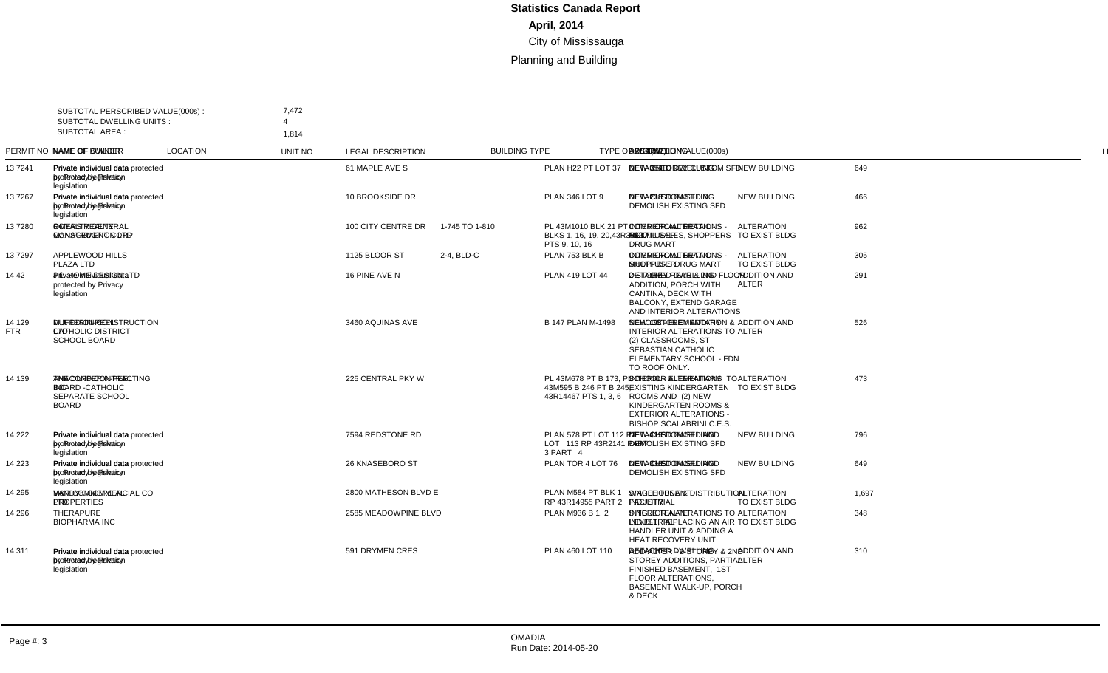| <b>SUBTOTAL AREA:</b> | SUBTOTAL PERSCRIBED VALUE(000s):<br><b>SUBTOTAL DWELLING UNITS:</b>            | 7,472                                                                        |                      |                |                                                                          |                                                 |                                           |             |                |     |                                                                                                                                                                   |                |
|-----------------------|--------------------------------------------------------------------------------|------------------------------------------------------------------------------|----------------------|----------------|--------------------------------------------------------------------------|-------------------------------------------------|-------------------------------------------|-------------|----------------|-----|-------------------------------------------------------------------------------------------------------------------------------------------------------------------|----------------|
|                       | PERMIT NO NAME OF OWNER                                                        | 1.814<br>NAME OF BUILDER                                                     | <b>LOCATION</b>      | <b>UNIT NO</b> | <b>LEGAL DESCRIPTION</b>                                                 | <b>BUILDING TYPE</b>                            | <b>TYPE OF WORK</b>                       | VALUE(000s) |                |     | DWELLING AREA(m2) DESCRIPTION                                                                                                                                     | LINE           |
| 137241                | Private individual data<br>protected by Privacy<br>legislation                 | Private individual data protected 61 MAPLE AVE S<br>by Privacy legislation   |                      |                | PLAN H22 PT LOT 37                                                       | DETACHED DWELLING                               | <b>NEW BUILDING</b>                       | 649         | -1             |     | 354 NEW 3 STOREY CUSTOM SFD                                                                                                                                       | $\overline{1}$ |
| 137267                | Private individual data<br>protected by Privacy<br>legislation                 | Private individual data protected 10 BROOKSIDE DR<br>by Privacy legislation  |                      |                | <b>PLAN 346 LOT 9</b>                                                    | <b>DETACHED DWELLING</b>                        | <b>NEW BUILDING</b>                       | 466         | $\overline{1}$ | 238 | <b>NEW CUSTOM SFD &amp;</b><br><b>DEMOLISH EXISTING SFD</b>                                                                                                       | $\overline{2}$ |
| 137280                | <b>OMERS REALTY</b><br><b>MANAGEMENT CORP</b>                                  | <b>ROYALTY GENERAL</b><br><b>CONSTRUCTION LTD</b>                            | 100 CITY CENTRE DR   | 1-745 TO 1-810 | PL 43M1010 BLK 21 PT<br>BLKS 1, 16, 19, 20, 43R35320<br>PTS 9, 10, 16    | <b>COMMERCIAL RETAIL -</b><br><b>MULTI-USER</b> | <b>ALTERATION</b><br>TO EXIST BLDG        | 962         |                |     | <b>INTERIOR ALTERATIONS -</b><br>RETAIL SALES, SHOPPERS<br><b>DRUG MART</b>                                                                                       | 3              |
| 137297                | APPLEWOOD HILLS<br>PLAZA LTD                                                   |                                                                              | 1125 BLOOR ST        | 2-4, BLD-C     | PLAN 753 BLK B                                                           | <b>COMMERCIAL RETAIL -</b><br><b>MULTI-USER</b> | <b>ALTERATION</b><br>TO EXIST BLDG        | 305         |                |     | <b>INTERIOR ALTERATIONS -</b><br>SHOPPERS DRUG MART                                                                                                               | $\overline{4}$ |
| 14 42                 | Private individual data<br>protected by Privacy<br>legislation                 | J.L. HOME DESIGN LTD                                                         | 16 PINE AVE N        |                | <b>PLAN 419 LOT 44</b>                                                   | <b>DETACHED DWELLING</b>                        | <b>ADDITION AND</b><br><b>ALTER</b>       | 291         |                | 157 | 2-STOREY REAR & 2ND FLOOR<br><b>ADDITION. PORCH WITH</b><br>CANTINA, DECK WITH<br><b>BALCONY, EXTEND GARAGE</b><br>AND INTERIOR ALTERATIONS                       | 5              |
| 14 129<br><b>FTR</b>  | <b>DUFFERIN-PEEL</b><br>CATHOLIC DISTRICT<br><b>SCHOOL BOARD</b>               | M.J. DIXON CONSTRUCTION 3460 AQUINAS AVE<br><b>LTD</b>                       |                      |                | <b>B 147 PLAN M-1498</b>                                                 | <b>SCHOOL - ELEMENTARY</b>                      | <b>ADDITION AND</b><br><b>ALTER</b>       | 526         |                | 197 | <b>NEW 1 STOREY ADDITION &amp;</b><br><b>INTERIOR ALTERATIONS TO</b><br>(2) CLASSROOMS, ST<br>SEBASTIAN CATHOLIC<br>ELEMENTARY SCHOOL - FDN<br>TO ROOF ONLY.      | 6              |
| 14 139                | THE DUFFERIN-PEEL<br><b>BOARD -CATHOLIC</b><br>SEPARATE SCHOOL<br><b>BOARD</b> | ANACOND CONTRACTING<br><b>INC</b>                                            | 225 CENTRAL PKY W    |                | PL 43M678 PT B 173. PL<br>43M595 B 246 PT B 245.<br>43R14467 PTS 1, 3, 6 | <b>SCHOOL - ELEMENTARY</b>                      | <b>ALTERATION</b><br><b>TO EXIST BLDG</b> | 473         |                |     | INTERIOR ALTERATIONS TO<br><b>EXISTING KINDERGARTEN</b><br>ROOMS AND (2) NEW<br>KINDERGARTEN ROOMS &<br><b>EXTERIOR ALTERATIONS -</b><br>BISHOP SCALABRINI C.E.S. | $\overline{7}$ |
| 14 222                | Private individual data<br>protected by Privacy<br>legislation                 | Private individual data protected 7594 REDSTONE RD<br>by Privacy legislation |                      |                | PLAN 578 PT LOT 112 PT<br>LOT 113 RP 43R2141 PART<br>3 PART 4            | <b>DETACHED DWELLING</b>                        | <b>NEW BUILDING</b>                       | 796         | -1             |     | 419 NEW CUSTOM SFD AND<br><b>DEMOLISH EXISTING SFD</b>                                                                                                            | 8              |
| 14 223                | Private individual data<br>protected by Privacy<br>legislation                 | Private individual data protected 26 KNASEBORO ST<br>by Privacy legislation  |                      |                | PLAN TOR 4 LOT 76                                                        | <b>DETACHED DWELLING</b>                        | <b>NEW BUILDING</b>                       | 649         | $\overline{1}$ | 338 | NEW CUSTOM SFD AND<br>DEMOLISH EXISTING SFD                                                                                                                       | 9              |
| 14 295                | <b>M&amp;R COMMERCIAL</b><br><b>PROPERTIES</b>                                 | VANDYK COMMERCIAL CO<br><b>LTD</b>                                           | 2800 MATHESON BLVD E |                | PLAN M584 PT BLK 1<br>RP 43R14955 PART 2                                 | SINGLE TENANT<br><b>INDUSTRIAL</b>              | <b>ALTERATION</b><br>TO EXIST BLDG        | 1,697       |                |     | <b>WAREHOUSE &amp; DISTRIBUTION</b><br><b>FACILITY</b>                                                                                                            | 10             |
| 14 296                | THERAPURE<br><b>BIOPHARMA INC</b>                                              |                                                                              | 2585 MEADOWPINE BLVD |                | PLAN M936 B 1.2                                                          | SINGLE TENANT<br><b>INDUSTRIAL</b>              | <b>ALTERATION</b><br><b>TO EXIST BLDG</b> | 348         |                |     | <b>INTERIOR ALTERATIONS TO</b><br>LEVEL1, REPLACING AN AIR<br><b>HANDLER UNIT &amp; ADDING A</b><br>HEAT RECOVERY UNIT                                            | 11             |
| 14 311                | Private individual data<br>protected by Privacy<br>legislation                 | Private individual data protected 591 DRYMEN CRES<br>by Privacy legislation  |                      |                | PLAN 460 LOT 110                                                         | <b>DETACHED DWELLING</b>                        | <b>ADDITION AND</b><br><b>ALTER</b>       | 310         |                |     | 110 ADD/ALTER - 2-STOREY & 2ND-<br>STOREY ADDITIONS, PARTIAL<br>FINISHED BASEMENT, 1ST<br><b>FLOOR ALTERATIONS</b><br>BASEMENT WALK-UP, PORCH<br>& DECK           | 12             |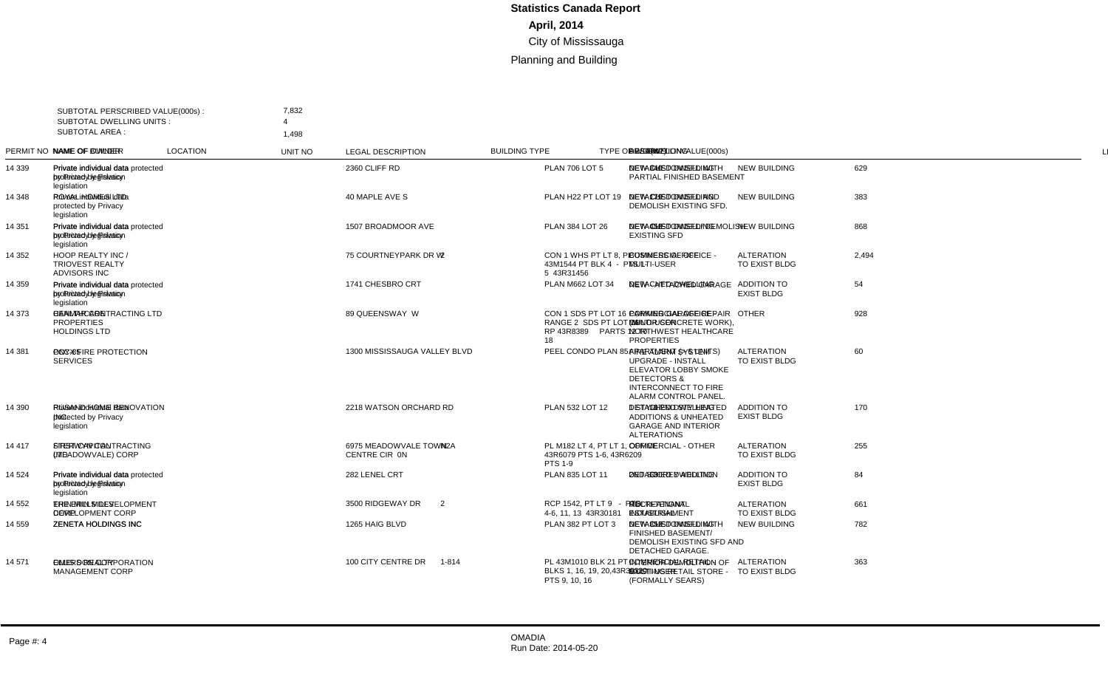| SUBTOTAL AREA : | SUBTOTAL PERSCRIBED VALUE(000s):<br>SUBTOTAL DWELLING UNITS:       | 7,832<br>$\Delta$<br>1.498                                                     |                                               |           |                                                                              |                                                 |                                           |             |                |     |                                                                                                                                                        |                |
|-----------------|--------------------------------------------------------------------|--------------------------------------------------------------------------------|-----------------------------------------------|-----------|------------------------------------------------------------------------------|-------------------------------------------------|-------------------------------------------|-------------|----------------|-----|--------------------------------------------------------------------------------------------------------------------------------------------------------|----------------|
|                 | PERMIT NO NAME OF OWNER                                            | <b>NAME OF BUILDER</b>                                                         | <b>LOCATION</b>                               | UNIT NO   | <b>LEGAL DESCRIPTION</b>                                                     | <b>BUILDING TYPE</b>                            | <b>TYPE OF WORK</b>                       | VALUE(000s) |                |     | DWELLING AREA(m2) DESCRIPTION                                                                                                                          | <b>LINE</b>    |
| 14 339          | Private individual data<br>protected by Privacy<br>legislation     | Private individual data protected 2360 CLIFF RD<br>by Privacy legislation      |                                               |           | <b>PLAN 706 LOT 5</b>                                                        | <b>DETACHED DWELLING</b>                        | <b>NEW BUILDING</b>                       | 629         | $\overline{1}$ |     | 340 NEW CUSTOM SFD WITH<br>PARTIAL FINISHED BASEMENT                                                                                                   | $\overline{1}$ |
| 14 348          | Private individual data<br>protected by Privacy<br>legislation     | ROYAL HOMES LTD                                                                | 40 MAPLE AVE S                                |           | PLAN H22 PT LOT 19                                                           | <b>DETACHED DWELLING</b>                        | <b>NEW BUILDING</b>                       | 383         |                |     | 179 NEW CUSTOM SFD AND<br>DEMOLISH EXISTING SFD.                                                                                                       | $\overline{2}$ |
| 14 351          | Private individual data<br>protected by Privacy<br>legislation     | Private individual data protected 1507 BROADMOOR AVE<br>by Privacy legislation |                                               |           | PLAN 384 LOT 26                                                              | <b>DETACHED DWELLING</b>                        | <b>NEW BUILDING</b>                       | 868         |                | 458 | NEW CUSTOM SFD/ DEMOLISH<br><b>EXISTING SFD</b>                                                                                                        | 3              |
| 14 352          | HOOP REALTY INC /<br><b>TRIOVEST REALTY</b><br><b>ADVISORS INC</b> |                                                                                | 75 COURTNEYPARK DR W                          | 2         | CON 1 WHS PT LT 8. PL<br>43M1544 PT BLK 4 - PTS 1-<br>5 43R31456             | <b>COMMERCIAL OFFICE -</b><br><b>MULTI-USER</b> | <b>ALTERATION</b><br>TO EXIST BLDG        | 2,494       |                |     | <b>BUSINESS OFFICE</b>                                                                                                                                 | $\overline{4}$ |
| 14 359          | Private individual data<br>protected by Privacy<br>legislation     | Private individual data protected 1741 CHESBRO CRT<br>by Privacy legislation   |                                               |           | PLAN M662 LOT 34                                                             | DETACHED DWELLING                               | <b>ADDITION TO</b><br><b>EXIST BLDG</b>   | 54          |                |     | NEW - ATTACHED GARAGE                                                                                                                                  | 5              |
| 14 373          | <b>HEALTHCARE</b><br><b>PROPERTIES</b><br><b>HOLDINGS LTD</b>      | CANMAR CONTRACTING LTD 89 QUEENSWAY W                                          |                                               |           | CON 1 SDS PT LOT 16<br>RANGE 2 SDS PT LOT 16<br>RP 43R8389 PARTS 12 T0<br>18 | <b>COMMERCIAL OFFICE -</b><br><b>MULTI-USER</b> | <b>OTHER</b>                              | 928         |                |     | PARKING GARAGE REPAIR<br>(MINOR CONCRETE WORK),<br>NORTHWEST HEALTHCARE<br><b>PROPERTIES</b>                                                           | 6              |
| 14 381          | <b>PCC-85</b>                                                      | <b>ONYX FIRE PROTECTION</b><br><b>SERVICES</b>                                 | 1300 MISSISSAUGA VALLEY BLVD                  |           | PEEL CONDO PLAN 85                                                           | APARTMENT (> 6 UNITS)                           | <b>ALTERATION</b><br>TO EXIST BLDG        | 60          |                |     | FIRE ALARM SYSTEM<br><b>UPGRADE - INSTALL</b><br><b>ELEVATOR LOBBY SMOKE</b><br><b>DETECTORS &amp;</b><br>INTERCONNECT TO FIRE<br>ALARM CONTROL PANEL. | $\overline{7}$ |
| 14 390          | Private individual data<br>protected by Privacy<br>legislation     | INC.                                                                           | RUSAND HOME RENOVATION 2218 WATSON ORCHARD RD |           | PLAN 532 LOT 12                                                              | <b>DETACHED DWELLING</b>                        | <b>ADDITION TO</b><br><b>EXIST BLDG</b>   | 170         |                |     | 107 1 STY & 2ND STY HEATED<br><b>ADDITIONS &amp; UNHEATED</b><br><b>GARAGE AND INTERIOR</b><br><b>ALTERATIONS</b>                                      | 8              |
| 14 417          | <b>FIRST CAPITAL</b><br>(MEADOWVALE) CORP                          | STERWYN CONTRACTING<br><b>LTD</b>                                              | 6975 MEADOWVALE TOWN<br>CENTRE CIR ON         | N2A       | PL M182 LT 4. PT LT 1.<br>43R6079 PTS 1-6, 43R6209<br><b>PTS 1-9</b>         | <b>COMMERCIAL - OTHER</b>                       | <b>ALTERATION</b><br>TO EXIST BLDG        | 255         |                |     | <b>OFFICE</b>                                                                                                                                          | 9              |
| 14 524          | Private individual data<br>protected by Privacv<br>legislation     | Private individual data protected 282 LENEL CRT<br>by Privacy legislation      |                                               |           | PLAN 835 LOT 11                                                              | DETACHED DWELLING                               | <b>ADDITION TO</b><br><b>EXIST BLDG</b>   | 84          |                |     | 63 2ND STOREY ADDITION                                                                                                                                 | 10             |
| 14 552          | THE ERIN MILLS<br>DEVELOPMENT CORP                                 | ERIN MILLS DEVELOPMENT<br>CORP                                                 | 3500 RIDGEWAY DR                              | 2         | RCP 1542. PT LT 9 - PTS<br>4-6, 11, 13 43R30181                              | <b>MULTI-TENANT</b><br><b>INDUSTRIAL</b>        | <b>ALTERATION</b><br><b>TO EXIST BLDG</b> | 661         |                |     | <b>RECREATIONAL</b><br><b>ESTABLISHMENT</b>                                                                                                            | 11             |
| 14 559          |                                                                    | ZENETA HOLDINGS INC ZENETA HOLDINGS INC                                        | 1265 HAIG BLVD                                |           | PLAN 382 PT LOT 3                                                            | <b>DETACHED DWELLING</b>                        | <b>NEW BUILDING</b>                       | 782         | $\mathbf 1$    |     | 353 NEW CUSTOM SFD WITH<br><b>FINISHED BASEMENT/</b><br>DEMOLISH EXISTING SFD AND<br>DETACHED GARAGE.                                                  | 12             |
| 14 571          | <b>OMERS REALTY</b><br><b>MANAGEMENT CORP</b>                      | ELLIS DON CORPORATION                                                          | 100 CITY CENTRE DR                            | $1 - 814$ | PL 43M1010 BLK 21 PT<br>BLKS 1, 16, 19, 20, 43R35320<br>PTS 9, 10, 16        | <b>COMMERCIAL RETAIL -</b><br><b>MULTI-USER</b> | <b>ALTERATION</b><br>TO EXIST BLDG        | 363         |                |     | <b>INTERIOR DEMOLITION OF</b><br><b>EXISTING RETAIL STORE -</b><br>(FORMALLY SEARS)                                                                    | 13             |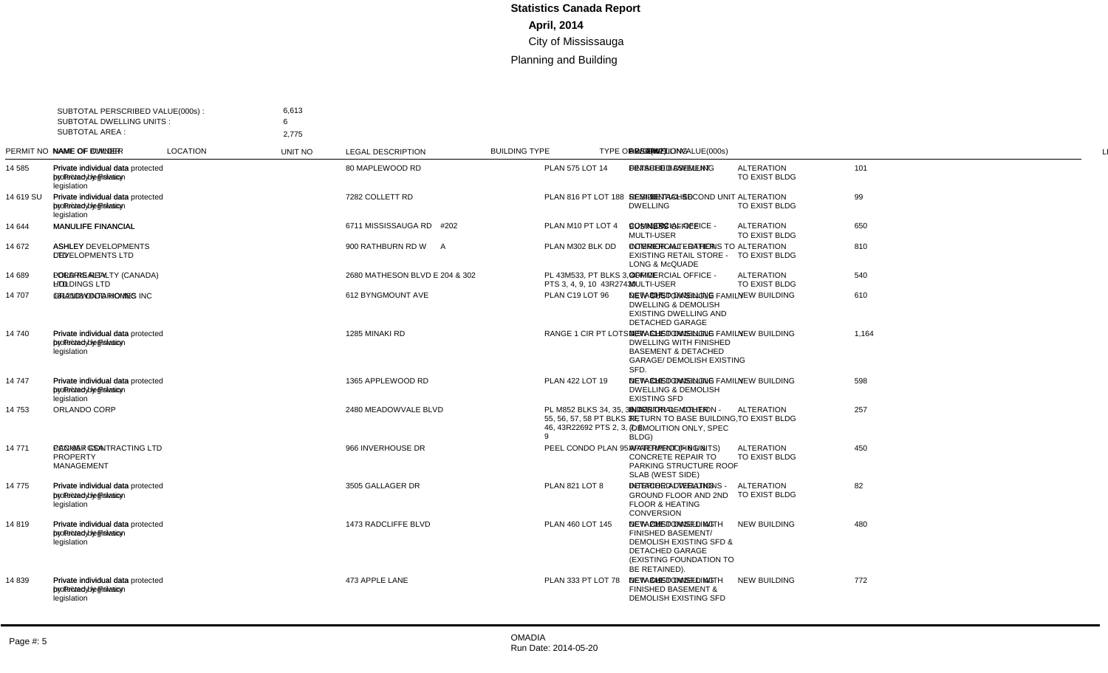| <b>SUBTOTAL AREA:</b> | SUBTOTAL PERSCRIBED VALUE(000s):<br>SUBTOTAL DWELLING UNITS:   | 6,613<br>6<br>2.775                                                             |                      |                |                                                                                            |                                                 |                                    |             |                |     |                                                                                                                                                                  |                |
|-----------------------|----------------------------------------------------------------|---------------------------------------------------------------------------------|----------------------|----------------|--------------------------------------------------------------------------------------------|-------------------------------------------------|------------------------------------|-------------|----------------|-----|------------------------------------------------------------------------------------------------------------------------------------------------------------------|----------------|
|                       | PERMIT NO NAME OF OWNER                                        | <b>NAME OF BUILDER</b>                                                          | <b>LOCATION</b>      | <b>UNIT NO</b> | <b>LEGAL DESCRIPTION</b>                                                                   | <b>BUILDING TYPE</b>                            | <b>TYPE OF WORK</b>                | VALUE(000s) |                |     | DWELLING AREA(m2) DESCRIPTION                                                                                                                                    | LINE           |
| 14 585                | Private individual data<br>protected by Privacy<br>legislation | Private individual data protected 80 MAPLEWOOD RD<br>by Privacy legislation     |                      |                | PLAN 575 LOT 14                                                                            | <b>DETACHED DWELLING</b>                        | <b>ALTERATION</b><br>TO EXIST BLDG | 101         |                |     | <b>FINISHED BASEMENT</b>                                                                                                                                         | $\overline{1}$ |
| 14 619 SU             | Private individual data<br>protected by Privacy<br>legislation | Private individual data protected 7282 COLLETT RD<br>by Privacy legislation     |                      |                | PLAN 816 PT LOT 188                                                                        | SEMI-DETACHED<br><b>DWELLING</b>                | <b>ALTERATION</b><br>TO EXIST BLDG | 99          |                |     | 91 RESIDENTIAL SECOND UNIT                                                                                                                                       | $\overline{2}$ |
| 14 644                | <b>MANULIFE FINANCIAL</b>                                      | <b>MANULIFE FINANCIAL</b>                                                       | 6711 MISSISSAUGA RD  | #202           | PLAN M10 PT LOT 4                                                                          | <b>COMMERCIAL OFFICE -</b><br><b>MULTI-USER</b> | <b>ALTERATION</b><br>TO EXIST BLDG | 650         |                |     | 1,002 BUSINESS OFFICE                                                                                                                                            | 3              |
| 14 672                | <b>ASHLEY</b><br><b>DEVELOPMENTS LTD</b>                       | <b>ASHLEY DEVELOPMENTS</b><br><b>LTD</b>                                        | 900 RATHBURN RD W    | $\mathsf{A}$   | PLAN M302 BLK DD                                                                           | <b>COMMERCIAL - OTHER</b>                       | <b>ALTERATION</b><br>TO EXIST BLDG | 810         |                |     | <b>INTERIOR ALTERATIONS TO</b><br><b>EXISTING RETAIL STORE -</b><br><b>LONG &amp; McQUADE</b>                                                                    | $\overline{4}$ |
| 14 689                | <b>LORD REALTY</b><br><b>HOLDINGS LTD</b>                      | POLARIS REALTY (CANADA)<br><b>LTD</b>                                           | 2680 MATHESON BLVD E | 204 & 302      | PL 43M533, PT BLKS 3, 4 -<br>PTS 3, 4, 9, 10 43R27430                                      | <b>COMMERCIAL OFFICE</b><br>MULTI-USER          | <b>ALTERATION</b><br>TO EXIST BLDG | 540         |                |     | <b>OFFICE</b>                                                                                                                                                    | 5              |
| 14 707                | 1812108 ONTARIO INC                                            | <b>GRANDWOOD HOMES INC</b>                                                      | 612 BYNGMOUNT AVE    |                | PLAN C19 LOT 96                                                                            | <b>DETACHED DWELLING</b>                        | <b>NEW BUILDING</b>                | 610         |                | 307 | NEW CUSTOM SINGLE FAMILY<br><b>DWELLING &amp; DEMOLISH</b><br><b>EXISTING DWELLING AND</b><br><b>DETACHED GARAGE</b>                                             | 6              |
| 14 740                | Private individual data<br>protected by Privacy<br>legislation | Private individual data protected 1285 MINAKI RD<br>by Privacy legislation      |                      |                | RANGE 1 CIR PT LOTS 4.5                                                                    | <b>DETACHED DWELLING</b>                        | <b>NEW BUILDING</b>                | 1,164       | $\overline{1}$ |     | 511 NEW CUSTOM SINGLE FAMILY<br><b>DWELLING WITH FINISHED</b><br><b>BASEMENT &amp; DETACHED</b><br><b>GARAGE/ DEMOLISH EXISTING</b><br>SFD.                      | $\overline{7}$ |
| 14747                 | Private individual data<br>protected by Privacy<br>legislation | Private individual data protected 1365 APPLEWOOD RD<br>by Privacy legislation   |                      |                | PLAN 422 LOT 19                                                                            | <b>DETACHED DWELLING</b>                        | <b>NEW BUILDING</b>                | 598         | $\mathbf 1$    |     | 310 NEW CUSTOM SINGLE FAMILY<br><b>DWELLING &amp; DEMOLISH</b><br><b>EXISTING SFD</b>                                                                            | 8              |
| 14 753                | ORLANDO CORP                                                   |                                                                                 | 2480 MEADOWVALE BLVD |                | PL M852 BLKS 34, 35, 36, 47,<br>55. 56. 57. 58 PT BLKS 37.<br>46, 43R22692 PTS 2, 3, 7, 8, | INDUSTRIAL - OTHER                              | <b>ALTERATION</b><br>TO EXIST BLDG | 257         |                |     | <b>INTERIOR DEMOLITION -</b><br><b>RETURN TO BASE BUILDING.</b><br>(DEMOLITION ONLY, SPEC<br>BLDG)                                                               | 9              |
| 14 771                | <b>PCC-95 / GSA</b><br><b>PROPERTY</b><br><b>MANAGEMENT</b>    | CANMAR CONTRACTING LTD 966 INVERHOUSE DR                                        |                      |                | PEEL CONDO PLAN 95                                                                         | APARTMENT (> 6 UNITS)                           | <b>ALTERATION</b><br>TO EXIST BLDG | 450         |                |     | <b>WATERPROOFING &amp;</b><br><b>CONCRETE REPAIR TO</b><br>PARKING STRUCTURE ROOF<br>SLAB (WEST SIDE)                                                            | 10             |
| 14775                 | Private individual data<br>protected by Privacy<br>legislation | Private individual data protected 3505 GALLAGER DR<br>by Privacy legislation    |                      |                | <b>PLAN 821 LOT 8</b>                                                                      | <b>DETACHED DWELLING</b>                        | <b>ALTERATION</b><br>TO EXIST BLDG | 82          |                |     | <b>INTERIOR ALTERATIONS -</b><br><b>GROUND FLOOR AND 2ND</b><br><b>FLOOR &amp; HEATING</b><br><b>CONVERSION</b>                                                  | 11             |
| 14819                 | Private individual data<br>protected by Privacy<br>legislation | Private individual data protected 1473 RADCLIFFE BLVD<br>by Privacy legislation |                      |                | PLAN 460 LOT 145                                                                           | <b>DETACHED DWELLING</b>                        | <b>NEW BUILDING</b>                | 480         | $\overline{1}$ |     | 205 NEW CUSTOM SFD WITH<br><b>FINISHED BASEMENT/</b><br><b>DEMOLISH EXISTING SFD &amp;</b><br><b>DETACHED GARAGE</b><br>(EXISTING FOUNDATION TO<br>BE RETAINED). | 12             |
| 14 8 39               | Private individual data<br>protected by Privacy<br>legislation | Private individual data protected 473 APPLE LANE<br>by Privacy legislation      |                      |                | PLAN 333 PT LOT 78                                                                         | <b>DETACHED DWELLING</b>                        | <b>NEW BUILDING</b>                | 772         |                |     | 349 NEW CUSTOM SFD WITH<br><b>FINISHED BASEMENT &amp;</b><br>DEMOLISH EXISTING SFD                                                                               | 13             |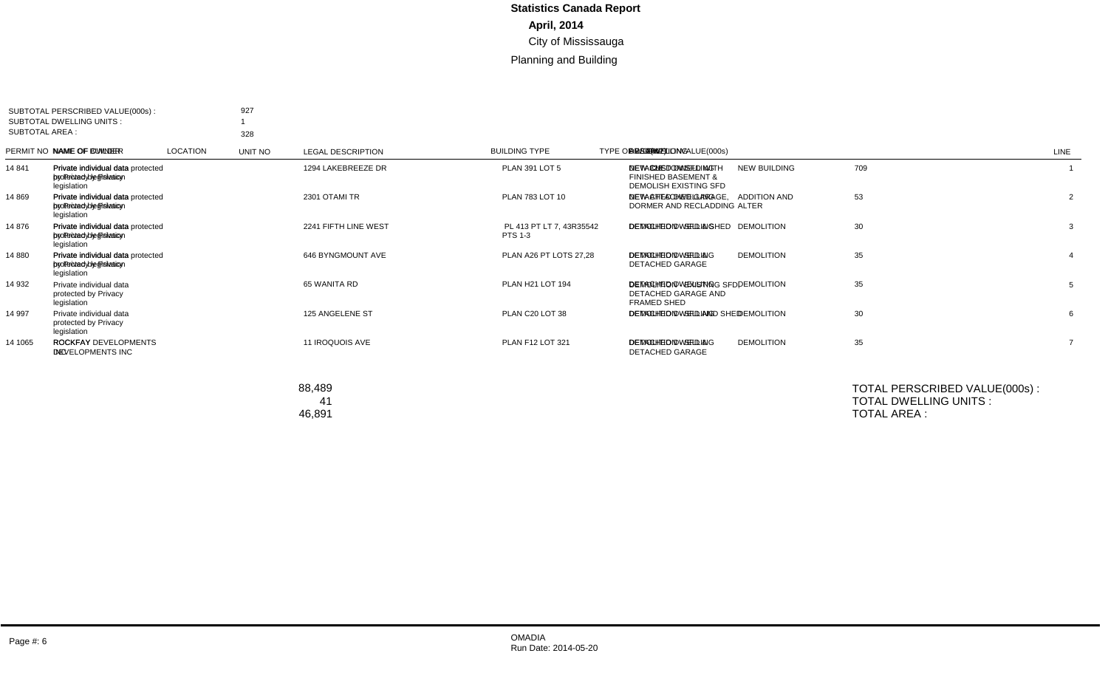| SUBTOTAL PERSCRIBED VALUE(000s):<br>SUBTOTAL DWELLING UNITS:<br>SUBTOTAL AREA : |                                                                | 927<br>328                                                                       |                 |         |                                     |                          |                                     |             |                                                                                    |      |
|---------------------------------------------------------------------------------|----------------------------------------------------------------|----------------------------------------------------------------------------------|-----------------|---------|-------------------------------------|--------------------------|-------------------------------------|-------------|------------------------------------------------------------------------------------|------|
|                                                                                 | PERMIT NO NAME OF OWNER                                        | NAME OF BUILDER                                                                  | <b>LOCATION</b> | UNIT NO | <b>LEGAL DESCRIPTION</b>            | <b>BUILDING TYPE</b>     | <b>TYPE OF WORK</b>                 | VALUE(000s) | DWELLING AREA(m2) DESCRIPTION                                                      | LINE |
| 14 841                                                                          | Private individual data<br>protected by Privacy<br>legislation | Private individual data protected 1294 LAKEBREEZE DR<br>by Privacy legislation   |                 |         | <b>PLAN 391 LOT 5</b>               | DETACHED DWELLING        | <b>NEW BUILDING</b>                 | 709         | 328 NEW CUSTOM SFD WITH<br><b>FINISHED BASEMENT &amp;</b><br>DEMOLISH EXISTING SFD |      |
| 14 869                                                                          | Private individual data<br>protected by Privacy<br>legislation | Private individual data protected 2301 OTAMI TR<br>by Privacy legislation        |                 |         | PLAN 783 LOT 10                     | <b>DETACHED DWELLING</b> | <b>ADDITION AND</b><br><b>ALTER</b> | 53          | NEW ATTACHED GARAGE.<br>DORMER AND RECLADDING                                      | 2    |
| 14 876                                                                          | Private individual data<br>protected by Privacy<br>legislation | Private individual data protected 2241 FIFTH LINE WEST<br>by Privacy legislation |                 |         | PL 413 PT LT 7, 43R35542<br>PTS 1-3 | DETACHED DWELLING        | <b>DEMOLITION</b>                   | 30          | DEMOLITION - SFD & SHED                                                            | 3    |
| 14 880                                                                          | Private individual data<br>protected by Privacy<br>legislation | Private individual data protected 646 BYNGMOUNT AVE<br>by Privacy legislation    |                 |         | PLAN A26 PT LOTS 27,28              | DETACHED DWELLING        | <b>DEMOLITION</b>                   | 35          | <b>DEMOLITION - SFD &amp;</b><br><b>DETACHED GARAGE</b>                            |      |
| 14 932                                                                          | Private individual data<br>protected by Privacy<br>legislation |                                                                                  | 65 WANITA RD    |         | PLAN H21 LOT 194                    | DETACHED DWELLING        | <b>DEMOLITION</b>                   | 35          | DEMOLITION - EXISTING SFD.<br>DETACHED GARAGE AND<br>FRAMED SHED                   | 5    |
| 14 997                                                                          | Private individual data<br>protected by Privacy<br>legislation |                                                                                  | 125 ANGELENE ST |         | PLAN C20 LOT 38                     | <b>DETACHED DWELLING</b> | <b>DEMOLITION</b>                   | 30          | DEMOLITION - SFD AND SHED                                                          | 6    |
| 14 10 65                                                                        | <b>ROCKFAY</b><br><b>DEVELOPMENTS INC</b>                      | ROCKFAY DEVELOPMENTS<br><b>INC</b>                                               | 11 IROQUOIS AVE |         | PLAN F12 LOT 321                    | <b>DETACHED DWELLING</b> | <b>DEMOLITION</b>                   | 35          | <b>DEMOLITION - SFD &amp;</b><br><b>DETACHED GARAGE</b>                            |      |

| TOTAL PERSCRIBED VALUE(000s): | 88.489 |
|-------------------------------|--------|
| TOTAL DWELLING UNITS:         | 41     |
| TOTAL AREA :                  | 46.891 |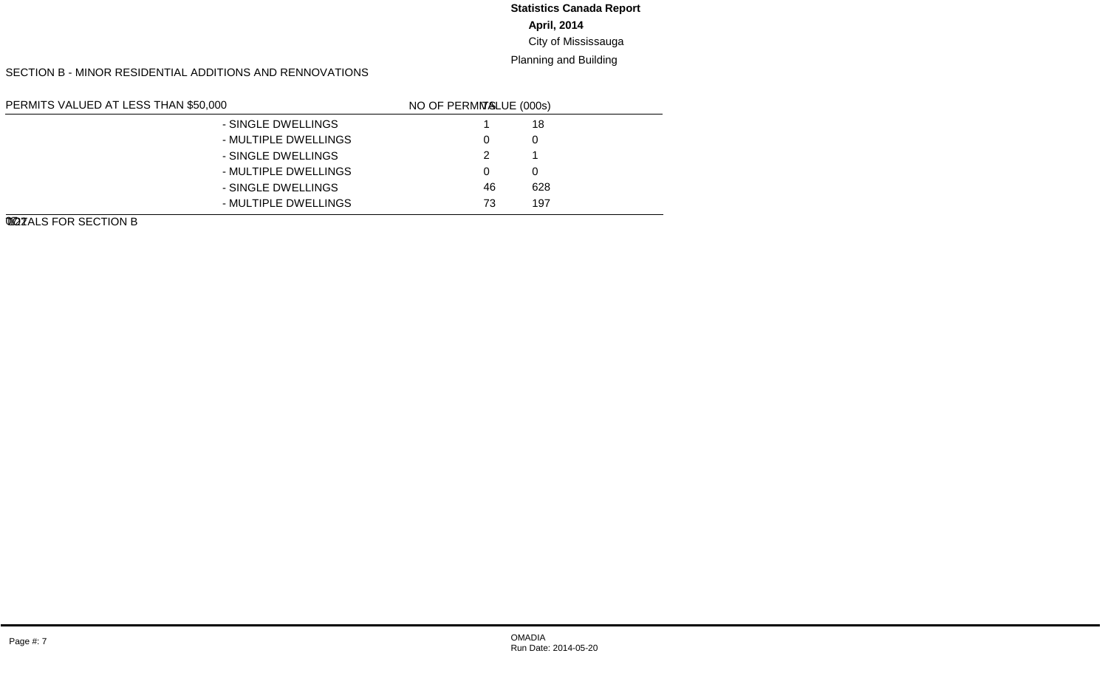## **April, 2014** City of Mississauga **Statistics Canada Report**

#### Planning and Building

SECTION B - MINOR RESIDENTIAL ADDITIONS AND RENNOVATIONS

| PERMITS VALUED AT LESS THAN \$50,000 |                      | LINE NO. | <b>VALUE (000s)</b> | NO OF PERMITS |
|--------------------------------------|----------------------|----------|---------------------|---------------|
| NEW GARAGES AND CARPORTS             | - SINGLE DWELLINGS   | 01       | 18                  |               |
|                                      | - MULTIPLE DWELLINGS | 02       |                     | 0             |
| NEW INGROUND SWIMMING POOLS          | - SINGLE DWELLINGS   | 03       |                     | 2             |
|                                      | - MULTIPLE DWELLINGS | 04       |                     | $\Omega$      |
| OTHER IMPROVEMENTS                   | - SINGLE DWELLINGS   | 05       | 628                 | 46            |
|                                      | - MULTIPLE DWELLINGS | 06       | 197                 | 73            |
| TOTALS FOR SECTION B                 |                      | 07       | 844                 | 122           |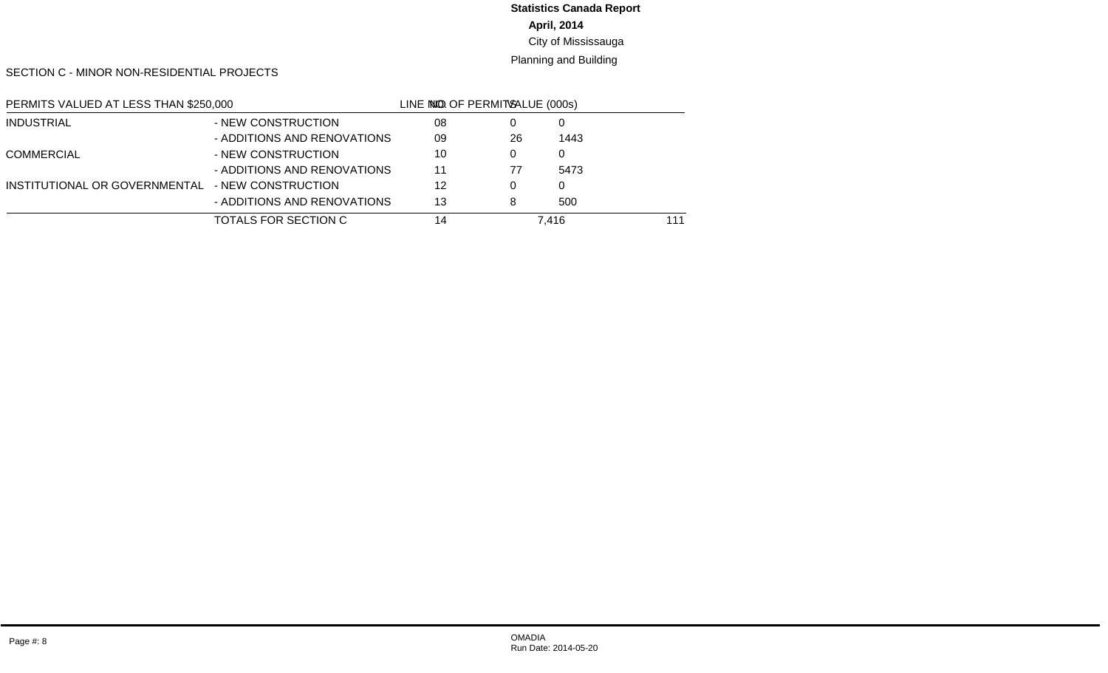# **April, 2014 Statistics Canada Report**

## City of Mississauga

#### Planning and Building

SECTION C - MINOR NON-RESIDENTIAL PROJECTS

| PERMITS VALUED AT LESS THAN \$250,000 |                             | LINE NO. | <b>VALUE (000s)</b> | NO OF PERMITS |
|---------------------------------------|-----------------------------|----------|---------------------|---------------|
| <b>INDUSTRIAL</b>                     | - NEW CONSTRUCTION          | 08       |                     |               |
|                                       | - ADDITIONS AND RENOVATIONS | 09       | 1443                | 26            |
| <b>COMMERCIAL</b>                     | - NEW CONSTRUCTION          | 10       |                     | $\Omega$      |
|                                       | - ADDITIONS AND RENOVATIONS | 11       | 5473                | 77            |
| INSTITUTIONAL OR GOVERNMENTAL         | - NEW CONSTRUCTION          | 12       |                     | 0             |
|                                       | - ADDITIONS AND RENOVATIONS | 13       | 500                 | 8             |
| TOTALS FOR SECTION C                  |                             | 14       | 7.416               | 111           |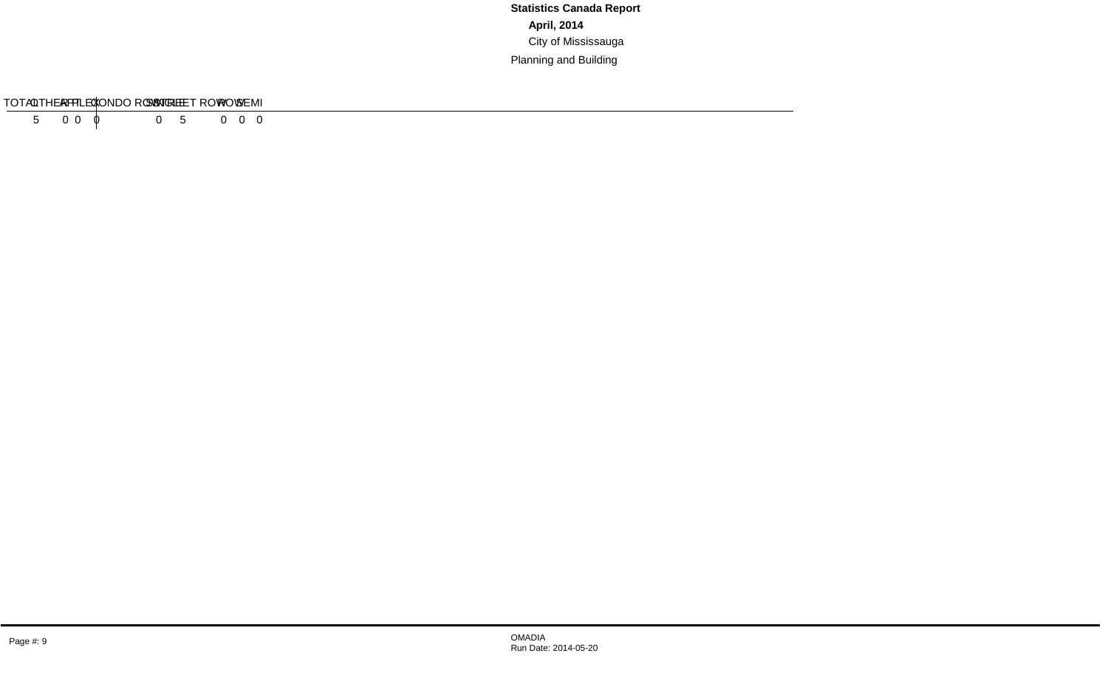#### SECTION D - RESIDENTIAL DEMOLITIONS

| <b>TVDE</b>     | SINGLE | <b>SEMI</b> | RC.<br>WU | ∵ROW. | <b>CONDO ROW</b> | $\mathbf{r}$<br>וח<br>$\overline{\phantom{a}}$<br>--- | $\sqrt{2}$<br>∸<br>`` | பார<br>וםח | $-2 - 1$<br>ΓΔ<br>᠁ |
|-----------------|--------|-------------|-----------|-------|------------------|-------------------------------------------------------|-----------------------|------------|---------------------|
| , INITS<br># OF |        |             |           |       |                  |                                                       |                       |            |                     |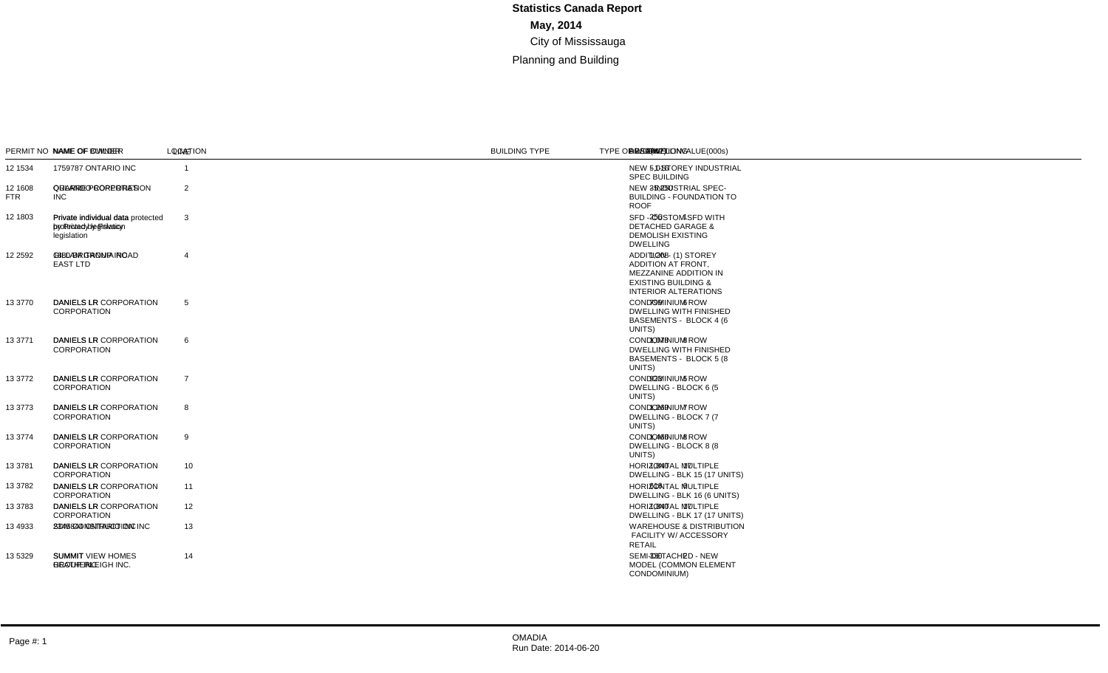#### SECTION A - MAJOR CONSTRUCTION PROJECTS

| <b>SUBTOTAL AREA:</b> | SUBTOTAL PERSCRIBED VALUE(000s):<br><b>SUBTOTAL DWELLING UNITS:</b> | 57,686<br>79<br>52,366                                                     |                                            |              |                                                                                  |                                           |                                         |             |                               |     |                                                                                                                                                    |                |
|-----------------------|---------------------------------------------------------------------|----------------------------------------------------------------------------|--------------------------------------------|--------------|----------------------------------------------------------------------------------|-------------------------------------------|-----------------------------------------|-------------|-------------------------------|-----|----------------------------------------------------------------------------------------------------------------------------------------------------|----------------|
|                       | PERMIT NO NAME OF OWNER                                             | NAME OF BUILDER                                                            | <b>LOCATION</b>                            | UNIT NO      | <b>LEGAL DESCRIPTION</b>                                                         | <b>BUILDING TYPE</b>                      | <b>TYPE OF WORK</b>                     | VALUE(000s) | DWELLING AREA(m2) DESCRIPTION |     |                                                                                                                                                    | LINE           |
| 12 1534               | 1759787 ONTARIO INC                                                 |                                                                            | 1200 DERRY RD E B                          |              | CON 3 EHS. PT LT 10 - PTS<br>1.2.3.5 43R32377                                    | MULTI-TENANT<br><b>INDUSTRIAL</b>         | <b>NEW BUILDING</b>                     | 4,565       |                               |     | 5,016 NEW - 1-STOREY INDUSTRIAL<br><b>SPEC BUILDING</b>                                                                                            | $\overline{1}$ |
| 12 1608<br><b>FTR</b> | <b>INC</b>                                                          | QUARRE PROPERTIES ORLANDO CORPORATION                                      | 2450 HOGAN DR                              |              | <b>B 1 PLAN M-1780</b>                                                           | <b>INDUSTRIAL - OTHER</b>                 | <b>NEW BUILDING</b>                     | 29,786      |                               |     | 35.250 NEW - INDUSTRIAL SPEC-<br><b>BUILDING - FOUNDATION TO</b><br><b>ROOF</b>                                                                    | 2              |
| 12 1803               | Private individual data<br>protected by Privacy<br>legislation      | Private individual data protected 12 THEODORE DR<br>by Privacy legislation |                                            |              | <b>PLAN 542 LOT 4</b>                                                            | <b>DETACHED DWELLING</b>                  | <b>NEW BUILDING</b>                     | 490         |                               |     | 256 SFD - CUSTOM SFD WITH<br><b>DETACHED GARAGE &amp;</b><br><b>DEMOLISH EXISTING</b><br><b>DWELLING</b>                                           | 3              |
| 12 2592               | 1880 BRITANNIA ROAD<br><b>EAST LTD</b>                              | <b>GILLAM GROUP INC</b>                                                    | 1870 BRITANNIA RD E                        |              | CON 4 EHS PT L 5, LESS<br>43R22923 PTS 1.2                                       | SINGLE TENANT<br><b>INDUSTRIAL</b>        | <b>ADDITION TO</b><br><b>EXIST BLDG</b> | 1.474       |                               |     | 1,208 ADDITION - (1) STOREY<br><b>ADDITION AT FRONT.</b><br>MEZZANINE ADDITION IN<br><b>EXISTING BUILDING &amp;</b><br><b>INTERIOR ALTERATIONS</b> | $\overline{4}$ |
| 13 3770               | <b>DANIELS LR</b><br><b>CORPORATION</b>                             | DANIELS LR CORPORATION 5060 HARVARD RD 4                                   |                                            | $1-6$        | CON 11 NS. PT LT 1 - PTS<br>1, 4, 6, 8-12 43R34035                               | <b>CONDOMINIUM ROW</b><br><b>DWELLING</b> | <b>NEW BUILDING</b>                     | 1,508       | 6                             |     | 799 CONDOMINIUM ROW<br><b>DWELLING WITH FINISHED</b><br>BASEMENTS - BLOCK 4 (6)<br>UNITS)                                                          | 5              |
| 13 3771               | <b>DANIELS LR</b><br><b>CORPORATION</b>                             | DANIELS LR CORPORATION 5070 HARVARD RD 5                                   |                                            | $1 - 8$      | CON 11 NS. PT LT 1 - PTS<br>1, 4, 6, 8-12 43R34035                               | <b>CONDOMINIUM ROW</b><br><b>DWELLING</b> | <b>NEW BUILDING</b>                     | 2,033       | 8                             |     | 1.078 CONDOMINIUM ROW<br><b>DWELLING WITH FINISHED</b><br>BASEMENTS - BLOCK 5 (8)<br>UNITS)                                                        | 6              |
| 13 3772               | <b>DANIELS LR</b><br><b>CORPORATION</b>                             | DANIELS LR CORPORATION 3190 BOXFORD CRES 6                                 |                                            | $1 - 5$      | CON 11 NS. PT LT 1 - PTS<br>1.4.6.8-12 43R34035                                  | <b>CONDOMINIUM ROW</b><br><b>DWELLING</b> | <b>NEW BUILDING</b>                     | 1,607       | -5                            | 923 | <b>CONDOMINIUM ROW</b><br>DWELLING - BLOCK 6 (5)<br>UNITS)                                                                                         | $\overline{7}$ |
| 13 3773               | <b>DANIELS LR</b><br><b>CORPORATION</b>                             | DANIELS LR CORPORATION 3180 BOXFORD CRES 7                                 |                                            | $1 - 7$      | CON 11 NS. PT LT 1 - PTS<br>1, 4, 6, 8-12 43R34035                               | <b>CONDOMINIUM ROW</b><br><b>DWELLING</b> | <b>NEW BUILDING</b>                     | 2,210       | $\overline{7}$                |     | 1.269 CONDOMINIUM ROW<br>DWELLING - BLOCK 7 (7)<br>UNITS)                                                                                          | 8              |
| 13 3774               | <b>DANIELS LR</b><br><b>CORPORATION</b>                             | DANIELS LR CORPORATION 3170 BOXFORD CRES 8                                 |                                            | $1 - 8$      | CON 11 NS. PT LT 1 - PTS<br>1, 4, 6, 8-12 43R34035                               | <b>CONDOMINIUM ROW</b><br><b>DWELLING</b> | <b>NEW BUILDING</b>                     | 2,553       | 8                             |     | 1.466 CONDOMINIUM ROW<br>DWELLING - BLOCK 8 (8)<br>UNITS)                                                                                          | 9              |
| 13 3781               | <b>DANIELS LR</b><br><b>CORPORATION</b>                             | DANIELS LR CORPORATION 3185 BOXFORD CRES 15                                |                                            | $1 - 17$     | CON 11 NS. PT LT 1 - PTS<br>1, 4, 6, 8-12 43R34035                               | <b>CONDOMINIUM ROW</b><br><b>DWELLING</b> | <b>NEW BUILDING</b>                     | 3.747       | 17                            |     | 1.840 HORIZONTAL MULTIPLE<br>DWELLING - BLK 15 (17 UNITS)                                                                                          | 10             |
| 13 3782               | <b>DANIELS LR</b><br>CORPORATION                                    | DANIELS LR CORPORATION 3175 BOXFORD CRES 16                                |                                            | $1 - 6$      | CON 11 NS. PT LT 1 - PTS<br>1, 4, 6, 8-12 43R34035                               | <b>CONDOMINIUM ROW</b><br><b>DWELLING</b> | <b>NEW BUILDING</b>                     | 1.256       | 6                             |     | 618 HORIZONTAL MULTIPLE<br>DWELLING - BLK 16 (6 UNITS)                                                                                             | 11             |
| 13 3783               | <b>DANIELS LR</b><br><b>CORPORATION</b>                             | DANIELS LR CORPORATION 3135 BOXFORD CRES 17                                |                                            | $1 - 17$     | CON 11 NS. PT LT 1 - PTS<br>1, 4, 6, 8-12 43R34035                               | <b>CONDOMINIUM ROW</b><br><b>DWELLING</b> | <b>NEW BUILDING</b>                     | 3.741       | 17                            |     | 1.840 HORIZONTAL MULTIPLE<br>DWELLING - BLK 17 (17 UNITS)                                                                                          | 12             |
| 13 4933               | 2345844 ONTARIO INC                                                 | SDM CONSTRUCTION INC                                                       | 3069 WOLFEDALE RD                          | $\mathbf{1}$ | CON 1 NDS PT LOT 21                                                              | MULTI-TENANT<br><b>INDUSTRIAL</b>         | <b>ALTERATION</b><br>TO EXIST BLDG      | 1,315       |                               |     | <b>WAREHOUSE &amp; DISTRIBUTION</b><br>FACILITY W/ ACCESSORY<br><b>RETAIL</b>                                                                      | 13             |
| 13 5329               | <b>SUMMIT</b><br><b>HEATHERLEIGH INC.</b>                           | <b>SUMMIT VIEW HOMES</b><br><b>GROUP INC</b>                               | 883 FRANCINE CRES L<br>881 FRANCINE CRES R |              | 43M1502, PT BLK 82 - PT<br>63 43R35258<br>43M1502, PT BLK 82 - PT<br>64 43R35258 | SEMI-DETACHED<br><b>DWELLING</b>          | <b>NEW BUILDING</b>                     | 575         | 2                             | 330 | SEMI-DETACHED - NEW<br>MODEL (COMMON ELEMENT<br>CONDOMINIUM)                                                                                       | 14             |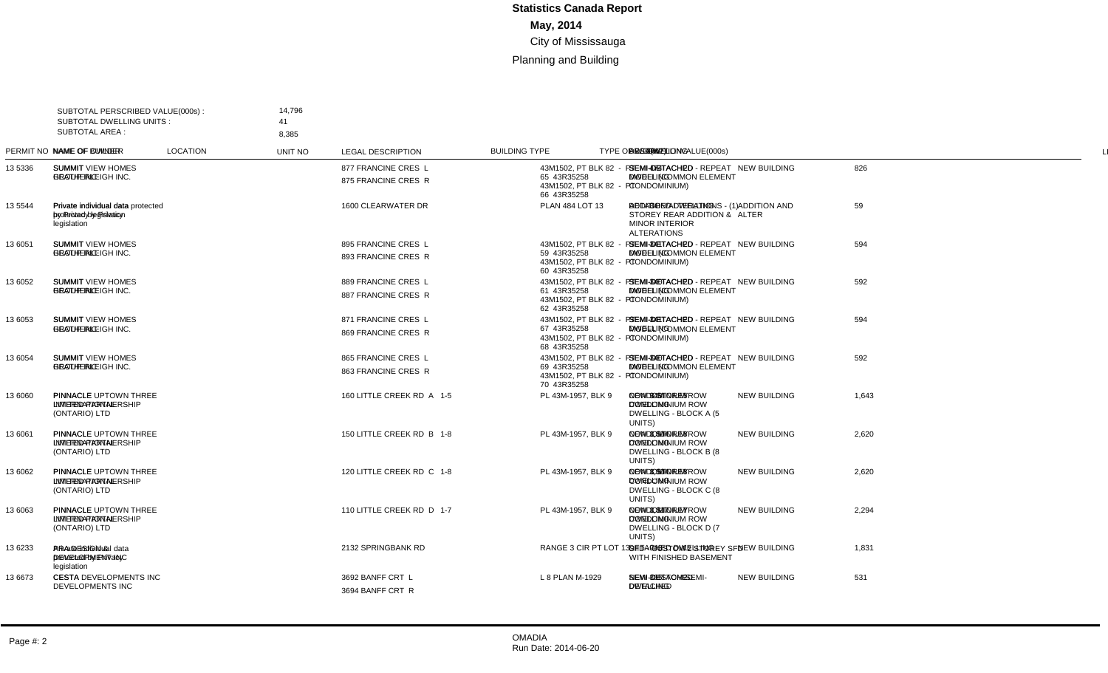| SUBTOTAL AREA : | SUBTOTAL PERSCRIBED VALUE(000s):<br><b>SUBTOTAL DWELLING UNITS:</b> | 14,796<br>41                                                                   |                                            |         |                                                                                  |                                           |                                     |             |                |       |                                                                                                     |                |
|-----------------|---------------------------------------------------------------------|--------------------------------------------------------------------------------|--------------------------------------------|---------|----------------------------------------------------------------------------------|-------------------------------------------|-------------------------------------|-------------|----------------|-------|-----------------------------------------------------------------------------------------------------|----------------|
|                 | PERMIT NO NAME OF OWNER                                             | 8,385<br>NAME OF BUILDER                                                       | <b>LOCATION</b>                            | UNIT NO | <b>LEGAL DESCRIPTION</b>                                                         | <b>BUILDING TYPE</b>                      | <b>TYPE OF WORK</b>                 | VALUE(000s) |                |       | DWELLING AREA(m2) DESCRIPTION                                                                       | <b>LINE</b>    |
| 13 5336         | <b>SUMMIT</b><br><b>HEATHERLEIGH INC.</b>                           | <b>SUMMIT VIEW HOMES</b><br><b>GROUP INC</b>                                   | 877 FRANCINE CRES L<br>875 FRANCINE CRES R |         | 43M1502, PT BLK 82 - PT<br>65 43R35258<br>43M1502, PT BLK 82 - PT<br>66 43R35258 | SEMI-DETACHED<br><b>DWELLING</b>          | <b>NEW BUILDING</b>                 | 826         | 2              |       | 474 SEMI-DETACHED - REPEAT<br>MODEL (COMMON ELEMENT<br>CONDOMINIUM)                                 | $\overline{1}$ |
| 13 5544         | Private individual data<br>protected by Privacy<br>legislation      | Private individual data protected 1600 CLEARWATER DR<br>by Privacy legislation |                                            |         | <b>PLAN 484 LOT 13</b>                                                           | <b>DETACHED DWELLING</b>                  | <b>ADDITION AND</b><br><b>ALTER</b> | 59          |                | 34    | ADDITION/ALTERATIONS - (1)<br>STOREY REAR ADDITION &<br><b>MINOR INTERIOR</b><br><b>ALTERATIONS</b> | $\overline{2}$ |
| 13 6051         | <b>SUMMIT</b><br><b>HEATHERLEIGH INC.</b>                           | <b>SUMMIT VIEW HOMES</b><br><b>GROUP INC</b>                                   | 895 FRANCINE CRES L<br>893 FRANCINE CRES R |         | 43M1502. PT BLK 82 - PT<br>59 43R35258<br>43M1502. PT BLK 82 - PT<br>60 43R35258 | SEMI-DETACHED<br><b>DWELLING</b>          | <b>NEW BUILDING</b>                 | 594         | 2              | 341   | SEMI-DETACHED - REPEAT<br>MODEL (COMMON ELEMENT<br>CONDOMINIUM)                                     | $\mathbf{3}$   |
| 13 6052         | <b>SUMMIT</b><br><b>HEATHERLEIGH INC.</b>                           | <b>SUMMIT VIEW HOMES</b><br><b>GROUP INC</b>                                   | 889 FRANCINE CRES L<br>887 FRANCINE CRES R |         | 43M1502, PT BLK 82 - PT<br>61 43R35258<br>43M1502, PT BLK 82 - PT<br>62 43R35258 | SEMI-DETACHED<br><b>DWELLING</b>          | <b>NEW BUILDING</b>                 | 592         | $\overline{2}$ | 340   | SEMI-DETACHED - REPEAT<br><b>MODEL (COMMON ELEMENT</b><br>CONDOMINIUM)                              | $\overline{4}$ |
| 13 6053         | <b>SUMMIT</b><br><b>HEATHERLEIGH INC.</b>                           | <b>SUMMIT VIEW HOMES</b><br><b>GROUP INC</b>                                   | 871 FRANCINE CRES L<br>869 FRANCINE CRES R |         | 43M1502, PT BLK 82 - PT<br>67 43R35258<br>43M1502. PT BLK 82 - PT<br>68 43R35258 | SEMI-DETACHED<br><b>DWELLING</b>          | <b>NEW BUILDING</b>                 | 594         | 2              | 341   | SEMI-DETACHED - REPEAT<br>MODEL (COMMON ELEMENT<br>CONDOMINIUM)                                     | 5              |
| 13 6054         | <b>SUMMIT</b><br>HEATHERLEIGH INC.                                  | <b>SUMMIT VIEW HOMES</b><br><b>GROUP INC</b>                                   | 865 FRANCINE CRES L<br>863 FRANCINE CRES R |         | 43M1502, PT BLK 82 - PT<br>69 43R35258<br>43M1502. PT BLK 82 - PT<br>70 43R35258 | SEMI-DETACHED<br><b>DWELLING</b>          | <b>NEW BUILDING</b>                 | 592         | $\mathcal{P}$  | 340   | SEMI-DETACHED - REPEAT<br>MODEL (COMMON ELEMENT<br>CONDOMINIUM)                                     | 6              |
| 13 6060         | <b>PINNACLE</b><br><b>INTERNATIONAL</b><br>(ONTARIO) LTD            | PINNACLE UPTOWN THREE<br><b>LIMITED PARTNERSHIP</b>                            | 160 LITTLE CREEK RD A                      | $1 - 5$ | PL 43M-1957. BLK 9                                                               | <b>CONDOMINIUM ROW</b><br><b>DWELLING</b> | <b>NEW BUILDING</b>                 | 1.643       | 5              | 943   | <b>NEW 3 STOREY</b><br><b>CONDOMINIUM ROW</b><br>DWELLING - BLOCK A (5<br>UNITS)                    | $\overline{7}$ |
| 13 6061         | <b>PINNACLE</b><br><b>INTERNATIONAL</b><br>(ONTARIO) LTD            | PINNACLE UPTOWN THREE<br><b>LIMITED PARTNERSHIP</b>                            | 150 LITTLE CREEK RD B                      | $1 - 8$ | PL 43M-1957. BLK 9                                                               | <b>CONDOMINIUM ROW</b><br><b>DWELLING</b> | <b>NEW BUILDING</b>                 | 2,620       | 8              | 1.504 | <b>NEW 3 STOREY</b><br><b>CONDOMINIUM ROW</b><br>DWELLING - BLOCK B (8)<br>UNITS)                   | 8              |
| 13 6062         | <b>PINNACLE</b><br><b>INTERNATIONAL</b><br>(ONTARIO) LTD            | PINNACLE UPTOWN THREE<br><b>LIMITED PARTNERSHIP</b>                            | 120 LITTLE CREEK RD C                      | $1 - 8$ | PL 43M-1957. BLK 9                                                               | <b>CONDOMINIUM ROW</b><br><b>DWELLING</b> | <b>NEW BUILDING</b>                 | 2,620       | 8              |       | 1.504 NEW 3 STOREY<br><b>CONDOMINIUM ROW</b><br>DWELLING - BLOCK C (8<br>UNITS)                     | 9              |
| 13 6063         | <b>PINNACLE</b><br><b>INTERNATIONAL</b><br>(ONTARIO) LTD            | PINNACLE UPTOWN THREE<br><b>LIMITED PARTNERSHIP</b>                            | 110 LITTLE CREEK RD D                      | $1 - 7$ | PL 43M-1957. BLK 9                                                               | <b>CONDOMINIUM ROW</b><br><b>DWELLING</b> | <b>NEW BUILDING</b>                 | 2.294       | $\overline{7}$ |       | 1.317 NEW 3 STOREY<br><b>CONDOMINIUM ROW</b><br>DWELLING - BLOCK D (7<br>UNITS)                     | 10             |
| 13 6233         | Private individual data<br>protected by Privacy<br>legislation      | ARA DESIGN &<br><b>DEVELOPMENT INC</b>                                         | 2132 SPRINGBANK RD                         |         | RANGE 3 CIR PT LOT 13                                                            | DETACHED DWELLING                         | <b>NEW BUILDING</b>                 | 1,831       | $\overline{1}$ | 943   | SFD - CUSTOM 2 STOREY SFD<br>WITH FINISHED BASEMENT                                                 | 11             |
| 13 6673         | <b>CESTA</b><br>DEVELOPMENTS INC                                    | <b>CESTA DEVELOPMENTS INC</b>                                                  | 3692 BANFF CRT L<br>3694 BANFF CRT R       |         | L 8 PLAN M-1929                                                                  | SEMI-DETACHED<br><b>DWELLING</b>          | <b>NEW BUILDING</b>                 | 531         | 2              |       | 305 NEW CUSTOM SEMI-<br><b>DETACHED</b>                                                             | 12             |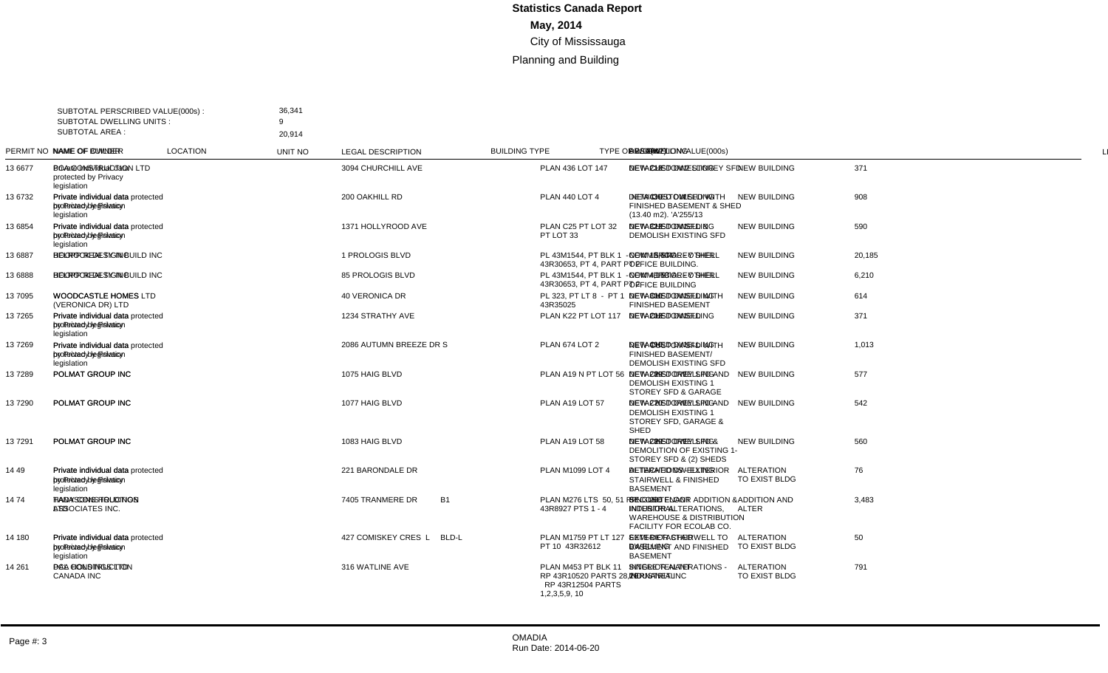| SUBTOTAL AREA : | SUBTOTAL PERSCRIBED VALUE(000s):<br><b>SUBTOTAL DWELLING UNITS:</b> | 36,341<br><b>q</b><br>20.914                                                        |                    |                |                                                                                            |                                    |                                     |             |                |        |                                                                                                                                      |                 |
|-----------------|---------------------------------------------------------------------|-------------------------------------------------------------------------------------|--------------------|----------------|--------------------------------------------------------------------------------------------|------------------------------------|-------------------------------------|-------------|----------------|--------|--------------------------------------------------------------------------------------------------------------------------------------|-----------------|
|                 | PERMIT NO NAME OF OWNER                                             | NAME OF BUILDER                                                                     | <b>LOCATION</b>    | <b>UNIT NO</b> | <b>LEGAL DESCRIPTION</b>                                                                   | <b>BUILDING TYPE</b>               | <b>TYPE OF WORK</b>                 | VALUE(000s) |                |        | DWELLING AREA(m2) DESCRIPTION                                                                                                        | <b>LINE</b>     |
| 13 6677         | Private individual data<br>protected by Privacy<br>legislation      | <b>BCA CONSTRUCTION LTD</b>                                                         | 3094 CHURCHILL AVE |                | PLAN 436 LOT 147                                                                           | <b>DETACHED DWELLING</b>           | <b>NEW BUILDING</b>                 | 371         | -1             |        | 213 NEW CUSTOM 2 STOREY SFD                                                                                                          | $\overline{1}$  |
| 13 6732         | Private individual data<br>protected by Privacy<br>legislation      | Private individual data protected 200 OAKHILL RD<br>by Privacy legislation          |                    |                | <b>PLAN 440 LOT 4</b>                                                                      | <b>DETACHED DWELLING</b>           | <b>NEW BUILDING</b>                 | 908         |                | 439    | NEW CUSTOM SFD WITH<br>FINISHED BASEMENT & SHED<br>(13.40 m2). 'A'255/13                                                             | 2               |
| 13 6854         | Private individual data<br>protected by Privacy<br>legislation      | Private individual data protected 1371 HOLLYROOD AVE<br>by Privacy legislation      |                    |                | PLAN C25 PT LOT 32<br>PT LOT 33                                                            | <b>DETACHED DWELLING</b>           | <b>NEW BUILDING</b>                 | 590         | $\overline{1}$ |        | 323 NEW CUSTOM SFD &<br><b>DEMOLISH EXISTING SFD</b>                                                                                 | 3               |
| 13 6887         | <b>HOOPP REALTY INC</b>                                             | BELROCK DESIGN BUILD INC 1 PROLOGIS BLVD                                            |                    |                | PL 43M1544. PT BLK 1 -<br>43R30653, PT 4, PART PT 2                                        | <b>COMMERCIAL - OTHER</b>          | <b>NEW BUILDING</b>                 | 20,185      |                | 13.644 | NEW - 5 STOREY SHELL<br>OFFICE BUILDING.                                                                                             | $\overline{4}$  |
| 13 6888         | <b>HOOPP REALTY INC</b>                                             | BELROCK DESIGN BUILD INC 85 PROLOGIS BLVD                                           |                    |                | PL 43M1544, PT BLK 1 -<br>43R30653, PT 4, PART PT 2                                        | <b>COMMERCIAL - OTHER</b>          | <b>NEW BUILDING</b>                 | 6,210       |                |        | 4,158 NEW - 1 STOREY SHELL<br>OFFICE BUILDING                                                                                        | 5               |
| 13 7095         | <b>WOODCASTLE HOMES</b><br>(VERONICA DR) LTD                        | WOODCASTLE HOMES LTD                                                                | 40 VERONICA DR     |                | PL 323. PT LT 8 - PT 1<br>43R35025                                                         | <b>DETACHED DWELLING</b>           | <b>NEW BUILDING</b>                 | 614         | $\overline{1}$ |        | 300 NEW CUSTOM SFD WITH<br><b>FINISHED BASEMENT</b>                                                                                  | 6               |
| 137265          | Private individual data<br>protected by Privacy<br>legislation      | Private individual data protected 1234 STRATHY AVE<br>by Privacy legislation        |                    |                | PLAN K22 PT LOT 117                                                                        | <b>DETACHED DWELLING</b>           | <b>NEW BUILDING</b>                 | 371         | $\overline{1}$ |        | 202 NEW CUSTOM SFD                                                                                                                   | $\overline{7}$  |
| 137269          | Private individual data<br>protected by Privacy<br>legislation      | Private individual data protected 2086 AUTUMN BREEZE DR S<br>by Privacy legislation |                    |                | <b>PLAN 674 LOT 2</b>                                                                      | <b>DETACHED DWELLING</b>           | <b>NEW BUILDING</b>                 | 1,013       | $\overline{1}$ |        | 490 NEW CUSTOM SFD WITH<br><b>FINISHED BASEMENT/</b><br><b>DEMOLISH EXISTING SFD</b>                                                 | 8               |
| 137289          | POLMAT GROUP INC                                                    | POLMAT GROUP INC                                                                    | 1075 HAIG BLVD     |                | PLAN A19 N PT LOT 56                                                                       | <b>DETACHED DWELLING</b>           | <b>NEW BUILDING</b>                 | 577         | -1             |        | 289 NEW - 2-STOREY SFD AND<br><b>DEMOLISH EXISTING 1</b><br>STOREY SFD & GARAGE                                                      | 9               |
| 137290          | POLMAT GROUP INC                                                    | POLMAT GROUP INC                                                                    | 1077 HAIG BLVD     |                | PLAN A19 LOT 57                                                                            | <b>DETACHED DWELLING</b>           | <b>NEW BUILDING</b>                 | 542         |                |        | 270 NEW - 2 STOREY SFD AND<br><b>DEMOLISH EXISTING 1</b><br>STOREY SFD, GARAGE &<br>SHED                                             | 10 <sup>°</sup> |
| 137291          | POLMAT GROUP INC                                                    | POLMAT GROUP INC                                                                    | 1083 HAIG BLVD     |                | PLAN A19 LOT 58                                                                            | <b>DETACHED DWELLING</b>           | <b>NEW BUILDING</b>                 | 560         | $\overline{1}$ | 289    | NEW - 2-STOREY SFD &<br>DEMOLITION OF EXISTING 1-<br>STOREY SFD & (2) SHEDS                                                          | 11              |
| 14 49           | Private individual data<br>protected by Privacy<br>legislation      | Private individual data protected 221 BARONDALE DR<br>by Privacy legislation        |                    |                | PLAN M1099 LOT 4                                                                           | DETACHED DWELLING                  | <b>ALTERATION</b><br>TO EXIST BLDG  | 76          |                |        | <b>ALTERATIONS - EXTERIOR</b><br><b>STAIRWELL &amp; FINISHED</b><br><b>BASEMENT</b>                                                  | 12              |
| 1474            | <b>TANASONS HOLDINGS</b><br><b>LTD</b>                              | <b>HADY CONSTRUCTION</b><br>ASSOCIATES INC.                                         | 7405 TRANMERE DR   | <b>B1</b>      | PLAN M276 LTS 50, 51 RP<br>43R8927 PTS 1 - 4                                               | SINGLE TENANT<br><b>INDUSTRIAL</b> | <b>ADDITION AND</b><br><b>ALTER</b> | 3.483       |                | 296    | <b>SECOND FLOOR ADDITION &amp;</b><br><b>INTERIOR ALTERATIONS.</b><br><b>WAREHOUSE &amp; DISTRIBUTION</b><br>FACILITY FOR ECOLAB CO. | 13              |
| 14 180          | Private individual data<br>protected by Privacy<br>legislation      | Private individual data protected 427 COMISKEY CRES L<br>by Privacy legislation     |                    | BLD-L          | PLAN M1759 PT LT 127 -<br>PT 10 43R32612                                                   | SEMI-DETACHED<br><b>DWELLING</b>   | <b>ALTERATION</b><br>TO EXIST BLDG  | 50          |                |        | <b>EXTERIOR STAIRWELL TO</b><br><b>BASEMENT AND FINISHED</b><br><b>BASEMENT</b>                                                      | 14              |
| 14 261          | DAA HOLDINGS LTD                                                    | PCL CONSTRUCTION<br><b>CANADA INC</b>                                               | 316 WATLINE AVE    |                | PLAN M453 PT BLK 11<br>RP 43R10520 PARTS 28,29<br><b>RP 43R12504 PARTS</b><br>1,2,3,5,9,10 | SINGLE TENANT<br><b>INDUSTRIAL</b> | <b>ALTERATION</b><br>TO EXIST BLDG  | 791         |                |        | INTERIOR ALTERATIONS -<br>TERNANET INC                                                                                               | 15              |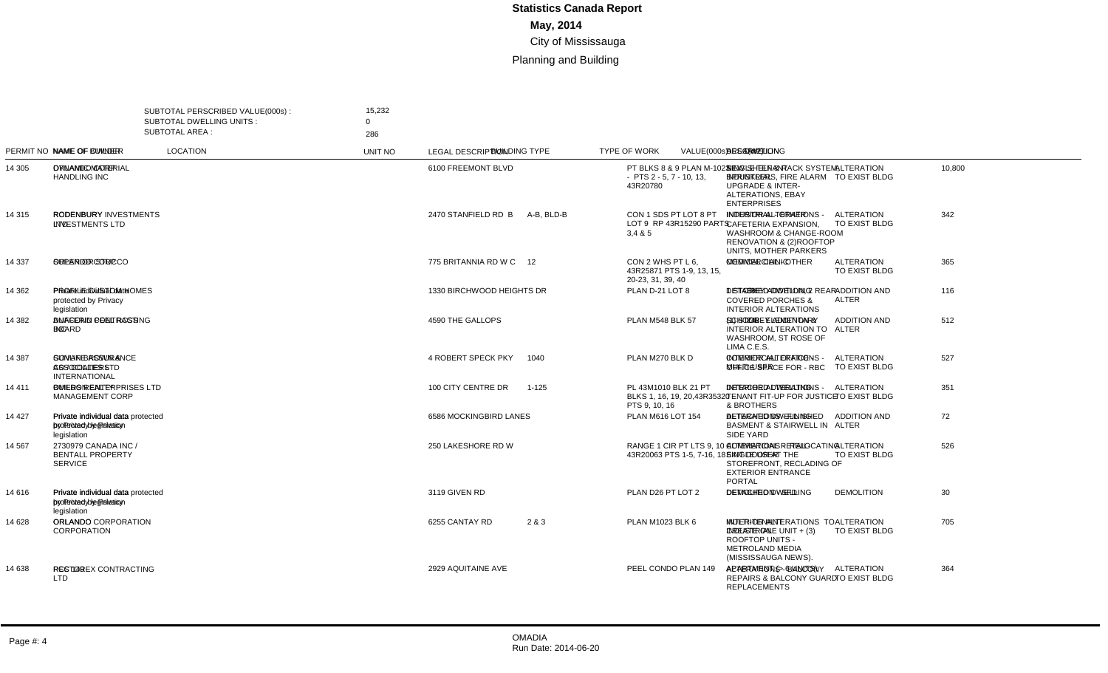| SUBTOTAL AREA : | SUBTOTAL PERSCRIBED VALUE(000s) :<br><b>SUBTOTAL DWELLING UNITS:</b> | 15,232<br>$\Omega$                                                                 |                           |            |                                                                       |                                           |                                     |                    |                               |                                                                                                                                     |                |
|-----------------|----------------------------------------------------------------------|------------------------------------------------------------------------------------|---------------------------|------------|-----------------------------------------------------------------------|-------------------------------------------|-------------------------------------|--------------------|-------------------------------|-------------------------------------------------------------------------------------------------------------------------------------|----------------|
|                 | PERMIT NO NAME OF OWNER                                              | 286<br>NAME OF BUILDER                                                             | <b>LOCATION</b>           | UNIT NO    | <b>LEGAL DESCRIPTION</b>                                              | <b>BUILDING TYPE</b>                      | <b>TYPE OF WORK</b>                 | <b>VALUE(000s)</b> | DWELLING AREA(m2) DESCRIPTION |                                                                                                                                     | LINE           |
| 14 305          | ORLANDO CORP                                                         | <b>DYNAMIC MATERIAL</b><br><b>HANDLING INC</b>                                     | 6100 FREEMONT BLVD        |            | PT BLKS 8 & 9 PLAN M-1023<br>$-$ PTS 2 - 5, 7 - 10, 13,<br>43R20780   | <b>SINGLE TENANT</b><br><b>INDUSTRIAL</b> | <b>ALTERATION</b><br>TO EXIST BLDG  | 10,800             |                               | NEW SHELF & RACK SYSTEM,<br>SPRINKLERS. FIRE ALARM<br><b>UPGRADE &amp; INTER-</b><br><b>ALTERATIONS, EBAY</b><br><b>ENTERPRISES</b> | $\overline{1}$ |
| 14 315          | <b>RODENBURY</b><br><b>INVESTMENTS LTD</b>                           | RODENBURY INVESTMENTS 2470 STANFIELD RD B<br><b>LTD</b>                            |                           | A-B, BLD-B | CON 1 SDS PT LOT 8 PT<br>LOT 9 RP 43R15290 PARTS<br>3.4 & 5           | <b>INDUSTRIAL - OTHER</b>                 | <b>ALTERATION</b><br>TO EXIST BLDG  | 342                |                               | INTERIOR ALTERATIONS -<br>CAFETERIA EXPANSION.<br>WASHROOM & CHANGE-ROOM<br>RENOVATION & (2) ROOFTOP<br>UNITS. MOTHER PARKERS       | 2              |
| 14 337          | ORLANDO CORP                                                         | <b>SUPERIOR STUCCO</b>                                                             | 775 BRITANNIA RD W C      | 12         | CON 2 WHS PT L 6.<br>43R25871 PTS 1-9, 13, 15,<br>20-23, 31, 39, 40   | <b>COMMERCIAL - OTHER</b>                 | <b>ALTERATION</b><br>TO EXIST BLDG  | 365                |                               | <b>MEDICAL CLINIC</b>                                                                                                               | 3              |
| 14 362          | Private individual data<br>protected by Privacy<br>legislation       | PROFILE CUSTOM HOMES                                                               | 1330 BIRCHWOOD HEIGHTS DR |            | PLAN D-21 LOT 8                                                       | <b>DETACHED DWELLING</b>                  | <b>ADDITION AND</b><br><b>ALTER</b> | 116                | 38                            | 1 STOREY ADDITION, 2 REAR<br><b>COVERED PORCHES &amp;</b><br><b>INTERIOR ALTERATIONS</b>                                            | $\overline{4}$ |
| 14 3 82         | <b>DUFFERIN PEEL RCSS</b><br><b>BOARD</b>                            | ANACOND CONTRACTING<br><b>INC</b>                                                  | 4590 THE GALLOPS          |            | <b>PLAN M548 BLK 57</b>                                               | SCHOOL - ELEMENTARY                       | <b>ADDITION AND</b><br><b>ALTER</b> | 512                |                               | 248 (1) STOREY ADDITION &<br><b>INTERIOR ALTERATION TO</b><br>WASHROOM, ST ROSE OF<br>LIMA C.E.S.                                   | 5              |
| 14 387          | SUNLIFE ASSURANCE<br>CO / COLLIERS<br><b>INTERNATIONAL</b>           | <b>GOVAN BROWN &amp;</b><br><b>ASSOCIATES LTD</b>                                  | 4 ROBERT SPECK PKY        | 1040       | PLAN M270 BLK D                                                       | <b>COMMERCIAL OFFICE -</b><br>MULTI-USER  | <b>ALTERATION</b><br>TO EXIST BLDG  | 527                |                               | <b>INTERIOR ALTERATIONS -</b><br>OFFICE SPACE FOR - RBC                                                                             | 6              |
| 14 411          | <b>OMERS REALTY</b><br><b>MANAGEMENT CORP</b>                        | BUILDON ENTERPRISES LTD 100 CITY CENTRE DR                                         |                           | $1 - 125$  | PL 43M1010 BLK 21 PT<br>BLKS 1, 16, 19, 20, 43R35320<br>PTS 9, 10, 16 | <b>DETACHED DWELLING</b>                  | <b>ALTERATION</b><br>TO EXIST BLDG  | 351                |                               | <b>INTERIOR ALTERATIONS -</b><br>TENANT FIT-UP FOR JUSTICE<br>& BROTHERS                                                            | $\overline{7}$ |
| 14 427          | Private individual data<br>protected by Privacy<br>legislation       | Private individual data protected 6586 MOCKINGBIRD LANES<br>by Privacy legislation |                           |            | PLAN M616 LOT 154                                                     | DETACHED DWELLING                         | <b>ADDITION AND</b><br><b>ALTER</b> | 72                 |                               | ALTERATIONS - FINISHED<br><b>BASMENT &amp; STAIRWELL IN</b><br>SIDE YARD                                                            | 8              |
| 14 567          | 2730979 CANADA INC /<br><b>BENTALL PROPERTY</b><br><b>SERVICE</b>    |                                                                                    | 250 LAKESHORE RD W        |            | RANGE 1 CIR PT LTS 9.10 -<br>43R20063 PTS 1-5, 7-16, 18               | <b>COMMERCIAL RETAIL-</b><br>SINGLE USER  | <b>ALTERATION</b><br>TO EXIST BLDG  | 526                |                               | ALTERATIONS - RELOCATING<br>EXIT DOOR AT THE<br>STOREFRONT, RECLADING OF<br><b>EXTERIOR ENTRANCE</b><br>PORTAL                      | -9             |
| 14 616          | Private individual data<br>protected by Privacy<br>legislation       | Private individual data protected 3119 GIVEN RD<br>by Privacy legislation          |                           |            | PLAN D26 PT LOT 2                                                     | DETACHED DWELLING                         | <b>DEMOLITION</b>                   | 30                 |                               | <b>DEMOLITION - SFD</b>                                                                                                             | 10             |
| 14 628          | <b>ORLANDO</b><br><b>CORPORATION</b>                                 | ORLANDO CORPORATION                                                                | 6255 CANTAY RD            | 2 & 3      | PLAN M1023 BLK 6                                                      | MULTI-TENANT<br><b>INDUSTRIAL</b>         | <b>ALTERATION</b><br>TO EXIST BLDG  | 705                |                               | INTERIOR ALTERATIONS TO<br>CREATE ONE UNIT + (3)<br><b>ROOFTOP UNITS -</b><br><b>METROLAND MEDIA</b><br>(MISSISSAUGA NEWS).         | 11             |
| 14 638          | <b>PCC 149</b>                                                       | RESTOREX CONTRACTING<br><b>LTD</b>                                                 | 2929 AQUITAINE AVE        |            | PEEL CONDO PLAN 149                                                   | APARTMENT (> 6 UNITS)                     | <b>ALTERATION</b><br>TO EXIST BLDG  | 364                |                               | ALTERATIONS - BALCONY<br>REPAIRS & BALCONY GUARD<br><b>REPLACEMENTS</b>                                                             | 12             |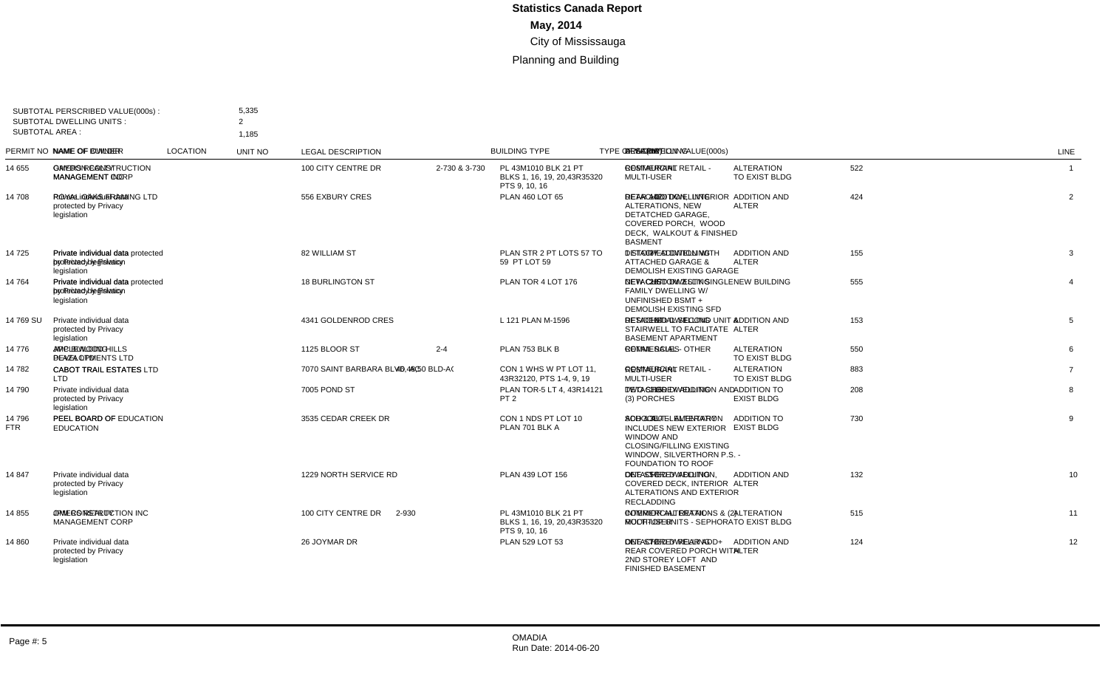| SUBTOTAL AREA : | SUBTOTAL PERSCRIBED VALUE(000s):<br><b>SUBTOTAL DWELLING UNITS:</b> | 5,335<br>$\mathcal{P}$<br>1.185                                              |                            |                |                                                                       |                                                 |                                         |             |  |                                                                                                                                                                        |                 |
|-----------------|---------------------------------------------------------------------|------------------------------------------------------------------------------|----------------------------|----------------|-----------------------------------------------------------------------|-------------------------------------------------|-----------------------------------------|-------------|--|------------------------------------------------------------------------------------------------------------------------------------------------------------------------|-----------------|
|                 | PERMIT NO NAME OF OWNER                                             | <b>NAME OF BUILDER</b>                                                       | <b>LOCATION</b>            | <b>UNIT NO</b> | <b>LEGAL DESCRIPTION</b>                                              | <b>BUILDING TYPE</b>                            | <b>TYPE OF WORK</b>                     | VALUE(000s) |  | DWELLING AREA(m2) DESCRIPTION                                                                                                                                          | LINE            |
| 14 655          | <b>OMERS REALTY</b><br><b>MANAGEMENT CORP</b>                       | <b>GAYDON CONSTRUCTION</b><br><b>MANAGEMENT INC</b>                          | 100 CITY CENTRE DR         | 2-730 & 3-730  | PL 43M1010 BLK 21 PT<br>BLKS 1, 16, 19, 20, 43R35320<br>PTS 9, 10, 16 | <b>COMMERCIAL RETAIL</b><br><b>MULTI-USER</b>   | <b>ALTERATION</b><br>TO EXIST BLDG      | 522         |  | <b>RESTAURANT</b>                                                                                                                                                      | $\overline{1}$  |
| 14 708          | Private individual data<br>protected by Privacy<br>legislation      | ROYAL OAKS FRAMING LTD                                                       | 556 EXBURY CRES            |                | PLAN 460 LOT 65                                                       | <b>DETACHED DWELLING</b>                        | <b>ADDITION AND</b><br><b>ALTER</b>     | 424         |  | 142 REAR ADDITION, INTERIOR<br>ALTERATIONS, NEW<br>DETATCHED GARAGE.<br>COVERED PORCH. WOOD<br>DECK. WALKOUT & FINISHED<br><b>BASMENT</b>                              | $\overline{2}$  |
| 14 725          | Private individual data<br>protected by Privacy<br>legislation      | Private individual data protected 82 WILLIAM ST<br>by Privacy legislation    |                            |                | PLAN STR 2 PT LOTS 57 TO<br>59 PT LOT 59                              | <b>DETACHED DWELLING</b>                        | <b>ADDITION AND</b><br><b>ALTER</b>     | 155         |  | 37 1 STORY ADDITION WITH<br><b>ATTACHED GARAGE &amp;</b><br><b>DEMOLISH EXISTING GARAGE</b>                                                                            | 3               |
| 14764           | Private individual data<br>protected by Privacy<br>legislation      | Private individual data protected 18 BURLINGTON ST<br>by Privacy legislation |                            |                | PLAN TOR 4 LOT 176                                                    | <b>DETACHED DWELLING</b>                        | <b>NEW BUILDING</b>                     | 555         |  | 287 NEW CUSTOM 2 STY SINGLE<br><b>FAMILY DWELLING W/</b><br>UNFINISHED BSMT +<br><b>DEMOLISH EXISTING SFD</b>                                                          | $\overline{4}$  |
| 14 769 SU       | Private individual data<br>protected by Privacy<br>legislation      |                                                                              | 4341 GOLDENROD CRES        |                | L 121 PLAN M-1596                                                     | <b>DETACHED DWELLING</b>                        | <b>ADDITION AND</b><br><b>ALTER</b>     | 153         |  | 124 RESIDENTIAL SECOND UNIT &<br>STAIRWELL TO FACILITATE<br><b>BASEMENT APARTMENT</b>                                                                                  | 5               |
| 14 776          | APPLEWOOD HILLS<br>PLAZA LTD                                        | <b>JMC BUILDING</b><br><b>DEVELOPMENTS LTD</b>                               | 1125 BLOOR ST              | $2 - 4$        | PLAN 753 BLK B                                                        | <b>COMMERCIAL - OTHER</b>                       | <b>ALTERATION</b><br>TO EXIST BLDG      | 550         |  | <b>RETAIL SALES</b>                                                                                                                                                    | 6               |
| 14 782          | <b>LTD</b>                                                          | CABOT TRAIL ESTATES CABOT TRAIL ESTATES LTD                                  | 7070 SAINT BARBARA BLVD AC |                | 46.48.50 BLD-A( CON 1 WHS W PT LOT 11.<br>43R32120, PTS 1-4, 9, 19    | <b>COMMERCIAL RETAIL -</b><br><b>MULTI-USER</b> | <b>ALTERATION</b><br>TO EXIST BLDG      | 883         |  | <b>RESTAURANT</b>                                                                                                                                                      | $\overline{7}$  |
| 14 790          | Private individual data<br>protected by Privacy<br>legislation      |                                                                              | 7005 POND ST               |                | PLAN TOR-5 LT 4, 43R14121<br>PT <sub>2</sub>                          | <b>DETACHED DWELLING</b>                        | ADDITION TO<br><b>EXIST BLDG</b>        | 208         |  | 116 TWO STOREY ADDITION AND<br>(3) PORCHES                                                                                                                             | 8               |
| 14 796<br>FTR   | PEEL BOARD OF<br><b>EDUCATION</b>                                   | PEEL BOARD OF EDUCATION 3535 CEDAR CREEK DR                                  |                            |                | CON 1 NDS PT LOT 10<br>PLAN 701 BLK A                                 | <b>SCHOOL - ELEMENTARY</b>                      | <b>ADDITION TO</b><br><b>EXIST BLDG</b> | 730         |  | 350 ADD & ALT - ALTERATION<br><b>INCLUDES NEW EXTERIOR</b><br><b>WINDOW AND</b><br><b>CLOSING/FILLING EXISTING</b><br>WINDOW, SILVERTHORN P.S. -<br>FOUNDATION TO ROOF | 9               |
| 14847           | Private individual data<br>protected by Privacy<br>legislation      |                                                                              | 1229 NORTH SERVICE RD      |                | PLAN 439 LOT 156                                                      | <b>DETACHED DWELLING</b>                        | <b>ADDITION AND</b><br><b>ALTER</b>     | 132         |  | 57 ONE STOREY ADDITION.<br><b>COVERED DECK, INTERIOR</b><br>ALTERATIONS AND EXTERIOR<br><b>RECLADDING</b>                                                              | 10 <sup>°</sup> |
| 14 855          | <b>OMERS REALTY</b><br><b>MANAGEMENT CORP</b>                       | JPM CONSTRUCTION INC                                                         | 100 CITY CENTRE DR         | 2-930          | PL 43M1010 BLK 21 PT<br>BLKS 1, 16, 19, 20, 43R35320<br>PTS 9, 10, 16 | <b>COMMERCIAL RETAIL -</b><br>MULTI-USER        | <b>ALTERATION</b><br>TO EXIST BLDG      | 515         |  | <b>INTERIOR ALTERATIONS &amp; (2)</b><br>ROOFTOP UNITS - SEPHORA                                                                                                       | 11              |
| 14 860          | Private individual data<br>protected by Privacy<br>legislation      |                                                                              | 26 JOYMAR DR               |                | PLAN 529 LOT 53                                                       | <b>DETACHED DWELLING</b>                        | <b>ADDITION AND</b><br><b>ALTER</b>     | 124         |  | 72 ONE STOREY REAR ADD+<br><b>REAR COVERED PORCH WITH</b><br>2ND STOREY LOFT AND<br><b>FINISHED BASEMENT</b>                                                           | 12              |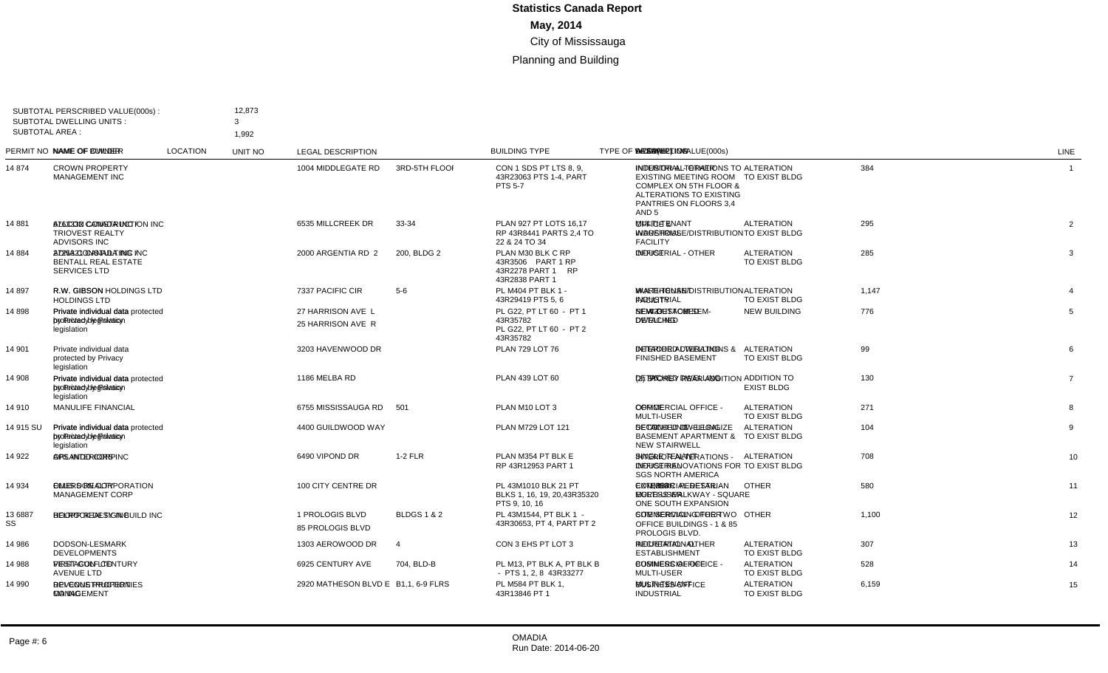|                       | SUBTOTAL PERSCRIBED VALUE(000s):<br><b>SUBTOTAL DWELLING UNITS:</b>   | 12,873<br>3                                                                    |                      |                        |                                                                               |                                                 |                                    |             |                |    |                                                                                                                                                                   |                |
|-----------------------|-----------------------------------------------------------------------|--------------------------------------------------------------------------------|----------------------|------------------------|-------------------------------------------------------------------------------|-------------------------------------------------|------------------------------------|-------------|----------------|----|-------------------------------------------------------------------------------------------------------------------------------------------------------------------|----------------|
| <b>SUBTOTAL AREA:</b> |                                                                       | 1,992                                                                          |                      |                        |                                                                               |                                                 |                                    |             |                |    |                                                                                                                                                                   |                |
|                       | PERMIT NO NAME OF OWNER                                               | NAME OF BUILDER                                                                | <b>LOCATION</b>      | UNIT NO                | <b>LEGAL DESCRIPTION</b>                                                      | <b>BUILDING TYPE</b>                            | <b>TYPE OF WORK</b>                | VALUE(000s) |                |    | DWELLING AREA(m2) DESCRIPTION                                                                                                                                     | <b>LINE</b>    |
| 14 874                | <b>CROWN PROPERTY</b><br><b>MANAGEMENT INC</b>                        |                                                                                | 1004 MIDDLEGATE RD   | 3RD-5TH FLOOI          | CON 1 SDS PT LTS 8, 9,<br>43R23063 PTS 1-4, PART<br><b>PTS 5-7</b>            | <b>INDUSTRIAL - OTHER</b>                       | <b>ALTERATION</b><br>TO EXIST BLDG | 384         |                |    | <b>INTERIOR ALTERATIONS TO</b><br><b>EXISTING MEETING ROOM</b><br>COMPLEX ON 5TH FLOOR &<br>ALTERATIONS TO EXISTING<br>PANTRIES ON FLOORS 3,4<br>AND <sub>5</sub> | $\overline{1}$ |
| 14 881                | 6763332 CANADA INC /<br><b>TRIOVEST REALTY</b><br><b>ADVISORS INC</b> | ALLCON CONSTRUCTION INC 6535 MILLCREEK DR                                      |                      | 33-34                  | PLAN 927 PT LOTS 16.17<br>RP 43R8441 PARTS 2.4 TO<br>22 & 24 TO 34            | <b>MULTI-TENANT</b><br><b>INDUSTRIAL</b>        | <b>ALTERATION</b><br>TO EXIST BLDG | 295         |                |    | OFFICE &<br>WAREHOUSE/DISTRIBUTION<br><b>FACILITY</b>                                                                                                             | 2              |
| 14 884                | <b>BENTALL REAL ESTATE</b><br><b>SERVICES LTD</b>                     | 2725321 CANADA INC / ADNA CONSTULTING INC                                      | 2000 ARGENTIA RD 2   | 200. BLDG 2            | PLAN M30 BLK C RP<br>43R3506 PART 1 RP<br>43R2278 PART 1 RP<br>43R2838 PART 1 | <b>INDUSTRIAL - OTHER</b>                       | <b>ALTERATION</b><br>TO EXIST BLDG | 285         |                |    | <b>OFFICE</b>                                                                                                                                                     | 3              |
| 14 897                | R.W. GIBSON<br><b>HOLDINGS LTD</b>                                    | R.W. GIBSON HOLDINGS LTD 7337 PACIFIC CIR                                      |                      | $5-6$                  | PL M404 PT BLK 1 -<br>43R29419 PTS 5, 6                                       | <b>MULTI-TENANT</b><br><b>INDUSTRIAL</b>        | <b>ALTERATION</b><br>TO EXIST BLDG | 1.147       |                |    | WAREHOUSE/DISTRIBUTION<br><b>FACILITY</b>                                                                                                                         |                |
| 14898                 | Private individual data<br>protected by Privacy<br>legislation        | Private individual data protected 27 HARRISON AVE L<br>by Privacy legislation  | 25 HARRISON AVE R    |                        | PL G22, PT LT 60 - PT 1<br>43R35782<br>PL G22, PT LT 60 - PT 2<br>43R35782    | SEMI-DETACHED<br><b>DWELLING</b>                | <b>NEW BUILDING</b>                | 776         | $\overline{2}$ |    | 423 NEW CUSTOM SEM-<br><b>DETACHED</b>                                                                                                                            | 5              |
|                       |                                                                       |                                                                                |                      |                        |                                                                               |                                                 |                                    |             |                |    |                                                                                                                                                                   |                |
| 14 901                | Private individual data<br>protected by Privacy<br>legislation        |                                                                                | 3203 HAVENWOOD DR    |                        | PLAN 729 LOT 76                                                               | <b>DETACHED DWELLING</b>                        | <b>ALTERATION</b><br>TO EXIST BLDG | 99          |                |    | <b>INTERIOR ALTERATIONS &amp;</b><br><b>FINISHED BASEMENT</b>                                                                                                     | 6              |
| 14 908                | Private individual data<br>protected by Privacy<br>legislation        | Private individual data protected 1186 MELBA RD<br>by Privacy legislation      |                      |                        | PLAN 439 LOT 60                                                               | <b>DETACHED DWELLING</b>                        | ADDITION TO<br><b>EXIST BLDG</b>   | 130         |                | 96 | (2) STOREY REAR ADDITION                                                                                                                                          | $\overline{7}$ |
| 14 910                | <b>MANULIFE FINANCIAL</b>                                             |                                                                                | 6755 MISSISSAUGA RD  | 501                    | PLAN M10 LOT 3                                                                | <b>COMMERCIAL OFFICE -</b><br><b>MULTI-USER</b> | <b>ALTERATION</b><br>TO EXIST BLDG | 271         |                |    | <b>OFFICE</b>                                                                                                                                                     | 8              |
| 14 915 SU             | Private individual data<br>protected by Privacy<br>legislation        | Private individual data protected 4400 GUILDWOOD WAY<br>by Privacy legislation |                      |                        | PLAN M729 LOT 121                                                             | DETACHED DWELLING                               | <b>ALTERATION</b><br>TO EXIST BLDG | 104         | $\overline{1}$ |    | 79 SECOND UNIT - LEGALIZE<br><b>BASEMENT APARTMENT &amp;</b><br><b>NEW STAIRWELL</b>                                                                              | 9              |
| 14 922                | ORLANDO CORP                                                          | APS INTERIORS INC                                                              | 6490 VIPOND DR       | $1-2$ FLR              | PLAN M354 PT BLK E<br>RP 43R12953 PART 1                                      | SINGLE TENANT<br><b>INDUSTRIAL</b>              | <b>ALTERATION</b><br>TO EXIST BLDG | 708         |                |    | <b>INTERIOR ALTERATIONS -</b><br>OFFICE RENOVATIONS FOR<br><b>SGS NORTH AMERICA</b>                                                                               | 10             |
| 14 934                | <b>OMERS REALTY</b><br><b>MANAGEMENT CORP</b>                         | ELLIS DON CORPORATION                                                          | 100 CITY CENTRE DR   |                        | PL 43M1010 BLK 21 PT<br>BLKS 1, 16, 19, 20, 43R35320<br>PTS 9, 10, 16         | <b>COMMERCIAL RETAIL -</b><br><b>MULTI-USER</b> | <b>OTHER</b>                       | 580         |                |    | 1.394 EXTERIOR PEDESTRIAN<br><b>EGRESS WALKWAY - SQUARE</b><br>ONE SOUTH EXPANSION                                                                                | 11             |
| 13 6887<br>SS         | <b>HOOPP REALTY INC</b>                                               | BELROCK DESIGN BUILD INC 1 PROLOGIS BLVD                                       | 85 PROLOGIS BLVD     | <b>BLDGS 1 &amp; 2</b> | PL 43M1544. PT BLK 1 -<br>43R30653, PT 4, PART PT 2                           | COMMERCIAL - OTHER                              | <b>OTHER</b>                       | 1,100       |                |    | SITE SERVICING FOR TWO<br>OFFICE BUILDINGS - 1 & 85<br>PROLOGIS BLVD.                                                                                             | 12             |
| 14 986                | DODSON-LESMARK<br><b>DEVELOPMENTS</b>                                 |                                                                                | 1303 AEROWOOD DR     | $\overline{4}$         | CON 3 EHS PT LOT 3                                                            | <b>INDUSTRIAL - OTHER</b>                       | <b>ALTERATION</b><br>TO EXIST BLDG | 307         |                |    | <b>RECREATIONAL</b><br><b>ESTABLISHMENT</b>                                                                                                                       | 13             |
| 14 988                | FIRST GULF CENTURY VESTACON LTD<br><b>AVENUE LTD</b>                  |                                                                                | 6925 CENTURY AVE     | 704. BLD-B             | PL M13. PT BLK A. PT BLK B<br>- PTS 1, 2, 8 43R33277                          | COMMERCIAL OFFICE -<br><b>MULTI-USER</b>        | <b>ALTERATION</b><br>TO EXIST BLDG | 528         |                |    | <b>BUSINESS OFFICE</b>                                                                                                                                            | 14             |
| 14 990                | REVENUE PROPERTIES DPI CONSTRUCTION<br>CO INC                         | MANAGEMENT                                                                     | 2920 MATHESON BLVD E |                        | B1.1.6-9 FLRS PL M584 PT BLK 1.<br>43R13846 PT 1                              | MULTI-TENANT<br><b>INDUSTRIAL</b>               | <b>ALTERATION</b><br>TO EXIST BLDG | 6,159       |                |    | <b>BUSINESS OFFICE</b>                                                                                                                                            | 15             |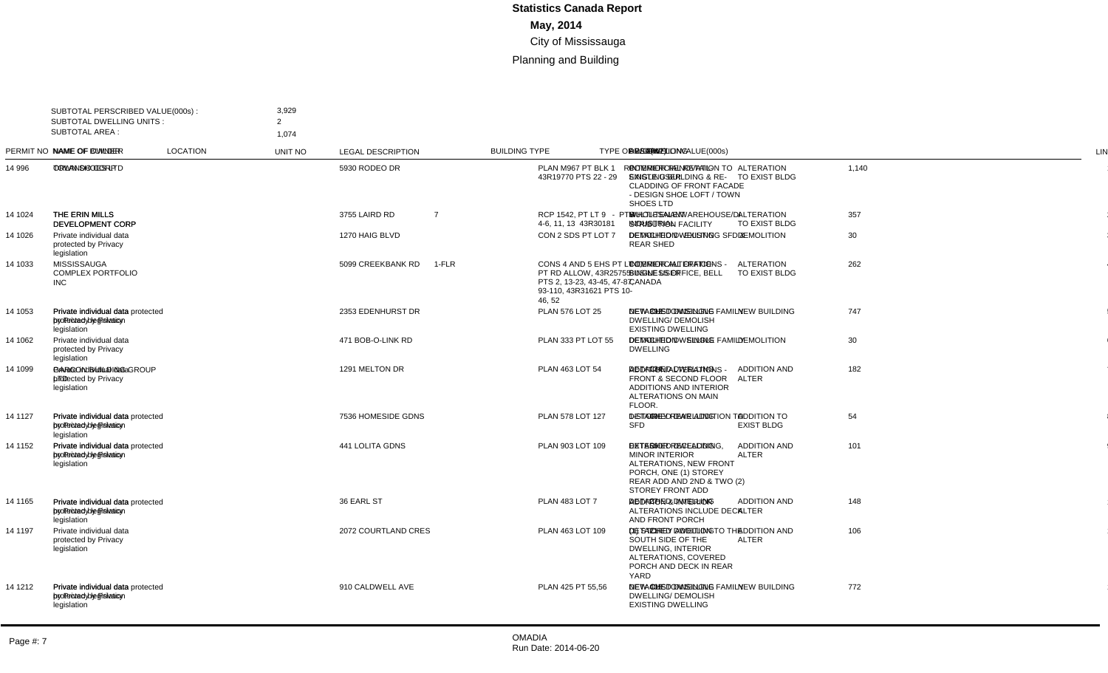| SUBTOTAL PERSCRIBED VALUE(000s):<br><b>SUBTOTAL DWELLING UNITS:</b><br><b>SUBTOTAL AREA:</b> |                                                                | 3,929<br>$\overline{2}$                                                        |                     |                |                                                                                                                         |                                          |                                           |             |                |     |                                                                                                                                                       |                |
|----------------------------------------------------------------------------------------------|----------------------------------------------------------------|--------------------------------------------------------------------------------|---------------------|----------------|-------------------------------------------------------------------------------------------------------------------------|------------------------------------------|-------------------------------------------|-------------|----------------|-----|-------------------------------------------------------------------------------------------------------------------------------------------------------|----------------|
|                                                                                              |                                                                | 1,074                                                                          |                     |                |                                                                                                                         |                                          |                                           |             |                |     |                                                                                                                                                       |                |
|                                                                                              | PERMIT NO NAME OF OWNER                                        | NAME OF BUILDER                                                                | <b>LOCATION</b>     | <b>UNIT NO</b> | <b>LEGAL DESCRIPTION</b>                                                                                                | <b>BUILDING TYPE</b>                     | <b>TYPE OF WORK</b>                       | VALUE(000s) |                |     | DWELLING AREA(m2) DESCRIPTION                                                                                                                         | <b>LINE</b>    |
| 14 996                                                                                       | ORLANDO CORP                                                   | <b>TOWN SHOES LTD</b>                                                          | 5930 RODEO DR       |                | PLAN M967 PT BLK 1 RP<br>43R19770 PTS 22 - 29                                                                           | <b>COMMERCIAL RETAIL-</b><br>SINGLE USER | <b>ALTERATION</b><br><b>TO EXIST BLDG</b> | 1,140       |                |     | <b>INTERIOR RENOVATION TO</b><br><b>EXISTING BUILDING &amp; RE-</b><br>CLADDING OF FRONT FACADE<br>- DESIGN SHOE LOFT / TOWN<br>SHOES LTD             | $\mathbf{1}$   |
| 14 1024                                                                                      | THE ERIN MILLS<br>DEVELOPMENT CORP                             | THE ERIN MILLS<br><b>DEVELOPMENT CORP</b>                                      | 3755 LAIRD RD       | $\overline{7}$ | RCP 1542, PT LT 9 - PTS<br>4-6, 11, 13 43R30181                                                                         | MULTI-TENANT<br><b>INDUSTRIAL</b>        | <b>ALTERATION</b><br>TO EXIST BLDG        | 357         |                |     | WHOLESALE/WAREHOUSE/DI<br><b>STRIBUTION FACILITY</b>                                                                                                  | 2              |
| 14 1026                                                                                      | Private individual data<br>protected by Privacy<br>legislation |                                                                                | 1270 HAIG BLVD      |                | CON 2 SDS PT LOT 7                                                                                                      | <b>DETACHED DWELLING</b>                 | <b>DEMOLITION</b>                         | 30          |                |     | DEMOLITION - EXISTING SFD &<br><b>REAR SHED</b>                                                                                                       | 3              |
| 14 1033                                                                                      | <b>MISSISSAUGA</b><br><b>COMPLEX PORTFOLIO</b><br><b>INC</b>   |                                                                                | 5099 CREEKBANK RD   | $1-FLR$        | CONS 4 AND 5 EHS PT LT 1.<br>PT RD ALLOW, 43R25755<br>PTS 2, 13-23, 43-45, 47-87,<br>93-110, 43R31621 PTS 10-<br>46, 52 | <b>COMMERCIAL OFFICE-</b><br>SINGLE USER | <b>ALTERATION</b><br>TO EXIST BLDG        | 262         |                |     | <b>INTERIOR ALTERATIONS -</b><br><b>BUSINESS OFFICE, BELL</b><br>CANADA                                                                               | $\overline{4}$ |
| 14 1053                                                                                      | Private individual data<br>protected by Privacy<br>legislation | Private individual data protected 2353 EDENHURST DR<br>by Privacy legislation  |                     |                | PLAN 576 LOT 25                                                                                                         | DETACHED DWELLING                        | <b>NEW BUILDING</b>                       | 747         | $\overline{1}$ | 392 | NEW CUSTOM SINGLE FAMILY<br><b>DWELLING/ DEMOLISH</b><br><b>EXISTING DWELLING</b>                                                                     | 5              |
| 14 1062                                                                                      | Private individual data<br>protected by Privacy<br>legislation |                                                                                | 471 BOB-O-LINK RD   |                | PLAN 333 PT LOT 55                                                                                                      | DETACHED DWELLING                        | <b>DEMOLITION</b>                         | 30          |                |     | <b>DEMOLITION - SINGLE FAMILY</b><br><b>DWELLING</b>                                                                                                  | 6              |
| 14 1099                                                                                      | Private individual data<br>protected by Privacy<br>legislation | <b>GARCON BUILDING GROUP</b><br><b>LTD</b>                                     | 1291 MELTON DR      |                | PLAN 463 LOT 54                                                                                                         | <b>DETACHED DWELLING</b>                 | <b>ADDITION AND</b><br><b>ALTER</b>       | 182         |                |     | 134 ADDITION/ALTERATIONS -<br><b>FRONT &amp; SECOND FLOOR</b><br><b>ADDITIONS AND INTERIOR</b><br>ALTERATIONS ON MAIN<br>FLOOR.                       | $\overline{7}$ |
| 14 11 27                                                                                     | Private individual data<br>protected by Privacy<br>legislation | Private individual data protected 7536 HOMESIDE GDNS<br>by Privacy legislation |                     |                | PLAN 578 LOT 127                                                                                                        | DETACHED DWELLING                        | <b>ADDITION TO</b><br><b>EXIST BLDG</b>   | 54          |                |     | 40 1-STOREY REAR ADDITION TO<br><b>SFD</b>                                                                                                            | 8              |
| 14 1152                                                                                      | Private individual data<br>protected by Privacy<br>legislation | Private individual data protected 441 LOLITA GDNS<br>by Privacy legislation    |                     |                | PLAN 903 LOT 109                                                                                                        | <b>DETACHED DWELLING</b>                 | <b>ADDITION AND</b><br><b>ALTER</b>       | 101         |                |     | 56 EXTERIOR RECLADDING.<br><b>MINOR INTERIOR</b><br>ALTERATIONS, NEW FRONT<br>PORCH, ONE (1) STOREY<br>REAR ADD AND 2ND & TWO (2)<br>STOREY FRONT ADD | 9              |
| 14 11 65                                                                                     | Private individual data<br>protected by Privacy<br>legislation | Private individual data protected 36 EARL ST<br>by Privacy legislation         |                     |                | <b>PLAN 483 LOT 7</b>                                                                                                   | <b>DETACHED DWELLING</b>                 | <b>ADDITION AND</b><br><b>ALTER</b>       | 148         |                |     | 27 ADDITION & INTERIOR<br>ALTERATIONS INCLUDE DECK<br>AND FRONT PORCH                                                                                 | 10             |
| 14 1197                                                                                      | Private individual data<br>protected by Privacy<br>legislation |                                                                                | 2072 COURTLAND CRES |                | PLAN 463 LOT 109                                                                                                        | <b>DETACHED DWELLING</b>                 | <b>ADDITION AND</b><br><b>ALTER</b>       | 106         |                | 21  | (1) STOREY ADDITION TO THE<br>SOUTH SIDE OF THE<br><b>DWELLING, INTERIOR</b><br>ALTERATIONS, COVERED<br>PORCH AND DECK IN REAR<br>YARD                | 11             |
| 14 1212                                                                                      | Private individual data<br>protected by Privacy<br>legislation | Private individual data protected 910 CALDWELL AVE<br>by Privacy legislation   |                     |                | PLAN 425 PT 55,56                                                                                                       | DETACHED DWELLING                        | <b>NEW BUILDING</b>                       | 772         | $\overline{1}$ | 405 | NEW CUSTOM SINGLE FAMILY<br><b>DWELLING/ DEMOLISH</b><br><b>EXISTING DWELLING</b>                                                                     | 12             |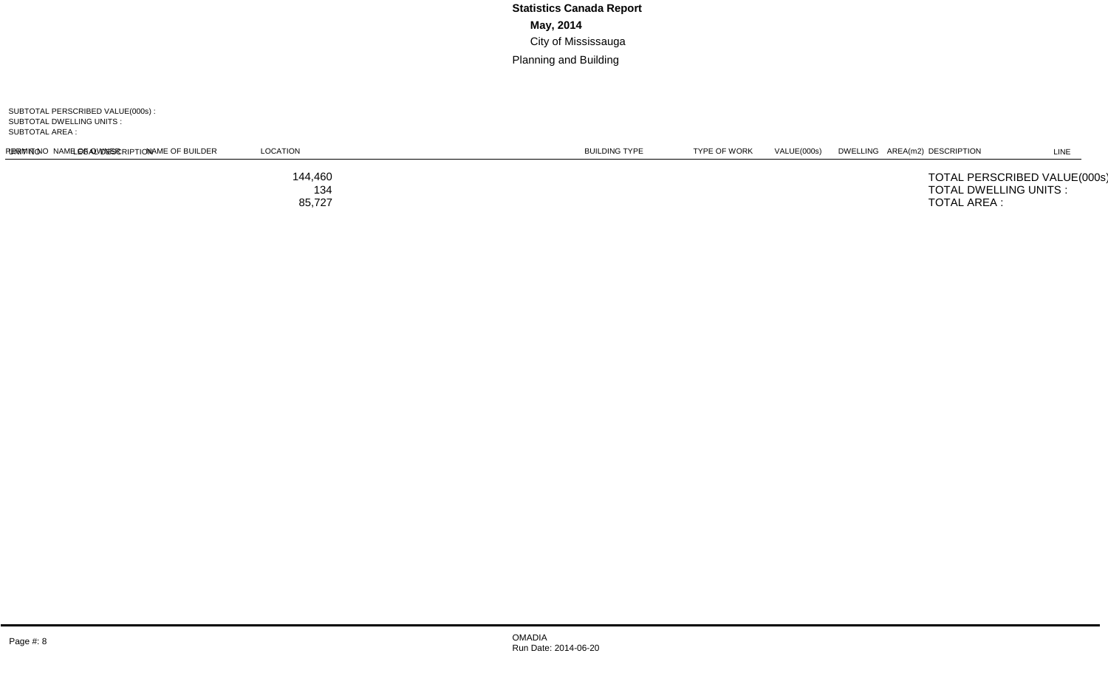SUBTOTAL PERSCRIBED VALUE(000s) : SUBTOTAL DWELLING UNITS : SUBTOTAL AREA :

| PERMIT NO NAME OF OWNER                                                 | NAME OF BUILDER | LOCATION                 | <b>UNIT NO</b> | LEGAL DESCRIPTION | <b>BUILDING TYPE</b> | TYPE OF WORK | VALUE(000s) | DWELLING AREA(m2) DESCRIPTION | LINE |
|-------------------------------------------------------------------------|-----------------|--------------------------|----------------|-------------------|----------------------|--------------|-------------|-------------------------------|------|
| TOTAL PERSCRIBED VALUE(000s):<br>TOTAL DWELLING UNITS :<br>TOTAL AREA : |                 | 144,460<br>134<br>85,727 |                |                   |                      |              |             |                               |      |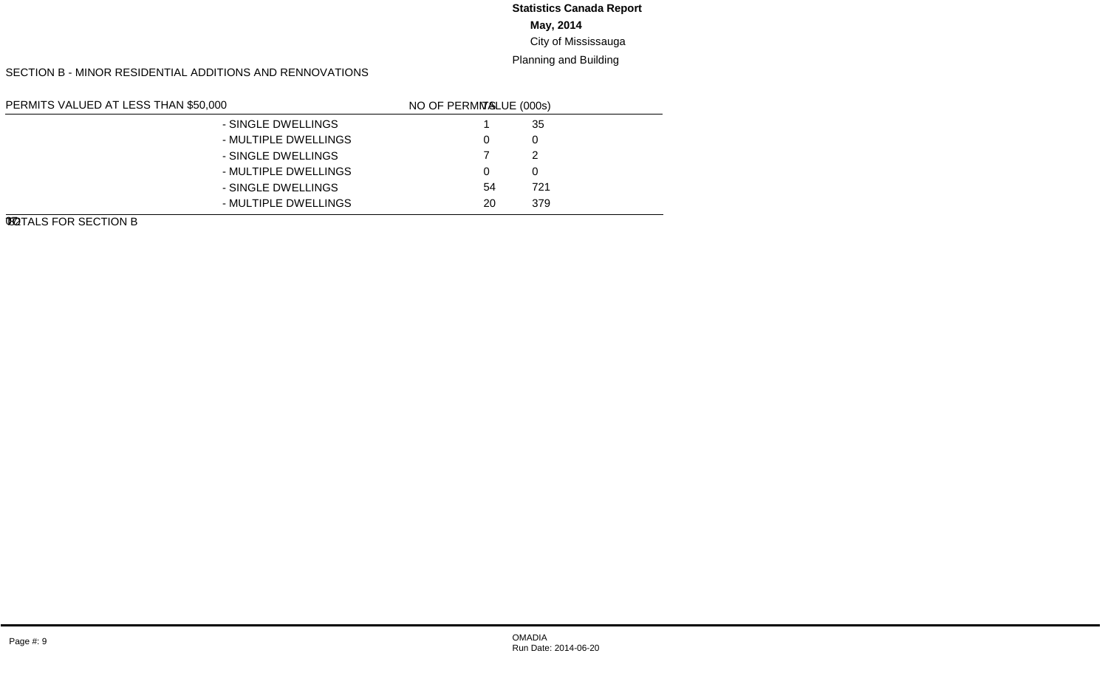#### **May, 2014** City of Mississauga **Statistics Canada Report**

#### Planning and Building

#### SECTION B - MINOR RESIDENTIAL ADDITIONS AND RENNOVATIONS

| PERMITS VALUED AT LESS THAN \$50,000 |                      | LINE NO. | <b>VALUE (000s)</b> | NO OF PERMITS |
|--------------------------------------|----------------------|----------|---------------------|---------------|
| NEW GARAGES AND CARPORTS             | - SINGLE DWELLINGS   | 01       | -35                 |               |
|                                      | - MULTIPLE DWELLINGS | 02       |                     | 0             |
| NEW INGROUND SWIMMING POOLS          | - SINGLE DWELLINGS   | 03       |                     |               |
|                                      | - MULTIPLE DWELLINGS | 04       |                     | $\Omega$      |
| <b>OTHER IMPROVEMENTS</b>            | - SINGLE DWELLINGS   | 05       | 721                 | 54            |
|                                      | - MULTIPLE DWELLINGS | 06       | 379                 | 20            |
| TOTALS FOR SECTION B                 |                      | 07       | 1.137               | 82            |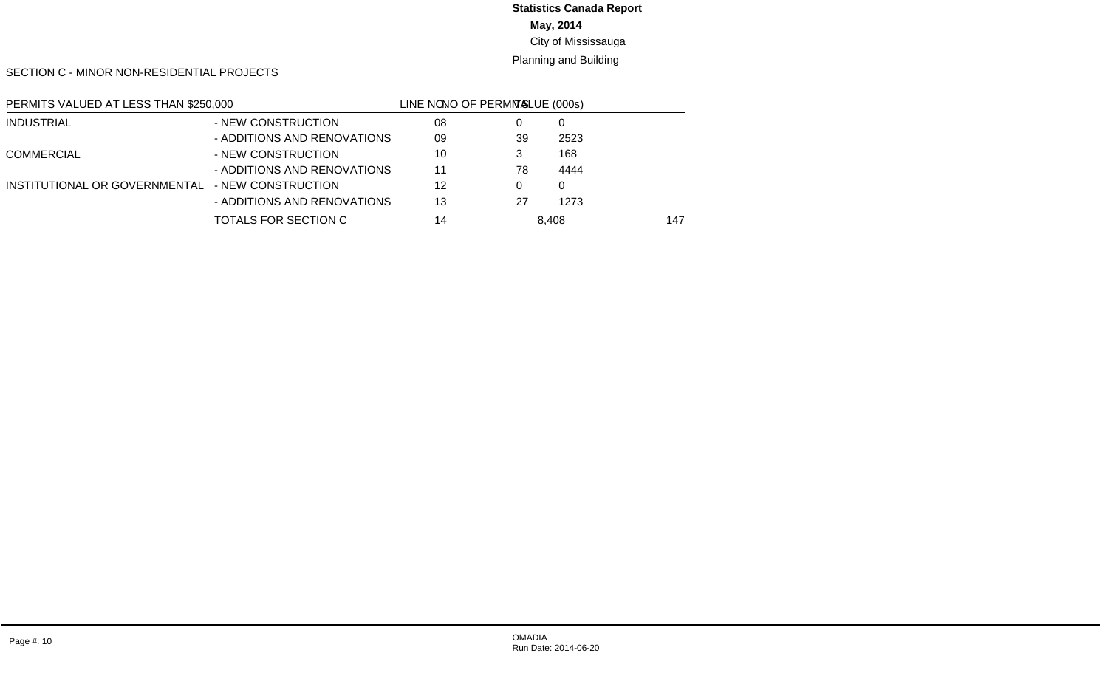#### **May, 2014 Statistics Canada Report**

#### City of Mississauga

#### Planning and Building

SECTION C - MINOR NON-RESIDENTIAL PROJECTS

| PERMITS VALUED AT LESS THAN \$250,000 |                             | LINE NO. | <b>VALUE (000s)</b> | NO OF PERMITS |
|---------------------------------------|-----------------------------|----------|---------------------|---------------|
| INDUSTRIAL                            | - NEW CONSTRUCTION          | 08       |                     | 0             |
|                                       | - ADDITIONS AND RENOVATIONS | 09       | 2523                | 39            |
| <b>COMMERCIAL</b>                     | - NEW CONSTRUCTION          | 10       | 168                 | 3             |
|                                       | - ADDITIONS AND RENOVATIONS | 11       | 4444                | 78            |
| INSTITUTIONAL OR GOVERNMENTAL         | - NEW CONSTRUCTION          | 12       |                     | $\Omega$      |
|                                       | - ADDITIONS AND RENOVATIONS | 13       | 1273                | 27            |
| TOTALS FOR SECTION C                  |                             | 14       | 8.408               | 147           |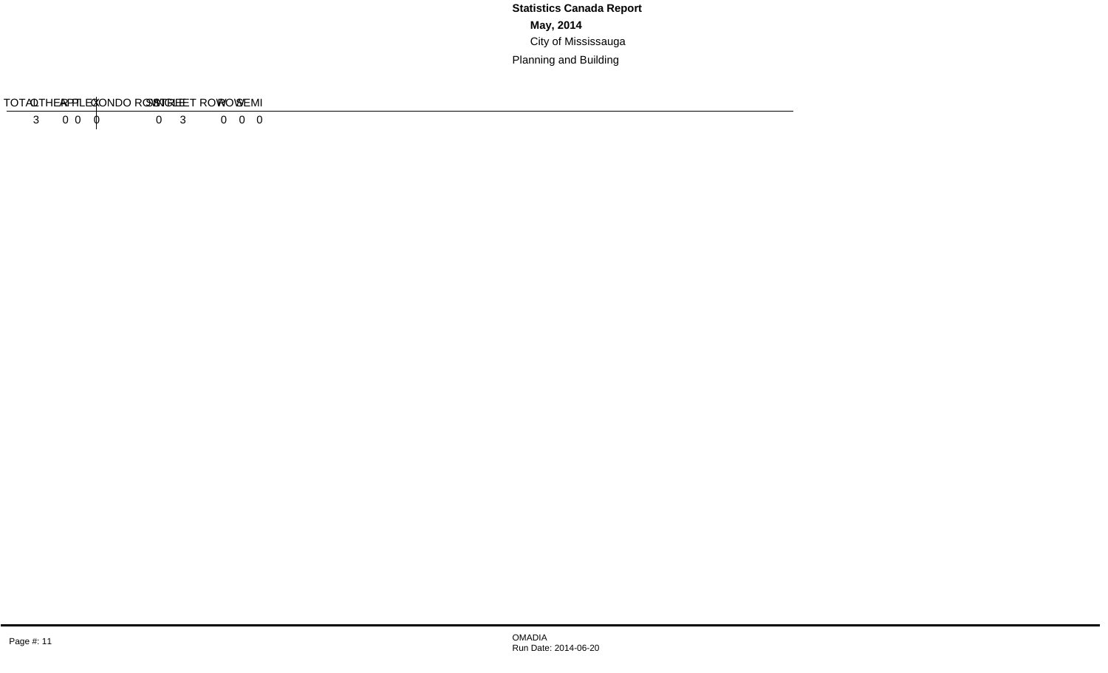#### SECTION D - RESIDENTIAL DEMOLITIONS

| <b>TVDE</b>                  | ∟∟טוויר | $\sim$ $\sim$ $\sim$ $\sim$<br><b>DEMI</b> | <b>IVV</b> | ROW.<br>. . | CONDO ROW | $ \cdot$<br>וח<br>$\cdot$<br>--- | $\sqrt{2}$<br>ים בי<br>ור | . | ____<br>1 A L |
|------------------------------|---------|--------------------------------------------|------------|-------------|-----------|----------------------------------|---------------------------|---|---------------|
| <b>TINITS</b><br>$\#$ $\cap$ |         |                                            |            |             |           |                                  |                           |   |               |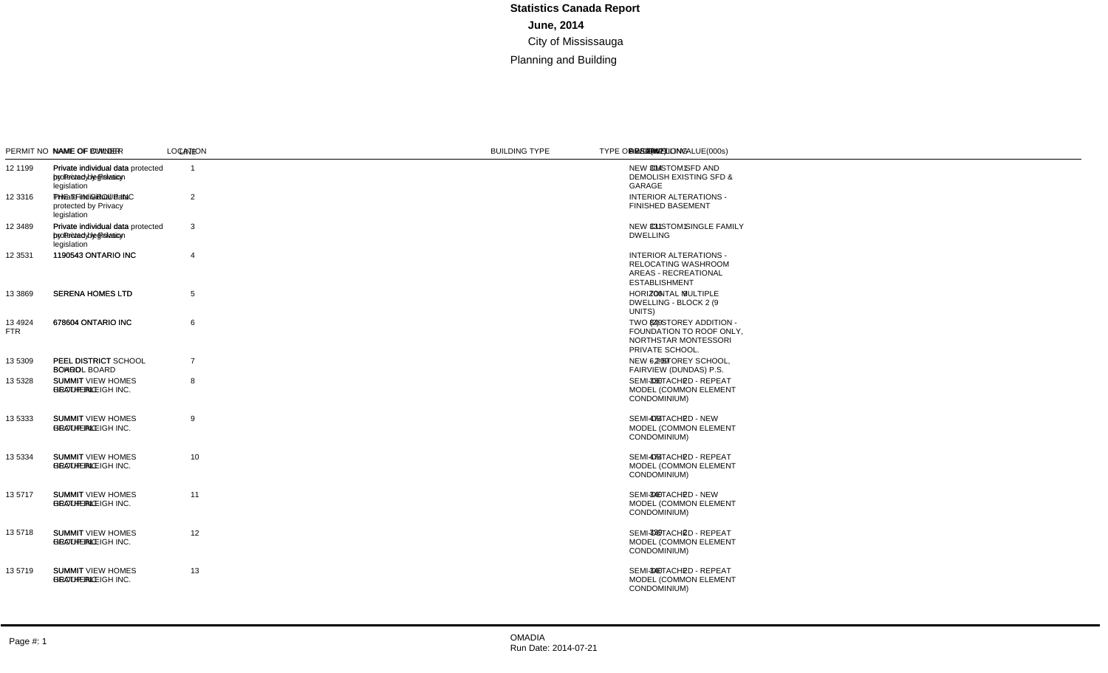#### SECTION A - MAJOR CONSTRUCTION PROJECTS

| <b>SUBTOTAL AREA:</b> | SUBTOTAL PERSCRIBED VALUE(000s):<br><b>SUBTOTAL DWELLING UNITS:</b> | 21,407<br>23<br>10,788                                                          |                                            |           |                                                                                  |                                                 |                                         |             |                |     |                                                                                                             |                |
|-----------------------|---------------------------------------------------------------------|---------------------------------------------------------------------------------|--------------------------------------------|-----------|----------------------------------------------------------------------------------|-------------------------------------------------|-----------------------------------------|-------------|----------------|-----|-------------------------------------------------------------------------------------------------------------|----------------|
|                       | PERMIT NO NAME OF OWNER                                             | <b>NAME OF BUILDER</b>                                                          | <b>LOCATION</b>                            | UNIT NO   | <b>LEGAL DESCRIPTION</b>                                                         | <b>BUILDING TYPE</b>                            | <b>TYPE OF WORK</b>                     | VALUE(000s) |                |     | DWELLING AREA(m2) DESCRIPTION                                                                               | <b>LINE</b>    |
| 12 1199               | Private individual data<br>protected by Privacy<br>legislation      | Private individual data protected 3066 BONAVENTURE DR<br>by Privacy legislation |                                            |           | PLAN 578 LOT 69                                                                  | <b>DETACHED DWELLING</b>                        | <b>NEW BUILDING</b>                     | 592         | $\overline{1}$ |     | 304 NEW CUSTOM SFD AND<br><b>DEMOLISH EXISTING SFD &amp;</b><br>GARAGE                                      | $\overline{1}$ |
| 12 3316               | Private individual data<br>protected by Privacy<br>legislation      | THE TFIN GROUP INC                                                              | 6648 ROTHSCHILD TR                         |           | PL 43M-1710, LT 14, PT LT<br>15, 43R33991, PTS 1, 2                              | DETACHED DWELLING                               | <b>ALTERATION</b><br>TO EXIST BLDG      | 83          |                |     | <b>INTERIOR ALTERATIONS -</b><br><b>FINISHED BASEMENT</b>                                                   | 2              |
| 12 3489               | Private individual data<br>protected by Privacy<br>legislation      | Private individual data protected 45 ONTARIO CRT<br>by Privacy legislation      |                                            |           | PLAN M371 LOT 9                                                                  | <b>DETACHED DWELLING</b>                        | <b>NEW BUILDING</b>                     | 577         | $\overline{1}$ | 331 | NEW CUSTOM SINGLE FAMILY<br><b>DWELLING</b>                                                                 | 3              |
| 12 3531               | 1190543 ONTARIO INC                                                 | 1190543 ONTARIO INC                                                             | 1310 DUNDAS ST E                           | 17.17B-19 | PLAN 894 PT BLK A<br>RP 43R1580 PARTS 1.2<br>RP 43R1966 PARTS 1,3                | <b>COMMERCIAL RETAIL -</b><br><b>MULTI-USER</b> | <b>ALTERATION</b><br>TO EXIST BLDG      | 698         |                |     | <b>INTERIOR ALTERATIONS -</b><br><b>RELOCATING WASHROOM</b><br>AREAS - RECREATIONAL<br><b>ESTABLISHMENT</b> | $\overline{4}$ |
| 13 3869               | <b>SERENA HOMES LTD</b>                                             | <b>SERENA HOMES LTD</b>                                                         | 3077 CAWTHRA RD 2                          | $10 - 18$ | CON 1 NDS PT LOT 10 -<br>43R33532 PT 1                                           | <b>CONDOMINIUM ROW</b><br><b>DWELLING</b>       | <b>NEW BUILDING</b>                     | 1,516       | 9              |     | 706 HORIZONTAL MULTIPLE<br>DWELLING - BLOCK 2 (9<br>UNITS)                                                  | 5              |
| 13 4924<br><b>FTR</b> | 678604 ONTARIO INC                                                  | 678604 ONTARIO INC                                                              | 4900 TOMKEN RD E                           |           | CON 2 NDS PT LT 9.<br>43R15782 PT 1                                              | <b>SCHOOL - OTHER</b>                           | <b>ADDITION TO</b><br><b>EXIST BLDG</b> | 1,655       |                |     | 849 TWO (2) STOREY ADDITION -<br>FOUNDATION TO ROOF ONLY.<br>NORTHSTAR MONTESSORI<br>PRIVATE SCHOOL.        | 6              |
| 13 5309               | <b>PEEL DISTRICT</b><br><b>SCHOOL BOARD</b>                         | PEEL DISTRICT SCHOOL<br><b>BOARD</b>                                            | 465 FAIRVIEW RD W                          |           | PLAN M826 PT BLK 132, PT<br>LTS 1, 2, 3                                          | SCHOOL - ELEMENTARY                             | <b>NEW BUILDING</b>                     | 12,283      |                |     | 6,299 NEW - 2-STOREY SCHOOL,<br>FAIRVIEW (DUNDAS) P.S.                                                      | $\overline{7}$ |
| 13 5328               | <b>SUMMIT</b><br><b>HEATHERLEIGH INC.</b>                           | <b>SUMMIT VIEW HOMES</b><br><b>GROUP INC</b>                                    | 979 FRANCINE CRES L<br>977 FRANCINE CRES R |           | 43M1502, PT BLK 82 - PT<br>13 43R35258<br>43M1502, PT BLK 82 - PT<br>14 43R35258 | SEMI-DETACHED<br><b>DWELLING</b>                | <b>NEW BUILDING</b>                     | 575         | 2              |     | 330 SEMI-DETACHED - REPEAT<br>MODEL (COMMON ELEMENT<br>CONDOMINIUM)                                         | 8              |
| 13 5333               | <b>SUMMIT</b><br><b>HEATHERLEIGH INC.</b>                           | <b>SUMMIT VIEW HOMES</b><br><b>GROUP INC</b>                                    | 989 FRANCINE CRES R<br>991 FRANCINE CRES L |           | 43M1502, PT BLK 82 - PT<br>10 43R35258<br>43M1502, PT BLK 82 - PT 9<br>43R35258  | SEMI-DETACHED<br><b>DWELLING</b>                | <b>NEW BUILDING</b>                     | 826         | $\overline{2}$ | 474 | SEMI-DETACHED - NEW<br>MODEL (COMMON ELEMENT<br>CONDOMINIUM)                                                | 9              |
| 13 5334               | <b>SUMMIT</b><br><b>HEATHERLEIGH INC.</b>                           | <b>SUMMIT VIEW HOMES</b><br><b>GROUP INC</b>                                    | 948 FRANCINE CRES R<br>946 FRANCINE CRES L |           | 43M1502, PT BLK 82 - PT<br>23 43R35258<br>43M1502, PT BLK 82 - PT<br>24 43R35258 | SEMI-DETACHED<br><b>DWELLING</b>                | <b>NEW BUILDING</b>                     | 826         | 2              | 474 | SEMI-DETACHED - REPEAT<br>MODEL (COMMON ELEMENT<br>CONDOMINIUM)                                             | 10             |
| 13 5717               | <b>SUMMIT</b><br><b>HEATHERLEIGH INC.</b>                           | <b>SUMMIT VIEW HOMES</b><br><b>GROUP INC</b>                                    | 985 FRANCINE CRES L<br>983 FRANCINE CRES R |           | 43M1502. PT BLK 82 - PT<br>11 43R35258<br>43M1502. PT BLK 82 - PT<br>12 43R35258 | SEMI-DETACHED<br><b>DWELLING</b>                | <b>NEW BUILDING</b>                     | 593         | 2              | 340 | SEMI-DETACHED - NEW<br>MODEL (COMMON ELEMENT<br>CONDOMINIUM)                                                | 11             |
| 13 5718               | <b>SUMMIT</b><br>HEATHERLEIGH INC.                                  | <b>SUMMIT VIEW HOMES</b><br><b>GROUP INC</b>                                    | 967 FRANCINE CRES L<br>965 FRANCINE CRES R |           | 43M1502. PT BLK 82 - PT<br>17 43R35258<br>43M1502, PT BLK 82 - PT<br>18 43R35258 | SEMI-DETACHED<br><b>DWELLING</b>                | <b>NEW BUILDING</b>                     | 590         | 2              | 339 | SEMI-DETACHED - REPEAT<br>MODEL (COMMON ELEMENT<br>CONDOMINIUM)                                             | 12             |
| 13 5719               | <b>SUMMIT</b><br><b>HEATHERLEIGH INC.</b>                           | <b>SUMMIT VIEW HOMES</b><br><b>GROUP INC</b>                                    | 942 FRANCINE CRES R<br>940 FRANCINE CRES L |           | 43M1502, PT BLK 82 - PT<br>25 43R35258<br>43M1502, PT BLK 82 - PT<br>26 43R35258 | SEMI-DETACHED<br><b>DWELLING</b>                | <b>NEW BUILDING</b>                     | 593         | 2              | 340 | SEMI-DETACHED - REPEAT<br>MODEL (COMMON ELEMENT<br>CONDOMINIUM)                                             | 13             |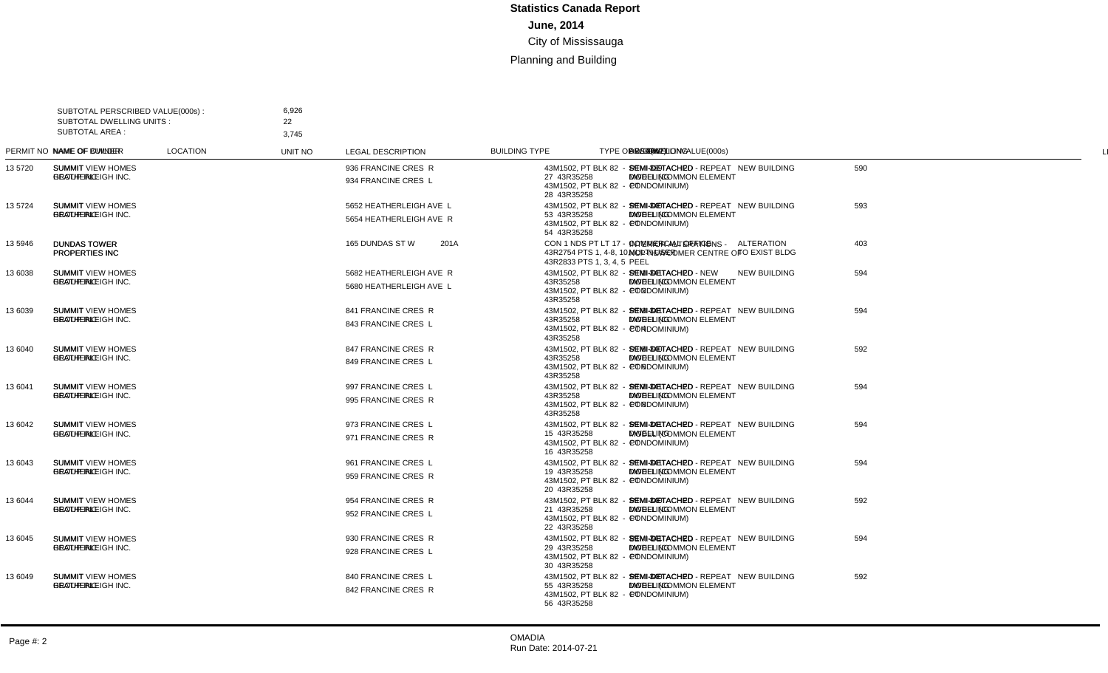| <b>SUBTOTAL AREA:</b> | SUBTOTAL PERSCRIBED VALUE(000s)<br>SUBTOTAL DWELLING UNITS: |                                              | 6,926<br>22<br>3,745                               |                |                                                                                  |                                                 |                                    |             |               |     |                                                                        |                |
|-----------------------|-------------------------------------------------------------|----------------------------------------------|----------------------------------------------------|----------------|----------------------------------------------------------------------------------|-------------------------------------------------|------------------------------------|-------------|---------------|-----|------------------------------------------------------------------------|----------------|
|                       | PERMIT NO NAME OF OWNER                                     | <b>NAME OF BUILDER</b>                       | <b>LOCATION</b>                                    | <b>UNIT NO</b> | <b>LEGAL DESCRIPTION</b>                                                         | <b>BUILDING TYPE</b>                            | <b>TYPE OF WORK</b>                | VALUE(000s) |               |     | DWELLING AREA(m2) DESCRIPTION                                          | LINE           |
| 13 5720               | <b>SUMMIT</b><br><b>HEATHERLEIGH INC.</b>                   | <b>SUMMIT VIEW HOMES</b><br><b>GROUP INC</b> | 936 FRANCINE CRES R<br>934 FRANCINE CRES L         |                | 43M1502, PT BLK 82 - PT<br>27 43R35258<br>43M1502, PT BLK 82 - PT<br>28 43R35258 | SEMI-DETACHED<br><b>DWELLING</b>                | <b>NEW BUILDING</b>                | 590         | $\mathcal{P}$ |     | 339 SEMI-DETACHED - REPEAT<br>MODEL (COMMON ELEMENT<br>CONDOMINIUM)    | $\overline{1}$ |
| 13 5724               | <b>SUMMIT</b><br><b>HEATHERLEIGH INC.</b>                   | <b>SUMMIT VIEW HOMES</b><br><b>GROUP INC</b> | 5652 HEATHERLEIGH AVE L<br>5654 HEATHERLEIGH AVE R |                | 43M1502. PT BLK 82 - PT<br>53 43R35258<br>43M1502, PT BLK 82 - PT<br>54 43R35258 | SEMI-DETACHED<br><b>DWELLING</b>                | <b>NEW BUILDING</b>                | 593         | $\mathcal{P}$ | 340 | SEMI-DETACHED - REPEAT<br>MODEL (COMMON ELEMENT<br>CONDOMINIUM)        | 2              |
| 35946                 | <b>DUNDAS TOWER</b><br>PROPERTIES INC                       | <b>DUNDAS TOWER</b><br>PROPERTIES INC        | 165 DUNDAS ST W                                    | 201A           | CON 1 NDS PT LT 17 -<br>43R2754 PTS 1, 4-8, 10.<br>43R2833 PTS 1, 3, 4, 5        | <b>COMMERCIAL OFFICE -</b><br><b>MULTI-USER</b> | <b>ALTERATION</b><br>TO EXIST BLDG | 403         |               |     | <b>INTERIOR ALTERATIONS -</b><br>NCP-NEWCOMER CENTRE OF<br>PEEL        | 3              |
| 13 6038               | <b>SUMMIT</b><br><b>HEATHERLEIGH INC.</b>                   | <b>SUMMIT VIEW HOMES</b><br><b>GROUP INC</b> | 5682 HEATHERLEIGH AVE R<br>5680 HEATHERLEIGH AVE L |                | 43M1502, PT BLK 82 - PT 1<br>43R35258<br>43M1502, PT BLK 82 - PT 2<br>43R35258   | SEMI-DETACHED<br><b>DWELLING</b>                | <b>NEW BUILDING</b>                | 594         | 2             | 341 | SEMI-DETACHED - NEW<br>MODEL (COMMON ELEMENT<br>CONDOMINIUM)           | $\overline{a}$ |
| 13 6039               | <b>SUMMIT</b><br><b>HEATHERLEIGH INC.</b>                   | <b>SUMMIT VIEW HOMES</b><br><b>GROUP INC</b> | 841 FRANCINE CRES R<br>843 FRANCINE CRES L         |                | 43M1502, PT BLK 82 - PT 3<br>43R35258<br>43M1502. PT BLK 82 - PT 4<br>43R35258   | SEMI-DETACHED<br><b>DWELLING</b>                | <b>NEW BUILDING</b>                | 594         | $\mathcal{P}$ | 341 | SEMI-DETACHED - REPEAT<br><b>MODEL (COMMON ELEMENT</b><br>CONDOMINIUM) | 5              |
| 13 6040               | <b>SUMMIT</b><br><b>HEATHERLEIGH INC.</b>                   | <b>SUMMIT VIEW HOMES</b><br><b>GROUP INC</b> | 847 FRANCINE CRES R<br>849 FRANCINE CRES L         |                | 43M1502. PT BLK 82 - PT 5<br>43R35258<br>43M1502. PT BLK 82 - PT 6<br>43R35258   | SEMI-DETACHED<br><b>DWELLING</b>                | <b>NEW BUILDING</b>                | 592         | $\mathcal{P}$ | 340 | SEMI-DETACHED - REPEAT<br>MODEL (COMMON ELEMENT<br>CONDOMINIUM)        | 6              |
| 13 6041               | <b>SUMMIT</b><br><b>HEATHERLEIGH INC.</b>                   | <b>SUMMIT VIEW HOMES</b><br><b>GROUP INC</b> | 997 FRANCINE CRES L<br>995 FRANCINE CRES R         |                | 43M1502, PT BLK 82 - PT 7<br>43R35258<br>43M1502. PT BLK 82 - PT 8<br>43R35258   | SEMI-DETACHED<br><b>DWELLING</b>                | <b>NEW BUILDING</b>                | 594         | 2             | 341 | SEMI-DETACHED - REPEAT<br>MODEL (COMMON ELEMENT<br>CONDOMINIUM)        | $\overline{7}$ |
| 13 6042               | <b>SUMMIT</b><br><b>HEATHERLEIGH INC.</b>                   | <b>SUMMIT VIEW HOMES</b><br><b>GROUP INC</b> | 973 FRANCINE CRES L<br>971 FRANCINE CRES R         |                | 43M1502, PT BLK 82 - PT<br>15 43R35258<br>43M1502. PT BLK 82 - PT<br>16 43R35258 | SEMI-DETACHED<br><b>DWELLING</b>                | <b>NEW BUILDING</b>                | 594         | $\mathcal{P}$ | 341 | SEMI-DETACHED - REPEAT<br>MODEL (COMMON ELEMENT<br>CONDOMINIUM)        | 8              |
| 13 6043               | <b>SUMMIT</b><br><b>HEATHERLEIGH INC.</b>                   | <b>SUMMIT VIEW HOMES</b><br><b>GROUP INC</b> | 961 FRANCINE CRES L<br>959 FRANCINE CRES R         |                | 43M1502. PT BLK 82 - PT<br>19 43R35258<br>43M1502, PT BLK 82 - PT<br>20 43R35258 | SEMI-DETACHED<br><b>DWELLING</b>                | <b>NEW BUILDING</b>                | 594         | 2             | 341 | SEMI-DETACHED - REPEAT<br>MODEL (COMMON ELEMENT<br>CONDOMINIUM)        | 9              |
| 13 6044               | <b>SUMMIT</b><br><b>HEATHERLEIGH INC.</b>                   | <b>SUMMIT VIEW HOMES</b><br><b>GROUP INC</b> | 954 FRANCINE CRES R<br>952 FRANCINE CRES L         |                | 43M1502, PT BLK 82 - PT<br>21 43R35258<br>43M1502, PT BLK 82 - PT<br>22 43R35258 | SEMI-DETACHED<br><b>DWELLING</b>                | <b>NEW BUILDING</b>                | 592         | 2             | 340 | SEMI-DETACHED - REPEAT<br><b>MODEL (COMMON ELEMENT</b><br>CONDOMINIUM) | 10             |
| 13 6045               | <b>SUMMIT</b><br><b>HEATHERLEIGH INC.</b>                   | <b>SUMMIT VIEW HOMES</b><br><b>GROUP INC</b> | 930 FRANCINE CRES R<br>928 FRANCINE CRES L         |                | 43M1502. PT BLK 82 - PT<br>29 43R35258<br>43M1502, PT BLK 82 - PT<br>30 43R35258 | SEMI-DETACHED<br><b>DWELLING</b>                | <b>NEW BUILDING</b>                | 594         | $\mathcal{P}$ | 341 | SEMI-DETACHED - REPEAT<br>MODEL (COMMON ELEMENT<br>CONDOMINIUM)        | 11             |
| 13 6049               | <b>SUMMIT</b><br><b>HEATHERLEIGH INC.</b>                   | <b>SUMMIT VIEW HOMES</b><br><b>GROUP INC</b> | 840 FRANCINE CRES L<br>842 FRANCINE CRES R         |                | 43M1502, PT BLK 82 - PT<br>55 43R35258<br>43M1502, PT BLK 82 - PT<br>56 43R35258 | SEMI-DETACHED<br><b>DWELLING</b>                | <b>NEW BUILDING</b>                | 592         | 2             | 340 | SEMI-DETACHED - REPEAT<br><b>MODEL (COMMON ELEMENT</b><br>CONDOMINIUM) | 12             |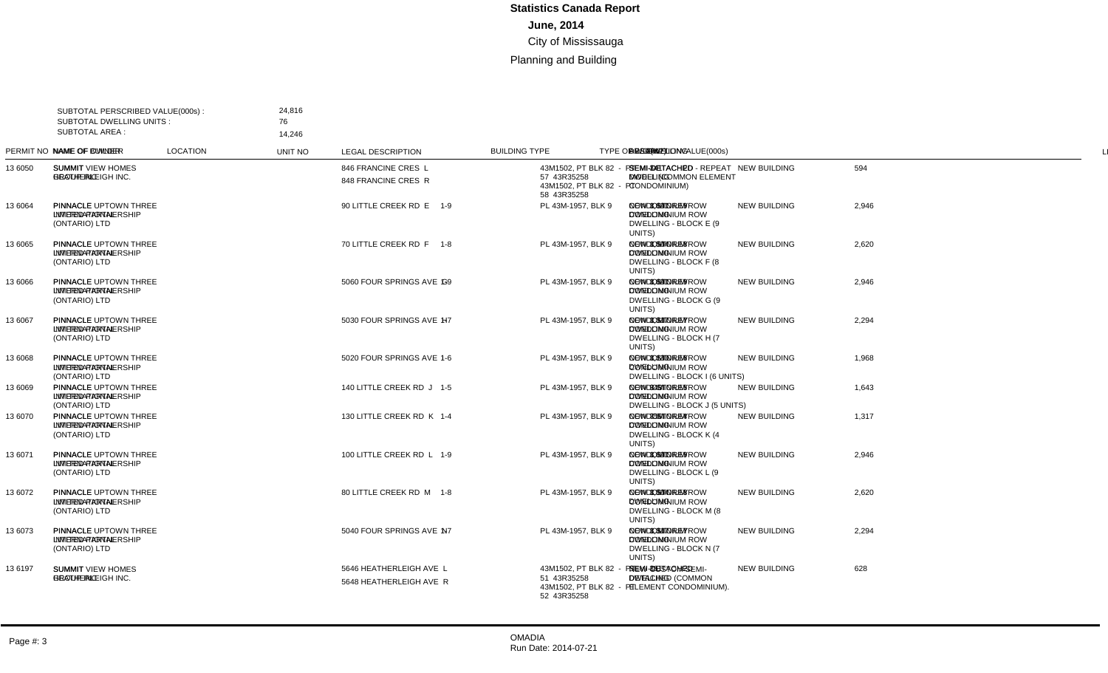| <b>SUBTOTAL AREA:</b> | SUBTOTAL PERSCRIBED VALUE(000s):<br><b>SUBTOTAL DWELLING UNITS:</b> | 24,816<br>76<br>14,246                                                    |                                                    |         |                                                                                  |                                           |                     |             |                |                                                                                  |                 |
|-----------------------|---------------------------------------------------------------------|---------------------------------------------------------------------------|----------------------------------------------------|---------|----------------------------------------------------------------------------------|-------------------------------------------|---------------------|-------------|----------------|----------------------------------------------------------------------------------|-----------------|
|                       | PERMIT NO NAME OF OWNER                                             | <b>NAME OF BUILDER</b>                                                    | <b>LOCATION</b>                                    | UNIT NO | <b>LEGAL DESCRIPTION</b>                                                         | <b>BUILDING TYPE</b>                      | <b>TYPE OF WORK</b> | VALUE(000s) |                | DWELLING AREA(m2) DESCRIPTION                                                    | LINE            |
| 13 6050               | <b>SUMMIT</b><br><b>HEATHERLEIGH INC.</b>                           | <b>SUMMIT VIEW HOMES</b><br><b>GROUP INC</b>                              | 846 FRANCINE CRES L<br>848 FRANCINE CRES R         |         | 43M1502, PT BLK 82 - PT<br>57 43R35258<br>43M1502. PT BLK 82 - PT<br>58 43R35258 | SEMI-DETACHED<br><b>DWELLING</b>          | <b>NEW BUILDING</b> | 594         | 2              | 341 SEMI-DETACHED - REPEAT<br>MODEL (COMMON ELEMENT<br>CONDOMINIUM)              | $\overline{1}$  |
| 13 6064               | <b>PINNACLE</b><br><b>INTERNATIONAL</b><br>(ONTARIO) LTD            | PINNACLE UPTOWN THREE 90 LITTLE CREEK RD E<br><b>LIMITED PARTNERSHIP</b>  |                                                    | $1 - 9$ | PL 43M-1957, BLK 9                                                               | <b>CONDOMINIUM ROW</b><br><b>DWELLING</b> | <b>NEW BUILDING</b> | 2,946       | 9              | 1,691 NEW 3 STOREY<br><b>CONDOMINIUM ROW</b><br>DWELLING - BLOCK E (9<br>UNITS)  | $\overline{2}$  |
| 13 6065               | <b>PINNACLE</b><br><b>INTERNATIONAL</b><br>(ONTARIO) LTD            | PINNACLE UPTOWN THREE 70 LITTLE CREEK RD F<br><b>LIMITED PARTNERSHIP</b>  |                                                    | $1 - 8$ | PL 43M-1957. BLK 9                                                               | <b>CONDOMINIUM ROW</b><br><b>DWELLING</b> | <b>NEW BUILDING</b> | 2,620       | 8              | 1.504 NEW 3 STOREY<br><b>CONDOMINIUM ROW</b><br>DWELLING - BLOCK F (8<br>UNITS)  | 3               |
| 13 6066               | <b>PINNACLE</b><br><b>INTERNATIONAL</b><br>(ONTARIO) LTD            | <b>LIMITED PARTNERSHIP</b>                                                | PINNACLE UPTOWN THREE 5060 FOUR SPRINGS AVE G      | $1 - 9$ | PL 43M-1957, BLK 9                                                               | <b>CONDOMINIUM ROW</b><br><b>DWELLING</b> | <b>NEW BUILDING</b> | 2,946       | 9              | 1,691 NEW 3 STOREY<br><b>CONDOMINIUM ROW</b><br>DWELLING - BLOCK G (9<br>UNITS)  | $\overline{4}$  |
| 13 6067               | <b>PINNACLE</b><br><b>INTERNATIONAL</b><br>(ONTARIO) LTD            | <b>LIMITED PARTNERSHIP</b>                                                | PINNACLE UPTOWN THREE 5030 FOUR SPRINGS AVE H      | $1 - 7$ | PL 43M-1957. BLK 9                                                               | <b>CONDOMINIUM ROW</b><br><b>DWELLING</b> | <b>NEW BUILDING</b> | 2,294       | $\overline{7}$ | 1,317 NEW 3 STOREY<br><b>CONDOMINIUM ROW</b><br>DWELLING - BLOCK H (7)<br>UNITS) | 5               |
| 13 6068               | PINNACLE<br><b>INTERNATIONAL</b><br>(ONTARIO) LTD                   | <b>LIMITED PARTNERSHIP</b>                                                | PINNACLE UPTOWN THREE 5020 FOUR SPRINGS AVE 1      | $1 - 6$ | PL 43M-1957, BLK 9                                                               | <b>CONDOMINIUM ROW</b><br><b>DWELLING</b> | <b>NEW BUILDING</b> | 1,968       | 6              | 1,130 NEW 3 STOREY<br><b>CONDOMINIUM ROW</b><br>DWELLING - BLOCK I (6 UNITS)     | 6               |
| 13 6069               | <b>PINNACLE</b><br><b>INTERNATIONAL</b><br>(ONTARIO) LTD            | PINNACLE UPTOWN THREE 140 LITTLE CREEK RD J<br><b>LIMITED PARTNERSHIP</b> |                                                    | $1 - 5$ | PL 43M-1957. BLK 9                                                               | <b>CONDOMINIUM ROW</b><br><b>DWELLING</b> | <b>NEW BUILDING</b> | 1,643       | 5              | 943 NEW 3 STOREY<br><b>CONDOMINIUM ROW</b><br>DWELLING - BLOCK J (5 UNITS)       | $\overline{7}$  |
| 13 6070               | <b>PINNACLE</b><br><b>INTERNATIONAL</b><br>(ONTARIO) LTD            | PINNACLE UPTOWN THREE<br><b>LIMITED PARTNERSHIP</b>                       | 130 LITTLE CREEK RD K                              | $1 - 4$ | PL 43M-1957. BLK 9                                                               | <b>CONDOMINIUM ROW</b><br><b>DWELLING</b> | <b>NEW BUILDING</b> | 1,317       | $\Delta$       | 756 NEW 3 STOREY<br><b>CONDOMINIUM ROW</b><br>DWELLING - BLOCK K (4<br>UNITS)    | 8               |
| 13 6071               | <b>PINNACLE</b><br><b>INTERNATIONAL</b><br>(ONTARIO) LTD            | PINNACLE UPTOWN THREE 100 LITTLE CREEK RD L<br><b>LIMITED PARTNERSHIP</b> |                                                    | $1 - 9$ | PL 43M-1957, BLK 9                                                               | <b>CONDOMINIUM ROW</b><br><b>DWELLING</b> | <b>NEW BUILDING</b> | 2,946       | 9              | 1.691 NEW 3 STOREY<br><b>CONDOMINIUM ROW</b><br>DWELLING - BLOCK L (9<br>UNITS)  | 9               |
| 13 6072               | <b>PINNACLE</b><br><b>INTERNATIONAL</b><br>(ONTARIO) LTD            | PINNACLE UPTOWN THREE 80 LITTLE CREEK RD M<br><b>LIMITED PARTNERSHIP</b>  |                                                    | $1 - 8$ | PL 43M-1957. BLK 9                                                               | <b>CONDOMINIUM ROW</b><br><b>DWELLING</b> | <b>NEW BUILDING</b> | 2.620       | 8              | 1.504 NEW 3 STOREY<br><b>CONDOMINIUM ROW</b><br>DWELLING - BLOCK M (8)<br>UNITS) | 10 <sup>°</sup> |
| 13 6073               | <b>PINNACLE</b><br><b>INTERNATIONAL</b><br>(ONTARIO) LTD            | <b>LIMITED PARTNERSHIP</b>                                                | PINNACLE UPTOWN THREE 5040 FOUR SPRINGS AVE N      | $1 - 7$ | PL 43M-1957, BLK 9                                                               | <b>CONDOMINIUM ROW</b><br><b>DWELLING</b> | <b>NEW BUILDING</b> | 2,294       | $\overline{7}$ | 1.317 NEW 3 STOREY<br><b>CONDOMINIUM ROW</b><br>DWELLING - BLOCK N (7<br>UNITS)  | 11              |
| 13 6197               | <b>SUMMIT</b><br><b>HEATHERLEIGH INC.</b>                           | <b>SUMMIT VIEW HOMES</b><br><b>GROUP INC</b>                              | 5646 HEATHERLEIGH AVE L<br>5648 HEATHERLEIGH AVE R |         | 43M1502, PT BLK 82 - PT<br>51 43R35258<br>43M1502, PT BLK 82 - PT<br>52 43R35258 | SEMI-DETACHED<br><b>DWELLING</b>          | <b>NEW BUILDING</b> | 628         | 2              | 361 NEW CUSTOM SEMI-<br><b>DETACHED (COMMON</b><br>ELEMENT CONDOMINIUM).         | 12              |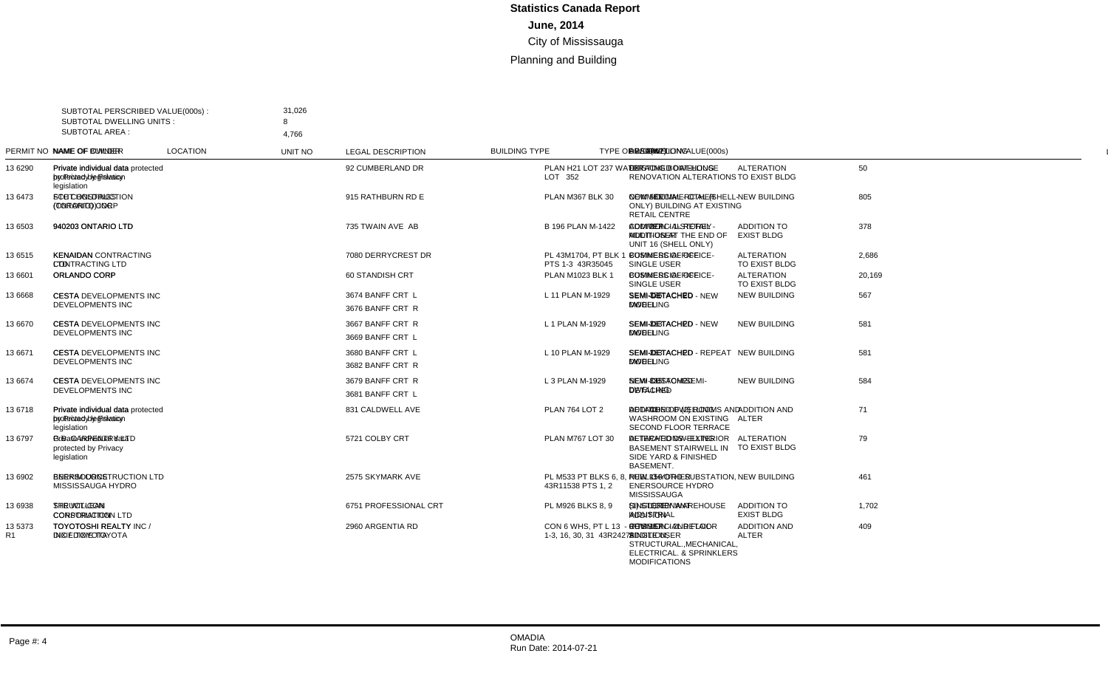|                 | SUBTOTAL PERSCRIBED VALUE(000s):<br><b>SUBTOTAL DWELLING UNITS:</b> | 31,026<br>8                                                                  |                       |         |                                                      |                                                 |                                         |             |                |     |                                                                                                           |                |
|-----------------|---------------------------------------------------------------------|------------------------------------------------------------------------------|-----------------------|---------|------------------------------------------------------|-------------------------------------------------|-----------------------------------------|-------------|----------------|-----|-----------------------------------------------------------------------------------------------------------|----------------|
| SUBTOTAL AREA : |                                                                     | 4.766                                                                        |                       |         |                                                      |                                                 |                                         |             |                |     |                                                                                                           |                |
|                 | PERMIT NO NAME OF OWNER                                             | <b>NAME OF BUILDER</b>                                                       | <b>LOCATION</b>       | UNIT NO | <b>LEGAL DESCRIPTION</b>                             | <b>BUILDING TYPE</b>                            | <b>TYPE OF WORK</b>                     | VALUE(000s) |                |     | DWELLING AREA(m2) DESCRIPTION                                                                             | <b>LINE</b>    |
| 13 6290         | Private individual data<br>protected by Privacy<br>legislation      | Private individual data protected 92 CUMBERLAND DR<br>by Privacy legislation |                       |         | PLAN H21 LOT 237 WATER<br>LOT 352                    | <b>DETACHED DWELLING</b>                        | <b>ALTERATION</b><br>TO EXIST BLDG      | 50          |                |     | <b>EXISTING BOAT-HOUSE</b><br><b>RENOVATION ALTERATIONS</b>                                               | $\overline{1}$ |
| 13 6473         | <b>FCHT HOLDINGS</b><br>(ONTARIO) CORP                              | <b>STC CONSTRUCTION</b><br>(TORONTO) INC                                     | 915 RATHBURN RD E     |         | PLAN M367 BLK 30                                     | <b>COMMERCIAL - OTHER</b>                       | <b>NEW BUILDING</b>                     | 805         |                |     | 581 NEW - COMMERCIAL (SHELL-<br>ONLY) BUILDING AT EXISTING<br><b>RETAIL CENTRE</b>                        | 2              |
| 13 6503         | 940203 ONTARIO LTD                                                  | 940203 ONTARIO LTD                                                           | 735 TWAIN AVE AB      |         | B 196 PLAN M-1422                                    | <b>COMMERCIAL RETAIL -</b><br><b>MULTI-USER</b> | <b>ADDITION TO</b><br><b>EXIST BLDG</b> | 378         |                |     | 277 ADDITION - 1-STOREY<br>ADDITION AT THE END OF<br>UNIT 16 (SHELL ONLY)                                 | 3              |
| 13 6515         | <b>KENAIDAN</b><br><b>CONTRACTING LTD</b>                           | <b>KENAIDAN CONTRACTING</b><br>LTD.                                          | 7080 DERRYCREST DR    |         | PL 43M1704, PT BLK 1 -<br>PTS 1-3 43R35045           | <b>COMMERCIAL OFFICE-</b><br>SINGLE USER        | <b>ALTERATION</b><br>TO EXIST BLDG      | 2,686       |                |     | <b>BUSINESS OFFICE</b>                                                                                    | 4              |
| 13 6601         | ORLANDO CORP                                                        | ORLANDO CORP                                                                 | 60 STANDISH CRT       |         | PLAN M1023 BLK 1                                     | <b>COMMERCIAL OFFICE-</b><br>SINGLE USER        | <b>ALTERATION</b><br>TO EXIST BLDG      | 20,169      |                |     | <b>BUSINESS OFFICE</b>                                                                                    | 5              |
| 13 6668         | CESTA<br><b>DEVELOPMENTS INC</b>                                    | CESTA DEVELOPMENTS INC 3674 BANFF CRT L                                      | 3676 BANFF CRT R      |         | L 11 PLAN M-1929                                     | SEMI-DETACHED<br><b>DWELLING</b>                | <b>NEW BUILDING</b>                     | 567         | 2              | 326 | SEMI-DETACHED - NEW<br><b>MODEL</b>                                                                       | 6              |
| 13 6670         | <b>CESTA</b><br><b>DEVELOPMENTS INC</b>                             | CESTA DEVELOPMENTS INC 3667 BANFF CRT R                                      | 3669 BANFF CRT L      |         | L 1 PLAN M-1929                                      | SEMI-DETACHED<br><b>DWELLING</b>                | <b>NEW BUILDING</b>                     | 581         | 2              | 333 | SEMI-DETACHED - NEW<br><b>MODEL</b>                                                                       | $\overline{7}$ |
| 13 6671         | <b>CESTA</b><br><b>DEVELOPMENTS INC</b>                             | CESTA DEVELOPMENTS INC 3680 BANFF CRT L                                      | 3682 BANFF CRT R      |         | L 10 PLAN M-1929                                     | <b>SEMI-DETACHED</b><br><b>DWELLING</b>         | <b>NEW BUILDING</b>                     | 581         | $\overline{2}$ | 333 | SEMI-DETACHED - REPEAT<br><b>MODEL</b>                                                                    | 8              |
| 13 6674         | <b>CESTA</b><br><b>DEVELOPMENTS INC</b>                             | CESTA DEVELOPMENTS INC 3679 BANFF CRT R                                      | 3681 BANFF CRT L      |         | L 3 PLAN M-1929                                      | SEMI-DETACHED<br><b>DWELLING</b>                | <b>NEW BUILDING</b>                     | 584         | 2              |     | 335 NEW CUSTOM SEMI-<br><b>DETACHED</b>                                                                   | 9              |
| 136718          | Private individual data<br>protected by Privacy<br>legislation      | Private individual data protected 831 CALDWELL AVE<br>by Privacy legislation |                       |         | <b>PLAN 764 LOT 2</b>                                | <b>DETACHED DWELLING</b>                        | <b>ADDITION AND</b><br>ALTER            | 71          |                |     | 43 ADDITION OF (2) ROOMS AND<br><b>WASHROOM ON EXISTING</b><br><b>SECOND FLOOR TERRACE</b>                | 10             |
| 13 6797         | Private individual data<br>protected by Privacy<br>legislation      | <b>G.B. CARPENTRY LTD</b>                                                    | 5721 COLBY CRT        |         | PLAN M767 LOT 30                                     | <b>DETACHED DWELLING</b>                        | <b>ALTERATION</b><br>TO EXIST BLDG      | 79          |                |     | <b>ALTERATIONS - EXTERIOR</b><br><b>BASEMENT STAIRWELL IN</b><br>SIDE YARD & FINISHED<br><b>BASEMENT.</b> | 11             |
| 13 6902         | <b>ENERSOURCE</b><br>MISSISSAUGA HYDRO                              | BERKIM CONSTRUCTION LTD 2575 SKYMARK AVE                                     |                       |         | PL M533 PT BLKS 6, 8.<br>43R11538 PTS 1, 2           | PUBLIC - OTHER                                  | <b>NEW BUILDING</b>                     | 461         |                |     | 156 NEW - HYDRO SUBSTATION.<br><b>ENERSOURCE HYDRO</b><br><b>MISSISSAUGA</b>                              | 12             |
| 13 6938         | THE WILLEAN<br><b>CORPORATION</b>                                   | STRUCT-CON<br><b>CONSTRUCTION LTD</b>                                        | 6751 PROFESSIONAL CRT |         | PL M926 BLKS 8, 9                                    | <b>SINGLE TENANT</b><br><b>INDUSTRIAL</b>       | ADDITION TO<br><b>EXIST BLDG</b>        | 1,702       |                |     | 1,310 (1) STOREY WAREHOUSE<br><b>ADDITION</b>                                                             | 13             |
| 13 5373<br>R1   | <b>TOYOTOSHI REALTY</b><br>INC / DIXIE TOYOTA                       | <b>TOYOTOSHI REALTY INC/</b><br><b>DIXIE TOYOTA</b>                          | 2960 ARGENTIA RD      |         | CON 6 WHS, PT L 13 - PTS<br>1-3, 16, 30, 31 43R24278 | <b>COMMERCIAL RETAIL-</b><br>SINGLE USER        | <b>ADDITION AND</b><br>ALTER            | 409         |                |     | 157 REVISION - 2ND FLOOR<br>ADDITION,<br>STRUCTURAL., MECHANICAL,<br>ELECTRICAL. & SPRINKLERS             | 14             |

MODIFICATIONS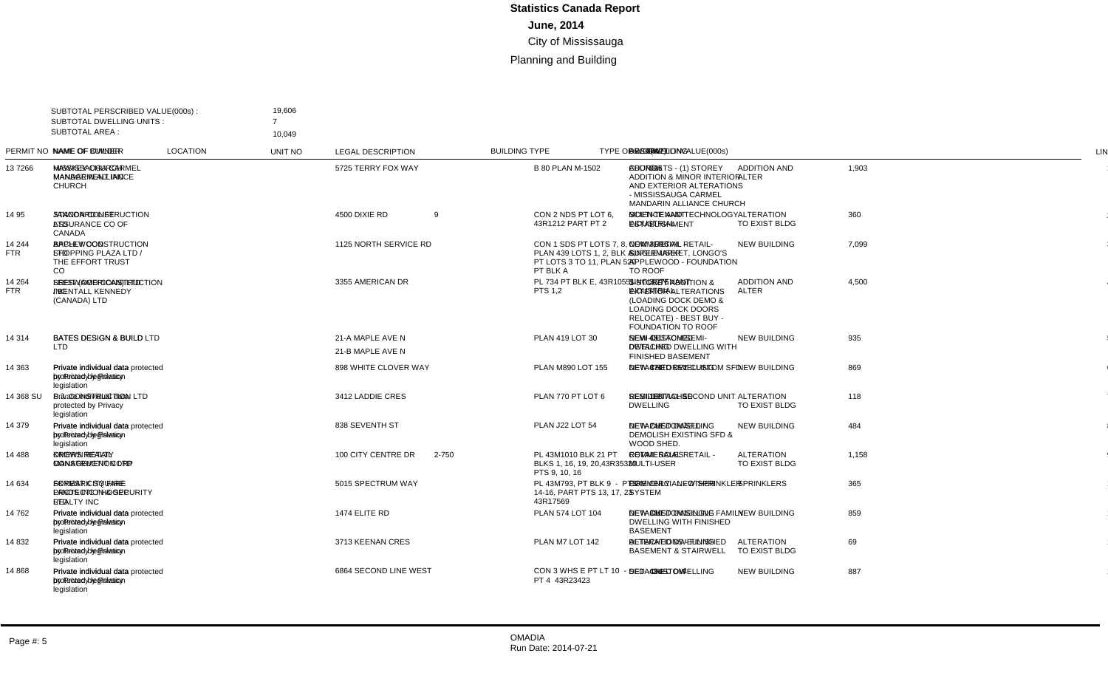|                      | SUBTOTAL PERSCRIBED VALUE(000s):<br><b>SUBTOTAL DWELLING UNITS:</b>           | 19.606<br>7                                                                       |                       |              |                                                                                                |                                                 |                                     |             |                |     |                                                                                                                                                               |                |
|----------------------|-------------------------------------------------------------------------------|-----------------------------------------------------------------------------------|-----------------------|--------------|------------------------------------------------------------------------------------------------|-------------------------------------------------|-------------------------------------|-------------|----------------|-----|---------------------------------------------------------------------------------------------------------------------------------------------------------------|----------------|
| SUBTOTAL AREA :      |                                                                               | 10,049                                                                            |                       |              |                                                                                                |                                                 |                                     |             |                |     |                                                                                                                                                               |                |
|                      | PERMIT NO NAME OF OWNER                                                       | <b>NAME OF BUILDER</b>                                                            | <b>LOCATION</b>       | UNIT NO      | <b>LEGAL DESCRIPTION</b>                                                                       | <b>BUILDING TYPE</b>                            | <b>TYPE OF WORK</b>                 | VALUE(000s) |                |     | DWELLING AREA(m2) DESCRIPTION                                                                                                                                 | <b>LINE</b>    |
| 137266               | MISSISSAUGA CARMEL HAWKEY CHURCH<br><b>MANDARIN ALLIANCE</b><br><b>CHURCH</b> | <b>MANAGEMENT INC</b>                                                             | 5725 TERRY FOX WAY    |              | <b>B 80 PLAN M-1502</b>                                                                        | <b>CHURCH</b>                                   | <b>ADDITION AND</b><br>ALTER        | 1,903       |                |     | 915 ADDN/ALTS - (1) STOREY<br><b>ADDITION &amp; MINOR INTERIOR</b><br>AND EXTERIOR ALTERATIONS<br>- MISSISSAUGA CARMEL<br>MANDARIN ALLIANCE CHURCH            | $\overline{1}$ |
| 14 95                | STANDARD LIFE<br>ASSURANCE CO OF<br>CANADA                                    | <b>JANCON CONSTRUCTION</b><br><b>LTD</b>                                          | 4500 DIXIE RD         | $\mathbf{Q}$ | CON 2 NDS PT LOT 6.<br>43R1212 PART PT 2                                                       | MULTI-TENANT<br><b>INDUSTRIAL</b>               | <b>ALTERATION</b><br>TO EXIST BLDG  | 360         |                |     | SCIENCE AND TECHNOLOGY<br><b>ESTABLISHMENT</b>                                                                                                                | $\overline{2}$ |
| 14 244<br><b>FTR</b> | APPLEWOOD<br>SHOPPING PLAZA LTD / LTD<br>THE EFFORT TRUST<br>CO.              | <b>BACHLY CONSTRUCTION</b>                                                        | 1125 NORTH SERVICE RD |              | CON 1 SDS PT LOTS 7, 8.<br>PLAN 439 LOTS 1, 2, BLK A,<br>PT LOTS 3 TO 11, PLAN 520<br>PT BLK A | <b>COMMERCIAL RETAIL-</b><br><b>SINGLE USER</b> | <b>NEW BUILDING</b>                 | 7.099       |                |     | 3.715 NEW - RETAIL -<br>SUPERMARKET, LONGO'S<br>APPLEWOOD - FOUNDATION<br>TO ROOF                                                                             | 3              |
| 14 264<br><b>FTR</b> | / BENTALL KENNEDY INC<br>(CANADA) LTD                                         | SREIT (AMERICAN) LTD LEESWOOD CONSTRUCTION 3355 AMERICAN DR                       |                       |              | PL 734 PT BLK E, 43R10551<br><b>PTS 1.2</b>                                                    | SINGLE TENANT<br><b>INDUSTRIAL</b>              | <b>ADDITION AND</b><br><b>ALTER</b> | 4,500       |                |     | 3,275 1-STOREY ADDITION &<br><b>EXTERIOR ALTERATIONS</b><br>(LOADING DOCK DEMO &<br><b>LOADING DOCK DOORS</b><br>RELOCATE) - BEST BUY -<br>FOUNDATION TO ROOF | $\overline{4}$ |
| 14 314               | LTD                                                                           | BATES DESIGN & BUILD BATES DESIGN & BUILD LTD 21-A MAPLE AVE N                    | 21-B MAPLE AVE N      |              | PLAN 419 LOT 30                                                                                | SEMI-DETACHED<br><b>DWELLING</b>                | <b>NEW BUILDING</b>                 | 935         | $\overline{2}$ |     | 451 NEW CUSTOM SEMI-<br>DETACHED DWELLING WITH<br><b>FINISHED BASEMENT</b>                                                                                    | 5              |
| 14 363               | Private individual data<br>protected by Privacy<br>legislation                | Private individual data protected 898 WHITE CLOVER WAY<br>by Privacy legislation  |                       |              | PLAN M890 LOT 155                                                                              | DETACHED DWELLING                               | <b>NEW BUILDING</b>                 | 869         |                |     | 474 NEW 3 STOREY CUSTOM SFD                                                                                                                                   | 6              |
| 14 368 SU            | Private individual data<br>protected by Privacy<br>legislation                | S.J. CONSTRUCTION LTD                                                             | 3412 LADDIE CRES      |              | PLAN 770 PT LOT 6                                                                              | SEMI-DETACHED<br><b>DWELLING</b>                | <b>ALTERATION</b><br>TO EXIST BLDG  | 118         | $\overline{1}$ | 108 | <b>RESIDENTIAL SECOND UNIT</b>                                                                                                                                | $\overline{7}$ |
| 14 379               | Private individual data<br>protected by Privacy<br>legislation                | Private individual data protected 838 SEVENTH ST<br>by Privacy legislation        |                       |              | <b>PLAN J22 LOT 54</b>                                                                         | <b>DETACHED DWELLING</b>                        | <b>NEW BUILDING</b>                 | 484         | $\overline{1}$ |     | 248 NEW CUSTOM SFD /<br><b>DEMOLISH EXISTING SFD &amp;</b><br>WOOD SHED.                                                                                      | 8              |
| 14 488               | <b>OMERS REALTY</b><br><b>MANAGEMENT CORP</b>                                 | <b>KROWN RETAIL</b><br><b>CONSTRUCTION LTD</b>                                    | 100 CITY CENTRE DR    | 2-750        | PL 43M1010 BLK 21 PT<br>BLKS 1, 16, 19, 20,43R35320<br>PTS 9, 10, 16                           | <b>COMMERCIAL RETAIL -</b><br><b>MULTI-USER</b> | <b>ALTERATION</b><br>TO EXIST BLDG  | 1,158       |                |     | <b>RETAIL SALES</b>                                                                                                                                           | 9              |
| 14 634               | <b>SKYMARK SQUARE</b><br>LANDS INC / HOOPP<br><b>REALTY INC</b>               | <b>FOREST CITY FIRE</b><br><b>PROTECTION &amp; SECURITY</b><br><b>LTD</b>         | 5015 SPECTRUM WAY     |              | PL 43M793, PT BLK 9 - PTS<br>14-16, PART PTS 13, 17, 23<br>43R17569                            | <b>COMMERCIAL - OTHER</b>                       | <b>SPRINKLERS</b>                   | 365         |                |     | FIRE ONLY - NEW SPRINKLER<br><b>SYSTEM</b>                                                                                                                    | 10             |
| 14762                | Private individual data<br>protected by Privacy<br>legislation                | Private individual data protected 1474 ELITE RD<br>by Privacy legislation         |                       |              | PLAN 574 LOT 104                                                                               | DETACHED DWELLING                               | <b>NEW BUILDING</b>                 | 859         |                | 380 | NEW CUSTOM SINGLE FAMILY<br><b>DWELLING WITH FINISHED</b><br><b>BASEMENT</b>                                                                                  | 11             |
| 14 832               | Private individual data<br>protected by Privacy<br>legislation                | Private individual data protected 3713 KEENAN CRES<br>by Privacy legislation      |                       |              | PLAN M7 LOT 142                                                                                | DETACHED DWELLING                               | <b>ALTERATION</b><br>TO EXIST BLDG  | 69          |                |     | <b>ALTERATIONS - FINISHED</b><br><b>BASEMENT &amp; STAIRWELL</b>                                                                                              | 12             |
| 14 868               | Private individual data<br>protected by Privacy<br>legislation                | Private individual data protected 6864 SECOND LINE WEST<br>by Privacy legislation |                       |              | CON 3 WHS E PT LT 10 -<br>PT 4 43R23423                                                        | <b>DETACHED DWELLING</b>                        | <b>NEW BUILDING</b>                 | 887         |                | 484 | SFD - CUSTOM                                                                                                                                                  | 13             |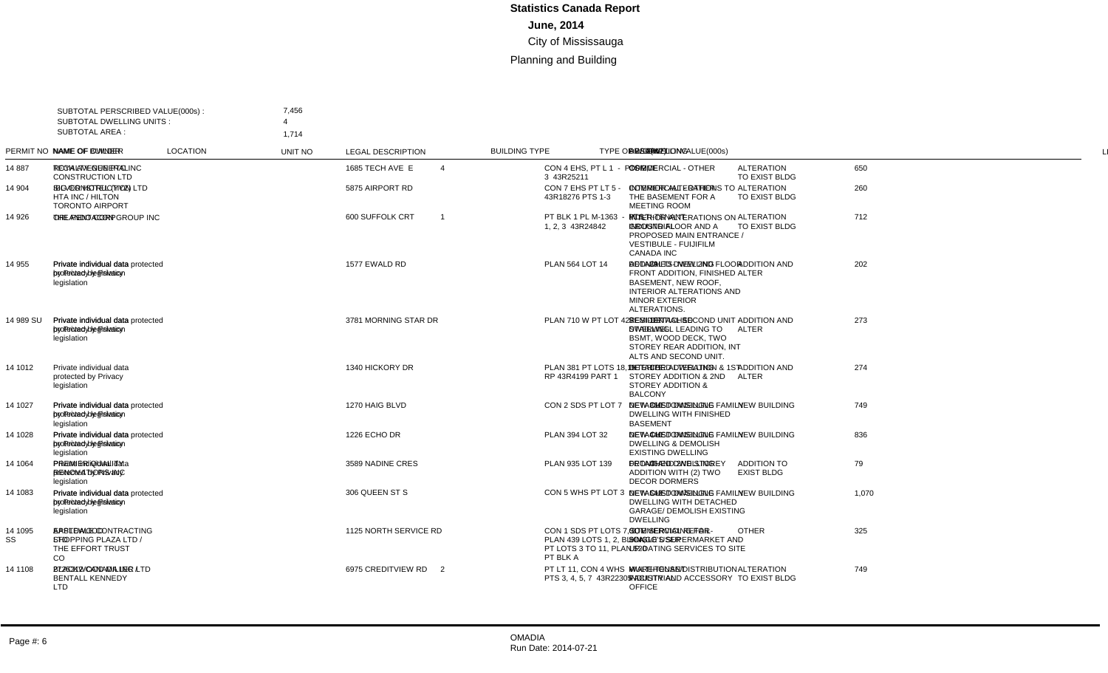|                       | SUBTOTAL PERSCRIBED VALUE(000s):<br><b>SUBTOTAL DWELLING UNITS:</b> | 7,456                                                                            |                       |                |                                                                                                |                                          |                                         |             |                |     |                                                                                                                                                                  |                |
|-----------------------|---------------------------------------------------------------------|----------------------------------------------------------------------------------|-----------------------|----------------|------------------------------------------------------------------------------------------------|------------------------------------------|-----------------------------------------|-------------|----------------|-----|------------------------------------------------------------------------------------------------------------------------------------------------------------------|----------------|
| <b>SUBTOTAL AREA:</b> |                                                                     | 1.714                                                                            |                       |                |                                                                                                |                                          |                                         |             |                |     |                                                                                                                                                                  |                |
|                       | PERMIT NO NAME OF OWNER                                             | NAME OF BUILDER                                                                  | <b>LOCATION</b>       | UNIT NO        | <b>LEGAL DESCRIPTION</b>                                                                       | <b>BUILDING TYPE</b>                     | <b>TYPE OF WORK</b>                     | VALUE(000s) |                |     | DWELLING AREA(m2) DESCRIPTION                                                                                                                                    | <b>LINE</b>    |
| 14887                 | TECH AVENUE PTC INC ROYALTY GENERAL                                 | <b>CONSTRUCTION LTD</b>                                                          | 1685 TECH AVE E       | $\Delta$       | CON 4 EHS. PT L 1 - PTS 2.<br>3 43R25211                                                       | <b>COMMERCIAL - OTHER</b>                | <b>ALTERATION</b><br>TO EXIST BLDG      | 650         |                |     | <b>OFFICE</b>                                                                                                                                                    | $\overline{1}$ |
| 14 904                | SILVER HOTEL (YYZ)<br>HTA INC / HILTON<br><b>TORONTO AIRPORT</b>    | <b>IBG CONSTRUCTION LTD</b>                                                      | 5875 AIRPORT RD       |                | CON 7 EHS PT LT 5 -<br>43R18276 PTS 1-3                                                        | <b>COMMERCIAL - OTHER</b>                | <b>ALTERATION</b><br>TO EXIST BLDG      | 260         |                |     | INTERIOR ALTERATIONS TO<br>THE BASEMENT FOR A<br><b>MEETING ROOM</b>                                                                                             | 2              |
| 14 926                | ORLANDO CORP                                                        | THE PENTACON GROUP INC 600 SUFFOLK CRT                                           |                       | $\overline{1}$ | PT BLK 1 PL M-1363 - PTS<br>1.2.3 43R24842                                                     | MULTI-TENANT<br><b>INDUSTRIAL</b>        | <b>ALTERATION</b><br>TO EXIST BLDG      | 712         |                |     | <b>INTERIOR ALTERATIONS ON</b><br><b>GROUND FLOOR AND A</b><br>PROPOSED MAIN ENTRANCE /<br><b>VESTIBULE - FUIJIFILM</b><br><b>CANADA INC</b>                     | 3              |
| 14 955                | Private individual data<br>protected by Privacy<br>legislation      | Private individual data protected 1577 EWALD RD<br>by Privacy legislation        |                       |                | PLAN 564 LOT 14                                                                                | DETACHED DWELLING                        | <b>ADDITION AND</b><br><b>ALTER</b>     | 202         |                |     | 39 ADDN/ALTS-NEW 2ND FLOOR<br>FRONT ADDITION. FINISHED<br><b>BASEMENT, NEW ROOF.</b><br><b>INTERIOR ALTERATIONS AND</b><br><b>MINOR EXTERIOR</b><br>ALTERATIONS. | $\overline{4}$ |
| 14 989 SU             | Private individual data<br>protected by Privacy<br>legislation      | Private individual data protected 3781 MORNING STAR DR<br>by Privacy legislation |                       |                | PLAN 710 W PT LOT 427                                                                          | SEMI-DETACHED<br><b>DWELLING</b>         | <b>ADDITION AND</b><br><b>ALTER</b>     | 273         | $\overline{1}$ |     | 107 RESIDENTIAL SECOND UNIT -<br>STAIRWELL LEADING TO<br>BSMT. WOOD DECK. TWO<br>STOREY REAR ADDITION, INT<br>ALTS AND SECOND UNIT.                              | 5              |
| 14 1012               | Private individual data<br>protected by Privacy<br>legislation      |                                                                                  | 1340 HICKORY DR       |                | PLAN 381 PT LOTS 18,19<br>RP 43R4199 PART 1                                                    | DETACHED DWELLING                        | <b>ADDITION AND</b><br>ALTER            | 274         |                |     | 179 INTERIOR ALTERATION & 1ST<br>STOREY ADDITION & 2ND<br><b>STOREY ADDITION &amp;</b><br><b>BALCONY</b>                                                         | 6              |
| 14 1027               | Private individual data<br>protected by Privacy<br>legislation      | Private individual data protected 1270 HAIG BLVD<br>by Privacy legislation       |                       |                | CON 2 SDS PT LOT 7                                                                             | <b>DETACHED DWELLING</b>                 | <b>NEW BUILDING</b>                     | 749         |                | 360 | NEW CUSTOM SINGLE FAMILY<br><b>DWELLING WITH FINISHED</b><br><b>BASEMENT</b>                                                                                     | $\overline{7}$ |
| 14 1028               | Private individual data<br>protected by Privacy<br>legislation      | Private individual data protected 1226 ECHO DR<br>by Privacy legislation         |                       |                | <b>PLAN 394 LOT 32</b>                                                                         | <b>DETACHED DWELLING</b>                 | <b>NEW BUILDING</b>                     | 836         | $\overline{1}$ |     | 440 NEW CUSTOM SINGLE FAMILY<br><b>DWELLING &amp; DEMOLISH</b><br><b>EXISTING DWELLING</b>                                                                       | 8              |
| 14 1064               | Private individual data<br>protected by Privacy<br>legislation      | <b>PREMIER QUALITY</b><br><b>RENOVATIONS INC</b>                                 | 3589 NADINE CRES      |                | PLAN 935 LOT 139                                                                               | <b>DETACHED DWELLING</b>                 | <b>ADDITION TO</b><br><b>EXIST BLDG</b> | 79          |                |     | 46 FRONT AND 2ND STOREY<br>ADDITION WITH (2) TWO<br><b>DECOR DORMERS</b>                                                                                         | 9              |
| 14 1083               | Private individual data<br>protected by Privacy<br>legislation      | Private individual data protected 306 QUEEN ST S<br>by Privacy legislation       |                       |                | CON 5 WHS PT LOT 3                                                                             | DETACHED DWELLING                        | <b>NEW BUILDING</b>                     | 1,070       | $\overline{1}$ |     | 543 NEW CUSTOM SINGLE FAMILY<br><b>DWELLING WITH DETACHED</b><br><b>GARAGE/ DEMOLISH EXISTING</b><br><b>DWELLING</b>                                             | 10             |
| 14 1095<br>SS         | APPLEWOOD<br>SHOPPING PLAZA LTD / LTD<br>THE EFFORT TRUST<br>CO.    | <b>EASTDALE CONTRACTING</b>                                                      | 1125 NORTH SERVICE RD |                | CON 1 SDS PT LOTS 7, 8,<br>PLAN 439 LOTS 1, 2, BLK A,<br>PT LOTS 3 TO 11, PLAN 520<br>PT BLK A | <b>COMMERCIAL RETAIL-</b><br>SINGLE USER | <b>OTHER</b>                            | 325         |                |     | SITE SERVICING FOR<br>LONGO'S SUPERMARKET AND<br>UP-DATING SERVICES TO SITE                                                                                      | 11             |
| 14 1108               | 2725312 CANADA INC /<br><b>BENTALL KENNEDY</b><br><b>LTD</b>        | <b>BLACKWOOD MILLER LTD</b>                                                      | 6975 CREDITVIEW RD    | 2              | PT LT 11, CON 4 WHS -<br>PTS 3, 4, 5, 7 43R22305                                               | MULTI-TENANT<br><b>INDUSTRIAL</b>        | <b>ALTERATION</b><br>TO EXIST BLDG      | 749         |                |     | WAREHOUSE/DISTRIBUTION<br>FACILITY AND ACCESSORY<br><b>OFFICE</b>                                                                                                | 12             |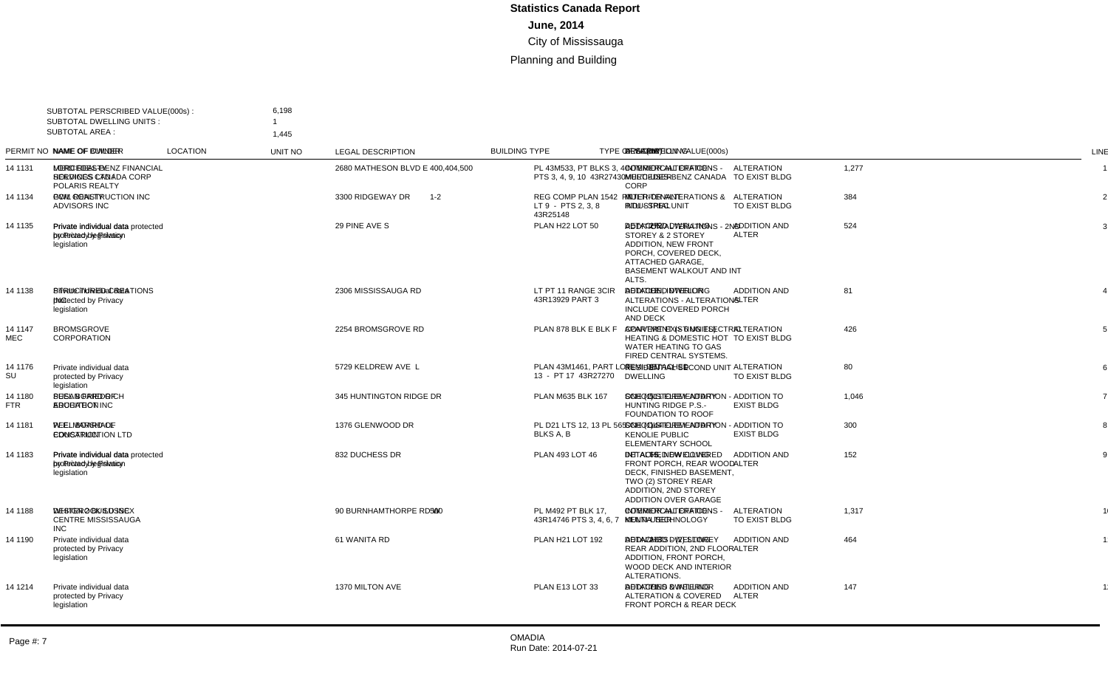| <b>SUBTOTAL AREA:</b> | SUBTOTAL PERSCRIBED VALUE(000s):<br><b>SUBTOTAL DWELLING UNITS:</b> | 6,198<br>1.445                                                              |                         |             |                                                         |                                                 |                                         |             |                               |                                                                                                                                                                           |                |
|-----------------------|---------------------------------------------------------------------|-----------------------------------------------------------------------------|-------------------------|-------------|---------------------------------------------------------|-------------------------------------------------|-----------------------------------------|-------------|-------------------------------|---------------------------------------------------------------------------------------------------------------------------------------------------------------------------|----------------|
|                       | PERMIT NO NAME OF OWNER                                             | <b>NAME OF BUILDER</b>                                                      | <b>LOCATION</b>         | UNIT NO     | <b>LEGAL DESCRIPTION</b>                                | <b>BUILDING TYPE</b>                            | <b>TYPE OF WORK</b>                     | VALUE(000s) | DWELLING AREA(m2) DESCRIPTION |                                                                                                                                                                           | <b>LINE</b>    |
| 14 1131               | <b>LORD REALTY</b><br><b>HOLDINGS LTD /</b><br>POLARIS REALTY       | MERCEDES-BENZ FINANCIAL 2680 MATHESON BLVD E<br><b>SERVICES CANADA CORP</b> |                         | 400,404,500 | PL 43M533. PT BLKS 3.4 -<br>PTS 3, 4, 9, 10 43R27430    | <b>COMMERCIAL OFFICE -</b><br><b>MULTI-USER</b> | <b>ALTERATION</b><br>TO EXIST BLDG      | 1,277       |                               | <b>INTERIOR ALTERATIONS -</b><br>MERCEDES-BENZ CANADA<br>CORP                                                                                                             | $\overline{1}$ |
| 14 1134               | <b>GWL REALTY</b><br><b>ADVISORS INC</b>                            | PCM CONSTRUCTION INC                                                        | 3300 RIDGEWAY DR        | $1 - 2$     | REG COMP PLAN 1542 PT<br>LT 9 - PTS 2, 3, 8<br>43R25148 | MULTI-TENANT<br><b>INDUSTRIAL</b>               | <b>ALTERATION</b><br>TO EXIST BLDG      | 384         |                               | <b>INTERIOR ALTERATIONS &amp;</b><br><b>RTU - SPEC UNIT</b>                                                                                                               | 2              |
| 14 1135               | Private individual data<br>protected by Privacy<br>legislation      | Private individual data protected 29 PINE AVE S<br>by Privacy legislation   |                         |             | PLAN H22 LOT 50                                         | <b>DETACHED DWELLING</b>                        | <b>ADDITION AND</b><br><b>ALTER</b>     | 524         |                               | 272 ADDITION/ALTERATIONS - 2ND<br>STOREY & 2 STOREY<br><b>ADDITION, NEW FRONT</b><br>PORCH, COVERED DECK,<br>ATTACHED GARAGE.<br><b>BASEMENT WALKOUT AND INT</b><br>ALTS. | 3              |
| 14 1138               | Private individual data<br>protected by Privacy<br>legislation      | STRUCTURED CREATIONS<br><b>INC</b>                                          | 2306 MISSISSAUGA RD     |             | LT PT 11 RANGE 3CIR<br>43R13929 PART 3                  | <b>DETACHED DWELLING</b>                        | <b>ADDITION AND</b><br><b>ALTER</b>     | 81          |                               | 12 ADDITION, INTERIOR<br>ALTERATIONS - ALTERATIONS<br>INCLUDE COVERED PORCH<br>AND DECK                                                                                   | $\overline{4}$ |
| 14 11 47<br>MEC       | <b>BROMSGROVE</b><br>CORPORATION                                    |                                                                             | 2254 BROMSGROVE RD      |             | PLAN 878 BLK E BLK F                                    | APARTMENT (> 6 UNITS)                           | <b>ALTERATION</b><br>TO EXIST BLDG      | 426         |                               | <b>CONVERT EXISTING ELECTRIC</b><br><b>HEATING &amp; DOMESTIC HOT</b><br>WATER HEATING TO GAS<br>FIRED CENTRAL SYSTEMS.                                                   | 5              |
| 14 1176<br>SU         | Private individual data<br>protected by Privacy<br>legislation      |                                                                             | 5729 KELDREW AVE L      |             | PLAN 43M1461. PART LOT<br>13 - PT 17 43R27270           | SEMI-DETACHED<br><b>DWELLING</b>                | <b>ALTERATION</b><br>TO EXIST BLDG      | 80          | $\mathbf{1}$                  | 91 RESIDENTIAL SECOND UNIT                                                                                                                                                | 6              |
| 14 1180<br>FTR        | PEEL BOARD OF<br><b>EDUCATION</b>                                   | <b>SUSAN FRIEDRICH</b><br><b>ARCHITECT INC</b>                              | 345 HUNTINGTON RIDGE DR |             | PLAN M635 BLK 167                                       | SCHOOL - ELEMENTARY                             | <b>ADDITION TO</b><br><b>EXIST BLDG</b> | 1.046       |                               | 511 ONE (1) STOREY ADDITION -<br><b>HUNTING RIDGE P.S.-</b><br>FOUNDATION TO ROOF                                                                                         | $\overline{7}$ |
| 14 1181               | PEEL BOARD OF<br><b>EDUCATION</b>                                   | W.E. MARSHALL<br><b>CONSTRUCTION LTD</b>                                    | 1376 GLENWOOD DR        |             | PL D21 LTS 12, 13 PL 565<br>BLKS A, B                   | <b>SCHOOL - ELEMENTARY</b>                      | <b>ADDITION TO</b><br><b>EXIST BLDG</b> | 300         |                               | 144 ONE (1) STOREY ADDITION -<br><b>KENOLIE PUBLIC</b><br><b>ELEMENTARY SCHOOL</b>                                                                                        | 8              |
| 14 1183               | Private individual data<br>protected by Privacy<br>legislation      | Private individual data protected 832 DUCHESS DR<br>by Privacy legislation  |                         |             | PLAN 493 LOT 46                                         | <b>DETACHED DWELLING</b>                        | <b>ADDITION AND</b><br><b>ALTER</b>     | 152         |                               | 65 INT ALTS, NEW COVERED<br>FRONT PORCH, REAR WOOD<br>DECK, FINISHED BASEMENT,<br>TWO (2) STOREY REAR<br><b>ADDITION, 2ND STOREY</b><br><b>ADDITION OVER GARAGE</b>       | 9              |
| 14 1188               | <b>WHITEROCK SUSSEX</b><br>CENTRE MISSISSAUGA<br><b>INC</b>         | <b>DESIGN 2 BUILD INC</b>                                                   | 90 BURNHAMTHORPE RD W   | 500         | PL M492 PT BLK 17.<br>43R14746 PTS 3, 4, 6, 7           | COMMERCIAL OFFICE -<br>MULTI-USER               | <b>ALTERATION</b><br>TO EXIST BLDG      | 1.317       |                               | <b>INTERIOR ALTERATIONS -</b><br><b>KENNA TECHNOLOGY</b>                                                                                                                  | 10             |
| 14 1190               | Private individual data<br>protected by Privacy<br>legislation      |                                                                             | 61 WANITA RD            |             | PLAN H21 LOT 192                                        | DETACHED DWELLING                               | <b>ADDITION AND</b><br><b>ALTER</b>     | 464         |                               | 278 ADDN/ALTS - (2) STOREY<br>REAR ADDITION, 2ND FLOOR<br>ADDITION, FRONT PORCH,<br>WOOD DECK AND INTERIOR<br>ALTERATIONS.                                                | 11             |
| 14 1214               | Private individual data<br>protected by Privacy<br>legislation      |                                                                             | 1370 MILTON AVE         |             | PLAN E13 LOT 33                                         | <b>DETACHED DWELLING</b>                        | <b>ADDITION AND</b><br><b>ALTER</b>     | 147         |                               | 71 ADDITIONS & INTERIOR<br><b>ALTERATION &amp; COVERED</b><br>FRONT PORCH & REAR DECK                                                                                     | 12             |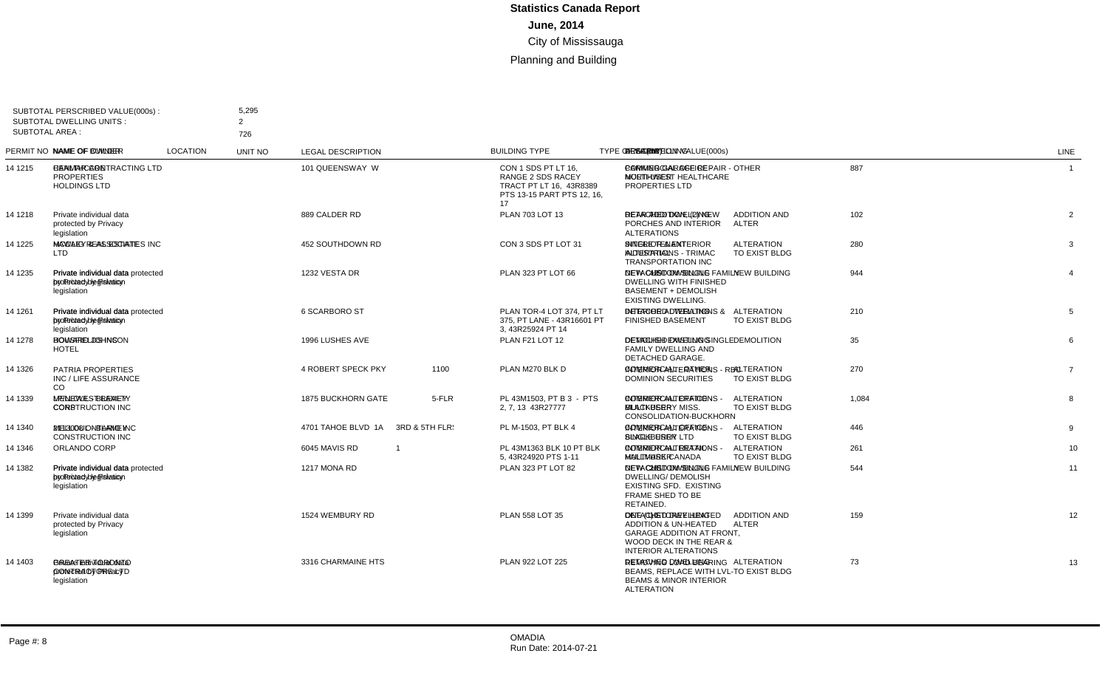|                       | SUBTOTAL PERSCRIBED VALUE(000s):<br><b>SUBTOTAL DWELLING UNITS:</b> | 5,295<br>2                                                                |                           |         |                                                                                                         |                                                 |                                     |             |  |                                                                                                                                                           |                  |
|-----------------------|---------------------------------------------------------------------|---------------------------------------------------------------------------|---------------------------|---------|---------------------------------------------------------------------------------------------------------|-------------------------------------------------|-------------------------------------|-------------|--|-----------------------------------------------------------------------------------------------------------------------------------------------------------|------------------|
| <b>SUBTOTAL AREA:</b> |                                                                     | 726                                                                       |                           |         |                                                                                                         |                                                 |                                     |             |  |                                                                                                                                                           |                  |
|                       | PERMIT NO NAME OF OWNER                                             | <b>NAME OF BUILDER</b>                                                    | <b>LOCATION</b>           | UNIT NO | <b>LEGAL DESCRIPTION</b>                                                                                | <b>BUILDING TYPE</b>                            | <b>TYPE OF WORK</b>                 | VALUE(000s) |  | DWELLING AREA(m2) DESCRIPTION                                                                                                                             | <b>LINE</b>      |
| 14 1215               | <b>HEALTHCARE</b><br><b>PROPERTIES</b><br><b>HOLDINGS LTD</b>       | CANMAR CONTRACTING LTD 101 QUEENSWAY W                                    |                           |         | CON 1 SDS PT LT 16.<br>RANGE 2 SDS RACEY<br>TRACT PT LT 16. 43R8389<br>PTS 13-15 PART PTS 12, 16,<br>17 | <b>COMMERCIAL OFFICE -</b><br><b>MULTI-USER</b> | <b>OTHER</b>                        | 887         |  | PARKING GARAGE REPAIR -<br>NORTHWEST HEALTHCARE<br>PROPERTIES LTD                                                                                         | $\overline{1}$   |
| 14 1218               | Private individual data<br>protected by Privacy<br>legislation      |                                                                           | 889 CALDER RD             |         | PLAN 703 LOT 13                                                                                         | DETACHED DWELLING                               | <b>ADDITION AND</b><br>ALTER        | 102         |  | 7 REAR ADDITION. (2) NEW<br>PORCHES AND INTERIOR<br><b>ALTERATIONS</b>                                                                                    | $\overline{2}$   |
| 14 1225               | <b>LTD</b>                                                          | MCCAIG REAL ESTATE HAWLEY & ASSOCIATES INC 452 SOUTHDOWN RD               |                           |         | CON 3 SDS PT LOT 31                                                                                     | <b>SINGLE TENANT</b><br><b>INDUSTRIAL</b>       | <b>ALTERATION</b><br>TO EXIST BLDG  | 280         |  | <b>INTERIOR &amp; EXTERIOR</b><br><b>ALTERATIONS - TRIMAC</b><br><b>TRANSPORTATION INC</b>                                                                | 3                |
| 14 1235               | Private individual data<br>protected by Privacy<br>legislation      | Private individual data protected 1232 VESTA DR<br>by Privacy legislation |                           |         | PLAN 323 PT LOT 66                                                                                      | <b>DETACHED DWELLING</b>                        | <b>NEW BUILDING</b>                 | 944         |  | 429 NEW CUSTOM SINGLE FAMILY<br><b>DWELLING WITH FINISHED</b><br><b>BASEMENT + DEMOLISH</b><br><b>EXISTING DWELLING.</b>                                  | $\overline{4}$   |
| 14 1261               | Private individual data<br>protected by Privacy<br>legislation      | Private individual data protected 6 SCARBORO ST<br>by Privacy legislation |                           |         | PLAN TOR-4 LOT 374. PT LT<br>375. PT LANE - 43R16601 PT<br>3, 43R25924 PT 14                            | <b>DETACHED DWELLING</b>                        | <b>ALTERATION</b><br>TO EXIST BLDG  | 210         |  | <b>INTERIOR ALTERATIONS &amp;</b><br><b>FINISHED BASEMENT</b>                                                                                             | 5                |
| 14 1278               | HOWARD JOHNSON<br><b>HOTEL</b>                                      | <b>BOUSFIELDS INC</b>                                                     | 1996 LUSHES AVE           |         | PLAN F21 LOT 12                                                                                         | <b>DETACHED DWELLING</b>                        | <b>DEMOLITION</b>                   | 35          |  | <b>DEMOLISH EXISTING SINGLE</b><br><b>FAMILY DWELLING AND</b><br>DETACHED GARAGE.                                                                         | 6                |
| 14 1326               | PATRIA PROPERTIES<br>INC / LIFE ASSURANCE<br><sub>CO</sub>          |                                                                           | 4 ROBERT SPECK PKY        | 1100    | PLAN M270 BLK D                                                                                         | <b>COMMERCIAL - OTHER</b>                       | <b>ALTERATION</b><br>TO EXIST BLDG  | 270         |  | <b>INTERIOR ALTERATIONS - RBC</b><br><b>DOMINION SECURITIES</b>                                                                                           | $\overline{7}$   |
| 14 1339               | LP/NEWEST REALTY<br>CORP                                            | MELLOUL - BLAMEY<br><b>CONSTRUCTION INC</b>                               | <b>1875 BUCKHORN GATE</b> | 5-FLR   | PL 43M1503, PT B 3 - PTS<br>2, 7, 13 43R27777                                                           | <b>COMMERCIAL OFFICE -</b><br><b>MULTI-USER</b> | <b>ALTERATION</b><br>TO EXIST BLDG  | 1,084       |  | <b>INTERIOR ALTERATIONS -</b><br><b>BLACKBERRY MISS.</b><br>CONSOLIDATION-BUCKHORN                                                                        | 8                |
| 14 1340               | 2113008 ONTARIO INC                                                 | MELLOUL - BLAMEY<br><b>CONSTRUCTION INC</b>                               | 4701 TAHOE BLVD 1A        |         | 3RD & 5TH FLR: PL M-1503, PT BLK 4                                                                      | <b>COMMERCIAL OFFICE-</b><br>SINGLE USER        | <b>ALTERATION</b><br>TO EXIST BLDG  | 446         |  | <b>INTERIOR ALTERATIONS -</b><br><b>BLACKBERRY LTD</b>                                                                                                    | 9                |
| 14 1346               | ORLANDO CORP                                                        |                                                                           | 6045 MAVIS RD             |         | PL 43M1363 BLK 10 PT BLK<br>5.43R24920 PTS 1-11                                                         | <b>COMMERCIAL RETAIL -</b><br><b>MULTI-USER</b> | <b>ALTERATION</b><br>TO EXIST BLDG  | 261         |  | <b>INTERIOR ALTERATIONS -</b><br><b>HALLMARK CANADA</b>                                                                                                   | 10               |
| 14 1382               | Private individual data<br>protected by Privacy<br>legislation      | Private individual data protected 1217 MONA RD<br>by Privacy legislation  |                           |         | PLAN 323 PT LOT 82                                                                                      | <b>DETACHED DWELLING</b>                        | <b>NEW BUILDING</b>                 | 544         |  | 281 NEW CUSTOM SINGLE FAMILY<br><b>DWELLING/ DEMOLISH</b><br><b>EXISTING SFD. EXISTING</b><br>FRAME SHED TO BE<br>RETAINED.                               | 11               |
| 14 1399               | Private individual data<br>protected by Privacy<br>legislation      |                                                                           | 1524 WEMBURY RD           |         | PLAN 558 LOT 35                                                                                         | DETACHED DWELLING                               | <b>ADDITION AND</b><br><b>ALTER</b> | 159         |  | 10 ONE (1) STOREY HEATED<br><b>ADDITION &amp; UN-HEATED</b><br><b>GARAGE ADDITION AT FRONT,</b><br>WOOD DECK IN THE REAR &<br><b>INTERIOR ALTERATIONS</b> | 12 <sup>12</sup> |
| 14 1403               | Private individual data<br>protected by Privacy<br>legislation      | <b>GREATER TORONTO</b><br><b>CONTRACTORS LTD</b>                          | 3316 CHARMAINE HTS        |         | PLAN 922 LOT 225                                                                                        | <b>DETACHED DWELLING</b>                        | <b>ALTERATION</b><br>TO EXIST BLDG  | 73          |  | <b>REMOVING LOAD BEARING</b><br><b>BEAMS, REPLACE WITH LVL-</b><br><b>BEAMS &amp; MINOR INTERIOR</b><br><b>ALTERATION</b>                                 | 13               |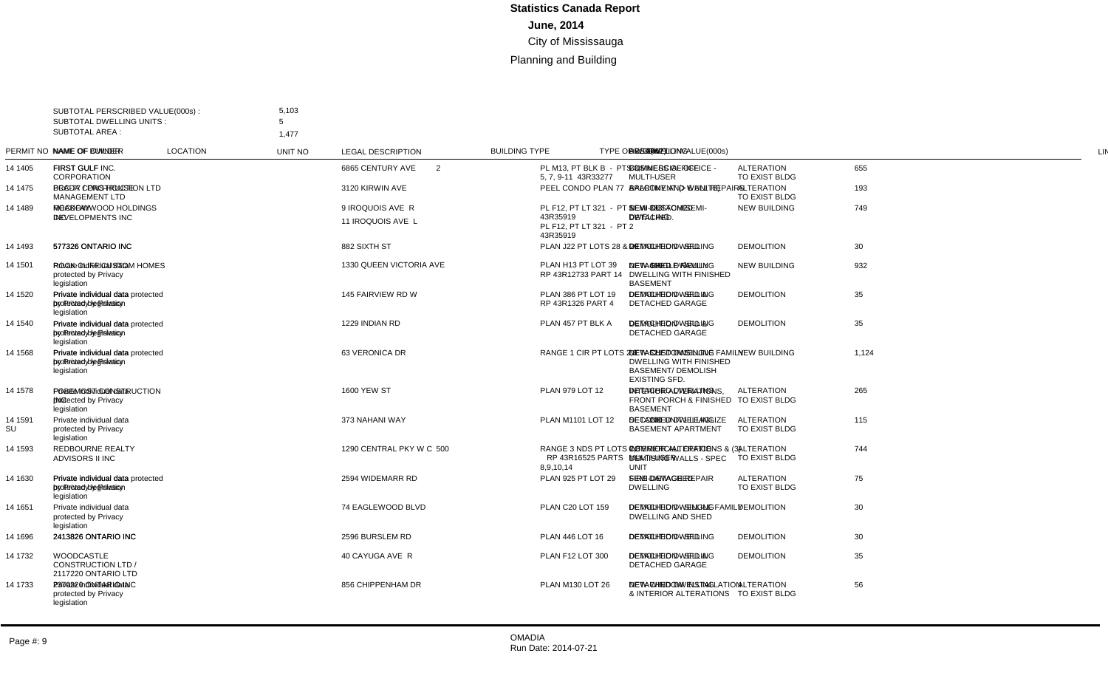| <b>SUBTOTAL AREA:</b> | SUBTOTAL PERSCRIBED VALUE(000s):<br><b>SUBTOTAL DWELLING UNITS:</b> | 5,103<br>5<br>1.477                                                           |                                       |                |                                                                              |                                                 |                                    |             |                |     |                                                                                                                |                |
|-----------------------|---------------------------------------------------------------------|-------------------------------------------------------------------------------|---------------------------------------|----------------|------------------------------------------------------------------------------|-------------------------------------------------|------------------------------------|-------------|----------------|-----|----------------------------------------------------------------------------------------------------------------|----------------|
|                       | PERMIT NO NAME OF OWNER                                             | NAME OF BUILDER                                                               | <b>LOCATION</b>                       | UNIT NO        | <b>LEGAL DESCRIPTION</b>                                                     | <b>BUILDING TYPE</b>                            | <b>TYPE OF WORK</b>                | VALUE(000s) |                |     | DWELLING AREA(m2) DESCRIPTION                                                                                  | LINE           |
| 14 14 05              | <b>FIRST GULF</b><br>CORPORATION                                    | FIRST GULF INC.                                                               | 6865 CENTURY AVE                      | $\overline{2}$ | PL M13, PT BLK B - PTS 3,<br>5, 7, 9-11 43R33277                             | <b>COMMERCIAL OFFICE -</b><br><b>MULTI-USER</b> | <b>ALTERATION</b><br>TO EXIST BLDG | 655         |                |     | <b>BUSINESS OFFICE</b>                                                                                         |                |
| 14 1475               | PCC-77 / PRO-HOUSE<br>MANAGEMENT LTD                                | BRADA CONSTRUCTION LTD 3120 KIRWIN AVE                                        |                                       |                | PEEL CONDO PLAN 77                                                           | APARTMENT (> 6 UNITS)                           | <b>ALTERATION</b><br>TO EXIST BLDG | 193         |                |     | <b>BALCONY AND WALL REPAIRS</b>                                                                                | $\overline{2}$ |
| 14 1489               | <b>ROCKFAY</b><br>DEVELOPMENTS INC                                  | MEADOWWOOD HOLDINGS<br><b>INC</b>                                             | 9 IROQUOIS AVE R<br>11 IROQUOIS AVE L |                | PL F12. PT LT 321 - PT 1<br>43R35919<br>PL F12. PT LT 321 - PT 2<br>43R35919 | SEMI-DETACHED<br><b>DWELLING</b>                | <b>NEW BUILDING</b>                | 749         | $\overline{2}$ | 383 | <b>NEW CUSTOM SEMI-</b><br>DETACHED.                                                                           | $\mathbf{3}$   |
| 14 14 93              | 577326 ONTARIO INC                                                  | 577326 ONTARIO INC                                                            | 882 SIXTH ST                          |                | PLAN J22 PT LOTS 28 & 29                                                     | <b>DETACHED DWELLING</b>                        | <b>DEMOLITION</b>                  | 30          |                |     | <b>DEMOLITION - SFD</b>                                                                                        | $\overline{4}$ |
| 14 1501               | Private individual data<br>protected by Privacy<br>legislation      | ROCK CLIFF CUSTOM HOMES 1330 QUEEN VICTORIA AVE                               |                                       |                | PLAN H13 PT LOT 39<br>RP 43R12733 PART 14                                    | <b>DETACHED DWELLING</b>                        | <b>NEW BUILDING</b>                | 932         |                |     | 466 NEW SINGLE FAMILY<br><b>DWELLING WITH FINISHED</b><br><b>BASEMENT</b>                                      | 5              |
| 14 1520               | Private individual data<br>protected by Privacv<br>legislation      | Private individual data protected 145 FAIRVIEW RD W<br>by Privacy legislation |                                       |                | PLAN 386 PT LOT 19<br>RP 43R1326 PART 4                                      | DETACHED DWELLING                               | <b>DEMOLITION</b>                  | 35          |                |     | <b>DEMOLITION - SFD &amp;</b><br><b>DETACHED GARAGE</b>                                                        | 6              |
| 14 1540               | Private individual data<br>protected by Privacy<br>legislation      | Private individual data protected 1229 INDIAN RD<br>by Privacy legislation    |                                       |                | PLAN 457 PT BLK A                                                            | <b>DETACHED DWELLING</b>                        | <b>DEMOLITION</b>                  | 35          |                |     | <b>DEMOLITION - SFD &amp;</b><br><b>DETACHED GARAGE</b>                                                        | $\overline{7}$ |
| 14 1568               | Private individual data<br>protected by Privacy<br>legislation      | Private individual data protected 63 VERONICA DR<br>by Privacy legislation    |                                       |                | RANGE 1 CIR PT LOTS 2.3                                                      | <b>DETACHED DWELLING</b>                        | <b>NEW BUILDING</b>                | 1,124       |                | 521 | NEW CUSTOM SINGLE FAMILY<br><b>DWELLING WITH FINISHED</b><br><b>BASEMENT/ DEMOLISH</b><br><b>EXISTING SFD.</b> | 8              |
| 14 1578               | Private individual data<br>protected by Privacy<br>legislation      | FOBEMOST CONSTRUCTION 1600 YEW ST<br><b>INC</b>                               |                                       |                | PLAN 979 LOT 12                                                              | <b>DETACHED DWELLING</b>                        | <b>ALTERATION</b><br>TO EXIST BLDG | 265         |                |     | <b>INTERIOR ALTERATIONS.</b><br>FRONT PORCH & FINISHED<br><b>BASEMENT</b>                                      | 9              |
| 14 1591<br>SU         | Private individual data<br>protected by Privacy<br>legislation      |                                                                               | 373 NAHANI WAY                        |                | PLAN M1101 LOT 12                                                            | DETACHED DWELLING                               | <b>ALTERATION</b><br>TO EXIST BLDG | 115         |                | 106 | SECOND UNIT - LEAGLIZE<br><b>BASEMENT APARTMENT</b>                                                            | 10             |
| 14 1593               | REDBOURNE REALTY<br><b>ADVISORS II INC</b>                          |                                                                               | 1290 CENTRAL PKY W C                  | 500            | RANGE 3 NDS PT LOTS 7.8<br>RP 43R16525 PARTS<br>8,9,10,14                    | <b>COMMERCIAL OFFICE -</b><br><b>MULTI-USER</b> | <b>ALTERATION</b><br>TO EXIST BLDG | 744         |                |     | <b>INTERIOR ALTERATIONS &amp; (3)</b><br><b>DEMIISING WALLS - SPEC</b><br><b>UNIT</b>                          | 11             |
| 14 1630               | Private individual data<br>protected by Privacy<br>legislation      | Private individual data protected 2594 WIDEMARR RD<br>by Privacy legislation  |                                       |                | PLAN 925 PT LOT 29                                                           | SEMI-DETACHED<br><b>DWELLING</b>                | <b>ALTERATION</b><br>TO EXIST BLDG | 75          |                |     | FIRE DAMAGE REPAIR                                                                                             | 12             |
| 14 1651               | Private individual data<br>protected by Privacy<br>legislation      |                                                                               | 74 EAGLEWOOD BLVD                     |                | PLAN C20 LOT 159                                                             | DETACHED DWELLING                               | <b>DEMOLITION</b>                  | 30          |                |     | DEMOLITION - SINGLE FAMILY<br><b>DWELLING AND SHED</b>                                                         | 13             |
| 14 1696               |                                                                     | 2413826 ONTARIO INC 2413826 ONTARIO INC                                       | 2596 BURSLEM RD                       |                | PLAN 446 LOT 16                                                              | DETACHED DWELLING                               | <b>DEMOLITION</b>                  | 30          |                |     | <b>DEMOLITION - SFD</b>                                                                                        | 14             |
| 14 1732               | <b>WOODCASTLE</b><br><b>CONSTRUCTION LTD</b><br>2117220 ONTARIO LTD |                                                                               | 40 CAYUGA AVE R                       |                | PLAN F12 LOT 300                                                             | <b>DETACHED DWELLING</b>                        | <b>DEMOLITION</b>                  | 35          |                |     | <b>DEMOLITION - SFD &amp;</b><br><b>DETACHED GARAGE</b>                                                        | 15             |
| 14 1733               | Private individual data<br>protected by Privacy<br>legislation      | 2370220 ONTARIO INC                                                           | 856 CHIPPENHAM DR                     |                | PLAN M130 LOT 26                                                             | <b>DETACHED DWELLING</b>                        | <b>ALTERATION</b><br>TO EXIST BLDG | 56          |                |     | NEW WINDOW INSTALLATION<br>& INTERIOR ALTERATIONS                                                              | 16             |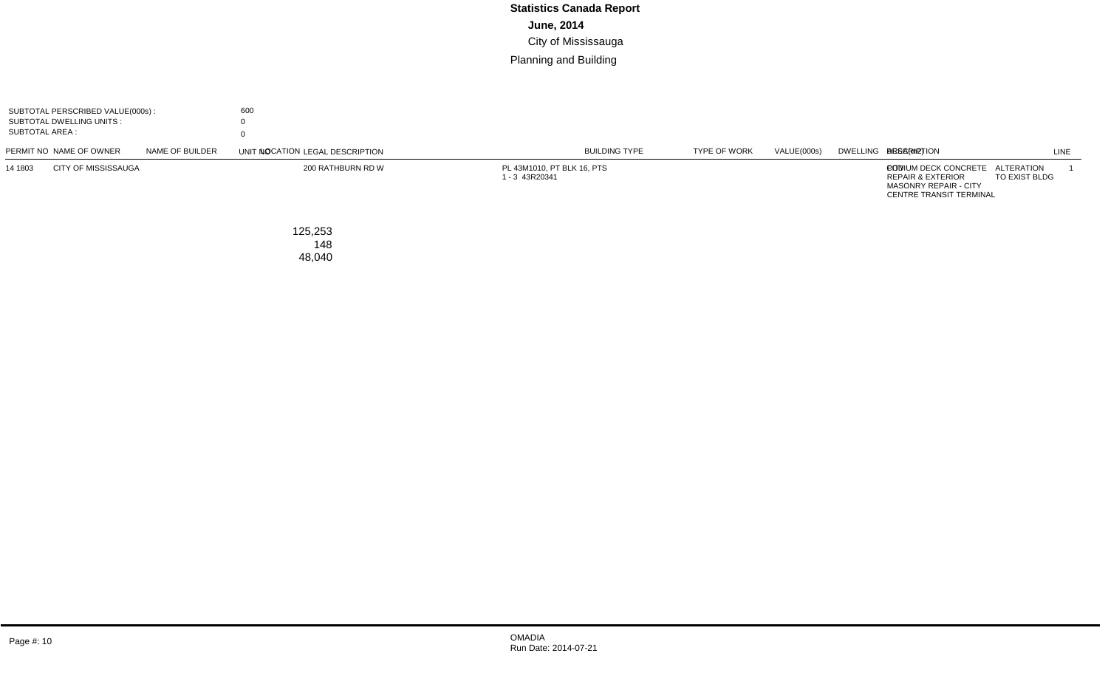| SUBTOTAL PERSCRIBED VALUE(000s):<br>SUBTOTAL DWELLING UNITS :<br><b>SUBTOTAL AREA:</b> | 600                      |         |                                              |                      |                                    |             |                                                                                                                        |             |
|----------------------------------------------------------------------------------------|--------------------------|---------|----------------------------------------------|----------------------|------------------------------------|-------------|------------------------------------------------------------------------------------------------------------------------|-------------|
| PERMIT NO NAME OF OWNER<br>NAME OF BUILDER                                             | LOCATION                 | UNIT NO | <b>LEGAL DESCRIPTION</b>                     | <b>BUILDING TYPE</b> | <b>TYPE OF WORK</b>                | VALUE(000s) | DWELLING AREA(m2) DESCRIPTION                                                                                          | <b>LINE</b> |
| <b>CITY OF MISSISSAUGA</b><br>14 1803                                                  | 200 RATHBURN RD W        |         | PL 43M1010, PT BLK 16, PTS<br>1 - 3 43R20341 | <b>CITY</b>          | <b>ALTERATION</b><br>TO EXIST BLDG | 600         | PODIUM DECK CONCRETE<br><b>REPAIR &amp; EXTERIOR</b><br><b>MASONRY REPAIR - CITY</b><br><b>CENTRE TRANSIT TERMINAL</b> |             |
| TOTAL PERSCRIBED VALUE(000s):<br>TOTAL DWELLING UNITS:<br>TOTAL AREA :                 | 125,253<br>148<br>48,040 |         |                                              |                      |                                    |             |                                                                                                                        |             |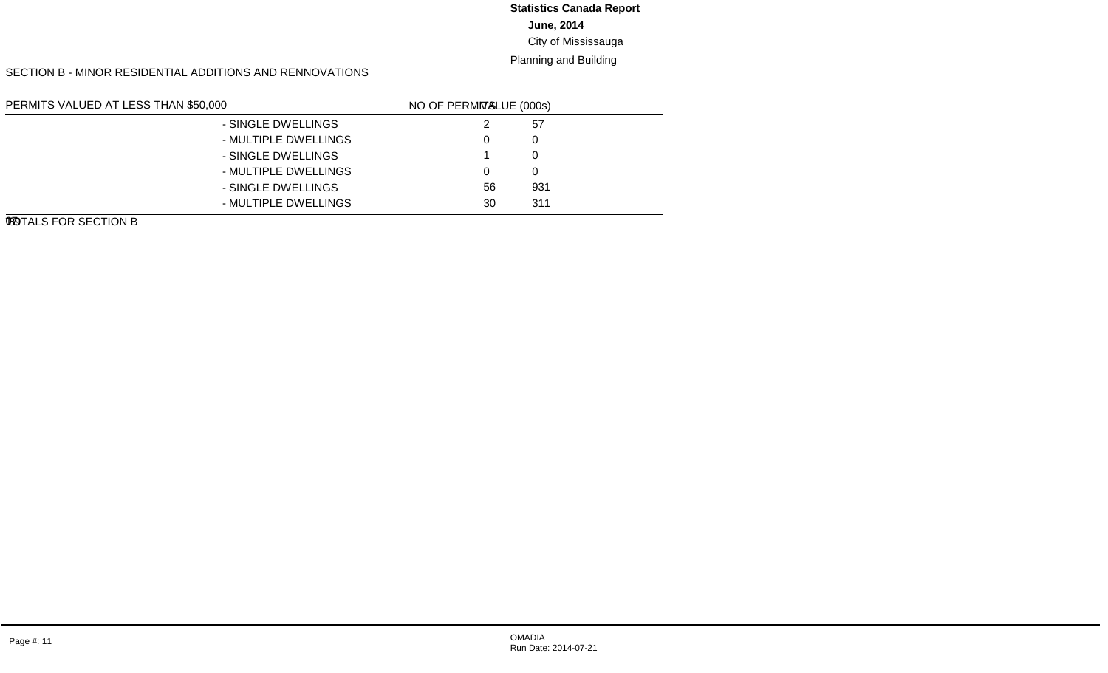# **June, 2014 Statistics Canada Report**

#### City of Mississauga

#### Planning and Building

SECTION B - MINOR RESIDENTIAL ADDITIONS AND RENNOVATIONS

| PERMITS VALUED AT LESS THAN \$50,000 |                      | LINE NO. | <b>VALUE (000s)</b> | NO OF PERMITS |
|--------------------------------------|----------------------|----------|---------------------|---------------|
| NEW GARAGES AND CARPORTS             | - SINGLE DWELLINGS   | 01       | 57                  | 2             |
|                                      | - MULTIPLE DWELLINGS | 02       |                     | 0             |
| NEW INGROUND SWIMMING POOLS          | - SINGLE DWELLINGS   | 03       |                     |               |
|                                      | - MULTIPLE DWELLINGS | 04       |                     | $\Omega$      |
| <b>OTHER IMPROVEMENTS</b>            | - SINGLE DWELLINGS   | 05       | 931                 | 56            |
|                                      | - MULTIPLE DWELLINGS | 06       | 311                 | 30            |
| TOTALS FOR SECTION B                 |                      | 07       | 1.299               | 89            |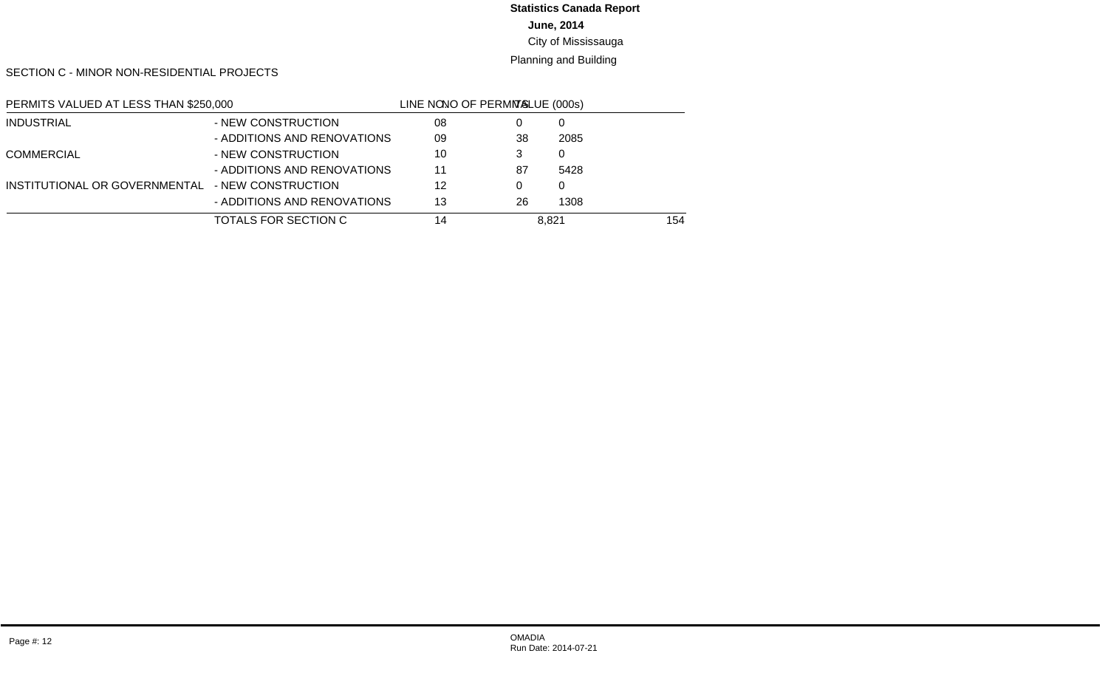#### **June, 2014 Statistics Canada Report**

# City of Mississauga

#### Planning and Building

SECTION C - MINOR NON-RESIDENTIAL PROJECTS

| PERMITS VALUED AT LESS THAN \$250,000            |                             | LINE NO. | <b>VALUE (000s)</b> | NO OF PERMITS |
|--------------------------------------------------|-----------------------------|----------|---------------------|---------------|
| <b>INDUSTRIAL</b>                                | - NEW CONSTRUCTION          | 08       |                     | 0             |
|                                                  | - ADDITIONS AND RENOVATIONS | 09       | 2085                | 38            |
| <b>COMMERCIAL</b>                                | - NEW CONSTRUCTION          | 10       |                     | 3             |
|                                                  | - ADDITIONS AND RENOVATIONS | 11       | 5428                | 87            |
| INSTITUTIONAL OR GOVERNMENTAL - NEW CONSTRUCTION |                             | 12       |                     | $\Omega$      |
|                                                  | - ADDITIONS AND RENOVATIONS | 13       | 1308                | 26            |
| TOTALS FOR SECTION C                             |                             | 14       | 8.821               | 154           |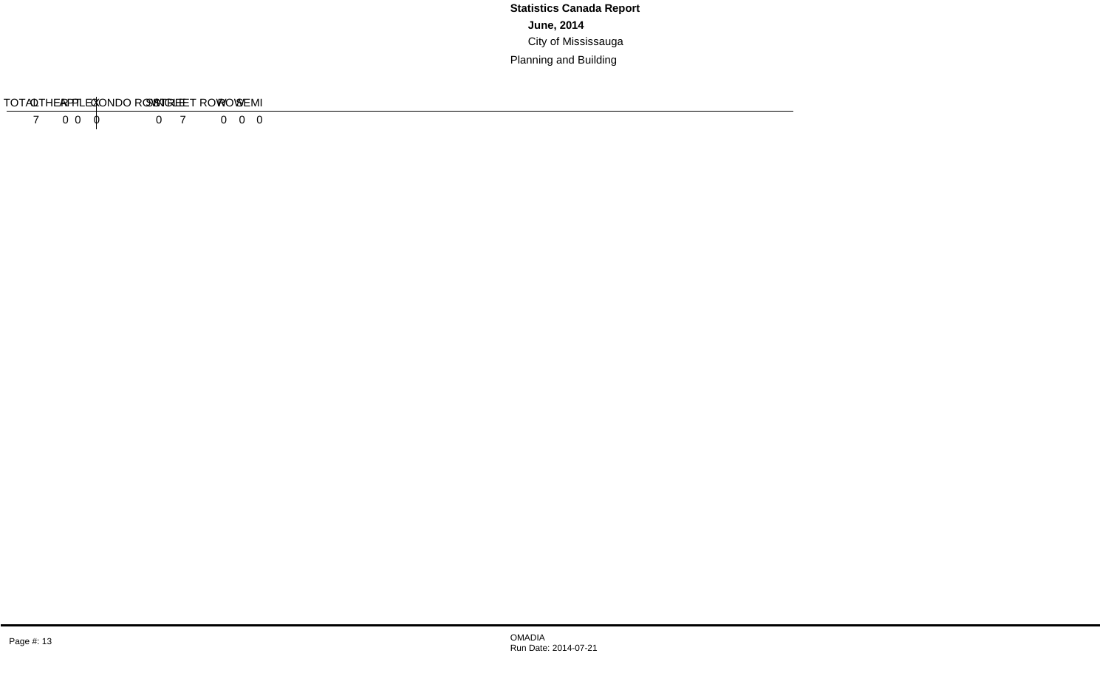#### SECTION D - RESIDENTIAL DEMOLITIONS

| <b>TVDE</b>    | SINGLE | <b>SEMI</b> | RC | ROW.<br>. | <b>CONDO ROW</b> | $AP^{\tau}$ | '⊓∟. | $+\wedge$ $+ \wedge$<br><b>JUIAL</b> |
|----------------|--------|-------------|----|-----------|------------------|-------------|------|--------------------------------------|
| OF<br>. H<br>≖ |        |             |    |           |                  |             |      |                                      |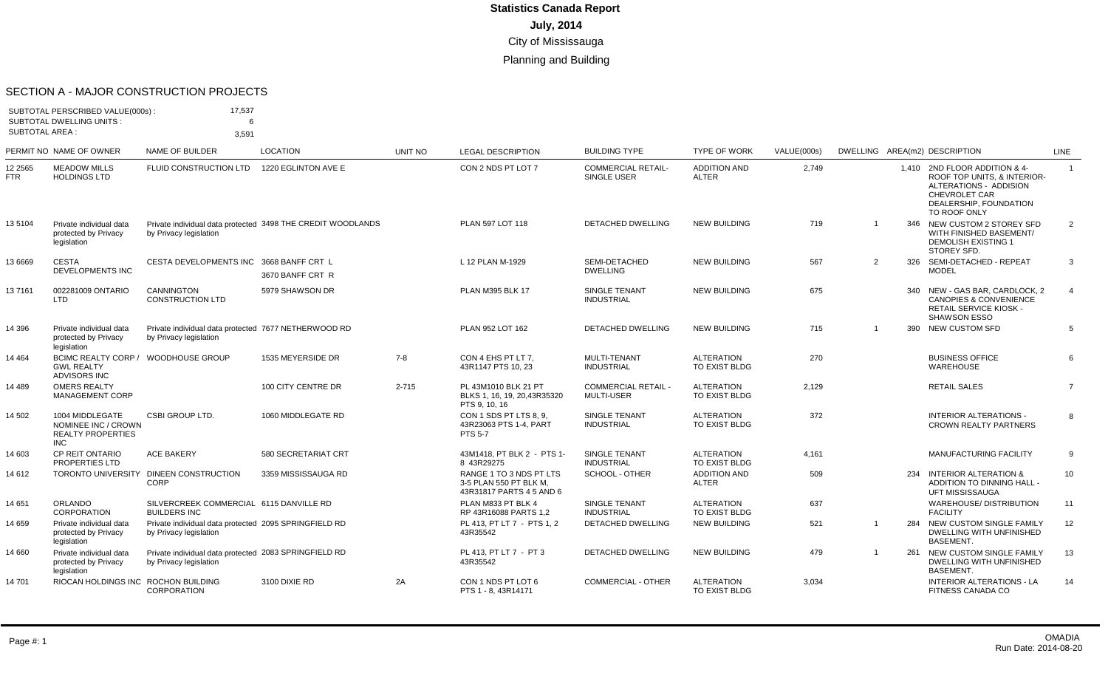#### SECTION A - MAJOR CONSTRUCTION PROJECTS

| <b>SUBTOTAL AREA:</b> | SUBTOTAL PERSCRIBED VALUE(000s):<br><b>SUBTOTAL DWELLING UNITS:</b>              | 17,537<br>6<br>3,591                                                            |                                                             |           |                                                                               |                                                 |                                    |             |   |     |                                                                                                                                                   |                |
|-----------------------|----------------------------------------------------------------------------------|---------------------------------------------------------------------------------|-------------------------------------------------------------|-----------|-------------------------------------------------------------------------------|-------------------------------------------------|------------------------------------|-------------|---|-----|---------------------------------------------------------------------------------------------------------------------------------------------------|----------------|
|                       | PERMIT NO NAME OF OWNER                                                          | <b>NAME OF BUILDER</b>                                                          | <b>LOCATION</b>                                             | UNIT NO   | <b>LEGAL DESCRIPTION</b>                                                      | <b>BUILDING TYPE</b>                            | <b>TYPE OF WORK</b>                | VALUE(000s) |   |     | DWELLING AREA(m2) DESCRIPTION                                                                                                                     | <b>LINE</b>    |
| 12 2565<br>FTR        | <b>MEADOW MILLS</b><br><b>HOLDINGS LTD</b>                                       | FLUID CONSTRUCTION LTD                                                          | 1220 EGLINTON AVE E                                         |           | CON 2 NDS PT LOT 7                                                            | <b>COMMERCIAL RETAIL-</b><br>SINGLE USER        | <b>ADDITION AND</b><br>ALTER       | 2,749       |   |     | 1,410 2ND FLOOR ADDITION & 4-<br>ROOF TOP UNITS, & INTERIOR-<br>ALTERATIONS - ADDISION<br>CHEVROLET CAR<br>DEALERSHIP, FOUNDATION<br>TO ROOF ONLY | $\overline{1}$ |
| 135104                | Private individual data<br>protected by Privacy<br>legislation                   | by Privacy legislation                                                          | Private individual data protected 3498 THE CREDIT WOODLANDS |           | PLAN 597 LOT 118                                                              | <b>DETACHED DWELLING</b>                        | <b>NEW BUILDING</b>                | 719         |   |     | 346 NEW CUSTOM 2 STOREY SFD<br>WITH FINISHED BASEMENT/<br><b>DEMOLISH EXISTING 1</b><br>STOREY SFD.                                               | 2              |
| 13 6669               | <b>CESTA</b><br><b>DEVELOPMENTS INC</b>                                          | CESTA DEVELOPMENTS INC 3668 BANFF CRT L                                         | 3670 BANFF CRT R                                            |           | L 12 PLAN M-1929                                                              | SEMI-DETACHED<br><b>DWELLING</b>                | <b>NEW BUILDING</b>                | 567         | 2 |     | 326 SEMI-DETACHED - REPEAT<br><b>MODEL</b>                                                                                                        | 3              |
| 137161                | 002281009 ONTARIO<br><b>LTD</b>                                                  | CANNINGTON<br><b>CONSTRUCTION LTD</b>                                           | 5979 SHAWSON DR                                             |           | <b>PLAN M395 BLK 17</b>                                                       | <b>SINGLE TENANT</b><br><b>INDUSTRIAL</b>       | <b>NEW BUILDING</b>                | 675         |   | 340 | NEW - GAS BAR, CARDLOCK, 2<br><b>CANOPIES &amp; CONVENIENCE</b><br><b>RETAIL SERVICE KIOSK -</b><br><b>SHAWSON ESSO</b>                           | $\overline{4}$ |
| 14 396                | Private individual data<br>protected by Privacy<br>legislation                   | Private individual data protected 7677 NETHERWOOD RD<br>by Privacy legislation  |                                                             |           | PLAN 952 LOT 162                                                              | <b>DETACHED DWELLING</b>                        | <b>NEW BUILDING</b>                | 715         |   | 390 | <b>NEW CUSTOM SFD</b>                                                                                                                             | 5              |
| 14 464                | <b>BCIMC REALTY CORP /</b><br><b>GWL REALTY</b><br><b>ADVISORS INC</b>           | <b>WOODHOUSE GROUP</b>                                                          | 1535 MEYERSIDE DR                                           | $7 - 8$   | CON 4 EHS PT LT 7.<br>43R1147 PTS 10, 23                                      | MULTI-TENANT<br><b>INDUSTRIAL</b>               | <b>ALTERATION</b><br>TO EXIST BLDG | 270         |   |     | <b>BUSINESS OFFICE</b><br><b>WAREHOUSE</b>                                                                                                        | 6              |
| 14 489                | <b>OMERS REALTY</b><br><b>MANAGEMENT CORP</b>                                    |                                                                                 | 100 CITY CENTRE DR                                          | $2 - 715$ | PL 43M1010 BLK 21 PT<br>BLKS 1, 16, 19, 20, 43R35320<br>PTS 9, 10, 16         | <b>COMMERCIAL RETAIL -</b><br><b>MULTI-USER</b> | <b>ALTERATION</b><br>TO EXIST BLDG | 2,129       |   |     | <b>RETAIL SALES</b>                                                                                                                               | $\overline{7}$ |
| 14 502                | 1004 MIDDLEGATE<br>NOMINEE INC / CROWN<br><b>REALTY PROPERTIES</b><br><b>INC</b> | <b>CSBI GROUP LTD.</b>                                                          | 1060 MIDDLEGATE RD                                          |           | CON 1 SDS PT LTS 8, 9,<br>43R23063 PTS 1-4, PART<br><b>PTS 5-7</b>            | SINGLE TENANT<br><b>INDUSTRIAL</b>              | <b>ALTERATION</b><br>TO EXIST BLDG | 372         |   |     | <b>INTERIOR ALTERATIONS -</b><br><b>CROWN REALTY PARTNERS</b>                                                                                     | 8              |
| 14 603                | <b>CP REIT ONTARIO</b><br><b>PROPERTIES LTD</b>                                  | <b>ACE BAKERY</b>                                                               | 580 SECRETARIAT CRT                                         |           | 43M1418. PT BLK 2 - PTS 1-<br>8 43R29275                                      | <b>SINGLE TENANT</b><br><b>INDUSTRIAL</b>       | <b>ALTERATION</b><br>TO EXIST BLDG | 4,161       |   |     | <b>MANUFACTURING FACILITY</b>                                                                                                                     | 9              |
| 14 612                | <b>TORONTO UNIVERSITY</b>                                                        | DINEEN CONSTRUCTION<br>CORP                                                     | 3359 MISSISSAUGA RD                                         |           | RANGE 1 TO 3 NDS PT LTS<br>3-5 PLAN 550 PT BLK M,<br>43R31817 PARTS 4 5 AND 6 | <b>SCHOOL - OTHER</b>                           | <b>ADDITION AND</b><br>ALTER       | 509         |   | 234 | <b>INTERIOR ALTERATION &amp;</b><br>ADDITION TO DINNING HALL -<br><b>UFT MISSISSAUGA</b>                                                          | 10             |
| 14 651                | <b>ORLANDO</b><br><b>CORPORATION</b>                                             | SILVERCREEK COMMERCIAL 6115 DANVILLE RD<br><b>BUILDERS INC</b>                  |                                                             |           | PLAN M833 PT BLK 4<br>RP 43R16088 PARTS 1,2                                   | SINGLE TENANT<br><b>INDUSTRIAL</b>              | <b>ALTERATION</b><br>TO EXIST BLDG | 637         |   |     | WAREHOUSE/ DISTRIBUTION<br><b>FACILITY</b>                                                                                                        | 11             |
| 14 659                | Private individual data<br>protected by Privacy<br>legislation                   | Private individual data protected 2095 SPRINGFIELD RD<br>by Privacy legislation |                                                             |           | PL 413. PT LT 7 - PTS 1.2<br>43R35542                                         | <b>DETACHED DWELLING</b>                        | <b>NEW BUILDING</b>                | 521         |   | 284 | NEW CUSTOM SINGLE FAMILY<br>DWELLING WITH UNFINISHED<br><b>BASEMENT.</b>                                                                          | 12             |
| 14 660                | Private individual data<br>protected by Privacy<br>legislation                   | Private individual data protected 2083 SPRINGFIELD RD<br>by Privacy legislation |                                                             |           | PL 413. PT LT 7 - PT 3<br>43R35542                                            | <b>DETACHED DWELLING</b>                        | <b>NEW BUILDING</b>                | 479         |   | 261 | NEW CUSTOM SINGLE FAMILY<br>DWELLING WITH UNFINISHED<br><b>BASEMENT.</b>                                                                          | 13             |
| 14 701                | RIOCAN HOLDINGS INC ROCHON BUILDING                                              | CORPORATION                                                                     | 3100 DIXIE RD                                               | 2A        | CON 1 NDS PT LOT 6<br>PTS 1 - 8, 43R14171                                     | <b>COMMERCIAL - OTHER</b>                       | <b>ALTERATION</b><br>TO EXIST BLDG | 3,034       |   |     | <b>INTERIOR ALTERATIONS - LA</b><br>FITNESS CANADA CO                                                                                             | 14             |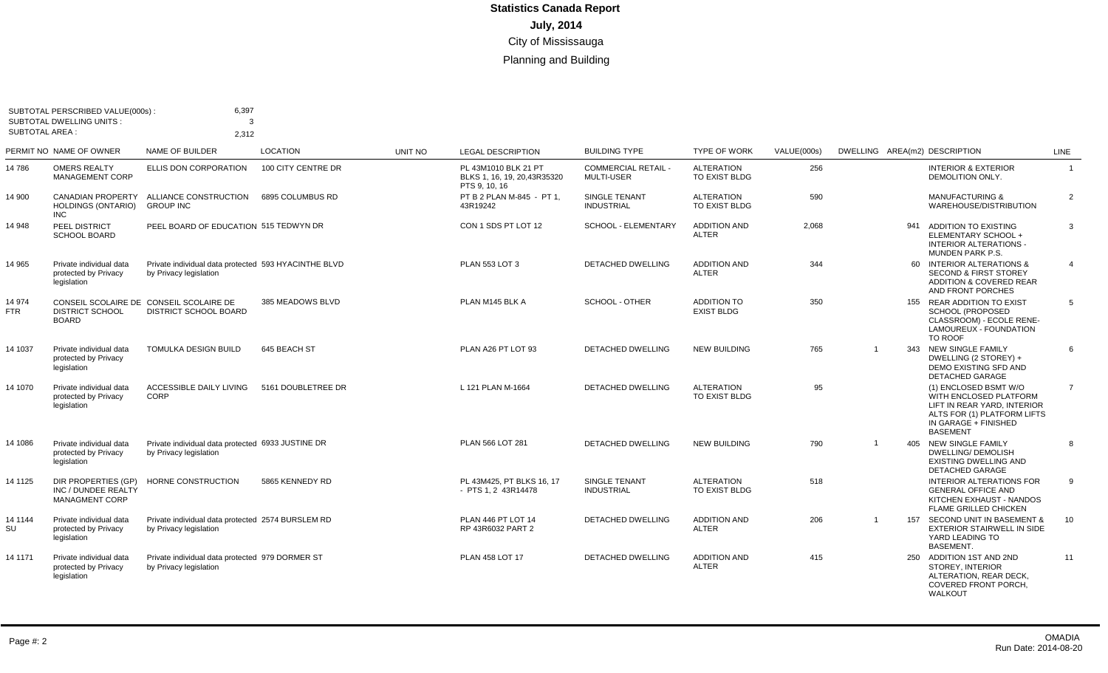| <b>SUBTOTAL AREA:</b> | SUBTOTAL PERSCRIBED VALUE(000s):<br><b>SUBTOTAL DWELLING UNITS:</b> | 6,397<br>$\mathcal{B}$<br>2,312                                                |                    |                |                                                                       |                                                 |                                           |             |                |                                                                                                                                                          |                |
|-----------------------|---------------------------------------------------------------------|--------------------------------------------------------------------------------|--------------------|----------------|-----------------------------------------------------------------------|-------------------------------------------------|-------------------------------------------|-------------|----------------|----------------------------------------------------------------------------------------------------------------------------------------------------------|----------------|
|                       | PERMIT NO NAME OF OWNER                                             | NAME OF BUILDER                                                                | <b>LOCATION</b>    | <b>UNIT NO</b> | <b>LEGAL DESCRIPTION</b>                                              | <b>BUILDING TYPE</b>                            | <b>TYPE OF WORK</b>                       | VALUE(000s) |                | DWELLING AREA(m2) DESCRIPTION                                                                                                                            | <b>LINE</b>    |
| 14 786                | <b>OMERS REALTY</b><br><b>MANAGEMENT CORP</b>                       | ELLIS DON CORPORATION                                                          | 100 CITY CENTRE DR |                | PL 43M1010 BLK 21 PT<br>BLKS 1, 16, 19, 20, 43R35320<br>PTS 9, 10, 16 | <b>COMMERCIAL RETAIL -</b><br><b>MULTI-USER</b> | <b>ALTERATION</b><br>TO EXIST BLDG        | 256         |                | <b>INTERIOR &amp; EXTERIOR</b><br>DEMOLITION ONLY.                                                                                                       | $\overline{1}$ |
| 14 900                | <b>CANADIAN PROPERTY</b><br><b>HOLDINGS (ONTARIO)</b><br><b>INC</b> | ALLIANCE CONSTRUCTION<br><b>GROUP INC</b>                                      | 6895 COLUMBUS RD   |                | PT B 2 PLAN M-845 - PT 1,<br>43R19242                                 | <b>SINGLE TENANT</b><br><b>INDUSTRIAL</b>       | <b>ALTERATION</b><br>TO EXIST BLDG        | 590         |                | <b>MANUFACTURING &amp;</b><br>WAREHOUSE/DISTRIBUTION                                                                                                     | 2              |
| 14 948                | <b>PEEL DISTRICT</b><br><b>SCHOOL BOARD</b>                         | PEEL BOARD OF EDUCATION 515 TEDWYN DR                                          |                    |                | CON 1 SDS PT LOT 12                                                   | SCHOOL - ELEMENTARY                             | <b>ADDITION AND</b><br><b>ALTER</b>       | 2,068       |                | 941<br>ADDITION TO EXISTING<br>ELEMENTARY SCHOOL +<br>INTERIOR ALTERATIONS -<br><b>MUNDEN PARK P.S.</b>                                                  | 3              |
| 14 965                | Private individual data<br>protected by Privacy<br>legislation      | Private individual data protected 593 HYACINTHE BLVD<br>by Privacy legislation |                    |                | <b>PLAN 553 LOT 3</b>                                                 | <b>DETACHED DWELLING</b>                        | <b>ADDITION AND</b><br><b>ALTER</b>       | 344         |                | 60 INTERIOR ALTERATIONS &<br><b>SECOND &amp; FIRST STOREY</b><br>ADDITION & COVERED REAR<br>AND FRONT PORCHES                                            | $\overline{4}$ |
| 14 974<br>FTR         | <b>DISTRICT SCHOOL</b><br><b>BOARD</b>                              | CONSEIL SCOLAIRE DE CONSEIL SCOLAIRE DE<br>DISTRICT SCHOOL BOARD               | 385 MEADOWS BLVD   |                | PLAN M145 BLK A                                                       | SCHOOL - OTHER                                  | <b>ADDITION TO</b><br><b>EXIST BLDG</b>   | 350         |                | 155 REAR ADDITION TO EXIST<br><b>SCHOOL (PROPOSED</b><br>CLASSROOM) - ECOLE RENE-<br>LAMOUREUX - FOUNDATION<br>TO ROOF                                   | 5              |
| 14 1037               | Private individual data<br>protected by Privacy<br>legislation      | TOMULKA DESIGN BUILD                                                           | 645 BEACH ST       |                | PLAN A26 PT LOT 93                                                    | <b>DETACHED DWELLING</b>                        | <b>NEW BUILDING</b>                       | 765         | $\overline{1}$ | 343 NEW SINGLE FAMILY<br>DWELLING (2 STOREY) +<br>DEMO EXISTING SFD AND<br><b>DETACHED GARAGE</b>                                                        | 6              |
| 14 1070               | Private individual data<br>protected by Privacy<br>legislation      | <b>ACCESSIBLE DAILY LIVING</b><br>CORP                                         | 5161 DOUBLETREE DR |                | L 121 PLAN M-1664                                                     | DETACHED DWELLING                               | <b>ALTERATION</b><br>TO EXIST BLDG        | 95          |                | (1) ENCLOSED BSMT W/O<br>WITH ENCLOSED PLATFORM<br>LIFT IN REAR YARD. INTERIOR<br>ALTS FOR (1) PLATFORM LIFTS<br>IN GARAGE + FINISHED<br><b>BASEMENT</b> | $\overline{7}$ |
| 14 1086               | Private individual data<br>protected by Privacy<br>legislation      | Private individual data protected 6933 JUSTINE DR<br>by Privacy legislation    |                    |                | PLAN 566 LOT 281                                                      | DETACHED DWELLING                               | <b>NEW BUILDING</b>                       | 790         | $\overline{1}$ | 405 NEW SINGLE FAMILY<br>DWELLING/ DEMOLISH<br><b>EXISTING DWELLING AND</b><br><b>DETACHED GARAGE</b>                                                    | 8              |
| 14 1125               | DIR PROPERTIES (GP)<br>INC / DUNDEE REALTY<br><b>MANAGMENT CORP</b> | HORNE CONSTRUCTION                                                             | 5865 KENNEDY RD    |                | PL 43M425. PT BLKS 16, 17<br>- PTS 1, 2 43R14478                      | <b>SINGLE TENANT</b><br><b>INDUSTRIAL</b>       | <b>ALTERATION</b><br><b>TO EXIST BLDG</b> | 518         |                | <b>INTERIOR ALTERATIONS FOR</b><br><b>GENERAL OFFICE AND</b><br>KITCHEN EXHAUST - NANDOS<br><b>FLAME GRILLED CHICKEN</b>                                 | 9              |
| 14 1144<br>SU         | Private individual data<br>protected by Privacy<br>legislation      | Private individual data protected 2574 BURSLEM RD<br>by Privacy legislation    |                    |                | PLAN 446 PT LOT 14<br>RP 43R6032 PART 2                               | DETACHED DWELLING                               | <b>ADDITION AND</b><br><b>ALTER</b>       | 206         | $\overline{1}$ | 157 SECOND UNIT IN BASEMENT &<br><b>EXTERIOR STAIRWELL IN SIDE</b><br>YARD LEADING TO<br><b>BASEMENT.</b>                                                | 10             |
| 14 1171               | Private individual data<br>protected by Privacy<br>legislation      | Private individual data protected 979 DORMER ST<br>by Privacy legislation      |                    |                | <b>PLAN 458 LOT 17</b>                                                | <b>DETACHED DWELLING</b>                        | <b>ADDITION AND</b><br><b>ALTER</b>       | 415         |                | 250 ADDITION 1ST AND 2ND<br>STOREY, INTERIOR<br>ALTERATION, REAR DECK,<br>COVERED FRONT PORCH,<br>WALKOUT                                                | 11             |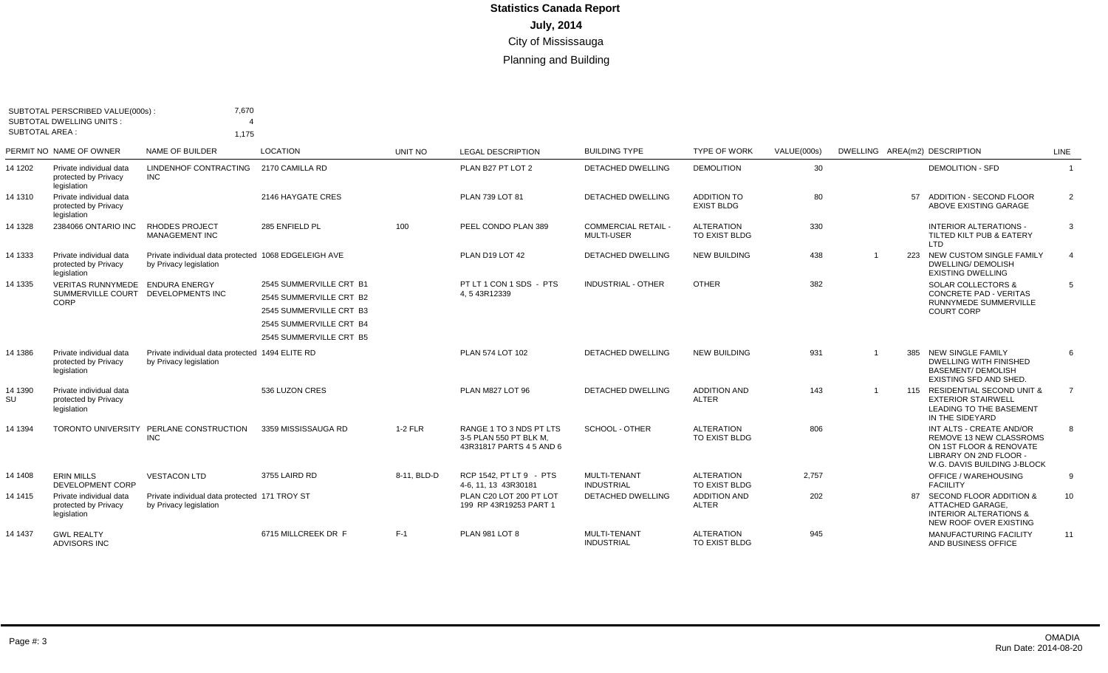| SUBTOTAL AREA : | SUBTOTAL PERSCRIBED VALUE(000s):<br><b>SUBTOTAL DWELLING UNITS:</b>           | 7,670<br>1.175                                                                 |                                                                                                          |             |                                                                               |                                               |                                         |             |                |     |                                                                                                                                                |                |
|-----------------|-------------------------------------------------------------------------------|--------------------------------------------------------------------------------|----------------------------------------------------------------------------------------------------------|-------------|-------------------------------------------------------------------------------|-----------------------------------------------|-----------------------------------------|-------------|----------------|-----|------------------------------------------------------------------------------------------------------------------------------------------------|----------------|
|                 | PERMIT NO NAME OF OWNER                                                       | NAME OF BUILDER                                                                | <b>LOCATION</b>                                                                                          | UNIT NO     | <b>LEGAL DESCRIPTION</b>                                                      | <b>BUILDING TYPE</b>                          | <b>TYPE OF WORK</b>                     | VALUE(000s) |                |     | DWELLING AREA(m2) DESCRIPTION                                                                                                                  | LINE           |
| 14 1202         | Private individual data<br>protected by Privacy<br>legislation                | LINDENHOF CONTRACTING<br><b>INC</b>                                            | 2170 CAMILLA RD                                                                                          |             | PLAN B27 PT LOT 2                                                             | <b>DETACHED DWELLING</b>                      | <b>DEMOLITION</b>                       | 30          |                |     | <b>DEMOLITION - SFD</b>                                                                                                                        | $\overline{1}$ |
| 14 1310         | Private individual data<br>protected by Privacy<br>legislation                |                                                                                | 2146 HAYGATE CRES                                                                                        |             | PLAN 739 LOT 81                                                               | DETACHED DWELLING                             | <b>ADDITION TO</b><br><b>EXIST BLDG</b> | 80          |                |     | 57 ADDITION - SECOND FLOOR<br>ABOVE EXISTING GARAGE                                                                                            | $\overline{2}$ |
| 14 1328         | 2384066 ONTARIO INC                                                           | <b>RHODES PROJECT</b><br><b>MANAGEMENT INC</b>                                 | 285 ENFIELD PL                                                                                           | 100         | PEEL CONDO PLAN 389                                                           | <b>COMMERCIAL RETAIL</b><br><b>MULTI-USER</b> | <b>ALTERATION</b><br>TO EXIST BLDG      | 330         |                |     | <b>INTERIOR ALTERATIONS -</b><br>TILTED KILT PUB & EATERY<br>LTD                                                                               | 3              |
| 14 1333         | Private individual data<br>protected by Privacy<br>legislation                | Private individual data protected 1068 EDGELEIGH AVE<br>by Privacy legislation |                                                                                                          |             | PLAN D19 LOT 42                                                               | <b>DETACHED DWELLING</b>                      | <b>NEW BUILDING</b>                     | 438         | $\overline{1}$ | 223 | NEW CUSTOM SINGLE FAMILY<br><b>DWELLING/ DEMOLISH</b><br><b>EXISTING DWELLING</b>                                                              | $\overline{4}$ |
| 14 1335         | VERITAS RUNNYMEDE ENDURA ENERGY<br>SUMMERVILLE COURT DEVELOPMENTS INC<br>CORP |                                                                                | 2545 SUMMERVILLE CRT B1<br>2545 SUMMERVILLE CRT B2<br>2545 SUMMERVILLE CRT B3<br>2545 SUMMERVILLE CRT B4 |             | PT LT 1 CON 1 SDS - PTS<br>4.543R12339                                        | <b>INDUSTRIAL - OTHER</b>                     | <b>OTHER</b>                            | 382         |                |     | <b>SOLAR COLLECTORS &amp;</b><br><b>CONCRETE PAD - VERITAS</b><br>RUNNYMEDE SUMMERVILLE<br><b>COURT CORP</b>                                   | 5              |
|                 |                                                                               |                                                                                | 2545 SUMMERVILLE CRT B5                                                                                  |             |                                                                               |                                               |                                         |             |                |     |                                                                                                                                                |                |
| 14 1386         | Private individual data<br>protected by Privacy<br>legislation                | Private individual data protected 1494 ELITE RD<br>by Privacy legislation      |                                                                                                          |             | PLAN 574 LOT 102                                                              | <b>DETACHED DWELLING</b>                      | <b>NEW BUILDING</b>                     | 931         |                |     | 385 NEW SINGLE FAMILY<br><b>DWELLING WITH FINISHED</b><br><b>BASEMENT/ DEMOLISH</b><br>EXISTING SFD AND SHED.                                  | 6              |
| 14 1390<br>SU   | Private individual data<br>protected by Privacy<br>legislation                |                                                                                | 536 LUZON CRES                                                                                           |             | PLAN M827 LOT 96                                                              | <b>DETACHED DWELLING</b>                      | <b>ADDITION AND</b><br><b>ALTER</b>     | 143         | $\mathbf{1}$   |     | 115 RESIDENTIAL SECOND UNIT &<br><b>EXTERIOR STAIRWELL</b><br><b>LEADING TO THE BASEMENT</b><br>IN THE SIDEYARD                                | $\overline{7}$ |
| 14 1394         | <b>TORONTO UNIVERSITY</b>                                                     | PERLANE CONSTRUCTION<br><b>INC</b>                                             | 3359 MISSISSAUGA RD                                                                                      | 1-2 FLR     | RANGE 1 TO 3 NDS PT LTS<br>3-5 PLAN 550 PT BLK M.<br>43R31817 PARTS 4 5 AND 6 | <b>SCHOOL - OTHER</b>                         | <b>ALTERATION</b><br>TO EXIST BLDG      | 806         |                |     | INT ALTS - CREATE AND/OR<br><b>REMOVE 13 NEW CLASSROMS</b><br>ON 1ST FLOOR & RENOVATE<br>LIBRARY ON 2ND FLOOR -<br>W.G. DAVIS BUILDING J-BLOCK | 8              |
| 14 1408         | <b>ERIN MILLS</b><br>DEVELOPMENT CORP                                         | <b>VESTACON LTD</b>                                                            | 3755 LAIRD RD                                                                                            | 8-11, BLD-D | RCP 1542, PT LT 9 - PTS<br>4-6, 11, 13 43R30181                               | <b>MULTI-TENANT</b><br><b>INDUSTRIAL</b>      | <b>ALTERATION</b><br>TO EXIST BLDG      | 2,757       |                |     | <b>OFFICE / WAREHOUSING</b><br><b>FACIILITY</b>                                                                                                | 9              |
| 14 1415         | Private individual data<br>protected by Privacy<br>legislation                | Private individual data protected 171 TROY ST<br>by Privacy legislation        |                                                                                                          |             | PLAN C20 LOT 200 PT LOT<br>199 RP 43R19253 PART 1                             | <b>DETACHED DWELLING</b>                      | <b>ADDITION AND</b><br><b>ALTER</b>     | 202         |                |     | 87 SECOND FLOOR ADDITION &<br>ATTACHED GARAGE.<br><b>INTERIOR ALTERATIONS &amp;</b><br>NEW ROOF OVER EXISTING                                  | 10             |
| 14 1437         | <b>GWL REALTY</b><br><b>ADVISORS INC</b>                                      |                                                                                | 6715 MILLCREEK DR F                                                                                      | $F-1$       | PLAN 981 LOT 8                                                                | <b>MULTI-TENANT</b><br><b>INDUSTRIAL</b>      | <b>ALTERATION</b><br>TO EXIST BLDG      | 945         |                |     | <b>MANUFACTURING FACILITY</b><br>AND BUSINESS OFFICE                                                                                           | 11             |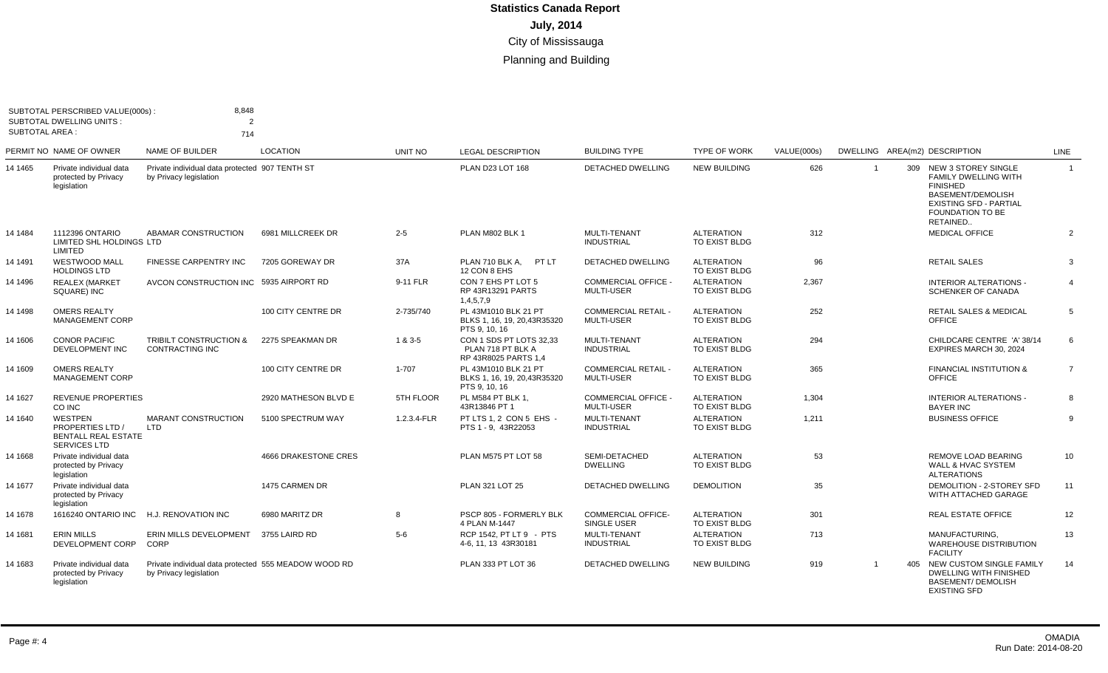| SUBTOTAL AREA : | SUBTOTAL PERSCRIBED VALUE(000s):<br><b>SUBTOTAL DWELLING UNITS:</b>                     | 8,848<br>$\overline{2}$<br>714                                                 |                             |             |                                                                       |                                                 |                                           |             |                |     |                                                                                                                                                                               |                |
|-----------------|-----------------------------------------------------------------------------------------|--------------------------------------------------------------------------------|-----------------------------|-------------|-----------------------------------------------------------------------|-------------------------------------------------|-------------------------------------------|-------------|----------------|-----|-------------------------------------------------------------------------------------------------------------------------------------------------------------------------------|----------------|
|                 | PERMIT NO NAME OF OWNER                                                                 | <b>NAME OF BUILDER</b>                                                         | <b>LOCATION</b>             | UNIT NO     | <b>LEGAL DESCRIPTION</b>                                              | <b>BUILDING TYPE</b>                            | <b>TYPE OF WORK</b>                       | VALUE(000s) |                |     | DWELLING AREA(m2) DESCRIPTION                                                                                                                                                 | <b>LINE</b>    |
| 14 1465         | Private individual data<br>protected by Privacy<br>legislation                          | Private individual data protected 907 TENTH ST<br>by Privacy legislation       |                             |             | PLAN D23 LOT 168                                                      | <b>DETACHED DWELLING</b>                        | <b>NEW BUILDING</b>                       | 626         | $\overline{1}$ |     | 309 NEW 3 STOREY SINGLE<br><b>FAMILY DWELLING WITH</b><br><b>FINISHED</b><br><b>BASEMENT/DEMOLISH</b><br><b>EXISTING SFD - PARTIAL</b><br><b>FOUNDATION TO BE</b><br>RETAINED | $\overline{1}$ |
| 14 1484         | 1112396 ONTARIO<br>LIMITED SHL HOLDINGS LTD<br>LIMITED                                  | ABAMAR CONSTRUCTION                                                            | 6981 MILLCREEK DR           | $2 - 5$     | PLAN M802 BLK 1                                                       | MULTI-TENANT<br><b>INDUSTRIAL</b>               | <b>ALTERATION</b><br>TO EXIST BLDG        | 312         |                |     | <b>MEDICAL OFFICE</b>                                                                                                                                                         | $\overline{2}$ |
| 14 1491         | <b>WESTWOOD MALL</b><br><b>HOLDINGS LTD</b>                                             | <b>FINESSE CARPENTRY INC</b>                                                   | 7205 GOREWAY DR             | 37A         | PLAN 710 BLK A.<br>PT LT<br>12 CON 8 EHS                              | <b>DETACHED DWELLING</b>                        | <b>ALTERATION</b><br>TO EXIST BLDG        | 96          |                |     | <b>RETAIL SALES</b>                                                                                                                                                           | 3              |
| 14 1496         | <b>REALEX (MARKET</b><br>SQUARE) INC                                                    | AVCON CONSTRUCTION INC 5935 AIRPORT RD                                         |                             | 9-11 FLR    | CON 7 EHS PT LOT 5<br>RP 43R13291 PARTS<br>1,4,5,7,9                  | <b>COMMERCIAL OFFICE -</b><br><b>MULTI-USER</b> | <b>ALTERATION</b><br><b>TO EXIST BLDG</b> | 2,367       |                |     | <b>INTERIOR ALTERATIONS -</b><br>SCHENKER OF CANADA                                                                                                                           | $\overline{4}$ |
| 14 1498         | <b>OMERS REALTY</b><br><b>MANAGEMENT CORP</b>                                           |                                                                                | 100 CITY CENTRE DR          | 2-735/740   | PL 43M1010 BLK 21 PT<br>BLKS 1, 16, 19, 20, 43R35320<br>PTS 9, 10, 16 | <b>COMMERCIAL RETAIL -</b><br><b>MULTI-USER</b> | <b>ALTERATION</b><br>TO EXIST BLDG        | 252         |                |     | RETAIL SALES & MEDICAL<br><b>OFFICE</b>                                                                                                                                       | 5              |
| 14 1606         | <b>CONOR PACIFIC</b><br><b>DEVELOPMENT INC</b>                                          | <b>TRIBILT CONSTRUCTION &amp;</b><br><b>CONTRACTING INC</b>                    | 2275 SPEAKMAN DR            | 1 & 3-5     | CON 1 SDS PT LOTS 32.33<br>PLAN 718 PT BLK A<br>RP 43R8025 PARTS 1,4  | <b>MULTI-TENANT</b><br><b>INDUSTRIAL</b>        | <b>ALTERATION</b><br><b>TO EXIST BLDG</b> | 294         |                |     | CHILDCARE CENTRE 'A' 38/14<br>EXPIRES MARCH 30, 2024                                                                                                                          | 6              |
| 14 1609         | <b>OMERS REALTY</b><br><b>MANAGEMENT CORP</b>                                           |                                                                                | 100 CITY CENTRE DR          | 1-707       | PL 43M1010 BLK 21 PT<br>BLKS 1, 16, 19, 20, 43R35320<br>PTS 9, 10, 16 | <b>COMMERCIAL RETAIL -</b><br><b>MULTI-USER</b> | <b>ALTERATION</b><br><b>TO EXIST BLDG</b> | 365         |                |     | <b>FINANCIAL INSTITUTION &amp;</b><br>OFFICE                                                                                                                                  | $\overline{7}$ |
| 14 1627         | REVENUE PROPERTIES<br>CO INC                                                            |                                                                                | 2920 MATHESON BLVD E        | 5TH FLOOR   | PL M584 PT BLK 1.<br>43R13846 PT 1                                    | <b>COMMERCIAL OFFICE -</b><br><b>MULTI-USER</b> | <b>ALTERATION</b><br>TO EXIST BLDG        | 1,304       |                |     | <b>INTERIOR ALTERATIONS -</b><br><b>BAYER INC</b>                                                                                                                             | 8              |
| 14 1640         | <b>WESTPEN</b><br><b>PROPERTIES LTD /</b><br><b>BENTALL REAL ESTATE</b><br>SERVICES LTD | <b>MARANT CONSTRUCTION</b><br><b>LTD</b>                                       | 5100 SPECTRUM WAY           | 1.2.3.4-FLR | PT LTS 1.2 CON 5 EHS -<br>PTS 1 - 9, 43R22053                         | <b>MULTI-TENANT</b><br><b>INDUSTRIAL</b>        | <b>ALTERATION</b><br><b>TO EXIST BLDG</b> | 1,211       |                |     | <b>BUSINESS OFFICE</b>                                                                                                                                                        | 9              |
| 14 1668         | Private individual data<br>protected by Privacy<br>legislation                          |                                                                                | <b>4666 DRAKESTONE CRES</b> |             | PLAN M575 PT LOT 58                                                   | SEMI-DETACHED<br><b>DWELLING</b>                | <b>ALTERATION</b><br>TO EXIST BLDG        | 53          |                |     | REMOVE LOAD BEARING<br>WALL & HVAC SYSTEM<br><b>ALTERATIONS</b>                                                                                                               | 10             |
| 14 1677         | Private individual data<br>protected by Privacy<br>legislation                          |                                                                                | 1475 CARMEN DR              |             | PLAN 321 LOT 25                                                       | <b>DETACHED DWELLING</b>                        | <b>DEMOLITION</b>                         | 35          |                |     | DEMOLITION - 2-STOREY SFD<br>WITH ATTACHED GARAGE                                                                                                                             | 11             |
| 14 1678         | 1616240 ONTARIO INC                                                                     | H.J. RENOVATION INC                                                            | 6980 MARITZ DR              | 8           | PSCP 805 - FORMERLY BLK<br>4 PLAN M-1447                              | <b>COMMERCIAL OFFICE-</b><br>SINGLE USER        | <b>ALTERATION</b><br>TO EXIST BLDG        | 301         |                |     | <b>REAL ESTATE OFFICE</b>                                                                                                                                                     | 12             |
| 14 1681         | <b>ERIN MILLS</b><br>DEVELOPMENT CORP                                                   | ERIN MILLS DEVELOPMENT<br>CORP                                                 | 3755 LAIRD RD               | $5-6$       | RCP 1542. PT LT 9 - PTS<br>4-6, 11, 13 43R30181                       | <b>MULTI-TENANT</b><br><b>INDUSTRIAL</b>        | <b>ALTERATION</b><br>TO EXIST BLDG        | 713         |                |     | MANUFACTURING,<br><b>WAREHOUSE DISTRIBUTION</b><br><b>FACILITY</b>                                                                                                            | 13             |
| 14 1683         | Private individual data<br>protected by Privacy<br>legislation                          | Private individual data protected 555 MEADOW WOOD RD<br>by Privacy legislation |                             |             | PLAN 333 PT LOT 36                                                    | <b>DETACHED DWELLING</b>                        | <b>NEW BUILDING</b>                       | 919         |                | 405 | NEW CUSTOM SINGLE FAMILY<br>DWELLING WITH FINISHED<br><b>BASEMENT/ DEMOLISH</b><br><b>EXISTING SFD</b>                                                                        | 14             |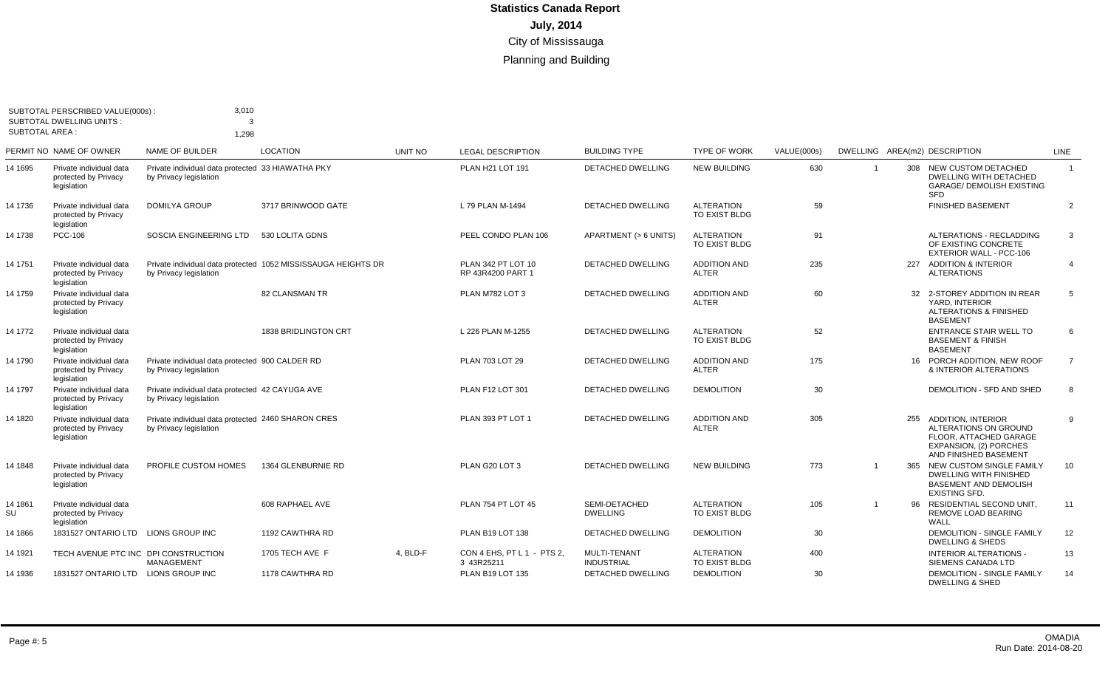| <b>SUBTOTAL AREA:</b> | SUBTOTAL PERSCRIBED VALUE(000s):<br>SUBTOTAL DWELLING UNITS :  | 3,010<br>3<br>1,298                                                          |                                                               |                |                                          |                                   |                                     |             |                               |     |                                                                                                                                 |                |
|-----------------------|----------------------------------------------------------------|------------------------------------------------------------------------------|---------------------------------------------------------------|----------------|------------------------------------------|-----------------------------------|-------------------------------------|-------------|-------------------------------|-----|---------------------------------------------------------------------------------------------------------------------------------|----------------|
|                       | PERMIT NO NAME OF OWNER                                        | NAME OF BUILDER                                                              | <b>LOCATION</b>                                               | <b>UNIT NO</b> | <b>LEGAL DESCRIPTION</b>                 | <b>BUILDING TYPE</b>              | <b>TYPE OF WORK</b>                 | VALUE(000s) | DWELLING AREA(m2) DESCRIPTION |     |                                                                                                                                 | LINE           |
| 14 1695               | Private individual data<br>protected by Privacy<br>legislation | Private individual data protected 33 HIAWATHA PKY<br>by Privacy legislation  |                                                               |                | PLAN H21 LOT 191                         | DETACHED DWELLING                 | <b>NEW BUILDING</b>                 | 630         | $\overline{1}$                |     | 308 NEW CUSTOM DETACHED<br><b>DWELLING WITH DETACHED</b><br><b>GARAGE/ DEMOLISH EXISTING</b><br><b>SFD</b>                      | $\overline{1}$ |
| 14 1736               | Private individual data<br>protected by Privacy<br>legislation | <b>DOMILYA GROUP</b>                                                         | 3717 BRINWOOD GATE                                            |                | L 79 PLAN M-1494                         | <b>DETACHED DWELLING</b>          | <b>ALTERATION</b><br>TO EXIST BLDG  | 59          |                               |     | <b>FINISHED BASEMENT</b>                                                                                                        | $\overline{2}$ |
| 14 1738               | <b>PCC-106</b>                                                 | SOSCIA ENGINEERING LTD                                                       | 530 LOLITA GDNS                                               |                | PEEL CONDO PLAN 106                      | APARTMENT (> 6 UNITS)             | <b>ALTERATION</b><br>TO EXIST BLDG  | 91          |                               |     | ALTERATIONS - RECLADDING<br>OF EXISTING CONCRETE<br><b>EXTERIOR WALL - PCC-106</b>                                              | $\overline{3}$ |
| 14 1751               | Private individual data<br>protected by Privacy<br>legislation | by Privacy legislation                                                       | Private individual data protected 1052 MISSISSAUGA HEIGHTS DR |                | PLAN 342 PT LOT 10<br>RP 43R4200 PART 1  | <b>DETACHED DWELLING</b>          | <b>ADDITION AND</b><br><b>ALTER</b> | 235         |                               | 227 | <b>ADDITION &amp; INTERIOR</b><br><b>ALTERATIONS</b>                                                                            | $\overline{4}$ |
| 14 1759               | Private individual data<br>protected by Privacy<br>legislation |                                                                              | <b>82 CLANSMAN TR</b>                                         |                | PLAN M782 LOT 3                          | <b>DETACHED DWELLING</b>          | <b>ADDITION AND</b><br><b>ALTER</b> | 60          |                               |     | 32 2-STOREY ADDITION IN REAR<br>YARD, INTERIOR<br><b>ALTERATIONS &amp; FINISHED</b><br><b>BASEMENT</b>                          | -5             |
| 14 1772               | Private individual data<br>protected by Privacy<br>legislation |                                                                              | 1838 BRIDLINGTON CRT                                          |                | L 226 PLAN M-1255                        | <b>DETACHED DWELLING</b>          | <b>ALTERATION</b><br>TO EXIST BLDG  | 52          |                               |     | <b>ENTRANCE STAIR WELL TO</b><br><b>BASEMENT &amp; FINISH</b><br><b>BASEMENT</b>                                                | -6             |
| 14 1790               | Private individual data<br>protected by Privacy<br>legislation | Private individual data protected 900 CALDER RD<br>by Privacy legislation    |                                                               |                | PLAN 703 LOT 29                          | <b>DETACHED DWELLING</b>          | <b>ADDITION AND</b><br><b>ALTER</b> | 175         |                               |     | 16 PORCH ADDITION, NEW ROOF<br>& INTERIOR ALTERATIONS                                                                           | $\overline{7}$ |
| 14 1797               | Private individual data<br>protected by Privacy<br>legislation | Private individual data protected 42 CAYUGA AVE<br>by Privacy legislation    |                                                               |                | PLAN F12 LOT 301                         | <b>DETACHED DWELLING</b>          | <b>DEMOLITION</b>                   | 30          |                               |     | DEMOLITION - SFD AND SHED                                                                                                       | 8              |
| 14 1820               | Private individual data<br>protected by Privacv<br>legislation | Private individual data protected 2460 SHARON CRES<br>by Privacy legislation |                                                               |                | PLAN 393 PT LOT 1                        | <b>DETACHED DWELLING</b>          | <b>ADDITION AND</b><br><b>ALTER</b> | 305         |                               | 255 | <b>ADDITION, INTERIOR</b><br>ALTERATIONS ON GROUND<br>FLOOR, ATTACHED GARAGE<br>EXPANSION, (2) PORCHES<br>AND FINISHED BASEMENT | 9              |
| 14 1848               | Private individual data<br>protected by Privacy<br>legislation | PROFILE CUSTOM HOMES                                                         | 1364 GLENBURNIE RD                                            |                | PLAN G20 LOT 3                           | DETACHED DWELLING                 | <b>NEW BUILDING</b>                 | 773         |                               | 365 | NEW CUSTOM SINGLE FAMILY<br><b>DWELLING WITH FINISHED</b><br><b>BASEMENT AND DEMOLISH</b><br><b>EXISTING SFD.</b>               | 10             |
| 14 1861<br>SU         | Private individual data<br>protected by Privacy<br>legislation |                                                                              | 608 RAPHAEL AVE                                               |                | <b>PLAN 754 PT LOT 45</b>                | SEMI-DETACHED<br><b>DWELLING</b>  | <b>ALTERATION</b><br>TO EXIST BLDG  | 105         |                               | 96  | RESIDENTIAL SECOND UNIT.<br>REMOVE LOAD BEARING<br>WALL                                                                         | 11             |
| 14 1866               | 1831527 ONTARIO LTD                                            | <b>LIONS GROUP INC</b>                                                       | 1192 CAWTHRA RD                                               |                | PLAN B19 LOT 138                         | <b>DETACHED DWELLING</b>          | <b>DEMOLITION</b>                   | 30          |                               |     | <b>DEMOLITION - SINGLE FAMILY</b><br><b>DWELLING &amp; SHEDS</b>                                                                | 12             |
| 14 1921               | TECH AVENUE PTC INC DPI CONSTRUCTION                           | MANAGEMENT                                                                   | 1705 TECH AVE F                                               | 4, BLD-F       | CON 4 EHS, PT L 1 - PTS 2,<br>3 43R25211 | MULTI-TENANT<br><b>INDUSTRIAL</b> | <b>ALTERATION</b><br>TO EXIST BLDG  | 400         |                               |     | <b>INTERIOR ALTERATIONS -</b><br>SIEMENS CANADA LTD                                                                             | 13             |
| 14 1936               | 1831527 ONTARIO LTD LIONS GROUP INC                            |                                                                              | 1178 CAWTHRA RD                                               |                | <b>PLAN B19 LOT 135</b>                  | <b>DETACHED DWELLING</b>          | <b>DEMOLITION</b>                   | 30          |                               |     | <b>DEMOLITION - SINGLE FAMILY</b><br><b>DWELLING &amp; SHED</b>                                                                 | 14             |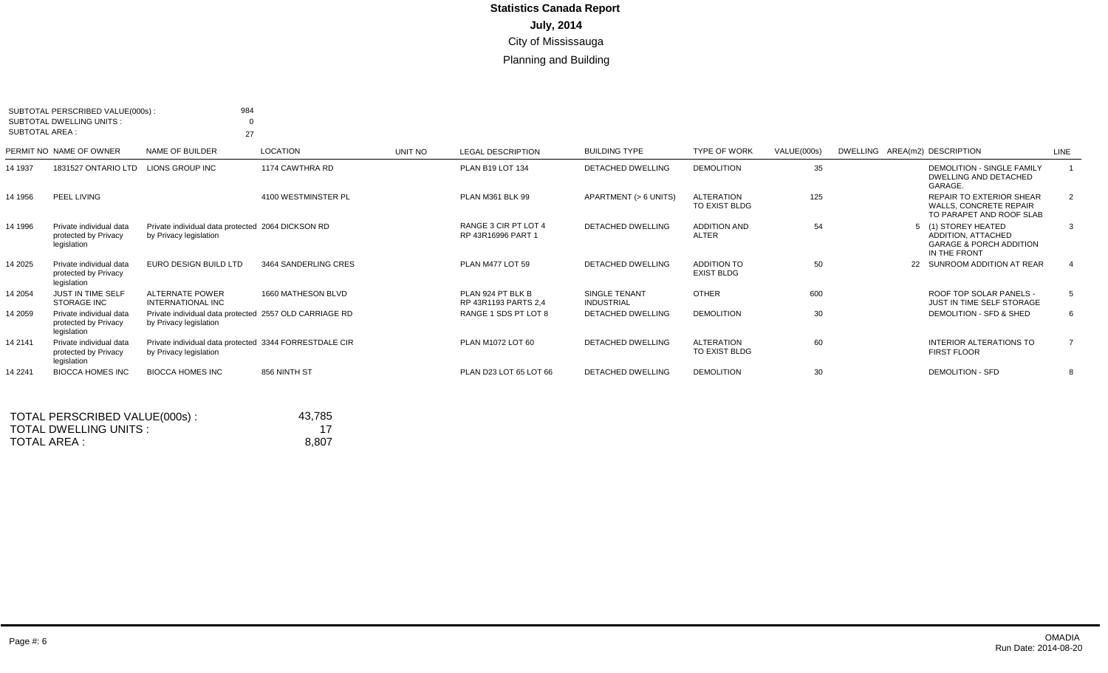| <b>SUBTOTAL AREA:</b> | SUBTOTAL PERSCRIBED VALUE(000s):<br><b>SUBTOTAL DWELLING UNITS:</b> | 984<br>27                                                                        |                      |         |                                            |                                           |                                         |             |                                                                                                 |                |
|-----------------------|---------------------------------------------------------------------|----------------------------------------------------------------------------------|----------------------|---------|--------------------------------------------|-------------------------------------------|-----------------------------------------|-------------|-------------------------------------------------------------------------------------------------|----------------|
|                       | PERMIT NO NAME OF OWNER                                             | NAME OF BUILDER                                                                  | LOCATION             | UNIT NO | <b>LEGAL DESCRIPTION</b>                   | <b>BUILDING TYPE</b>                      | <b>TYPE OF WORK</b>                     | VALUE(000s) | DWELLING AREA(m2) DESCRIPTION                                                                   | LINE           |
| 14 1937               | 1831527 ONTARIO LTD LIONS GROUP INC                                 |                                                                                  | 1174 CAWTHRA RD      |         | <b>PLAN B19 LOT 134</b>                    | <b>DETACHED DWELLING</b>                  | <b>DEMOLITION</b>                       | 35          | <b>DEMOLITION - SINGLE FAMILY</b><br>DWELLING AND DETACHED<br>GARAGE.                           |                |
| 14 1956               | PEEL LIVING                                                         |                                                                                  | 4100 WESTMINSTER PL  |         | PLAN M361 BLK 99                           | APARTMENT (> 6 UNITS)                     | <b>ALTERATION</b><br>TO EXIST BLDG      | 125         | <b>REPAIR TO EXTERIOR SHEAR</b><br><b>WALLS, CONCRETE REPAIR</b><br>TO PARAPET AND ROOF SLAB    | 2              |
| 14 1996               | Private individual data<br>protected by Privacy<br>legislation      | Private individual data protected 2064 DICKSON RD<br>by Privacy legislation      |                      |         | RANGE 3 CIR PT LOT 4<br>RP 43R16996 PART 1 | <b>DETACHED DWELLING</b>                  | <b>ADDITION AND</b><br><b>ALTER</b>     | 54          | 5 (1) STOREY HEATED<br>ADDITION, ATTACHED<br><b>GARAGE &amp; PORCH ADDITION</b><br>IN THE FRONT | 3              |
| 14 2025               | Private individual data<br>protected by Privacy<br>legislation      | EURO DESIGN BUILD LTD                                                            | 3464 SANDERLING CRES |         | PLAN M477 LOT 59                           | <b>DETACHED DWELLING</b>                  | <b>ADDITION TO</b><br><b>EXIST BLDG</b> | 50          | SUNROOM ADDITION AT REAR<br>22                                                                  | $\overline{4}$ |
| 14 2054               | JUST IN TIME SELF<br><b>STORAGE INC</b>                             | <b>ALTERNATE POWER</b><br><b>INTERNATIONAL INC</b>                               | 1660 MATHESON BLVD   |         | PLAN 924 PT BLK B<br>RP 43R1193 PARTS 2,4  | <b>SINGLE TENANT</b><br><b>INDUSTRIAL</b> | <b>OTHER</b>                            | 600         | ROOF TOP SOLAR PANELS -<br>JUST IN TIME SELF STORAGE                                            | 5              |
| 14 2059               | Private individual data<br>protected by Privacy<br>legislation      | Private individual data protected 2557 OLD CARRIAGE RD<br>by Privacy legislation |                      |         | RANGE 1 SDS PT LOT 8                       | <b>DETACHED DWELLING</b>                  | <b>DEMOLITION</b>                       | 30          | DEMOLITION - SFD & SHED                                                                         | 6              |
| 14 2141               | Private individual data<br>protected by Privacy<br>legislation      | Private individual data protected 3344 FORRESTDALE CIR<br>by Privacy legislation |                      |         | PLAN M1072 LOT 60                          | <b>DETACHED DWELLING</b>                  | <b>ALTERATION</b><br>TO EXIST BLDG      | 60          | INTERIOR ALTERATIONS TO<br><b>FIRST FLOOR</b>                                                   | $\overline{7}$ |
| 14 2 241              | <b>BIOCCA HOMES INC</b>                                             | <b>BIOCCA HOMES INC</b>                                                          | 856 NINTH ST         |         | PLAN D23 LOT 65 LOT 66                     | <b>DETACHED DWELLING</b>                  | <b>DEMOLITION</b>                       | 30          | <b>DEMOLITION - SFD</b>                                                                         | 8              |

| TOTAL PERSCRIBED VALUE(000s): | 43.785 |
|-------------------------------|--------|
| TOTAL DWELLING UNITS:         |        |
| TOTAL AREA :                  | 8.807  |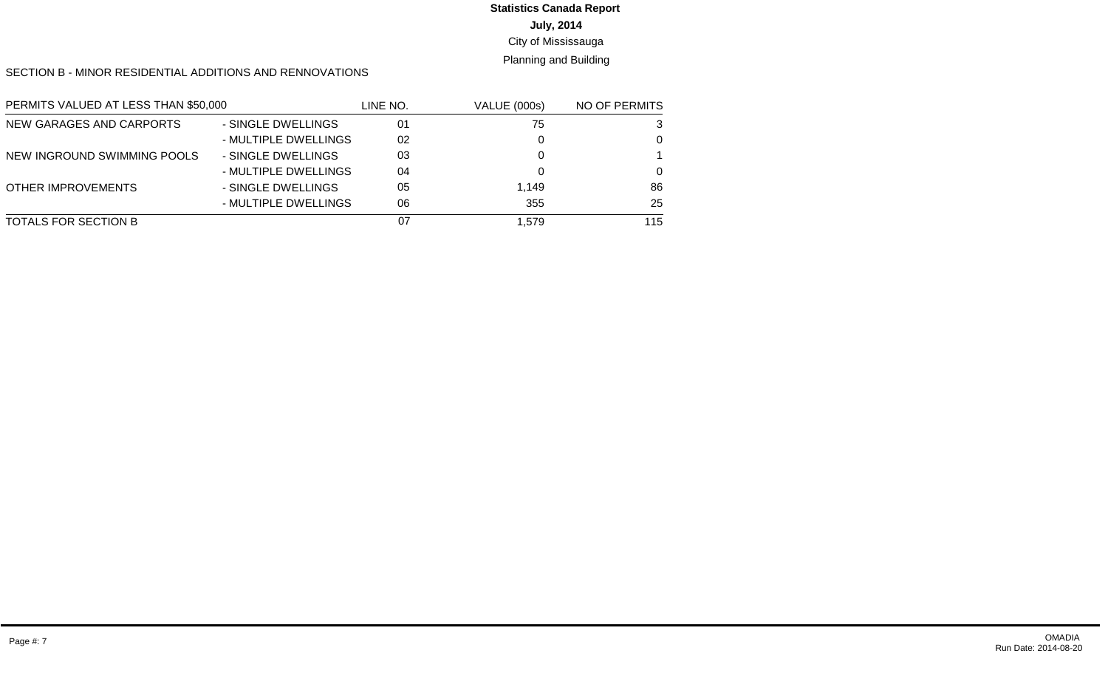#### **July, 2014** City of Mississauga **Statistics Canada Report**

#### Planning and Building

#### SECTION B - MINOR RESIDENTIAL ADDITIONS AND RENNOVATIONS

| PERMITS VALUED AT LESS THAN \$50,000 |                      | LINE NO. | <b>VALUE (000s)</b> | NO OF PERMITS |
|--------------------------------------|----------------------|----------|---------------------|---------------|
| NEW GARAGES AND CARPORTS             | - SINGLE DWELLINGS   | 01       | 75                  | 3             |
|                                      | - MULTIPLE DWELLINGS | 02       |                     | 0             |
| NEW INGROUND SWIMMING POOLS          | - SINGLE DWELLINGS   | 03       |                     |               |
|                                      | - MULTIPLE DWELLINGS | 04       |                     | $\Omega$      |
| <b>OTHER IMPROVEMENTS</b>            | - SINGLE DWELLINGS   | 05       | 1.149               | 86            |
|                                      | - MULTIPLE DWELLINGS | 06       | 355                 | 25            |
| TOTALS FOR SECTION B                 |                      | 07       | 1.579               | 115           |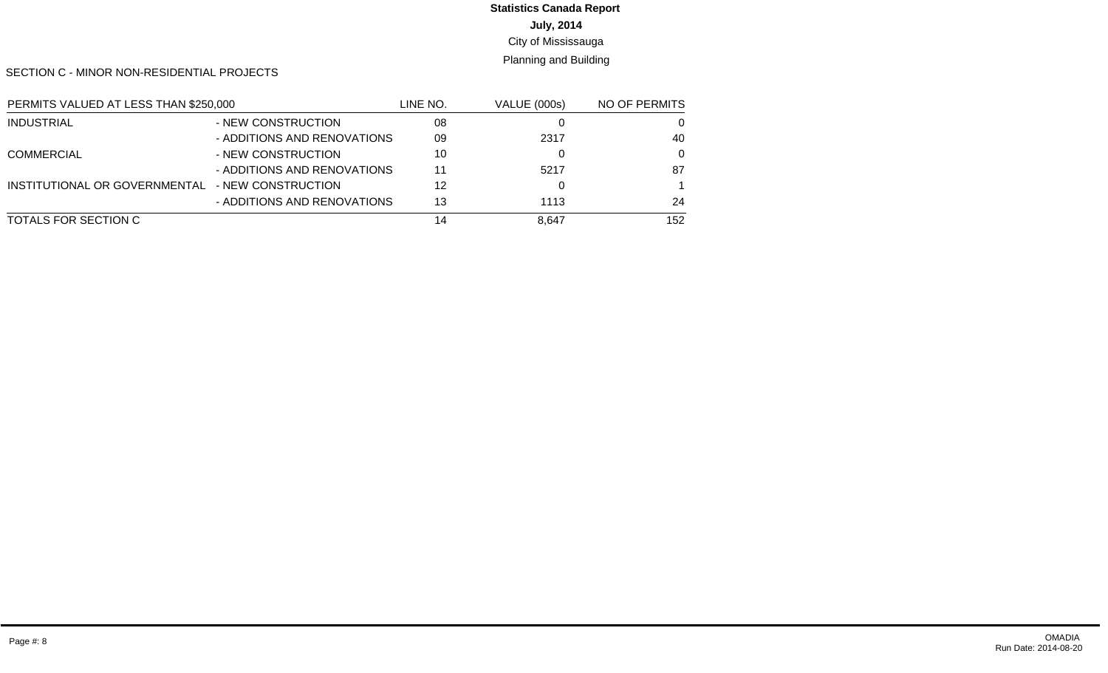# **July, 2014 Statistics Canada Report**

# City of Mississauga

# Planning and Building

SECTION C - MINOR NON-RESIDENTIAL PROJECTS

| PERMITS VALUED AT LESS THAN \$250,000 |                             | LINE NO. | <b>VALUE (000s)</b> | NO OF PERMITS |
|---------------------------------------|-----------------------------|----------|---------------------|---------------|
| <b>INDUSTRIAL</b>                     | - NEW CONSTRUCTION          | 08       |                     |               |
|                                       | - ADDITIONS AND RENOVATIONS | 09       | 2317                | 40            |
| <b>COMMERCIAL</b>                     | - NEW CONSTRUCTION          | 10       |                     | $\Omega$      |
|                                       | - ADDITIONS AND RENOVATIONS | 11       | 5217                | 87            |
| INSTITUTIONAL OR GOVERNMENTAL         | - NEW CONSTRUCTION          | 12       |                     |               |
|                                       | - ADDITIONS AND RENOVATIONS | 13       | 1113                | 24            |
| TOTALS FOR SECTION C                  |                             | 14       | 8.647               | 152           |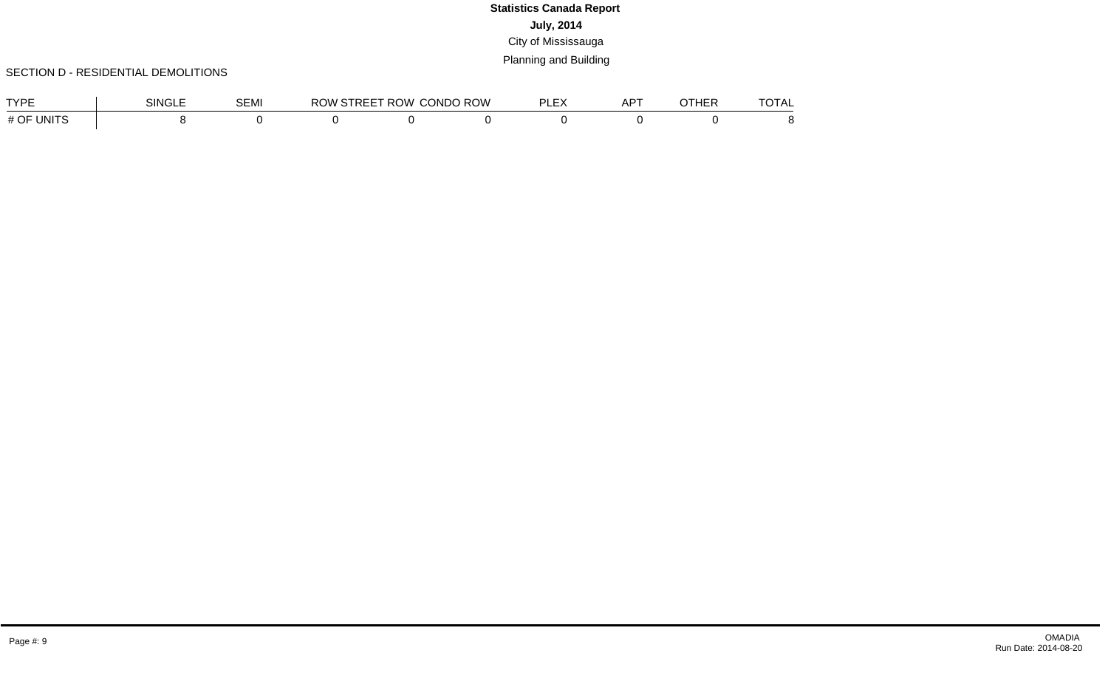#### SECTION D - RESIDENTIAL DEMOLITIONS

| <b>TVDE</b>                            | <b>SINGLE</b> | <b>SEMI</b> | RC | ROW. | CONDO ROW | $AP^{\tau}$ | $T\bigwedge T$ $\Lambda$<br>$71 \text{AU}$ |
|----------------------------------------|---------------|-------------|----|------|-----------|-------------|--------------------------------------------|
| <b>INITS</b><br>OF<br>. H<br><b>II</b> |               |             |    |      |           |             |                                            |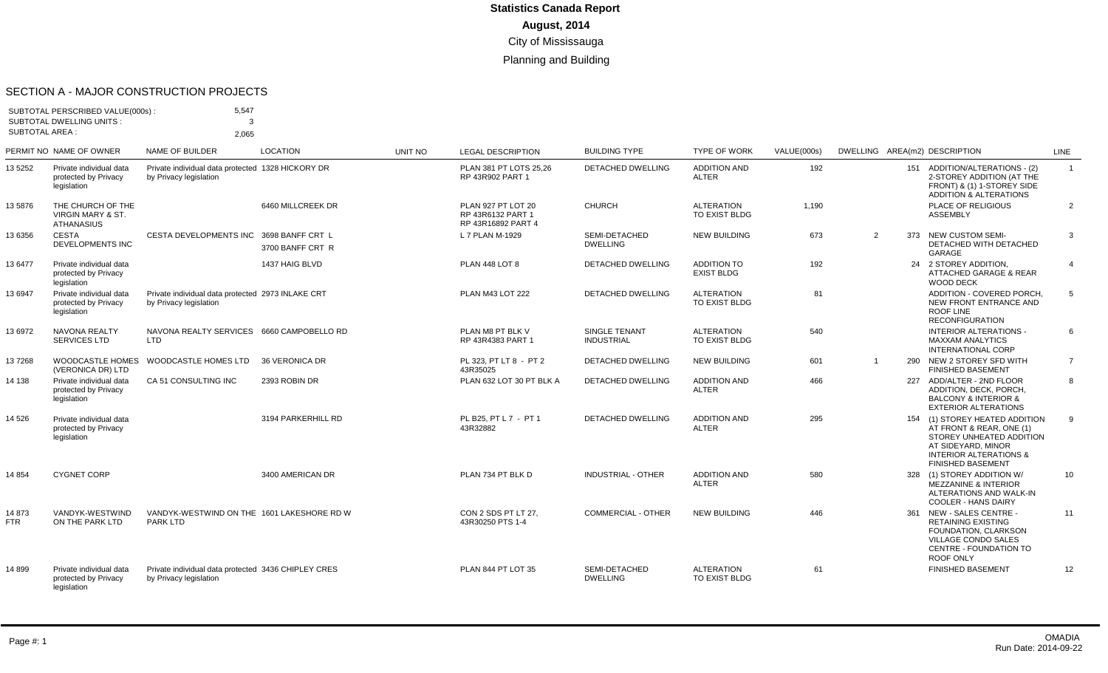#### SECTION A - MAJOR CONSTRUCTION PROJECTS

| <b>SUBTOTAL AREA:</b> | SUBTOTAL PERSCRIBED VALUE(000s):<br><b>SUBTOTAL DWELLING UNITS:</b>    | 5,547<br>$\mathcal{R}$<br>2.065                                               |                    |                |                                                                      |                                    |                                     |             |                |     |                                                                                                                                                                               |                 |
|-----------------------|------------------------------------------------------------------------|-------------------------------------------------------------------------------|--------------------|----------------|----------------------------------------------------------------------|------------------------------------|-------------------------------------|-------------|----------------|-----|-------------------------------------------------------------------------------------------------------------------------------------------------------------------------------|-----------------|
|                       | PERMIT NO NAME OF OWNER                                                | <b>NAME OF BUILDER</b>                                                        | <b>LOCATION</b>    | <b>UNIT NO</b> | <b>LEGAL DESCRIPTION</b>                                             | <b>BUILDING TYPE</b>               | <b>TYPE OF WORK</b>                 | VALUE(000s) |                |     | DWELLING AREA(m2) DESCRIPTION                                                                                                                                                 | <b>LINE</b>     |
| 13 5 25 2             | Private individual data<br>protected by Privacy<br>legislation         | Private individual data protected 1328 HICKORY DR<br>by Privacy legislation   |                    |                | PLAN 381 PT LOTS 25.26<br>RP 43R902 PART 1                           | <b>DETACHED DWELLING</b>           | <b>ADDITION AND</b><br><b>ALTER</b> | 192         |                |     | 151 ADDITION/ALTERATIONS - (2)<br>2-STOREY ADDITION (AT THE<br>FRONT) & (1) 1-STOREY SIDE<br><b>ADDITION &amp; ALTERATIONS</b>                                                | $\mathbf{1}$    |
| 13 5876               | THE CHURCH OF THE<br><b>VIRGIN MARY &amp; ST.</b><br><b>ATHANASIUS</b> |                                                                               | 6460 MILLCREEK DR  |                | <b>PLAN 927 PT LOT 20</b><br>RP 43R6132 PART 1<br>RP 43R16892 PART 4 | <b>CHURCH</b>                      | <b>ALTERATION</b><br>TO EXIST BLDG  | 1.190       |                |     | <b>PLACE OF RELIGIOUS</b><br><b>ASSEMBLY</b>                                                                                                                                  | $\overline{2}$  |
| 13 6356               | <b>CESTA</b><br><b>DEVELOPMENTS INC</b>                                | CESTA DEVELOPMENTS INC 3698 BANFF CRT L                                       | 3700 BANFF CRT R   |                | L 7 PLAN M-1929                                                      | SEMI-DETACHED<br><b>DWELLING</b>   | <b>NEW BUILDING</b>                 | 673         | $\overline{2}$ | 373 | <b>NEW CUSTOM SEMI-</b><br>DETACHED WITH DETACHED<br>GARAGE                                                                                                                   | 3               |
| 13 6477               | Private individual data<br>protected by Privacy<br>legislation         |                                                                               | 1437 HAIG BLVD     |                | PLAN 448 LOT 8                                                       | <b>DETACHED DWELLING</b>           | ADDITION TO<br><b>EXIST BLDG</b>    | 192         |                |     | 24 2 STOREY ADDITION.<br><b>ATTACHED GARAGE &amp; REAR</b><br>WOOD DECK                                                                                                       | $\overline{4}$  |
| 13 6947               | Private individual data<br>protected by Privacy<br>legislation         | Private individual data protected 2973 INLAKE CRT<br>by Privacy legislation   |                    |                | PLAN M43 LOT 222                                                     | <b>DETACHED DWELLING</b>           | <b>ALTERATION</b><br>TO EXIST BLDG  | 81          |                |     | ADDITION - COVERED PORCH,<br>NEW FRONT ENTRANCE AND<br>ROOF LINE<br><b>RECONFIGURATION</b>                                                                                    | $5\overline{5}$ |
| 13 6972               | <b>NAVONA REALTY</b><br><b>SERVICES LTD</b>                            | NAVONA REALTY SERVICES 6660 CAMPOBELLO RD<br><b>LTD</b>                       |                    |                | PLAN M8 PT BLK V<br>RP 43R4383 PART 1                                | SINGLE TENANT<br><b>INDUSTRIAL</b> | <b>ALTERATION</b><br>TO EXIST BLDG  | 540         |                |     | <b>INTERIOR ALTERATIONS -</b><br><b>MAXXAM ANALYTICS</b><br><b>INTERNATIONAL CORP</b>                                                                                         | 6               |
| 137268                | (VERONICA DR) LTD                                                      | WOODCASTLE HOMES WOODCASTLE HOMES LTD                                         | 36 VERONICA DR     |                | PL 323. PT LT 8 - PT 2<br>43R35025                                   | <b>DETACHED DWELLING</b>           | <b>NEW BUILDING</b>                 | 601         | $\overline{1}$ |     | 290 NEW 2 STOREY SFD WITH<br><b>FINISHED BASEMENT</b>                                                                                                                         | 7               |
| 14 138                | Private individual data<br>protected by Privacv<br>legislation         | CA 51 CONSULTING INC                                                          | 2393 ROBIN DR      |                | PLAN 632 LOT 30 PT BLK A                                             | DETACHED DWELLING                  | <b>ADDITION AND</b><br><b>ALTER</b> | 466         |                |     | 227 ADD/ALTER - 2ND FLOOR<br>ADDITION, DECK, PORCH.<br><b>BALCONY &amp; INTERIOR &amp;</b><br><b>EXTERIOR ALTERATIONS</b>                                                     | 8               |
| 14 5 26               | Private individual data<br>protected by Privacy<br>legislation         |                                                                               | 3194 PARKERHILL RD |                | PL B25. PT L 7 - PT 1<br>43R32882                                    | <b>DETACHED DWELLING</b>           | <b>ADDITION AND</b><br><b>ALTER</b> | 295         |                |     | 154 (1) STOREY HEATED ADDITION<br>AT FRONT & REAR, ONE (1)<br>STOREY UNHEATED ADDITION<br>AT SIDEYARD, MINOR<br><b>INTERIOR ALTERATIONS &amp;</b><br><b>FINISHED BASEMENT</b> | 9               |
| 14 8 54               | <b>CYGNET CORP</b>                                                     |                                                                               | 3400 AMERICAN DR   |                | PLAN 734 PT BLK D                                                    | <b>INDUSTRIAL - OTHER</b>          | <b>ADDITION AND</b><br><b>ALTER</b> | 580         |                |     | 328 (1) STOREY ADDITION W/<br><b>MEZZANINE &amp; INTERIOR</b><br>ALTERATIONS AND WALK-IN<br><b>COOLER - HANS DAIRY</b>                                                        | 10              |
| 14 873<br><b>FTR</b>  | VANDYK-WESTWIND<br>ON THE PARK LTD                                     | VANDYK-WESTWIND ON THE 1601 LAKESHORE RD W<br>PARK LTD                        |                    |                | CON 2 SDS PT LT 27.<br>43R30250 PTS 1-4                              | COMMERCIAL - OTHER                 | <b>NEW BUILDING</b>                 | 446         |                |     | 361 NEW - SALES CENTRE -<br><b>RETAINING EXISTING</b><br>FOUNDATION, CLARKSON<br><b>VILLAGE CONDO SALES</b><br>CENTRE - FOUNDATION TO<br>ROOF ONLY                            | 11              |
| 14 899                | Private individual data<br>protected by Privacy<br>legislation         | Private individual data protected 3436 CHIPLEY CRES<br>by Privacy legislation |                    |                | PLAN 844 PT LOT 35                                                   | SEMI-DETACHED<br><b>DWELLING</b>   | <b>ALTERATION</b><br>TO EXIST BLDG  | 61          |                |     | <b>FINISHED BASEMENT</b>                                                                                                                                                      | 12              |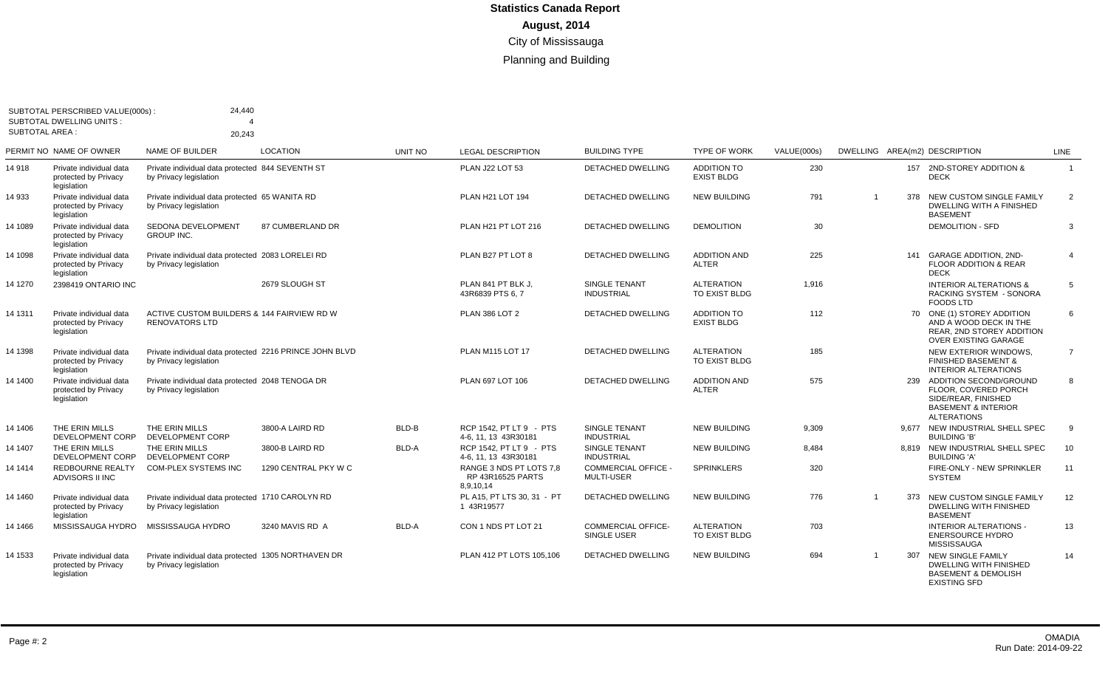| SUBTOTAL AREA : | SUBTOTAL PERSCRIBED VALUE(000s):<br><b>SUBTOTAL DWELLING UNITS:</b> | 24,440<br>20,243                                                                  |                      |              |                                                           |                                                 |                                         |             |                |       |                                                                                                                               |                |
|-----------------|---------------------------------------------------------------------|-----------------------------------------------------------------------------------|----------------------|--------------|-----------------------------------------------------------|-------------------------------------------------|-----------------------------------------|-------------|----------------|-------|-------------------------------------------------------------------------------------------------------------------------------|----------------|
|                 | PERMIT NO NAME OF OWNER                                             | <b>NAME OF BUILDER</b>                                                            | <b>LOCATION</b>      | UNIT NO      | <b>LEGAL DESCRIPTION</b>                                  | <b>BUILDING TYPE</b>                            | <b>TYPE OF WORK</b>                     | VALUE(000s) |                |       | DWELLING AREA(m2) DESCRIPTION                                                                                                 | <b>LINE</b>    |
| 14 918          | Private individual data<br>protected by Privacy<br>legislation      | Private individual data protected 844 SEVENTH ST<br>by Privacy legislation        |                      |              | PLAN J22 LOT 53                                           | <b>DETACHED DWELLING</b>                        | ADDITION TO<br><b>EXIST BLDG</b>        | 230         |                |       | 157 2ND-STOREY ADDITION &<br><b>DECK</b>                                                                                      | $\overline{1}$ |
| 14 933          | Private individual data<br>protected by Privacy<br>legislation      | Private individual data protected 65 WANITA RD<br>by Privacy legislation          |                      |              | PLAN H21 LOT 194                                          | DETACHED DWELLING                               | <b>NEW BUILDING</b>                     | 791         |                | 378   | NEW CUSTOM SINGLE FAMILY<br><b>DWELLING WITH A FINISHED</b><br><b>BASEMENT</b>                                                | 2              |
| 14 1089         | Private individual data<br>protected by Privacy<br>legislation      | <b>SEDONA DEVELOPMENT</b><br><b>GROUP INC.</b>                                    | 87 CUMBERLAND DR     |              | PLAN H21 PT LOT 216                                       | <b>DETACHED DWELLING</b>                        | <b>DEMOLITION</b>                       | 30          |                |       | <b>DEMOLITION - SFD</b>                                                                                                       | 3              |
| 14 1098         | Private individual data<br>protected by Privacy<br>legislation      | Private individual data protected 2083 LORELEI RD<br>by Privacy legislation       |                      |              | PLAN B27 PT LOT 8                                         | <b>DETACHED DWELLING</b>                        | <b>ADDITION AND</b><br><b>ALTER</b>     | 225         |                | 141   | <b>GARAGE ADDITION, 2ND-</b><br><b>FLOOR ADDITION &amp; REAR</b><br><b>DECK</b>                                               | $\overline{4}$ |
| 14 1270         | 2398419 ONTARIO INC                                                 |                                                                                   | 2679 SLOUGH ST       |              | PLAN 841 PT BLK J.<br>43R6839 PTS 6.7                     | <b>SINGLE TENANT</b><br><b>INDUSTRIAL</b>       | <b>ALTERATION</b><br>TO EXIST BLDG      | 1,916       |                |       | <b>INTERIOR ALTERATIONS &amp;</b><br>RACKING SYSTEM - SONORA<br><b>FOODS LTD</b>                                              | 5              |
| 14 1311         | Private individual data<br>protected by Privacy<br>legislation      | ACTIVE CUSTOM BUILDERS & 144 FAIRVIEW RD W<br><b>RENOVATORS LTD</b>               |                      |              | <b>PLAN 386 LOT 2</b>                                     | DETACHED DWELLING                               | <b>ADDITION TO</b><br><b>EXIST BLDG</b> | 112         |                |       | 70 ONE (1) STOREY ADDITION<br>AND A WOOD DECK IN THE<br>REAR, 2ND STOREY ADDITION<br>OVER EXISTING GARAGE                     | 6              |
| 14 1398         | Private individual data<br>protected by Privacy<br>legislation      | Private individual data protected 2216 PRINCE JOHN BLVD<br>by Privacy legislation |                      |              | <b>PLAN M115 LOT 17</b>                                   | <b>DETACHED DWELLING</b>                        | <b>ALTERATION</b><br>TO EXIST BLDG      | 185         |                |       | NEW EXTERIOR WINDOWS.<br><b>FINISHED BASEMENT &amp;</b><br><b>INTERIOR ALTERATIONS</b>                                        | $\overline{7}$ |
| 14 1400         | Private individual data<br>protected by Privacy<br>legislation      | Private individual data protected 2048 TENOGA DR<br>by Privacy legislation        |                      |              | PLAN 697 LOT 106                                          | DETACHED DWELLING                               | <b>ADDITION AND</b><br><b>ALTER</b>     | 575         |                | 239   | ADDITION SECOND/GROUND<br>FLOOR. COVERED PORCH<br>SIDE/REAR, FINISHED<br><b>BASEMENT &amp; INTERIOR</b><br><b>ALTERATIONS</b> | 8              |
| 14 1406         | THE ERIN MILLS<br>DEVELOPMENT CORP                                  | THE ERIN MILLS<br>DEVELOPMENT CORP                                                | 3800-A LAIRD RD      | BLD-B        | RCP 1542, PT LT 9 - PTS<br>4-6, 11, 13 43R30181           | <b>SINGLE TENANT</b><br><b>INDUSTRIAL</b>       | <b>NEW BUILDING</b>                     | 9.309       |                | 9.677 | NEW INDUSTRIAL SHELL SPEC<br><b>BUILDING 'B'</b>                                                                              | 9              |
| 14 1407         | THE ERIN MILLS<br>DEVELOPMENT CORP                                  | THE ERIN MILLS<br>DEVELOPMENT CORP                                                | 3800-B LAIRD RD      | BLD-A        | RCP 1542, PT LT 9 - PTS<br>4-6, 11, 13 43R30181           | SINGLE TENANT<br><b>INDUSTRIAL</b>              | <b>NEW BUILDING</b>                     | 8,484       |                |       | 8,819 NEW INDUSTRIAL SHELL SPEC<br><b>BUILDING 'A'</b>                                                                        | 10             |
| 14 1414         | <b>REDBOURNE REALTY</b><br>ADVISORS II INC                          | <b>COM-PLEX SYSTEMS INC</b>                                                       | 1290 CENTRAL PKY W C |              | RANGE 3 NDS PT LOTS 7.8<br>RP 43R16525 PARTS<br>8,9,10,14 | COMMERCIAL OFFICE -<br><b>MULTI-USER</b>        | <b>SPRINKLERS</b>                       | 320         |                |       | FIRE-ONLY - NEW SPRINKLER<br><b>SYSTEM</b>                                                                                    | 11             |
| 14 1460         | Private individual data<br>protected by Privacy<br>legislation      | Private individual data protected 1710 CAROLYN RD<br>by Privacy legislation       |                      |              | PL A15, PT LTS 30, 31 - PT<br>1 43R19577                  | <b>DETACHED DWELLING</b>                        | <b>NEW BUILDING</b>                     | 776         | $\overline{1}$ | 373   | NEW CUSTOM SINGLE FAMILY<br><b>DWELLING WITH FINISHED</b><br><b>BASEMENT</b>                                                  | 12             |
| 14 1466         | MISSISSAUGA HYDRO                                                   | MISSISSAUGA HYDRO                                                                 | 3240 MAVIS RD A      | <b>BLD-A</b> | CON 1 NDS PT LOT 21                                       | <b>COMMERCIAL OFFICE-</b><br><b>SINGLE USER</b> | <b>ALTERATION</b><br>TO EXIST BLDG      | 703         |                |       | <b>INTERIOR ALTERATIONS -</b><br><b>ENERSOURCE HYDRO</b><br>MISSISSAUGA                                                       | 13             |
| 14 1533         | Private individual data<br>protected by Privacy<br>legislation      | Private individual data protected 1305 NORTHAVEN DR<br>by Privacy legislation     |                      |              | PLAN 412 PT LOTS 105,106                                  | <b>DETACHED DWELLING</b>                        | <b>NEW BUILDING</b>                     | 694         | $\overline{1}$ | 307   | <b>NEW SINGLE FAMILY</b><br><b>DWELLING WITH FINISHED</b><br><b>BASEMENT &amp; DEMOLISH</b><br><b>EXISTING SFD</b>            | 14             |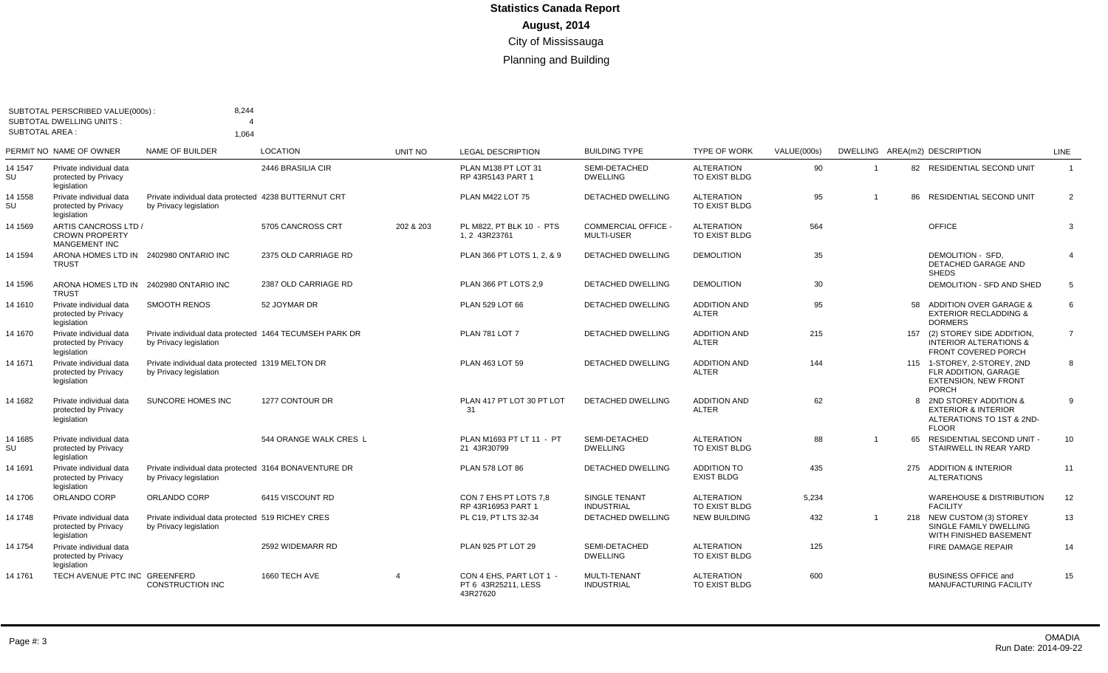| SUBTOTAL AREA : | SUBTOTAL PERSCRIBED VALUE(000s):<br><b>SUBTOTAL DWELLING UNITS:</b>   | 8.244                                                                             |                        |                |                                                            |                                                 |                                         |             |    |    |                                                                                                        |                |
|-----------------|-----------------------------------------------------------------------|-----------------------------------------------------------------------------------|------------------------|----------------|------------------------------------------------------------|-------------------------------------------------|-----------------------------------------|-------------|----|----|--------------------------------------------------------------------------------------------------------|----------------|
|                 | PERMIT NO NAME OF OWNER                                               | 1.064<br><b>NAME OF BUILDER</b>                                                   | <b>LOCATION</b>        | <b>UNIT NO</b> | <b>LEGAL DESCRIPTION</b>                                   | <b>BUILDING TYPE</b>                            | <b>TYPE OF WORK</b>                     | VALUE(000s) |    |    | DWELLING AREA(m2) DESCRIPTION                                                                          | LINE           |
| 14 1547<br>SU   | Private individual data<br>protected by Privacy<br>legislation        |                                                                                   | 2446 BRASILIA CIR      |                | PLAN M138 PT LOT 31<br>RP 43R5143 PART 1                   | SEMI-DETACHED<br><b>DWELLING</b>                | <b>ALTERATION</b><br>TO EXIST BLDG      | 90          |    |    | 82 RESIDENTIAL SECOND UNIT                                                                             | $\overline{1}$ |
| 14 1558<br>SU   | Private individual data<br>protected by Privacy<br>legislation        | Private individual data protected 4238 BUTTERNUT CRT<br>by Privacy legislation    |                        |                | PLAN M422 LOT 75                                           | <b>DETACHED DWELLING</b>                        | <b>ALTERATION</b><br>TO EXIST BLDG      | 95          |    |    | 86 RESIDENTIAL SECOND UNIT                                                                             | 2              |
| 14 1569         | ARTIS CANCROSS LTD /<br><b>CROWN PROPERTY</b><br><b>MANGEMENT INC</b> |                                                                                   | 5705 CANCROSS CRT      | 202 & 203      | PL M822. PT BLK 10 - PTS<br>1.2 43R23761                   | <b>COMMERCIAL OFFICE -</b><br><b>MULTI-USER</b> | <b>ALTERATION</b><br>TO EXIST BLDG      | 564         |    |    | OFFICE                                                                                                 | 3              |
| 14 1594         | ARONA HOMES LTD IN 2402980 ONTARIO INC<br><b>TRUST</b>                |                                                                                   | 2375 OLD CARRIAGE RD   |                | PLAN 366 PT LOTS 1, 2, & 9                                 | DETACHED DWELLING                               | <b>DEMOLITION</b>                       | 35          |    |    | DEMOLITION - SFD.<br>DETACHED GARAGE AND<br><b>SHEDS</b>                                               | $\overline{4}$ |
| 14 1596         | ARONA HOMES LTD IN 2402980 ONTARIO INC<br><b>TRUST</b>                |                                                                                   | 2387 OLD CARRIAGE RD   |                | PLAN 366 PT LOTS 2.9                                       | <b>DETACHED DWELLING</b>                        | <b>DEMOLITION</b>                       | 30          |    |    | DEMOLITION - SFD AND SHED                                                                              | 5              |
| 14 1610         | Private individual data<br>protected by Privacy<br>legislation        | <b>SMOOTH RENOS</b>                                                               | 52 JOYMAR DR           |                | PLAN 529 LOT 66                                            | <b>DETACHED DWELLING</b>                        | <b>ADDITION AND</b><br><b>ALTER</b>     | 95          |    | 58 | ADDITION OVER GARAGE &<br><b>EXTERIOR RECLADDING &amp;</b><br><b>DORMERS</b>                           | 6              |
| 14 1670         | Private individual data<br>protected by Privacy<br>legislation        | Private individual data protected 1464 TECUMSEH PARK DR<br>by Privacy legislation |                        |                | <b>PLAN 781 LOT 7</b>                                      | <b>DETACHED DWELLING</b>                        | <b>ADDITION AND</b><br><b>ALTER</b>     | 215         |    |    | 157 (2) STOREY SIDE ADDITION,<br><b>INTERIOR ALTERATIONS &amp;</b><br><b>FRONT COVERED PORCH</b>       | $\overline{7}$ |
| 14 1671         | Private individual data<br>protected by Privacy<br>legislation        | Private individual data protected 1319 MELTON DR<br>by Privacy legislation        |                        |                | PLAN 463 LOT 59                                            | DETACHED DWELLING                               | <b>ADDITION AND</b><br><b>ALTER</b>     | 144         |    |    | 115 1-STOREY, 2-STOREY, 2ND<br>FLR ADDITION, GARAGE<br><b>EXTENSION, NEW FRONT</b><br><b>PORCH</b>     | 8              |
| 14 1682         | Private individual data<br>protected by Privacy<br>legislation        | SUNCORE HOMES INC                                                                 | 1277 CONTOUR DR        |                | PLAN 417 PT LOT 30 PT LOT<br>31                            | <b>DETACHED DWELLING</b>                        | <b>ADDITION AND</b><br><b>ALTER</b>     | 62          |    |    | 8 2ND STOREY ADDITION &<br><b>EXTERIOR &amp; INTERIOR</b><br>ALTERATIONS TO 1ST & 2ND-<br><b>FLOOR</b> | 9              |
| 14 1685<br>SU   | Private individual data<br>protected by Privacy<br>legislation        |                                                                                   | 544 ORANGE WALK CRES L |                | PLAN M1693 PT LT 11 - PT<br>21 43R30799                    | SEMI-DETACHED<br><b>DWELLING</b>                | <b>ALTERATION</b><br>TO EXIST BLDG      | 88          | -1 |    | 65 RESIDENTIAL SECOND UNIT -<br>STAIRWELL IN REAR YARD                                                 | 10             |
| 14 1691         | Private individual data<br>protected by Privacy<br>legislation        | Private individual data protected 3164 BONAVENTURE DR<br>by Privacy legislation   |                        |                | <b>PLAN 578 LOT 86</b>                                     | DETACHED DWELLING                               | <b>ADDITION TO</b><br><b>EXIST BLDG</b> | 435         |    |    | 275 ADDITION & INTERIOR<br><b>ALTERATIONS</b>                                                          | 11             |
| 14 1706         | ORLANDO CORP                                                          | ORLANDO CORP                                                                      | 6415 VISCOUNT RD       |                | CON 7 EHS PT LOTS 7,8<br>RP 43R16953 PART 1                | SINGLE TENANT<br><b>INDUSTRIAL</b>              | <b>ALTERATION</b><br>TO EXIST BLDG      | 5,234       |    |    | <b>WAREHOUSE &amp; DISTRIBUTION</b><br><b>FACILITY</b>                                                 | 12             |
| 14 1748         | Private individual data<br>protected by Privacy<br>legislation        | Private individual data protected 519 RICHEY CRES<br>by Privacy legislation       |                        |                | PL C19, PT LTS 32-34                                       | DETACHED DWELLING                               | <b>NEW BUILDING</b>                     | 432         |    |    | 218 NEW CUSTOM (3) STOREY<br>SINGLE FAMILY DWELLING<br>WITH FINISHED BASEMENT                          | 13             |
| 14 1754         | Private individual data<br>protected by Privacy<br>legislation        |                                                                                   | 2592 WIDEMARR RD       |                | <b>PLAN 925 PT LOT 29</b>                                  | SEMI-DETACHED<br><b>DWELLING</b>                | <b>ALTERATION</b><br>TO EXIST BLDG      | 125         |    |    | FIRE DAMAGE REPAIR                                                                                     | 14             |
| 14 1761         | TECH AVENUE PTC INC GREENFERD                                         | CONSTRUCTION INC                                                                  | 1660 TECH AVE          | $\overline{a}$ | CON 4 EHS, PART LOT 1 -<br>PT 6 43R25211, LESS<br>43R27620 | <b>MULTI-TENANT</b><br>INDUSTRIAL               | <b>ALTERATION</b><br>TO EXIST BLDG      | 600         |    |    | <b>BUSINESS OFFICE and</b><br>MANUFACTURING FACILITY                                                   | 15             |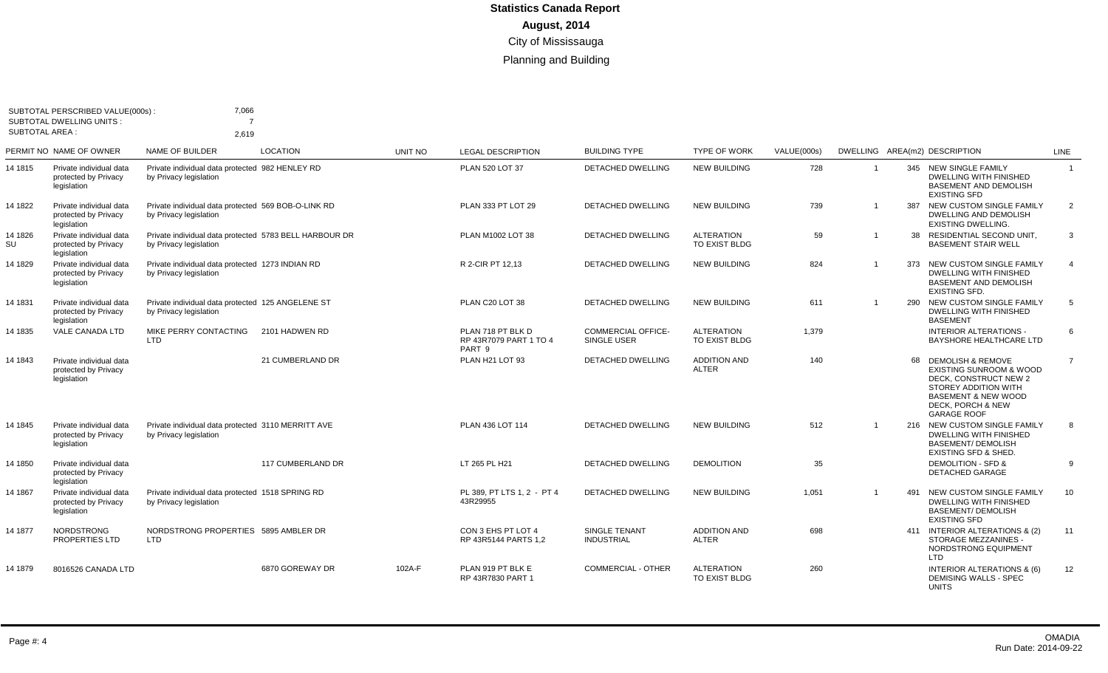| SUBTOTAL AREA : | SUBTOTAL PERSCRIBED VALUE(000s)<br><b>SUBTOTAL DWELLING UNITS:</b> | 7,066<br>2,619                                                                   |                   |         |                                                       |                                          |                                     |             |              |     |                                                                                                                                                                                                  |                |
|-----------------|--------------------------------------------------------------------|----------------------------------------------------------------------------------|-------------------|---------|-------------------------------------------------------|------------------------------------------|-------------------------------------|-------------|--------------|-----|--------------------------------------------------------------------------------------------------------------------------------------------------------------------------------------------------|----------------|
|                 | PERMIT NO NAME OF OWNER                                            | NAME OF BUILDER                                                                  | <b>LOCATION</b>   | UNIT NO | <b>LEGAL DESCRIPTION</b>                              | <b>BUILDING TYPE</b>                     | <b>TYPE OF WORK</b>                 | VALUE(000s) |              |     | DWELLING AREA(m2) DESCRIPTION                                                                                                                                                                    | <b>LINE</b>    |
| 14 1815         | Private individual data<br>protected by Privacy<br>legislation     | Private individual data protected 982 HENLEY RD<br>by Privacy legislation        |                   |         | PLAN 520 LOT 37                                       | <b>DETACHED DWELLING</b>                 | <b>NEW BUILDING</b>                 | 728         | $\mathbf 1$  |     | 345 NEW SINGLE FAMILY<br>DWELLING WITH FINISHED<br><b>BASEMENT AND DEMOLISH</b><br><b>EXISTING SFD</b>                                                                                           | $\overline{1}$ |
| 14 1822         | Private individual data<br>protected by Privacy<br>legislation     | Private individual data protected 569 BOB-O-LINK RD<br>by Privacy legislation    |                   |         | PLAN 333 PT LOT 29                                    | <b>DETACHED DWELLING</b>                 | <b>NEW BUILDING</b>                 | 739         | -1           | 387 | NEW CUSTOM SINGLE FAMILY<br><b>DWELLING AND DEMOLISH</b><br><b>EXISTING DWELLING.</b>                                                                                                            | $\overline{2}$ |
| 14 1826<br>SU   | Private individual data<br>protected by Privacy<br>legislation     | Private individual data protected 5783 BELL HARBOUR DR<br>by Privacy legislation |                   |         | PLAN M1002 LOT 38                                     | <b>DETACHED DWELLING</b>                 | <b>ALTERATION</b><br>TO EXIST BLDG  | 59          | $\mathbf{1}$ | 38  | RESIDENTIAL SECOND UNIT,<br><b>BASEMENT STAIR WELL</b>                                                                                                                                           | 3              |
| 14 1829         | Private individual data<br>protected by Privacy<br>legislation     | Private individual data protected 1273 INDIAN RD<br>by Privacy legislation       |                   |         | R 2-CIR PT 12.13                                      | <b>DETACHED DWELLING</b>                 | <b>NEW BUILDING</b>                 | 824         |              | 373 | NEW CUSTOM SINGLE FAMILY<br><b>DWELLING WITH FINISHED</b><br><b>BASEMENT AND DEMOLISH</b><br><b>EXISTING SFD.</b>                                                                                | $\overline{4}$ |
| 14 1831         | Private individual data<br>protected by Privacy<br>legislation     | Private individual data protected 125 ANGELENE ST<br>by Privacy legislation      |                   |         | PLAN C20 LOT 38                                       | <b>DETACHED DWELLING</b>                 | <b>NEW BUILDING</b>                 | 611         |              | 290 | NEW CUSTOM SINGLE FAMILY<br><b>DWELLING WITH FINISHED</b><br><b>BASEMENT</b>                                                                                                                     | 5              |
| 14 1835         | VALE CANADA LTD                                                    | MIKE PERRY CONTACTING<br><b>LTD</b>                                              | 2101 HADWEN RD    |         | PLAN 718 PT BLK D<br>RP 43R7079 PART 1 TO 4<br>PART 9 | <b>COMMERCIAL OFFICE-</b><br>SINGLE USER | <b>ALTERATION</b><br>TO EXIST BLDG  | 1,379       |              |     | <b>INTERIOR ALTERATIONS -</b><br>BAYSHORE HEALTHCARE LTD                                                                                                                                         | 6              |
| 14 1843         | Private individual data<br>protected by Privacy<br>legislation     |                                                                                  | 21 CUMBERLAND DR  |         | PLAN H21 LOT 93                                       | <b>DETACHED DWELLING</b>                 | <b>ADDITION AND</b><br><b>ALTER</b> | 140         |              | 68  | <b>DEMOLISH &amp; REMOVE</b><br><b>EXISTING SUNROOM &amp; WOOD</b><br>DECK, CONSTRUCT NEW 2<br>STOREY ADDITION WITH<br><b>BASEMENT &amp; NEW WOOD</b><br>DECK, PORCH & NEW<br><b>GARAGE ROOF</b> | $\overline{7}$ |
| 14 1845         | Private individual data<br>protected by Privacy<br>legislation     | Private individual data protected 3110 MERRITT AVE<br>by Privacy legislation     |                   |         | PLAN 436 LOT 114                                      | DETACHED DWELLING                        | <b>NEW BUILDING</b>                 | 512         | $\mathbf 1$  |     | 216 NEW CUSTOM SINGLE FAMILY<br><b>DWELLING WITH FINISHED</b><br><b>BASEMENT/ DEMOLISH</b><br><b>EXISTING SFD &amp; SHED.</b>                                                                    | 8              |
| 14 1850         | Private individual data<br>protected by Privacy<br>legislation     |                                                                                  | 117 CUMBERLAND DR |         | LT 265 PL H21                                         | <b>DETACHED DWELLING</b>                 | <b>DEMOLITION</b>                   | 35          |              |     | <b>DEMOLITION - SFD &amp;</b><br><b>DETACHED GARAGE</b>                                                                                                                                          | 9              |
| 14 1867         | Private individual data<br>protected by Privacy<br>legislation     | Private individual data protected 1518 SPRING RD<br>by Privacy legislation       |                   |         | PL 389, PT LTS 1, 2 - PT 4<br>43R29955                | <b>DETACHED DWELLING</b>                 | <b>NEW BUILDING</b>                 | 1,051       |              | 491 | NEW CUSTOM SINGLE FAMILY<br>DWELLING WITH FINISHED<br><b>BASEMENT/ DEMOLISH</b><br><b>EXISTING SFD</b>                                                                                           | 10             |
| 14 1877         | <b>NORDSTRONG</b><br>PROPERTIES LTD                                | NORDSTRONG PROPERTIES 5895 AMBLER DR<br><b>LTD</b>                               |                   |         | CON 3 EHS PT LOT 4<br>RP 43R5144 PARTS 1,2            | SINGLE TENANT<br><b>INDUSTRIAL</b>       | <b>ADDITION AND</b><br><b>ALTER</b> | 698         |              |     | 411 INTERIOR ALTERATIONS & (2)<br>STORAGE MEZZANINES -<br>NORDSTRONG EQUIPMENT<br>LTD                                                                                                            | 11             |
| 14 1879         | 8016526 CANADA LTD                                                 |                                                                                  | 6870 GOREWAY DR   | 102A-F  | PLAN 919 PT BLK E<br>RP 43R7830 PART 1                | <b>COMMERCIAL - OTHER</b>                | <b>ALTERATION</b><br>TO EXIST BLDG  | 260         |              |     | INTERIOR ALTERATIONS & (6)<br><b>DEMISING WALLS - SPEC</b><br><b>UNITS</b>                                                                                                                       | 12             |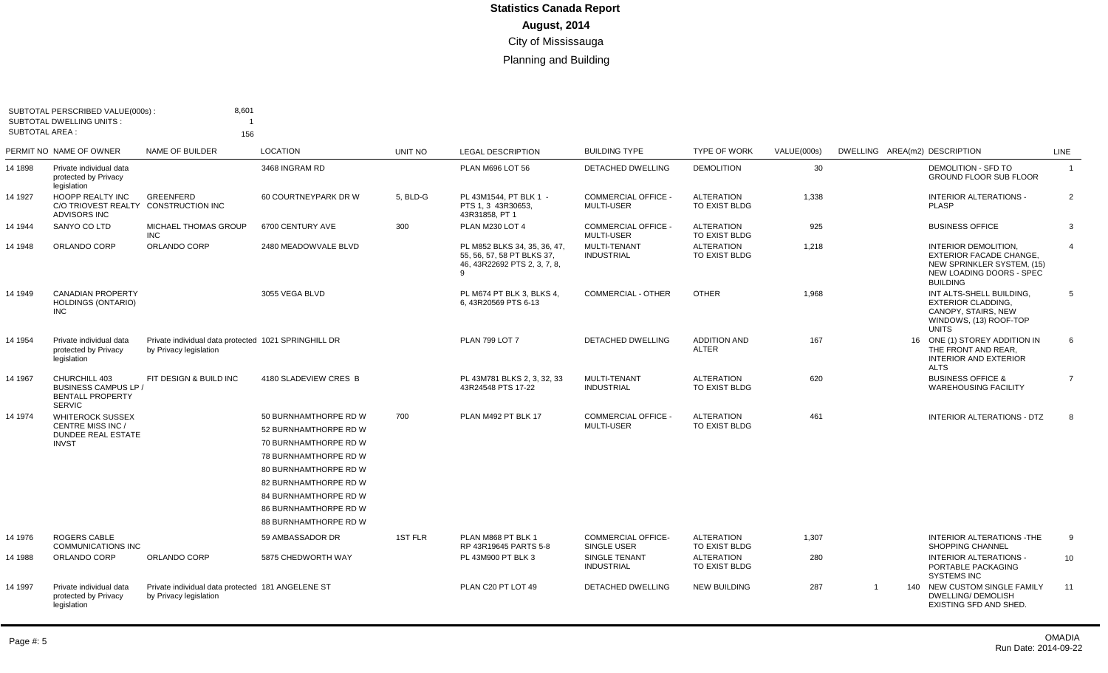| <b>SUBTOTAL AREA:</b> | SUBTOTAL PERSCRIBED VALUE(000s):<br><b>SUBTOTAL DWELLING UNITS:</b>                       | 8,601<br>156                                                                   |                                                                                                                                                                                                                                      |          |                                                                                            |                                               |                                     |             |                               |                                                                                                                                     |                |
|-----------------------|-------------------------------------------------------------------------------------------|--------------------------------------------------------------------------------|--------------------------------------------------------------------------------------------------------------------------------------------------------------------------------------------------------------------------------------|----------|--------------------------------------------------------------------------------------------|-----------------------------------------------|-------------------------------------|-------------|-------------------------------|-------------------------------------------------------------------------------------------------------------------------------------|----------------|
|                       | PERMIT NO NAME OF OWNER                                                                   | <b>NAME OF BUILDER</b>                                                         | <b>LOCATION</b>                                                                                                                                                                                                                      | UNIT NO  | <b>LEGAL DESCRIPTION</b>                                                                   | <b>BUILDING TYPE</b>                          | <b>TYPE OF WORK</b>                 | VALUE(000s) | DWELLING AREA(m2) DESCRIPTION |                                                                                                                                     | <b>LINE</b>    |
| 14 1898               | Private individual data<br>protected by Privacy<br>legislation                            |                                                                                | 3468 INGRAM RD                                                                                                                                                                                                                       |          | PLAN M696 LOT 56                                                                           | DETACHED DWELLING                             | <b>DEMOLITION</b>                   | 30          |                               | <b>DEMOLITION - SFD TO</b><br><b>GROUND FLOOR SUB FLOOR</b>                                                                         | $\overline{1}$ |
| 14 1927               | <b>HOOPP REALTY INC</b><br><b>C/O TRIOVEST REALTY</b><br><b>ADVISORS INC</b>              | GREENFERD<br><b>CONSTRUCTION INC</b>                                           | 60 COURTNEYPARK DR W                                                                                                                                                                                                                 | 5, BLD-G | PL 43M1544, PT BLK 1 -<br>PTS 1.3 43R30653.<br>43R31858, PT 1                              | <b>COMMERCIAL OFFICE</b><br><b>MULTI-USER</b> | <b>ALTERATION</b><br>TO EXIST BLDG  | 1,338       |                               | <b>INTERIOR ALTERATIONS -</b><br><b>PLASP</b>                                                                                       | $\overline{2}$ |
| 14 1944               | SANYO CO LTD                                                                              | <b>MICHAEL THOMAS GROUP</b><br><b>INC</b>                                      | 6700 CENTURY AVE                                                                                                                                                                                                                     | 300      | PLAN M230 LOT 4                                                                            | <b>COMMERCIAL OFFICE</b><br>MULTI-USER        | <b>ALTERATION</b><br>TO EXIST BLDG  | 925         |                               | <b>BUSINESS OFFICE</b>                                                                                                              | 3              |
| 14 1948               | ORLANDO CORP                                                                              | ORLANDO CORP                                                                   | 2480 MEADOWVALE BLVD                                                                                                                                                                                                                 |          | PL M852 BLKS 34, 35, 36, 47,<br>55, 56, 57, 58 PT BLKS 37,<br>46, 43R22692 PTS 2, 3, 7, 8, | <b>MULTI-TENANT</b><br><b>INDUSTRIAL</b>      | <b>ALTERATION</b><br>TO EXIST BLDG  | 1,218       |                               | INTERIOR DEMOLITION,<br><b>EXTERIOR FACADE CHANGE,</b><br>NEW SPRINKLER SYSTEM, (15)<br>NEW LOADING DOORS - SPEC<br><b>BUILDING</b> | $\overline{4}$ |
| 14 1949               | <b>CANADIAN PROPERTY</b><br><b>HOLDINGS (ONTARIO)</b><br><b>INC</b>                       |                                                                                | 3055 VEGA BLVD                                                                                                                                                                                                                       |          | PL M674 PT BLK 3. BLKS 4.<br>6, 43R20569 PTS 6-13                                          | <b>COMMERCIAL - OTHER</b>                     | <b>OTHER</b>                        | 1,968       |                               | INT ALTS-SHELL BUILDING,<br><b>EXTERIOR CLADDING.</b><br>CANOPY, STAIRS, NEW<br>WINDOWS, (13) ROOF-TOP<br><b>UNITS</b>              | 5              |
| 14 1954               | Private individual data<br>protected by Privacy<br>legislation                            | Private individual data protected 1021 SPRINGHILL DR<br>by Privacy legislation |                                                                                                                                                                                                                                      |          | <b>PLAN 799 LOT 7</b>                                                                      | DETACHED DWELLING                             | <b>ADDITION AND</b><br><b>ALTER</b> | 167         |                               | 16 ONE (1) STOREY ADDITION IN<br>THE FRONT AND REAR.<br><b>INTERIOR AND EXTERIOR</b><br><b>ALTS</b>                                 | 6              |
| 14 1967               | CHURCHILL 403<br><b>BUSINESS CAMPUS LP /</b><br><b>BENTALL PROPERTY</b><br><b>SERVIC</b>  | FIT DESIGN & BUILD INC                                                         | 4180 SLADEVIEW CRES B                                                                                                                                                                                                                |          | PL 43M781 BLKS 2, 3, 32, 33<br>43R24548 PTS 17-22                                          | MULTI-TENANT<br><b>INDUSTRIAL</b>             | <b>ALTERATION</b><br>TO EXIST BLDG  | 620         |                               | <b>BUSINESS OFFICE &amp;</b><br><b>WAREHOUSING FACILITY</b>                                                                         | $\overline{7}$ |
| 14 1974               | <b>WHITEROCK SUSSEX</b><br>CENTRE MISS INC /<br><b>DUNDEE REAL ESTATE</b><br><b>INVST</b> |                                                                                | 50 BURNHAMTHORPE RD W<br>52 BURNHAMTHORPE RD W<br>70 BURNHAMTHORPE RD W<br>78 BURNHAMTHORPE RD W<br>80 BURNHAMTHORPE RD W<br>82 BURNHAMTHORPE RD W<br>84 BURNHAMTHORPE RD W<br>86 BURNHAMTHORPE RD W<br><b>88 BURNHAMTHORPE RD W</b> | 700      | PLAN M492 PT BLK 17                                                                        | <b>COMMERCIAL OFFICE</b><br><b>MULTI-USER</b> | <b>ALTERATION</b><br>TO EXIST BLDG  | 461         |                               | INTERIOR ALTERATIONS - DTZ                                                                                                          | 8              |
| 14 1976               | <b>ROGERS CABLE</b><br><b>COMMUNICATIONS INC</b>                                          |                                                                                | 59 AMBASSADOR DR                                                                                                                                                                                                                     | 1ST FLR  | PLAN M868 PT BLK 1<br>RP 43R19645 PARTS 5-8                                                | <b>COMMERCIAL OFFICE-</b><br>SINGLE USER      | <b>ALTERATION</b><br>TO EXIST BLDG  | 1,307       |                               | <b>INTERIOR ALTERATIONS - THE</b><br>SHOPPING CHANNEL                                                                               | 9              |
| 14 1988               | ORLANDO CORP                                                                              | ORLANDO CORP                                                                   | 5875 CHEDWORTH WAY                                                                                                                                                                                                                   |          | PL 43M900 PT BLK 3                                                                         | SINGLE TENANT<br><b>INDUSTRIAL</b>            | <b>ALTERATION</b><br>TO EXIST BLDG  | 280         |                               | <b>INTERIOR ALTERATIONS -</b><br>PORTABLE PACKAGING<br><b>SYSTEMS INC</b>                                                           | 10             |
| 14 1997               | Private individual data<br>protected by Privacy<br>legislation                            | Private individual data protected 181 ANGELENE ST<br>by Privacy legislation    |                                                                                                                                                                                                                                      |          | PLAN C20 PT LOT 49                                                                         | <b>DETACHED DWELLING</b>                      | <b>NEW BUILDING</b>                 | 287         | $\mathbf{1}$                  | 140 NEW CUSTOM SINGLE FAMILY<br><b>DWELLING/ DEMOLISH</b><br>EXISTING SFD AND SHED.                                                 | 11             |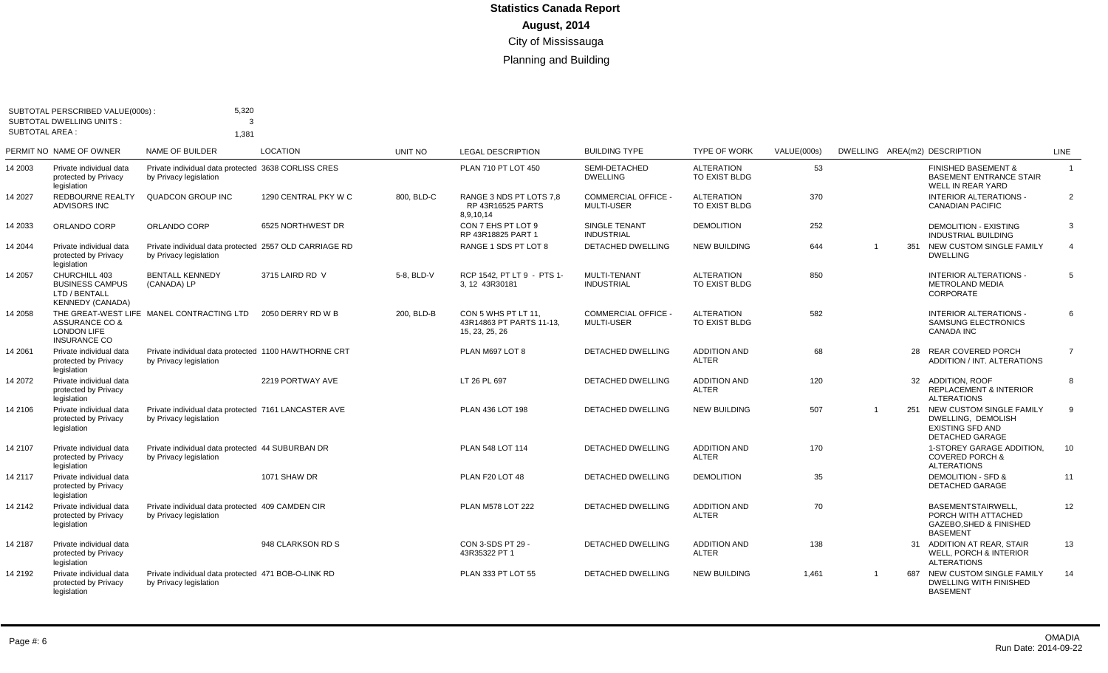|                 | SUBTOTAL PERSCRIBED VALUE(000s):<br><b>SUBTOTAL DWELLING UNITS:</b>                 | 5,320<br>3                                                                       |                      |                |                                                                   |                                                 |                                           |             |                |     |                                                                                                         |                |
|-----------------|-------------------------------------------------------------------------------------|----------------------------------------------------------------------------------|----------------------|----------------|-------------------------------------------------------------------|-------------------------------------------------|-------------------------------------------|-------------|----------------|-----|---------------------------------------------------------------------------------------------------------|----------------|
| SUBTOTAL AREA : |                                                                                     | 1,381                                                                            |                      |                |                                                                   |                                                 |                                           |             |                |     |                                                                                                         |                |
|                 | PERMIT NO NAME OF OWNER                                                             | NAME OF BUILDER                                                                  | LOCATION             | <b>UNIT NO</b> | <b>LEGAL DESCRIPTION</b>                                          | <b>BUILDING TYPE</b>                            | <b>TYPE OF WORK</b>                       | VALUE(000s) |                |     | DWELLING AREA(m2) DESCRIPTION                                                                           | <b>LINE</b>    |
| 14 2003         | Private individual data<br>protected by Privacy<br>legislation                      | Private individual data protected 3638 CORLISS CRES<br>by Privacy legislation    |                      |                | PLAN 710 PT LOT 450                                               | SEMI-DETACHED<br><b>DWELLING</b>                | <b>ALTERATION</b><br>TO EXIST BLDG        | 53          |                |     | <b>FINISHED BASEMENT &amp;</b><br><b>BASEMENT ENTRANCE STAIR</b><br>WELL IN REAR YARD                   | $\overline{1}$ |
| 4 2027          | REDBOURNE REALTY<br><b>ADVISORS INC</b>                                             | <b>QUADCON GROUP INC</b>                                                         | 1290 CENTRAL PKY W C | 800, BLD-C     | RANGE 3 NDS PT LOTS 7.8<br>RP 43R16525 PARTS<br>8,9,10,14         | <b>COMMERCIAL OFFICE -</b><br><b>MULTI-USER</b> | <b>ALTERATION</b><br>TO EXIST BLDG        | 370         |                |     | <b>INTERIOR ALTERATIONS -</b><br><b>CANADIAN PACIFIC</b>                                                | $\overline{2}$ |
| 4 2033          | ORLANDO CORP                                                                        | ORLANDO CORP                                                                     | 6525 NORTHWEST DR    |                | CON 7 EHS PT LOT 9<br>RP 43R18825 PART 1                          | SINGLE TENANT<br><b>INDUSTRIAL</b>              | <b>DEMOLITION</b>                         | 252         |                |     | <b>DEMOLITION - EXISTING</b><br><b>INDUSTRIAL BUILDING</b>                                              | 3              |
| 14 2044         | Private individual data<br>protected by Privacy<br>legislation                      | Private individual data protected 2557 OLD CARRIAGE RD<br>by Privacy legislation |                      |                | RANGE 1 SDS PT LOT 8                                              | <b>DETACHED DWELLING</b>                        | <b>NEW BUILDING</b>                       | 644         | $\overline{1}$ |     | 351 NEW CUSTOM SINGLE FAMILY<br><b>DWELLING</b>                                                         | $\overline{4}$ |
| 14 2057         | CHURCHILL 403<br><b>BUSINESS CAMPUS</b><br>LTD / BENTALL<br><b>KENNEDY (CANADA)</b> | <b>BENTALL KENNEDY</b><br>(CANADA) LP                                            | 3715 LAIRD RD V      | 5-8. BLD-V     | RCP 1542. PT LT 9 - PTS 1-<br>3.12 43R30181                       | MULTI-TENANT<br><b>INDUSTRIAL</b>               | <b>ALTERATION</b><br><b>TO EXIST BLDG</b> | 850         |                |     | <b>INTERIOR ALTERATIONS -</b><br><b>METROLAND MEDIA</b><br>CORPORATE                                    | 5              |
| 14 2058         | ASSURANCE CO &<br><b>LONDON LIFE</b><br><b>INSURANCE CO</b>                         | THE GREAT-WEST LIFE MANEL CONTRACTING LTD                                        | 2050 DERRY RD W B    | 200. BLD-B     | CON 5 WHS PT LT 11.<br>43R14863 PT PARTS 11-13,<br>15, 23, 25, 26 | <b>COMMERCIAL OFFICE -</b><br><b>MULTI-USER</b> | <b>ALTERATION</b><br>TO EXIST BLDG        | 582         |                |     | <b>INTERIOR ALTERATIONS -</b><br><b>SAMSUNG ELECTRONICS</b><br><b>CANADA INC</b>                        | 6              |
| 14 2061         | Private individual data<br>protected by Privacy<br>legislation                      | Private individual data protected 1100 HAWTHORNE CRT<br>by Privacy legislation   |                      |                | PLAN M697 LOT 8                                                   | <b>DETACHED DWELLING</b>                        | <b>ADDITION AND</b><br><b>ALTER</b>       | 68          |                | 28  | <b>REAR COVERED PORCH</b><br>ADDITION / INT. ALTERATIONS                                                | $\overline{7}$ |
| 14 2072         | Private individual data<br>protected by Privacy<br>legislation                      |                                                                                  | 2219 PORTWAY AVE     |                | LT 26 PL 697                                                      | <b>DETACHED DWELLING</b>                        | <b>ADDITION AND</b><br><b>ALTER</b>       | 120         |                |     | 32 ADDITION, ROOF<br><b>REPLACEMENT &amp; INTERIOR</b><br><b>ALTERATIONS</b>                            | 8              |
| 14 2106         | Private individual data<br>protected by Privacy<br>legislation                      | Private individual data protected 7161 LANCASTER AVE<br>by Privacy legislation   |                      |                | PLAN 436 LOT 198                                                  | DETACHED DWELLING                               | <b>NEW BUILDING</b>                       | 507         | $\overline{1}$ |     | 251 NEW CUSTOM SINGLE FAMILY<br>DWELLING, DEMOLISH<br><b>EXISTING SFD AND</b><br><b>DETACHED GARAGE</b> | $\mathbf{Q}$   |
| 14 2107         | Private individual data<br>protected by Privacy<br>legislation                      | Private individual data protected 44 SUBURBAN DR<br>by Privacy legislation       |                      |                | PLAN 548 LOT 114                                                  | <b>DETACHED DWELLING</b>                        | <b>ADDITION AND</b><br><b>ALTER</b>       | 170         |                |     | 1-STOREY GARAGE ADDITION.<br><b>COVERED PORCH &amp;</b><br><b>ALTERATIONS</b>                           | 10             |
| 14 2117         | Private individual data<br>protected by Privacy<br>legislation                      |                                                                                  | 1071 SHAW DR         |                | PLAN F20 LOT 48                                                   | <b>DETACHED DWELLING</b>                        | <b>DEMOLITION</b>                         | 35          |                |     | <b>DEMOLITION - SFD &amp;</b><br><b>DETACHED GARAGE</b>                                                 | 11             |
| 14 2142         | Private individual data<br>protected by Privacy<br>legislation                      | Private individual data protected 409 CAMDEN CIR<br>by Privacy legislation       |                      |                | <b>PLAN M578 LOT 222</b>                                          | <b>DETACHED DWELLING</b>                        | <b>ADDITION AND</b><br><b>ALTER</b>       | 70          |                |     | <b>BASEMENTSTAIRWELL</b><br>PORCH WITH ATTACHED<br><b>GAZEBO.SHED &amp; FINISHED</b><br><b>BASEMENT</b> | 12             |
| 14 2187         | Private individual data<br>protected by Privacy<br>legislation                      |                                                                                  | 948 CLARKSON RD S    |                | CON 3-SDS PT 29 -<br>43R35322 PT 1                                | <b>DETACHED DWELLING</b>                        | <b>ADDITION AND</b><br><b>ALTER</b>       | 138         |                |     | 31 ADDITION AT REAR, STAIR<br><b>WELL, PORCH &amp; INTERIOR</b><br><b>ALTERATIONS</b>                   | 13             |
| 14 2192         | Private individual data<br>protected by Privacy<br>legislation                      | Private individual data protected 471 BOB-O-LINK RD<br>by Privacy legislation    |                      |                | PLAN 333 PT LOT 55                                                | DETACHED DWELLING                               | <b>NEW BUILDING</b>                       | 1,461       | -1             | 687 | NEW CUSTOM SINGLE FAMILY<br>DWELLING WITH FINISHED<br><b>BASEMENT</b>                                   | 14             |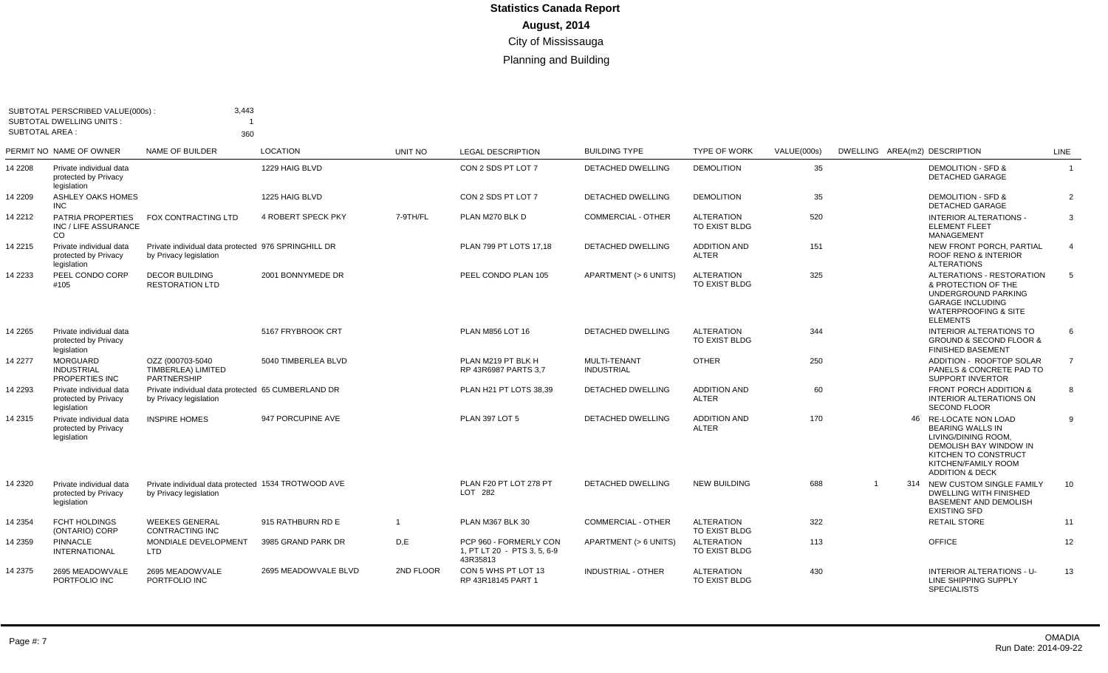| SUBTOTAL AREA : | SUBTOTAL PERSCRIBED VALUE(000s):<br><b>SUBTOTAL DWELLING UNITS:</b> | 3,443                                                                         |                      |                |                                                                   |                                          |                                           |             |                |                                                                                                                                                                               |                |
|-----------------|---------------------------------------------------------------------|-------------------------------------------------------------------------------|----------------------|----------------|-------------------------------------------------------------------|------------------------------------------|-------------------------------------------|-------------|----------------|-------------------------------------------------------------------------------------------------------------------------------------------------------------------------------|----------------|
|                 | PERMIT NO NAME OF OWNER                                             | 360<br><b>NAME OF BUILDER</b>                                                 | <b>LOCATION</b>      | UNIT NO        | <b>LEGAL DESCRIPTION</b>                                          | <b>BUILDING TYPE</b>                     | <b>TYPE OF WORK</b>                       | VALUE(000s) |                | DWELLING AREA(m2) DESCRIPTION                                                                                                                                                 | <b>LINE</b>    |
| 14 2208         | Private individual data<br>protected by Privacy<br>legislation      |                                                                               | 1229 HAIG BLVD       |                | CON 2 SDS PT LOT 7                                                | <b>DETACHED DWELLING</b>                 | <b>DEMOLITION</b>                         | 35          |                | <b>DEMOLITION - SFD &amp;</b><br><b>DETACHED GARAGE</b>                                                                                                                       | $\overline{1}$ |
| 14 2209         | ASHLEY OAKS HOMES<br><b>INC</b>                                     |                                                                               | 1225 HAIG BLVD       |                | CON 2 SDS PT LOT 7                                                | <b>DETACHED DWELLING</b>                 | <b>DEMOLITION</b>                         | 35          |                | <b>DEMOLITION - SFD &amp;</b><br><b>DETACHED GARAGE</b>                                                                                                                       | $\overline{2}$ |
| 14 2212         | PATRIA PROPERTIES<br>INC / LIFE ASSURANCE<br>CO.                    | FOX CONTRACTING LTD                                                           | 4 ROBERT SPECK PKY   | 7-9TH/FL       | PLAN M270 BLK D                                                   | COMMERCIAL - OTHER                       | <b>ALTERATION</b><br>TO EXIST BLDG        | 520         |                | <b>INTERIOR ALTERATIONS -</b><br><b>ELEMENT FLEET</b><br>MANAGEMENT                                                                                                           | 3              |
| 14 2215         | Private individual data<br>protected by Privacy<br>legislation      | Private individual data protected 976 SPRINGHILL DR<br>by Privacy legislation |                      |                | PLAN 799 PT LOTS 17.18                                            | <b>DETACHED DWELLING</b>                 | <b>ADDITION AND</b><br><b>ALTER</b>       | 151         |                | NEW FRONT PORCH, PARTIAL<br><b>ROOF RENO &amp; INTERIOR</b><br><b>ALTERATIONS</b>                                                                                             | $\overline{4}$ |
| 14 2233         | PEEL CONDO CORP<br>#105                                             | <b>DECOR BUILDING</b><br><b>RESTORATION LTD</b>                               | 2001 BONNYMEDE DR    |                | PEEL CONDO PLAN 105                                               | APARTMENT (> 6 UNITS)                    | <b>ALTERATION</b><br><b>TO EXIST BLDG</b> | 325         |                | ALTERATIONS - RESTORATION<br>& PROTECTION OF THE<br>UNDERGROUND PARKING<br><b>GARAGE INCLUDING</b><br><b>WATERPROOFING &amp; SITE</b><br><b>ELEMENTS</b>                      | 5              |
| 14 2265         | Private individual data<br>protected by Privacy<br>legislation      |                                                                               | 5167 FRYBROOK CRT    |                | PLAN M856 LOT 16                                                  | <b>DETACHED DWELLING</b>                 | <b>ALTERATION</b><br>TO EXIST BLDG        | 344         |                | <b>INTERIOR ALTERATIONS TO</b><br><b>GROUND &amp; SECOND FLOOR &amp;</b><br><b>FINISHED BASEMENT</b>                                                                          | 6              |
| 14 2277         | <b>MORGUARD</b><br><b>INDUSTRIAL</b><br>PROPERTIES INC              | OZZ (000703-5040<br>TIMBERLEA) LIMITED<br>PARTNERSHIP                         | 5040 TIMBERLEA BLVD  |                | PLAN M219 PT BLK H<br>RP 43R6987 PARTS 3.7                        | <b>MULTI-TENANT</b><br><b>INDUSTRIAL</b> | <b>OTHER</b>                              | 250         |                | ADDITION - ROOFTOP SOLAR<br>PANELS & CONCRETE PAD TO<br><b>SUPPORT INVERTOR</b>                                                                                               | $\overline{7}$ |
| 14 2293         | Private individual data<br>protected by Privacy<br>legislation      | Private individual data protected 65 CUMBERLAND DR<br>by Privacy legislation  |                      |                | PLAN H21 PT LOTS 38.39                                            | <b>DETACHED DWELLING</b>                 | <b>ADDITION AND</b><br><b>ALTER</b>       | 60          |                | <b>FRONT PORCH ADDITION &amp;</b><br>INTERIOR ALTERATIONS ON<br><b>SECOND FLOOR</b>                                                                                           | 8              |
| 14 2315         | Private individual data<br>protected by Privacy<br>legislation      | <b>INSPIRE HOMES</b>                                                          | 947 PORCUPINE AVE    |                | <b>PLAN 397 LOT 5</b>                                             | DETACHED DWELLING                        | <b>ADDITION AND</b><br><b>ALTER</b>       | 170         |                | 46 RE-LOCATE NON LOAD<br><b>BEARING WALLS IN</b><br>LIVING/DINING ROOM<br>DEMOLISH BAY WINDOW IN<br>KITCHEN TO CONSTRUCT<br>KITCHEN/FAMILY ROOM<br><b>ADDITION &amp; DECK</b> | 9              |
| 14 2320         | Private individual data<br>protected by Privacy<br>legislation      | Private individual data protected 1534 TROTWOOD AVE<br>by Privacy legislation |                      |                | PLAN F20 PT LOT 278 PT<br>LOT 282                                 | <b>DETACHED DWELLING</b>                 | <b>NEW BUILDING</b>                       | 688         | $\overline{1}$ | 314 NEW CUSTOM SINGLE FAMILY<br><b>DWELLING WITH FINISHED</b><br><b>BASEMENT AND DEMOLISH</b><br><b>EXISTING SFD</b>                                                          | 10             |
| 14 2354         | <b>FCHT HOLDINGS</b><br>(ONTARIO) CORP                              | <b>WEEKES GENERAL</b><br><b>CONTRACTING INC</b>                               | 915 RATHBURN RD E    | $\overline{1}$ | PLAN M367 BLK 30                                                  | <b>COMMERCIAL - OTHER</b>                | <b>ALTERATION</b><br><b>TO EXIST BLDG</b> | 322         |                | <b>RETAIL STORE</b>                                                                                                                                                           | 11             |
| 14 2359         | <b>PINNACLE</b><br><b>INTERNATIONAL</b>                             | MONDIALE DEVELOPMENT<br>LTD                                                   | 3985 GRAND PARK DR   | D.E            | PCP 960 - FORMERLY CON<br>1, PT LT 20 - PTS 3, 5, 6-9<br>43R35813 | APARTMENT (> 6 UNITS)                    | <b>ALTERATION</b><br>TO EXIST BLDG        | 113         |                | <b>OFFICE</b>                                                                                                                                                                 | 12             |
| 14 2375         | 2695 MEADOWVALE<br>PORTFOLIO INC                                    | 2695 MEADOWVALE<br>PORTFOLIO INC                                              | 2695 MEADOWVALE BLVD | 2ND FLOOR      | CON 5 WHS PT LOT 13<br>RP 43R18145 PART 1                         | INDUSTRIAL - OTHER                       | <b>ALTERATION</b><br>TO EXIST BLDG        | 430         |                | <b>INTERIOR ALTERATIONS - U-</b><br>LINE SHIPPING SUPPLY<br><b>SPECIALISTS</b>                                                                                                | 13             |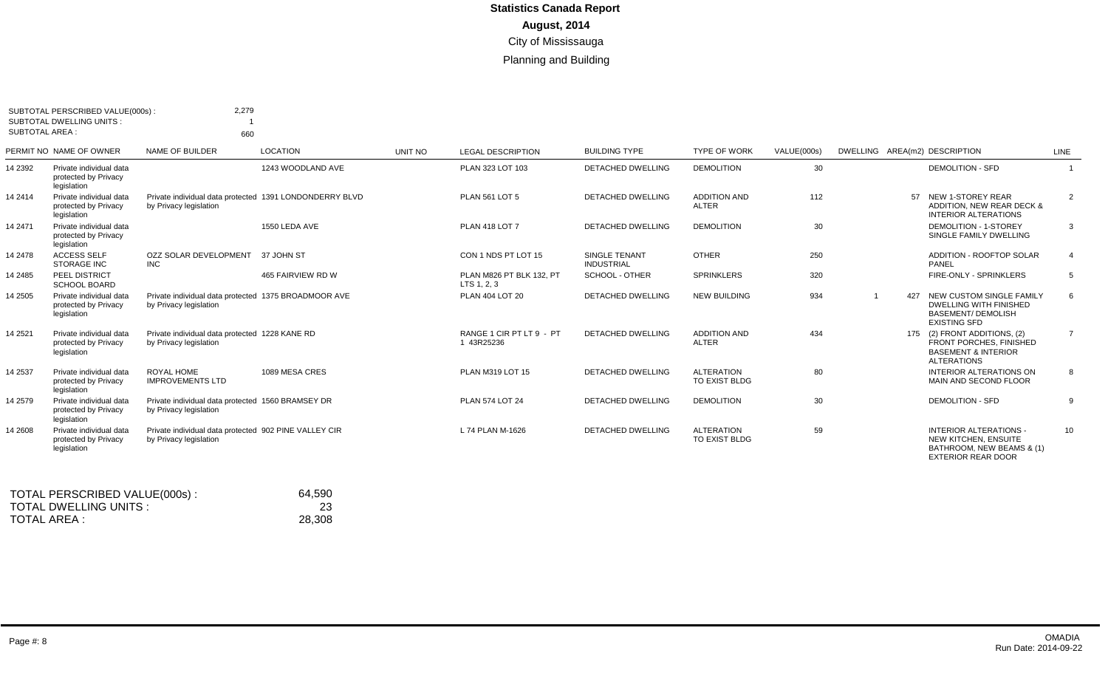| <b>SUBTOTAL AREA:</b> | SUBTOTAL PERSCRIBED VALUE(000s)<br>SUBTOTAL DWELLING UNITS:    | 2,279<br>660                                                                      |                   |         |                                         |                                           |                                     |             |     |                                                                                                                 |                |
|-----------------------|----------------------------------------------------------------|-----------------------------------------------------------------------------------|-------------------|---------|-----------------------------------------|-------------------------------------------|-------------------------------------|-------------|-----|-----------------------------------------------------------------------------------------------------------------|----------------|
|                       | PERMIT NO NAME OF OWNER                                        | NAME OF BUILDER                                                                   | <b>LOCATION</b>   | UNIT NO | <b>LEGAL DESCRIPTION</b>                | <b>BUILDING TYPE</b>                      | <b>TYPE OF WORK</b>                 | VALUE(000s) |     | DWELLING AREA(m2) DESCRIPTION                                                                                   | LINE           |
| 14 2392               | Private individual data<br>protected by Privacy<br>legislation |                                                                                   | 1243 WOODLAND AVE |         | PLAN 323 LOT 103                        | <b>DETACHED DWELLING</b>                  | <b>DEMOLITION</b>                   | 30          |     | <b>DEMOLITION - SFD</b>                                                                                         |                |
| 14 2414               | Private individual data<br>protected by Privacy<br>legislation | Private individual data protected 1391 LONDONDERRY BLVD<br>by Privacy legislation |                   |         | <b>PLAN 561 LOT 5</b>                   | <b>DETACHED DWELLING</b>                  | <b>ADDITION AND</b><br><b>ALTER</b> | 112         |     | 57 NEW 1-STOREY REAR<br>ADDITION. NEW REAR DECK &<br>INTERIOR ALTERATIONS                                       | 2              |
| 14 2471               | Private individual data<br>protected by Privacy<br>legislation |                                                                                   | 1550 LEDA AVE     |         | <b>PLAN 418 LOT 7</b>                   | DETACHED DWELLING                         | <b>DEMOLITION</b>                   | 30          |     | <b>DEMOLITION - 1-STOREY</b><br>SINGLE FAMILY DWELLING                                                          | 3              |
| 14 2478               | <b>ACCESS SELF</b><br><b>STORAGE INC</b>                       | OZZ SOLAR DEVELOPMENT<br><b>INC</b>                                               | 37 JOHN ST        |         | CON 1 NDS PT LOT 15                     | <b>SINGLE TENANT</b><br><b>INDUSTRIAL</b> | <b>OTHER</b>                        | 250         |     | <b>ADDITION - ROOFTOP SOLAR</b><br>PANEL                                                                        |                |
| 14 2485               | PEEL DISTRICT<br><b>SCHOOL BOARD</b>                           |                                                                                   | 465 FAIRVIEW RD W |         | PLAN M826 PT BLK 132. PT<br>LTS 1, 2, 3 | <b>SCHOOL - OTHER</b>                     | <b>SPRINKLERS</b>                   | 320         |     | FIRE-ONLY - SPRINKLERS                                                                                          | 5              |
| 14 2505               | Private individual data<br>protected by Privacy<br>legislation | Private individual data protected 1375 BROADMOOR AVE<br>by Privacy legislation    |                   |         | PLAN 404 LOT 20                         | <b>DETACHED DWELLING</b>                  | <b>NEW BUILDING</b>                 | 934         | 427 | NEW CUSTOM SINGLE FAMILY<br><b>DWELLING WITH FINISHED</b><br><b>BASEMENT/ DEMOLISH</b><br><b>EXISTING SFD</b>   | 6              |
| 14 2521               | Private individual data<br>protected by Privacy<br>legislation | Private individual data protected 1228 KANE RD<br>by Privacy legislation          |                   |         | RANGE 1 CIR PT LT 9 - PT<br>1 43R25236  | <b>DETACHED DWELLING</b>                  | <b>ADDITION AND</b><br><b>ALTER</b> | 434         |     | 175 (2) FRONT ADDITIONS, (2)<br>FRONT PORCHES, FINISHED<br><b>BASEMENT &amp; INTERIOR</b><br><b>ALTERATIONS</b> | $\overline{7}$ |
| 14 2537               | Private individual data<br>protected by Privacy<br>legislation | ROYAL HOME<br><b>IMPROVEMENTS LTD</b>                                             | 1089 MESA CRES    |         | PLAN M319 LOT 15                        | <b>DETACHED DWELLING</b>                  | <b>ALTERATION</b><br>TO EXIST BLDG  | 80          |     | INTERIOR ALTERATIONS ON<br>MAIN AND SECOND FLOOR                                                                | 8              |
| 14 2579               | Private individual data<br>protected by Privacy<br>legislation | Private individual data protected 1560 BRAMSEY DR<br>by Privacy legislation       |                   |         | PLAN 574 LOT 24                         | <b>DETACHED DWELLING</b>                  | <b>DEMOLITION</b>                   | 30          |     | <b>DEMOLITION - SFD</b>                                                                                         | 9              |
| 14 2608               | Private individual data<br>protected by Privacy<br>legislation | Private individual data protected 902 PINE VALLEY CIR<br>by Privacy legislation   |                   |         | L 74 PLAN M-1626                        | DETACHED DWELLING                         | <b>ALTERATION</b><br>TO EXIST BLDG  | 59          |     | <b>INTERIOR ALTERATIONS -</b><br>NEW KITCHEN, ENSUITE<br>BATHROOM, NEW BEAMS & (1)<br><b>EXTERIOR REAR DOOR</b> | 10             |

| TOTAL PERSCRIBED VALUE(000s): | 64,590 |
|-------------------------------|--------|
| TOTAL DWELLING UNITS :        | 23     |
| TOTAL AREA :                  | 28,308 |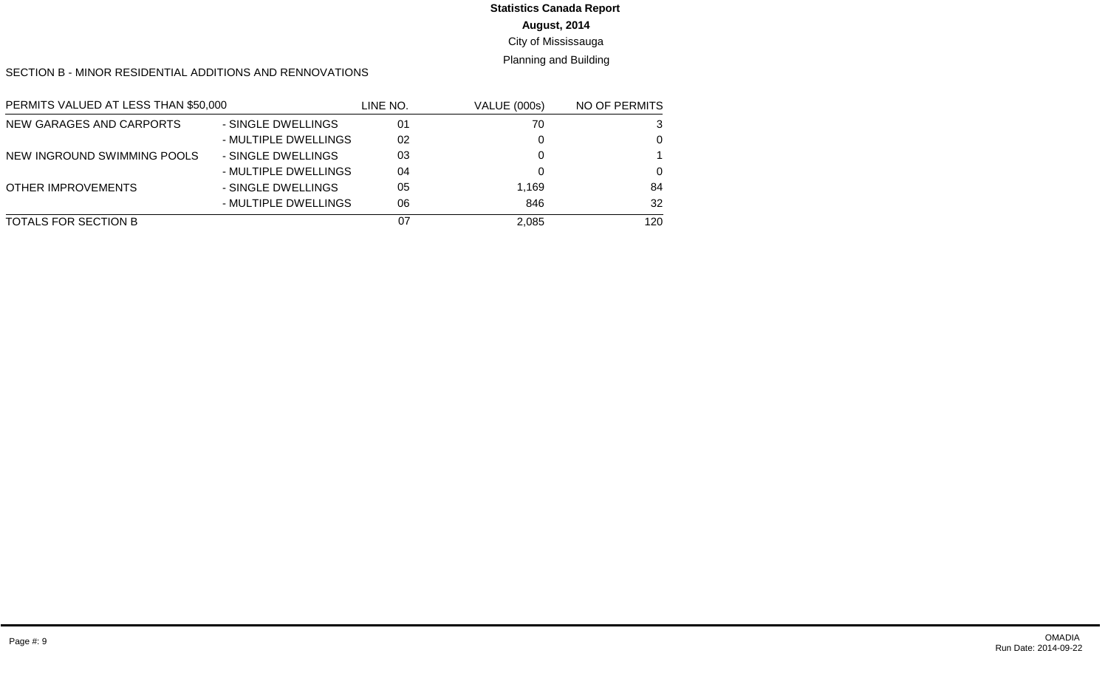# **Statistics Canada Report**

# **August, 2014**

#### City of Mississauga

#### Planning and Building

#### SECTION B - MINOR RESIDENTIAL ADDITIONS AND RENNOVATIONS

| PERMITS VALUED AT LESS THAN \$50,000 |                      | LINE NO. | <b>VALUE (000s)</b> | NO OF PERMITS |
|--------------------------------------|----------------------|----------|---------------------|---------------|
| NEW GARAGES AND CARPORTS             | - SINGLE DWELLINGS   | 01       | 70                  | 3             |
|                                      | - MULTIPLE DWELLINGS | 02       |                     | $\Omega$      |
| NEW INGROUND SWIMMING POOLS          | - SINGLE DWELLINGS   | 03       |                     |               |
|                                      | - MULTIPLE DWELLINGS | 04       |                     | $\Omega$      |
| OTHER IMPROVEMENTS                   | - SINGLE DWELLINGS   | 05       | 1,169               | 84            |
|                                      | - MULTIPLE DWELLINGS | 06       | 846                 | 32            |
| TOTALS FOR SECTION B                 |                      | 07       | 2,085               | 120           |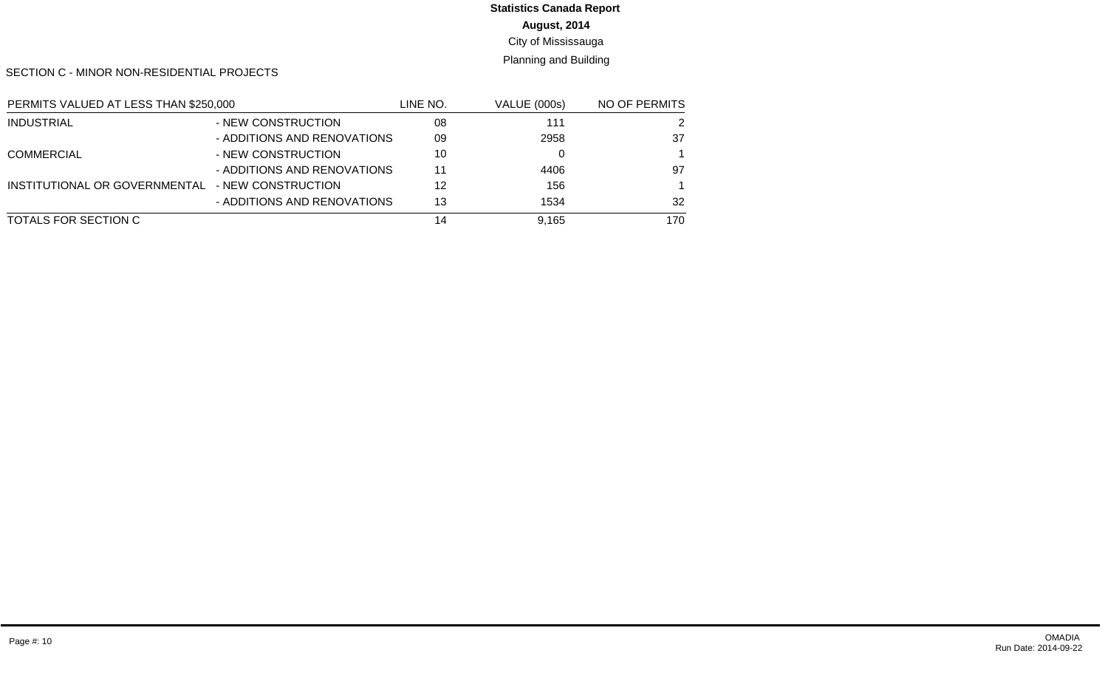# **Statistics Canada Report**

**August, 2014**

City of Mississauga

Planning and Building

SECTION C - MINOR NON-RESIDENTIAL PROJECTS

| PERMITS VALUED AT LESS THAN \$250,000            |                             | LINE NO. | <b>VALUE (000s)</b> | NO OF PERMITS |
|--------------------------------------------------|-----------------------------|----------|---------------------|---------------|
| <b>INDUSTRIAL</b>                                | - NEW CONSTRUCTION          | 08       | 111                 | 2             |
|                                                  | - ADDITIONS AND RENOVATIONS | 09       | 2958                | 37            |
| <b>COMMERCIAL</b>                                | - NEW CONSTRUCTION          | 10       |                     |               |
|                                                  | - ADDITIONS AND RENOVATIONS | 11       | 4406                | 97            |
| INSTITUTIONAL OR GOVERNMENTAL - NEW CONSTRUCTION |                             | 12       | 156                 |               |
|                                                  | - ADDITIONS AND RENOVATIONS | 13       | 1534                | 32            |
| TOTALS FOR SECTION C                             |                             | 14       | 9.165               | 170           |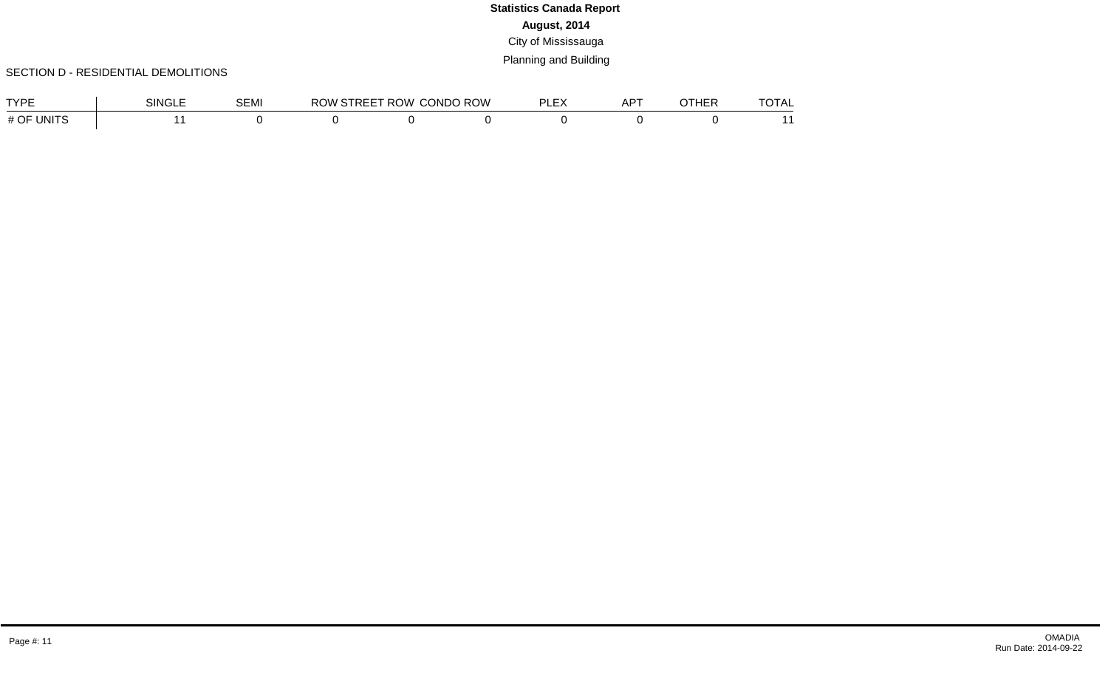### SECTION D - RESIDENTIAL DEMOLITIONS

| <b>TVDE</b>   | SINGLE | <b>SEMI</b> | <b>ROW STREET ROW</b> | <b>CONDO ROW</b> | $-$ | A DT<br>ור | OTHEF | $ -$<br>.<br>VIDL |
|---------------|--------|-------------|-----------------------|------------------|-----|------------|-------|-------------------|
| UNITS<br># OF |        |             |                       |                  |     |            |       |                   |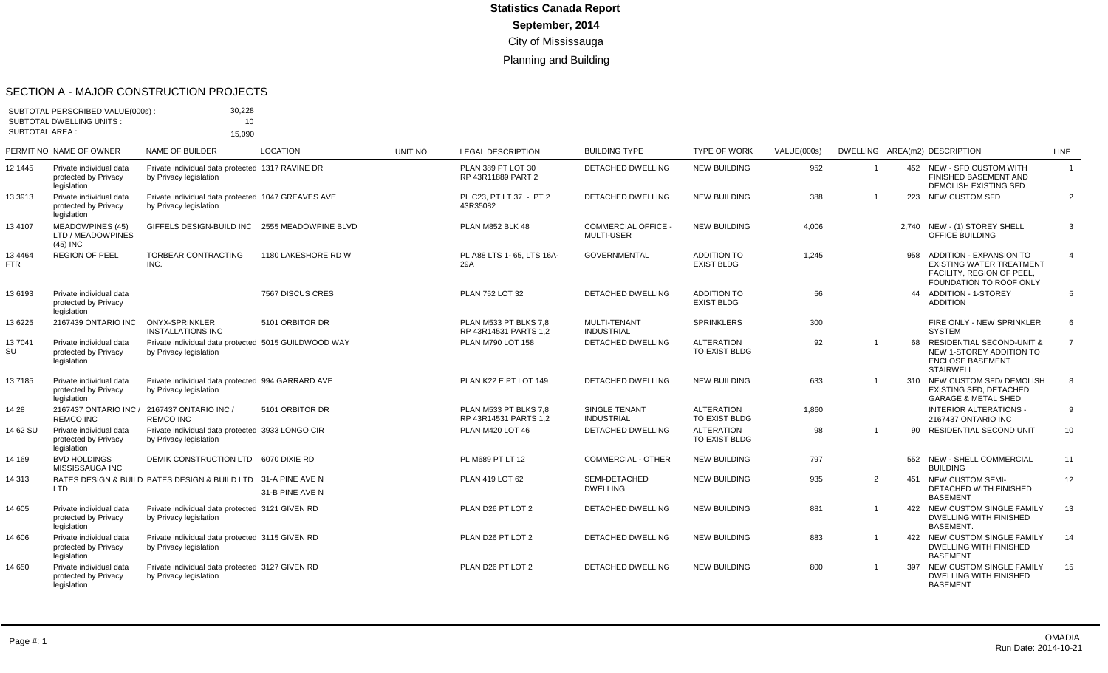#### SECTION A - MAJOR CONSTRUCTION PROJECTS

| <b>SUBTOTAL AREA:</b> | SUBTOTAL PERSCRIBED VALUE(000s)<br><b>SUBTOTAL DWELLING UNITS:</b> | 30,228<br>10 <sup>°</sup><br>15.090                                            |                      |                |                                                |                                               |                                         |             |                |     |                                                                                                                           |                |
|-----------------------|--------------------------------------------------------------------|--------------------------------------------------------------------------------|----------------------|----------------|------------------------------------------------|-----------------------------------------------|-----------------------------------------|-------------|----------------|-----|---------------------------------------------------------------------------------------------------------------------------|----------------|
|                       | PERMIT NO NAME OF OWNER                                            | <b>NAME OF BUILDER</b>                                                         | <b>LOCATION</b>      | <b>UNIT NO</b> | <b>LEGAL DESCRIPTION</b>                       | <b>BUILDING TYPE</b>                          | TYPE OF WORK                            | VALUE(000s) |                |     | DWELLING AREA(m2) DESCRIPTION                                                                                             | <b>LINE</b>    |
| 12 1445               | Private individual data<br>protected by Privacy<br>legislation     | Private individual data protected 1317 RAVINE DR<br>by Privacy legislation     |                      |                | PLAN 389 PT LOT 30<br>RP 43R11889 PART 2       | DETACHED DWELLING                             | <b>NEW BUILDING</b>                     | 952         |                |     | 452 NEW - SFD CUSTOM WITH<br>FINISHED BASEMENT AND<br>DEMOLISH EXISTING SFD                                               | $\mathbf{1}$   |
| 13 3913               | Private individual data<br>protected by Privacy<br>legislation     | Private individual data protected 1047 GREAVES AVE<br>by Privacy legislation   |                      |                | PL C23, PT LT 37 - PT 2<br>43R35082            | <b>DETACHED DWELLING</b>                      | <b>NEW BUILDING</b>                     | 388         |                |     | 223 NEW CUSTOM SFD                                                                                                        | 2              |
| 13 4107               | <b>MEADOWPINES (45)</b><br>LTD / MEADOWPINES<br>$(45)$ INC         | GIFFELS DESIGN-BUILD INC                                                       | 2555 MEADOWPINE BLVD |                | PLAN M852 BLK 48                               | <b>COMMERCIAL OFFICE</b><br><b>MULTI-USER</b> | <b>NEW BUILDING</b>                     | 4,006       |                |     | 2,740 NEW - (1) STOREY SHELL<br><b>OFFICE BUILDING</b>                                                                    | 3              |
| 13 4464<br>FTR.       | <b>REGION OF PEEL</b>                                              | TORBEAR CONTRACTING<br>INC.                                                    | 1180 LAKESHORE RD W  |                | PL A88 LTS 1-65, LTS 16A-<br>29A               | <b>GOVERNMENTAL</b>                           | ADDITION TO<br><b>EXIST BLDG</b>        | 1,245       |                | 958 | <b>ADDITION - EXPANSION TO</b><br><b>EXISTING WATER TREATMENT</b><br>FACILITY, REGION OF PEEL,<br>FOUNDATION TO ROOF ONLY | $\overline{4}$ |
| 13 6193               | Private individual data<br>protected by Privacy<br>legislation     |                                                                                | 7567 DISCUS CRES     |                | PLAN 752 LOT 32                                | <b>DETACHED DWELLING</b>                      | <b>ADDITION TO</b><br><b>EXIST BLDG</b> | 56          |                |     | 44 ADDITION - 1-STOREY<br><b>ADDITION</b>                                                                                 | 5              |
| 13 6225               | 2167439 ONTARIO INC                                                | <b>ONYX-SPRINKLER</b><br><b>INSTALLATIONS INC</b>                              | 5101 ORBITOR DR      |                | PLAN M533 PT BLKS 7.8<br>RP 43R14531 PARTS 1.2 | MULTI-TENANT<br><b>INDUSTRIAL</b>             | <b>SPRINKLERS</b>                       | 300         |                |     | FIRE ONLY - NEW SPRINKLER<br><b>SYSTEM</b>                                                                                | 6              |
| 137041<br>SU          | Private individual data<br>protected by Privacy<br>legislation     | Private individual data protected 5015 GUILDWOOD WAY<br>by Privacy legislation |                      |                | PLAN M790 LOT 158                              | DETACHED DWELLING                             | <b>ALTERATION</b><br>TO EXIST BLDG      | 92          |                |     | 68 RESIDENTIAL SECOND-UNIT &<br>NEW 1-STOREY ADDITION TO<br><b>ENCLOSE BASEMENT</b><br><b>STAIRWELL</b>                   | $\overline{7}$ |
| 137185                | Private individual data<br>protected by Privacv<br>legislation     | Private individual data protected 994 GARRARD AVE<br>by Privacy legislation    |                      |                | PLAN K22 E PT LOT 149                          | <b>DETACHED DWELLING</b>                      | <b>NEW BUILDING</b>                     | 633         |                |     | 310 NEW CUSTOM SFD/ DEMOLISH<br><b>EXISTING SFD. DETACHED</b><br><b>GARAGE &amp; METAL SHED</b>                           | 8              |
| 14 28                 | 2167437 ONTARIO INC /<br><b>REMCO INC</b>                          | 2167437 ONTARIO INC /<br><b>REMCO INC</b>                                      | 5101 ORBITOR DR      |                | PLAN M533 PT BLKS 7.8<br>RP 43R14531 PARTS 1.2 | <b>SINGLE TENANT</b><br><b>INDUSTRIAL</b>     | <b>ALTERATION</b><br>TO EXIST BLDG      | 1,860       |                |     | <b>INTERIOR ALTERATIONS -</b><br>2167437 ONTARIO INC                                                                      | 9              |
| 14 62 SU              | Private individual data<br>protected by Privacv<br>legislation     | Private individual data protected 3933 LONGO CIR<br>by Privacy legislation     |                      |                | PLAN M420 LOT 46                               | DETACHED DWELLING                             | <b>ALTERATION</b><br>TO EXIST BLDG      | 98          |                | 90  | RESIDENTIAL SECOND UNIT                                                                                                   | 10             |
| 14 169                | <b>BVD HOLDINGS</b><br>MISSISSAUGA INC                             | DEMIK CONSTRUCTION LTD 6070 DIXIE RD                                           |                      |                | PL M689 PT LT 12                               | <b>COMMERCIAL - OTHER</b>                     | <b>NEW BUILDING</b>                     | 797         |                |     | 552 NEW - SHELL COMMERCIAL<br><b>BUILDING</b>                                                                             | 11             |
| 14 313                | <b>LTD</b>                                                         | BATES DESIGN & BUILD BATES DESIGN & BUILD LTD 31-A PINE AVE N                  | 31-B PINE AVE N      |                | PLAN 419 LOT 62                                | SEMI-DETACHED<br><b>DWELLING</b>              | <b>NEW BUILDING</b>                     | 935         | 2              |     | 451 NEW CUSTOM SEMI-<br>DETACHED WITH FINISHED<br><b>BASEMENT</b>                                                         | 12             |
| 14 605                | Private individual data<br>protected by Privacy<br>legislation     | Private individual data protected 3121 GIVEN RD<br>by Privacy legislation      |                      |                | PLAN D26 PT LOT 2                              | DETACHED DWELLING                             | <b>NEW BUILDING</b>                     | 881         | $\overline{1}$ |     | 422 NEW CUSTOM SINGLE FAMILY<br><b>DWELLING WITH FINISHED</b><br><b>BASEMENT.</b>                                         | 13             |
| 14 606                | Private individual data<br>protected by Privacy<br>legislation     | Private individual data protected 3115 GIVEN RD<br>by Privacy legislation      |                      |                | PLAN D26 PT LOT 2                              | <b>DETACHED DWELLING</b>                      | <b>NEW BUILDING</b>                     | 883         |                |     | 422 NEW CUSTOM SINGLE FAMILY<br>DWELLING WITH FINISHED<br><b>BASEMENT</b>                                                 | 14             |
| 14 650                | Private individual data<br>protected by Privacy<br>legislation     | Private individual data protected 3127 GIVEN RD<br>by Privacy legislation      |                      |                | PLAN D26 PT LOT 2                              | <b>DETACHED DWELLING</b>                      | <b>NEW BUILDING</b>                     | 800         | $\mathbf{1}$   | 397 | NEW CUSTOM SINGLE FAMILY<br><b>DWELLING WITH FINISHED</b><br><b>BASEMENT</b>                                              | 15             |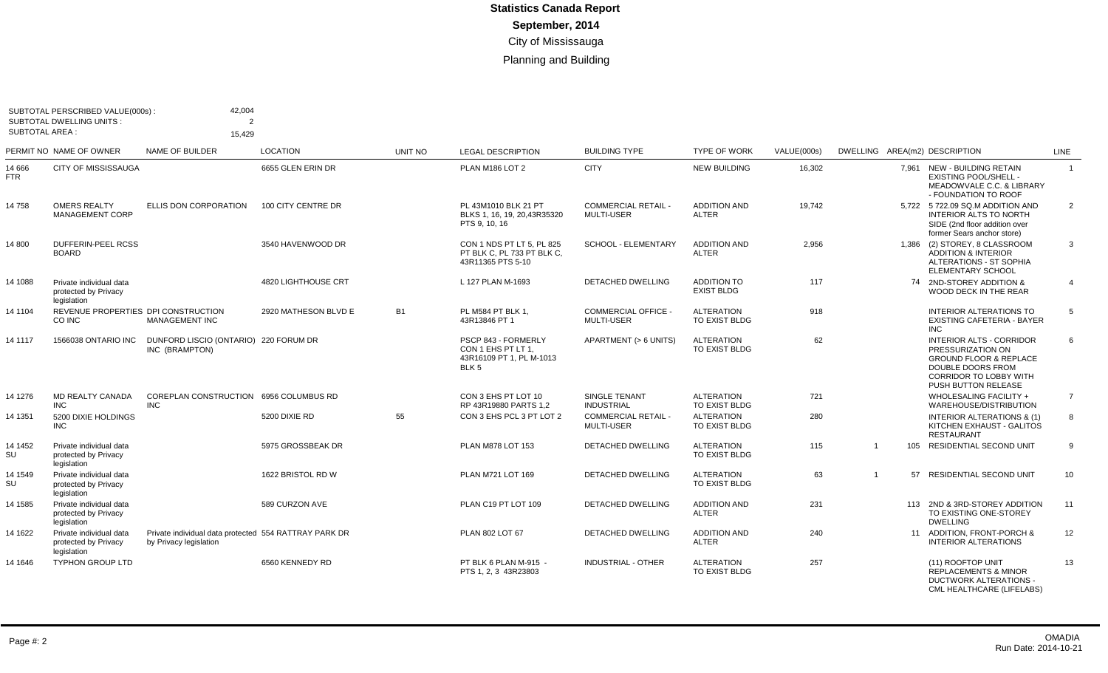| <b>SUBTOTAL AREA:</b> | SUBTOTAL PERSCRIBED VALUE(000s):<br><b>SUBTOTAL DWELLING UNITS:</b> | 42,004<br>$\overline{2}$<br>15,429                                              |                      |           |                                                                                           |                                                 |                                         |             |                |                                                                                                                                                                        |                |
|-----------------------|---------------------------------------------------------------------|---------------------------------------------------------------------------------|----------------------|-----------|-------------------------------------------------------------------------------------------|-------------------------------------------------|-----------------------------------------|-------------|----------------|------------------------------------------------------------------------------------------------------------------------------------------------------------------------|----------------|
|                       | PERMIT NO NAME OF OWNER                                             | <b>NAME OF BUILDER</b>                                                          | <b>LOCATION</b>      | UNIT NO   | <b>LEGAL DESCRIPTION</b>                                                                  | <b>BUILDING TYPE</b>                            | <b>TYPE OF WORK</b>                     | VALUE(000s) |                | DWELLING AREA(m2) DESCRIPTION                                                                                                                                          | <b>LINE</b>    |
| 14 666<br><b>FTR</b>  | <b>CITY OF MISSISSAUGA</b>                                          |                                                                                 | 6655 GLEN ERIN DR    |           | PLAN M186 LOT 2                                                                           | <b>CITY</b>                                     | <b>NEW BUILDING</b>                     | 16.302      |                | 7.961 NEW - BUILDING RETAIN<br><b>EXISTING POOL/SHELL -</b><br>MEADOWVALE C.C. & LIBRARY<br>- FOUNDATION TO ROOF                                                       | $\overline{1}$ |
| 14 758                | <b>OMERS REALTY</b><br><b>MANAGEMENT CORP</b>                       | ELLIS DON CORPORATION                                                           | 100 CITY CENTRE DR   |           | PL 43M1010 BLK 21 PT<br>BLKS 1, 16, 19, 20, 43R35320<br>PTS 9, 10, 16                     | <b>COMMERCIAL RETAIL -</b><br><b>MULTI-USER</b> | <b>ADDITION AND</b><br><b>ALTER</b>     | 19,742      |                | 5,722 5 722.09 SQ.M ADDITION AND<br><b>INTERIOR ALTS TO NORTH</b><br>SIDE (2nd floor addition over<br>former Sears anchor store)                                       | $\overline{2}$ |
| 14 800                | DUFFERIN-PEEL RCSS<br><b>BOARD</b>                                  |                                                                                 | 3540 HAVENWOOD DR    |           | CON 1 NDS PT LT 5, PL 825<br>PT BLK C, PL 733 PT BLK C,<br>43R11365 PTS 5-10              | <b>SCHOOL - ELEMENTARY</b>                      | <b>ADDITION AND</b><br><b>ALTER</b>     | 2,956       |                | 1,386 (2) STOREY, 8 CLASSROOM<br><b>ADDITION &amp; INTERIOR</b><br><b>ALTERATIONS - ST SOPHIA</b><br><b>ELEMENTARY SCHOOL</b>                                          | 3              |
| 14 1088               | Private individual data<br>protected by Privacy<br>legislation      |                                                                                 | 4820 LIGHTHOUSE CRT  |           | L 127 PLAN M-1693                                                                         | <b>DETACHED DWELLING</b>                        | <b>ADDITION TO</b><br><b>EXIST BLDG</b> | 117         |                | 74 2ND-STOREY ADDITION &<br>WOOD DECK IN THE REAR                                                                                                                      | $\overline{4}$ |
| 14 1104               | REVENUE PROPERTIES DPI CONSTRUCTION<br>CO INC                       | <b>MANAGEMENT INC</b>                                                           | 2920 MATHESON BLVD E | <b>B1</b> | PL M584 PT BLK 1.<br>43R13846 PT 1                                                        | <b>COMMERCIAL OFFICE</b><br><b>MULTI-USER</b>   | <b>ALTERATION</b><br>TO EXIST BLDG      | 918         |                | <b>INTERIOR ALTERATIONS TO</b><br>EXISTING CAFETERIA - BAYER<br><b>INC</b>                                                                                             | 5              |
| 14 1117               | 1566038 ONTARIO INC                                                 | DUNFORD LISCIO (ONTARIO) 220 FORUM DR<br>INC (BRAMPTON)                         |                      |           | PSCP 843 - FORMERLY<br>CON 1 EHS PT LT 1,<br>43R16109 PT 1, PL M-1013<br>BLK <sub>5</sub> | APARTMENT (> 6 UNITS)                           | <b>ALTERATION</b><br>TO EXIST BLDG      | 62          |                | <b>INTERIOR ALTS - CORRIDOR</b><br>PRESSURIZATION ON<br><b>GROUND FLOOR &amp; REPLACE</b><br>DOUBLE DOORS FROM<br><b>CORRIDOR TO LOBBY WITH</b><br>PUSH BUTTON RELEASE | 6              |
| 14 1276               | <b>MD REALTY CANADA</b><br><b>INC</b>                               | COREPLAN CONSTRUCTION 6956 COLUMBUS RD<br><b>INC</b>                            |                      |           | CON 3 EHS PT LOT 10<br>RP 43R19880 PARTS 1.2                                              | <b>SINGLE TENANT</b><br><b>INDUSTRIAL</b>       | <b>ALTERATION</b><br>TO EXIST BLDG      | 721         |                | WHOLESALING FACILITY +<br>WAREHOUSE/DISTRIBUTION                                                                                                                       | $\overline{7}$ |
| 14 1351               | 5200 DIXIE HOLDINGS<br><b>INC</b>                                   |                                                                                 | 5200 DIXIE RD        | 55        | CON 3 EHS PCL 3 PT LOT 2                                                                  | <b>COMMERCIAL RETAIL -</b><br>MULTI-USER        | <b>ALTERATION</b><br>TO EXIST BLDG      | 280         |                | <b>INTERIOR ALTERATIONS &amp; (1)</b><br>KITCHEN EXHAUST - GALITOS<br><b>RESTAURANT</b>                                                                                | 8              |
| 14 1452<br>SU         | Private individual data<br>protected by Privacy<br>legislation      |                                                                                 | 5975 GROSSBEAK DR    |           | PLAN M878 LOT 153                                                                         | <b>DETACHED DWELLING</b>                        | <b>ALTERATION</b><br>TO EXIST BLDG      | 115         | $\overline{1}$ | 105<br><b>RESIDENTIAL SECOND UNIT</b>                                                                                                                                  | 9              |
| 14 1549<br>SU         | Private individual data<br>protected by Privacy<br>legislation      |                                                                                 | 1622 BRISTOL RD W    |           | PLAN M721 LOT 169                                                                         | <b>DETACHED DWELLING</b>                        | <b>ALTERATION</b><br>TO EXIST BLDG      | 63          | $\overline{1}$ | 57<br>RESIDENTIAL SECOND UNIT                                                                                                                                          | 10             |
| 14 1585               | Private individual data<br>protected by Privacy<br>legislation      |                                                                                 | 589 CURZON AVE       |           | PLAN C19 PT LOT 109                                                                       | <b>DETACHED DWELLING</b>                        | <b>ADDITION AND</b><br><b>ALTER</b>     | 231         |                | 2ND & 3RD-STOREY ADDITION<br>113<br>TO EXISTING ONE-STOREY<br><b>DWELLING</b>                                                                                          | 11             |
| 14 1622               | Private individual data<br>protected by Privacy<br>legislation      | Private individual data protected 554 RATTRAY PARK DR<br>by Privacy legislation |                      |           | PLAN 802 LOT 67                                                                           | <b>DETACHED DWELLING</b>                        | <b>ADDITION AND</b><br><b>ALTER</b>     | 240         |                | 11 ADDITION, FRONT-PORCH &<br><b>INTERIOR ALTERATIONS</b>                                                                                                              | 12             |
| 14 1646               | <b>TYPHON GROUP LTD</b>                                             |                                                                                 | 6560 KENNEDY RD      |           | PT BLK 6 PLAN M-915 -<br>PTS 1, 2, 3 43R23803                                             | <b>INDUSTRIAL - OTHER</b>                       | <b>ALTERATION</b><br>TO EXIST BLDG      | 257         |                | (11) ROOFTOP UNIT<br><b>REPLACEMENTS &amp; MINOR</b><br><b>DUCTWORK ALTERATIONS -</b><br>CML HEALTHCARE (LIFELABS)                                                     | 13             |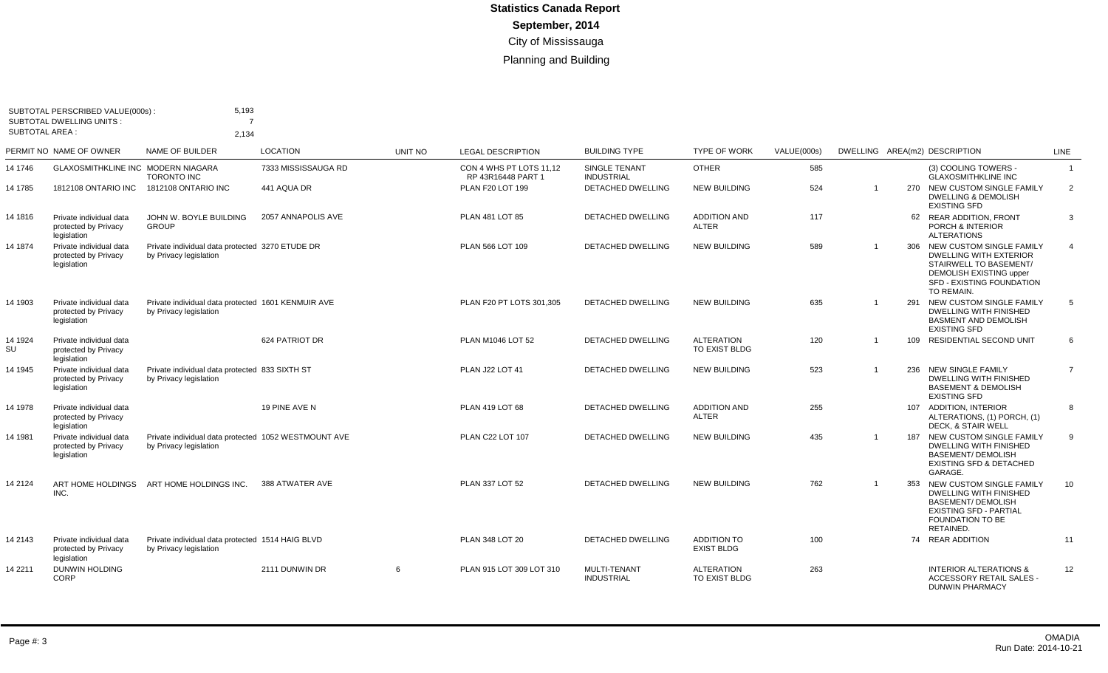|                       | SUBTOTAL PERSCRIBED VALUE(000s):<br>SUBTOTAL DWELLING UNITS :  | 5,193<br>7                                                                     |                     |         |                                               |                                    |                                     |             |                |     |                                                                                                                                                                      |                 |
|-----------------------|----------------------------------------------------------------|--------------------------------------------------------------------------------|---------------------|---------|-----------------------------------------------|------------------------------------|-------------------------------------|-------------|----------------|-----|----------------------------------------------------------------------------------------------------------------------------------------------------------------------|-----------------|
| <b>SUBTOTAL AREA:</b> |                                                                | 2,134                                                                          |                     |         |                                               |                                    |                                     |             |                |     |                                                                                                                                                                      |                 |
|                       | PERMIT NO NAME OF OWNER                                        | NAME OF BUILDER                                                                | <b>LOCATION</b>     | UNIT NO | <b>LEGAL DESCRIPTION</b>                      | <b>BUILDING TYPE</b>               | <b>TYPE OF WORK</b>                 | VALUE(000s) |                |     | DWELLING AREA(m2) DESCRIPTION                                                                                                                                        | <b>LINE</b>     |
| 14 1746               | GLAXOSMITHKLINE INC MODERN NIAGARA                             | <b>TORONTO INC</b>                                                             | 7333 MISSISSAUGA RD |         | CON 4 WHS PT LOTS 11.12<br>RP 43R16448 PART 1 | SINGLE TENANT<br><b>INDUSTRIAL</b> | <b>OTHER</b>                        | 585         |                |     | (3) COOLING TOWERS -<br><b>GLAXOSMITHKLINE INC</b>                                                                                                                   | $\overline{1}$  |
| 14 1785               | <b>1812108 ONTARIO INC</b>                                     | 1812108 ONTARIO INC                                                            | 441 AQUA DR         |         | PLAN F20 LOT 199                              | <b>DETACHED DWELLING</b>           | <b>NEW BUILDING</b>                 | 524         | $\mathbf 1$    |     | 270 NEW CUSTOM SINGLE FAMILY<br><b>DWELLING &amp; DEMOLISH</b><br><b>EXISTING SFD</b>                                                                                | $\overline{2}$  |
| 14 1816               | Private individual data<br>protected by Privacy<br>legislation | JOHN W. BOYLE BUILDING<br><b>GROUP</b>                                         | 2057 ANNAPOLIS AVE  |         | PLAN 481 LOT 85                               | DETACHED DWELLING                  | <b>ADDITION AND</b><br><b>ALTER</b> | 117         |                |     | 62 REAR ADDITION, FRONT<br><b>PORCH &amp; INTERIOR</b><br><b>ALTERATIONS</b>                                                                                         | 3               |
| 14 1874               | Private individual data<br>protected by Privacy<br>legislation | Private individual data protected 3270 ETUDE DR<br>by Privacy legislation      |                     |         | PLAN 566 LOT 109                              | <b>DETACHED DWELLING</b>           | <b>NEW BUILDING</b>                 | 589         | $\mathbf 1$    |     | 306 NEW CUSTOM SINGLE FAMILY<br><b>DWELLING WITH EXTERIOR</b><br>STAIRWELL TO BASEMENT/<br><b>DEMOLISH EXISTING upper</b><br>SFD - EXISTING FOUNDATION<br>TO REMAIN. | $\overline{4}$  |
| 14 1903               | Private individual data<br>protected by Privacy<br>legislation | Private individual data protected 1601 KENMUIR AVE<br>by Privacy legislation   |                     |         | PLAN F20 PT LOTS 301,305                      | <b>DETACHED DWELLING</b>           | <b>NEW BUILDING</b>                 | 635         | -1             | 291 | NEW CUSTOM SINGLE FAMILY<br><b>DWELLING WITH FINISHED</b><br><b>BASMENT AND DEMOLISH</b><br><b>EXISTING SFD</b>                                                      | -5              |
| 14 1924<br>SU         | Private individual data<br>protected by Privacy<br>legislation |                                                                                | 624 PATRIOT DR      |         | PLAN M1046 LOT 52                             | <b>DETACHED DWELLING</b>           | <b>ALTERATION</b><br>TO EXIST BLDG  | 120         | $\overline{1}$ | 109 | RESIDENTIAL SECOND UNIT                                                                                                                                              | 6               |
| 14 1945               | Private individual data<br>protected by Privacy<br>legislation | Private individual data protected 833 SIXTH ST<br>by Privacy legislation       |                     |         | <b>PLAN J22 LOT 41</b>                        | DETACHED DWELLING                  | <b>NEW BUILDING</b>                 | 523         | $\mathbf 1$    |     | 236 NEW SINGLE FAMILY<br><b>DWELLING WITH FINISHED</b><br><b>BASEMENT &amp; DEMOLISH</b><br><b>EXISTING SFD</b>                                                      | $\overline{7}$  |
| 14 1978               | Private individual data<br>protected by Privacy<br>legislation |                                                                                | 19 PINE AVE N       |         | PLAN 419 LOT 68                               | <b>DETACHED DWELLING</b>           | <b>ADDITION AND</b><br>ALTER        | 255         |                |     | 107 ADDITION, INTERIOR<br>ALTERATIONS, (1) PORCH, (1)<br>DECK, & STAIR WELL                                                                                          | 8               |
| 14 1981               | Private individual data<br>protected by Privacy<br>legislation | Private individual data protected 1052 WESTMOUNT AVE<br>by Privacy legislation |                     |         | PLAN C22 LOT 107                              | DETACHED DWELLING                  | <b>NEW BUILDING</b>                 | 435         | $\mathbf 1$    |     | 187 NEW CUSTOM SINGLE FAMILY<br><b>DWELLING WITH FINISHED</b><br><b>BASEMENT/ DEMOLISH</b><br><b>EXISTING SFD &amp; DETACHED</b><br>GARAGE.                          | 9               |
| 14 2124               | ART HOME HOLDINGS<br>INC.                                      | ART HOME HOLDINGS INC.                                                         | 388 ATWATER AVE     |         | PLAN 337 LOT 52                               | <b>DETACHED DWELLING</b>           | <b>NEW BUILDING</b>                 | 762         | $\overline{1}$ | 353 | NEW CUSTOM SINGLE FAMILY<br><b>DWELLING WITH FINISHED</b><br><b>BASEMENT/ DEMOLISH</b><br><b>EXISTING SFD - PARTIAL</b><br><b>FOUNDATION TO BE</b><br>RETAINED.      | 10 <sup>°</sup> |
| 14 2143               | Private individual data<br>protected by Privacy<br>legislation | Private individual data protected 1514 HAIG BLVD<br>by Privacy legislation     |                     |         | PLAN 348 LOT 20                               | DETACHED DWELLING                  | ADDITION TO<br><b>EXIST BLDG</b>    | 100         |                |     | 74 REAR ADDITION                                                                                                                                                     | 11              |
| 14 2211               | <b>DUNWIN HOLDING</b><br>CORP                                  |                                                                                | 2111 DUNWIN DR      | 6       | PLAN 915 LOT 309 LOT 310                      | MULTI-TENANT<br><b>INDUSTRIAL</b>  | <b>ALTERATION</b><br>TO EXIST BLDG  | 263         |                |     | <b>INTERIOR ALTERATIONS &amp;</b><br>ACCESSORY RETAIL SALES -<br><b>DUNWIN PHARMACY</b>                                                                              | 12              |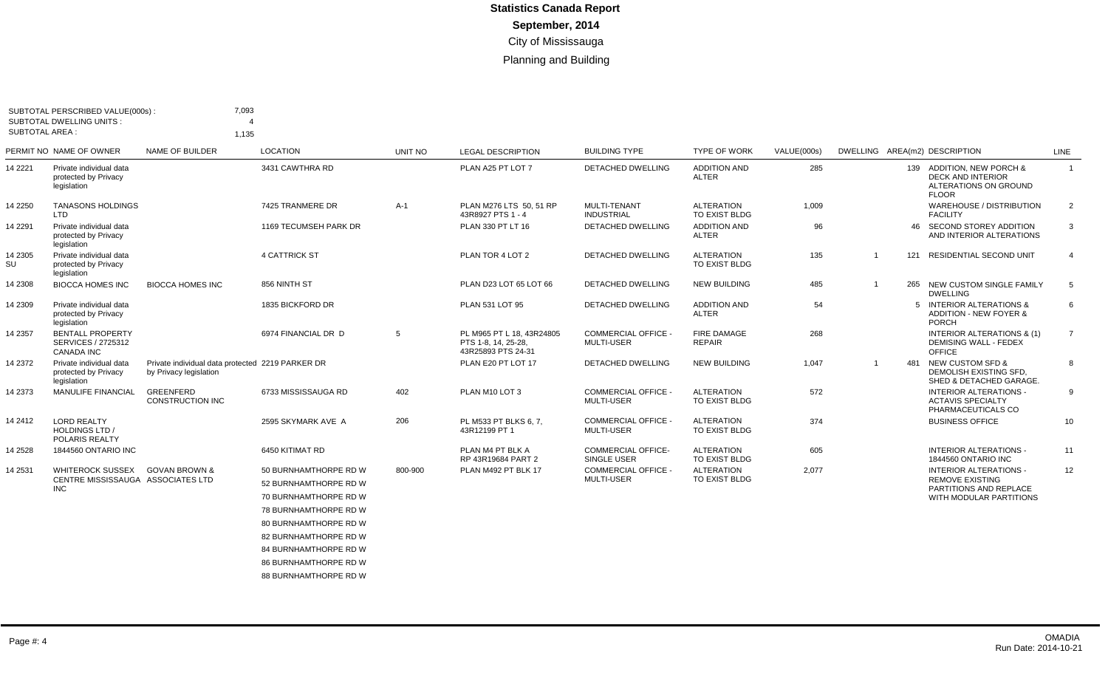|               | SUBTOTAL PERSCRIBED VALUE(000s):                                     | 7,093                                                                      |                              |         |                                                                        |                                                 |                                     |             |                |     |                                                                                                |                |
|---------------|----------------------------------------------------------------------|----------------------------------------------------------------------------|------------------------------|---------|------------------------------------------------------------------------|-------------------------------------------------|-------------------------------------|-------------|----------------|-----|------------------------------------------------------------------------------------------------|----------------|
|               | <b>SUBTOTAL DWELLING UNITS:</b><br>SUBTOTAL AREA :                   |                                                                            |                              |         |                                                                        |                                                 |                                     |             |                |     |                                                                                                |                |
|               |                                                                      | 1,135                                                                      |                              |         |                                                                        |                                                 |                                     |             |                |     |                                                                                                |                |
|               | PERMIT NO NAME OF OWNER                                              | NAME OF BUILDER                                                            | LOCATION                     | UNIT NO | <b>LEGAL DESCRIPTION</b>                                               | <b>BUILDING TYPE</b>                            | <b>TYPE OF WORK</b>                 | VALUE(000s) |                |     | DWELLING AREA(m2) DESCRIPTION                                                                  | <b>LINE</b>    |
| 14 2221       | Private individual data<br>protected by Privacy<br>legislation       |                                                                            | 3431 CAWTHRA RD              |         | PLAN A25 PT LOT 7                                                      | <b>DETACHED DWELLING</b>                        | <b>ADDITION AND</b><br><b>ALTER</b> | 285         |                |     | 139 ADDITION, NEW PORCH &<br><b>DECK AND INTERIOR</b><br>ALTERATIONS ON GROUND<br><b>FLOOR</b> | $\overline{1}$ |
| 14 2250       | <b>TANASONS HOLDINGS</b><br>LTD.                                     |                                                                            | 7425 TRANMERE DR             | $A-1$   | PLAN M276 LTS 50, 51 RP<br>43R8927 PTS 1 - 4                           | MULTI-TENANT<br><b>INDUSTRIAL</b>               | <b>ALTERATION</b><br>TO EXIST BLDG  | 1,009       |                |     | WAREHOUSE / DISTRIBUTION<br><b>FACILITY</b>                                                    | $\overline{2}$ |
| 14 2291       | Private individual data<br>protected by Privacy<br>legislation       |                                                                            | 1169 TECUMSEH PARK DR        |         | PLAN 330 PT LT 16                                                      | DETACHED DWELLING                               | <b>ADDITION AND</b><br><b>ALTER</b> | 96          |                | 46  | SECOND STOREY ADDITION<br>AND INTERIOR ALTERATIONS                                             | 3              |
| 14 2305<br>SU | Private individual data<br>protected by Privacy<br>legislation       |                                                                            | <b>4 CATTRICK ST</b>         |         | PLAN TOR 4 LOT 2                                                       | <b>DETACHED DWELLING</b>                        | <b>ALTERATION</b><br>TO EXIST BLDG  | 135         | $\overline{1}$ | 121 | <b>RESIDENTIAL SECOND UNIT</b>                                                                 | $\overline{4}$ |
| 14 2308       | <b>BIOCCA HOMES INC</b>                                              | <b>BIOCCA HOMES INC</b>                                                    | 856 NINTH ST                 |         | PLAN D23 LOT 65 LOT 66                                                 | <b>DETACHED DWELLING</b>                        | <b>NEW BUILDING</b>                 | 485         | $\overline{1}$ |     | 265 NEW CUSTOM SINGLE FAMILY<br><b>DWELLING</b>                                                | 5              |
| 14 2309       | Private individual data<br>protected by Privacy<br>legislation       |                                                                            | 1835 BICKFORD DR             |         | PLAN 531 LOT 95                                                        | DETACHED DWELLING                               | <b>ADDITION AND</b><br><b>ALTER</b> | 54          |                |     | 5 INTERIOR ALTERATIONS &<br><b>ADDITION - NEW FOYER &amp;</b><br><b>PORCH</b>                  | 6              |
| 14 2357       | <b>BENTALL PROPERTY</b><br>SERVICES / 2725312<br><b>CANADA INC</b>   |                                                                            | 6974 FINANCIAL DR D          | 5       | PL M965 PT L 18, 43R24805<br>PTS 1-8, 14, 25-28,<br>43R25893 PTS 24-31 | <b>COMMERCIAL OFFICE -</b><br><b>MULTI-USER</b> | <b>FIRE DAMAGE</b><br><b>REPAIR</b> | 268         |                |     | INTERIOR ALTERATIONS & (1)<br><b>DEMISING WALL - FEDEX</b><br>OFFICE                           | 7              |
| 14 2372       | Private individual data<br>protected by Privacy<br>legislation       | Private individual data protected 2219 PARKER DR<br>by Privacy legislation |                              |         | PLAN E20 PT LOT 17                                                     | <b>DETACHED DWELLING</b>                        | <b>NEW BUILDING</b>                 | 1,047       | $\mathbf{1}$   | 481 | <b>NEW CUSTOM SFD &amp;</b><br>DEMOLISH EXISTING SFD.<br>SHED & DETACHED GARAGE.               | 8              |
| 14 2373       | MANULIFE FINANCIAL                                                   | GREENFERD<br>CONSTRUCTION INC                                              | 6733 MISSISSAUGA RD          | 402     | PLAN M10 LOT 3                                                         | <b>COMMERCIAL OFFICE -</b><br><b>MULTI-USER</b> | <b>ALTERATION</b><br>TO EXIST BLDG  | 572         |                |     | INTERIOR ALTERATIONS -<br><b>ACTAVIS SPECIALTY</b><br>PHARMACEUTICALS CO                       | 9              |
| 14 2412       | <b>LORD REALTY</b><br><b>HOLDINGS LTD /</b><br><b>POLARIS REALTY</b> |                                                                            | 2595 SKYMARK AVE A           | 206     | PL M533 PT BLKS 6.7.<br>43R12199 PT 1                                  | <b>COMMERCIAL OFFICE -</b><br><b>MULTI-USER</b> | <b>ALTERATION</b><br>TO EXIST BLDG  | 374         |                |     | <b>BUSINESS OFFICE</b>                                                                         | 10             |
| 14 25 28      | 1844560 ONTARIO INC                                                  |                                                                            | 6450 KITIMAT RD              |         | PLAN M4 PT BLK A<br>RP 43R19684 PART 2                                 | <b>COMMERCIAL OFFICE-</b><br>SINGLE USER        | <b>ALTERATION</b><br>TO EXIST BLDG  | 605         |                |     | <b>INTERIOR ALTERATIONS -</b><br>1844560 ONTARIO INC                                           | 11             |
| 14 2531       | WHITEROCK SUSSEX                                                     | <b>GOVAN BROWN &amp;</b>                                                   | 50 BURNHAMTHORPE RD W        | 800-900 | PLAN M492 PT BLK 17                                                    | <b>COMMERCIAL OFFICE -</b>                      | <b>ALTERATION</b>                   | 2,077       |                |     | <b>INTERIOR ALTERATIONS -</b>                                                                  | 12             |
|               | CENTRE MISSISSAUGA ASSOCIATES LTD<br><b>INC</b>                      |                                                                            | 52 BURNHAMTHORPE RD W        |         |                                                                        | MULTI-USER                                      | TO EXIST BLDG                       |             |                |     | <b>REMOVE EXISTING</b><br>PARTITIONS AND REPLACE                                               |                |
|               |                                                                      |                                                                            | 70 BURNHAMTHORPE RD W        |         |                                                                        |                                                 |                                     |             |                |     | WITH MODULAR PARTITIONS                                                                        |                |
|               |                                                                      |                                                                            | 78 BURNHAMTHORPE RD W        |         |                                                                        |                                                 |                                     |             |                |     |                                                                                                |                |
|               |                                                                      |                                                                            | 80 BURNHAMTHORPE RD W        |         |                                                                        |                                                 |                                     |             |                |     |                                                                                                |                |
|               |                                                                      |                                                                            | 82 BURNHAMTHORPE RD W        |         |                                                                        |                                                 |                                     |             |                |     |                                                                                                |                |
|               |                                                                      |                                                                            | 84 BURNHAMTHORPE RD W        |         |                                                                        |                                                 |                                     |             |                |     |                                                                                                |                |
|               |                                                                      |                                                                            | <b>86 BURNHAMTHORPE RD W</b> |         |                                                                        |                                                 |                                     |             |                |     |                                                                                                |                |
|               |                                                                      |                                                                            | <b>88 BURNHAMTHORPE RD W</b> |         |                                                                        |                                                 |                                     |             |                |     |                                                                                                |                |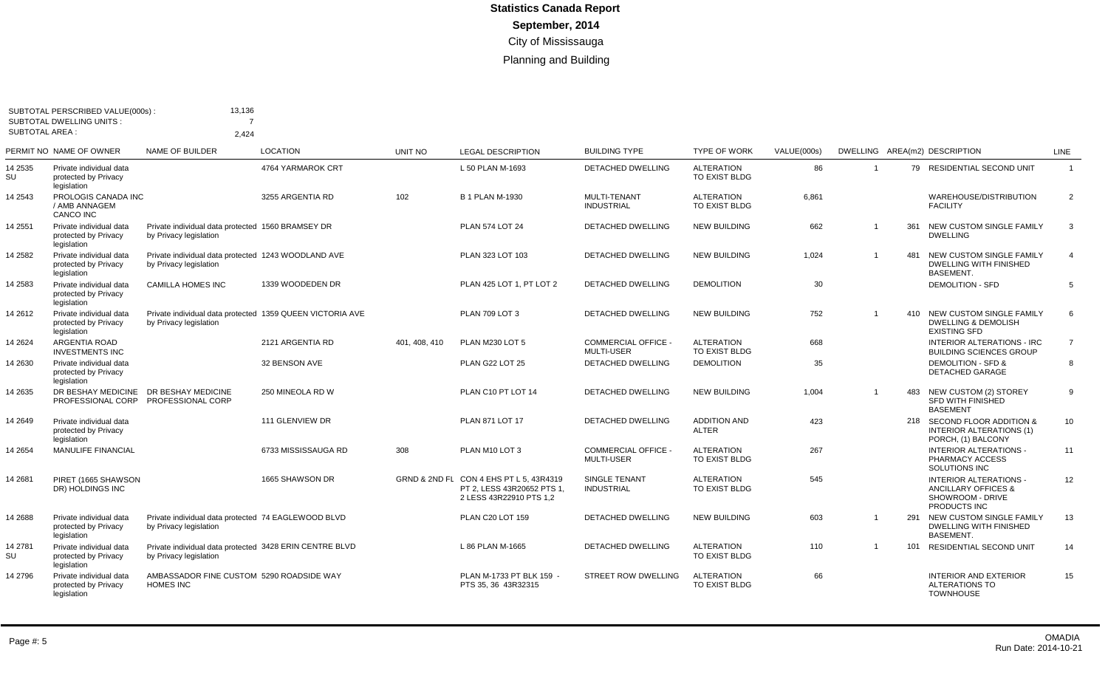| <b>SUBTOTAL AREA:</b> | SUBTOTAL PERSCRIBED VALUE(000s):<br><b>SUBTOTAL DWELLING UNITS:</b>     | 13,136                                                                              |                     |               |                                                                                                  |                                                 |                                     |             |                |     |                                                                                          |                |
|-----------------------|-------------------------------------------------------------------------|-------------------------------------------------------------------------------------|---------------------|---------------|--------------------------------------------------------------------------------------------------|-------------------------------------------------|-------------------------------------|-------------|----------------|-----|------------------------------------------------------------------------------------------|----------------|
|                       | PERMIT NO NAME OF OWNER                                                 | 2,424<br><b>NAME OF BUILDER</b>                                                     | LOCATION            | UNIT NO       | <b>LEGAL DESCRIPTION</b>                                                                         | <b>BUILDING TYPE</b>                            | <b>TYPE OF WORK</b>                 | VALUE(000s) |                |     | DWELLING AREA(m2) DESCRIPTION                                                            | <b>LINE</b>    |
| 14 2535<br>SU         | Private individual data<br>protected by Privacy                         |                                                                                     | 4764 YARMAROK CRT   |               | L 50 PLAN M-1693                                                                                 | <b>DETACHED DWELLING</b>                        | <b>ALTERATION</b><br>TO EXIST BLDG  | 86          | $\mathbf 1$    |     | 79 RESIDENTIAL SECOND UNIT                                                               | $\overline{1}$ |
| 14 2543               | legislation<br>PROLOGIS CANADA INC<br>/ AMB ANNAGEM<br><b>CANCO INC</b> |                                                                                     | 3255 ARGENTIA RD    | 102           | <b>B 1 PLAN M-1930</b>                                                                           | <b>MULTI-TENANT</b><br><b>INDUSTRIAL</b>        | <b>ALTERATION</b><br>TO EXIST BLDG  | 6,861       |                |     | WAREHOUSE/DISTRIBUTION<br><b>FACILITY</b>                                                | $\overline{2}$ |
| 4 2 5 5 1             | Private individual data<br>protected by Privacy<br>legislation          | Private individual data protected 1560 BRAMSEY DR<br>by Privacy legislation         |                     |               | <b>PLAN 574 LOT 24</b>                                                                           | <b>DETACHED DWELLING</b>                        | <b>NEW BUILDING</b>                 | 662         | $\overline{1}$ | 361 | NEW CUSTOM SINGLE FAMILY<br><b>DWELLING</b>                                              | 3              |
| 14 2582               | Private individual data<br>protected by Privacy<br>legislation          | Private individual data protected 1243 WOODLAND AVE<br>by Privacy legislation       |                     |               | PLAN 323 LOT 103                                                                                 | <b>DETACHED DWELLING</b>                        | <b>NEW BUILDING</b>                 | 1,024       | 1              | 481 | NEW CUSTOM SINGLE FAMILY<br><b>DWELLING WITH FINISHED</b><br><b>BASEMENT.</b>            | $\overline{4}$ |
| 14 2583               | Private individual data<br>protected by Privacy<br>legislation          | <b>CAMILLA HOMES INC</b>                                                            | 1339 WOODEDEN DR    |               | PLAN 425 LOT 1, PT LOT 2                                                                         | DETACHED DWELLING                               | <b>DEMOLITION</b>                   | 30          |                |     | <b>DEMOLITION - SFD</b>                                                                  | 5              |
| 14 2612               | Private individual data<br>protected by Privacy<br>legislation          | Private individual data protected 1359 QUEEN VICTORIA AVE<br>by Privacy legislation |                     |               | <b>PLAN 709 LOT 3</b>                                                                            | <b>DETACHED DWELLING</b>                        | <b>NEW BUILDING</b>                 | 752         | $\mathbf 1$    |     | 410 NEW CUSTOM SINGLE FAMILY<br><b>DWELLING &amp; DEMOLISH</b><br><b>EXISTING SFD</b>    | 6              |
| 14 2624               | <b>ARGENTIA ROAD</b><br><b>INVESTMENTS INC</b>                          |                                                                                     | 2121 ARGENTIA RD    | 401, 408, 410 | PLAN M230 LOT 5                                                                                  | <b>COMMERCIAL OFFICE -</b><br><b>MULTI-USER</b> | <b>ALTERATION</b><br>TO EXIST BLDG  | 668         |                |     | <b>INTERIOR ALTERATIONS - IRC</b><br><b>BUILDING SCIENCES GROUP</b>                      | $\overline{7}$ |
| 14 2630               | Private individual data<br>protected by Privacy<br>legislation          |                                                                                     | 32 BENSON AVE       |               | PLAN G22 LOT 25                                                                                  | DETACHED DWELLING                               | <b>DEMOLITION</b>                   | 35          |                |     | <b>DEMOLITION - SFD &amp;</b><br><b>DETACHED GARAGE</b>                                  | 8              |
| 14 2635               | DR BESHAY MEDICINE<br>PROFESSIONAL CORP                                 | DR BESHAY MEDICINE<br>PROFESSIONAL CORP                                             | 250 MINEOLA RD W    |               | PLAN C10 PT LOT 14                                                                               | <b>DETACHED DWELLING</b>                        | <b>NEW BUILDING</b>                 | 1,004       | $\mathbf{1}$   | 483 | NEW CUSTOM (2) STOREY<br><b>SFD WITH FINISHED</b><br><b>BASEMENT</b>                     | 9              |
| 14 2649               | Private individual data<br>protected by Privacy<br>legislation          |                                                                                     | 111 GLENVIEW DR     |               | <b>PLAN 871 LOT 17</b>                                                                           | <b>DETACHED DWELLING</b>                        | <b>ADDITION AND</b><br><b>ALTER</b> | 423         |                |     | 218 SECOND FLOOR ADDITION &<br>INTERIOR ALTERATIONS (1)<br>PORCH, (1) BALCONY            | 10             |
| 14 2654               | <b>MANULIFE FINANCIAL</b>                                               |                                                                                     | 6733 MISSISSAUGA RD | 308           | PLAN M10 LOT 3                                                                                   | <b>COMMERCIAL OFFICE -</b><br><b>MULTI-USER</b> | <b>ALTERATION</b><br>TO EXIST BLDG  | 267         |                |     | <b>INTERIOR ALTERATIONS -</b><br>PHARMACY ACCESS<br>SOLUTIONS INC                        | 11             |
| 14 2681               | PIRET (1665 SHAWSON<br>DR) HOLDINGS INC                                 |                                                                                     | 1665 SHAWSON DR     |               | GRND & 2ND FL CON 4 EHS PT L 5, 43R4319<br>PT 2, LESS 43R20652 PTS 1,<br>2 LESS 43R22910 PTS 1,2 | <b>SINGLE TENANT</b><br><b>INDUSTRIAL</b>       | <b>ALTERATION</b><br>TO EXIST BLDG  | 545         |                |     | <b>INTERIOR ALTERATIONS -</b><br>ANCILLARY OFFICES &<br>SHOWROOM - DRIVE<br>PRODUCTS INC | 12             |
| 14 2688               | Private individual data<br>protected by Privacy<br>legislation          | Private individual data protected 74 EAGLEWOOD BLVD<br>by Privacy legislation       |                     |               | PLAN C20 LOT 159                                                                                 | <b>DETACHED DWELLING</b>                        | <b>NEW BUILDING</b>                 | 603         | $\mathbf 1$    |     | 291 NEW CUSTOM SINGLE FAMILY<br><b>DWELLING WITH FINISHED</b><br><b>BASEMENT.</b>        | 13             |
| 14 2781<br>SU         | Private individual data<br>protected by Privacy<br>legislation          | Private individual data protected 3428 ERIN CENTRE BLVD<br>by Privacy legislation   |                     |               | L 86 PLAN M-1665                                                                                 | <b>DETACHED DWELLING</b>                        | <b>ALTERATION</b><br>TO EXIST BLDG  | 110         | $\mathbf 1$    | 101 | <b>RESIDENTIAL SECOND UNIT</b>                                                           | 14             |
| 14 2796               | Private individual data<br>protected by Privacy<br>legislation          | AMBASSADOR FINE CUSTOM 5290 ROADSIDE WAY<br><b>HOMES INC</b>                        |                     |               | PLAN M-1733 PT BLK 159 -<br>PTS 35, 36 43R32315                                                  | <b>STREET ROW DWELLING</b>                      | <b>ALTERATION</b><br>TO EXIST BLDG  | 66          |                |     | <b>INTERIOR AND EXTERIOR</b><br><b>ALTERATIONS TO</b><br><b>TOWNHOUSE</b>                | 15             |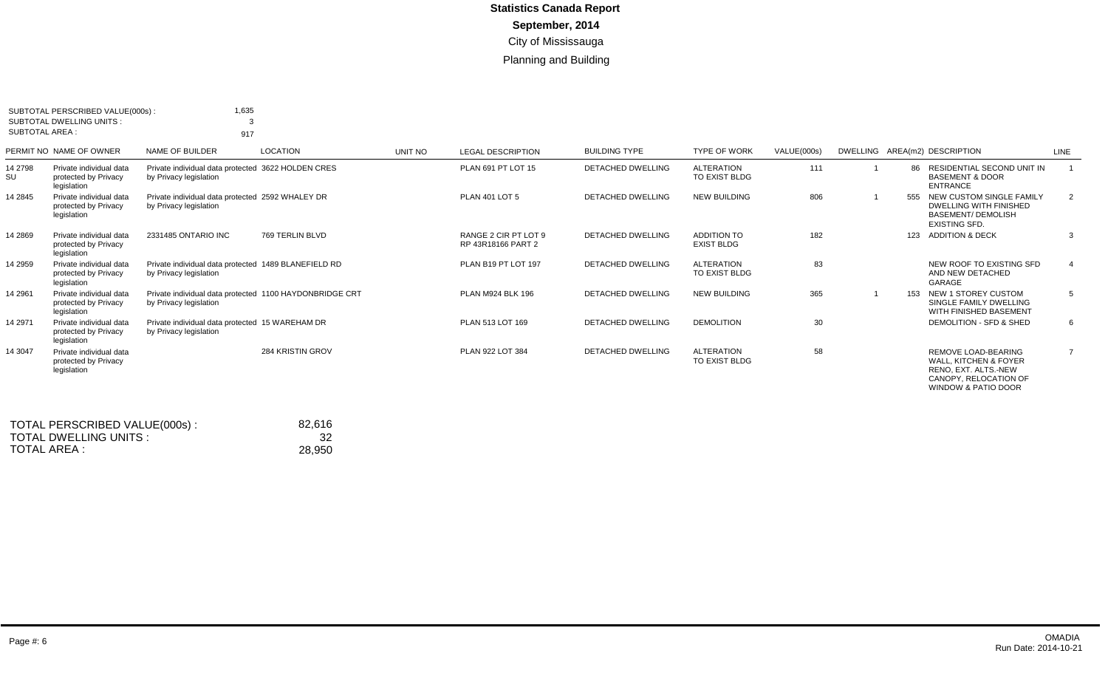| SUBTOTAL PERSCRIBED VALUE(000s):<br><b>SUBTOTAL DWELLING UNITS:</b><br>SUBTOTAL AREA : |                                                                | 1,635<br>3<br>917                                                                 |                         |         |                                            |                          |                                           |             |     |                                                                                                                                            |                |
|----------------------------------------------------------------------------------------|----------------------------------------------------------------|-----------------------------------------------------------------------------------|-------------------------|---------|--------------------------------------------|--------------------------|-------------------------------------------|-------------|-----|--------------------------------------------------------------------------------------------------------------------------------------------|----------------|
|                                                                                        | PERMIT NO NAME OF OWNER                                        | NAME OF BUILDER                                                                   | LOCATION                | UNIT NO | <b>LEGAL DESCRIPTION</b>                   | <b>BUILDING TYPE</b>     | <b>TYPE OF WORK</b>                       | VALUE(000s) |     | DWELLING AREA(m2) DESCRIPTION                                                                                                              | <b>LINE</b>    |
| 14 2798<br>SU                                                                          | Private individual data<br>protected by Privacy<br>legislation | Private individual data protected 3622 HOLDEN CRES<br>by Privacy legislation      |                         |         | PLAN 691 PT LOT 15                         | <b>DETACHED DWELLING</b> | <b>ALTERATION</b><br><b>TO EXIST BLDG</b> | 111         | 86  | RESIDENTIAL SECOND UNIT IN<br><b>BASEMENT &amp; DOOR</b><br><b>ENTRANCE</b>                                                                |                |
| 14 2845                                                                                | Private individual data<br>protected by Privacy<br>legislation | Private individual data protected 2592 WHALEY DR<br>by Privacy legislation        |                         |         | <b>PLAN 401 LOT 5</b>                      | <b>DETACHED DWELLING</b> | <b>NEW BUILDING</b>                       | 806         | 555 | NEW CUSTOM SINGLE FAMILY<br><b>DWELLING WITH FINISHED</b><br><b>BASEMENT/ DEMOLISH</b><br><b>EXISTING SFD.</b>                             | 2              |
| 14 2869                                                                                | Private individual data<br>protected by Privacy<br>legislation | 2331485 ONTARIO INC                                                               | 769 TERLIN BLVD         |         | RANGE 2 CIR PT LOT 9<br>RP 43R18166 PART 2 | <b>DETACHED DWELLING</b> | <b>ADDITION TO</b><br><b>EXIST BLDG</b>   | 182         |     | 123 ADDITION & DECK                                                                                                                        | 3              |
| 14 2959                                                                                | Private individual data<br>protected by Privacy<br>legislation | Private individual data protected 1489 BLANEFIELD RD<br>by Privacy legislation    |                         |         | PLAN B19 PT LOT 197                        | <b>DETACHED DWELLING</b> | <b>ALTERATION</b><br><b>TO EXIST BLDG</b> | 83          |     | NEW ROOF TO EXISTING SFD<br>AND NEW DETACHED<br>GARAGE                                                                                     | $\overline{4}$ |
| 14 29 61                                                                               | Private individual data<br>protected by Privacy<br>legislation | Private individual data protected 1100 HAYDONBRIDGE CRT<br>by Privacy legislation |                         |         | PLAN M924 BLK 196                          | DETACHED DWELLING        | <b>NEW BUILDING</b>                       | 365         | 153 | NEW 1 STOREY CUSTOM<br>SINGLE FAMILY DWELLING<br>WITH FINISHED BASEMENT                                                                    | -5             |
| 14 2971                                                                                | Private individual data<br>protected by Privacy<br>legislation | Private individual data protected 15 WAREHAM DR<br>by Privacy legislation         |                         |         | PLAN 513 LOT 169                           | <b>DETACHED DWELLING</b> | <b>DEMOLITION</b>                         | 30          |     | DEMOLITION - SFD & SHED                                                                                                                    | 6              |
| 14 3047                                                                                | Private individual data<br>protected by Privacy<br>legislation |                                                                                   | <b>284 KRISTIN GROV</b> |         | PLAN 922 LOT 384                           | <b>DETACHED DWELLING</b> | <b>ALTERATION</b><br>TO EXIST BLDG        | 58          |     | REMOVE LOAD-BEARING<br><b>WALL, KITCHEN &amp; FOYER</b><br>RENO, EXT. ALTS.-NEW<br>CANOPY, RELOCATION OF<br><b>WINDOW &amp; PATIO DOOR</b> | $\overline{7}$ |

| TOTAL PERSCRIBED VALUE(000s): | 82.616 |
|-------------------------------|--------|
| TOTAL DWELLING UNITS:         | -32    |
| TOTAL AREA :                  | 28.950 |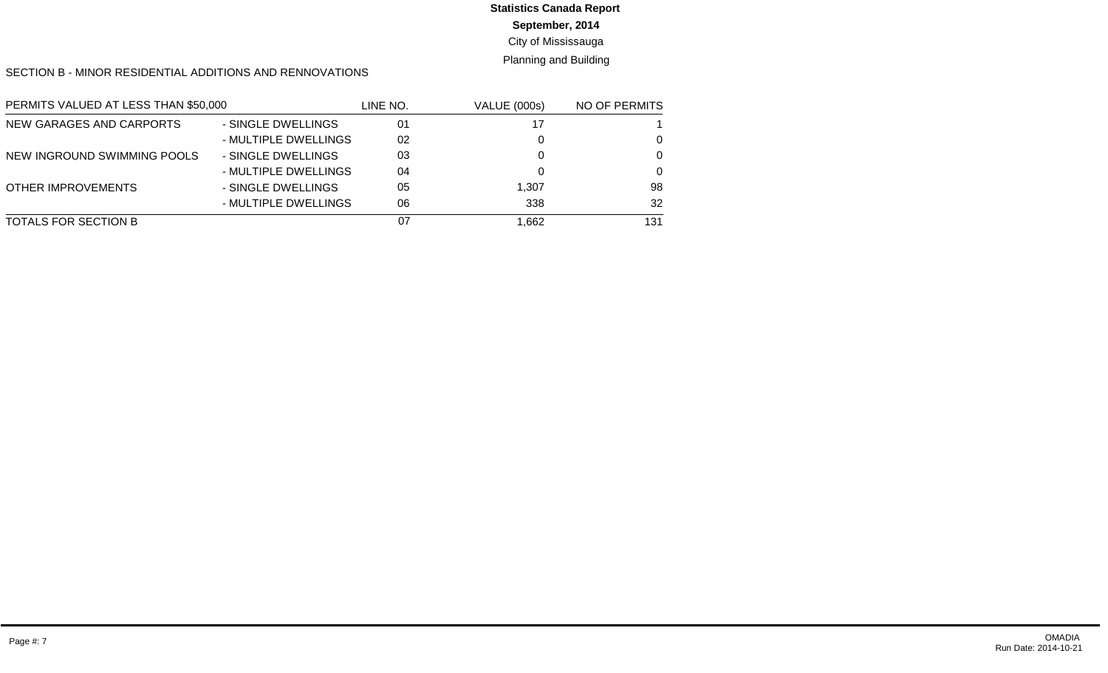# **Statistics Canada Report**

### **September, 2014**

### City of Mississauga

### Planning and Building

#### SECTION B - MINOR RESIDENTIAL ADDITIONS AND RENNOVATIONS

| PERMITS VALUED AT LESS THAN \$50,000 |                      | LINE NO. | <b>VALUE (000s)</b> | NO OF PERMITS |
|--------------------------------------|----------------------|----------|---------------------|---------------|
| NEW GARAGES AND CARPORTS             | - SINGLE DWELLINGS   | 01       | 17                  |               |
|                                      | - MULTIPLE DWELLINGS | 02       |                     | $\Omega$      |
| NEW INGROUND SWIMMING POOLS          | - SINGLE DWELLINGS   | 03       |                     | $\Omega$      |
|                                      | - MULTIPLE DWELLINGS | 04       |                     | $\Omega$      |
| <b>OTHER IMPROVEMENTS</b>            | - SINGLE DWELLINGS   | 05       | 1.307               | 98            |
|                                      | - MULTIPLE DWELLINGS | 06       | 338                 | 32            |
| TOTALS FOR SECTION B                 |                      | 07       | 662. ا              | 131           |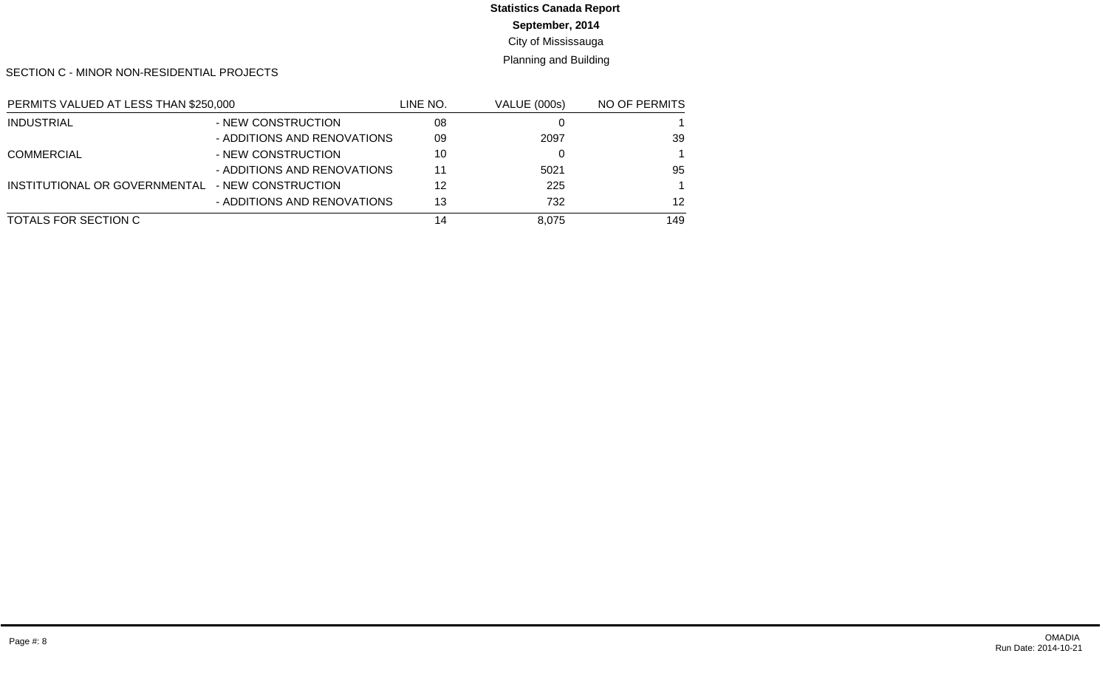# **Statistics Canada Report**

**September, 2014**

City of Mississauga

Planning and Building

SECTION C - MINOR NON-RESIDENTIAL PROJECTS

| PERMITS VALUED AT LESS THAN \$250,000 |                             | LINE NO. | <b>VALUE (000s)</b> | NO OF PERMITS |
|---------------------------------------|-----------------------------|----------|---------------------|---------------|
| <b>INDUSTRIAL</b>                     | - NEW CONSTRUCTION          | 08       |                     |               |
|                                       | - ADDITIONS AND RENOVATIONS | 09       | 2097                | 39            |
| <b>COMMERCIAL</b>                     | - NEW CONSTRUCTION          | 10       |                     |               |
|                                       | - ADDITIONS AND RENOVATIONS | 11       | 5021                | 95            |
| INSTITUTIONAL OR GOVERNMENTAL         | - NEW CONSTRUCTION          | 12       | 225                 |               |
|                                       | - ADDITIONS AND RENOVATIONS | 13       | 732                 | 12            |
| TOTALS FOR SECTION C                  |                             | 14       | 8.075               | 149           |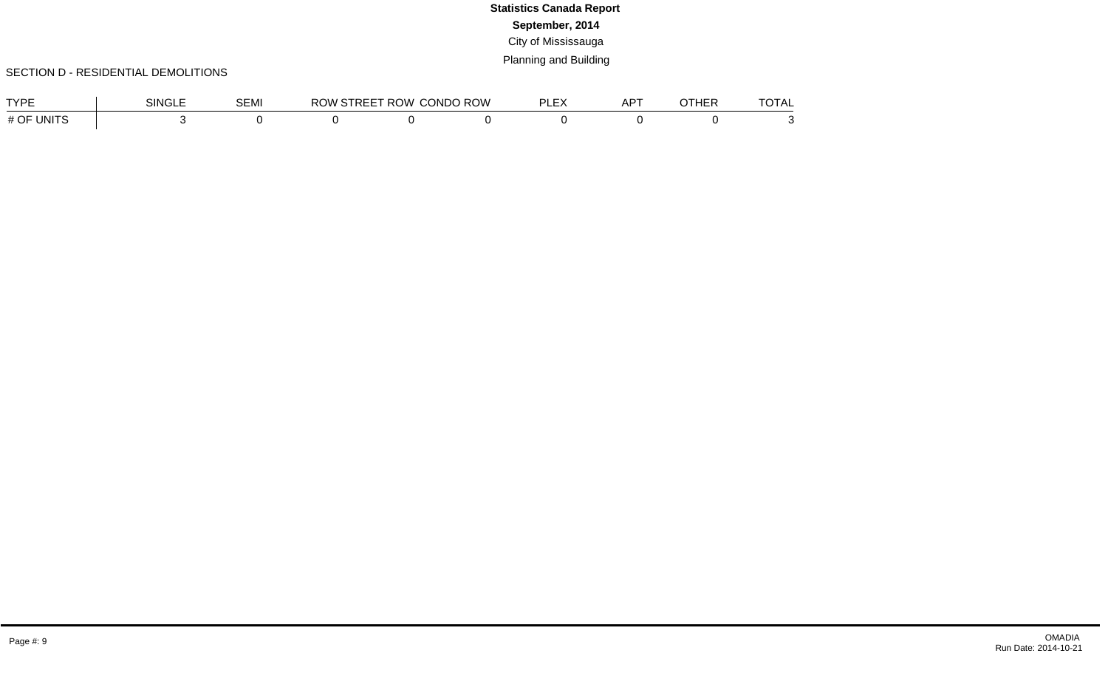### SECTION D - RESIDENTIAL DEMOLITIONS

| <b>CYPF</b>                       | SINGI | ו⊿ חר<br>ͻ⋿ϺͿ | ാറ<br>)W | <b>ROW</b><br>`IRFF | , ROW<br>CONDO | ור<br>-- | AP <sup>T</sup> | $\cap$ Turr<br>96N | <b>TOTA</b><br>'UIA∟ |
|-----------------------------------|-------|---------------|----------|---------------------|----------------|----------|-----------------|--------------------|----------------------|
| $\mathsf{JNIT}^{\circ}$<br># $OF$ |       |               |          |                     |                |          |                 |                    |                      |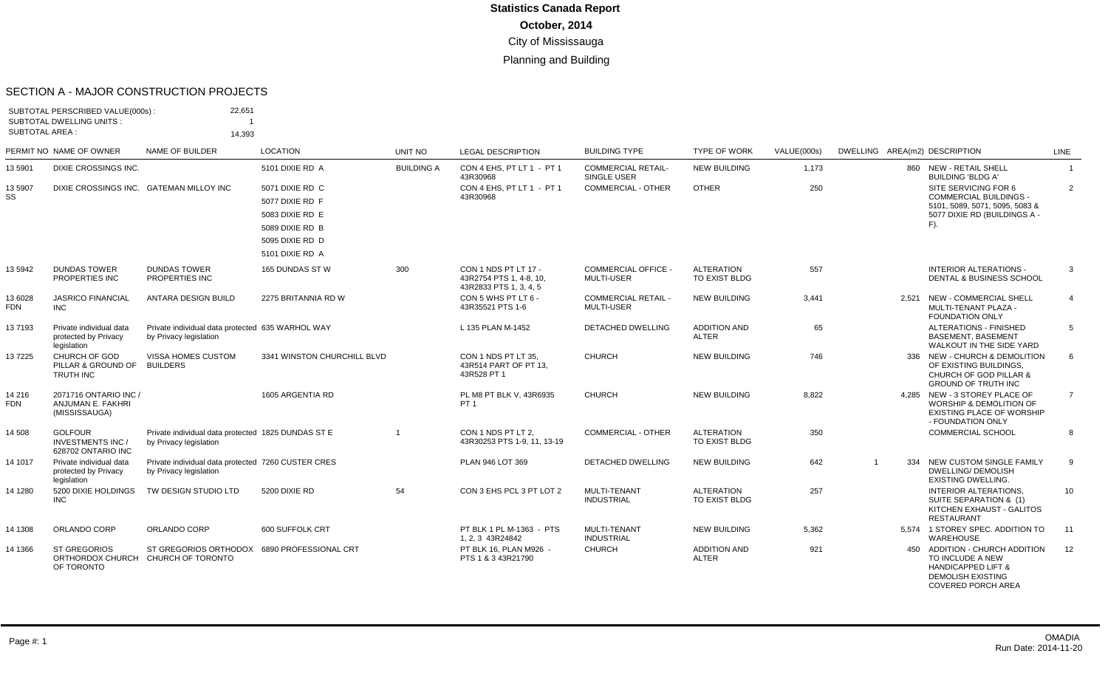#### SECTION A - MAJOR CONSTRUCTION PROJECTS

|                       | SUBTOTAL PERSCRIBED VALUE(000s)<br><b>SUBTOTAL DWELLING UNITS:</b> | 22,651                                                                       |                                                                                                                |                   |                                                                           |                                                 |                                     |                    |                               |                                                                                                                                              |                |
|-----------------------|--------------------------------------------------------------------|------------------------------------------------------------------------------|----------------------------------------------------------------------------------------------------------------|-------------------|---------------------------------------------------------------------------|-------------------------------------------------|-------------------------------------|--------------------|-------------------------------|----------------------------------------------------------------------------------------------------------------------------------------------|----------------|
| <b>SUBTOTAL AREA:</b> |                                                                    | 14.393                                                                       |                                                                                                                |                   |                                                                           |                                                 |                                     |                    |                               |                                                                                                                                              |                |
|                       | PERMIT NO NAME OF OWNER                                            | NAME OF BUILDER                                                              | <b>LOCATION</b>                                                                                                | <b>UNIT NO</b>    | <b>LEGAL DESCRIPTION</b>                                                  | <b>BUILDING TYPE</b>                            | <b>TYPE OF WORK</b>                 | <b>VALUE(000s)</b> | DWELLING AREA(m2) DESCRIPTION |                                                                                                                                              | <b>LINE</b>    |
| 13 5901               | DIXIE CROSSINGS INC.                                               |                                                                              | 5101 DIXIE RD A                                                                                                | <b>BUILDING A</b> | CON 4 EHS. PT LT 1 - PT 1<br>43R30968                                     | <b>COMMERCIAL RETAIL-</b><br>SINGLE USER        | <b>NEW BUILDING</b>                 | 1,173              |                               | 860 NEW - RETAIL SHELL<br><b>BUILDING 'BLDG A'</b>                                                                                           | $\overline{1}$ |
| 13 5907<br>SS         |                                                                    | DIXIE CROSSINGS INC. GATEMAN MILLOY INC                                      | 5071 DIXIE RD C<br>5077 DIXIE RD F<br>5083 DIXIE RD E<br>5089 DIXIE RD B<br>5095 DIXIE RD D<br>5101 DIXIE RD A |                   | CON 4 EHS. PT LT 1 - PT 1<br>43R30968                                     | <b>COMMERCIAL - OTHER</b>                       | <b>OTHER</b>                        | 250                |                               | SITE SERVICING FOR 6<br><b>COMMERCIAL BUILDINGS -</b><br>5101, 5089, 5071, 5095, 5083 &<br>5077 DIXIE RD (BUILDINGS A -<br>$F$ ).            | $\overline{2}$ |
| 13 5942               | <b>DUNDAS TOWER</b><br>PROPERTIES INC                              | <b>DUNDAS TOWER</b><br>PROPERTIES INC                                        | 165 DUNDAS ST W                                                                                                | 300               | CON 1 NDS PT LT 17 -<br>43R2754 PTS 1, 4-8, 10,<br>43R2833 PTS 1, 3, 4, 5 | <b>COMMERCIAL OFFICE -</b><br><b>MULTI-USER</b> | <b>ALTERATION</b><br>TO EXIST BLDG  | 557                |                               | <b>INTERIOR ALTERATIONS -</b><br>DENTAL & BUSINESS SCHOOL                                                                                    | 3              |
| 13 6028<br><b>FDN</b> | <b>JASRICO FINANCIAL</b><br><b>INC</b>                             | ANTARA DESIGN BUILD                                                          | 2275 BRITANNIA RD W                                                                                            |                   | CON 5 WHS PT LT 6 -<br>43R35521 PTS 1-6                                   | <b>COMMERCIAL RETAIL -</b><br><b>MULTI-USER</b> | <b>NEW BUILDING</b>                 | 3,441              |                               | 2.521 NEW - COMMERCIAL SHELL<br>MULTI-TENANT PLAZA -<br><b>FOUNDATION ONLY</b>                                                               | $\overline{4}$ |
| 137193                | Private individual data<br>protected by Privacy<br>legislation     | Private individual data protected 635 WARHOL WAY<br>by Privacy legislation   |                                                                                                                |                   | L 135 PLAN M-1452                                                         | <b>DETACHED DWELLING</b>                        | <b>ADDITION AND</b><br><b>ALTER</b> | 65                 |                               | <b>ALTERATIONS - FINISHED</b><br><b>BASEMENT, BASEMENT</b><br>WALKOUT IN THE SIDE YARD                                                       | 5              |
| 137225                | CHURCH OF GOD<br>PILLAR & GROUND OF<br><b>TRUTH INC</b>            | VISSA HOMES CUSTOM<br><b>BUILDERS</b>                                        | 3341 WINSTON CHURCHILL BLVD                                                                                    |                   | CON 1 NDS PT LT 35,<br>43R514 PART OF PT 13.<br>43R528 PT 1               | <b>CHURCH</b>                                   | <b>NEW BUILDING</b>                 | 746                |                               | 336 NEW - CHURCH & DEMOLITION<br>OF EXISTING BUILDINGS.<br><b>CHURCH OF GOD PILLAR &amp;</b><br><b>GROUND OF TRUTH INC</b>                   | 6              |
| 14 216<br><b>FDN</b>  | 2071716 ONTARIO INC /<br>ANJUMAN E. FAKHRI<br>(MISSISSAUGA)        |                                                                              | 1605 ARGENTIA RD                                                                                               |                   | PL M8 PT BLK V, 43R6935<br>PT <sub>1</sub>                                | <b>CHURCH</b>                                   | <b>NEW BUILDING</b>                 | 8,822              |                               | 4,285 NEW - 3 STOREY PLACE OF<br><b>WORSHIP &amp; DEMOLITION OF</b><br>EXISTING PLACE OF WORSHIP<br>- FOUNDATION ONLY                        | $\overline{7}$ |
| 14 508                | <b>GOLFOUR</b><br><b>INVESTMENTS INC /</b><br>628702 ONTARIO INC   | Private individual data protected 1825 DUNDAS ST E<br>by Privacy legislation |                                                                                                                | $\overline{1}$    | CON 1 NDS PT LT 2.<br>43R30253 PTS 1-9, 11, 13-19                         | <b>COMMERCIAL - OTHER</b>                       | <b>ALTERATION</b><br>TO EXIST BLDG  | 350                |                               | <b>COMMERCIAL SCHOOL</b>                                                                                                                     | 8              |
| 14 1017               | Private individual data<br>protected by Privacy<br>legislation     | Private individual data protected 7260 CUSTER CRES<br>by Privacy legislation |                                                                                                                |                   | PLAN 946 LOT 369                                                          | DETACHED DWELLING                               | <b>NEW BUILDING</b>                 | 642                | $\overline{1}$                | 334 NEW CUSTOM SINGLE FAMILY<br><b>DWELLING/ DEMOLISH</b><br><b>EXISTING DWELLING.</b>                                                       | 9              |
| 14 1280               | 5200 DIXIE HOLDINGS<br><b>INC</b>                                  | TW DESIGN STUDIO LTD                                                         | 5200 DIXIE RD                                                                                                  | 54                | CON 3 EHS PCL 3 PT LOT 2                                                  | <b>MULTI-TENANT</b><br><b>INDUSTRIAL</b>        | <b>ALTERATION</b><br>TO EXIST BLDG  | 257                |                               | <b>INTERIOR ALTERATIONS,</b><br>SUITE SEPARATION & (1)<br>KITCHEN EXHAUST - GALITOS<br><b>RESTAURANT</b>                                     | 10             |
| 14 1308               | ORLANDO CORP                                                       | ORLANDO CORP                                                                 | 600 SUFFOLK CRT                                                                                                |                   | PT BLK 1 PL M-1363 - PTS<br>1, 2, 3 43R24842                              | MULTI-TENANT<br><b>INDUSTRIAL</b>               | <b>NEW BUILDING</b>                 | 5,362              |                               | 5.574 1 STOREY SPEC. ADDITION TO<br><b>WAREHOUSE</b>                                                                                         | 11             |
| 14 1366               | <b>ST GREGORIOS</b><br>ORTHORDOX CHURCH<br>OF TORONTO              | ST GREGORIOS ORTHODOX 6890 PROFESSIONAL CRT<br>CHURCH OF TORONTO             |                                                                                                                |                   | PT BLK 16, PLAN M926 -<br>PTS 1 & 3 43R21790                              | <b>CHURCH</b>                                   | <b>ADDITION AND</b><br><b>ALTER</b> | 921                |                               | 450 ADDITION - CHURCH ADDITION<br>TO INCLUDE A NEW<br><b>HANDICAPPED LIFT &amp;</b><br><b>DEMOLISH EXISTING</b><br><b>COVERED PORCH AREA</b> | 12             |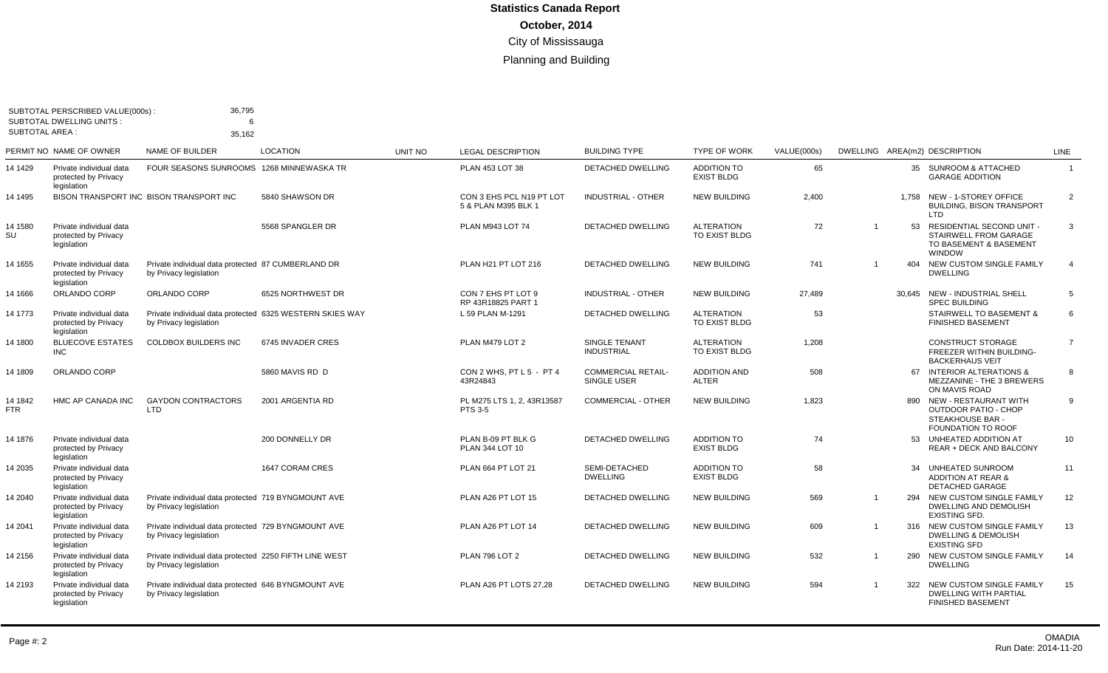|                       | SUBTOTAL PERSCRIBED VALUE(000s):<br><b>SUBTOTAL DWELLING UNITS:</b> | 36,795                                                                             |                   |                |                                                 |                                           |                                         |             |                         |     |                                                                                                           |                |
|-----------------------|---------------------------------------------------------------------|------------------------------------------------------------------------------------|-------------------|----------------|-------------------------------------------------|-------------------------------------------|-----------------------------------------|-------------|-------------------------|-----|-----------------------------------------------------------------------------------------------------------|----------------|
| <b>SUBTOTAL AREA:</b> |                                                                     | 35.162                                                                             |                   |                |                                                 |                                           |                                         |             |                         |     |                                                                                                           |                |
|                       | PERMIT NO NAME OF OWNER                                             | NAME OF BUILDER                                                                    | <b>LOCATION</b>   | <b>UNIT NO</b> | <b>LEGAL DESCRIPTION</b>                        | <b>BUILDING TYPE</b>                      | <b>TYPE OF WORK</b>                     | VALUE(000s) |                         |     | DWELLING AREA(m2) DESCRIPTION                                                                             | LINE           |
| 14 14 29              | Private individual data<br>protected by Privacy<br>legislation      | FOUR SEASONS SUNROOMS 1268 MINNEWASKA TR                                           |                   |                | PLAN 453 LOT 38                                 | <b>DETACHED DWELLING</b>                  | <b>ADDITION TO</b><br><b>EXIST BLDG</b> | 65          |                         |     | 35 SUNROOM & ATTACHED<br><b>GARAGE ADDITION</b>                                                           | $\overline{1}$ |
| 14 14 95              |                                                                     | BISON TRANSPORT INC BISON TRANSPORT INC                                            | 5840 SHAWSON DR   |                | CON 3 EHS PCL N19 PT LOT<br>5 & PLAN M395 BLK 1 | <b>INDUSTRIAL - OTHER</b>                 | <b>NEW BUILDING</b>                     | 2,400       |                         |     | 1,758 NEW - 1-STOREY OFFICE<br><b>BUILDING, BISON TRANSPORT</b><br>LTD                                    | $\overline{2}$ |
| 14 1580<br>SU         | Private individual data<br>protected by Privacy<br>legislation      |                                                                                    | 5568 SPANGLER DR  |                | PLAN M943 LOT 74                                | <b>DETACHED DWELLING</b>                  | <b>ALTERATION</b><br>TO EXIST BLDG      | 72          | $\overline{1}$          | 53  | RESIDENTIAL SECOND UNIT -<br>STAIRWELL FROM GARAGE<br>TO BASEMENT & BASEMENT<br><b>WINDOW</b>             | 3              |
| 14 1655               | Private individual data<br>protected by Privacy<br>legislation      | Private individual data protected 87 CUMBERLAND DR<br>by Privacy legislation       |                   |                | PLAN H21 PT LOT 216                             | <b>DETACHED DWELLING</b>                  | <b>NEW BUILDING</b>                     | 741         | $\overline{1}$          |     | 404 NEW CUSTOM SINGLE FAMILY<br><b>DWELLING</b>                                                           | $\overline{4}$ |
| 14 1666               | ORLANDO CORP                                                        | ORLANDO CORP                                                                       | 6525 NORTHWEST DR |                | CON 7 EHS PT LOT 9<br>RP 43R18825 PART 1        | <b>INDUSTRIAL - OTHER</b>                 | <b>NEW BUILDING</b>                     | 27,489      |                         |     | 30,645 NEW - INDUSTRIAL SHELL<br><b>SPEC BUILDING</b>                                                     | 5              |
| 14 1773               | Private individual data<br>protected by Privacy<br>legislation      | Private individual data protected 6325 WESTERN SKIES WAY<br>by Privacy legislation |                   |                | L 59 PLAN M-1291                                | DETACHED DWELLING                         | <b>ALTERATION</b><br>TO EXIST BLDG      | 53          |                         |     | <b>STAIRWELL TO BASEMENT &amp;</b><br><b>FINISHED BASEMENT</b>                                            | 6              |
| 14 1800               | <b>BLUECOVE ESTATES</b><br><b>INC</b>                               | <b>COLDBOX BUILDERS INC</b>                                                        | 6745 INVADER CRES |                | PLAN M479 LOT 2                                 | <b>SINGLE TENANT</b><br><b>INDUSTRIAL</b> | <b>ALTERATION</b><br>TO EXIST BLDG      | 1,208       |                         |     | <b>CONSTRUCT STORAGE</b><br>FREEZER WITHIN BUILDING-<br><b>BACKERHAUS VEIT</b>                            | $\overline{7}$ |
| 14 1809               | ORLANDO CORP                                                        |                                                                                    | 5860 MAVIS RD D   |                | CON 2 WHS, PT L 5 - PT 4<br>43R24843            | <b>COMMERCIAL RETAIL-</b><br>SINGLE USER  | <b>ADDITION AND</b><br><b>ALTER</b>     | 508         |                         |     | 67 INTERIOR ALTERATIONS &<br>MEZZANINE - THE 3 BREWERS<br>ON MAVIS ROAD                                   | 8              |
| 14 1842<br>FTR        | HMC AP CANADA INC                                                   | <b>GAYDON CONTRACTORS</b><br><b>LTD</b>                                            | 2001 ARGENTIA RD  |                | PL M275 LTS 1, 2, 43R13587<br><b>PTS 3-5</b>    | <b>COMMERCIAL - OTHER</b>                 | <b>NEW BUILDING</b>                     | 1,823       |                         |     | 890 NEW - RESTAURANT WITH<br><b>OUTDOOR PATIO - CHOP</b><br>STEAKHOUSE BAR -<br><b>FOUNDATION TO ROOF</b> | 9              |
| 14 1876               | Private individual data<br>protected by Privacy<br>legislation      |                                                                                    | 200 DONNELLY DR   |                | PLAN B-09 PT BLK G<br>PLAN 344 LOT 10           | <b>DETACHED DWELLING</b>                  | <b>ADDITION TO</b><br><b>EXIST BLDG</b> | 74          |                         | 53  | UNHEATED ADDITION AT<br><b>REAR + DECK AND BALCONY</b>                                                    | 10             |
| 14 2035               | Private individual data<br>protected by Privacy<br>legislation      |                                                                                    | 1647 CORAM CRES   |                | PLAN 664 PT LOT 21                              | SEMI-DETACHED<br><b>DWELLING</b>          | <b>ADDITION TO</b><br><b>EXIST BLDG</b> | 58          |                         |     | 34 UNHEATED SUNROOM<br><b>ADDITION AT REAR &amp;</b><br><b>DETACHED GARAGE</b>                            | 11             |
| 14 2040               | Private individual data<br>protected by Privacy<br>legislation      | Private individual data protected 719 BYNGMOUNT AVE<br>by Privacy legislation      |                   |                | PLAN A26 PT LOT 15                              | DETACHED DWELLING                         | <b>NEW BUILDING</b>                     | 569         |                         |     | 294 NEW CUSTOM SINGLE FAMILY<br>DWELLING AND DEMOLISH<br><b>EXISTING SFD</b>                              | 12             |
| 14 2041               | Private individual data<br>protected by Privacy<br>legislation      | Private individual data protected 729 BYNGMOUNT AVE<br>by Privacy legislation      |                   |                | PLAN A26 PT LOT 14                              | DETACHED DWELLING                         | <b>NEW BUILDING</b>                     | 609         | $\overline{1}$          |     | 316 NEW CUSTOM SINGLE FAMILY<br><b>DWELLING &amp; DEMOLISH</b><br><b>EXISTING SFD</b>                     | 13             |
| 14 2156               | Private individual data<br>protected by Privacy<br>legislation      | Private individual data protected 2250 FIFTH LINE WEST<br>by Privacy legislation   |                   |                | <b>PLAN 796 LOT 2</b>                           | <b>DETACHED DWELLING</b>                  | <b>NEW BUILDING</b>                     | 532         | $\overline{\mathbf{1}}$ | 290 | NEW CUSTOM SINGLE FAMILY<br><b>DWELLING</b>                                                               | 14             |
| 14 2193               | Private individual data<br>protected by Privacy<br>legislation      | Private individual data protected 646 BYNGMOUNT AVE<br>by Privacy legislation      |                   |                | PLAN A26 PT LOTS 27,28                          | DETACHED DWELLING                         | <b>NEW BUILDING</b>                     | 594         | $\overline{1}$          |     | 322 NEW CUSTOM SINGLE FAMILY<br><b>DWELLING WITH PARTIAL</b><br><b>FINISHED BASEMENT</b>                  | 15             |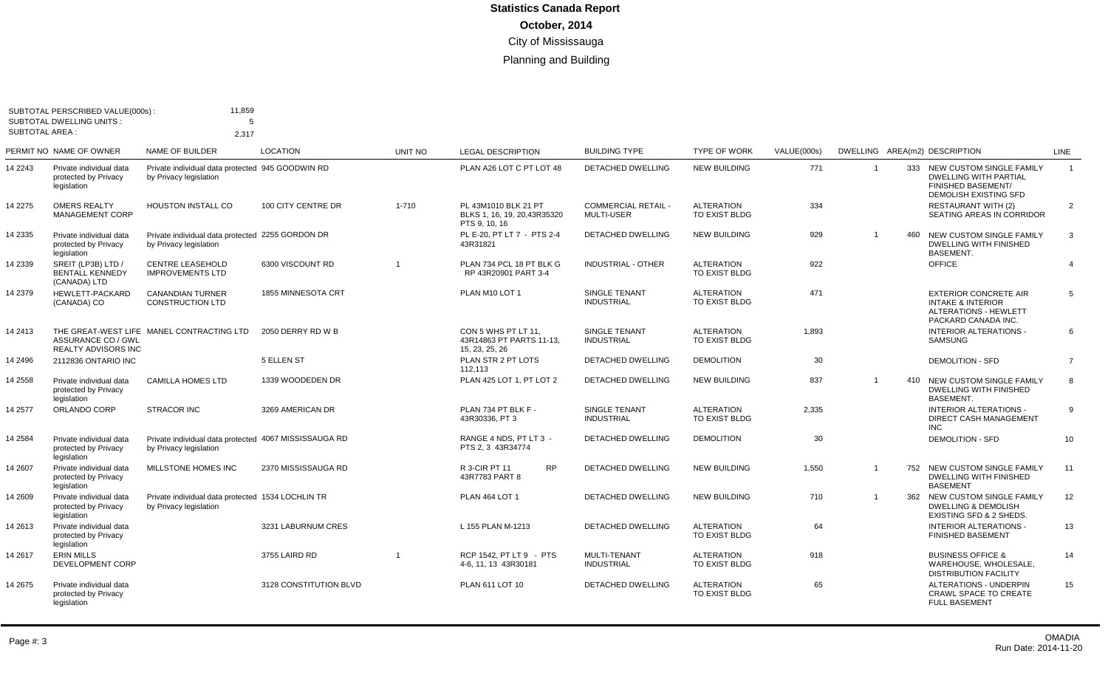| <b>SUBTOTAL AREA:</b> | SUBTOTAL PERSCRIBED VALUE(000s)<br><b>SUBTOTAL DWELLING UNITS:</b> | 11,859<br>5                                                                     |                        |                |                                                                       |                                                 |                                    |             |                |                                                                                                                           |                 |
|-----------------------|--------------------------------------------------------------------|---------------------------------------------------------------------------------|------------------------|----------------|-----------------------------------------------------------------------|-------------------------------------------------|------------------------------------|-------------|----------------|---------------------------------------------------------------------------------------------------------------------------|-----------------|
|                       |                                                                    | 2.317                                                                           |                        |                |                                                                       |                                                 |                                    |             |                |                                                                                                                           |                 |
|                       | PERMIT NO NAME OF OWNER                                            | <b>NAME OF BUILDER</b>                                                          | <b>LOCATION</b>        | <b>UNIT NO</b> | <b>LEGAL DESCRIPTION</b>                                              | <b>BUILDING TYPE</b>                            | <b>TYPE OF WORK</b>                | VALUE(000s) |                | DWELLING AREA(m2) DESCRIPTION                                                                                             | <b>LINE</b>     |
| 14 2243               | Private individual data<br>protected by Privacy<br>legislation     | Private individual data protected 945 GOODWIN RD<br>by Privacy legislation      |                        |                | PLAN A26 LOT C PT LOT 48                                              | <b>DETACHED DWELLING</b>                        | <b>NEW BUILDING</b>                | 771         | 1              | 333 NEW CUSTOM SINGLE FAMILY<br><b>DWELLING WITH PARTIAL</b><br><b>FINISHED BASEMENT/</b><br><b>DEMOLISH EXISTING SFD</b> | $\overline{1}$  |
| 14 2275               | <b>OMERS REALTY</b><br><b>MANAGEMENT CORP</b>                      | <b>HOUSTON INSTALL CO</b>                                                       | 100 CITY CENTRE DR     | $1 - 710$      | PL 43M1010 BLK 21 PT<br>BLKS 1, 16, 19, 20, 43R35320<br>PTS 9, 10, 16 | <b>COMMERCIAL RETAIL -</b><br><b>MULTI-USER</b> | <b>ALTERATION</b><br>TO EXIST BLDG | 334         |                | <b>RESTAURANT WITH (2)</b><br>SEATING AREAS IN CORRIDOR                                                                   | 2               |
| 14 2335               | Private individual data<br>protected by Privacy<br>legislation     | Private individual data protected 2255 GORDON DR<br>by Privacy legislation      |                        |                | PL E-20. PT LT 7 - PTS 2-4<br>43R31821                                | <b>DETACHED DWELLING</b>                        | <b>NEW BUILDING</b>                | 929         | $\overline{1}$ | 460 NEW CUSTOM SINGLE FAMILY<br><b>DWELLING WITH FINISHED</b><br><b>BASEMENT.</b>                                         | $\mathbf{3}$    |
| 14 2339               | SREIT (LP3B) LTD /<br><b>BENTALL KENNEDY</b><br>(CANADA) LTD       | <b>CENTRE LEASEHOLD</b><br><b>IMPROVEMENTS LTD</b>                              | 6300 VISCOUNT RD       | -1             | PLAN 734 PCL 18 PT BLK G<br>RP 43R20901 PART 3-4                      | <b>INDUSTRIAL - OTHER</b>                       | <b>ALTERATION</b><br>TO EXIST BLDG | 922         |                | <b>OFFICE</b>                                                                                                             | $\overline{4}$  |
| 14 2379               | HEWLETT-PACKARD<br>(CANADA) CO                                     | <b>CANANDIAN TURNER</b><br><b>CONSTRUCTION LTD</b>                              | 1855 MINNESOTA CRT     |                | PLAN M10 LOT 1                                                        | SINGLE TENANT<br><b>INDUSTRIAL</b>              | <b>ALTERATION</b><br>TO EXIST BLDG | 471         |                | <b>EXTERIOR CONCRETE AIR</b><br><b>INTAKE &amp; INTERIOR</b><br><b>ALTERATIONS - HEWLETT</b><br>PACKARD CANADA INC.       | 5               |
| 14 2413               | ASSURANCE CO / GWL<br><b>REALTY ADVISORS INC</b>                   | THE GREAT-WEST LIFE MANEL CONTRACTING LTD                                       | 2050 DERRY RD W B      |                | CON 5 WHS PT LT 11,<br>43R14863 PT PARTS 11-13.<br>15, 23, 25, 26     | SINGLE TENANT<br><b>INDUSTRIAL</b>              | <b>ALTERATION</b><br>TO EXIST BLDG | 1,893       |                | <b>INTERIOR ALTERATIONS -</b><br><b>SAMSUNG</b>                                                                           | 6               |
| 14 2496               | 2112836 ONTARIO INC                                                |                                                                                 | 5 ELLEN ST             |                | PLAN STR 2 PT LOTS<br>112,113                                         | DETACHED DWELLING                               | <b>DEMOLITION</b>                  | 30          |                | <b>DEMOLITION - SFD</b>                                                                                                   | $\overline{7}$  |
| 14 2558               | Private individual data<br>protected by Privacy<br>legislation     | <b>CAMILLA HOMES LTD</b>                                                        | 1339 WOODEDEN DR       |                | PLAN 425 LOT 1, PT LOT 2                                              | <b>DETACHED DWELLING</b>                        | <b>NEW BUILDING</b>                | 837         | $\overline{1}$ | 410 NEW CUSTOM SINGLE FAMILY<br><b>DWELLING WITH FINISHED</b><br><b>BASEMENT.</b>                                         | 8               |
| 14 2577               | ORLANDO CORP                                                       | STRACOR INC                                                                     | 3269 AMERICAN DR       |                | PLAN 734 PT BLK F -<br>43R30336, PT 3                                 | SINGLE TENANT<br><b>INDUSTRIAL</b>              | <b>ALTERATION</b><br>TO EXIST BLDG | 2,335       |                | <b>INTERIOR ALTERATIONS</b><br>DIRECT CASH MANAGEMENT<br><b>INC</b>                                                       | 9               |
| 14 2584               | Private individual data<br>protected by Privacy<br>legislation     | Private individual data protected 4067 MISSISSAUGA RD<br>by Privacy legislation |                        |                | RANGE 4 NDS. PT LT 3 -<br>PTS 2.3 43R34774                            | <b>DETACHED DWELLING</b>                        | <b>DEMOLITION</b>                  | 30          |                | <b>DEMOLITION - SFD</b>                                                                                                   | 10 <sup>°</sup> |
| 14 2607               | Private individual data<br>protected by Privacy<br>legislation     | MILLSTONE HOMES INC                                                             | 2370 MISSISSAUGA RD    |                | R 3-CIR PT 11<br><b>RP</b><br>43R7783 PART 8                          | DETACHED DWELLING                               | <b>NEW BUILDING</b>                | 1,550       |                | 752 NEW CUSTOM SINGLE FAMILY<br><b>DWELLING WITH FINISHED</b><br><b>BASEMENT</b>                                          | 11              |
| 14 2609               | Private individual data<br>protected by Privacy<br>legislation     | Private individual data protected 1534 LOCHLIN TR<br>by Privacy legislation     |                        |                | <b>PLAN 464 LOT 1</b>                                                 | <b>DETACHED DWELLING</b>                        | <b>NEW BUILDING</b>                | 710         | 1              | 362 NEW CUSTOM SINGLE FAMILY<br><b>DWELLING &amp; DEMOLISH</b><br>EXISTING SFD & 2 SHEDS.                                 | 12 <sup>2</sup> |
| 14 2613               | Private individual data<br>protected by Privacy<br>legislation     |                                                                                 | 3231 LABURNUM CRES     |                | L 155 PLAN M-1213                                                     | <b>DETACHED DWELLING</b>                        | <b>ALTERATION</b><br>TO EXIST BLDG | 64          |                | <b>INTERIOR ALTERATIONS -</b><br><b>FINISHED BASEMENT</b>                                                                 | 13              |
| 14 2617               | <b>ERIN MILLS</b><br>DEVELOPMENT CORP                              |                                                                                 | 3755 LAIRD RD          |                | RCP 1542, PT LT 9 - PTS<br>4-6, 11, 13 43R30181                       | MULTI-TENANT<br><b>INDUSTRIAL</b>               | <b>ALTERATION</b><br>TO EXIST BLDG | 918         |                | <b>BUSINESS OFFICE &amp;</b><br>WAREHOUSE, WHOLESALE,<br><b>DISTRIBUTION FACILITY</b>                                     | 14              |
| 14 2675               | Private individual data<br>protected by Privacy<br>legislation     |                                                                                 | 3128 CONSTITUTION BLVD |                | PLAN 611 LOT 10                                                       | <b>DETACHED DWELLING</b>                        | <b>ALTERATION</b><br>TO EXIST BLDG | 65          |                | <b>ALTERATIONS - UNDERPIN</b><br><b>CRAWL SPACE TO CREATE</b><br><b>FULL BASEMENT</b>                                     | 15              |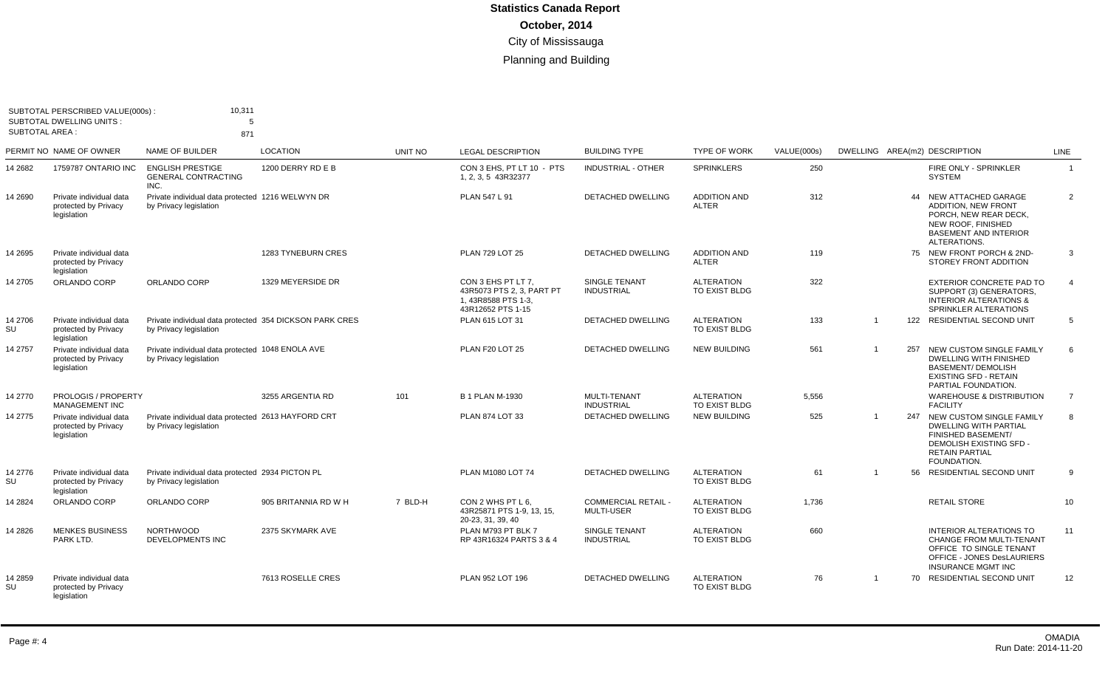| <b>SUBTOTAL AREA:</b> | SUBTOTAL PERSCRIBED VALUE(000s):<br><b>SUBTOTAL DWELLING UNITS:</b> | 10,311<br>5                                                                       |                           |         |                                                                                             |                                                 |                                     |             |                               |     |                                                                                                                                                              |                |
|-----------------------|---------------------------------------------------------------------|-----------------------------------------------------------------------------------|---------------------------|---------|---------------------------------------------------------------------------------------------|-------------------------------------------------|-------------------------------------|-------------|-------------------------------|-----|--------------------------------------------------------------------------------------------------------------------------------------------------------------|----------------|
|                       | PERMIT NO NAME OF OWNER                                             | 871<br>NAME OF BUILDER                                                            | <b>LOCATION</b>           | UNIT NO | <b>LEGAL DESCRIPTION</b>                                                                    | <b>BUILDING TYPE</b>                            | <b>TYPE OF WORK</b>                 | VALUE(000s) | DWELLING AREA(m2) DESCRIPTION |     |                                                                                                                                                              | <b>LINE</b>    |
| 14 2682               | 1759787 ONTARIO INC                                                 | <b>ENGLISH PRESTIGE</b><br><b>GENERAL CONTRACTING</b><br>INC.                     | 1200 DERRY RD E B         |         | CON 3 EHS, PT LT 10 - PTS<br>1, 2, 3, 5 43R32377                                            | <b>INDUSTRIAL - OTHER</b>                       | <b>SPRINKLERS</b>                   | 250         |                               |     | FIRE ONLY - SPRINKLER<br><b>SYSTEM</b>                                                                                                                       | $\overline{1}$ |
| 14 2690               | Private individual data<br>protected by Privacy<br>legislation      | Private individual data protected 1216 WELWYN DR<br>by Privacy legislation        |                           |         | PLAN 547 L 91                                                                               | <b>DETACHED DWELLING</b>                        | <b>ADDITION AND</b><br><b>ALTER</b> | 312         |                               | 44  | NEW ATTACHED GARAGE<br><b>ADDITION, NEW FRONT</b><br>PORCH, NEW REAR DECK,<br>NEW ROOF, FINISHED<br><b>BASEMENT AND INTERIOR</b><br>ALTERATIONS.             | 2              |
| 14 2695               | Private individual data<br>protected by Privacy<br>legislation      |                                                                                   | <b>1283 TYNEBURN CRES</b> |         | PLAN 729 LOT 25                                                                             | <b>DETACHED DWELLING</b>                        | <b>ADDITION AND</b><br><b>ALTER</b> | 119         |                               |     | 75 NEW FRONT PORCH & 2ND-<br>STOREY FRONT ADDITION                                                                                                           | 3              |
| 14 2705               | ORLANDO CORP                                                        | ORLANDO CORP                                                                      | 1329 MEYERSIDE DR         |         | CON 3 EHS PT LT 7.<br>43R5073 PTS 2, 3, PART PT<br>1, 43R8588 PTS 1-3,<br>43R12652 PTS 1-15 | SINGLE TENANT<br><b>INDUSTRIAL</b>              | <b>ALTERATION</b><br>TO EXIST BLDG  | 322         |                               |     | EXTERIOR CONCRETE PAD TO<br>SUPPORT (3) GENERATORS,<br><b>INTERIOR ALTERATIONS &amp;</b><br>SPRINKLER ALTERATIONS                                            | $\overline{4}$ |
| 14 2706<br>SU         | Private individual data<br>protected by Privacy<br>legislation      | Private individual data protected 354 DICKSON PARK CRES<br>by Privacy legislation |                           |         | PLAN 615 LOT 31                                                                             | DETACHED DWELLING                               | <b>ALTERATION</b><br>TO EXIST BLDG  | 133         | $\overline{1}$                | 122 | RESIDENTIAL SECOND UNIT                                                                                                                                      | 5              |
| 14 2757               | Private individual data<br>protected by Privacy<br>legislation      | Private individual data protected 1048 ENOLA AVE<br>by Privacy legislation        |                           |         | PLAN F20 LOT 25                                                                             | <b>DETACHED DWELLING</b>                        | <b>NEW BUILDING</b>                 | 561         |                               | 257 | NEW CUSTOM SINGLE FAMILY<br><b>DWELLING WITH FINISHED</b><br><b>BASEMENT/ DEMOLISH</b><br><b>EXISTING SFD - RETAIN</b><br>PARTIAL FOUNDATION.                | 6              |
| 14 2770               | PROLOGIS / PROPERTY<br><b>MANAGEMENT INC</b>                        |                                                                                   | 3255 ARGENTIA RD          | 101     | <b>B 1 PLAN M-1930</b>                                                                      | MULTI-TENANT<br><b>INDUSTRIAL</b>               | <b>ALTERATION</b><br>TO EXIST BLDG  | 5,556       |                               |     | <b>WAREHOUSE &amp; DISTRIBUTION</b><br><b>FACILITY</b>                                                                                                       | $\overline{7}$ |
| 14 2775               | Private individual data<br>protected by Privacy<br>legislation      | Private individual data protected 2613 HAYFORD CRT<br>by Privacy legislation      |                           |         | PLAN 874 LOT 33                                                                             | <b>DETACHED DWELLING</b>                        | <b>NEW BUILDING</b>                 | 525         | $\overline{1}$                |     | 247 NEW CUSTOM SINGLE FAMILY<br><b>DWELLING WITH PARTIAL</b><br><b>FINISHED BASEMENT/</b><br>DEMOLISH EXISTING SFD -<br><b>RETAIN PARTIAL</b><br>FOUNDATION. | 8              |
| 14 2776<br>SU         | Private individual data<br>protected by Privacy<br>legislation      | Private individual data protected 2934 PICTON PL<br>by Privacy legislation        |                           |         | PLAN M1080 LOT 74                                                                           | <b>DETACHED DWELLING</b>                        | <b>ALTERATION</b><br>TO EXIST BLDG  | 61          | $\overline{1}$                | 56  | RESIDENTIAL SECOND UNIT                                                                                                                                      | 9              |
| 14 2824               | ORLANDO CORP                                                        | ORLANDO CORP                                                                      | 905 BRITANNIA RD W H      | 7 BLD-H | CON 2 WHS PT L 6,<br>43R25871 PTS 1-9, 13, 15,<br>20-23, 31, 39, 40                         | <b>COMMERCIAL RETAIL -</b><br><b>MULTI-USER</b> | <b>ALTERATION</b><br>TO EXIST BLDG  | 1,736       |                               |     | <b>RETAIL STORE</b>                                                                                                                                          | 10             |
| 14 2826               | <b>MENKES BUSINESS</b><br>PARK LTD.                                 | <b>NORTHWOOD</b><br>DEVELOPMENTS INC                                              | 2375 SKYMARK AVE          |         | PLAN M793 PT BLK 7<br>RP 43R16324 PARTS 3 & 4                                               | SINGLE TENANT<br><b>INDUSTRIAL</b>              | <b>ALTERATION</b><br>TO EXIST BLDG  | 660         |                               |     | <b>INTERIOR ALTERATIONS TO</b><br><b>CHANGE FROM MULTI-TENANT</b><br>OFFICE TO SINGLE TENANT<br>OFFICE - JONES DesLAURIERS<br><b>INSURANCE MGMT INC</b>      | 11             |
| 14 2859<br>SU         | Private individual data<br>protected by Privacy<br>legislation      |                                                                                   | 7613 ROSELLE CRES         |         | PLAN 952 LOT 196                                                                            | <b>DETACHED DWELLING</b>                        | <b>ALTERATION</b><br>TO EXIST BLDG  | 76          | $\overline{1}$                |     | 70 RESIDENTIAL SECOND UNIT                                                                                                                                   | 12             |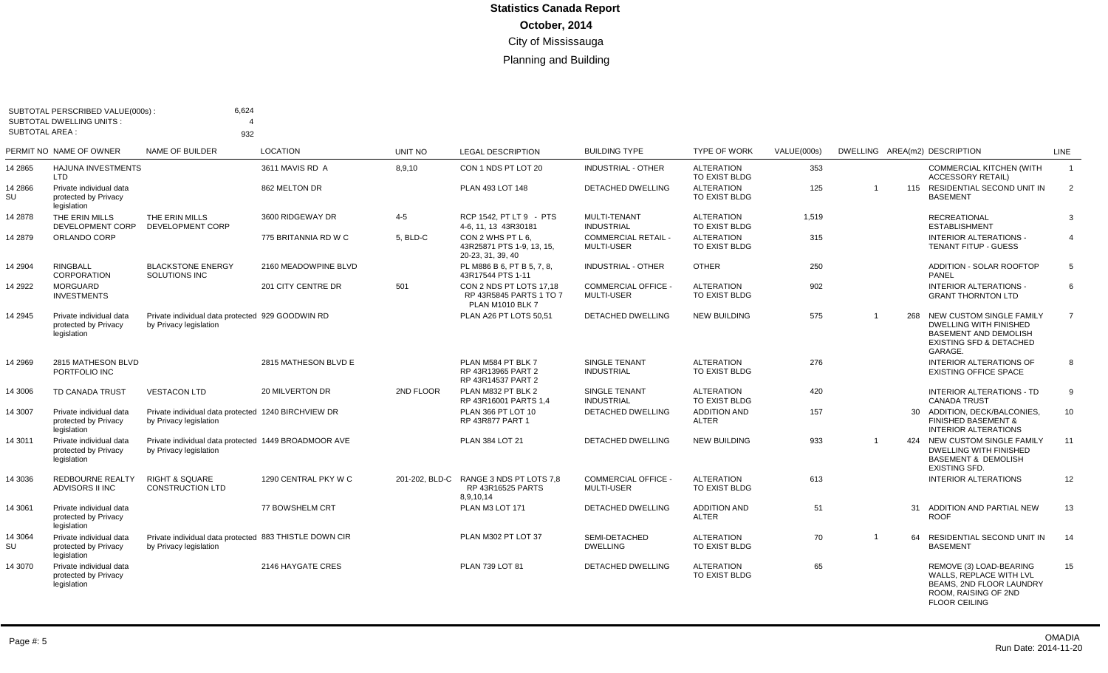| <b>SUBTOTAL AREA:</b> | SUBTOTAL PERSCRIBED VALUE(000s):<br><b>SUBTOTAL DWELLING UNITS:</b> | 6,624                                                                            |                      |           |                                                                                 |                                               |                                    |             |                |     |                                                                                                                                            |                |
|-----------------------|---------------------------------------------------------------------|----------------------------------------------------------------------------------|----------------------|-----------|---------------------------------------------------------------------------------|-----------------------------------------------|------------------------------------|-------------|----------------|-----|--------------------------------------------------------------------------------------------------------------------------------------------|----------------|
|                       | PERMIT NO NAME OF OWNER                                             | 932<br>NAME OF BUILDER                                                           | <b>LOCATION</b>      | UNIT NO   | <b>LEGAL DESCRIPTION</b>                                                        | <b>BUILDING TYPE</b>                          | <b>TYPE OF WORK</b>                | VALUE(000s) |                |     | DWELLING AREA(m2) DESCRIPTION                                                                                                              | LINE           |
| 14 2865               | HAJUNA INVESTMENTS<br>LTD                                           |                                                                                  | 3611 MAVIS RD A      | 8,9,10    | CON 1 NDS PT LOT 20                                                             | INDUSTRIAL - OTHER                            | <b>ALTERATION</b><br>TO EXIST BLDG | 353         |                |     | <b>COMMERCIAL KITCHEN (WITH</b><br><b>ACCESSORY RETAIL)</b>                                                                                | $\overline{1}$ |
| 14 2866<br>SU         | Private individual data<br>protected by Privacy<br>legislation      |                                                                                  | 862 MELTON DR        |           | PLAN 493 LOT 148                                                                | <b>DETACHED DWELLING</b>                      | <b>ALTERATION</b><br>TO EXIST BLDG | 125         | $\overline{1}$ |     | 115 RESIDENTIAL SECOND UNIT IN<br><b>BASEMENT</b>                                                                                          | 2              |
| 14 2878               | THE ERIN MILLS<br>DEVELOPMENT CORP                                  | THE ERIN MILLS<br><b>DEVELOPMENT CORP</b>                                        | 3600 RIDGEWAY DR     | $4 - 5$   | RCP 1542, PT LT 9 - PTS<br>4-6, 11, 13 43R30181                                 | <b>MULTI-TENANT</b><br><b>INDUSTRIAL</b>      | <b>ALTERATION</b><br>TO EXIST BLDG | 1.519       |                |     | <b>RECREATIONAL</b><br><b>ESTABLISHMENT</b>                                                                                                | -3             |
| 14 2879               | ORLANDO CORP                                                        |                                                                                  | 775 BRITANNIA RD W C | 5. BLD-C  | CON 2 WHS PT L 6.<br>43R25871 PTS 1-9, 13, 15,<br>20-23, 31, 39, 40             | <b>COMMERCIAL RETAIL</b><br><b>MULTI-USER</b> | <b>ALTERATION</b><br>TO EXIST BLDG | 315         |                |     | INTERIOR ALTERATIONS<br><b>TENANT FITUP - GUESS</b>                                                                                        | $\overline{4}$ |
| 14 2904               | <b>RINGBALL</b><br>CORPORATION                                      | <b>BLACKSTONE ENERGY</b><br>SOLUTIONS INC                                        | 2160 MEADOWPINE BLVD |           | PL M886 B 6, PT B 5, 7, 8.<br>43R17544 PTS 1-11                                 | <b>INDUSTRIAL - OTHER</b>                     | <b>OTHER</b>                       | 250         |                |     | ADDITION - SOLAR ROOFTOP<br>PANEL                                                                                                          | 5              |
| 14 2922               | <b>MORGUARD</b><br><b>INVESTMENTS</b>                               |                                                                                  | 201 CITY CENTRE DR   | 501       | CON 2 NDS PT LOTS 17.18<br>RP 43R5845 PARTS 1 TO 7<br><b>PLAN M1010 BLK 7</b>   | <b>COMMERCIAL OFFICE</b><br><b>MULTI-USER</b> | <b>ALTERATION</b><br>TO EXIST BLDG | 902         |                |     | <b>INTERIOR ALTERATIONS -</b><br><b>GRANT THORNTON LTD</b>                                                                                 | 6              |
| 14 2945               | Private individual data<br>protected by Privacy<br>legislation      | Private individual data protected 929 GOODWIN RD<br>by Privacy legislation       |                      |           | PLAN A26 PT LOTS 50.51                                                          | <b>DETACHED DWELLING</b>                      | <b>NEW BUILDING</b>                | 575         | $\overline{1}$ | 268 | NEW CUSTOM SINGLE FAMILY<br><b>DWELLING WITH FINISHED</b><br><b>BASEMENT AND DEMOLISH</b><br><b>EXISTING SFD &amp; DETACHED</b><br>GARAGE. | $\overline{7}$ |
| 14 2969               | 2815 MATHESON BLVD<br>PORTFOLIO INC                                 |                                                                                  | 2815 MATHESON BLVD E |           | PLAN M584 PT BLK 7<br>RP 43R13965 PART 2<br>RP 43R14537 PART 2                  | <b>SINGLE TENANT</b><br><b>INDUSTRIAL</b>     | <b>ALTERATION</b><br>TO EXIST BLDG | 276         |                |     | <b>INTERIOR ALTERATIONS OF</b><br><b>EXISTING OFFICE SPACE</b>                                                                             | -8             |
| 14 3006               | <b>TD CANADA TRUST</b>                                              | <b>VESTACON LTD</b>                                                              | 20 MILVERTON DR      | 2ND FLOOR | PLAN M832 PT BLK 2<br>RP 43R16001 PARTS 1,4                                     | SINGLE TENANT<br><b>INDUSTRIAL</b>            | <b>ALTERATION</b><br>TO EXIST BLDG | 420         |                |     | <b>INTERIOR ALTERATIONS - TD</b><br><b>CANADA TRUST</b>                                                                                    | 9              |
| 14 3007               | Private individual data<br>protected by Privacy<br>legislation      | Private individual data protected 1240 BIRCHVIEW DR<br>by Privacy legislation    |                      |           | PLAN 366 PT LOT 10<br>RP 43R877 PART 1                                          | <b>DETACHED DWELLING</b>                      | <b>ADDITION AND</b><br>ALTER       | 157         |                |     | 30 ADDITION, DECK/BALCONIES,<br><b>FINISHED BASEMENT &amp;</b><br><b>INTERIOR ALTERATIONS</b>                                              | 10             |
| 14 3011               | Private individual data<br>protected by Privacy<br>legislation      | Private individual data protected 1449 BROADMOOR AVE<br>by Privacy legislation   |                      |           | PLAN 384 LOT 21                                                                 | <b>DETACHED DWELLING</b>                      | <b>NEW BUILDING</b>                | 933         | $\overline{1}$ |     | 424 NEW CUSTOM SINGLE FAMILY<br><b>DWELLING WITH FINISHED</b><br><b>BASEMENT &amp; DEMOLISH</b><br><b>EXISTING SFD.</b>                    | 11             |
| 14 3036               | <b>REDBOURNE REALTY</b><br>ADVISORS II INC                          | <b>RIGHT &amp; SQUARE</b><br><b>CONSTRUCTION LTD</b>                             | 1290 CENTRAL PKY W C |           | 201-202, BLD-C RANGE 3 NDS PT LOTS 7,8<br><b>RP 43R16525 PARTS</b><br>8,9,10,14 | <b>COMMERCIAL OFFICE</b><br><b>MULTI-USER</b> | <b>ALTERATION</b><br>TO EXIST BLDG | 613         |                |     | <b>INTERIOR ALTERATIONS</b>                                                                                                                | 12             |
| 14 3061               | Private individual data<br>protected by Privacy<br>legislation      |                                                                                  | 77 BOWSHELM CRT      |           | PLAN M3 LOT 171                                                                 | <b>DETACHED DWELLING</b>                      | <b>ADDITION AND</b><br>ALTER       | 51          |                | 31  | ADDITION AND PARTIAL NEW<br><b>ROOF</b>                                                                                                    | 13             |
| 14 3064<br>SU         | Private individual data<br>protected by Privacy<br>legislation      | Private individual data protected 883 THISTLE DOWN CIR<br>by Privacy legislation |                      |           | PLAN M302 PT LOT 37                                                             | SEMI-DETACHED<br><b>DWELLING</b>              | <b>ALTERATION</b><br>TO EXIST BLDG | 70          | $\overline{1}$ |     | 64 RESIDENTIAL SECOND UNIT IN<br><b>BASEMENT</b>                                                                                           | 14             |
| 14 3070               | Private individual data<br>protected by Privacy<br>legislation      |                                                                                  | 2146 HAYGATE CRES    |           | PLAN 739 LOT 81                                                                 | <b>DETACHED DWELLING</b>                      | <b>ALTERATION</b><br>TO EXIST BLDG | 65          |                |     | REMOVE (3) LOAD-BEARING<br>WALLS, REPLACE WITH LVL<br><b>BEAMS, 2ND FLOOR LAUNDRY</b><br>ROOM, RAISING OF 2ND<br><b>FLOOR CEILING</b>      | 15             |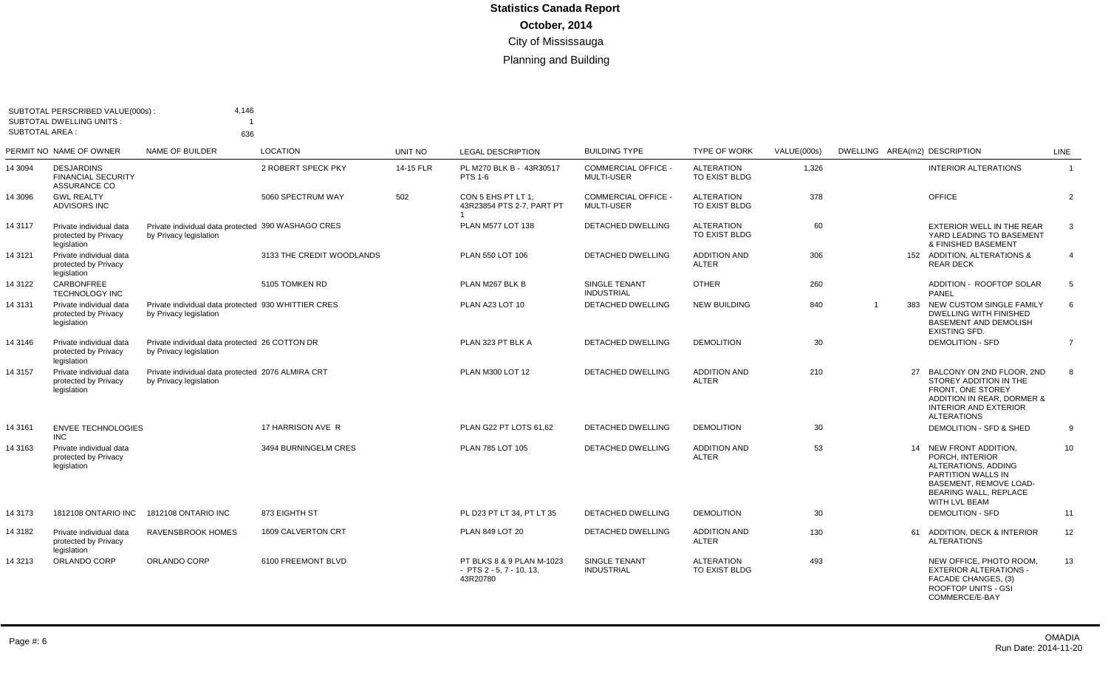| SUBTOTAL AREA : | SUBTOTAL PERSCRIBED VALUE(000s):<br><b>SUBTOTAL DWELLING UNITS:</b> | 4,146<br>636                                                                  |                           |           |                                                                         |                                                 |                                           |             |                               |     |                                                                                                                                                                          |                |
|-----------------|---------------------------------------------------------------------|-------------------------------------------------------------------------------|---------------------------|-----------|-------------------------------------------------------------------------|-------------------------------------------------|-------------------------------------------|-------------|-------------------------------|-----|--------------------------------------------------------------------------------------------------------------------------------------------------------------------------|----------------|
|                 | PERMIT NO NAME OF OWNER                                             | NAME OF BUILDER                                                               | <b>LOCATION</b>           | UNIT NO   | <b>LEGAL DESCRIPTION</b>                                                | <b>BUILDING TYPE</b>                            | <b>TYPE OF WORK</b>                       | VALUE(000s) | DWELLING AREA(m2) DESCRIPTION |     |                                                                                                                                                                          | LINE           |
| 14 3094         | <b>DESJARDINS</b><br><b>FINANCIAL SECURITY</b><br>ASSURANCE CO      |                                                                               | 2 ROBERT SPECK PKY        | 14-15 FLR | PL M270 BLK B - 43R30517<br><b>PTS 1-6</b>                              | <b>COMMERCIAL OFFICE -</b><br><b>MULTI-USER</b> | <b>ALTERATION</b><br>TO EXIST BLDG        | 1,326       |                               |     | <b>INTERIOR ALTERATIONS</b>                                                                                                                                              | $\overline{1}$ |
| 14 3096         | <b>GWL REALTY</b><br>ADVISORS INC                                   |                                                                               | 5060 SPECTRUM WAY         | 502       | CON 5 EHS PT LT 1.<br>43R23854 PTS 2-7, PART PT                         | <b>COMMERCIAL OFFICE -</b><br>MULTI-USER        | <b>ALTERATION</b><br><b>TO EXIST BLDG</b> | 378         |                               |     | <b>OFFICE</b>                                                                                                                                                            | 2              |
| 14 3117         | Private individual data<br>protected by Privacy<br>legislation      | Private individual data protected 390 WASHAGO CRES<br>by Privacy legislation  |                           |           | PLAN M577 LOT 138                                                       | <b>DETACHED DWELLING</b>                        | <b>ALTERATION</b><br>TO EXIST BLDG        | 60          |                               |     | <b>EXTERIOR WELL IN THE REAR</b><br>YARD LEADING TO BASEMENT<br>& FINISHED BASEMENT                                                                                      | 3              |
| 143121          | Private individual data<br>protected by Privacy<br>legislation      |                                                                               | 3133 THE CREDIT WOODLANDS |           | PLAN 550 LOT 106                                                        | <b>DETACHED DWELLING</b>                        | <b>ADDITION AND</b><br><b>ALTER</b>       | 306         |                               |     | 152 ADDITION, ALTERATIONS &<br><b>REAR DECK</b>                                                                                                                          | $\overline{4}$ |
| 14 3122         | <b>CARBONFREE</b><br><b>TECHNOLOGY INC</b>                          |                                                                               | 5105 TOMKEN RD            |           | PLAN M267 BLK B                                                         | SINGLE TENANT<br><b>INDUSTRIAL</b>              | <b>OTHER</b>                              | 260         |                               |     | ADDITION - ROOFTOP SOLAR<br>PANEL                                                                                                                                        | 5              |
| 143131          | Private individual data<br>protected by Privacy<br>legislation      | Private individual data protected 930 WHITTIER CRES<br>by Privacy legislation |                           |           | PLAN A23 LOT 10                                                         | <b>DETACHED DWELLING</b>                        | <b>NEW BUILDING</b>                       | 840         | $\overline{1}$                | 383 | NEW CUSTOM SINGLE FAMILY<br>DWELLING WITH FINISHED<br><b>BASEMENT AND DEMOLISH</b><br><b>EXISTING SFD.</b>                                                               | 6              |
| 14 3146         | Private individual data<br>protected by Privacy<br>legislation      | Private individual data protected 26 COTTON DR<br>by Privacy legislation      |                           |           | PLAN 323 PT BLK A                                                       | <b>DETACHED DWELLING</b>                        | <b>DEMOLITION</b>                         | 30          |                               |     | <b>DEMOLITION - SFD</b>                                                                                                                                                  | $\overline{7}$ |
| 14 3157         | Private individual data<br>protected by Privacy<br>legislation      | Private individual data protected 2076 ALMIRA CRT<br>by Privacy legislation   |                           |           | PLAN M300 LOT 12                                                        | <b>DETACHED DWELLING</b>                        | <b>ADDITION AND</b><br><b>ALTER</b>       | 210         |                               | 27  | BALCONY ON 2ND FLOOR, 2ND<br>STOREY ADDITION IN THE<br><b>FRONT. ONE STOREY</b><br>ADDITION IN REAR, DORMER &<br><b>INTERIOR AND EXTERIOR</b><br><b>ALTERATIONS</b>      | 8              |
| 14 3161         | <b>ENVEE TECHNOLOGIES</b><br><b>INC</b>                             |                                                                               | 17 HARRISON AVE R         |           | PLAN G22 PT LOTS 61.62                                                  | <b>DETACHED DWELLING</b>                        | <b>DEMOLITION</b>                         | 30          |                               |     | DEMOLITION - SFD & SHED                                                                                                                                                  | 9              |
| 14 3163         | Private individual data<br>protected by Privacy<br>legislation      |                                                                               | 3494 BURNINGELM CRES      |           | PLAN 785 LOT 105                                                        | <b>DETACHED DWELLING</b>                        | <b>ADDITION AND</b><br><b>ALTER</b>       | 53          |                               |     | 14 NEW FRONT ADDITION.<br>PORCH, INTERIOR<br>ALTERATIONS, ADDING<br>PARTITION WALLS IN<br><b>BASEMENT, REMOVE LOAD-</b><br><b>BEARING WALL, REPLACE</b><br>WITH LVL BEAM | 10             |
| 14 3173         | 1812108 ONTARIO INC                                                 | 1812108 ONTARIO INC                                                           | 873 EIGHTH ST             |           | PL D23 PT LT 34, PT LT 35                                               | DETACHED DWELLING                               | <b>DEMOLITION</b>                         | 30          |                               |     | <b>DEMOLITION - SFD</b>                                                                                                                                                  | 11             |
| 14 3182         | Private individual data<br>protected by Privacy<br>legislation      | <b>RAVENSBROOK HOMES</b>                                                      | 1609 CALVERTON CRT        |           | PLAN 849 LOT 20                                                         | <b>DETACHED DWELLING</b>                        | <b>ADDITION AND</b><br><b>ALTER</b>       | 130         |                               | 61  | ADDITION, DECK & INTERIOR<br><b>ALTERATIONS</b>                                                                                                                          | 12             |
| 14 3213         | ORLANDO CORP                                                        | ORLANDO CORP                                                                  | 6100 FREEMONT BLVD        |           | PT BLKS 8 & 9 PLAN M-1023<br>$-$ PTS 2 $-$ 5, 7 $-$ 10, 13,<br>43R20780 | SINGLE TENANT<br><b>INDUSTRIAL</b>              | ALTERATION<br>TO EXIST BLDG               | 493         |                               |     | NEW OFFICE, PHOTO ROOM,<br><b>EXTERIOR ALTERATIONS -</b><br>FACADE CHANGES, (3)<br><b>ROOFTOP UNITS - GSI</b><br>COMMERCE/E-BAY                                          | 13             |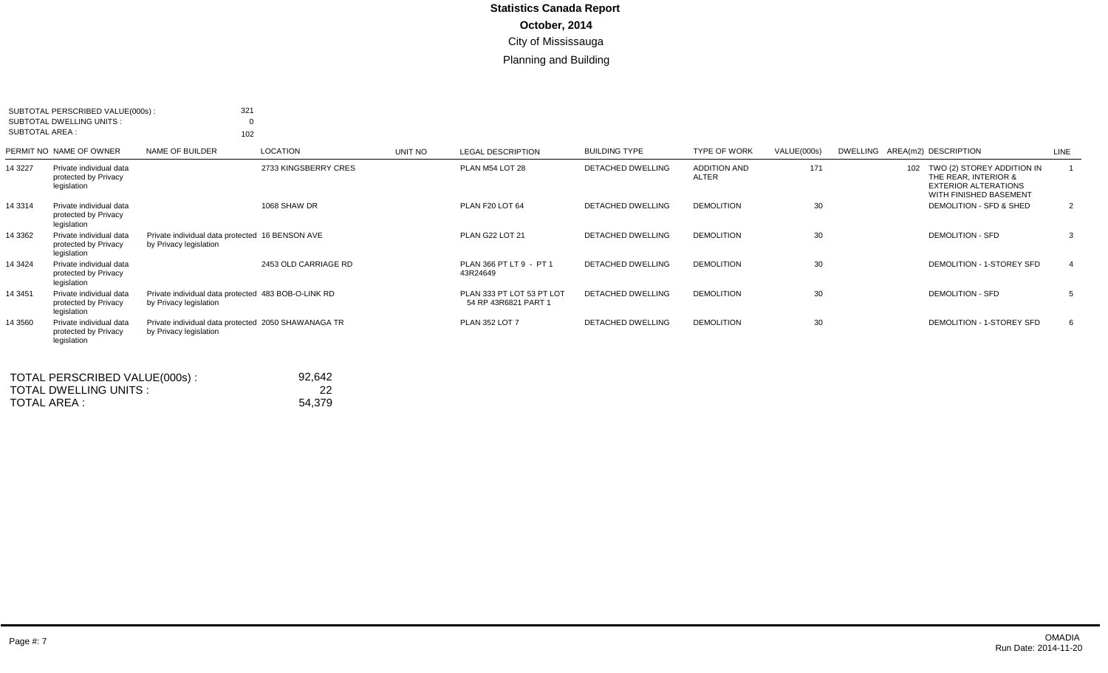| SUBTOTAL AREA : | SUBTOTAL PERSCRIBED VALUE(000s):<br>SUBTOTAL DWELLING UNITS:   | 321<br>102                                                                    |                      |         |                                                   |                          |                              |             |                               |                                                                                                                 |                |
|-----------------|----------------------------------------------------------------|-------------------------------------------------------------------------------|----------------------|---------|---------------------------------------------------|--------------------------|------------------------------|-------------|-------------------------------|-----------------------------------------------------------------------------------------------------------------|----------------|
|                 | PERMIT NO NAME OF OWNER                                        | NAME OF BUILDER                                                               | <b>LOCATION</b>      | UNIT NO | <b>LEGAL DESCRIPTION</b>                          | <b>BUILDING TYPE</b>     | <b>TYPE OF WORK</b>          | VALUE(000s) | DWELLING AREA(m2) DESCRIPTION |                                                                                                                 | <b>LINE</b>    |
| 14 3227         | Private individual data<br>protected by Privacy<br>legislation |                                                                               | 2733 KINGSBERRY CRES |         | PLAN M54 LOT 28                                   | DETACHED DWELLING        | <b>ADDITION AND</b><br>ALTER | 171         |                               | 102 TWO (2) STOREY ADDITION IN<br>THE REAR, INTERIOR &<br><b>EXTERIOR ALTERATIONS</b><br>WITH FINISHED BASEMENT |                |
| 14 3314         | Private individual data<br>protected by Privacy<br>legislation |                                                                               | 1068 SHAW DR         |         | PLAN F20 LOT 64                                   | <b>DETACHED DWELLING</b> | <b>DEMOLITION</b>            | 30          |                               | DEMOLITION - SFD & SHED                                                                                         | $\overline{2}$ |
| 14 3362         | Private individual data<br>protected by Privacy<br>legislation | Private individual data protected 16 BENSON AVE<br>by Privacy legislation     |                      |         | PLAN G22 LOT 21                                   | DETACHED DWELLING        | <b>DEMOLITION</b>            | 30          |                               | <b>DEMOLITION - SFD</b>                                                                                         | 3              |
| 14 3424         | Private individual data<br>protected by Privacy<br>legislation |                                                                               | 2453 OLD CARRIAGE RD |         | PLAN 366 PT LT 9 - PT 1<br>43R24649               | <b>DETACHED DWELLING</b> | <b>DEMOLITION</b>            | 30          |                               | DEMOLITION - 1-STOREY SFD                                                                                       | $\mathbf{A}$   |
| 14 3451         | Private individual data<br>protected by Privacy<br>legislation | Private individual data protected 483 BOB-O-LINK RD<br>by Privacy legislation |                      |         | PLAN 333 PT LOT 53 PT LOT<br>54 RP 43R6821 PART 1 | <b>DETACHED DWELLING</b> | <b>DEMOLITION</b>            | 30          |                               | <b>DEMOLITION - SFD</b>                                                                                         | 5              |
| 14 3560         | Private individual data<br>protected by Privacy<br>legislation | Private individual data protected 2050 SHAWANAGA TR<br>by Privacy legislation |                      |         | <b>PLAN 352 LOT 7</b>                             | <b>DETACHED DWELLING</b> | <b>DEMOLITION</b>            | 30          |                               | DEMOLITION - 1-STOREY SFD                                                                                       | 6              |

| TOTAL PERSCRIBED VALUE(000s): | 92.642 |
|-------------------------------|--------|
| TOTAL DWELLING UNITS :        | 22     |
| TOTAL AREA :                  | 54.379 |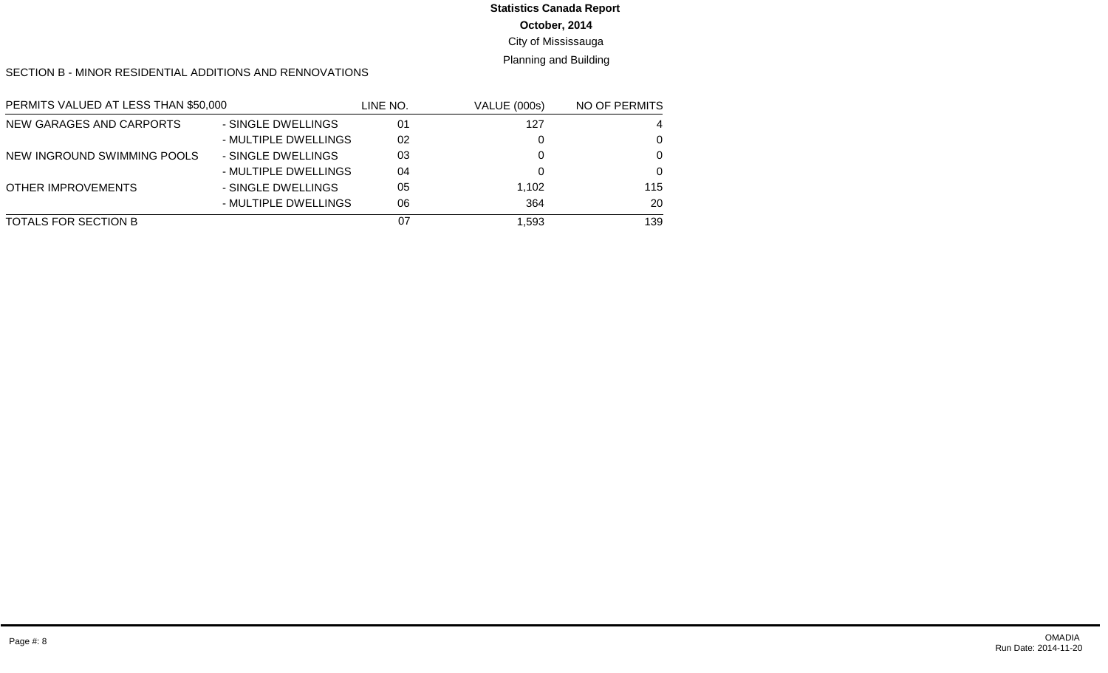# **Statistics Canada Report**

**October, 2014**

City of Mississauga

Planning and Building

SECTION B - MINOR RESIDENTIAL ADDITIONS AND RENNOVATIONS

| PERMITS VALUED AT LESS THAN \$50,000 |                      | LINE NO. | <b>VALUE (000s)</b> | NO OF PERMITS |
|--------------------------------------|----------------------|----------|---------------------|---------------|
| NEW GARAGES AND CARPORTS             | - SINGLE DWELLINGS   | 01       | 127                 | 4             |
|                                      | - MULTIPLE DWELLINGS | 02       |                     | 0             |
| NEW INGROUND SWIMMING POOLS          | - SINGLE DWELLINGS   | 03       |                     | $\Omega$      |
|                                      | - MULTIPLE DWELLINGS | 04       |                     | $\Omega$      |
| OTHER IMPROVEMENTS                   | - SINGLE DWELLINGS   | 05       | 1,102               | 115           |
|                                      | - MULTIPLE DWELLINGS | 06       | 364                 | 20            |
| TOTALS FOR SECTION B                 |                      | 07       | 1.593               | 139           |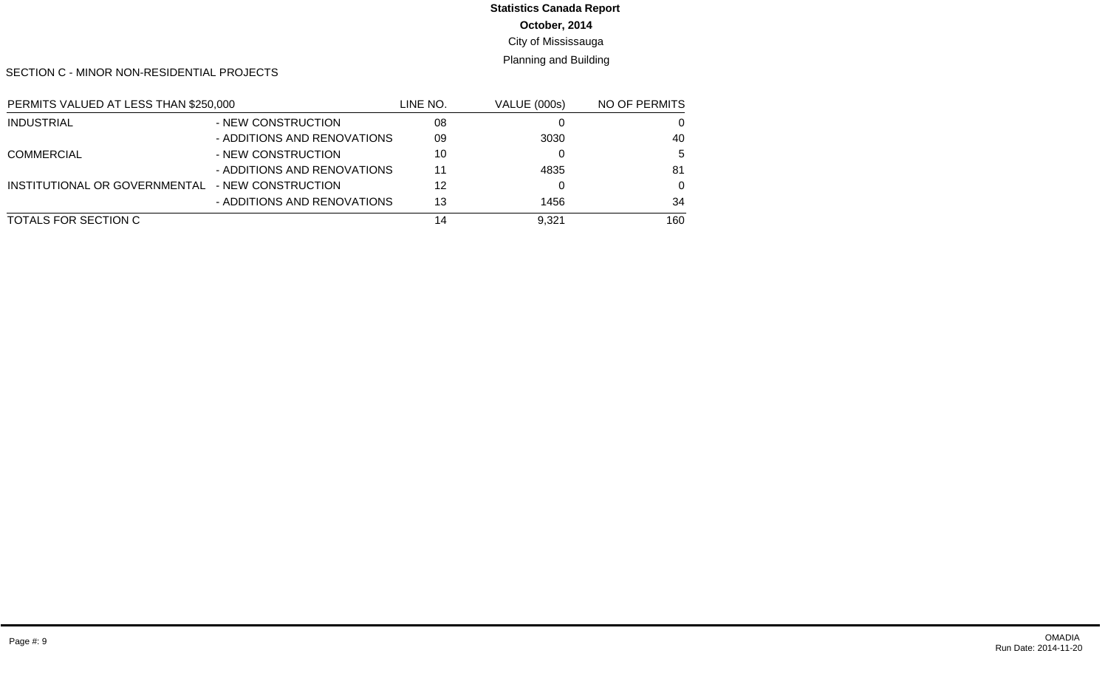# **Statistics Canada Report**

**October, 2014**

City of Mississauga

Planning and Building

SECTION C - MINOR NON-RESIDENTIAL PROJECTS

| PERMITS VALUED AT LESS THAN \$250,000 |                             | LINE NO. | <b>VALUE (000s)</b> | NO OF PERMITS |
|---------------------------------------|-----------------------------|----------|---------------------|---------------|
| <b>INDUSTRIAL</b>                     | - NEW CONSTRUCTION          | 08       |                     | 0             |
|                                       | - ADDITIONS AND RENOVATIONS | 09       | 3030                | 40            |
| <b>COMMERCIAL</b>                     | - NEW CONSTRUCTION          | 10       |                     | 5             |
|                                       | - ADDITIONS AND RENOVATIONS | 11       | 4835                | 81            |
| INSTITUTIONAL OR GOVERNMENTAL         | - NEW CONSTRUCTION          | 12       |                     | $\Omega$      |
|                                       | - ADDITIONS AND RENOVATIONS | 13       | 1456                | 34            |
| TOTALS FOR SECTION C                  |                             | 14       | 9.321               | 160           |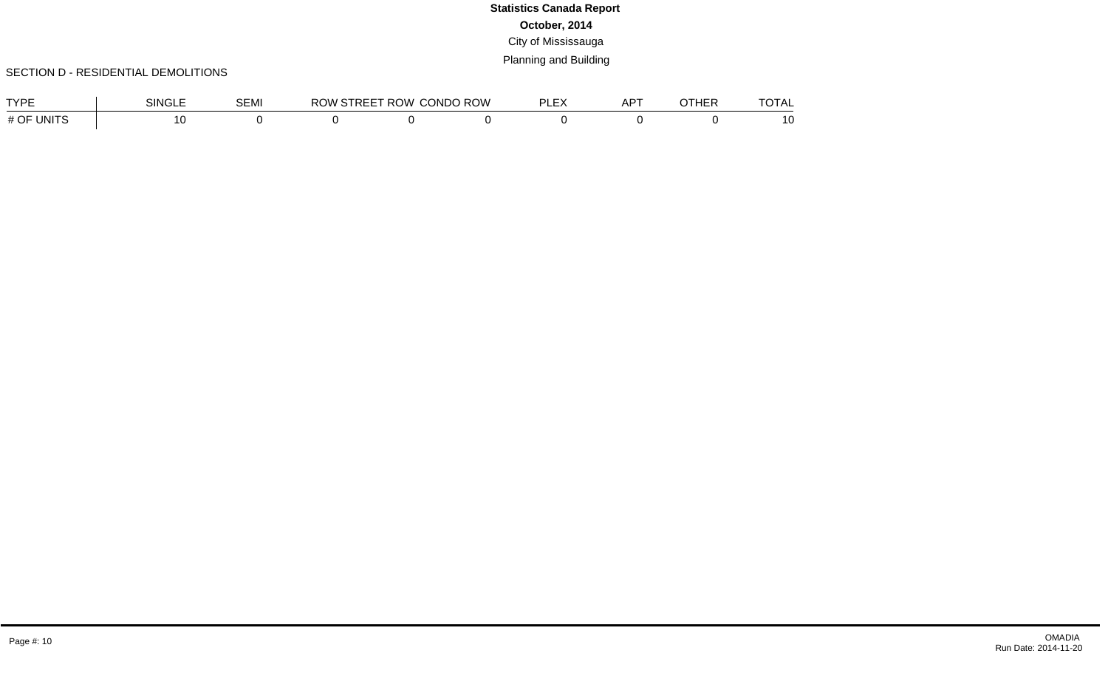### SECTION D - RESIDENTIAL DEMOLITIONS

| <b>TVDE</b>        | <b>SINGLE</b> | <b>SEMI</b> | <b>RC</b><br>) W | <b>PREFT ROW L</b> | <b>CONDO ROW</b> | $-$ | <b>ADT</b><br>N. | 1 L L L | $-\sim  \sim$ |
|--------------------|---------------|-------------|------------------|--------------------|------------------|-----|------------------|---------|---------------|
| # OF UNIT $\Gamma$ |               |             |                  |                    |                  |     |                  |         | $\sim$<br>ט ו |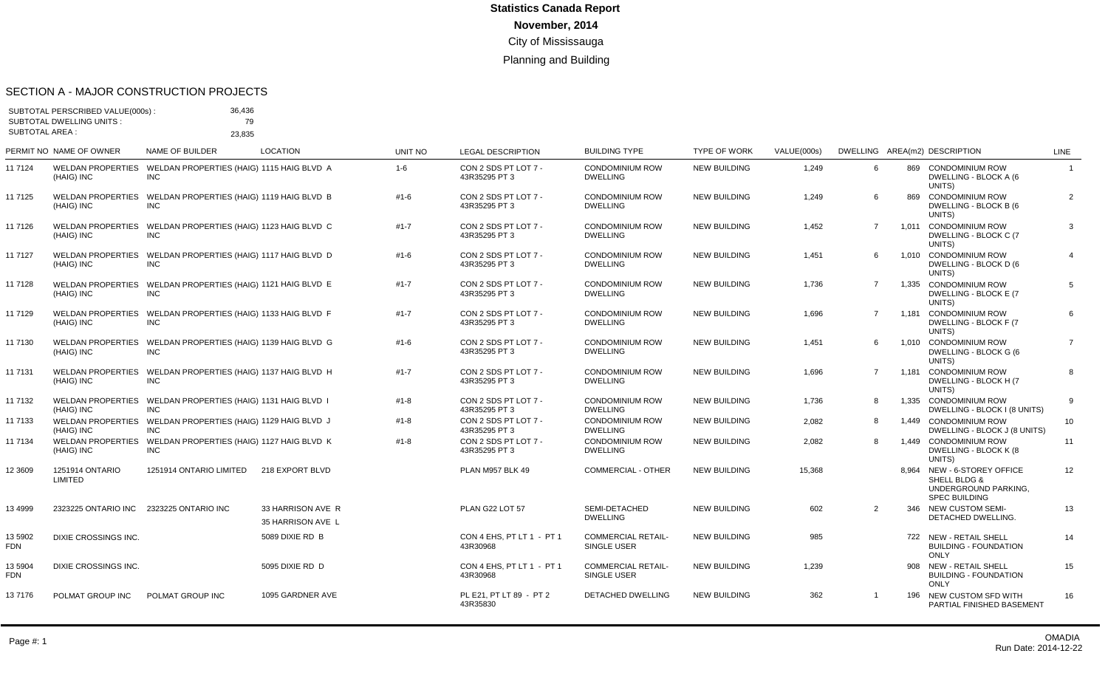#### SECTION A - MAJOR CONSTRUCTION PROJECTS

| <b>SUBTOTAL AREA:</b> | SUBTOTAL PERSCRIBED VALUE(000s):<br><b>SUBTOTAL DWELLING UNITS:</b> | 36,436<br>79<br>23,835                                                     |                                        |                |                                       |                                           |                     |             |                |     |                                                                                             |                 |
|-----------------------|---------------------------------------------------------------------|----------------------------------------------------------------------------|----------------------------------------|----------------|---------------------------------------|-------------------------------------------|---------------------|-------------|----------------|-----|---------------------------------------------------------------------------------------------|-----------------|
|                       | PERMIT NO NAME OF OWNER                                             | NAME OF BUILDER                                                            | <b>LOCATION</b>                        | <b>UNIT NO</b> | <b>LEGAL DESCRIPTION</b>              | <b>BUILDING TYPE</b>                      | <b>TYPE OF WORK</b> | VALUE(000s) |                |     | DWELLING AREA(m2) DESCRIPTION                                                               | <b>LINE</b>     |
| 11 7124               | (HAIG) INC                                                          | WELDAN PROPERTIES WELDAN PROPERTIES (HAIG) 1115 HAIG BLVD A<br><b>INC</b>  |                                        | $1 - 6$        | CON 2 SDS PT LOT 7 -<br>43R35295 PT 3 | <b>CONDOMINIUM ROW</b><br><b>DWELLING</b> | <b>NEW BUILDING</b> | 1,249       | 6              |     | 869 CONDOMINIUM ROW<br>DWELLING - BLOCK A (6<br>UNITS)                                      | $\mathbf{1}$    |
| 11 7125               | (HAIG) INC                                                          | WELDAN PROPERTIES WELDAN PROPERTIES (HAIG) 1119 HAIG BLVD B<br><b>INC</b>  |                                        | $#1 - 6$       | CON 2 SDS PT LOT 7 -<br>43R35295 PT 3 | <b>CONDOMINIUM ROW</b><br><b>DWELLING</b> | <b>NEW BUILDING</b> | 1,249       | 6              | 869 | <b>CONDOMINIUM ROW</b><br>DWELLING - BLOCK B (6<br>UNITS)                                   | $\overline{2}$  |
| 11 7126               | (HAIG) INC                                                          | WELDAN PROPERTIES WELDAN PROPERTIES (HAIG) 1123 HAIG BLVD C<br><b>INC</b>  |                                        | $#1 - 7$       | CON 2 SDS PT LOT 7 -<br>43R35295 PT 3 | <b>CONDOMINIUM ROW</b><br><b>DWELLING</b> | <b>NEW BUILDING</b> | 1,452       | $\overline{7}$ |     | 1.011 CONDOMINIUM ROW<br>DWELLING - BLOCK C (7<br>UNITS)                                    | 3               |
| 11 7127               | (HAIG) INC                                                          | WELDAN PROPERTIES WELDAN PROPERTIES (HAIG) 1117 HAIG BLVD D<br><b>INC</b>  |                                        | #1-6           | CON 2 SDS PT LOT 7 -<br>43R35295 PT 3 | <b>CONDOMINIUM ROW</b><br><b>DWELLING</b> | <b>NEW BUILDING</b> | 1,451       | 6              |     | 1,010 CONDOMINIUM ROW<br>DWELLING - BLOCK D (6<br>UNITS)                                    | $\overline{4}$  |
| 11 7128               | (HAIG) INC                                                          | WELDAN PROPERTIES WELDAN PROPERTIES (HAIG) 1121 HAIG BLVD E<br><b>INC</b>  |                                        | $#1 - 7$       | CON 2 SDS PT LOT 7 -<br>43R35295 PT 3 | <b>CONDOMINIUM ROW</b><br><b>DWELLING</b> | <b>NEW BUILDING</b> | 1,736       | $\overline{7}$ |     | 1,335 CONDOMINIUM ROW<br>DWELLING - BLOCK E (7<br>UNITS)                                    | $5\overline{5}$ |
| 11 7129               | (HAIG) INC                                                          | WELDAN PROPERTIES WELDAN PROPERTIES (HAIG) 1133 HAIG BLVD F<br><b>INC</b>  |                                        | $#1 - 7$       | CON 2 SDS PT LOT 7 -<br>43R35295 PT 3 | <b>CONDOMINIUM ROW</b><br><b>DWELLING</b> | NEW BUILDING        | 1,696       | $\overline{7}$ |     | 1.181 CONDOMINIUM ROW<br>DWELLING - BLOCK F (7<br>UNITS)                                    | 6               |
| 11 7130               | (HAIG) INC                                                          | WELDAN PROPERTIES WELDAN PROPERTIES (HAIG) 1139 HAIG BLVD G<br><b>INC</b>  |                                        | $#1 - 6$       | CON 2 SDS PT LOT 7 -<br>43R35295 PT 3 | <b>CONDOMINIUM ROW</b><br><b>DWELLING</b> | <b>NEW BUILDING</b> | 1,451       | 6              |     | 1,010 CONDOMINIUM ROW<br>DWELLING - BLOCK G (6<br>UNITS)                                    | $\overline{7}$  |
| 11 7131               | (HAIG) INC                                                          | WELDAN PROPERTIES  WELDAN PROPERTIES (HAIG) 1137 HAIG BLVD H<br><b>INC</b> |                                        | $#1 - 7$       | CON 2 SDS PT LOT 7 -<br>43R35295 PT 3 | <b>CONDOMINIUM ROW</b><br><b>DWELLING</b> | <b>NEW BUILDING</b> | 1,696       | $\overline{7}$ |     | 1.181 CONDOMINIUM ROW<br>DWELLING - BLOCK H (7<br>UNITS)                                    | 8               |
| 11 7132               | (HAIG) INC                                                          | WELDAN PROPERTIES WELDAN PROPERTIES (HAIG) 1131 HAIG BLVD I<br><b>INC</b>  |                                        | $#1 - 8$       | CON 2 SDS PT LOT 7 -<br>43R35295 PT 3 | <b>CONDOMINIUM ROW</b><br><b>DWELLING</b> | <b>NEW BUILDING</b> | 1,736       | 8              |     | 1,335 CONDOMINIUM ROW<br>DWELLING - BLOCK I (8 UNITS)                                       | 9               |
| 11 7133               | (HAIG) INC                                                          | WELDAN PROPERTIES WELDAN PROPERTIES (HAIG) 1129 HAIG BLVD J<br><b>INC</b>  |                                        | $#1 - 8$       | CON 2 SDS PT LOT 7 -<br>43R35295 PT 3 | <b>CONDOMINIUM ROW</b><br><b>DWELLING</b> | <b>NEW BUILDING</b> | 2,082       | 8              |     | 1.449 CONDOMINIUM ROW<br>DWELLING - BLOCK J (8 UNITS)                                       | 10              |
| 11 7134               | (HAIG) INC                                                          | WELDAN PROPERTIES WELDAN PROPERTIES (HAIG) 1127 HAIG BLVD K<br><b>INC</b>  |                                        | $#1 - 8$       | CON 2 SDS PT LOT 7 -<br>43R35295 PT 3 | <b>CONDOMINIUM ROW</b><br><b>DWELLING</b> | <b>NEW BUILDING</b> | 2,082       | 8              |     | 1,449 CONDOMINIUM ROW<br><b>DWELLING - BLOCK K (8</b><br>UNITS)                             | 11              |
| 12 3 6 0 9            | 1251914 ONTARIO<br><b>LIMITED</b>                                   | 1251914 ONTARIO LIMITED                                                    | 218 EXPORT BLVD                        |                | PLAN M957 BLK 49                      | <b>COMMERCIAL - OTHER</b>                 | <b>NEW BUILDING</b> | 15,368      |                |     | 8,964 NEW - 6-STOREY OFFICE<br>SHELL BLDG &<br>UNDERGROUND PARKING.<br><b>SPEC BUILDING</b> | 12              |
| 13 4 9 9 9            | 2323225 ONTARIO INC 2323225 ONTARIO INC                             |                                                                            | 33 HARRISON AVE R<br>35 HARRISON AVE L |                | PLAN G22 LOT 57                       | SEMI-DETACHED<br><b>DWELLING</b>          | <b>NEW BUILDING</b> | 602         | 2              |     | 346 NEW CUSTOM SEMI-<br>DETACHED DWELLING.                                                  | 13              |
| 13 5902<br><b>FDN</b> | DIXIE CROSSINGS INC.                                                |                                                                            | 5089 DIXIE RD B                        |                | CON 4 EHS, PT LT 1 - PT 1<br>43R30968 | <b>COMMERCIAL RETAIL-</b><br>SINGLE USER  | <b>NEW BUILDING</b> | 985         |                |     | 722 NEW - RETAIL SHELL<br><b>BUILDING - FOUNDATION</b><br><b>ONLY</b>                       | 14              |
| 13 5904<br><b>FDN</b> | DIXIE CROSSINGS INC.                                                |                                                                            | 5095 DIXIE RD D                        |                | CON 4 EHS, PT LT 1 - PT 1<br>43R30968 | <b>COMMERCIAL RETAIL-</b><br>SINGLE USER  | <b>NEW BUILDING</b> | 1,239       |                |     | 908 NEW - RETAIL SHELL<br><b>BUILDING - FOUNDATION</b><br><b>ONLY</b>                       | 15              |
| 137176                | POLMAT GROUP INC                                                    | POLMAT GROUP INC                                                           | 1095 GARDNER AVE                       |                | PL E21, PT LT 89 - PT 2<br>43R35830   | DETACHED DWELLING                         | <b>NEW BUILDING</b> | 362         |                |     | 196 NEW CUSTOM SFD WITH<br>PARTIAL FINISHED BASEMENT                                        | 16              |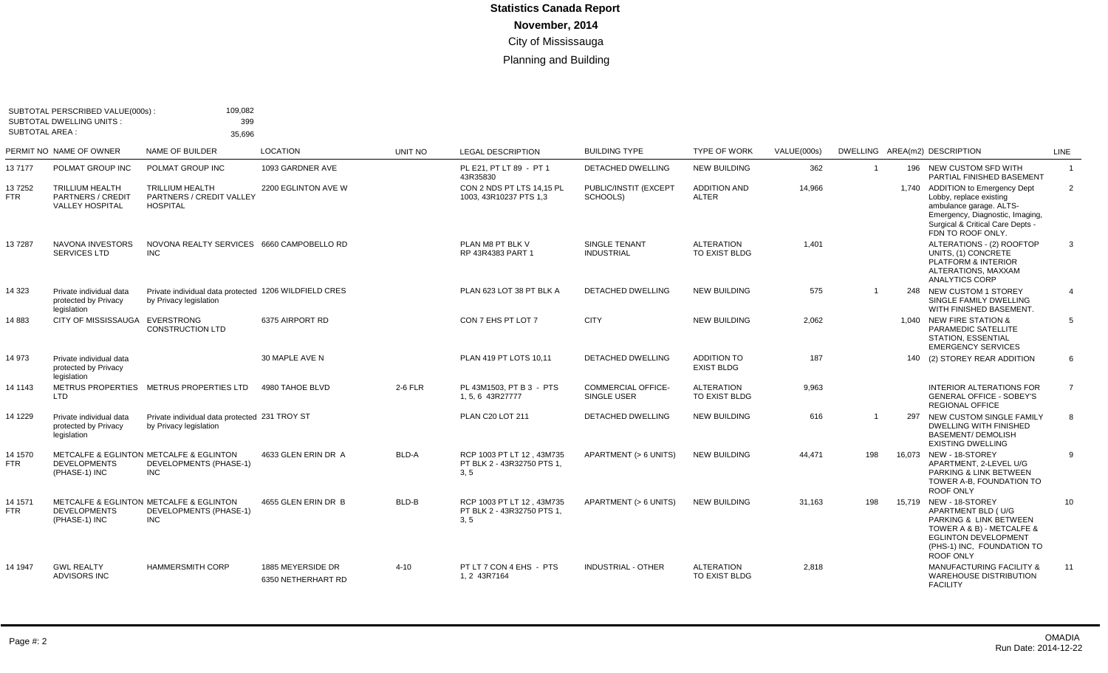| <b>SUBTOTAL AREA:</b> | SUBTOTAL PERSCRIBED VALUE(000s):<br><b>SUBTOTAL DWELLING UNITS:</b>          | 109,082<br>399<br>35,696                                                                       |                                         |         |                                                                 |                                                 |                                     |             |                |     |                                                                                                                                                                                    |                |
|-----------------------|------------------------------------------------------------------------------|------------------------------------------------------------------------------------------------|-----------------------------------------|---------|-----------------------------------------------------------------|-------------------------------------------------|-------------------------------------|-------------|----------------|-----|------------------------------------------------------------------------------------------------------------------------------------------------------------------------------------|----------------|
|                       | PERMIT NO NAME OF OWNER                                                      | NAME OF BUILDER                                                                                | <b>LOCATION</b>                         | UNIT NO | <b>LEGAL DESCRIPTION</b>                                        | <b>BUILDING TYPE</b>                            | <b>TYPE OF WORK</b>                 | VALUE(000s) |                |     | DWELLING AREA(m2) DESCRIPTION                                                                                                                                                      | <b>LINE</b>    |
| 137177                | POLMAT GROUP INC                                                             | POLMAT GROUP INC                                                                               | 1093 GARDNER AVE                        |         | PL E21. PT LT 89 - PT 1<br>43R35830                             | <b>DETACHED DWELLING</b>                        | <b>NEW BUILDING</b>                 | 362         | $\overline{1}$ |     | 196 NEW CUSTOM SFD WITH<br>PARTIAL FINISHED BASEMENT                                                                                                                               | $\overline{1}$ |
| 137252<br><b>FTR</b>  | <b>TRILLIUM HEALTH</b><br><b>PARTNERS / CREDIT</b><br><b>VALLEY HOSPITAL</b> | <b>TRILLIUM HEALTH</b><br><b>PARTNERS / CREDIT VALLEY</b><br><b>HOSPITAL</b>                   | 2200 EGLINTON AVE W                     |         | CON 2 NDS PT LTS 14,15 PL<br>1003. 43R10237 PTS 1.3             | PUBLIC/INSTIT (EXCEPT<br>SCHOOLS)               | <b>ADDITION AND</b><br><b>ALTER</b> | 14,966      |                |     | 1,740 ADDITION to Emergency Dept<br>Lobby, replace existing<br>ambulance garage. ALTS-<br>Emergency, Diagnostic, Imaging,<br>Surgical & Critical Care Depts -<br>FDN TO ROOF ONLY. | $\overline{2}$ |
| 137287                | <b>NAVONA INVESTORS</b><br>SERVICES LTD                                      | NOVONA REALTY SERVICES 6660 CAMPOBELLO RD<br><b>INC</b>                                        |                                         |         | PLAN M8 PT BLK V<br>RP 43R4383 PART 1                           | SINGLE TENANT<br><b>INDUSTRIAL</b>              | <b>ALTERATION</b><br>TO EXIST BLDG  | 1,401       |                |     | ALTERATIONS - (2) ROOFTOP<br>UNITS, (1) CONCRETE<br>PLATFORM & INTERIOR<br>ALTERATIONS, MAXXAM<br><b>ANALYTICS CORP</b>                                                            | 3              |
| 14 323                | Private individual data<br>protected by Privacy<br>legislation               | Private individual data protected 1206 WILDFIELD CRES<br>by Privacy legislation                |                                         |         | PLAN 623 LOT 38 PT BLK A                                        | <b>DETACHED DWELLING</b>                        | <b>NEW BUILDING</b>                 | 575         | $\overline{1}$ |     | 248 NEW CUSTOM 1 STOREY<br>SINGLE FAMILY DWELLING<br>WITH FINISHED BASEMENT.                                                                                                       | $\overline{4}$ |
| 14883                 | CITY OF MISSISSAUGA EVERSTRONG                                               | <b>CONSTRUCTION LTD</b>                                                                        | 6375 AIRPORT RD                         |         | CON 7 EHS PT LOT 7                                              | <b>CITY</b>                                     | <b>NEW BUILDING</b>                 | 2.062       |                |     | 1.040 NEW FIRE STATION &<br>PARAMEDIC SATELLITE<br><b>STATION, ESSENTIAL</b><br><b>EMERGENCY SERVICES</b>                                                                          | $5^{\circ}$    |
| 14 973                | Private individual data<br>protected by Privacy<br>legislation               |                                                                                                | 30 MAPLE AVE N                          |         | PLAN 419 PT LOTS 10.11                                          | <b>DETACHED DWELLING</b>                        | ADDITION TO<br><b>EXIST BLDG</b>    | 187         |                |     | 140 (2) STOREY REAR ADDITION                                                                                                                                                       | 6              |
| 14 1143               | <b>LTD</b>                                                                   | METRUS PROPERTIES METRUS PROPERTIES LTD                                                        | 4980 TAHOE BLVD                         | 2-6 FLR | PL 43M1503, PT B 3 - PTS<br>1, 5, 6 43R27777                    | <b>COMMERCIAL OFFICE-</b><br><b>SINGLE USER</b> | <b>ALTERATION</b><br>TO EXIST BLDG  | 9,963       |                |     | <b>INTERIOR ALTERATIONS FOR</b><br><b>GENERAL OFFICE - SOBEY'S</b><br><b>REGIONAL OFFICE</b>                                                                                       | $\overline{7}$ |
| 14 1229               | Private individual data<br>protected by Privacy<br>legislation               | Private individual data protected 231 TROY ST<br>by Privacy legislation                        |                                         |         | PLAN C20 LOT 211                                                | <b>DETACHED DWELLING</b>                        | <b>NEW BUILDING</b>                 | 616         | $\overline{1}$ | 297 | NEW CUSTOM SINGLE FAMILY<br>DWELLING WITH FINISHED<br><b>BASEMENT/ DEMOLISH</b><br><b>EXISTING DWELLING</b>                                                                        | 8              |
| 14 1570<br><b>FTR</b> | <b>DEVELOPMENTS</b><br>(PHASE-1) INC                                         | METCALFE & EGLINTON METCALFE & EGLINTON<br>DEVELOPMENTS (PHASE-1)<br><b>INC</b>                | 4633 GLEN ERIN DR A                     | BLD-A   | RCP 1003 PT LT 12 . 43M735<br>PT BLK 2 - 43R32750 PTS 1.<br>3.5 | APARTMENT (> 6 UNITS)                           | <b>NEW BUILDING</b>                 | 44.471      | 198            |     | 16.073 NEW - 18-STOREY<br>APARTMENT, 2-LEVEL U/G<br>PARKING & LINK BETWEEN<br>TOWER A-B, FOUNDATION TO<br><b>ROOF ONLY</b>                                                         | 9              |
| 14 1571<br><b>FTR</b> | <b>DEVELOPMENTS</b><br>(PHASE-1) INC                                         | <b>METCALFE &amp; EGLINTON METCALFE &amp; EGLINTON</b><br>DEVELOPMENTS (PHASE-1)<br><b>INC</b> | 4655 GLEN ERIN DR B                     | BLD-B   | RCP 1003 PT LT 12 . 43M735<br>PT BLK 2 - 43R32750 PTS 1,<br>3.5 | APARTMENT (> 6 UNITS)                           | <b>NEW BUILDING</b>                 | 31.163      | 198            |     | 15.719 NEW - 18-STOREY<br>APARTMENT BLD (U/G<br>PARKING & LINK BETWEEN<br>TOWER A & B) - METCALFE &<br><b>EGLINTON DEVELOPMENT</b><br>(PHS-1) INC. FOUNDATION TO<br>ROOF ONLY      | 10             |
| 14 1947               | <b>GWL REALTY</b><br><b>ADVISORS INC</b>                                     | <b>HAMMERSMITH CORP</b>                                                                        | 1885 MEYERSIDE DR<br>6350 NETHERHART RD | 4-10    | PT LT 7 CON 4 EHS - PTS<br>1.2 43R7164                          | <b>INDUSTRIAL - OTHER</b>                       | <b>ALTERATION</b><br>TO EXIST BLDG  | 2,818       |                |     | MANUFACTURING FACILITY &<br><b>WAREHOUSE DISTRIBUTION</b><br><b>FACILITY</b>                                                                                                       | 11             |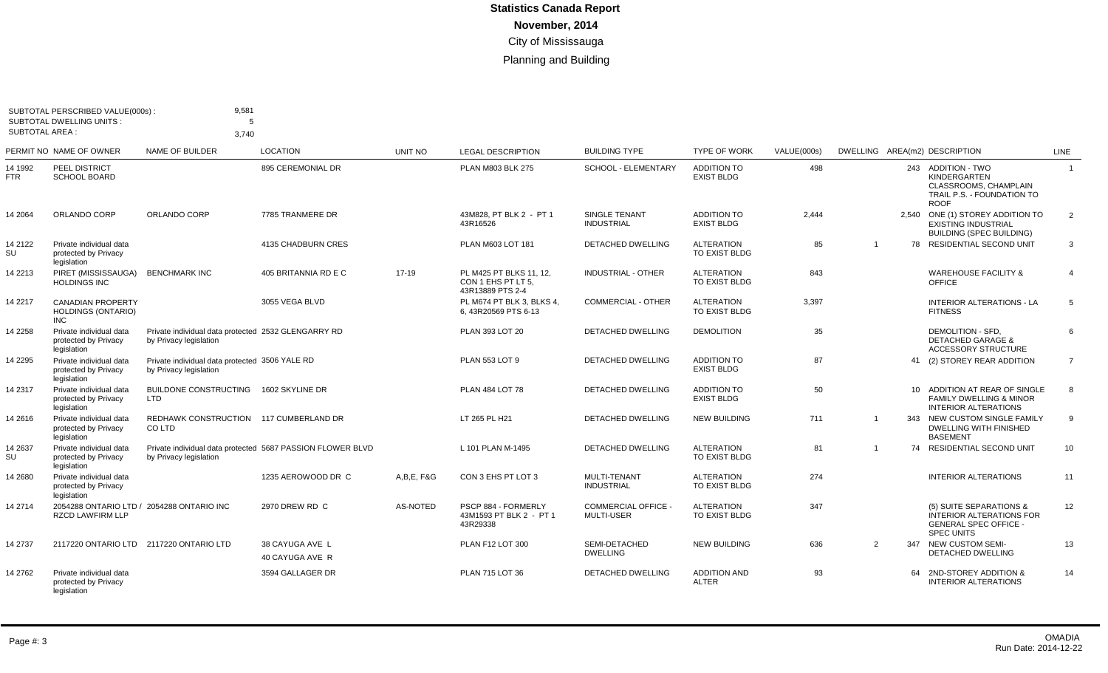| <b>SUBTOTAL AREA:</b> | SUBTOTAL PERSCRIBED VALUE(000s):<br><b>SUBTOTAL DWELLING UNITS:</b>  | 9,581<br>5<br>3.740                                                           |                                                            |                 |                                                                   |                                           |                                         |             |                |                                                                                                                 |                |
|-----------------------|----------------------------------------------------------------------|-------------------------------------------------------------------------------|------------------------------------------------------------|-----------------|-------------------------------------------------------------------|-------------------------------------------|-----------------------------------------|-------------|----------------|-----------------------------------------------------------------------------------------------------------------|----------------|
|                       | PERMIT NO NAME OF OWNER                                              | NAME OF BUILDER                                                               | <b>LOCATION</b>                                            | UNIT NO         | <b>LEGAL DESCRIPTION</b>                                          | <b>BUILDING TYPE</b>                      | <b>TYPE OF WORK</b>                     | VALUE(000s) |                | DWELLING AREA(m2) DESCRIPTION                                                                                   | LINE           |
| 14 1992<br>FTR        | <b>PEEL DISTRICT</b><br><b>SCHOOL BOARD</b>                          |                                                                               | 895 CEREMONIAL DR                                          |                 | PLAN M803 BLK 275                                                 | <b>SCHOOL - ELEMENTARY</b>                | <b>ADDITION TO</b><br><b>EXIST BLDG</b> | 498         |                | 243 ADDITION - TWO<br><b>KINDERGARTEN</b><br>CLASSROOMS, CHAMPLAIN<br>TRAIL P.S. - FOUNDATION TO<br><b>ROOF</b> | $\overline{1}$ |
| 14 2064               | ORLANDO CORP                                                         | ORLANDO CORP                                                                  | 7785 TRANMERE DR                                           |                 | 43M828, PT BLK 2 - PT 1<br>43R16526                               | <b>SINGLE TENANT</b><br><b>INDUSTRIAL</b> | <b>ADDITION TO</b><br><b>EXIST BLDG</b> | 2.444       |                | 2,540 ONE (1) STOREY ADDITION TO<br><b>EXISTING INDUSTRIAL</b><br><b>BUILDING (SPEC BUILDING)</b>               | 2              |
| 14 2122<br>SU         | Private individual data<br>protected by Privacy<br>legislation       |                                                                               | 4135 CHADBURN CRES                                         |                 | PLAN M603 LOT 181                                                 | <b>DETACHED DWELLING</b>                  | <b>ALTERATION</b><br>TO EXIST BLDG      | 85          |                | 78 RESIDENTIAL SECOND UNIT                                                                                      | 3              |
| 14 2213               | PIRET (MISSISSAUGA)<br><b>HOLDINGS INC</b>                           | <b>BENCHMARK INC</b>                                                          | 405 BRITANNIA RD E C                                       | 17-19           | PL M425 PT BLKS 11, 12,<br>CON 1 EHS PT LT 5.<br>43R13889 PTS 2-4 | <b>INDUSTRIAL - OTHER</b>                 | <b>ALTERATION</b><br>TO EXIST BLDG      | 843         |                | <b>WAREHOUSE FACILITY &amp;</b><br><b>OFFICE</b>                                                                | $\overline{4}$ |
| 14 2217               | <b>CANADIAN PROPERTY</b><br><b>HOLDINGS (ONTARIO)</b><br><b>INC</b>  |                                                                               | 3055 VEGA BLVD                                             |                 | PL M674 PT BLK 3. BLKS 4.<br>6.43R20569 PTS 6-13                  | <b>COMMERCIAL - OTHER</b>                 | <b>ALTERATION</b><br>TO EXIST BLDG      | 3,397       |                | INTERIOR ALTERATIONS - LA<br><b>FITNESS</b>                                                                     | $5^{\circ}$    |
| 14 2258               | Private individual data<br>protected by Privacy<br>legislation       | Private individual data protected 2532 GLENGARRY RD<br>by Privacy legislation |                                                            |                 | PLAN 393 LOT 20                                                   | <b>DETACHED DWELLING</b>                  | <b>DEMOLITION</b>                       | 35          |                | DEMOLITION - SFD.<br><b>DETACHED GARAGE &amp;</b><br>ACCESSORY STRUCTURE                                        | 6              |
| 14 2295               | Private individual data<br>protected by Privacy<br>legislation       | Private individual data protected 3506 YALE RD<br>by Privacy legislation      |                                                            |                 | <b>PLAN 553 LOT 9</b>                                             | DETACHED DWELLING                         | <b>ADDITION TO</b><br><b>EXIST BLDG</b> | 87          |                | 41 (2) STOREY REAR ADDITION                                                                                     | $\overline{7}$ |
| 14 2317               | Private individual data<br>protected by Privacy<br>legislation       | <b>BUILDONE CONSTRUCTING</b><br>LTD                                           | 1602 SKYLINE DR                                            |                 | <b>PLAN 484 LOT 78</b>                                            | DETACHED DWELLING                         | <b>ADDITION TO</b><br><b>EXIST BLDG</b> | 50          |                | 10 ADDITION AT REAR OF SINGLE<br><b>FAMILY DWELLING &amp; MINOR</b><br><b>INTERIOR ALTERATIONS</b>              | 8              |
| 14 2616               | Private individual data<br>protected by Privacy<br>legislation       | REDHAWK CONSTRUCTION 117 CUMBERLAND DR<br>CO LTD                              |                                                            |                 | LT 265 PL H21                                                     | <b>DETACHED DWELLING</b>                  | <b>NEW BUILDING</b>                     | 711         |                | 343 NEW CUSTOM SINGLE FAMILY<br><b>DWELLING WITH FINISHED</b><br><b>BASEMENT</b>                                | 9              |
| 14 2637<br>SU         | Private individual data<br>protected by Privacy<br>legislation       | by Privacy legislation                                                        | Private individual data protected 5687 PASSION FLOWER BLVD |                 | L 101 PLAN M-1495                                                 | <b>DETACHED DWELLING</b>                  | <b>ALTERATION</b><br>TO EXIST BLDG      | 81          | $\overline{1}$ | 74 RESIDENTIAL SECOND UNIT                                                                                      | 10             |
| 14 2680               | Private individual data<br>protected by Privacy<br>legislation       |                                                                               | 1235 AEROWOOD DR C                                         | A, B, E, F& G   | CON 3 EHS PT LOT 3                                                | MULTI-TENANT<br><b>INDUSTRIAL</b>         | <b>ALTERATION</b><br>TO EXIST BLDG      | 274         |                | <b>INTERIOR ALTERATIONS</b>                                                                                     | 11             |
| 14 2714               | 2054288 ONTARIO LTD / 2054288 ONTARIO INC<br><b>RZCD LAWFIRM LLP</b> |                                                                               | 2970 DREW RD C                                             | <b>AS-NOTED</b> | PSCP 884 - FORMERLY<br>43M1593 PT BLK 2 - PT 1<br>43R29338        | COMMERCIAL OFFICE -<br><b>MULTI-USER</b>  | <b>ALTERATION</b><br>TO EXIST BLDG      | 347         |                | (5) SUITE SEPARATIONS &<br><b>INTERIOR ALTERATIONS FOR</b><br><b>GENERAL SPEC OFFICE -</b><br><b>SPEC UNITS</b> | 12             |
| 14 2737               | 2117220 ONTARIO LTD 2117220 ONTARIO LTD                              |                                                                               | 38 CAYUGA AVE L<br>40 CAYUGA AVE R                         |                 | PLAN F12 LOT 300                                                  | SEMI-DETACHED<br><b>DWELLING</b>          | <b>NEW BUILDING</b>                     | 636         | 2              | 347 NEW CUSTOM SEMI-<br><b>DETACHED DWELLING</b>                                                                | 13             |
| 14 2762               | Private individual data<br>protected by Privacy<br>legislation       |                                                                               | 3594 GALLAGER DR                                           |                 | PLAN 715 LOT 36                                                   | DETACHED DWELLING                         | <b>ADDITION AND</b><br><b>ALTER</b>     | 93          |                | 64 2ND-STOREY ADDITION &<br><b>INTERIOR ALTERATIONS</b>                                                         | 14             |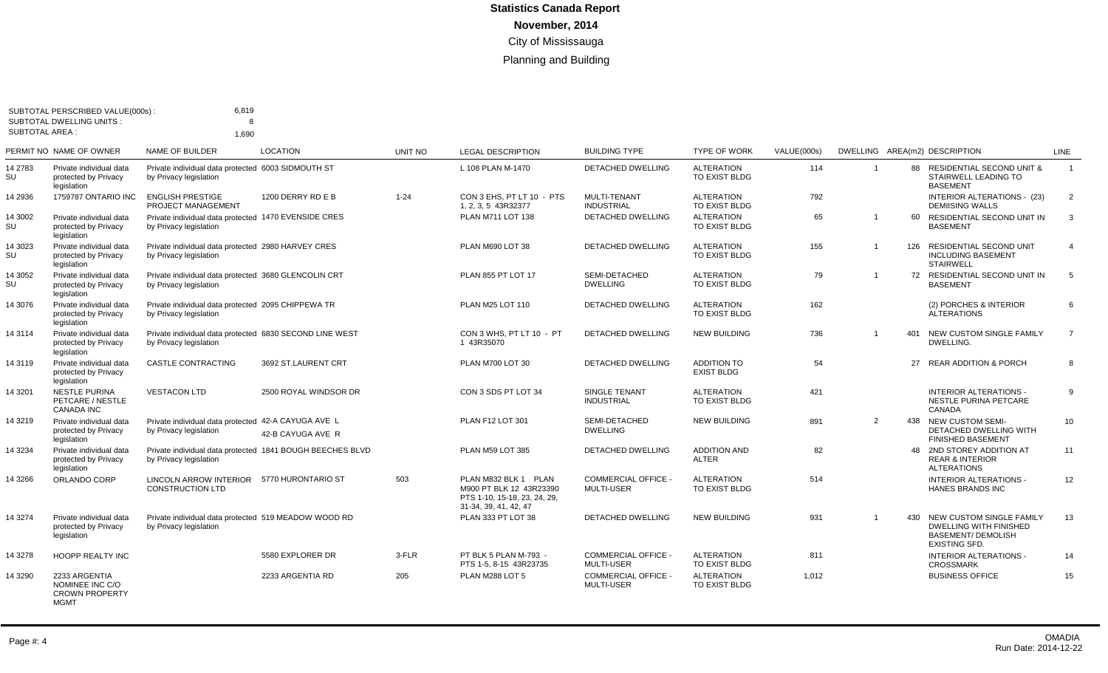| <b>SUBTOTAL AREA:</b> | SUBTOTAL PERSCRIBED VALUE(000s) :<br><b>SUBTOTAL DWELLING UNITS:</b>     | 6,819<br>8<br>1.690                                                               |                                                           |                |                                                                                                          |                                                 |                                         |             |                |     |                                                                                                                |                |
|-----------------------|--------------------------------------------------------------------------|-----------------------------------------------------------------------------------|-----------------------------------------------------------|----------------|----------------------------------------------------------------------------------------------------------|-------------------------------------------------|-----------------------------------------|-------------|----------------|-----|----------------------------------------------------------------------------------------------------------------|----------------|
|                       | PERMIT NO NAME OF OWNER                                                  | NAME OF BUILDER                                                                   | <b>LOCATION</b>                                           | <b>UNIT NO</b> | <b>LEGAL DESCRIPTION</b>                                                                                 | <b>BUILDING TYPE</b>                            | <b>TYPE OF WORK</b>                     | VALUE(000s) |                |     | DWELLING AREA(m2) DESCRIPTION                                                                                  | <b>LINE</b>    |
| 14 2783<br>SU         | Private individual data<br>protected by Privacy<br>legislation           | Private individual data protected 6003 SIDMOUTH ST<br>by Privacy legislation      |                                                           |                | L 108 PLAN M-1470                                                                                        | <b>DETACHED DWELLING</b>                        | <b>ALTERATION</b><br>TO EXIST BLDG      | 114         | $\overline{1}$ | 88  | <b>RESIDENTIAL SECOND UNIT &amp;</b><br>STAIRWELL LEADING TO<br><b>BASEMENT</b>                                | $\overline{1}$ |
| 14 2936               | 1759787 ONTARIO INC                                                      | <b>ENGLISH PRESTIGE</b><br>PROJECT MANAGEMENT                                     | 1200 DERRY RD E B                                         | $1 - 24$       | CON 3 EHS. PT LT 10 - PTS<br>1, 2, 3, 5 43R32377                                                         | MULTI-TENANT<br><b>INDUSTRIAL</b>               | <b>ALTERATION</b><br>TO EXIST BLDG      | 792         |                |     | INTERIOR ALTERATIONS - (23)<br><b>DEMIISING WALLS</b>                                                          | $\overline{2}$ |
| 14 3002<br>SU         | Private individual data<br>protected by Privacy<br>legislation           | Private individual data protected 1470 EVENSIDE CRES<br>by Privacy legislation    |                                                           |                | PLAN M711 LOT 138                                                                                        | <b>DETACHED DWELLING</b>                        | <b>ALTERATION</b><br>TO EXIST BLDG      | 65          | $\overline{1}$ | 60  | RESIDENTIAL SECOND UNIT IN<br><b>BASEMENT</b>                                                                  | $\mathbf{3}$   |
| 14 3023<br>SU         | Private individual data<br>protected by Privacy<br>legislation           | Private individual data protected 2980 HARVEY CRES<br>by Privacy legislation      |                                                           |                | PLAN M690 LOT 38                                                                                         | DETACHED DWELLING                               | <b>ALTERATION</b><br>TO EXIST BLDG      | 155         | $\overline{1}$ | 126 | RESIDENTIAL SECOND UNIT<br><b>INCLUDING BASEMENT</b><br><b>STAIRWELL</b>                                       | $\overline{4}$ |
| 14 3052<br>SU         | Private individual data<br>protected by Privacy<br>legislation           | Private individual data protected 3680 GLENCOLIN CRT<br>by Privacy legislation    |                                                           |                | PLAN 855 PT LOT 17                                                                                       | SEMI-DETACHED<br><b>DWELLING</b>                | <b>ALTERATION</b><br>TO EXIST BLDG      | 79          | $\overline{1}$ |     | 72 RESIDENTIAL SECOND UNIT IN<br><b>BASEMENT</b>                                                               | 5              |
| 14 3076               | Private individual data<br>protected by Privacy<br>legislation           | Private individual data protected 2095 CHIPPEWA TR<br>by Privacy legislation      |                                                           |                | PLAN M25 LOT 110                                                                                         | <b>DETACHED DWELLING</b>                        | <b>ALTERATION</b><br>TO EXIST BLDG      | 162         |                |     | (2) PORCHES & INTERIOR<br><b>ALTERATIONS</b>                                                                   | 6              |
| 14 3114               | Private individual data<br>protected by Privacy<br>legislation           | Private individual data protected 6830 SECOND LINE WEST<br>by Privacy legislation |                                                           |                | CON 3 WHS. PT LT 10 - PT<br>1 43R35070                                                                   | <b>DETACHED DWELLING</b>                        | <b>NEW BUILDING</b>                     | 736         | $\overline{1}$ | 401 | NEW CUSTOM SINGLE FAMILY<br>DWELLING.                                                                          | $\overline{7}$ |
| 14 3119               | Private individual data<br>protected by Privacy<br>legislation           | <b>CASTLE CONTRACTING</b>                                                         | 3692 ST.LAURENT CRT                                       |                | PLAN M700 LOT 30                                                                                         | <b>DETACHED DWELLING</b>                        | <b>ADDITION TO</b><br><b>EXIST BLDG</b> | 54          |                | 27  | <b>REAR ADDITION &amp; PORCH</b>                                                                               | 8              |
| 14 3201               | <b>NESTLE PURINA</b><br>PETCARE / NESTLE<br><b>CANADA INC</b>            | <b>VESTACON LTD</b>                                                               | 2500 ROYAL WINDSOR DR                                     |                | CON 3 SDS PT LOT 34                                                                                      | SINGLE TENANT<br><b>INDUSTRIAL</b>              | <b>ALTERATION</b><br>TO EXIST BLDG      | 421         |                |     | <b>INTERIOR ALTERATIONS -</b><br>NESTLE PURINA PETCARE<br>CANADA                                               | 9              |
| 14 3219               | Private individual data<br>protected by Privacy<br>legislation           | Private individual data protected 42-A CAYUGA AVE L<br>by Privacy legislation     | 42-B CAYUGA AVE R                                         |                | PLAN F12 LOT 301                                                                                         | SEMI-DETACHED<br><b>DWELLING</b>                | <b>NEW BUILDING</b>                     | 891         | $\overline{2}$ | 438 | <b>NEW CUSTOM SEMI-</b><br>DETACHED DWELLING WITH<br><b>FINISHED BASEMENT</b>                                  | 10             |
| 14 3234               | Private individual data<br>protected by Privacy<br>legislation           | by Privacy legislation                                                            | Private individual data protected 1841 BOUGH BEECHES BLVD |                | PLAN M59 LOT 385                                                                                         | <b>DETACHED DWELLING</b>                        | <b>ADDITION AND</b><br><b>ALTER</b>     | 82          |                |     | 48 2ND STOREY ADDITION AT<br><b>REAR &amp; INTERIOR</b><br><b>ALTERATIONS</b>                                  | 11             |
| 14 3266               | ORLANDO CORP                                                             | LINCOLN ARROW INTERIOR 5770 HURONTARIO ST<br>CONSTRUCTION LTD                     |                                                           | 503            | PLAN M832 BLK 1 PLAN<br>M900 PT BLK 12 43R23390<br>PTS 1-10, 15-18, 23, 24, 29,<br>31-34, 39, 41, 42, 47 | <b>COMMERCIAL OFFICE -</b><br><b>MULTI-USER</b> | <b>ALTERATION</b><br>TO EXIST BLDG      | 514         |                |     | <b>INTERIOR ALTERATIONS -</b><br>HANES BRANDS INC                                                              | 12             |
| 14 3274               | Private individual data<br>protected by Privacy<br>legislation           | Private individual data protected 519 MEADOW WOOD RD<br>by Privacy legislation    |                                                           |                | PLAN 333 PT LOT 38                                                                                       | <b>DETACHED DWELLING</b>                        | <b>NEW BUILDING</b>                     | 931         | $\overline{1}$ | 430 | NEW CUSTOM SINGLE FAMILY<br><b>DWELLING WITH FINISHED</b><br><b>BASEMENT/ DEMOLISH</b><br><b>EXISTING SFD.</b> | 13             |
| 14 3278               | HOOPP REALTY INC                                                         |                                                                                   | 5580 EXPLORER DR                                          | 3-FLR          | PT BLK 5 PLAN M-793 -<br>PTS 1-5, 8-15 43R23735                                                          | <b>COMMERCIAL OFFICE -</b><br><b>MULTI-USER</b> | <b>ALTERATION</b><br>TO EXIST BLDG      | 811         |                |     | INTERIOR ALTERATIONS -<br><b>CROSSMARK</b>                                                                     | 14             |
| 14 3290               | 2233 ARGENTIA<br>NOMINEE INC C/O<br><b>CROWN PROPERTY</b><br><b>MGMT</b> |                                                                                   | 2233 ARGENTIA RD                                          | 205            | PLAN M288 LOT 5                                                                                          | <b>COMMERCIAL OFFICE -</b><br><b>MULTI-USER</b> | <b>ALTERATION</b><br>TO EXIST BLDG      | 1,012       |                |     | <b>BUSINESS OFFICE</b>                                                                                         | 15             |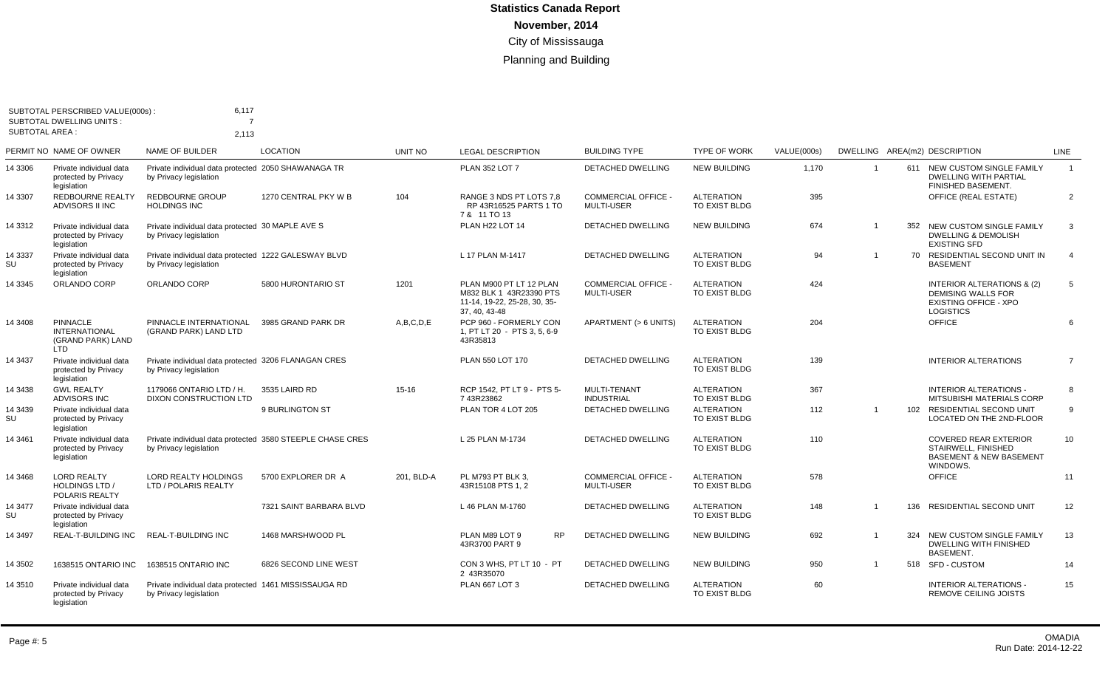| <b>SUBTOTAL AREA:</b> | SUBTOTAL PERSCRIBED VALUE(000s):<br><b>SUBTOTAL DWELLING UNITS:</b> | 6,117<br>$\overline{7}$                                                             |                         |                |                                                                                                     |                                                 |                                    |                    |                |     |                                                                                                                        |                |
|-----------------------|---------------------------------------------------------------------|-------------------------------------------------------------------------------------|-------------------------|----------------|-----------------------------------------------------------------------------------------------------|-------------------------------------------------|------------------------------------|--------------------|----------------|-----|------------------------------------------------------------------------------------------------------------------------|----------------|
|                       | PERMIT NO NAME OF OWNER                                             | 2,113<br><b>NAME OF BUILDER</b>                                                     | <b>LOCATION</b>         | <b>UNIT NO</b> | <b>LEGAL DESCRIPTION</b>                                                                            | <b>BUILDING TYPE</b>                            | <b>TYPE OF WORK</b>                | <b>VALUE(000s)</b> |                |     | DWELLING AREA(m2) DESCRIPTION                                                                                          | <b>LINE</b>    |
| 14 3306               | Private individual data<br>protected by Privacy<br>legislation      | Private individual data protected 2050 SHAWANAGA TR<br>by Privacy legislation       |                         |                | <b>PLAN 352 LOT 7</b>                                                                               | <b>DETACHED DWELLING</b>                        | <b>NEW BUILDING</b>                | 1,170              | - 1            |     | 611 NEW CUSTOM SINGLE FAMILY<br><b>DWELLING WITH PARTIAL</b><br><b>FINISHED BASEMENT.</b>                              | $\overline{1}$ |
| 14 3307               | <b>REDBOURNE REALTY</b><br>ADVISORS II INC                          | <b>REDBOURNE GROUP</b><br><b>HOLDINGS INC</b>                                       | 1270 CENTRAL PKY W B    | 104            | RANGE 3 NDS PT LOTS 7.8<br>RP 43R16525 PARTS 1 TO<br>7 & 11 TO 13                                   | <b>COMMERCIAL OFFICE -</b><br><b>MULTI-USER</b> | <b>ALTERATION</b><br>TO EXIST BLDG | 395                |                |     | <b>OFFICE (REAL ESTATE)</b>                                                                                            | 2              |
| 14 3312               | Private individual data<br>protected by Privacy<br>legislation      | Private individual data protected 30 MAPLE AVE S<br>by Privacy legislation          |                         |                | PLAN H22 LOT 14                                                                                     | <b>DETACHED DWELLING</b>                        | <b>NEW BUILDING</b>                | 674                | $\overline{1}$ |     | 352 NEW CUSTOM SINGLE FAMILY<br><b>DWELLING &amp; DEMOLISH</b><br><b>EXISTING SFD</b>                                  | 3              |
| 14 3337<br>SU         | Private individual data<br>protected by Privacy<br>legislation      | Private individual data protected 1222 GALESWAY BLVD<br>by Privacy legislation      |                         |                | L 17 PLAN M-1417                                                                                    | DETACHED DWELLING                               | <b>ALTERATION</b><br>TO EXIST BLDG | 94                 |                |     | 70 RESIDENTIAL SECOND UNIT IN<br><b>BASEMENT</b>                                                                       | $\overline{4}$ |
| 14 3345               | ORLANDO CORP                                                        | ORLANDO CORP                                                                        | 5800 HURONTARIO ST      | 1201           | PLAN M900 PT LT 12 PLAN<br>M832 BLK 1 43R23390 PTS<br>11-14, 19-22, 25-28, 30, 35-<br>37, 40, 43-48 | <b>COMMERCIAL OFFICE -</b><br><b>MULTI-USER</b> | <b>ALTERATION</b><br>TO EXIST BLDG | 424                |                |     | <b>INTERIOR ALTERATIONS &amp; (2)</b><br><b>DEMISING WALLS FOR</b><br><b>EXISTING OFFICE - XPO</b><br><b>LOGISTICS</b> | 5              |
| 14 3408               | <b>PINNACLE</b><br><b>INTERNATIONAL</b><br>(GRAND PARK) LAND<br>LTD | PINNACLE INTERNATIONAL<br>(GRAND PARK) LAND LTD                                     | 3985 GRAND PARK DR      | A, B, C, D, E  | PCP 960 - FORMERLY CON<br>1, PT LT 20 - PTS 3, 5, 6-9<br>43R35813                                   | APARTMENT (> 6 UNITS)                           | <b>ALTERATION</b><br>TO EXIST BLDG | 204                |                |     | <b>OFFICE</b>                                                                                                          | 6              |
| 14 3437               | Private individual data<br>protected by Privacy<br>legislation      | Private individual data protected 3206 FLANAGAN CRES<br>by Privacy legislation      |                         |                | PLAN 550 LOT 170                                                                                    | DETACHED DWELLING                               | <b>ALTERATION</b><br>TO EXIST BLDG | 139                |                |     | <b>INTERIOR ALTERATIONS</b>                                                                                            | $\overline{7}$ |
| 14 3438               | <b>GWL REALTY</b><br><b>ADVISORS INC</b>                            | 1179066 ONTARIO LTD / H.<br>DIXON CONSTRUCTION LTD                                  | 3535 LAIRD RD           | $15 - 16$      | RCP 1542. PT LT 9 - PTS 5-<br>743R23862                                                             | MULTI-TENANT<br><b>INDUSTRIAL</b>               | <b>ALTERATION</b><br>TO EXIST BLDG | 367                |                |     | <b>INTERIOR ALTERATIONS -</b><br>MITSUBISHI MATERIALS CORP                                                             | 8              |
| 14 3439<br>SU         | Private individual data<br>protected by Privacy<br>legislation      |                                                                                     | 9 BURLINGTON ST         |                | PLAN TOR 4 LOT 205                                                                                  | DETACHED DWELLING                               | <b>ALTERATION</b><br>TO EXIST BLDG | 112                | $\overline{1}$ |     | 102 RESIDENTIAL SECOND UNIT<br>LOCATED ON THE 2ND-FLOOR                                                                | 9              |
| 14 3461               | Private individual data<br>protected by Privacy<br>legislation      | Private individual data protected 3580 STEEPLE CHASE CRES<br>by Privacy legislation |                         |                | L 25 PLAN M-1734                                                                                    | <b>DETACHED DWELLING</b>                        | <b>ALTERATION</b><br>TO EXIST BLDG | 110                |                |     | <b>COVERED REAR EXTERIOR</b><br>STAIRWELL, FINISHED<br><b>BASEMENT &amp; NEW BASEMENT</b><br>WINDOWS.                  | 10             |
| 14 3468               | <b>LORD REALTY</b><br><b>HOLDINGS LTD /</b><br>POLARIS REALTY       | <b>LORD REALTY HOLDINGS</b><br>LTD / POLARIS REALTY                                 | 5700 EXPLORER DR A      | 201, BLD-A     | PL M793 PT BLK 3.<br>43R15108 PTS 1, 2                                                              | <b>COMMERCIAL OFFICE -</b><br>MULTI-USER        | <b>ALTERATION</b><br>TO EXIST BLDG | 578                |                |     | <b>OFFICE</b>                                                                                                          | 11             |
| 14 3477<br>SU         | Private individual data<br>protected by Privacy<br>legislation      |                                                                                     | 7321 SAINT BARBARA BLVD |                | L 46 PLAN M-1760                                                                                    | DETACHED DWELLING                               | <b>ALTERATION</b><br>TO EXIST BLDG | 148                |                | 136 | RESIDENTIAL SECOND UNIT                                                                                                | 12             |
| 14 3497               | <b>REAL-T-BUILDING INC</b>                                          | <b>REAL-T-BUILDING INC</b>                                                          | 1468 MARSHWOOD PL       |                | <b>RP</b><br>PLAN M89 LOT 9<br>43R3700 PART 9                                                       | <b>DETACHED DWELLING</b>                        | <b>NEW BUILDING</b>                | 692                |                | 324 | NEW CUSTOM SINGLE FAMILY<br>DWELLING WITH FINISHED<br><b>BASEMENT.</b>                                                 | 13             |
| 14 3502               | 1638515 ONTARIO INC                                                 | 1638515 ONTARIO INC                                                                 | 6826 SECOND LINE WEST   |                | CON 3 WHS, PT LT 10 - PT<br>2 43R35070                                                              | <b>DETACHED DWELLING</b>                        | <b>NEW BUILDING</b>                | 950                | $\overline{1}$ |     | 518 SFD-CUSTOM                                                                                                         | 14             |
| 14 3510               | Private individual data<br>protected by Privacy<br>legislation      | Private individual data protected 1461 MISSISSAUGA RD<br>by Privacy legislation     |                         |                | <b>PLAN 667 LOT 3</b>                                                                               | DETACHED DWELLING                               | <b>ALTERATION</b><br>TO EXIST BLDG | 60                 |                |     | <b>INTERIOR ALTERATIONS -</b><br><b>REMOVE CEILING JOISTS</b>                                                          | 15             |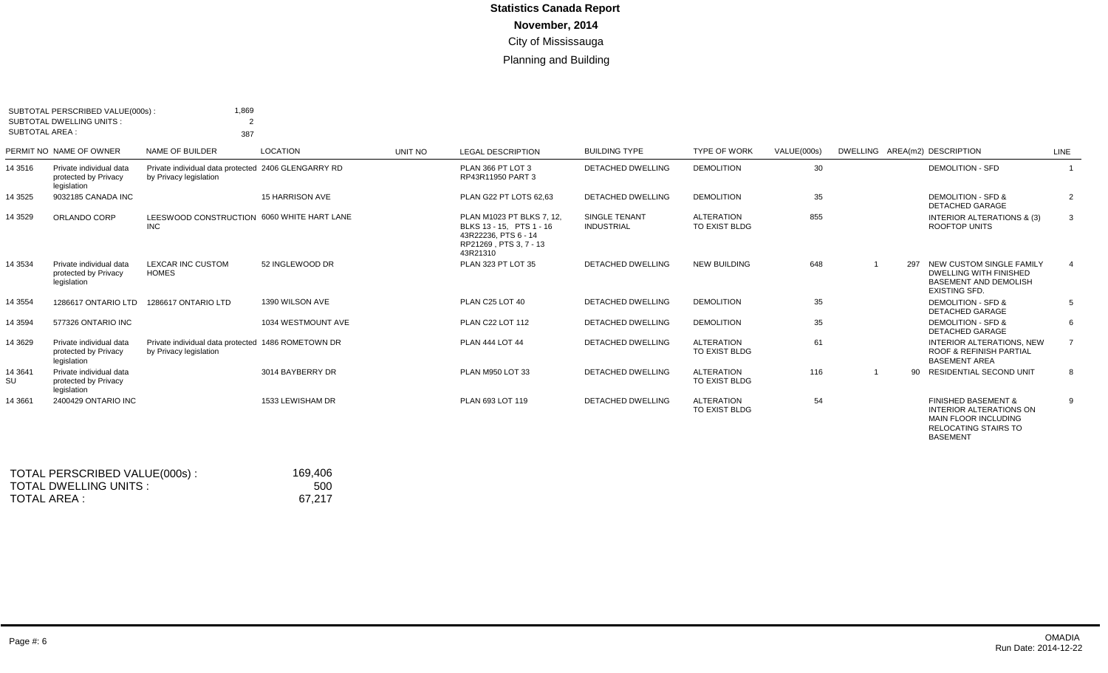| <b>SUBTOTAL AREA:</b> | SUBTOTAL PERSCRIBED VALUE(000s):<br>SUBTOTAL DWELLING UNITS:   | 1,869<br>$\mathcal{P}$<br>387                                                 |                        |         |                                                                                                                     |                                           |                                    |             |     |                                                                                                                                            |                |
|-----------------------|----------------------------------------------------------------|-------------------------------------------------------------------------------|------------------------|---------|---------------------------------------------------------------------------------------------------------------------|-------------------------------------------|------------------------------------|-------------|-----|--------------------------------------------------------------------------------------------------------------------------------------------|----------------|
|                       | PERMIT NO NAME OF OWNER                                        | NAME OF BUILDER                                                               | <b>LOCATION</b>        | UNIT NO | <b>LEGAL DESCRIPTION</b>                                                                                            | <b>BUILDING TYPE</b>                      | <b>TYPE OF WORK</b>                | VALUE(000s) |     | DWELLING AREA(m2) DESCRIPTION                                                                                                              | LINE           |
| 14 3 5 16             | Private individual data<br>protected by Privacy<br>legislation | Private individual data protected 2406 GLENGARRY RD<br>by Privacy legislation |                        |         | PLAN 366 PT LOT 3<br>RP43R11950 PART 3                                                                              | DETACHED DWELLING                         | <b>DEMOLITION</b>                  | 30          |     | <b>DEMOLITION - SFD</b>                                                                                                                    |                |
| 14 3 5 2 5            | 9032185 CANADA INC                                             |                                                                               | <b>15 HARRISON AVE</b> |         | PLAN G22 PT LOTS 62.63                                                                                              | <b>DETACHED DWELLING</b>                  | <b>DEMOLITION</b>                  | 35          |     | <b>DEMOLITION - SFD &amp;</b><br><b>DETACHED GARAGE</b>                                                                                    | 2              |
| 14 3 5 2 9            | ORLANDO CORP                                                   | LEESWOOD CONSTRUCTION 6060 WHITE HART LANE<br><b>INC</b>                      |                        |         | PLAN M1023 PT BLKS 7, 12.<br>BLKS 13 - 15. PTS 1 - 16<br>43R22236, PTS 6 - 14<br>RP21269, PTS 3, 7 - 13<br>43R21310 | <b>SINGLE TENANT</b><br><b>INDUSTRIAL</b> | <b>ALTERATION</b><br>TO EXIST BLDG | 855         |     | <b>INTERIOR ALTERATIONS &amp; (3)</b><br><b>ROOFTOP UNITS</b>                                                                              | 3              |
| 14 3 5 3 4            | Private individual data<br>protected by Privacy<br>legislation | LEXCAR INC CUSTOM<br><b>HOMES</b>                                             | 52 INGLEWOOD DR        |         | PLAN 323 PT LOT 35                                                                                                  | <b>DETACHED DWELLING</b>                  | <b>NEW BUILDING</b>                | 648         | 297 | NEW CUSTOM SINGLE FAMILY<br><b>DWELLING WITH FINISHED</b><br><b>BASEMENT AND DEMOLISH</b><br><b>EXISTING SFD.</b>                          |                |
| 14 3 5 5 4            | 1286617 ONTARIO LTD                                            | 1286617 ONTARIO LTD                                                           | 1390 WILSON AVE        |         | PLAN C25 LOT 40                                                                                                     | <b>DETACHED DWELLING</b>                  | <b>DEMOLITION</b>                  | 35          |     | <b>DEMOLITION - SFD &amp;</b><br><b>DETACHED GARAGE</b>                                                                                    | 5              |
| 14 3 5 9 4            | 577326 ONTARIO INC                                             |                                                                               | 1034 WESTMOUNT AVE     |         | <b>PLAN C22 LOT 112</b>                                                                                             | <b>DETACHED DWELLING</b>                  | <b>DEMOLITION</b>                  | 35          |     | <b>DEMOLITION - SFD &amp;</b><br><b>DETACHED GARAGE</b>                                                                                    | 6              |
| 14 3 6 29             | Private individual data<br>protected by Privacy<br>legislation | Private individual data protected 1486 ROMETOWN DR<br>by Privacy legislation  |                        |         | <b>PLAN 444 LOT 44</b>                                                                                              | <b>DETACHED DWELLING</b>                  | <b>ALTERATION</b><br>TO EXIST BLDG | 61          |     | <b>INTERIOR ALTERATIONS, NEW</b><br><b>ROOF &amp; REFINISH PARTIAL</b><br><b>BASEMENT AREA</b>                                             | $\overline{7}$ |
| 14 3 64 1<br>SU       | Private individual data<br>protected by Privacy<br>legislation |                                                                               | 3014 BAYBERRY DR       |         | PLAN M950 LOT 33                                                                                                    | <b>DETACHED DWELLING</b>                  | <b>ALTERATION</b><br>TO EXIST BLDG | 116         | 90  | RESIDENTIAL SECOND UNIT                                                                                                                    | 8              |
| 14 3 66 1             | 2400429 ONTARIO INC                                            |                                                                               | 1533 LEWISHAM DR       |         | PLAN 693 LOT 119                                                                                                    | <b>DETACHED DWELLING</b>                  | <b>ALTERATION</b><br>TO EXIST BLDG | 54          |     | <b>FINISHED BASEMENT &amp;</b><br><b>INTERIOR ALTERATIONS ON</b><br><b>MAIN FLOOR INCLUDING</b><br>RELOCATING STAIRS TO<br><b>BASEMENT</b> | 9              |

| TOTAL PERSCRIBED VALUE(000s): | 169,406 |
|-------------------------------|---------|
| TOTAL DWELLING UNITS :        | 500     |
| TOTAL AREA :                  | 67.217  |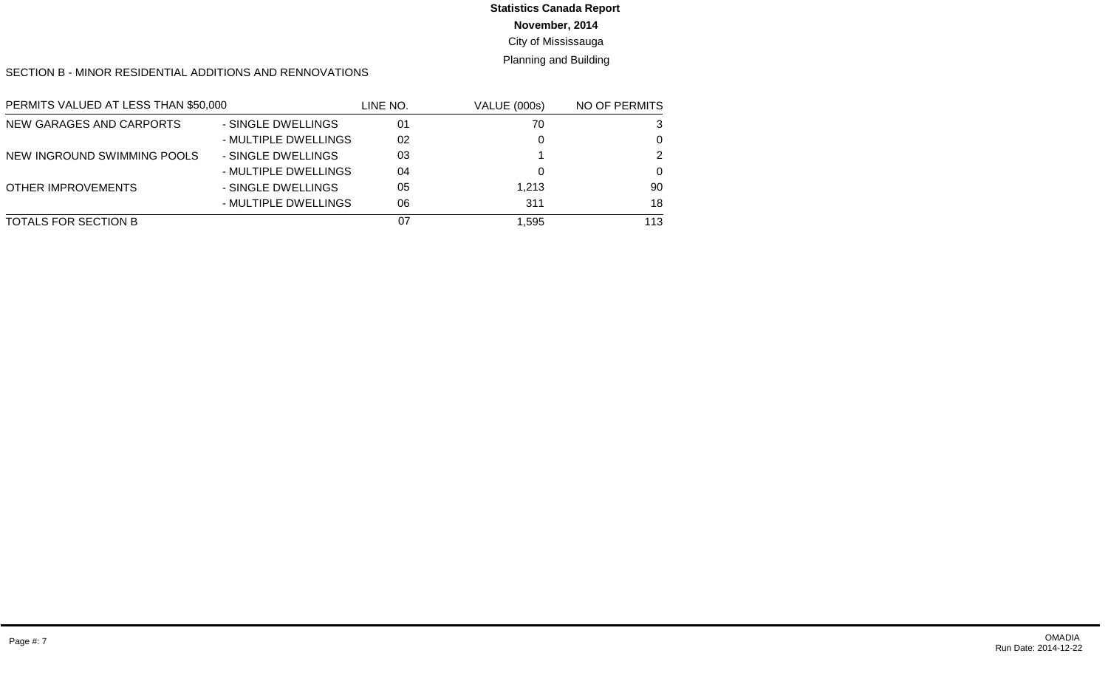# **Statistics Canada Report**

### **November, 2014**

### City of Mississauga

### Planning and Building

#### SECTION B - MINOR RESIDENTIAL ADDITIONS AND RENNOVATIONS

| PERMITS VALUED AT LESS THAN \$50,000 |                      | LINE NO. | <b>VALUE (000s)</b> | NO OF PERMITS |
|--------------------------------------|----------------------|----------|---------------------|---------------|
| NEW GARAGES AND CARPORTS             | - SINGLE DWELLINGS   | 01       | 70                  | 3             |
|                                      | - MULTIPLE DWELLINGS | 02       |                     | 0             |
| NEW INGROUND SWIMMING POOLS          | - SINGLE DWELLINGS   | 03       |                     | 2             |
|                                      | - MULTIPLE DWELLINGS | 04       |                     | ∩             |
| <b>OTHER IMPROVEMENTS</b>            | - SINGLE DWELLINGS   | 05       | 1.213               | 90            |
|                                      | - MULTIPLE DWELLINGS | 06       | 311                 | 18            |
| TOTALS FOR SECTION B                 |                      | 07       | 1,595               | 113           |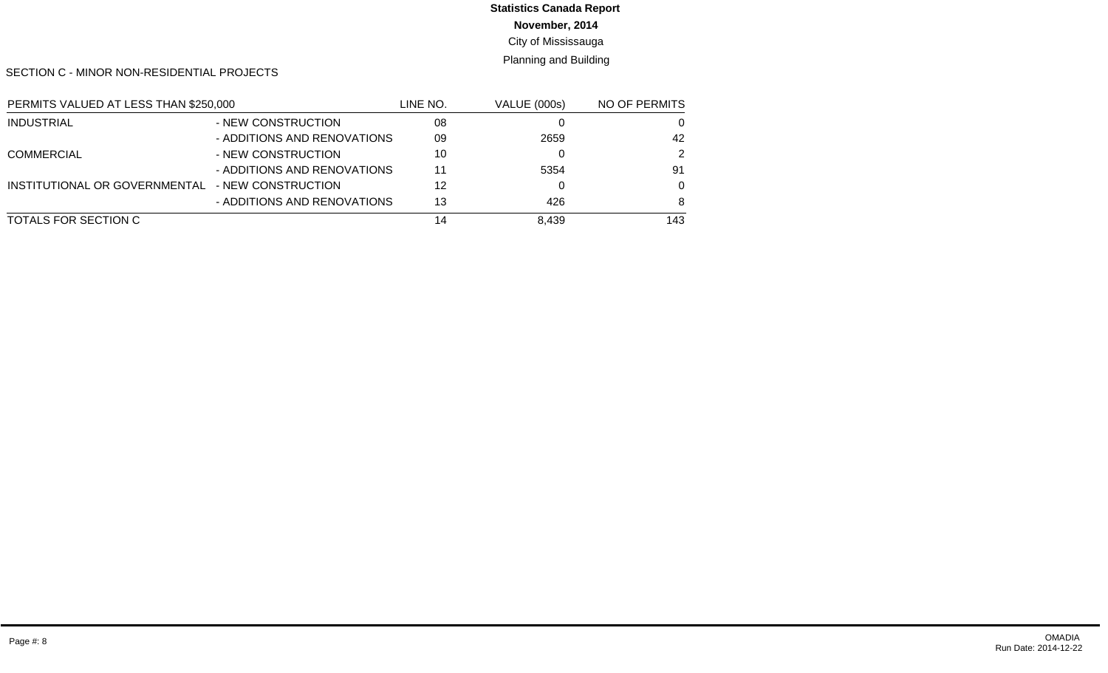# **Statistics Canada Report**

**November, 2014**

City of Mississauga

Planning and Building

SECTION C - MINOR NON-RESIDENTIAL PROJECTS

| PERMITS VALUED AT LESS THAN \$250,000 |                             | LINE NO. | <b>VALUE (000s)</b> | NO OF PERMITS |
|---------------------------------------|-----------------------------|----------|---------------------|---------------|
| <b>INDUSTRIAL</b>                     | - NEW CONSTRUCTION          | 08       |                     | 0             |
|                                       | - ADDITIONS AND RENOVATIONS | 09       | 2659                | 42            |
| <b>COMMERCIAL</b>                     | - NEW CONSTRUCTION          | 10       |                     | 2             |
|                                       | - ADDITIONS AND RENOVATIONS | 11       | 5354                | 91            |
| INSTITUTIONAL OR GOVERNMENTAL         | - NEW CONSTRUCTION          | 12       |                     | $\Omega$      |
|                                       | - ADDITIONS AND RENOVATIONS | 13       | 426                 | 8             |
| TOTALS FOR SECTION C                  |                             | 14       | 8.439               | 143           |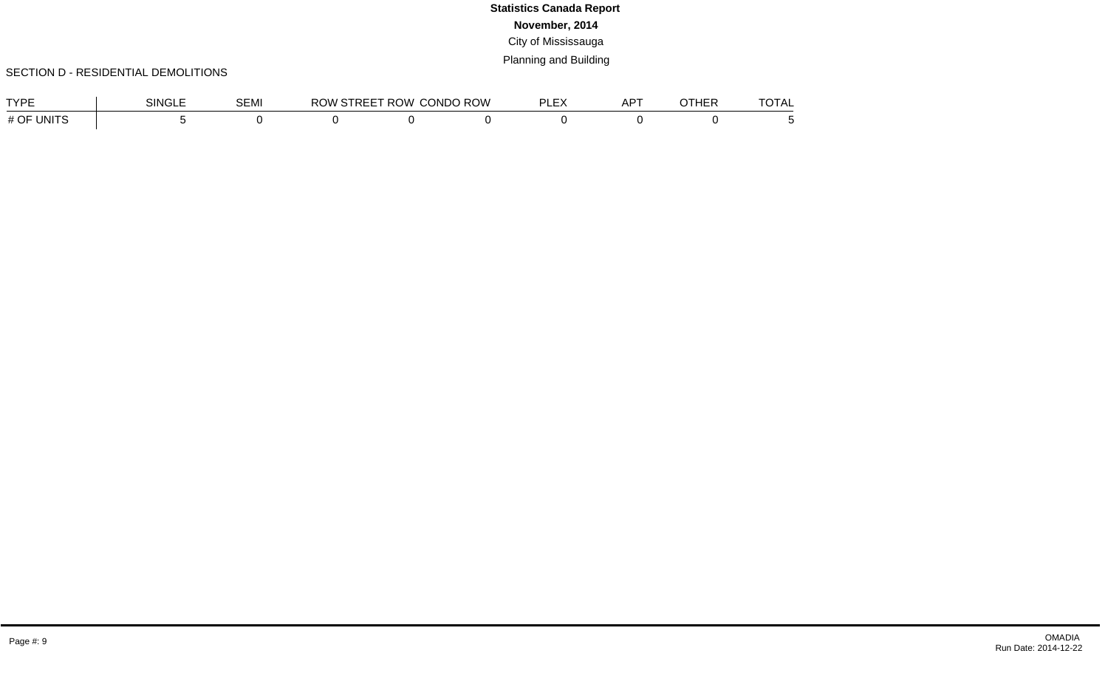### SECTION D - RESIDENTIAL DEMOLITIONS

| <b>TVDE</b>                | SINC. | <b>OC.U</b><br>וו∨ו⊐י | ROW | ROV<br>$\cdots$ $\cdots$<br>B | <b>CONDO ROW</b> | --- | $AP^{\top}$ | . | ____<br>╹┍┖ |
|----------------------------|-------|-----------------------|-----|-------------------------------|------------------|-----|-------------|---|-------------|
| $H \cap F$<br>UNITS<br>" ∪ |       |                       |     |                               |                  |     |             |   |             |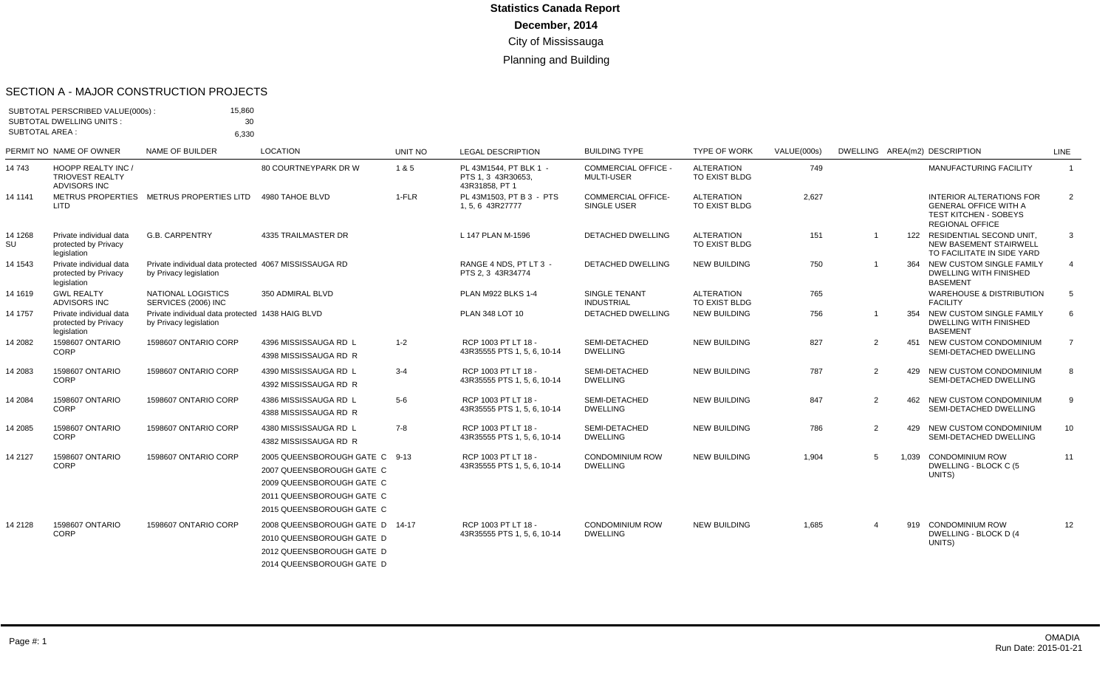#### SECTION A - MAJOR CONSTRUCTION PROJECTS

| SUBTOTAL AREA : | SUBTOTAL PERSCRIBED VALUE(000s):<br><b>SUBTOTAL DWELLING UNITS:</b>        | 15,860<br>30<br>6.330                                                           |                                                                                                                                                    |                |                                                                |                                                 |                                    |                    |                |       |                                                                                                                           |                |
|-----------------|----------------------------------------------------------------------------|---------------------------------------------------------------------------------|----------------------------------------------------------------------------------------------------------------------------------------------------|----------------|----------------------------------------------------------------|-------------------------------------------------|------------------------------------|--------------------|----------------|-------|---------------------------------------------------------------------------------------------------------------------------|----------------|
|                 | PERMIT NO NAME OF OWNER                                                    | NAME OF BUILDER                                                                 | <b>LOCATION</b>                                                                                                                                    | <b>UNIT NO</b> | <b>LEGAL DESCRIPTION</b>                                       | <b>BUILDING TYPE</b>                            | <b>TYPE OF WORK</b>                | <b>VALUE(000s)</b> |                |       | DWELLING AREA(m2) DESCRIPTION                                                                                             | <b>LINE</b>    |
| 14 743          | <b>HOOPP REALTY INC /</b><br><b>TRIOVEST REALTY</b><br><b>ADVISORS INC</b> |                                                                                 | 80 COURTNEYPARK DR W                                                                                                                               | 1&5            | PL 43M1544. PT BLK 1 -<br>PTS 1, 3 43R30653,<br>43R31858, PT 1 | <b>COMMERCIAL OFFICE -</b><br><b>MULTI-USER</b> | <b>ALTERATION</b><br>TO EXIST BLDG | 749                |                |       | <b>MANUFACTURING FACILITY</b>                                                                                             | $\overline{1}$ |
| 14 1141         | <b>METRUS PROPERTIES</b><br>LITD                                           | METRUS PROPERTIES LITD                                                          | 4980 TAHOE BLVD                                                                                                                                    | $1-FLR$        | PL 43M1503. PT B 3 - PTS<br>1, 5, 6 43R27777                   | <b>COMMERCIAL OFFICE-</b><br>SINGLE USER        | <b>ALTERATION</b><br>TO EXIST BLDG | 2,627              |                |       | <b>INTERIOR ALTERATIONS FOR</b><br><b>GENERAL OFFICE WITH A</b><br><b>TEST KITCHEN - SOBEYS</b><br><b>REGIONAL OFFICE</b> | 2              |
| 14 1268<br>SU   | Private individual data<br>protected by Privacy<br>legislation             | <b>G.B. CARPENTRY</b>                                                           | 4335 TRAILMASTER DR                                                                                                                                |                | L 147 PLAN M-1596                                              | <b>DETACHED DWELLING</b>                        | <b>ALTERATION</b><br>TO EXIST BLDG | 151                | -1             |       | 122 RESIDENTIAL SECOND UNIT,<br><b>NEW BASEMENT STAIRWELL</b><br>TO FACILITATE IN SIDE YARD                               | 3              |
| 14 1543         | Private individual data<br>protected by Privacy<br>legislation             | Private individual data protected 4067 MISSISSAUGA RD<br>by Privacy legislation |                                                                                                                                                    |                | RANGE 4 NDS, PT LT 3 -<br>PTS 2.3 43R34774                     | <b>DETACHED DWELLING</b>                        | <b>NEW BUILDING</b>                | 750                |                |       | NEW CUSTOM SINGLE FAMILY<br><b>DWELLING WITH FINISHED</b><br><b>BASEMENT</b>                                              | $\overline{4}$ |
| 14 1619         | <b>GWL REALTY</b><br><b>ADVISORS INC</b>                                   | NATIONAL LOGISTICS<br>SERVICES (2006) INC                                       | 350 ADMIRAL BLVD                                                                                                                                   |                | PLAN M922 BLKS 1-4                                             | SINGLE TENANT<br><b>INDUSTRIAL</b>              | <b>ALTERATION</b><br>TO EXIST BLDG | 765                |                |       | <b>WAREHOUSE &amp; DISTRIBUTION</b><br><b>FACILITY</b>                                                                    | 5              |
| 14 1757         | Private individual data<br>protected by Privacy<br>legislation             | Private individual data protected 1438 HAIG BLVD<br>by Privacy legislation      |                                                                                                                                                    |                | PLAN 348 LOT 10                                                | <b>DETACHED DWELLING</b>                        | <b>NEW BUILDING</b>                | 756                |                | 354   | NEW CUSTOM SINGLE FAMILY<br>DWELLING WITH FINISHED<br><b>BASEMENT</b>                                                     | 6              |
| 14 2082         | <b>1598607 ONTARIO</b><br>CORP                                             | 1598607 ONTARIO CORP                                                            | 4396 MISSISSAUGA RD L<br>4398 MISSISSAUGA RD R                                                                                                     | $1 - 2$        | RCP 1003 PT LT 18 -<br>43R35555 PTS 1, 5, 6, 10-14             | SEMI-DETACHED<br><b>DWELLING</b>                | <b>NEW BUILDING</b>                | 827                | 2              |       | 451 NEW CUSTOM CONDOMINIUM<br>SEMI-DETACHED DWELLING                                                                      | $\overline{7}$ |
| 14 2083         | 1598607 ONTARIO<br><b>CORP</b>                                             | 1598607 ONTARIO CORP                                                            | 4390 MISSISSAUGA RD L<br>4392 MISSISSAUGA RD R                                                                                                     | $3 - 4$        | RCP 1003 PT LT 18 -<br>43R35555 PTS 1, 5, 6, 10-14             | SEMI-DETACHED<br><b>DWELLING</b>                | <b>NEW BUILDING</b>                | 787                | $\overline{2}$ |       | 429 NEW CUSTOM CONDOMINIUM<br>SEMI-DETACHED DWELLING                                                                      | 8              |
| 14 2084         | 1598607 ONTARIO<br>CORP                                                    | 1598607 ONTARIO CORP                                                            | 4386 MISSISSAUGA RD L<br>4388 MISSISSAUGA RD R                                                                                                     | $5-6$          | RCP 1003 PT LT 18 -<br>43R35555 PTS 1, 5, 6, 10-14             | SEMI-DETACHED<br><b>DWELLING</b>                | <b>NEW BUILDING</b>                | 847                | 2              |       | 462 NEW CUSTOM CONDOMINIUM<br>SEMI-DETACHED DWELLING                                                                      | 9              |
| 14 2085         | 1598607 ONTARIO<br>CORP                                                    | 1598607 ONTARIO CORP                                                            | 4380 MISSISSAUGA RD L<br>4382 MISSISSAUGA RD R                                                                                                     | $7-8$          | RCP 1003 PT LT 18 -<br>43R35555 PTS 1, 5, 6, 10-14             | SEMI-DETACHED<br><b>DWELLING</b>                | <b>NEW BUILDING</b>                | 786                | 2              | 429   | NEW CUSTOM CONDOMINIUM<br>SEMI-DETACHED DWELLING                                                                          | 10             |
| 14 2127         | 1598607 ONTARIO<br><b>CORP</b>                                             | 1598607 ONTARIO CORP                                                            | 2005 QUEENSBOROUGH GATE C 9-13<br>2007 QUEENSBOROUGH GATE C<br>2009 QUEENSBOROUGH GATE C<br>2011 QUEENSBOROUGH GATE C<br>2015 QUEENSBOROUGH GATE C |                | RCP 1003 PT LT 18 -<br>43R35555 PTS 1, 5, 6, 10-14             | <b>CONDOMINIUM ROW</b><br><b>DWELLING</b>       | <b>NEW BUILDING</b>                | 1,904              | 5              | 1.039 | <b>CONDOMINIUM ROW</b><br>DWELLING - BLOCK C (5<br>UNITS)                                                                 | 11             |
| 14 2128         | 1598607 ONTARIO<br><b>CORP</b>                                             | 1598607 ONTARIO CORP                                                            | 2008 QUEENSBOROUGH GATE D 14-17<br>2010 QUEENSBOROUGH GATE D<br>2012 QUEENSBOROUGH GATE D<br>2014 QUEENSBOROUGH GATE D                             |                | RCP 1003 PT LT 18 -<br>43R35555 PTS 1, 5, 6, 10-14             | <b>CONDOMINIUM ROW</b><br><b>DWELLING</b>       | <b>NEW BUILDING</b>                | 1,685              | $\overline{4}$ |       | 919 CONDOMINIUM ROW<br>DWELLING - BLOCK D (4<br>UNITS)                                                                    | 12             |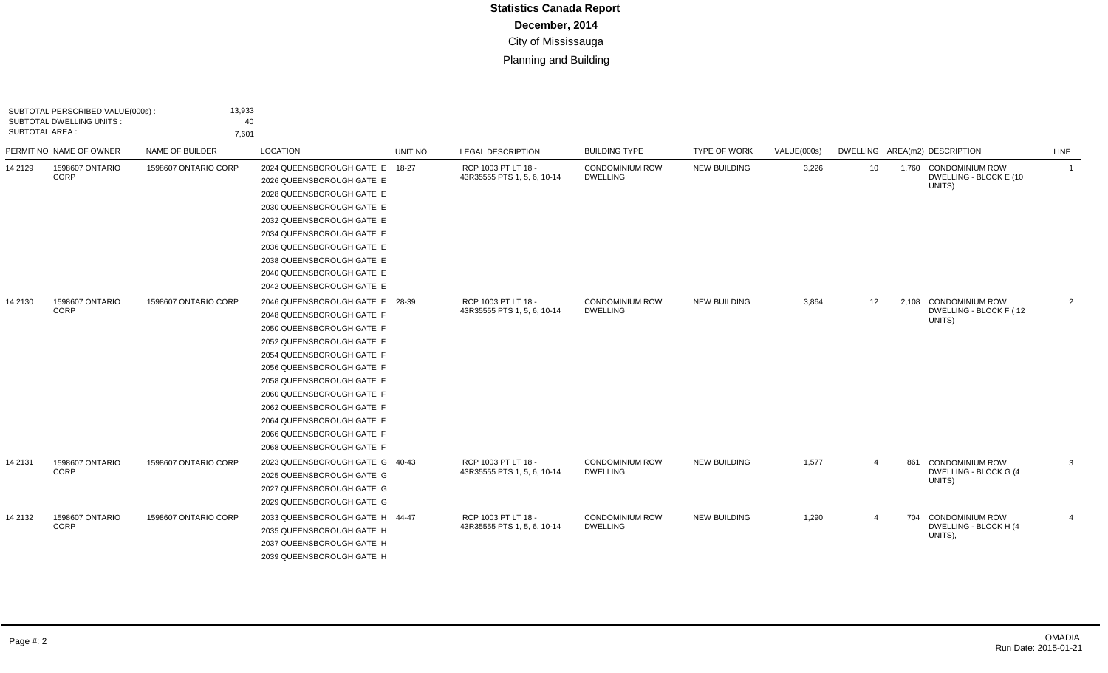| SUBTOTAL PERSCRIBED VALUE(000s):<br><b>SUBTOTAL DWELLING UNITS:</b><br>SUBTOTAL AREA : |                                | 13,933<br>40<br>7,601 |                                                                                                                                                                                                                                                                                                                                                                |         |                                                    |                                           |                     |             |                |     |                                                           |                |
|----------------------------------------------------------------------------------------|--------------------------------|-----------------------|----------------------------------------------------------------------------------------------------------------------------------------------------------------------------------------------------------------------------------------------------------------------------------------------------------------------------------------------------------------|---------|----------------------------------------------------|-------------------------------------------|---------------------|-------------|----------------|-----|-----------------------------------------------------------|----------------|
|                                                                                        | PERMIT NO NAME OF OWNER        | NAME OF BUILDER       | LOCATION                                                                                                                                                                                                                                                                                                                                                       | UNIT NO | <b>LEGAL DESCRIPTION</b>                           | <b>BUILDING TYPE</b>                      | <b>TYPE OF WORK</b> | VALUE(000s) |                |     | DWELLING AREA(m2) DESCRIPTION                             | LINE           |
| 14 21 29                                                                               | 1598607 ONTARIO<br>CORP        | 1598607 ONTARIO CORP  | 2024 QUEENSBOROUGH GATE E 18-27<br>2026 QUEENSBOROUGH GATE E<br>2028 QUEENSBOROUGH GATE E<br>2030 QUEENSBOROUGH GATE E<br>2032 QUEENSBOROUGH GATE E<br>2034 QUEENSBOROUGH GATE E<br>2036 QUEENSBOROUGH GATE E<br>2038 QUEENSBOROUGH GATE E<br>2040 QUEENSBOROUGH GATE E<br>2042 QUEENSBOROUGH GATE E                                                           |         | RCP 1003 PT LT 18 -<br>43R35555 PTS 1, 5, 6, 10-14 | <b>CONDOMINIUM ROW</b><br><b>DWELLING</b> | <b>NEW BUILDING</b> | 3,226       | 10             |     | 1,760 CONDOMINIUM ROW<br>DWELLING - BLOCK E (10<br>UNITS) | $\overline{1}$ |
| 14 2130                                                                                | 1598607 ONTARIO<br><b>CORP</b> | 1598607 ONTARIO CORP  | 2046 QUEENSBOROUGH GATE F 28-39<br>2048 QUEENSBOROUGH GATE F<br>2050 QUEENSBOROUGH GATE F<br>2052 QUEENSBOROUGH GATE F<br>2054 QUEENSBOROUGH GATE F<br>2056 QUEENSBOROUGH GATE F<br>2058 QUEENSBOROUGH GATE F<br>2060 QUEENSBOROUGH GATE F<br>2062 QUEENSBOROUGH GATE F<br>2064 QUEENSBOROUGH GATE F<br>2066 QUEENSBOROUGH GATE F<br>2068 QUEENSBOROUGH GATE F |         | RCP 1003 PT LT 18 -<br>43R35555 PTS 1, 5, 6, 10-14 | <b>CONDOMINIUM ROW</b><br><b>DWELLING</b> | <b>NEW BUILDING</b> | 3,864       | 12             |     | 2.108 CONDOMINIUM ROW<br>DWELLING - BLOCK F (12<br>UNITS) | $\overline{2}$ |
| 14 21 31                                                                               | 1598607 ONTARIO<br>CORP        | 1598607 ONTARIO CORP  | 2023 QUEENSBOROUGH GATE G 40-43<br>2025 QUEENSBOROUGH GATE G<br>2027 QUEENSBOROUGH GATE G<br>2029 QUEENSBOROUGH GATE G                                                                                                                                                                                                                                         |         | RCP 1003 PT LT 18 -<br>43R35555 PTS 1, 5, 6, 10-14 | <b>CONDOMINIUM ROW</b><br><b>DWELLING</b> | <b>NEW BUILDING</b> | 1,577       | $\overline{4}$ | 861 | <b>CONDOMINIUM ROW</b><br>DWELLING - BLOCK G (4<br>UNITS) | 3              |
| 14 2132                                                                                | 1598607 ONTARIO<br>CORP        | 1598607 ONTARIO CORP  | 2033 QUEENSBOROUGH GATE H 44-47<br>2035 QUEENSBOROUGH GATE H<br>2037 QUEENSBOROUGH GATE H<br>2039 QUEENSBOROUGH GATE H                                                                                                                                                                                                                                         |         | RCP 1003 PT LT 18 -<br>43R35555 PTS 1, 5, 6, 10-14 | <b>CONDOMINIUM ROW</b><br><b>DWELLING</b> | <b>NEW BUILDING</b> | 1,290       | $\overline{4}$ |     | 704 CONDOMINIUM ROW<br>DWELLING - BLOCK H (4<br>UNITS),   | $\overline{4}$ |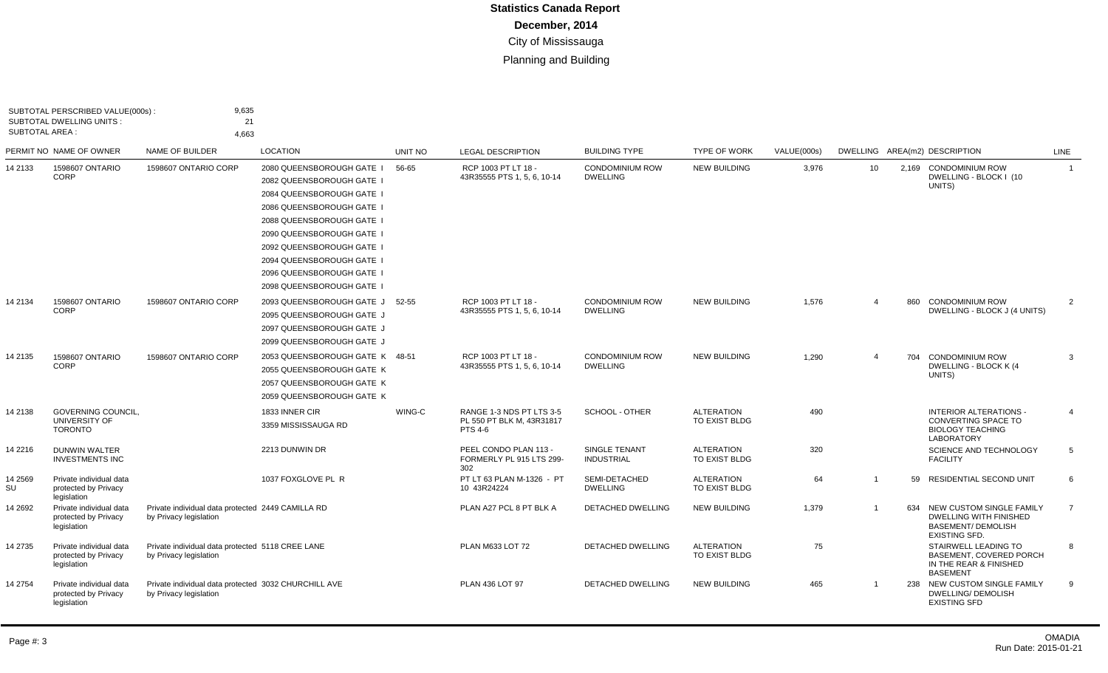| SUBTOTAL AREA : | SUBTOTAL PERSCRIBED VALUE(000s):<br><b>SUBTOTAL DWELLING UNITS:</b> | 9,635<br>21<br>4,663                                                           |                                                                                                                                                                                                                                                                   |         |                                                                  |                                           |                                    |             |                 |       |                                                                                                                |                         |
|-----------------|---------------------------------------------------------------------|--------------------------------------------------------------------------------|-------------------------------------------------------------------------------------------------------------------------------------------------------------------------------------------------------------------------------------------------------------------|---------|------------------------------------------------------------------|-------------------------------------------|------------------------------------|-------------|-----------------|-------|----------------------------------------------------------------------------------------------------------------|-------------------------|
|                 | PERMIT NO NAME OF OWNER                                             | <b>NAME OF BUILDER</b>                                                         | <b>LOCATION</b>                                                                                                                                                                                                                                                   | UNIT NO | <b>LEGAL DESCRIPTION</b>                                         | <b>BUILDING TYPE</b>                      | <b>TYPE OF WORK</b>                | VALUE(000s) |                 |       | DWELLING AREA(m2) DESCRIPTION                                                                                  | LINE                    |
| 14 2133         | 1598607 ONTARIO<br>CORP                                             | 1598607 ONTARIO CORP                                                           | 2080 QUEENSBOROUGH GATE I<br>2082 QUEENSBOROUGH GATE I<br>2084 QUEENSBOROUGH GATE I<br>2086 QUEENSBOROUGH GATE I<br>2088 QUEENSBOROUGH GATE I<br>2090 QUEENSBOROUGH GATE I<br>2092 QUEENSBOROUGH GATE I<br>2094 QUEENSBOROUGH GATE I<br>2096 QUEENSBOROUGH GATE I | 56-65   | RCP 1003 PT LT 18 -<br>43R35555 PTS 1, 5, 6, 10-14               | <b>CONDOMINIUM ROW</b><br><b>DWELLING</b> | <b>NEW BUILDING</b>                | 3,976       | 10 <sup>°</sup> | 2.169 | <b>CONDOMINIUM ROW</b><br>DWELLING - BLOCK I (10<br>UNITS)                                                     | $\overline{\mathbf{1}}$ |
| 14 2134         | 1598607 ONTARIO<br>CORP                                             | 1598607 ONTARIO CORP                                                           | 2098 QUEENSBOROUGH GATE I<br>2093 QUEENSBOROUGH GATE J 52-55<br>2095 QUEENSBOROUGH GATE J<br>2097 QUEENSBOROUGH GATE J<br>2099 QUEENSBOROUGH GATE J                                                                                                               |         | RCP 1003 PT LT 18 -<br>43R35555 PTS 1, 5, 6, 10-14               | <b>CONDOMINIUM ROW</b><br><b>DWELLING</b> | <b>NEW BUILDING</b>                | 1,576       | $\overline{4}$  | 860   | <b>CONDOMINIUM ROW</b><br>DWELLING - BLOCK J (4 UNITS)                                                         | 2                       |
| 14 2135         | 1598607 ONTARIO<br><b>CORP</b>                                      | 1598607 ONTARIO CORP                                                           | 2053 QUEENSBOROUGH GATE K 48-51<br>2055 QUEENSBOROUGH GATE K<br>2057 QUEENSBOROUGH GATE K<br>2059 QUEENSBOROUGH GATE K                                                                                                                                            |         | RCP 1003 PT LT 18 -<br>43R35555 PTS 1, 5, 6, 10-14               | <b>CONDOMINIUM ROW</b><br><b>DWELLING</b> | <b>NEW BUILDING</b>                | 1,290       | $\Delta$        | 704   | <b>CONDOMINIUM ROW</b><br>DWELLING - BLOCK K (4<br>UNITS)                                                      | 3                       |
| 14 2138         | <b>GOVERNING COUNCIL.</b><br>UNIVERSITY OF<br><b>TORONTO</b>        |                                                                                | 1833 INNER CIR<br>3359 MISSISSAUGA RD                                                                                                                                                                                                                             | WING-C  | RANGE 1-3 NDS PT LTS 3-5<br>PL 550 PT BLK M, 43R31817<br>PTS 4-6 | SCHOOL - OTHER                            | <b>ALTERATION</b><br>TO EXIST BLDG | 490         |                 |       | <b>INTERIOR ALTERATIONS -</b><br><b>CONVERTING SPACE TO</b><br><b>BIOLOGY TEACHING</b><br><b>LABORATORY</b>    | 4                       |
| 14 2216         | <b>DUNWIN WALTER</b><br><b>INVESTMENTS INC</b>                      |                                                                                | 2213 DUNWIN DR                                                                                                                                                                                                                                                    |         | PEEL CONDO PLAN 113 -<br>FORMERLY PL 915 LTS 299-<br>302         | SINGLE TENANT<br><b>INDUSTRIAL</b>        | <b>ALTERATION</b><br>TO EXIST BLDG | 320         |                 |       | <b>SCIENCE AND TECHNOLOGY</b><br><b>FACILITY</b>                                                               | 5                       |
| 14 2569<br>SU   | Private individual data<br>protected by Privacy<br>legislation      |                                                                                | 1037 FOXGLOVE PL R                                                                                                                                                                                                                                                |         | PT LT 63 PLAN M-1326 - PT<br>10 43R24224                         | SEMI-DETACHED<br><b>DWELLING</b>          | <b>ALTERATION</b><br>TO EXIST BLDG | 64          | $\overline{1}$  | 59    | <b>RESIDENTIAL SECOND UNIT</b>                                                                                 | 6                       |
| 14 2692         | Private individual data<br>protected by Privacy<br>legislation      | Private individual data protected 2449 CAMILLA RD<br>by Privacy legislation    |                                                                                                                                                                                                                                                                   |         | PLAN A27 PCL 8 PT BLK A                                          | <b>DETACHED DWELLING</b>                  | <b>NEW BUILDING</b>                | 1,379       |                 | 634   | NEW CUSTOM SINGLE FAMILY<br><b>DWELLING WITH FINISHED</b><br><b>BASEMENT/ DEMOLISH</b><br><b>EXISTING SFD.</b> | $\overline{7}$          |
| 14 2735         | Private individual data<br>protected by Privacy<br>legislation      | Private individual data protected 5118 CREE LANE<br>by Privacy legislation     |                                                                                                                                                                                                                                                                   |         | PLAN M633 LOT 72                                                 | <b>DETACHED DWELLING</b>                  | <b>ALTERATION</b><br>TO EXIST BLDG | 75          |                 |       | STAIRWELL LEADING TO<br><b>BASEMENT, COVERED PORCH</b><br>IN THE REAR & FINISHED<br><b>BASEMENT</b>            | 8                       |
| 14 2754         | Private individual data<br>protected by Privacy<br>legislation      | Private individual data protected 3032 CHURCHILL AVE<br>by Privacy legislation |                                                                                                                                                                                                                                                                   |         | PLAN 436 LOT 97                                                  | <b>DETACHED DWELLING</b>                  | <b>NEW BUILDING</b>                | 465         |                 |       | 238 NEW CUSTOM SINGLE FAMILY<br><b>DWELLING/ DEMOLISH</b><br><b>EXISTING SFD</b>                               | 9                       |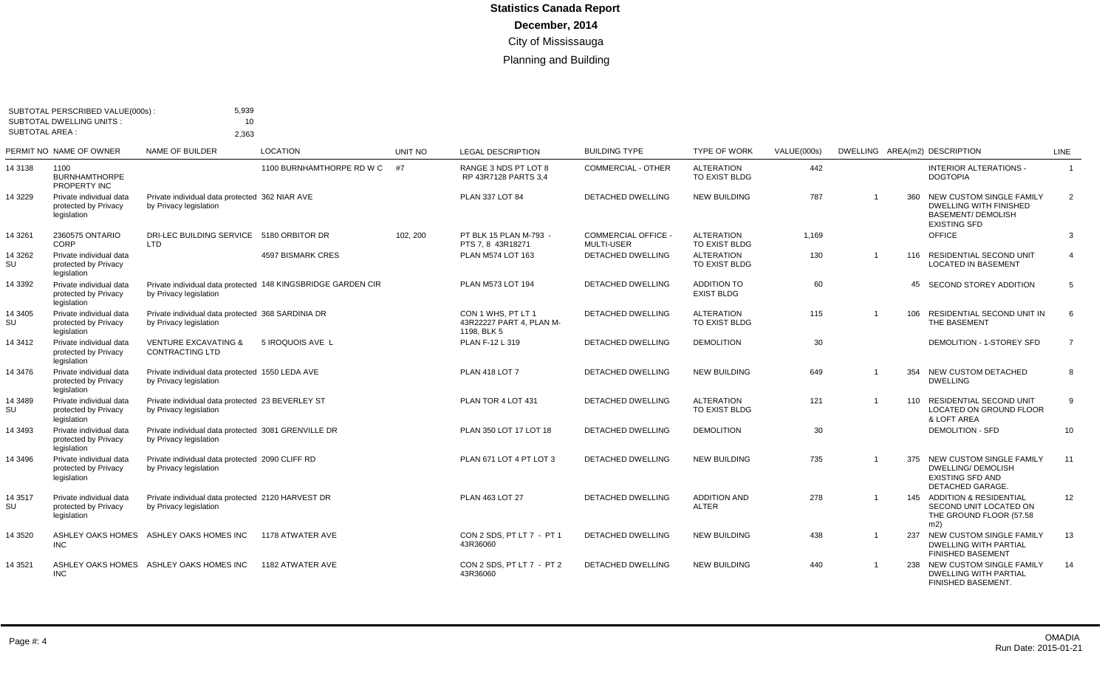|                  | SUBTOTAL PERSCRIBED VALUE(000s):<br><b>SUBTOTAL DWELLING UNITS:</b> | 5,939<br>10                                                                   |                                                              |          |                                                               |                                                 |                                         |             |                |     |                                                                                                               |                |
|------------------|---------------------------------------------------------------------|-------------------------------------------------------------------------------|--------------------------------------------------------------|----------|---------------------------------------------------------------|-------------------------------------------------|-----------------------------------------|-------------|----------------|-----|---------------------------------------------------------------------------------------------------------------|----------------|
|                  | SUBTOTAL AREA :                                                     | 2.363                                                                         |                                                              |          |                                                               |                                                 |                                         |             |                |     |                                                                                                               |                |
|                  | PERMIT NO NAME OF OWNER                                             | <b>NAME OF BUILDER</b>                                                        | <b>LOCATION</b>                                              | UNIT NO  | <b>LEGAL DESCRIPTION</b>                                      | <b>BUILDING TYPE</b>                            | <b>TYPE OF WORK</b>                     | VALUE(000s) |                |     | DWELLING AREA(m2) DESCRIPTION                                                                                 | LINE           |
| 14 3138          | 1100<br><b>BURNHAMTHORPE</b><br>PROPERTY INC                        |                                                                               | 1100 BURNHAMTHORPE RD W C                                    | #7       | RANGE 3 NDS PT LOT 8<br>RP 43R7128 PARTS 3,4                  | <b>COMMERCIAL - OTHER</b>                       | <b>ALTERATION</b><br>TO EXIST BLDG      | 442         |                |     | <b>INTERIOR ALTERATIONS -</b><br><b>DOGTOPIA</b>                                                              | $\overline{1}$ |
| 14 3229          | Private individual data<br>protected by Privacy<br>legislation      | Private individual data protected 362 NIAR AVE<br>by Privacy legislation      |                                                              |          | PLAN 337 LOT 84                                               | <b>DETACHED DWELLING</b>                        | <b>NEW BUILDING</b>                     | 787         | $\overline{ }$ | 360 | NEW CUSTOM SINGLE FAMILY<br><b>DWELLING WITH FINISHED</b><br><b>BASEMENT/ DEMOLISH</b><br><b>EXISTING SFD</b> | $\overline{2}$ |
| 14 3 261         | 2360575 ONTARIO<br>CORP                                             | DRI-LEC BUILDING SERVICE 5180 ORBITOR DR<br>LTD                               |                                                              | 102, 200 | PT BLK 15 PLAN M-793 -<br>PTS 7, 8 43R18271                   | <b>COMMERCIAL OFFICE -</b><br><b>MULTI-USER</b> | <b>ALTERATION</b><br>TO EXIST BLDG      | 1.169       |                |     | <b>OFFICE</b>                                                                                                 | 3              |
| 14 3262<br>SU    | Private individual data<br>protected by Privacy<br>legislation      |                                                                               | <b>4597 BISMARK CRES</b>                                     |          | PLAN M574 LOT 163                                             | DETACHED DWELLING                               | <b>ALTERATION</b><br>TO EXIST BLDG      | 130         | $\overline{1}$ |     | 116 RESIDENTIAL SECOND UNIT<br><b>LOCATED IN BASEMENT</b>                                                     | $\overline{4}$ |
| 14 3392          | Private individual data<br>protected by Privacy<br>legislation      | by Privacy legislation                                                        | Private individual data protected 148 KINGSBRIDGE GARDEN CIR |          | PLAN M573 LOT 194                                             | <b>DETACHED DWELLING</b>                        | <b>ADDITION TO</b><br><b>EXIST BLDG</b> | 60          |                |     | 45 SECOND STOREY ADDITION                                                                                     | 5              |
| 14 3405<br>SU    | Private individual data<br>protected by Privacy<br>legislation      | Private individual data protected 368 SARDINIA DR<br>by Privacy legislation   |                                                              |          | CON 1 WHS, PT LT 1<br>43R22227 PART 4. PLAN M-<br>1198, BLK 5 | DETACHED DWELLING                               | <b>ALTERATION</b><br>TO EXIST BLDG      | 115         |                |     | 106 RESIDENTIAL SECOND UNIT IN<br>THE BASEMENT                                                                | 6              |
| 14 3412          | Private individual data<br>protected by Privacy<br>legislation      | <b>VENTURE EXCAVATING &amp;</b><br><b>CONTRACTING LTD</b>                     | 5 IROQUOIS AVE L                                             |          | PLAN F-12 L 319                                               | <b>DETACHED DWELLING</b>                        | <b>DEMOLITION</b>                       | 30          |                |     | DEMOLITION - 1-STOREY SFD                                                                                     | $\overline{7}$ |
| 14 3476          | Private individual data<br>protected by Privacy<br>legislation      | Private individual data protected 1550 LEDA AVE<br>by Privacy legislation     |                                                              |          | <b>PLAN 418 LOT 7</b>                                         | <b>DETACHED DWELLING</b>                        | <b>NEW BUILDING</b>                     | 649         |                | 354 | NEW CUSTOM DETACHED<br><b>DWELLING</b>                                                                        | 8              |
| 14 3489<br>SU    | Private individual data<br>protected by Privacy<br>legislation      | Private individual data protected 23 BEVERLEY ST<br>by Privacy legislation    |                                                              |          | PLAN TOR 4 LOT 431                                            | <b>DETACHED DWELLING</b>                        | <b>ALTERATION</b><br>TO EXIST BLDG      | 121         | -1             | 110 | <b>RESIDENTIAL SECOND UNIT</b><br><b>LOCATED ON GROUND FLOOR</b><br>& LOFT AREA                               | 9              |
| 14 3493          | Private individual data<br>protected by Privacy<br>legislation      | Private individual data protected 3081 GRENVILLE DR<br>by Privacy legislation |                                                              |          | PLAN 350 LOT 17 LOT 18                                        | <b>DETACHED DWELLING</b>                        | <b>DEMOLITION</b>                       | 30          |                |     | <b>DEMOLITION - SFD</b>                                                                                       | 10             |
| 14 3496          | Private individual data<br>protected by Privacy<br>legislation      | Private individual data protected 2090 CLIFF RD<br>by Privacy legislation     |                                                              |          | PLAN 671 LOT 4 PT LOT 3                                       | <b>DETACHED DWELLING</b>                        | <b>NEW BUILDING</b>                     | 735         | $\overline{1}$ |     | 375 NEW CUSTOM SINGLE FAMILY<br><b>DWELLING/ DEMOLISH</b><br><b>EXISTING SFD AND</b><br>DETACHED GARAGE.      | 11             |
| 14 3 5 1 7<br>SU | Private individual data<br>protected by Privacy<br>legislation      | Private individual data protected 2120 HARVEST DR<br>by Privacy legislation   |                                                              |          | PLAN 463 LOT 27                                               | DETACHED DWELLING                               | <b>ADDITION AND</b><br><b>ALTER</b>     | 278         |                |     | 145 ADDITION & RESIDENTIAL<br>SECOND UNIT LOCATED ON<br>THE GROUND FLOOR (57.58<br>m2)                        | 12             |
| 14 3520          | <b>INC</b>                                                          | ASHLEY OAKS HOMES ASHLEY OAKS HOMES INC                                       | 1178 ATWATER AVE                                             |          | CON 2 SDS. PT LT 7 - PT 1<br>43R36060                         | DETACHED DWELLING                               | <b>NEW BUILDING</b>                     | 438         |                | 237 | NEW CUSTOM SINGLE FAMILY<br><b>DWELLING WITH PARTIAL</b><br><b>FINISHED BASEMENT</b>                          | 13             |
| 14 3 5 2 1       | <b>INC</b>                                                          | ASHLEY OAKS HOMES ASHLEY OAKS HOMES INC                                       | 1182 ATWATER AVE                                             |          | CON 2 SDS, PT LT 7 - PT 2<br>43R36060                         | <b>DETACHED DWELLING</b>                        | <b>NEW BUILDING</b>                     | 440         |                |     | 238 NEW CUSTOM SINGLE FAMILY<br><b>DWELLING WITH PARTIAL</b><br>FINISHED BASEMENT.                            | 14             |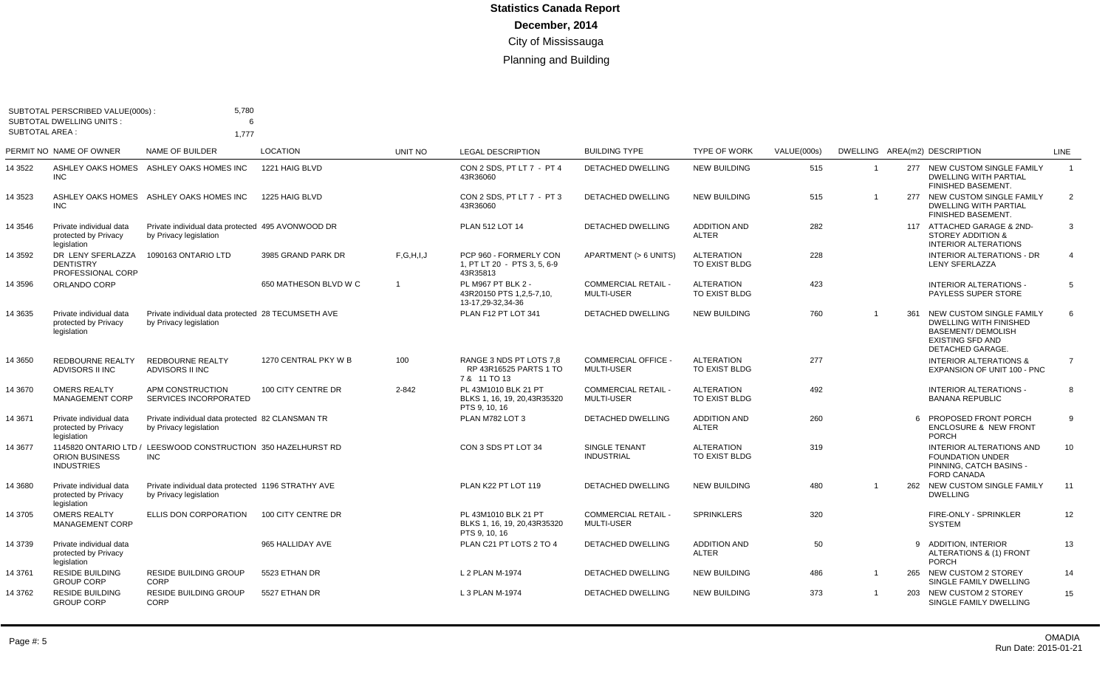|                       | SUBTOTAL PERSCRIBED VALUE(000s)                                | 5,780                                                                        |                       |                |                                                                       |                                                 |                                     |             |                |     |                                                                                                                                       |                |
|-----------------------|----------------------------------------------------------------|------------------------------------------------------------------------------|-----------------------|----------------|-----------------------------------------------------------------------|-------------------------------------------------|-------------------------------------|-------------|----------------|-----|---------------------------------------------------------------------------------------------------------------------------------------|----------------|
| <b>SUBTOTAL AREA:</b> | <b>SUBTOTAL DWELLING UNITS:</b>                                | 6<br>1,777                                                                   |                       |                |                                                                       |                                                 |                                     |             |                |     |                                                                                                                                       |                |
|                       | PERMIT NO NAME OF OWNER                                        | NAME OF BUILDER                                                              | <b>LOCATION</b>       | <b>UNIT NO</b> | <b>LEGAL DESCRIPTION</b>                                              | <b>BUILDING TYPE</b>                            | <b>TYPE OF WORK</b>                 | VALUE(000s) |                |     | DWELLING AREA(m2) DESCRIPTION                                                                                                         | <b>LINE</b>    |
| 14 3522               | ASHLEY OAKS HOMES<br><b>INC</b>                                | ASHLEY OAKS HOMES INC                                                        | 1221 HAIG BLVD        |                | CON 2 SDS. PT LT 7 - PT 4<br>43R36060                                 | <b>DETACHED DWELLING</b>                        | <b>NEW BUILDING</b>                 | 515         | $\overline{1}$ |     | 277 NEW CUSTOM SINGLE FAMILY<br><b>DWELLING WITH PARTIAL</b><br>FINISHED BASEMENT.                                                    | $\overline{1}$ |
| 14 3523               | <b>INC</b>                                                     | ASHLEY OAKS HOMES ASHLEY OAKS HOMES INC                                      | 1225 HAIG BLVD        |                | CON 2 SDS. PT LT 7 - PT 3<br>43R36060                                 | <b>DETACHED DWELLING</b>                        | <b>NEW BUILDING</b>                 | 515         | $\mathbf{1}$   |     | 277 NEW CUSTOM SINGLE FAMILY<br><b>DWELLING WITH PARTIAL</b><br>FINISHED BASEMENT.                                                    | $\overline{2}$ |
| 14 3546               | Private individual data<br>protected by Privacy<br>legislation | Private individual data protected 495 AVONWOOD DR<br>by Privacy legislation  |                       |                | <b>PLAN 512 LOT 14</b>                                                | <b>DETACHED DWELLING</b>                        | <b>ADDITION AND</b><br><b>ALTER</b> | 282         |                |     | 117 ATTACHED GARAGE & 2ND-<br><b>STOREY ADDITION &amp;</b><br><b>INTERIOR ALTERATIONS</b>                                             | 3              |
| 14 3592               | DR LENY SFERLAZZA<br><b>DENTISTRY</b><br>PROFESSIONAL CORP     | 1090163 ONTARIO LTD                                                          | 3985 GRAND PARK DR    | F, G, H, I, J  | PCP 960 - FORMERLY CON<br>1, PT LT 20 - PTS 3, 5, 6-9<br>43R35813     | APARTMENT (> 6 UNITS)                           | <b>ALTERATION</b><br>TO EXIST BLDG  | 228         |                |     | <b>INTERIOR ALTERATIONS - DR</b><br>LENY SFERLAZZA                                                                                    | $\overline{4}$ |
| 14 3596               | ORLANDO CORP                                                   |                                                                              | 650 MATHESON BLVD W C | $\overline{1}$ | PL M967 PT BLK 2 -<br>43R20150 PTS 1,2,5-7,10,<br>13-17,29-32,34-36   | <b>COMMERCIAL RETAIL -</b><br>MULTI-USER        | <b>ALTERATION</b><br>TO EXIST BLDG  | 423         |                |     | <b>INTERIOR ALTERATIONS -</b><br>PAYLESS SUPER STORE                                                                                  | 5              |
| 14 3635               | Private individual data<br>protected by Privacy<br>legislation | Private individual data protected 28 TECUMSETH AVE<br>by Privacy legislation |                       |                | PLAN F12 PT LOT 341                                                   | <b>DETACHED DWELLING</b>                        | <b>NEW BUILDING</b>                 | 760         |                | 361 | NEW CUSTOM SINGLE FAMILY<br><b>DWELLING WITH FINISHED</b><br><b>BASEMENT/ DEMOLISH</b><br><b>EXISTING SFD AND</b><br>DETACHED GARAGE. | 6              |
| 14 3650               | <b>REDBOURNE REALTY</b><br>ADVISORS II INC                     | <b>REDBOURNE REALTY</b><br>ADVISORS II INC                                   | 1270 CENTRAL PKY W B  | 100            | RANGE 3 NDS PT LOTS 7.8<br>RP 43R16525 PARTS 1 TO<br>7 & 11 TO 13     | <b>COMMERCIAL OFFICE -</b><br><b>MULTI-USER</b> | <b>ALTERATION</b><br>TO EXIST BLDG  | 277         |                |     | <b>INTERIOR ALTERATIONS &amp;</b><br>EXPANSION OF UNIT 100 - PNC                                                                      | $\overline{7}$ |
| 14 3670               | <b>OMERS REALTY</b><br>MANAGEMENT CORP                         | APM CONSTRUCTION<br>SERVICES INCORPORATED                                    | 100 CITY CENTRE DR    | $2 - 842$      | PL 43M1010 BLK 21 PT<br>BLKS 1, 16, 19, 20,43R35320<br>PTS 9, 10, 16  | <b>COMMERCIAL RETAIL -</b><br><b>MULTI-USER</b> | <b>ALTERATION</b><br>TO EXIST BLDG  | 492         |                |     | <b>INTERIOR ALTERATIONS -</b><br><b>BANANA REPUBLIC</b>                                                                               | 8              |
| 14 3671               | Private individual data<br>protected by Privacy<br>legislation | Private individual data protected 82 CLANSMAN TR<br>by Privacy legislation   |                       |                | PLAN M782 LOT 3                                                       | <b>DETACHED DWELLING</b>                        | <b>ADDITION AND</b><br><b>ALTER</b> | 260         |                |     | PROPOSED FRONT PORCH<br><b>ENCLOSURE &amp; NEW FRONT</b><br><b>PORCH</b>                                                              | 9              |
| 14 3677               | <b>ORION BUSINESS</b><br><b>INDUSTRIES</b>                     | 1145820 ONTARIO LTD / LEESWOOD CONSTRUCTION 350 HAZELHURST RD<br><b>INC</b>  |                       |                | CON 3 SDS PT LOT 34                                                   | <b>SINGLE TENANT</b><br><b>INDUSTRIAL</b>       | <b>ALTERATION</b><br>TO EXIST BLDG  | 319         |                |     | <b>INTERIOR ALTERATIONS AND</b><br><b>FOUNDATION UNDER</b><br>PINNING, CATCH BASINS -<br><b>FORD CANADA</b>                           | 10             |
| 14 3680               | Private individual data<br>protected by Privacy<br>legislation | Private individual data protected 1196 STRATHY AVE<br>by Privacy legislation |                       |                | PLAN K22 PT LOT 119                                                   | <b>DETACHED DWELLING</b>                        | <b>NEW BUILDING</b>                 | 480         |                |     | 262 NEW CUSTOM SINGLE FAMILY<br><b>DWELLING</b>                                                                                       | 11             |
| 14 3705               | <b>OMERS REALTY</b><br><b>MANAGEMENT CORP</b>                  | ELLIS DON CORPORATION                                                        | 100 CITY CENTRE DR    |                | PL 43M1010 BLK 21 PT<br>BLKS 1, 16, 19, 20, 43R35320<br>PTS 9, 10, 16 | <b>COMMERCIAL RETAIL -</b><br><b>MULTI-USER</b> | <b>SPRINKLERS</b>                   | 320         |                |     | FIRE-ONLY - SPRINKLER<br><b>SYSTEM</b>                                                                                                | 12             |
| 14 3739               | Private individual data<br>protected by Privacy<br>legislation |                                                                              | 965 HALLIDAY AVE      |                | PLAN C21 PT LOTS 2 TO 4                                               | <b>DETACHED DWELLING</b>                        | <b>ADDITION AND</b><br>ALTER        | 50          |                | 9   | <b>ADDITION, INTERIOR</b><br>ALTERATIONS & (1) FRONT<br><b>PORCH</b>                                                                  | 13             |
| 14 3761               | <b>RESIDE BUILDING</b><br><b>GROUP CORP</b>                    | <b>RESIDE BUILDING GROUP</b><br>CORP                                         | 5523 ETHAN DR         |                | L 2 PLAN M-1974                                                       | DETACHED DWELLING                               | <b>NEW BUILDING</b>                 | 486         | $\mathbf{1}$   |     | 265 NEW CUSTOM 2 STOREY<br>SINGLE FAMILY DWELLING                                                                                     | 14             |
| 14 3762               | <b>RESIDE BUILDING</b><br><b>GROUP CORP</b>                    | <b>RESIDE BUILDING GROUP</b><br>CORP                                         | 5527 ETHAN DR         |                | L 3 PLAN M-1974                                                       | <b>DETACHED DWELLING</b>                        | <b>NEW BUILDING</b>                 | 373         | $\mathbf 1$    | 203 | NEW CUSTOM 2 STOREY<br>SINGLE FAMILY DWELLING                                                                                         | 15             |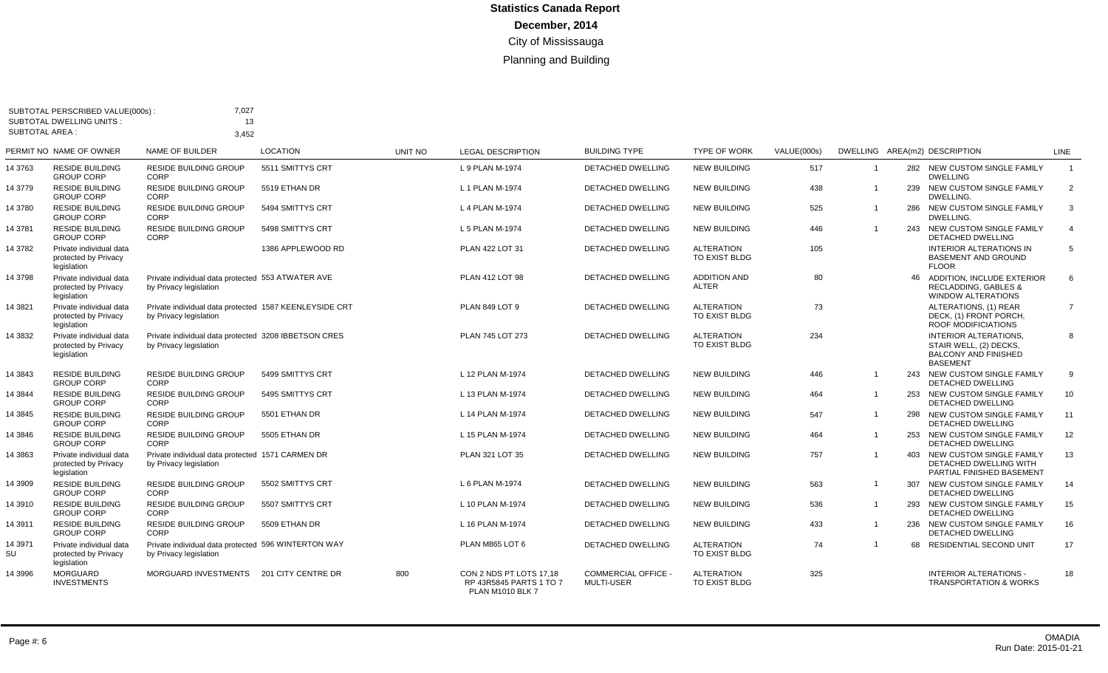|                       | SUBTOTAL PERSCRIBED VALUE(000s)<br><b>SUBTOTAL DWELLING UNITS:</b> | 7,027<br>13                                                                      |                   |         |                                                                               |                                                 |                                           |             |                |     |                                                                                                          |                |
|-----------------------|--------------------------------------------------------------------|----------------------------------------------------------------------------------|-------------------|---------|-------------------------------------------------------------------------------|-------------------------------------------------|-------------------------------------------|-------------|----------------|-----|----------------------------------------------------------------------------------------------------------|----------------|
| <b>SUBTOTAL AREA:</b> |                                                                    | 3.452                                                                            |                   |         |                                                                               |                                                 |                                           |             |                |     |                                                                                                          |                |
|                       | PERMIT NO NAME OF OWNER                                            | NAME OF BUILDER                                                                  | <b>LOCATION</b>   | UNIT NO | <b>LEGAL DESCRIPTION</b>                                                      | <b>BUILDING TYPE</b>                            | <b>TYPE OF WORK</b>                       | VALUE(000s) |                |     | DWELLING AREA(m2) DESCRIPTION                                                                            | <b>LINE</b>    |
| 14 3763               | <b>RESIDE BUILDING</b><br><b>GROUP CORP</b>                        | <b>RESIDE BUILDING GROUP</b><br>CORP                                             | 5511 SMITTYS CRT  |         | L 9 PLAN M-1974                                                               | <b>DETACHED DWELLING</b>                        | <b>NEW BUILDING</b>                       | 517         | -1             | 282 | NEW CUSTOM SINGLE FAMILY<br><b>DWELLING</b>                                                              | $\overline{1}$ |
| 14 3779               | <b>RESIDE BUILDING</b><br><b>GROUP CORP</b>                        | RESIDE BUILDING GROUP<br><b>CORP</b>                                             | 5519 ETHAN DR     |         | L 1 PLAN M-1974                                                               | <b>DETACHED DWELLING</b>                        | <b>NEW BUILDING</b>                       | 438         | $\overline{1}$ | 239 | NEW CUSTOM SINGLE FAMILY<br>DWELLING.                                                                    | $\overline{2}$ |
| 14 3780               | <b>RESIDE BUILDING</b><br><b>GROUP CORP</b>                        | <b>RESIDE BUILDING GROUP</b><br>CORP                                             | 5494 SMITTYS CRT  |         | L 4 PLAN M-1974                                                               | DETACHED DWELLING                               | <b>NEW BUILDING</b>                       | 525         | $\overline{1}$ |     | 286 NEW CUSTOM SINGLE FAMILY<br>DWELLING.                                                                | 3              |
| 14 3781               | <b>RESIDE BUILDING</b><br><b>GROUP CORP</b>                        | <b>RESIDE BUILDING GROUP</b><br>CORP                                             | 5498 SMITTYS CRT  |         | L 5 PLAN M-1974                                                               | <b>DETACHED DWELLING</b>                        | <b>NEW BUILDING</b>                       | 446         | $\overline{1}$ |     | 243 NEW CUSTOM SINGLE FAMILY<br><b>DETACHED DWELLING</b>                                                 | $\overline{4}$ |
| 14 3782               | Private individual data<br>protected by Privacy<br>legislation     |                                                                                  | 1386 APPLEWOOD RD |         | <b>PLAN 422 LOT 31</b>                                                        | <b>DETACHED DWELLING</b>                        | <b>ALTERATION</b><br>TO EXIST BLDG        | 105         |                |     | <b>INTERIOR ALTERATIONS IN</b><br><b>BASEMENT AND GROUND</b><br><b>FLOOR</b>                             | $\overline{5}$ |
| 14 3798               | Private individual data<br>protected by Privacy<br>legislation     | Private individual data protected 553 ATWATER AVE<br>by Privacy legislation      |                   |         | PLAN 412 LOT 98                                                               | <b>DETACHED DWELLING</b>                        | <b>ADDITION AND</b><br><b>ALTER</b>       | 80          |                | 46  | ADDITION, INCLUDE EXTERIOR<br><b>RECLADDING, GABLES &amp;</b><br><b>WINDOW ALTERATIONS</b>               | 6              |
| 14 3 8 21             | Private individual data<br>protected by Privacy<br>legislation     | Private individual data protected 1587 KEENLEYSIDE CRT<br>by Privacy legislation |                   |         | PLAN 849 LOT 9                                                                | <b>DETACHED DWELLING</b>                        | <b>ALTERATION</b><br><b>TO EXIST BLDG</b> | 73          |                |     | ALTERATIONS, (1) REAR<br>DECK, (1) FRONT PORCH,<br><b>ROOF MODIFICIATIONS</b>                            | $\overline{7}$ |
| 14 3832               | Private individual data<br>protected by Privacy<br>legislation     | Private individual data protected 3208 IBBETSON CRES<br>by Privacy legislation   |                   |         | PLAN 745 LOT 273                                                              | DETACHED DWELLING                               | <b>ALTERATION</b><br>TO EXIST BLDG        | 234         |                |     | <b>INTERIOR ALTERATIONS,</b><br>STAIR WELL, (2) DECKS,<br><b>BALCONY AND FINISHED</b><br><b>BASEMENT</b> | 8              |
| 14 3843               | <b>RESIDE BUILDING</b><br><b>GROUP CORP</b>                        | <b>RESIDE BUILDING GROUP</b><br>CORP                                             | 5499 SMITTYS CRT  |         | L 12 PLAN M-1974                                                              | <b>DETACHED DWELLING</b>                        | <b>NEW BUILDING</b>                       | 446         | $\overline{1}$ |     | 243 NEW CUSTOM SINGLE FAMILY<br><b>DETACHED DWELLING</b>                                                 | 9              |
| 14 3 8 4 4            | <b>RESIDE BUILDING</b><br><b>GROUP CORP</b>                        | RESIDE BUILDING GROUP<br>CORP                                                    | 5495 SMITTYS CRT  |         | L 13 PLAN M-1974                                                              | <b>DETACHED DWELLING</b>                        | <b>NEW BUILDING</b>                       | 464         | $\overline{1}$ | 253 | NEW CUSTOM SINGLE FAMILY<br><b>DETACHED DWELLING</b>                                                     | 10             |
| 14 3845               | <b>RESIDE BUILDING</b><br><b>GROUP CORP</b>                        | <b>RESIDE BUILDING GROUP</b><br><b>CORP</b>                                      | 5501 ETHAN DR     |         | L 14 PLAN M-1974                                                              | <b>DETACHED DWELLING</b>                        | <b>NEW BUILDING</b>                       | 547         | $\overline{1}$ | 298 | NEW CUSTOM SINGLE FAMILY<br><b>DETACHED DWELLING</b>                                                     | 11             |
| 14 3846               | <b>RESIDE BUILDING</b><br><b>GROUP CORP</b>                        | <b>RESIDE BUILDING GROUP</b><br>CORP                                             | 5505 ETHAN DR     |         | L 15 PLAN M-1974                                                              | DETACHED DWELLING                               | <b>NEW BUILDING</b>                       | 464         | $\overline{1}$ |     | 253 NEW CUSTOM SINGLE FAMILY<br><b>DETACHED DWELLING</b>                                                 | 12             |
| 14 3863               | Private individual data<br>protected by Privacy<br>legislation     | Private individual data protected 1571 CARMEN DR<br>by Privacy legislation       |                   |         | PLAN 321 LOT 35                                                               | DETACHED DWELLING                               | <b>NEW BUILDING</b>                       | 757         | $\overline{1}$ |     | 403 NEW CUSTOM SINGLE FAMILY<br>DETACHED DWELLING WITH<br>PARTIAL FINISHED BASEMENT                      | 13             |
| 14 3909               | <b>RESIDE BUILDING</b><br><b>GROUP CORP</b>                        | <b>RESIDE BUILDING GROUP</b><br>CORP                                             | 5502 SMITTYS CRT  |         | L 6 PLAN M-1974                                                               | <b>DETACHED DWELLING</b>                        | <b>NEW BUILDING</b>                       | 563         | $\overline{1}$ |     | 307 NEW CUSTOM SINGLE FAMILY<br><b>DETACHED DWELLING</b>                                                 | 14             |
| 14 3910               | <b>RESIDE BUILDING</b><br><b>GROUP CORP</b>                        | <b>RESIDE BUILDING GROUP</b><br><b>CORP</b>                                      | 5507 SMITTYS CRT  |         | L 10 PLAN M-1974                                                              | <b>DETACHED DWELLING</b>                        | <b>NEW BUILDING</b>                       | 536         | $\overline{1}$ |     | 293 NEW CUSTOM SINGLE FAMILY<br><b>DETACHED DWELLING</b>                                                 | 15             |
| 14 3911               | <b>RESIDE BUILDING</b><br><b>GROUP CORP</b>                        | <b>RESIDE BUILDING GROUP</b><br>CORP                                             | 5509 ETHAN DR     |         | L 16 PLAN M-1974                                                              | <b>DETACHED DWELLING</b>                        | <b>NEW BUILDING</b>                       | 433         | $\overline{1}$ |     | 236 NEW CUSTOM SINGLE FAMILY<br>DETACHED DWELLING                                                        | 16             |
| 14 3971<br>SU         | Private individual data<br>protected by Privacy<br>legislation     | Private individual data protected 596 WINTERTON WAY<br>by Privacy legislation    |                   |         | PLAN M865 LOT 6                                                               | <b>DETACHED DWELLING</b>                        | <b>ALTERATION</b><br>TO EXIST BLDG        | 74          | $\overline{1}$ | 68  | RESIDENTIAL SECOND UNIT                                                                                  | 17             |
| 14 3996               | <b>MORGUARD</b><br><b>INVESTMENTS</b>                              | MORGUARD INVESTMENTS 201 CITY CENTRE DR                                          |                   | 800     | CON 2 NDS PT LOTS 17,18<br>RP 43R5845 PARTS 1 TO 7<br><b>PLAN M1010 BLK 7</b> | <b>COMMERCIAL OFFICE -</b><br><b>MULTI-USER</b> | <b>ALTERATION</b><br>TO EXIST BLDG        | 325         |                |     | <b>INTERIOR ALTERATIONS -</b><br><b>TRANSPORTATION &amp; WORKS</b>                                       | 18             |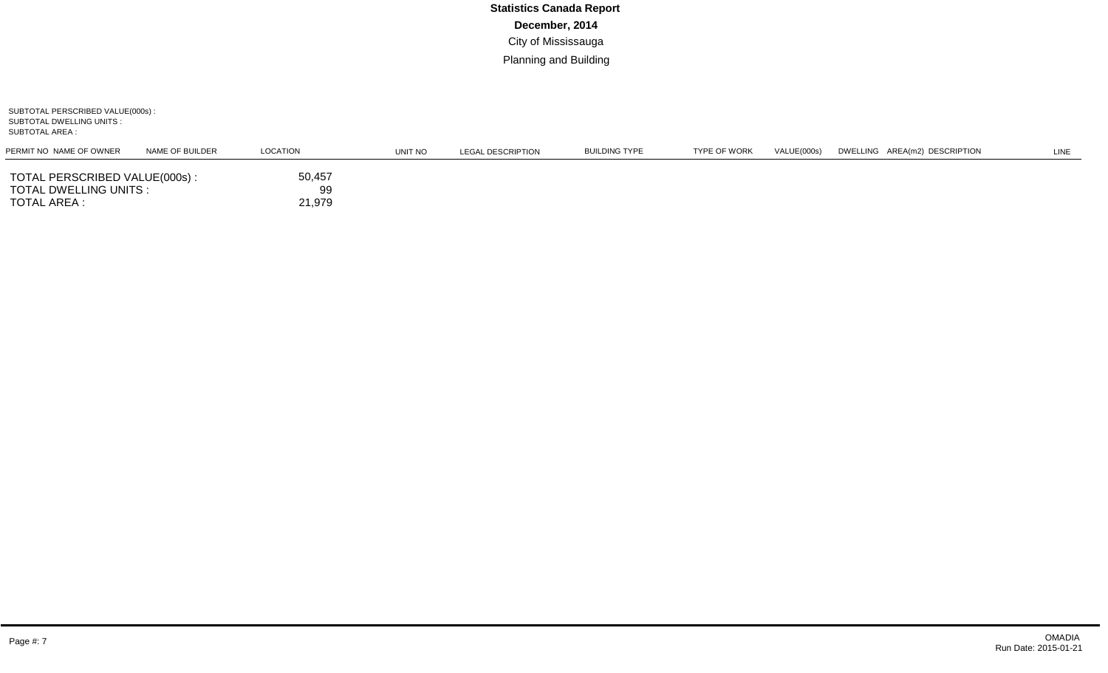SUBTOTAL PERSCRIBED VALUE(000s) : SUBTOTAL DWELLING UNITS : SUBTOTAL AREA :

| PERMIT NO NAME OF OWNER                                                 | NAME OF BUILDER | LOCATION               | UNIT NO | LEGAL DESCRIPTION | BUILDING TYPE | <b>TYPE OF WORK</b> | VALUE(000s) | DWELLING AREA(m2) DESCRIPTION | LINE |
|-------------------------------------------------------------------------|-----------------|------------------------|---------|-------------------|---------------|---------------------|-------------|-------------------------------|------|
| TOTAL PERSCRIBED VALUE(000s):<br>TOTAL DWELLING UNITS :<br>TOTAL AREA : |                 | 50,457<br>99<br>21,979 |         |                   |               |                     |             |                               |      |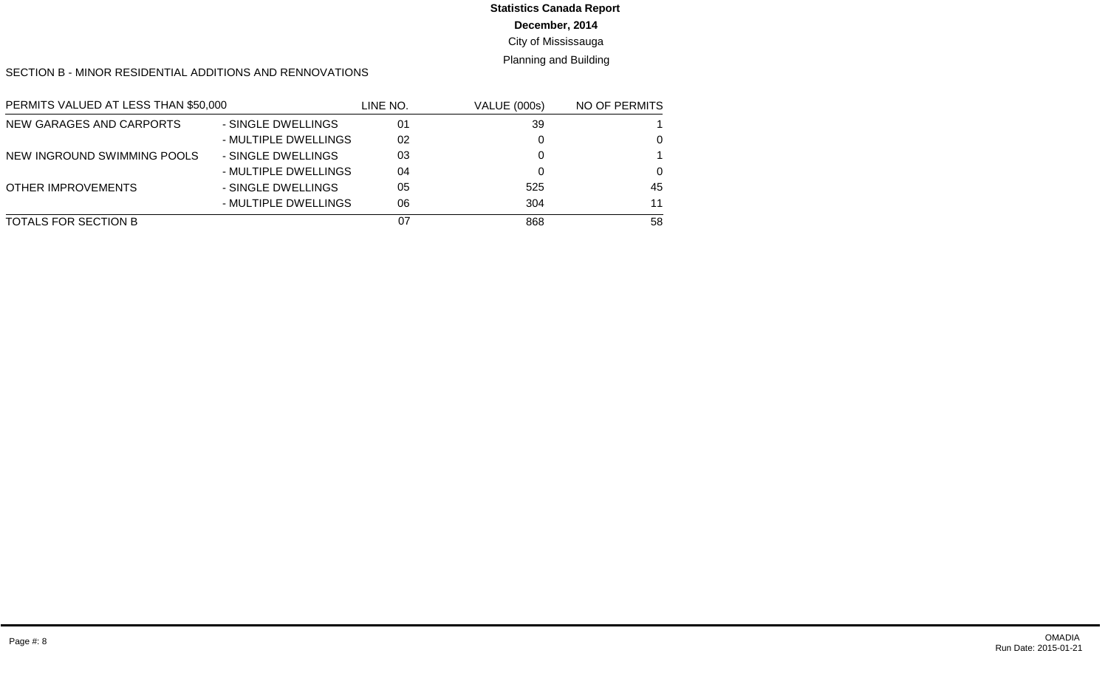## **Statistics Canada Report**

**December, 2014**

City of Mississauga

Planning and Building

SECTION B - MINOR RESIDENTIAL ADDITIONS AND RENNOVATIONS

| PERMITS VALUED AT LESS THAN \$50,000 |                      | LINE NO. | <b>VALUE (000s)</b> | NO OF PERMITS |
|--------------------------------------|----------------------|----------|---------------------|---------------|
| NEW GARAGES AND CARPORTS             | - SINGLE DWELLINGS   | 01       | 39                  |               |
|                                      | - MULTIPLE DWELLINGS | 02       |                     | $\Omega$      |
| NEW INGROUND SWIMMING POOLS          | - SINGLE DWELLINGS   | 03       |                     |               |
|                                      | - MULTIPLE DWELLINGS | 04       |                     | $\Omega$      |
| OTHER IMPROVEMENTS                   | - SINGLE DWELLINGS   | 05       | 525                 | 45            |
|                                      | - MULTIPLE DWELLINGS | 06       | 304                 | 11            |
| TOTALS FOR SECTION B                 |                      | 07       | 868                 | 58            |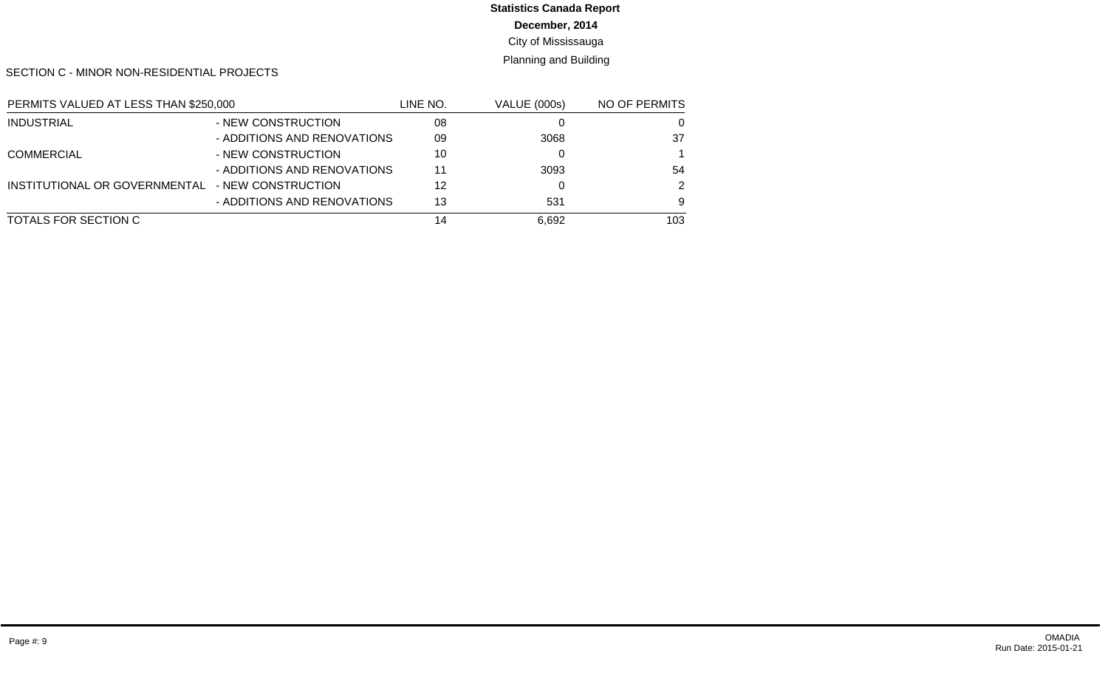## **Statistics Canada Report**

**December, 2014**

City of Mississauga

Planning and Building

SECTION C - MINOR NON-RESIDENTIAL PROJECTS

| PERMITS VALUED AT LESS THAN \$250,000            |                             | LINE NO. | <b>VALUE (000s)</b> | NO OF PERMITS |
|--------------------------------------------------|-----------------------------|----------|---------------------|---------------|
| <b>INDUSTRIAL</b>                                | - NEW CONSTRUCTION          | 08       |                     | 0             |
|                                                  | - ADDITIONS AND RENOVATIONS | 09       | 3068                | 37            |
| <b>COMMERCIAL</b>                                | - NEW CONSTRUCTION          | 10       |                     |               |
|                                                  | - ADDITIONS AND RENOVATIONS | 11       | 3093                | 54            |
| INSTITUTIONAL OR GOVERNMENTAL - NEW CONSTRUCTION |                             | 12       |                     | 2             |
|                                                  | - ADDITIONS AND RENOVATIONS | 13       | 531                 | 9             |
| TOTALS FOR SECTION C                             |                             | 14       | 6,692               | 103           |